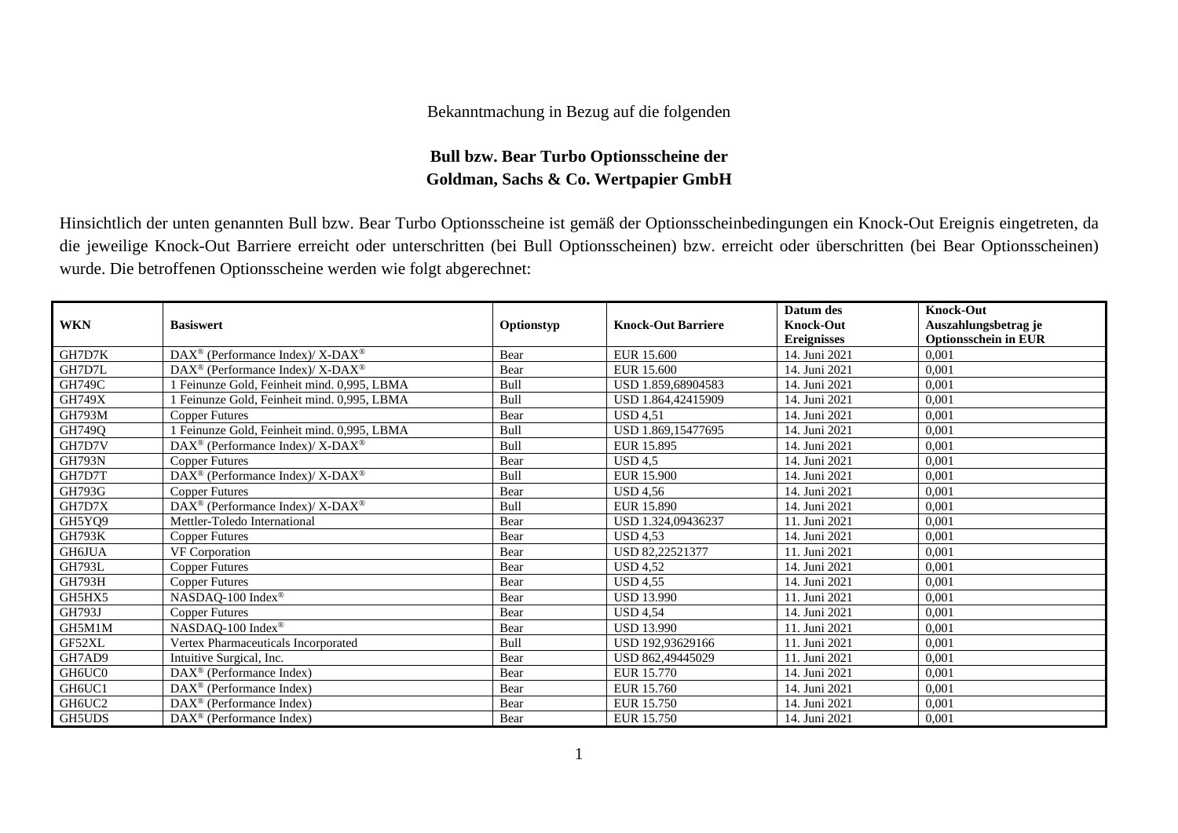## Bekanntmachung in Bezug auf die folgenden

## **Bull bzw. Bear Turbo Optionsscheine der Goldman, Sachs & Co. Wertpapier GmbH**

Hinsichtlich der unten genannten Bull bzw. Bear Turbo Optionsscheine ist gemäß der Optionsscheinbedingungen ein Knock-Out Ereignis eingetreten, da die jeweilige Knock-Out Barriere erreicht oder unterschritten (bei Bull Optionsscheinen) bzw. erreicht oder überschritten (bei Bear Optionsscheinen) wurde. Die betroffenen Optionsscheine werden wie folgt abgerechnet:

|               |                                                             |            |                           | Datum des          | <b>Knock-Out</b>            |
|---------------|-------------------------------------------------------------|------------|---------------------------|--------------------|-----------------------------|
| <b>WKN</b>    | <b>Basiswert</b>                                            | Optionstyp | <b>Knock-Out Barriere</b> | <b>Knock-Out</b>   | Auszahlungsbetrag je        |
|               |                                                             |            |                           | <b>Ereignisses</b> | <b>Optionsschein in EUR</b> |
| GH7D7K        | $DAX^{\circledast}$ (Performance Index)/ X-DAX <sup>®</sup> | Bear       | EUR 15.600                | 14. Juni 2021      | 0,001                       |
| GH7D7L        | $DAX^{\circledcirc}$ (Performance Index)/X-DAX <sup>®</sup> | Bear       | EUR 15.600                | 14. Juni 2021      | 0,001                       |
| <b>GH749C</b> | Feinunze Gold, Feinheit mind. 0,995, LBMA                   | Bull       | USD 1.859,68904583        | 14. Juni 2021      | 0,001                       |
| <b>GH749X</b> | Feinunze Gold, Feinheit mind. 0,995, LBMA                   | Bull       | USD 1.864,42415909        | 14. Juni 2021      | 0,001                       |
| <b>GH793M</b> | <b>Copper Futures</b>                                       | Bear       | <b>USD 4.51</b>           | 14. Juni 2021      | 0,001                       |
| GH749Q        | 1 Feinunze Gold, Feinheit mind. 0,995, LBMA                 | Bull       | USD 1.869,15477695        | 14. Juni 2021      | 0,001                       |
| GH7D7V        | DAX <sup>®</sup> (Performance Index)/ X-DAX <sup>®</sup>    | Bull       | EUR 15.895                | 14. Juni 2021      | 0,001                       |
| <b>GH793N</b> | <b>Copper Futures</b>                                       | Bear       | USD 4.5                   | 14. Juni 2021      | 0,001                       |
| GH7D7T        | DAX <sup>®</sup> (Performance Index)/X-DAX <sup>®</sup>     | Bull       | <b>EUR 15.900</b>         | 14. Juni 2021      | 0,001                       |
| GH793G        | <b>Copper Futures</b>                                       | Bear       | <b>USD 4,56</b>           | 14. Juni 2021      | 0,001                       |
| GH7D7X        | DAX <sup>®</sup> (Performance Index)/ X-DAX <sup>®</sup>    | Bull       | EUR 15.890                | 14. Juni 2021      | 0,001                       |
| GH5YQ9        | Mettler-Toledo International                                | Bear       | USD 1.324,09436237        | 11. Juni 2021      | 0,001                       |
| <b>GH793K</b> | <b>Copper Futures</b>                                       | Bear       | <b>USD 4.53</b>           | 14. Juni 2021      | 0,001                       |
| <b>GH6JUA</b> | VF Corporation                                              | Bear       | USD 82,22521377           | 11. Juni 2021      | 0,001                       |
| <b>GH793L</b> | <b>Copper Futures</b>                                       | Bear       | <b>USD 4.52</b>           | 14. Juni 2021      | 0,001                       |
| <b>GH793H</b> | <b>Copper Futures</b>                                       | Bear       | <b>USD 4.55</b>           | 14. Juni 2021      | 0,001                       |
| GH5HX5        | NASDAQ-100 Index®                                           | Bear       | <b>USD 13.990</b>         | 11. Juni 2021      | 0,001                       |
| GH793J        | <b>Copper Futures</b>                                       | Bear       | <b>USD 4.54</b>           | 14. Juni 2021      | 0,001                       |
| GH5M1M        | NASDAQ-100 Index®                                           | Bear       | <b>USD 13.990</b>         | 11. Juni 2021      | 0,001                       |
| GF52XL        | Vertex Pharmaceuticals Incorporated                         | Bull       | USD 192,93629166          | 11. Juni 2021      | 0,001                       |
| GH7AD9        | Intuitive Surgical, Inc.                                    | Bear       | USD 862,49445029          | 11. Juni 2021      | 0,001                       |
| GH6UC0        | $DAX^{\circledast}$ (Performance Index)                     | Bear       | EUR 15.770                | 14. Juni 2021      | 0,001                       |
| GH6UC1        | $DAX^{\circledast}$ (Performance Index)                     | Bear       | EUR 15.760                | 14. Juni 2021      | 0,001                       |
| GH6UC2        | $DAX^{\circledast}$ (Performance Index)                     | Bear       | EUR 15.750                | 14. Juni 2021      | 0,001                       |
| GH5UDS        | DAX <sup>®</sup> (Performance Index)                        | Bear       | EUR 15.750                | 14. Juni 2021      | 0,001                       |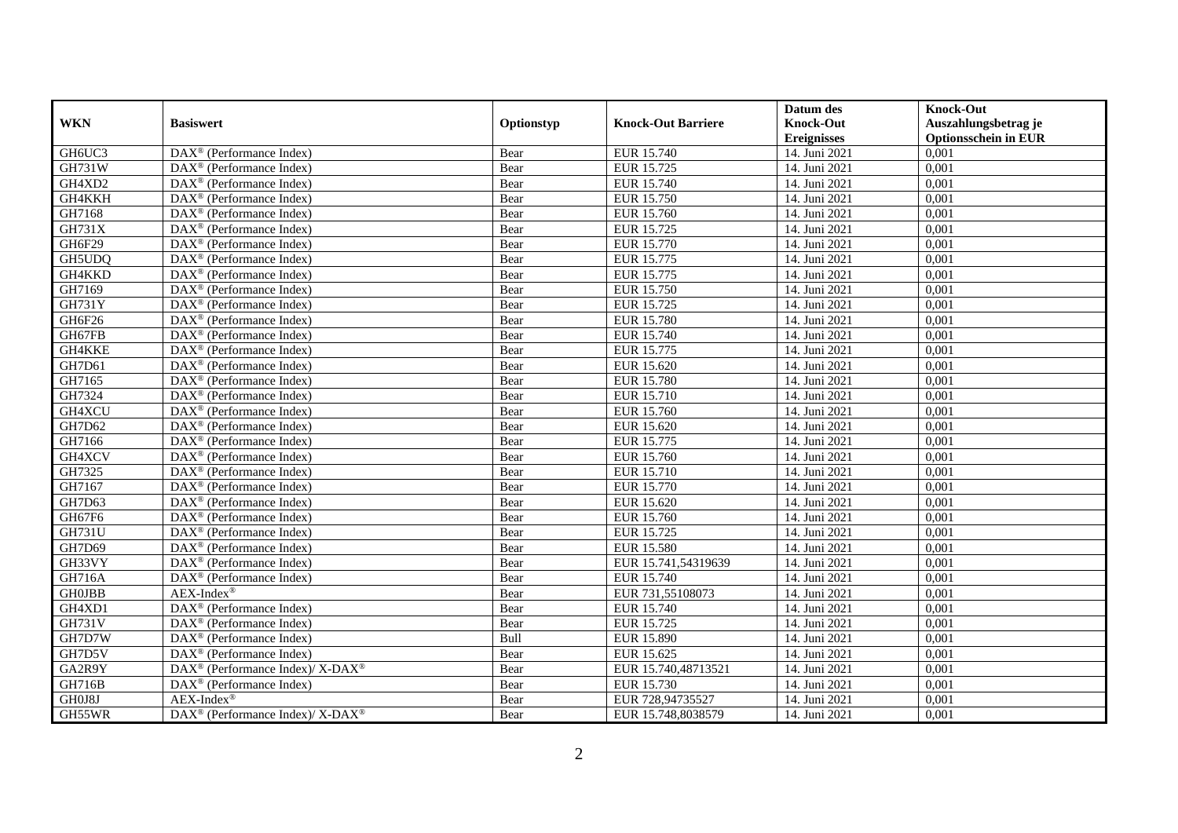|               |                                                                  |            |                           | Datum des          | <b>Knock-Out</b>            |
|---------------|------------------------------------------------------------------|------------|---------------------------|--------------------|-----------------------------|
| <b>WKN</b>    | <b>Basiswert</b>                                                 | Optionstyp | <b>Knock-Out Barriere</b> | <b>Knock-Out</b>   | Auszahlungsbetrag je        |
|               |                                                                  |            |                           | <b>Ereignisses</b> | <b>Optionsschein in EUR</b> |
| GH6UC3        | $\overline{\text{DAX}}^{\textcircled{}}$ (Performance Index)     | Bear       | EUR 15.740                | 14. Juni 2021      | 0,001                       |
| <b>GH731W</b> | $DAX^{\circledR}$ (Performance Index)                            | Bear       | EUR 15.725                | 14. Juni 2021      | 0,001                       |
| GH4XD2        | DAX <sup>®</sup> (Performance Index)                             | Bear       | EUR 15.740                | 14. Juni 2021      | 0,001                       |
| GH4KKH        | DAX <sup>®</sup> (Performance Index)                             | Bear       | EUR 15.750                | 14. Juni 2021      | 0,001                       |
| GH7168        | $\text{DAX}^{\circledR}$ (Performance Index)                     | Bear       | EUR 15.760                | 14. Juni 2021      | 0,001                       |
| <b>GH731X</b> | $\text{DAX}^{\textcircled{p}}$ (Performance Index)               | Bear       | EUR 15.725                | 14. Juni 2021      | 0,001                       |
| GH6F29        | $\overline{\text{DAX}}^{\textcirc}$ (Performance Index)          | Bear       | <b>EUR 15.770</b>         | 14. Juni 2021      | 0,001                       |
| GH5UDQ        | $\text{DAX}^{\otimes}$ (Performance Index)                       | Bear       | EUR 15.775                | 14. Juni 2021      | 0,001                       |
| GH4KKD        | $\text{DAX}^{\textcircled{p}}$ (Performance Index)               | Bear       | EUR 15.775                | 14. Juni 2021      | 0,001                       |
| GH7169        | $\text{DAX}^{\otimes}$ (Performance Index)                       | Bear       | EUR 15.750                | 14. Juni 2021      | 0,001                       |
| <b>GH731Y</b> | DAX <sup>®</sup> (Performance Index)                             | Bear       | EUR 15.725                | 14. Juni 2021      | 0,001                       |
| GH6F26        | DAX <sup>®</sup> (Performance Index)                             | Bear       | <b>EUR 15.780</b>         | 14. Juni 2021      | 0,001                       |
| GH67FB        | $\text{DAX}^{\otimes}$ (Performance Index)                       | Bear       | EUR 15.740                | 14. Juni 2021      | 0,001                       |
| GH4KKE        | DAX <sup>®</sup> (Performance Index)                             | Bear       | EUR 15.775                | 14. Juni 2021      | 0,001                       |
| GH7D61        | DAX <sup>®</sup> (Performance Index)                             | Bear       | EUR 15.620                | 14. Juni 2021      | 0,001                       |
| GH7165        | DAX <sup>®</sup> (Performance Index)                             | Bear       | <b>EUR 15.780</b>         | 14. Juni 2021      | 0,001                       |
| GH7324        | $\text{DAX}^{\textcircled{p}}$ (Performance Index)               | Bear       | <b>EUR 15.710</b>         | 14. Juni 2021      | 0,001                       |
| GH4XCU        | $\overline{\text{DAX}^{\otimes}}$ (Performance Index)            | Bear       | EUR 15.760                | 14. Juni 2021      | 0,001                       |
| GH7D62        | $\text{DAX}^{\textcircled{n}}$ (Performance Index)               | Bear       | EUR 15.620                | 14. Juni 2021      | 0,001                       |
| GH7166        | $\text{DAX}^{\textcircled{n}}$ (Performance Index)               | Bear       | EUR 15.775                | 14. Juni 2021      | 0,001                       |
| GH4XCV        | DAX <sup>®</sup> (Performance Index)                             | Bear       | EUR 15.760                | 14. Juni 2021      | 0,001                       |
| GH7325        | $\overline{\text{DAX}}^{\textcirc}$ (Performance Index)          | Bear       | EUR 15.710                | 14. Juni 2021      | 0,001                       |
| GH7167        | DAX <sup>®</sup> (Performance Index)                             | Bear       | EUR 15.770                | 14. Juni 2021      | 0,001                       |
| GH7D63        | $\text{DAX}^{\otimes}$ (Performance Index)                       | Bear       | EUR 15.620                | 14. Juni 2021      | 0,001                       |
| GH67F6        | $DAX^{\otimes}$ (Performance Index)                              | Bear       | EUR 15.760                | 14. Juni 2021      | 0,001                       |
| GH731U        | $\text{DAX}^{\otimes}$ (Performance Index)                       | Bear       | EUR 15.725                | 14. Juni 2021      | 0,001                       |
| GH7D69        | DAX <sup>®</sup> (Performance Index)                             | Bear       | <b>EUR 15.580</b>         | 14. Juni 2021      | 0,001                       |
| GH33VY        | DAX <sup>®</sup> (Performance Index)                             | Bear       | EUR 15.741,54319639       | 14. Juni 2021      | 0,001                       |
| GH716A        | DAX <sup>®</sup> (Performance Index)                             | Bear       | EUR 15.740                | 14. Juni 2021      | 0,001                       |
| <b>GH0JBB</b> | $AEX-Index^{\circledR}$                                          | Bear       | EUR 731,55108073          | 14. Juni 2021      | 0.001                       |
| GH4XD1        | $\text{DAX}^{\otimes}$ (Performance Index)                       | Bear       | EUR 15.740                | 14. Juni 2021      | 0,001                       |
| <b>GH731V</b> | $DAX^{\otimes}$ (Performance Index)                              | Bear       | EUR 15.725                | 14. Juni 2021      | 0,001                       |
| GH7D7W        | $\overline{\text{DAX}^{\otimes}}$ (Performance Index)            | Bull       | <b>EUR 15.890</b>         | 14. Juni 2021      | 0,001                       |
| GH7D5V        | $\overline{\text{DAX}^{\otimes}}$ (Performance Index)            | Bear       | EUR 15.625                | 14. Juni 2021      | 0,001                       |
| GA2R9Y        | $\text{DAX}^{\circledR}$ (Performance Index)/ X-DAX <sup>®</sup> | Bear       | EUR 15.740,48713521       | 14. Juni 2021      | 0,001                       |
| GH716B        | $\text{DAX}^{\otimes}$ (Performance Index)                       | Bear       | EUR 15.730                | 14. Juni 2021      | 0,001                       |
| GH0J8J        | $AEX-Index^{\circledR}$                                          | Bear       | EUR 728,94735527          | 14. Juni 2021      | 0,001                       |
| GH55WR        | DAX <sup>®</sup> (Performance Index)/ X-DAX <sup>®</sup>         | Bear       | EUR 15.748,8038579        | 14. Juni 2021      | 0,001                       |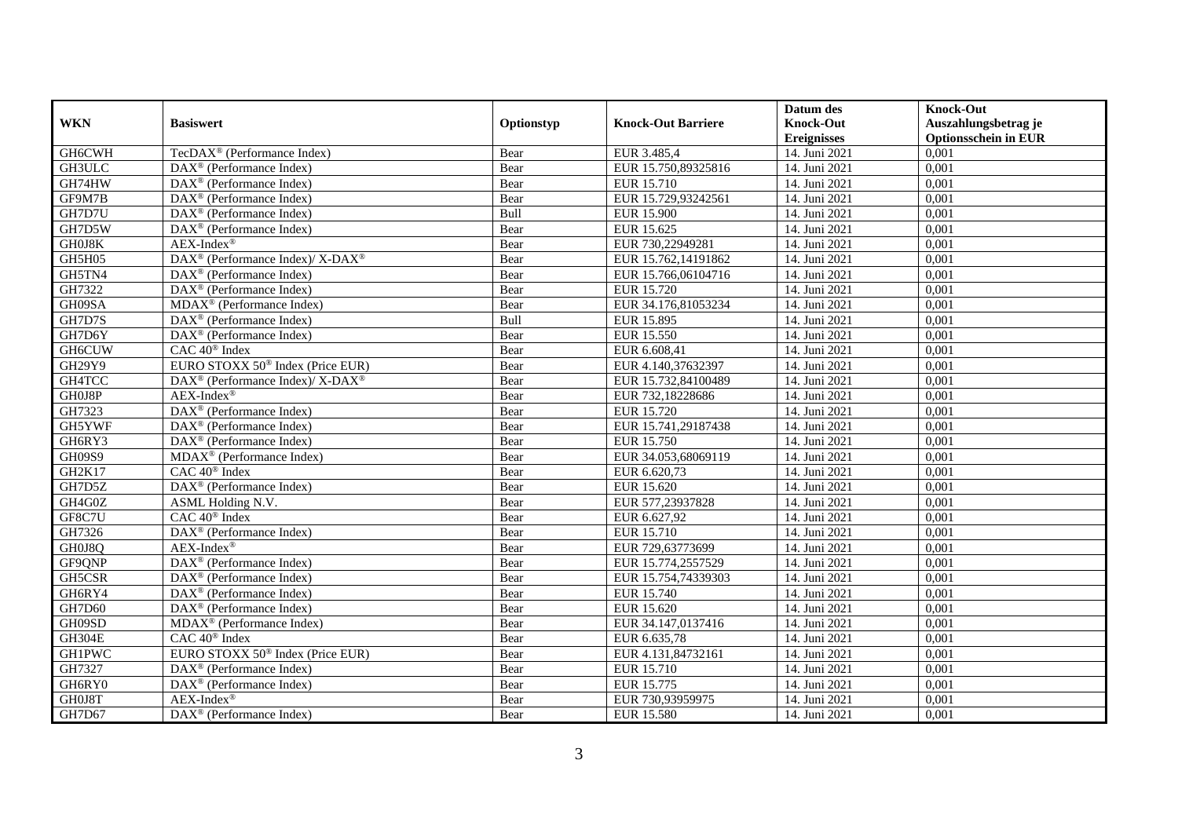|               |                                                              |            |                           | Datum des          | <b>Knock-Out</b>            |
|---------------|--------------------------------------------------------------|------------|---------------------------|--------------------|-----------------------------|
| <b>WKN</b>    | <b>Basiswert</b>                                             | Optionstyp | <b>Knock-Out Barriere</b> | <b>Knock-Out</b>   | Auszahlungsbetrag je        |
|               |                                                              |            |                           | <b>Ereignisses</b> | <b>Optionsschein in EUR</b> |
| GH6CWH        | TecDAX <sup>®</sup> (Performance Index)                      | Bear       | EUR 3.485,4               | 14. Juni 2021      | 0,001                       |
| GH3ULC        | $DAX^{\circledR}$ (Performance Index)                        | Bear       | EUR 15.750,89325816       | 14. Juni 2021      | 0,001                       |
| GH74HW        | $DAX^{\circledR}$ (Performance Index)                        | Bear       | EUR 15.710                | 14. Juni 2021      | 0,001                       |
| GF9M7B        | $DAX^{\circledast}$ (Performance Index)                      | Bear       | EUR 15.729,93242561       | 14. Juni 2021      | 0,001                       |
| GH7D7U        | DAX <sup>®</sup> (Performance Index)                         | Bull       | <b>EUR 15.900</b>         | 14. Juni 2021      | 0,001                       |
| GH7D5W        | $DAX^{\circledast}$ (Performance Index)                      | Bear       | EUR 15.625                | 14. Juni 2021      | 0,001                       |
| GH0J8K        | $AEX-Index^{\circledR}$                                      | Bear       | EUR 730,22949281          | 14. Juni 2021      | 0,001                       |
| GH5H05        | DAX <sup>®</sup> (Performance Index)/ X-DAX <sup>®</sup>     | Bear       | EUR 15.762,14191862       | 14. Juni 2021      | 0,001                       |
| GH5TN4        | $DAX^{\circledR}$ (Performance Index)                        | Bear       | EUR 15.766,06104716       | 14. Juni 2021      | 0,001                       |
| GH7322        | $DAX^{\circledR}$ (Performance Index)                        | Bear       | EUR 15.720                | 14. Juni 2021      | 0,001                       |
| GH09SA        | MDAX <sup>®</sup> (Performance Index)                        | Bear       | EUR 34.176,81053234       | 14. Juni 2021      | 0,001                       |
| GH7D7S        | $\overline{\text{DAX}^{\otimes}}$ (Performance Index)        | Bull       | EUR 15.895                | 14. Juni 2021      | 0,001                       |
| GH7D6Y        | DAX <sup>®</sup> (Performance Index)                         | Bear       | EUR 15.550                | 14. Juni 2021      | 0,001                       |
| GH6CUW        | CAC 40 <sup>®</sup> Index                                    | Bear       | EUR 6.608,41              | 14. Juni 2021      | 0,001                       |
| GH29Y9        | EURO STOXX 50 <sup>®</sup> Index (Price EUR)                 | Bear       | EUR 4.140,37632397        | 14. Juni 2021      | 0,001                       |
| GH4TCC        | DAX <sup>®</sup> (Performance Index)/ X-DAX <sup>®</sup>     | Bear       | EUR 15.732,84100489       | 14. Juni 2021      | 0,001                       |
| GH0J8P        | $AEX-Index^{\circledR}$                                      | Bear       | EUR 732,18228686          | 14. Juni 2021      | 0,001                       |
| GH7323        | $DAX^{\circledcirc}$ (Performance Index)                     | Bear       | EUR 15.720                | 14. Juni 2021      | 0,001                       |
| GH5YWF        | $DAX^{\circledR}$ (Performance Index)                        | Bear       | EUR 15.741,29187438       | 14. Juni 2021      | 0,001                       |
| GH6RY3        | $\overline{\text{DAX}^{\otimes}}$ (Performance Index)        | Bear       | EUR 15.750                | 14. Juni 2021      | 0,001                       |
| GH09S9        | MDAX <sup>®</sup> (Performance Index)                        | Bear       | EUR 34.053,68069119       | 14. Juni 2021      | 0,001                       |
| GH2K17        | CAC 40 <sup>®</sup> Index                                    | Bear       | EUR 6.620,73              | 14. Juni 2021      | 0,001                       |
| GH7D5Z        | DAX <sup>®</sup> (Performance Index)                         | Bear       | EUR 15.620                | 14. Juni 2021      | 0,001                       |
| GH4G0Z        | ASML Holding N.V.                                            | Bear       | EUR 577,23937828          | 14. Juni 2021      | 0,001                       |
| GF8C7U        | CAC 40 <sup>®</sup> Index                                    | Bear       | EUR 6.627,92              | 14. Juni 2021      | 0,001                       |
| GH7326        | DAX <sup>®</sup> (Performance Index)                         | Bear       | EUR 15.710                | 14. Juni 2021      | 0,001                       |
| GH0J8Q        | $AEX-Index^{\circledR}$                                      | Bear       | EUR 729,63773699          | 14. Juni 2021      | 0,001                       |
| GF9QNP        | DAX <sup>®</sup> (Performance Index)                         | Bear       | EUR 15.774,2557529        | 14. Juni 2021      | 0,001                       |
| GH5CSR        | $DAX^{\circledR}$ (Performance Index)                        | Bear       | EUR 15.754,74339303       | 14. Juni 2021      | 0,001                       |
| GH6RY4        | $DAX^{\circledR}$ (Performance Index)                        | Bear       | EUR 15.740                | 14. Juni 2021      | 0,001                       |
| <b>GH7D60</b> | $DAX^{\circledR}$ (Performance Index)                        | Bear       | EUR 15.620                | 14. Juni 2021      | 0,001                       |
| GH09SD        | MDAX <sup>®</sup> (Performance Index)                        | Bear       | EUR 34.147,0137416        | 14. Juni 2021      | 0,001                       |
| GH304E        | CAC 40 <sup>®</sup> Index                                    | Bear       | EUR 6.635,78              | 14. Juni 2021      | 0,001                       |
| <b>GH1PWC</b> | EURO STOXX 50 <sup>®</sup> Index (Price EUR)                 | Bear       | EUR 4.131,84732161        | 14. Juni 2021      | 0,001                       |
| GH7327        | $\text{DAX}^{\textcircled{}}$ (Performance Index)            | Bear       | EUR 15.710                | 14. Juni 2021      | 0,001                       |
| GH6RY0        | DAX <sup>®</sup> (Performance Index)                         | Bear       | EUR 15.775                | 14. Juni 2021      | 0,001                       |
| GH0J8T        | AEX-Index®                                                   | Bear       | EUR 730,93959975          | 14. Juni 2021      | 0,001                       |
| GH7D67        | $\overline{\text{DAX}}^{\textcircled{}}$ (Performance Index) | Bear       | <b>EUR 15.580</b>         | 14. Juni 2021      | 0,001                       |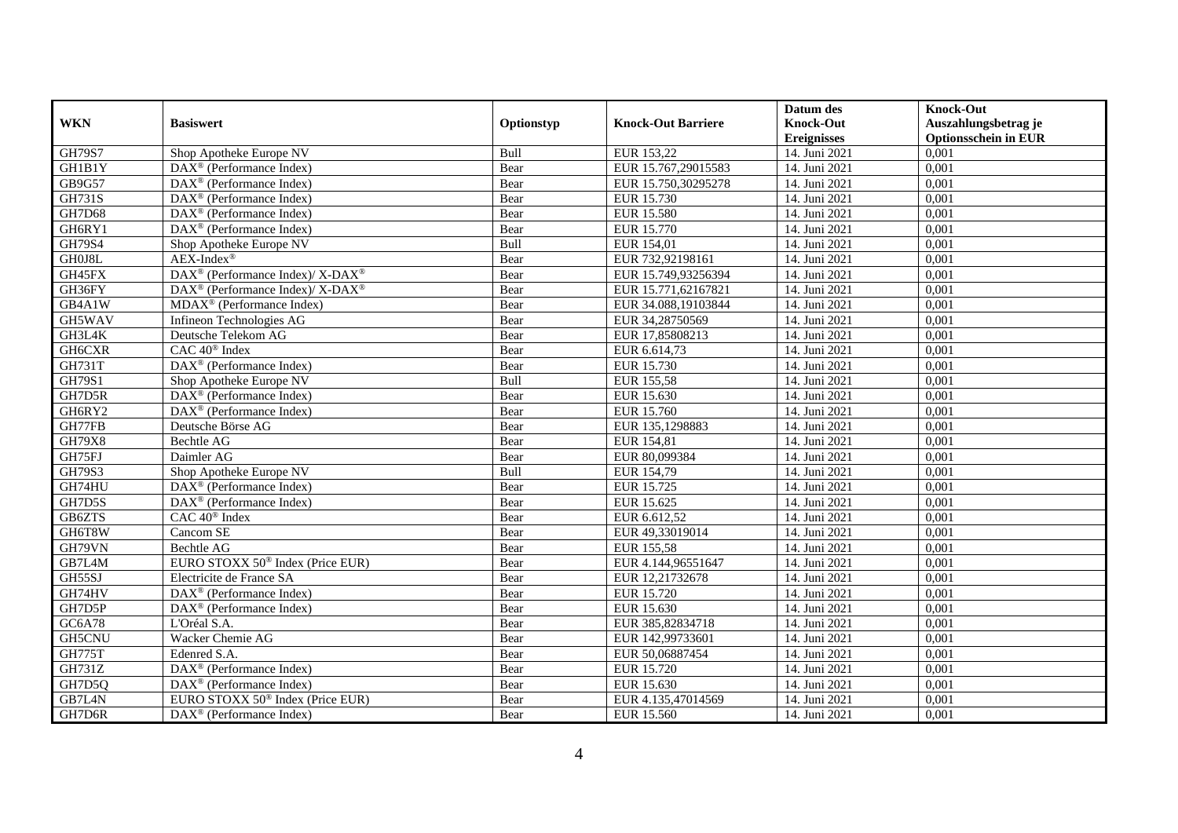|               |                                                            |            |                           | Datum des          | <b>Knock-Out</b>            |
|---------------|------------------------------------------------------------|------------|---------------------------|--------------------|-----------------------------|
| <b>WKN</b>    | <b>Basiswert</b>                                           | Optionstyp | <b>Knock-Out Barriere</b> | <b>Knock-Out</b>   | Auszahlungsbetrag je        |
|               |                                                            |            |                           | <b>Ereignisses</b> | <b>Optionsschein in EUR</b> |
| <b>GH79S7</b> | Shop Apotheke Europe NV                                    | Bull       | EUR 153,22                | 14. Juni 2021      | 0,001                       |
| GH1B1Y        | $\text{DAX}^{\textcircled{p}}$ (Performance Index)         | Bear       | EUR 15.767,29015583       | 14. Juni 2021      | 0,001                       |
| GB9G57        | $\text{DAX}^{\textcircled{n}}$ (Performance Index)         | Bear       | EUR 15.750,30295278       | 14. Juni 2021      | 0,001                       |
| GH731S        | $\text{DAX}^{\circledast}$ (Performance Index)             | Bear       | EUR 15.730                | 14. Juni 2021      | 0,001                       |
| <b>GH7D68</b> | DAX <sup>®</sup> (Performance Index)                       | Bear       | <b>EUR 15.580</b>         | 14. Juni 2021      | 0,001                       |
| GH6RY1        | $\text{DAX}^{\textcircled{n}}$ (Performance Index)         | Bear       | EUR 15.770                | 14. Juni 2021      | 0,001                       |
| GH79S4        | Shop Apotheke Europe NV                                    | Bull       | EUR 154,01                | 14. Juni 2021      | 0,001                       |
| GH0J8L        | $AEX-Index^{\circledR}$                                    | Bear       | EUR 732,92198161          | 14. Juni 2021      | 0,001                       |
| GH45FX        | DAX <sup>®</sup> (Performance Index)/X-DAX <sup>®</sup>    | Bear       | EUR 15.749,93256394       | 14. Juni 2021      | 0,001                       |
| GH36FY        | $DAX^{\circledast}$ (Performance Index)/X-DAX <sup>®</sup> | Bear       | EUR 15.771,62167821       | 14. Juni 2021      | 0,001                       |
| GB4A1W        | $MDAX^{\circledR}$ (Performance Index)                     | Bear       | EUR 34.088,19103844       | 14. Juni 2021      | 0,001                       |
| GH5WAV        | Infineon Technologies AG                                   | Bear       | EUR 34,28750569           | 14. Juni 2021      | 0,001                       |
| GH3L4K        | Deutsche Telekom AG                                        | Bear       | EUR 17,85808213           | 14. Juni 2021      | 0,001                       |
| GH6CXR        | CAC 40 <sup>®</sup> Index                                  | Bear       | EUR 6.614,73              | 14. Juni 2021      | 0,001                       |
| <b>GH731T</b> | DAX <sup>®</sup> (Performance Index)                       | Bear       | EUR 15.730                | 14. Juni 2021      | 0,001                       |
| GH79S1        | Shop Apotheke Europe NV                                    | Bull       | EUR 155,58                | 14. Juni 2021      | 0,001                       |
| GH7D5R        | DAX <sup>®</sup> (Performance Index)                       | Bear       | EUR 15.630                | 14. Juni 2021      | 0,001                       |
| GH6RY2        | $\text{DAX}^{\textcircled{p}}$ (Performance Index)         | Bear       | EUR 15.760                | 14. Juni 2021      | 0,001                       |
| GH77FB        | Deutsche Börse AG                                          | Bear       | EUR 135,1298883           | 14. Juni 2021      | 0,001                       |
| <b>GH79X8</b> | Bechtle AG                                                 | Bear       | EUR 154,81                | 14. Juni 2021      | 0,001                       |
| GH75FJ        | Daimler AG                                                 | Bear       | EUR 80,099384             | 14. Juni 2021      | 0,001                       |
| GH79S3        | Shop Apotheke Europe NV                                    | Bull       | EUR 154,79                | 14. Juni 2021      | 0,001                       |
| GH74HU        | $\overline{\text{DAX}^{\otimes}}$ (Performance Index)      | Bear       | EUR 15.725                | 14. Juni 2021      | 0,001                       |
| GH7D5S        | DAX <sup>®</sup> (Performance Index)                       | Bear       | EUR 15.625                | 14. Juni 2021      | 0,001                       |
| GB6ZTS        | CAC 40 <sup>®</sup> Index                                  | Bear       | EUR 6.612,52              | 14. Juni 2021      | 0,001                       |
| GH6T8W        | Cancom SE                                                  | Bear       | EUR 49,33019014           | 14. Juni 2021      | 0,001                       |
| GH79VN        | Bechtle AG                                                 | Bear       | <b>EUR 155,58</b>         | 14. Juni 2021      | 0,001                       |
| GB7L4M        | EURO STOXX 50 <sup>®</sup> Index (Price EUR)               | Bear       | EUR 4.144,96551647        | 14. Juni 2021      | 0,001                       |
| GH55SJ        | Electricite de France SA                                   | Bear       | EUR 12,21732678           | 14. Juni 2021      | 0,001                       |
| GH74HV        | $\text{DAX}^{\textcircled{p}}$ (Performance Index)         | Bear       | EUR 15.720                | 14. Juni 2021      | 0,001                       |
| GH7D5P        | DAX <sup>®</sup> (Performance Index)                       | Bear       | EUR 15.630                | 14. Juni 2021      | 0,001                       |
| <b>GC6A78</b> | L'Oréal S.A.                                               | Bear       | EUR 385,82834718          | 14. Juni 2021      | 0,001                       |
| <b>GH5CNU</b> | Wacker Chemie AG                                           | Bear       | EUR 142,99733601          | 14. Juni 2021      | 0,001                       |
| GH775T        | Edenred S.A.                                               | Bear       | EUR 50,06887454           | 14. Juni 2021      | 0,001                       |
| GH731Z        | $\text{DAX}^{\textcircled{n}}$ (Performance Index)         | Bear       | EUR 15.720                | 14. Juni 2021      | 0,001                       |
| GH7D5Q        | DAX <sup>®</sup> (Performance Index)                       | Bear       | EUR 15.630                | 14. Juni 2021      | 0,001                       |
| GB7L4N        | EURO STOXX 50 <sup>®</sup> Index (Price EUR)               | Bear       | EUR 4.135,47014569        | 14. Juni 2021      | 0,001                       |
| GH7D6R        | $\text{DAX}^{\textcircled{n}}$ (Performance Index)         | Bear       | EUR 15.560                | 14. Juni 2021      | 0,001                       |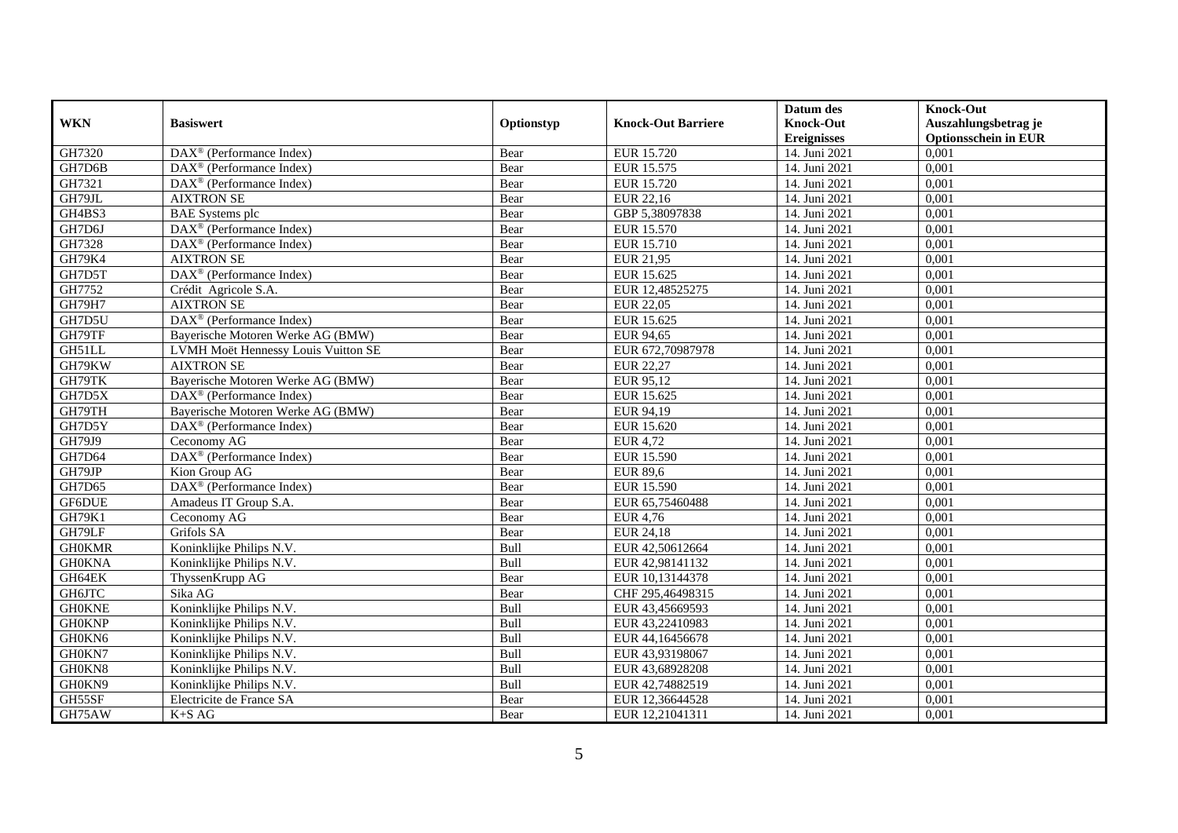|                  |                                                                |              |                             | Datum des                              | <b>Knock-Out</b>                                    |
|------------------|----------------------------------------------------------------|--------------|-----------------------------|----------------------------------------|-----------------------------------------------------|
| <b>WKN</b>       | <b>Basiswert</b>                                               | Optionstyp   | <b>Knock-Out Barriere</b>   | <b>Knock-Out</b><br><b>Ereignisses</b> | Auszahlungsbetrag je<br><b>Optionsschein in EUR</b> |
| GH7320           | $\overline{\text{DAX}^{\otimes}}$ (Performance Index)          | Bear         | EUR 15.720                  | 14. Juni 2021                          | 0,001                                               |
| GH7D6B           | $\text{DAX}^{\textcircled{D}}$ (Performance Index)             | Bear         | EUR 15.575                  | 14. Juni 2021                          | 0,001                                               |
| GH7321           | DAX <sup>®</sup> (Performance Index)                           | Bear         | EUR 15.720                  | 14. Juni 2021                          | 0,001                                               |
| GH79JL           |                                                                |              |                             |                                        |                                                     |
|                  | <b>AIXTRON SE</b>                                              | Bear         | EUR 22,16<br>GBP 5,38097838 | 14. Juni 2021<br>14. Juni 2021         | 0,001<br>0,001                                      |
| GH4BS3<br>GH7D6J | <b>BAE</b> Systems plc<br>DAX <sup>®</sup> (Performance Index) | Bear<br>Bear | EUR 15.570                  | 14. Juni 2021                          | 0,001                                               |
| GH7328           | DAX <sup>®</sup> (Performance Index)                           | Bear         | EUR 15.710                  | 14. Juni 2021                          | 0,001                                               |
| GH79K4           | <b>AIXTRON SE</b>                                              | Bear         | EUR 21,95                   | 14. Juni 2021                          | 0,001                                               |
|                  |                                                                |              |                             |                                        |                                                     |
| GH7D5T           | $\text{DAX}^{\textcircled{p}}$ (Performance Index)             | Bear         | EUR 15.625                  | 14. Juni 2021                          | 0,001                                               |
| GH7752           | Crédit Agricole S.A.                                           | Bear         | EUR 12,48525275             | 14. Juni 2021                          | 0,001                                               |
| <b>GH79H7</b>    | <b>AIXTRON SE</b>                                              | Bear         | EUR 22,05                   | 14. Juni 2021                          | 0,001                                               |
| GH7D5U           | DAX <sup>®</sup> (Performance Index)                           | Bear         | EUR 15.625                  | 14. Juni 2021                          | 0,001                                               |
| GH79TF           | Bayerische Motoren Werke AG (BMW)                              | Bear         | EUR 94,65                   | 14. Juni 2021                          | 0,001                                               |
| GH51LL           | LVMH Moët Hennessy Louis Vuitton SE                            | Bear         | EUR 672,70987978            | 14. Juni 2021                          | 0,001                                               |
| GH79KW           | <b>AIXTRON SE</b>                                              | Bear         | <b>EUR 22,27</b>            | 14. Juni 2021                          | 0,001                                               |
| GH79TK           | Bayerische Motoren Werke AG (BMW)                              | Bear         | EUR 95,12                   | 14. Juni 2021                          | 0,001                                               |
| GH7D5X           | $\text{DAX}^{\textcircled{p}}$ (Performance Index)             | Bear         | EUR 15.625                  | 14. Juni 2021                          | 0,001                                               |
| GH79TH           | Bayerische Motoren Werke AG (BMW)                              | Bear         | EUR 94,19                   | 14. Juni 2021                          | 0,001                                               |
| GH7D5Y           | DAX <sup>®</sup> (Performance Index)                           | Bear         | EUR 15.620                  | 14. Juni 2021                          | 0,001                                               |
| GH79J9           | Ceconomy AG                                                    | Bear         | <b>EUR 4,72</b>             | 14. Juni 2021                          | 0,001                                               |
| GH7D64           | DAX <sup>®</sup> (Performance Index)                           | Bear         | EUR 15.590                  | 14. Juni 2021                          | 0,001                                               |
| GH79JP           | Kion Group AG                                                  | Bear         | <b>EUR 89,6</b>             | 14. Juni 2021                          | 0,001                                               |
| <b>GH7D65</b>    | DAX <sup>®</sup> (Performance Index)                           | Bear         | <b>EUR 15.590</b>           | 14. Juni 2021                          | 0,001                                               |
| GF6DUE           | Amadeus IT Group S.A.                                          | Bear         | EUR 65,75460488             | 14. Juni 2021                          | 0,001                                               |
| <b>GH79K1</b>    | Ceconomy AG                                                    | Bear         | <b>EUR 4,76</b>             | 14. Juni 2021                          | 0,001                                               |
| GH79LF           | Grifols SA                                                     | Bear         | EUR 24,18                   | 14. Juni 2021                          | 0,001                                               |
| <b>GH0KMR</b>    | Koninklijke Philips N.V.                                       | Bull         | EUR 42,50612664             | 14. Juni 2021                          | 0,001                                               |
| <b>GH0KNA</b>    | Koninklijke Philips N.V.                                       | Bull         | EUR 42,98141132             | 14. Juni 2021                          | 0,001                                               |
| GH64EK           | ThyssenKrupp AG                                                | Bear         | EUR 10,13144378             | 14. Juni 2021                          | 0,001                                               |
| GH6JTC           | Sika AG                                                        | Bear         | CHF 295,46498315            | 14. Juni 2021                          | 0.001                                               |
| <b>GH0KNE</b>    | Koninklijke Philips N.V.                                       | Bull         | EUR 43,45669593             | 14. Juni 2021                          | 0,001                                               |
| <b>GH0KNP</b>    | Koninklijke Philips N.V.                                       | Bull         | EUR 43,22410983             | 14. Juni 2021                          | 0,001                                               |
| GH0KN6           | Koninklijke Philips N.V.                                       | Bull         | EUR 44,16456678             | 14. Juni 2021                          | 0,001                                               |
| GH0KN7           | Koninklijke Philips N.V.                                       | Bull         | EUR 43,93198067             | 14. Juni 2021                          | 0,001                                               |
| GH0KN8           | Koninklijke Philips N.V.                                       | Bull         | EUR 43,68928208             | 14. Juni 2021                          | 0,001                                               |
| GH0KN9           | Koninklijke Philips N.V.                                       | Bull         | EUR 42,74882519             | 14. Juni 2021                          | 0,001                                               |
| GH55SF           | Electricite de France SA                                       | Bear         | EUR 12,36644528             | 14. Juni 2021                          | 0,001                                               |
| GH75AW           | $K+SAG$                                                        | Bear         | EUR 12,21041311             | 14. Juni 2021                          | 0,001                                               |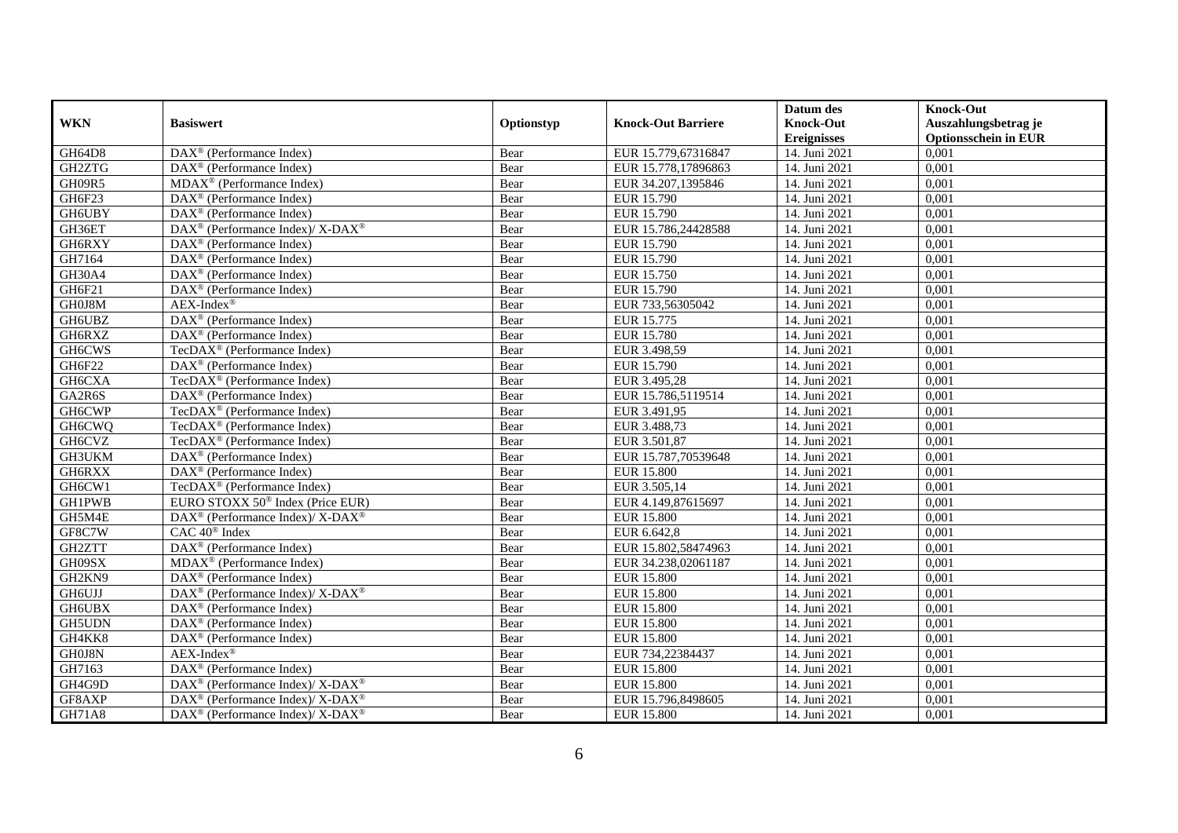|               |                                                                    |            |                           | Datum des          | <b>Knock-Out</b>            |
|---------------|--------------------------------------------------------------------|------------|---------------------------|--------------------|-----------------------------|
| <b>WKN</b>    | <b>Basiswert</b>                                                   | Optionstyp | <b>Knock-Out Barriere</b> | <b>Knock-Out</b>   | Auszahlungsbetrag je        |
|               |                                                                    |            |                           | <b>Ereignisses</b> | <b>Optionsschein in EUR</b> |
| GH64D8        | $\overline{\text{DAX}^{\otimes}}$ (Performance Index)              | Bear       | EUR 15.779,67316847       | 14. Juni 2021      | 0,001                       |
| GH2ZTG        | $\text{DAX}^{\textcircled{D}}$ (Performance Index)                 | Bear       | EUR 15.778,17896863       | 14. Juni 2021      | 0,001                       |
| GH09R5        | $MDAX^{\circledR}$ (Performance Index)                             | Bear       | EUR 34.207,1395846        | 14. Juni 2021      | 0,001                       |
| GH6F23        | $\text{DAX}^{\textcircled{n}}$ (Performance Index)                 | Bear       | EUR 15.790                | 14. Juni 2021      | 0,001                       |
| GH6UBY        | DAX <sup>®</sup> (Performance Index)                               | Bear       | EUR 15.790                | 14. Juni 2021      | 0,001                       |
| GH36ET        | DAX <sup>®</sup> (Performance Index)/ X-DAX <sup>®</sup>           | Bear       | EUR 15.786,24428588       | 14. Juni 2021      | 0,001                       |
| GH6RXY        | $\text{DAX}^{\textcircled{n}}$ (Performance Index)                 | Bear       | EUR 15.790                | 14. Juni 2021      | 0,001                       |
| GH7164        | $\text{DAX}^{\textcircled{D}}$ (Performance Index)                 | Bear       | EUR 15.790                | 14. Juni 2021      | 0,001                       |
| GH30A4        | $\text{DAX}^{\textcircled{D}}$ (Performance Index)                 | Bear       | EUR 15.750                | 14. Juni 2021      | 0,001                       |
| GH6F21        | $\overline{\text{DAX}}^{\textcirc}$ (Performance Index)            | Bear       | EUR 15.790                | 14. Juni 2021      | 0,001                       |
| GH0J8M        | $AEX-Index^{\circledR}$                                            | Bear       | EUR 733,56305042          | 14. Juni 2021      | 0,001                       |
| <b>GH6UBZ</b> | DAX <sup>®</sup> (Performance Index)                               | Bear       | EUR 15.775                | 14. Juni 2021      | 0,001                       |
| GH6RXZ        | DAX <sup>®</sup> (Performance Index)                               | Bear       | <b>EUR 15.780</b>         | 14. Juni 2021      | 0,001                       |
| GH6CWS        | TecDAX <sup>®</sup> (Performance Index)                            | Bear       | EUR 3.498,59              | 14. Juni 2021      | 0,001                       |
| GH6F22        | DAX <sup>®</sup> (Performance Index)                               | Bear       | EUR 15.790                | 14. Juni 2021      | 0,001                       |
| GH6CXA        | TecDAX <sup>®</sup> (Performance Index)                            | Bear       | EUR 3.495,28              | 14. Juni 2021      | 0,001                       |
| GA2R6S        | DAX <sup>®</sup> (Performance Index)                               | Bear       | EUR 15.786,5119514        | 14. Juni 2021      | 0,001                       |
| GH6CWP        | $TecDAX^{\circledcirc}$ (Performance Index)                        | Bear       | EUR 3.491.95              | 14. Juni 2021      | 0,001                       |
| GH6CWQ        | TecDAX <sup>®</sup> (Performance Index)                            | Bear       | EUR 3.488,73              | 14. Juni 2021      | 0,001                       |
| GH6CVZ        | TecDAX <sup>®</sup> (Performance Index)                            | Bear       | EUR 3.501,87              | 14. Juni 2021      | 0,001                       |
| GH3UKM        | DAX <sup>®</sup> (Performance Index)                               | Bear       | EUR 15.787,70539648       | 14. Juni 2021      | 0,001                       |
| GH6RXX        | DAX <sup>®</sup> (Performance Index)                               | Bear       | <b>EUR 15.800</b>         | 14. Juni 2021      | 0,001                       |
| GH6CW1        | TecDA $X^{\circledR}$ (Performance Index)                          | Bear       | EUR 3.505,14              | 14. Juni 2021      | 0,001                       |
| <b>GH1PWB</b> | EURO STOXX 50 <sup>®</sup> Index (Price EUR)                       | Bear       | EUR 4.149,87615697        | 14. Juni 2021      | 0,001                       |
| GH5M4E        | $\text{DAX}^{\circledast}$ (Performance Index)/ X-DAX <sup>®</sup> | Bear       | <b>EUR 15.800</b>         | 14. Juni 2021      | 0,001                       |
| GF8C7W        | CAC 40 <sup>®</sup> Index                                          | Bear       | EUR 6.642,8               | 14. Juni 2021      | 0,001                       |
| GH2ZTT        | DAX <sup>®</sup> (Performance Index)                               | Bear       | EUR 15.802,58474963       | 14. Juni 2021      | 0,001                       |
| GH09SX        | $MDAX^{\circledR}$ (Performance Index)                             | Bear       | EUR 34.238,02061187       | 14. Juni 2021      | 0,001                       |
| GH2KN9        | $\text{DAX}^{\textcircled{D}}$ (Performance Index)                 | Bear       | <b>EUR 15.800</b>         | 14. Juni 2021      | 0,001                       |
| GH6UJJ        | $\text{DAX}^{\circledR}$ (Performance Index)/ X-DAX <sup>®</sup>   | Bear       | <b>EUR 15.800</b>         | 14. Juni 2021      | 0,001                       |
| GH6UBX        | $DAX^{\otimes}$ (Performance Index)                                | Bear       | <b>EUR 15.800</b>         | 14. Juni 2021      | 0,001                       |
| GH5UDN        | DAX <sup>®</sup> (Performance Index)                               | Bear       | <b>EUR 15.800</b>         | 14. Juni 2021      | 0,001                       |
| GH4KK8        | DAX <sup>®</sup> (Performance Index)                               | Bear       | <b>EUR 15.800</b>         | 14. Juni 2021      | 0,001                       |
| GH0J8N        | $AEX-Index^{\circledR}$                                            | Bear       | EUR 734,22384437          | 14. Juni 2021      | 0,001                       |
| GH7163        | $\text{DAX}^{\circledast}$ (Performance Index)                     | Bear       | <b>EUR 15.800</b>         | 14. Juni 2021      | 0,001                       |
| GH4G9D        | $\text{DAX}^{\otimes}$ (Performance Index)/X-DAX <sup>®</sup>      | Bear       | <b>EUR 15.800</b>         | 14. Juni 2021      | 0,001                       |
| GF8AXP        | DAX <sup>®</sup> (Performance Index)/X-DAX <sup>®</sup>            | Bear       | EUR 15.796,8498605        | 14. Juni 2021      | 0,001                       |
| <b>GH71A8</b> | $\text{DAX}^{\circledast}$ (Performance Index)/ X-DAX <sup>®</sup> | Bear       | <b>EUR 15.800</b>         | 14. Juni 2021      | 0,001                       |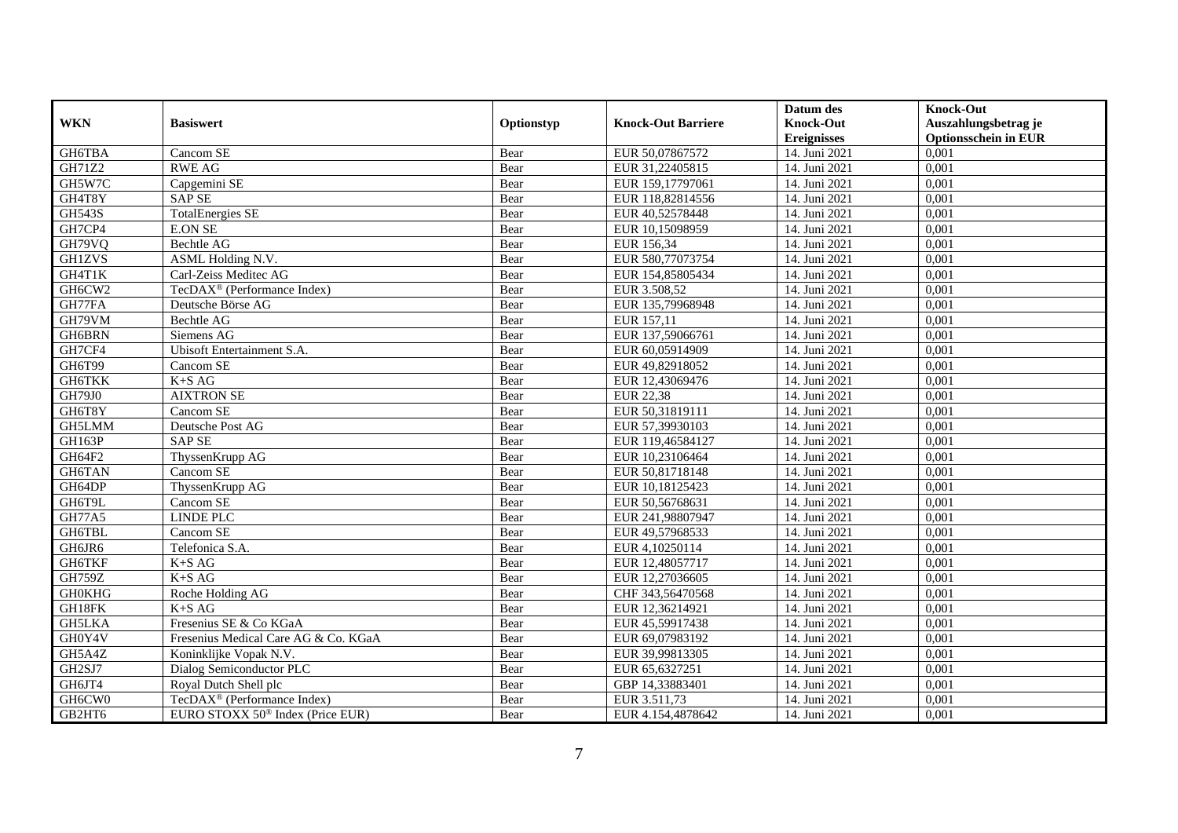|               |                                              |            |                           | Datum des          | <b>Knock-Out</b>            |
|---------------|----------------------------------------------|------------|---------------------------|--------------------|-----------------------------|
| <b>WKN</b>    | <b>Basiswert</b>                             | Optionstyp | <b>Knock-Out Barriere</b> | <b>Knock-Out</b>   | Auszahlungsbetrag je        |
|               |                                              |            |                           | <b>Ereignisses</b> | <b>Optionsschein in EUR</b> |
| GH6TBA        | Cancom SE                                    | Bear       | EUR 50,07867572           | 14. Juni 2021      | 0,001                       |
| GH71Z2        | <b>RWE AG</b>                                | Bear       | EUR 31,22405815           | 14. Juni 2021      | 0,001                       |
| GH5W7C        | Capgemini SE                                 | Bear       | EUR 159,17797061          | 14. Juni 2021      | 0,001                       |
| GH4T8Y        | <b>SAP SE</b>                                | Bear       | EUR 118,82814556          | 14. Juni 2021      | 0,001                       |
| <b>GH543S</b> | <b>TotalEnergies SE</b>                      | Bear       | EUR 40,52578448           | 14. Juni 2021      | 0,001                       |
| GH7CP4        | <b>E.ON SE</b>                               | Bear       | EUR 10,15098959           | 14. Juni 2021      | 0,001                       |
| GH79VQ        | Bechtle AG                                   | Bear       | EUR 156,34                | 14. Juni 2021      | 0,001                       |
| <b>GH1ZVS</b> | <b>ASML Holding N.V.</b>                     | Bear       | EUR 580,77073754          | 14. Juni 2021      | 0,001                       |
| GH4T1K        | Carl-Zeiss Meditec AG                        | Bear       | EUR 154,85805434          | 14. Juni 2021      | 0,001                       |
| GH6CW2        | TecDAX <sup>®</sup> (Performance Index)      | Bear       | EUR 3.508,52              | 14. Juni 2021      | 0,001                       |
| GH77FA        | Deutsche Börse AG                            | Bear       | EUR 135,79968948          | 14. Juni 2021      | 0,001                       |
| GH79VM        | <b>Bechtle AG</b>                            | Bear       | EUR 157,11                | 14. Juni 2021      | 0,001                       |
| GH6BRN        | Siemens AG                                   | Bear       | EUR 137,59066761          | 14. Juni 2021      | 0,001                       |
| GH7CF4        | Ubisoft Entertainment S.A.                   | Bear       | EUR 60,05914909           | 14. Juni 2021      | 0,001                       |
| GH6T99        | Cancom SE                                    | Bear       | EUR 49,82918052           | 14. Juni 2021      | 0,001                       |
| <b>GH6TKK</b> | $K+SAG$                                      | Bear       | EUR 12,43069476           | 14. Juni 2021      | 0,001                       |
| GH79J0        | <b>AIXTRON SE</b>                            | Bear       | <b>EUR 22,38</b>          | 14. Juni 2021      | 0,001                       |
| GH6T8Y        | Cancom SE                                    | Bear       | EUR 50,31819111           | 14. Juni 2021      | 0,001                       |
| GH5LMM        | Deutsche Post AG                             | Bear       | EUR 57,39930103           | 14. Juni 2021      | 0,001                       |
| <b>GH163P</b> | <b>SAP SE</b>                                | Bear       | EUR 119,46584127          | 14. Juni 2021      | 0,001                       |
| GH64F2        | ThyssenKrupp AG                              | Bear       | EUR 10,23106464           | 14. Juni 2021      | 0,001                       |
| <b>GH6TAN</b> | Cancom SE                                    | Bear       | EUR 50,81718148           | 14. Juni 2021      | 0,001                       |
| GH64DP        | ThyssenKrupp AG                              | Bear       | EUR 10,18125423           | 14. Juni 2021      | 0,001                       |
| GH6T9L        | Cancom SE                                    | Bear       | EUR 50,56768631           | 14. Juni 2021      | 0,001                       |
| GH77A5        | <b>LINDE PLC</b>                             | Bear       | EUR 241,98807947          | 14. Juni 2021      | 0,001                       |
| <b>GH6TBL</b> | Cancom SE                                    | Bear       | EUR 49,57968533           | 14. Juni 2021      | 0,001                       |
| GH6JR6        | Telefonica S.A.                              | Bear       | EUR 4,10250114            | 14. Juni 2021      | 0,001                       |
| GH6TKF        | $K+SAG$                                      | Bear       | EUR 12,48057717           | 14. Juni 2021      | 0,001                       |
| <b>GH759Z</b> | $K+SAG$                                      | Bear       | EUR 12,27036605           | 14. Juni 2021      | 0,001                       |
| <b>GH0KHG</b> | Roche Holding AG                             | Bear       | CHF 343,56470568          | 14. Juni 2021      | 0,001                       |
| GH18FK        | $K+SAG$                                      | Bear       | EUR 12,36214921           | 14. Juni 2021      | 0,001                       |
| <b>GH5LKA</b> | Fresenius SE & Co KGaA                       | Bear       | EUR 45,59917438           | 14. Juni 2021      | 0,001                       |
| GH0Y4V        | Fresenius Medical Care AG & Co. KGaA         | Bear       | EUR 69,07983192           | 14. Juni 2021      | 0,001                       |
| GH5A4Z        | Koninklijke Vopak N.V.                       | Bear       | EUR 39,99813305           | 14. Juni 2021      | 0,001                       |
| GH2SJ7        | Dialog Semiconductor PLC                     | Bear       | EUR 65,6327251            | 14. Juni 2021      | 0,001                       |
| GH6JT4        | Royal Dutch Shell plc                        | Bear       | GBP 14,33883401           | 14. Juni 2021      | 0,001                       |
| GH6CW0        | TecDAX <sup>®</sup> (Performance Index)      | Bear       | EUR 3.511,73              | 14. Juni 2021      | 0,001                       |
| GB2HT6        | EURO STOXX 50 <sup>®</sup> Index (Price EUR) | Bear       | EUR 4.154,4878642         | 14. Juni 2021      | 0,001                       |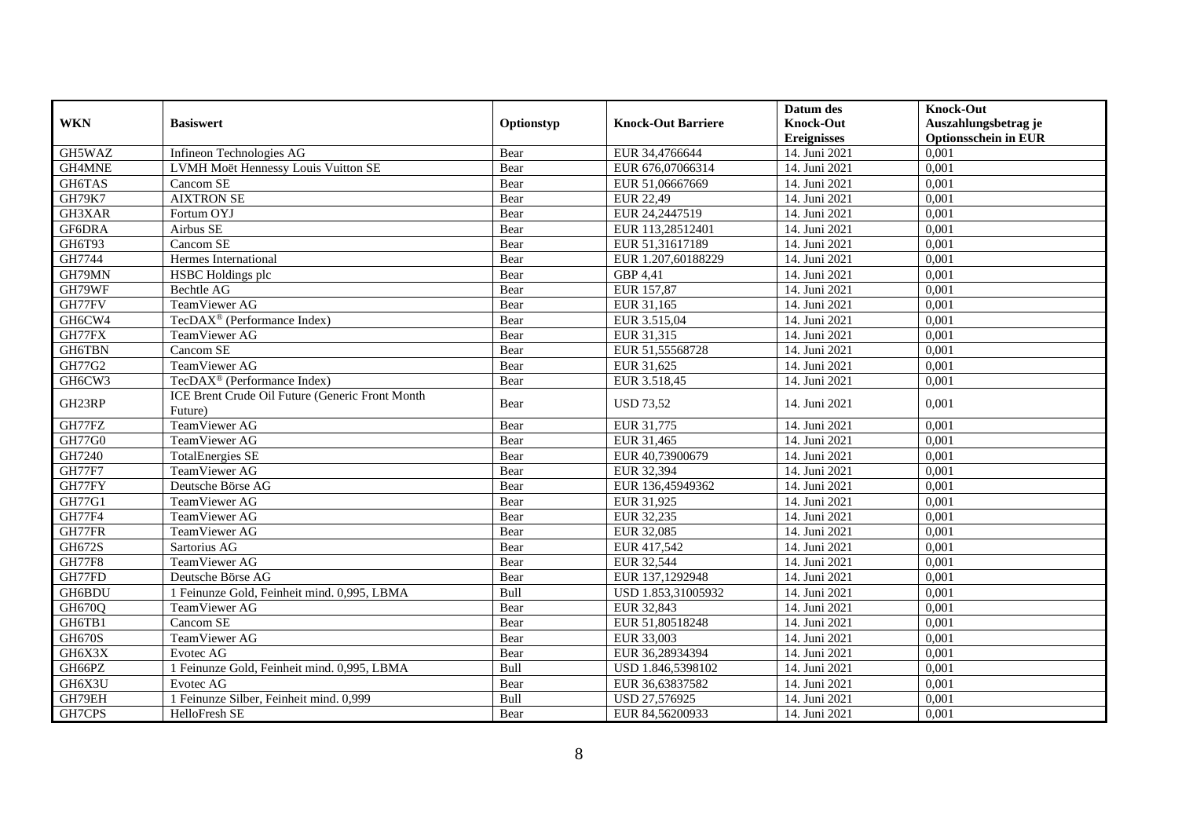|               |                                                            |            |                           | Datum des          | <b>Knock-Out</b>            |
|---------------|------------------------------------------------------------|------------|---------------------------|--------------------|-----------------------------|
| <b>WKN</b>    | <b>Basiswert</b>                                           | Optionstyp | <b>Knock-Out Barriere</b> | <b>Knock-Out</b>   | Auszahlungsbetrag je        |
|               |                                                            |            |                           | <b>Ereignisses</b> | <b>Optionsschein in EUR</b> |
| GH5WAZ        | Infineon Technologies AG                                   | Bear       | EUR 34,4766644            | 14. Juni 2021      | 0,001                       |
| GH4MNE        | LVMH Moët Hennessy Louis Vuitton SE                        | Bear       | EUR 676,07066314          | 14. Juni 2021      | 0,001                       |
| GH6TAS        | Cancom SE                                                  | Bear       | EUR 51,06667669           | 14. Juni 2021      | 0,001                       |
| <b>GH79K7</b> | <b>AIXTRON SE</b>                                          | Bear       | EUR 22,49                 | 14. Juni 2021      | 0,001                       |
| GH3XAR        | Fortum OYJ                                                 | Bear       | EUR 24,2447519            | 14. Juni 2021      | 0,001                       |
| GF6DRA        | Airbus SE                                                  | Bear       | EUR 113,28512401          | 14. Juni 2021      | 0,001                       |
| GH6T93        | Cancom SE                                                  | Bear       | EUR 51,31617189           | 14. Juni 2021      | 0,001                       |
| GH7744        | Hermes International                                       | Bear       | EUR 1.207,60188229        | 14. Juni 2021      | 0,001                       |
| GH79MN        | <b>HSBC</b> Holdings plc                                   | Bear       | GBP 4,41                  | 14. Juni 2021      | 0,001                       |
| GH79WF        | Bechtle AG                                                 | Bear       | EUR 157,87                | 14. Juni 2021      | 0,001                       |
| GH77FV        | TeamViewer AG                                              | Bear       | EUR 31,165                | 14. Juni 2021      | 0,001                       |
| GH6CW4        | TecDAX <sup>®</sup> (Performance Index)                    | Bear       | EUR 3.515,04              | 14. Juni 2021      | 0,001                       |
| GH77FX        | <b>TeamViewer AG</b>                                       | Bear       | EUR 31.315                | 14. Juni 2021      | 0,001                       |
| GH6TBN        | Cancom SE                                                  | Bear       | EUR 51,55568728           | 14. Juni 2021      | 0,001                       |
| GH77G2        | TeamViewer AG                                              | Bear       | EUR 31,625                | 14. Juni 2021      | 0,001                       |
| GH6CW3        | TecDAX <sup>®</sup> (Performance Index)                    | Bear       | EUR 3.518,45              | 14. Juni 2021      | 0,001                       |
| GH23RP        | ICE Brent Crude Oil Future (Generic Front Month<br>Future) | Bear       | <b>USD 73,52</b>          | 14. Juni 2021      | 0,001                       |
| GH77FZ        | TeamViewer AG                                              | Bear       | EUR 31,775                | 14. Juni 2021      | 0,001                       |
| GH77G0        | TeamViewer AG                                              | Bear       | EUR 31,465                | 14. Juni 2021      | 0,001                       |
| GH7240        | <b>TotalEnergies SE</b>                                    | Bear       | EUR 40,73900679           | 14. Juni 2021      | 0,001                       |
| GH77F7        | TeamViewer AG                                              | Bear       | EUR 32,394                | 14. Juni 2021      | 0,001                       |
| GH77FY        | Deutsche Börse AG                                          | Bear       | EUR 136,45949362          | 14. Juni 2021      | 0,001                       |
| <b>GH77G1</b> | TeamViewer AG                                              | Bear       | EUR 31,925                | 14. Juni 2021      | 0,001                       |
| GH77F4        | TeamViewer AG                                              | Bear       | EUR 32,235                | 14. Juni 2021      | 0,001                       |
| GH77FR        | TeamViewer AG                                              | Bear       | EUR 32,085                | 14. Juni 2021      | 0,001                       |
| GH672S        | Sartorius AG                                               | Bear       | EUR 417,542               | 14. Juni 2021      | 0,001                       |
| <b>GH77F8</b> | TeamViewer AG                                              | Bear       | EUR 32,544                | 14. Juni 2021      | 0.001                       |
| GH77FD        | Deutsche Börse AG                                          | Bear       | EUR 137,1292948           | 14. Juni 2021      | 0,001                       |
| GH6BDU        | 1 Feinunze Gold, Feinheit mind. 0,995, LBMA                | Bull       | USD 1.853,31005932        | 14. Juni 2021      | 0,001                       |
| GH670Q        | TeamViewer AG                                              | Bear       | EUR 32,843                | 14. Juni 2021      | 0,001                       |
| GH6TB1        | Cancom SE                                                  | Bear       | EUR 51,80518248           | 14. Juni 2021      | 0,001                       |
| <b>GH670S</b> | TeamViewer AG                                              | Bear       | EUR 33,003                | 14. Juni 2021      | 0,001                       |
| GH6X3X        | Evotec AG                                                  | Bear       | EUR 36,28934394           | 14. Juni 2021      | 0,001                       |
| GH66PZ        | 1 Feinunze Gold, Feinheit mind. 0,995, LBMA                | Bull       | USD 1.846,5398102         | 14. Juni 2021      | 0,001                       |
| GH6X3U        | Evotec AG                                                  | Bear       | EUR 36,63837582           | 14. Juni 2021      | 0,001                       |
| GH79EH        | 1 Feinunze Silber, Feinheit mind. 0,999                    | Bull       | USD 27,576925             | 14. Juni 2021      | 0,001                       |
| GH7CPS        | HelloFresh SE                                              | Bear       | EUR 84,56200933           | 14. Juni 2021      | 0,001                       |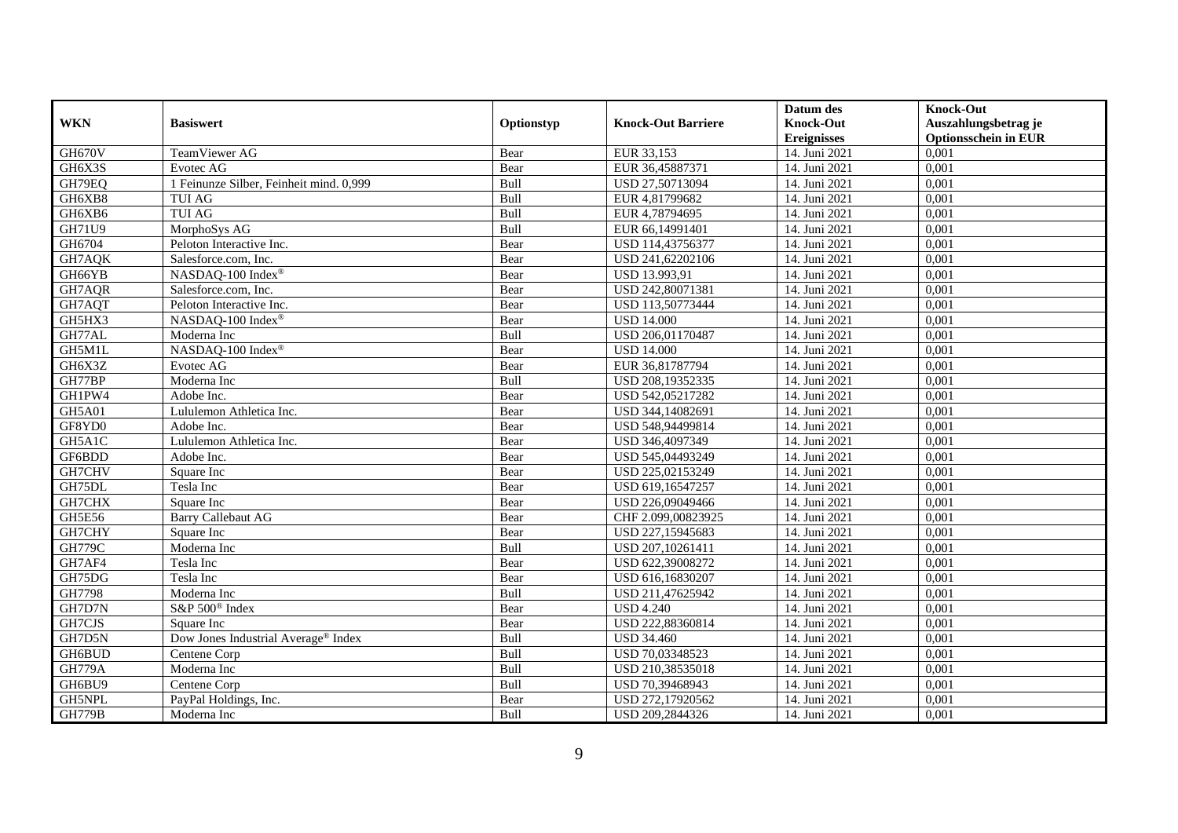|               |                                         |            |                           | Datum des          | <b>Knock-Out</b>            |
|---------------|-----------------------------------------|------------|---------------------------|--------------------|-----------------------------|
| <b>WKN</b>    | <b>Basiswert</b>                        | Optionstyp | <b>Knock-Out Barriere</b> | <b>Knock-Out</b>   | Auszahlungsbetrag je        |
|               |                                         |            |                           | <b>Ereignisses</b> | <b>Optionsschein in EUR</b> |
| GH670V        | TeamViewer AG                           | Bear       | EUR 33,153                | 14. Juni 2021      | 0,001                       |
| GH6X3S        | Evotec AG                               | Bear       | EUR 36,45887371           | 14. Juni 2021      | 0,001                       |
| GH79EQ        | 1 Feinunze Silber, Feinheit mind. 0,999 | Bull       | USD 27,50713094           | 14. Juni 2021      | 0,001                       |
| GH6XB8        | TUI AG                                  | Bull       | EUR 4,81799682            | 14. Juni 2021      | 0,001                       |
| GH6XB6        | <b>TUI AG</b>                           | Bull       | EUR 4,78794695            | 14. Juni 2021      | 0,001                       |
| <b>GH71U9</b> | MorphoSys AG                            | Bull       | EUR 66,14991401           | 14. Juni 2021      | 0,001                       |
| GH6704        | Peloton Interactive Inc.                | Bear       | USD 114,43756377          | 14. Juni 2021      | 0,001                       |
| GH7AQK        | Salesforce.com. Inc.                    | Bear       | USD 241,62202106          | 14. Juni 2021      | 0,001                       |
| GH66YB        | NASDAQ-100 Index®                       | Bear       | USD 13.993,91             | 14. Juni 2021      | 0,001                       |
| GH7AQR        | Salesforce.com, Inc.                    | Bear       | USD 242,80071381          | 14. Juni 2021      | 0,001                       |
| GH7AQT        | Peloton Interactive Inc.                | Bear       | USD 113,50773444          | 14. Juni 2021      | 0,001                       |
| GH5HX3        | NASDAQ-100 Index®                       | Bear       | <b>USD 14.000</b>         | 14. Juni 2021      | 0,001                       |
| GH77AL        | Moderna Inc                             | Bull       | USD 206,01170487          | 14. Juni 2021      | 0,001                       |
| GH5M1L        | NASDAQ-100 Index®                       | Bear       | <b>USD 14.000</b>         | 14. Juni 2021      | 0,001                       |
| GH6X3Z        | Evotec AG                               | Bear       | EUR 36,81787794           | 14. Juni 2021      | 0,001                       |
| GH77BP        | Moderna Inc                             | Bull       | USD 208,19352335          | 14. Juni 2021      | 0,001                       |
| GH1PW4        | Adobe Inc.                              | Bear       | USD 542,05217282          | 14. Juni 2021      | 0,001                       |
| <b>GH5A01</b> | Lululemon Athletica Inc.                | Bear       | USD 344,14082691          | 14. Juni 2021      | 0,001                       |
| GF8YD0        | Adobe Inc.                              | Bear       | USD 548,94499814          | 14. Juni 2021      | 0,001                       |
| GH5A1C        | Lululemon Athletica Inc.                | Bear       | USD 346,4097349           | 14. Juni 2021      | 0,001                       |
| GF6BDD        | Adobe Inc.                              | Bear       | USD 545,04493249          | 14. Juni 2021      | 0,001                       |
| GH7CHV        | Square Inc                              | Bear       | USD 225,02153249          | 14. Juni 2021      | 0,001                       |
| GH75DL        | Tesla Inc                               | Bear       | USD 619,16547257          | 14. Juni 2021      | 0,001                       |
| GH7CHX        | Square Inc                              | Bear       | USD 226,09049466          | 14. Juni 2021      | 0,001                       |
| GH5E56        | <b>Barry Callebaut AG</b>               | Bear       | CHF 2.099,00823925        | 14. Juni 2021      | 0,001                       |
| GH7CHY        | Square Inc                              | Bear       | USD 227,15945683          | 14. Juni 2021      | 0,001                       |
| GH779C        | Moderna Inc                             | Bull       | USD 207,10261411          | 14. Juni 2021      | 0,001                       |
| GH7AF4        | Tesla Inc                               | Bear       | USD 622,39008272          | 14. Juni 2021      | 0,001                       |
| GH75DG        | Tesla Inc                               | Bear       | USD 616,16830207          | 14. Juni 2021      | 0,001                       |
| GH7798        | Moderna Inc                             | Bull       | USD 211,47625942          | 14. Juni 2021      | 0,001                       |
| GH7D7N        | S&P 500 <sup>®</sup> Index              | Bear       | <b>USD 4.240</b>          | 14. Juni 2021      | 0,001                       |
| GH7CJS        | Square Inc                              | Bear       | USD 222,88360814          | 14. Juni 2021      | 0,001                       |
| GH7D5N        | Dow Jones Industrial Average® Index     | Bull       | <b>USD 34.460</b>         | 14. Juni 2021      | 0,001                       |
| GH6BUD        | Centene Corp                            | Bull       | USD 70,03348523           | 14. Juni 2021      | 0,001                       |
| <b>GH779A</b> | Moderna Inc                             | Bull       | USD 210,38535018          | 14. Juni 2021      | 0,001                       |
| GH6BU9        | Centene Corp                            | Bull       | USD 70,39468943           | 14. Juni 2021      | 0,001                       |
| GH5NPL        | PayPal Holdings, Inc.                   | Bear       | USD 272,17920562          | 14. Juni 2021      | 0,001                       |
| <b>GH779B</b> | Moderna Inc                             | Bull       | USD 209,2844326           | 14. Juni 2021      | 0,001                       |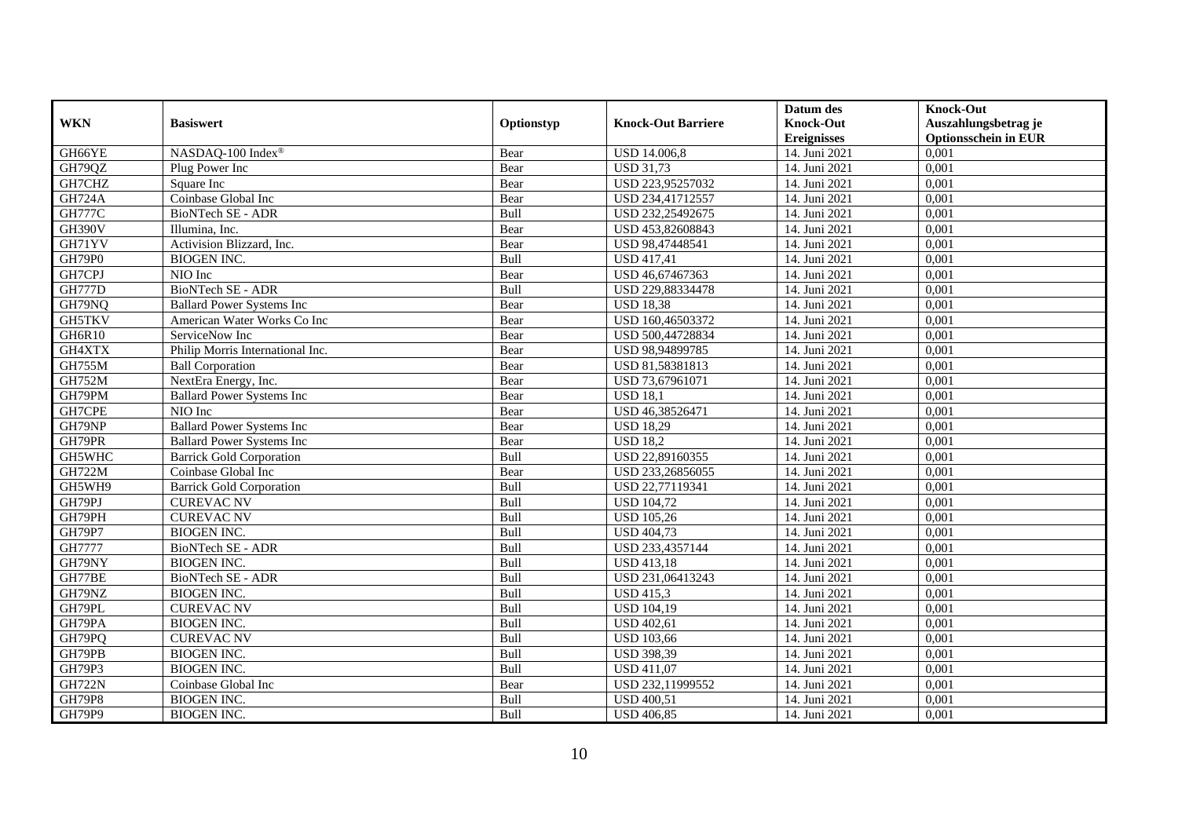|               |                                   |            |                           | Datum des          | <b>Knock-Out</b>            |
|---------------|-----------------------------------|------------|---------------------------|--------------------|-----------------------------|
| <b>WKN</b>    | <b>Basiswert</b>                  | Optionstyp | <b>Knock-Out Barriere</b> | <b>Knock-Out</b>   | Auszahlungsbetrag je        |
|               |                                   |            |                           | <b>Ereignisses</b> | <b>Optionsschein in EUR</b> |
| GH66YE        | NASDAQ-100 Index®                 | Bear       | <b>USD 14.006,8</b>       | 14. Juni 2021      | 0,001                       |
| GH79QZ        | Plug Power Inc                    | Bear       | <b>USD 31,73</b>          | 14. Juni 2021      | 0,001                       |
| GH7CHZ        | Square Inc                        | Bear       | USD 223,95257032          | 14. Juni 2021      | 0,001                       |
| <b>GH724A</b> | Coinbase Global Inc               | Bear       | USD 234,41712557          | 14. Juni 2021      | 0,001                       |
| <b>GH777C</b> | BioNTech SE - ADR                 | Bull       | USD 232,25492675          | 14. Juni 2021      | 0,001                       |
| <b>GH390V</b> | Illumina, Inc.                    | Bear       | USD 453,82608843          | 14. Juni 2021      | 0,001                       |
| GH71YV        | Activision Blizzard, Inc.         | Bear       | USD 98,47448541           | 14. Juni 2021      | 0,001                       |
| GH79P0        | <b>BIOGEN INC.</b>                | Bull       | <b>USD 417,41</b>         | 14. Juni 2021      | 0,001                       |
| GH7CPJ        | NIO Inc                           | Bear       | USD 46,67467363           | 14. Juni 2021      | 0,001                       |
| <b>GH777D</b> | <b>BioNTech SE - ADR</b>          | Bull       | USD 229,88334478          | 14. Juni 2021      | 0,001                       |
| GH79NQ        | <b>Ballard Power Systems Inc</b>  | Bear       | <b>USD 18,38</b>          | 14. Juni 2021      | 0,001                       |
| GH5TKV        | American Water Works Co Inc       | Bear       | USD 160,46503372          | 14. Juni 2021      | 0,001                       |
| GH6R10        | ServiceNow Inc                    | Bear       | USD 500,44728834          | 14. Juni 2021      | 0,001                       |
| GH4XTX        | Philip Morris International Inc.  | Bear       | USD 98.94899785           | 14. Juni 2021      | 0.001                       |
| GH755M        | <b>Ball Corporation</b>           | Bear       | USD 81,58381813           | 14. Juni 2021      | 0,001                       |
| <b>GH752M</b> | NextEra Energy, Inc.              | Bear       | USD 73,67961071           | 14. Juni 2021      | 0,001                       |
| GH79PM        | <b>Ballard Power Systems Inc.</b> | Bear       | <b>USD 18.1</b>           | 14. Juni 2021      | 0,001                       |
| GH7CPE        | NIO Inc                           | Bear       | USD 46,38526471           | 14. Juni 2021      | 0,001                       |
| GH79NP        | <b>Ballard Power Systems Inc</b>  | Bear       | <b>USD 18,29</b>          | 14. Juni 2021      | 0,001                       |
| GH79PR        | <b>Ballard Power Systems Inc</b>  | Bear       | <b>USD 18,2</b>           | 14. Juni 2021      | 0,001                       |
| GH5WHC        | <b>Barrick Gold Corporation</b>   | Bull       | USD 22,89160355           | 14. Juni 2021      | 0,001                       |
| <b>GH722M</b> | Coinbase Global Inc               | Bear       | USD 233,26856055          | 14. Juni 2021      | 0,001                       |
| GH5WH9        | <b>Barrick Gold Corporation</b>   | Bull       | USD 22,77119341           | 14. Juni 2021      | 0,001                       |
| GH79PJ        | <b>CUREVAC NV</b>                 | Bull       | <b>USD 104,72</b>         | 14. Juni 2021      | 0,001                       |
| GH79PH        | <b>CUREVAC NV</b>                 | Bull       | <b>USD 105,26</b>         | 14. Juni 2021      | 0,001                       |
| GH79P7        | <b>BIOGEN INC.</b>                | Bull       | <b>USD 404,73</b>         | 14. Juni 2021      | 0,001                       |
| GH7777        | BioNTech SE - ADR                 | Bull       | USD 233,4357144           | 14. Juni 2021      | 0,001                       |
| GH79NY        | <b>BIOGEN INC.</b>                | Bull       | <b>USD 413,18</b>         | 14. Juni 2021      | 0,001                       |
| GH77BE        | BioNTech SE - ADR                 | Bull       | USD 231,06413243          | 14. Juni 2021      | 0,001                       |
| GH79NZ        | <b>BIOGEN INC.</b>                | Bull       | <b>USD 415,3</b>          | 14. Juni 2021      | 0,001                       |
| GH79PL        | <b>CUREVAC NV</b>                 | Bull       | <b>USD 104,19</b>         | 14. Juni 2021      | 0,001                       |
| GH79PA        | <b>BIOGEN INC.</b>                | Bull       | <b>USD 402,61</b>         | 14. Juni 2021      | 0,001                       |
| GH79PQ        | <b>CUREVAC NV</b>                 | Bull       | <b>USD 103,66</b>         | 14. Juni 2021      | 0,001                       |
| GH79PB        | <b>BIOGEN INC.</b>                | Bull       | <b>USD 398,39</b>         | 14. Juni 2021      | 0,001                       |
| GH79P3        | <b>BIOGEN INC.</b>                | Bull       | <b>USD 411,07</b>         | 14. Juni 2021      | 0,001                       |
| <b>GH722N</b> | Coinbase Global Inc               | Bear       | USD 232,11999552          | 14. Juni 2021      | 0,001                       |
| <b>GH79P8</b> | <b>BIOGEN INC.</b>                | Bull       | <b>USD 400,51</b>         | 14. Juni 2021      | 0,001                       |
| GH79P9        | <b>BIOGEN INC.</b>                | Bull       | <b>USD 406,85</b>         | 14. Juni 2021      | 0,001                       |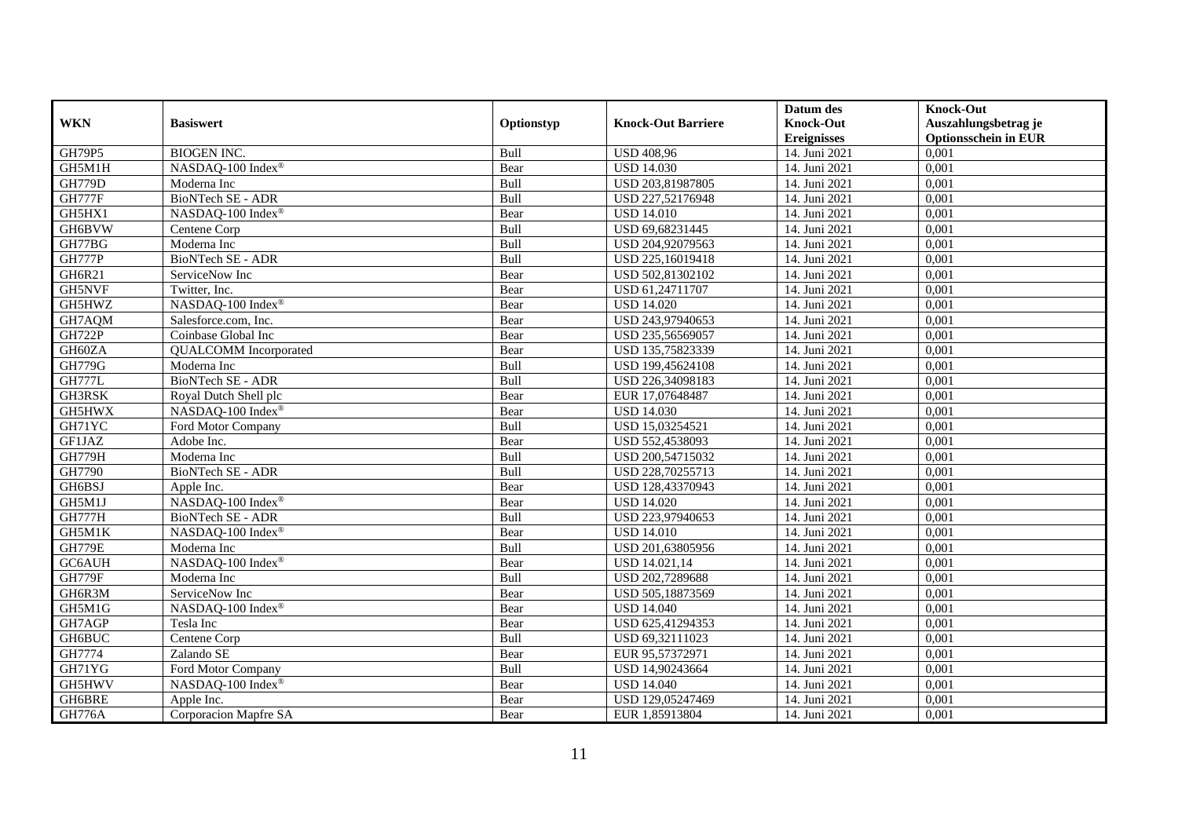|               |                                 |            |                           | Datum des          | <b>Knock-Out</b>            |
|---------------|---------------------------------|------------|---------------------------|--------------------|-----------------------------|
| <b>WKN</b>    | <b>Basiswert</b>                | Optionstyp | <b>Knock-Out Barriere</b> | <b>Knock-Out</b>   | Auszahlungsbetrag je        |
|               |                                 |            |                           | <b>Ereignisses</b> | <b>Optionsschein in EUR</b> |
| <b>GH79P5</b> | <b>BIOGEN INC.</b>              | Bull       | <b>USD 408,96</b>         | 14. Juni 2021      | 0,001                       |
| GH5M1H        | NASDAQ-100 Index®               | Bear       | <b>USD 14.030</b>         | 14. Juni 2021      | 0,001                       |
| <b>GH779D</b> | Moderna Inc                     | Bull       | USD 203,81987805          | 14. Juni 2021      | 0,001                       |
| <b>GH777F</b> | BioNTech SE - ADR               | Bull       | USD 227,52176948          | 14. Juni 2021      | 0,001                       |
| GH5HX1        | NASDAQ-100 Index®               | Bear       | <b>USD 14.010</b>         | 14. Juni 2021      | 0,001                       |
| GH6BVW        | Centene Corp                    | Bull       | USD 69,68231445           | 14. Juni 2021      | 0,001                       |
| GH77BG        | Moderna Inc                     | Bull       | USD 204,92079563          | 14. Juni 2021      | 0,001                       |
| <b>GH777P</b> | <b>BioNTech SE - ADR</b>        | Bull       | USD 225,16019418          | 14. Juni 2021      | 0,001                       |
| GH6R21        | ServiceNow Inc                  | Bear       | USD 502,81302102          | 14. Juni 2021      | 0,001                       |
| <b>GH5NVF</b> | Twitter, Inc.                   | Bear       | USD 61,24711707           | 14. Juni 2021      | 0,001                       |
| GH5HWZ        | NASDAQ-100 Index®               | Bear       | <b>USD 14.020</b>         | 14. Juni 2021      | 0,001                       |
| GH7AQM        | Salesforce.com, Inc.            | Bear       | USD 243,97940653          | 14. Juni 2021      | 0,001                       |
| <b>GH722P</b> | Coinbase Global Inc             | Bear       | USD 235,56569057          | 14. Juni 2021      | 0,001                       |
| GH60ZA        | <b>QUALCOMM</b> Incorporated    | Bear       | USD 135,75823339          | 14. Juni 2021      | 0,001                       |
| GH779G        | Moderna Inc                     | Bull       | USD 199,45624108          | 14. Juni 2021      | 0,001                       |
| <b>GH777L</b> | <b>BioNTech SE - ADR</b>        | Bull       | USD 226,34098183          | 14. Juni 2021      | 0,001                       |
| GH3RSK        | Royal Dutch Shell plc           | Bear       | EUR 17,07648487           | 14. Juni 2021      | 0,001                       |
| GH5HWX        | NASDAQ-100 Index®               | Bear       | <b>USD 14.030</b>         | 14. Juni 2021      | 0,001                       |
| GH71YC        | Ford Motor Company              | Bull       | USD 15,03254521           | 14. Juni 2021      | 0,001                       |
| <b>GF1JAZ</b> | Adobe Inc.                      | Bear       | USD 552,4538093           | 14. Juni 2021      | 0,001                       |
| <b>GH779H</b> | Moderna Inc                     | Bull       | USD 200,54715032          | 14. Juni 2021      | 0,001                       |
| GH7790        | <b>BioNTech SE - ADR</b>        | Bull       | USD 228,70255713          | 14. Juni 2021      | 0,001                       |
| GH6BSJ        | Apple Inc.                      | Bear       | USD 128,43370943          | 14. Juni 2021      | 0,001                       |
| GH5M1J        | NASDAQ-100 Index®               | Bear       | <b>USD 14.020</b>         | 14. Juni 2021      | 0,001                       |
| <b>GH777H</b> | BioNTech SE - ADR               | Bull       | USD 223,97940653          | 14. Juni 2021      | 0,001                       |
| GH5M1K        | $NASDAQ-100$ Index <sup>®</sup> | Bear       | <b>USD 14.010</b>         | 14. Juni 2021      | 0,001                       |
| <b>GH779E</b> | Moderna Inc                     | Bull       | USD 201,63805956          | 14. Juni 2021      | 0,001                       |
| GC6AUH        | NASDAQ-100 Index®               | Bear       | USD 14.021,14             | 14. Juni 2021      | 0,001                       |
| <b>GH779F</b> | Moderna Inc                     | Bull       | USD 202,7289688           | 14. Juni 2021      | 0,001                       |
| GH6R3M        | ServiceNow Inc                  | Bear       | USD 505,18873569          | 14. Juni 2021      | 0,001                       |
| GH5M1G        | NASDAQ-100 Index®               | Bear       | <b>USD 14.040</b>         | 14. Juni 2021      | 0,001                       |
| GH7AGP        | Tesla Inc                       | Bear       | USD 625,41294353          | 14. Juni 2021      | 0,001                       |
| <b>GH6BUC</b> | Centene Corp                    | Bull       | USD 69,32111023           | 14. Juni 2021      | 0,001                       |
| GH7774        | Zalando SE                      | Bear       | EUR 95,57372971           | 14. Juni 2021      | 0,001                       |
| GH71YG        | Ford Motor Company              | Bull       | USD 14,90243664           | 14. Juni 2021      | 0,001                       |
| GH5HWV        | NASDAQ-100 Index®               | Bear       | <b>USD 14.040</b>         | 14. Juni 2021      | 0,001                       |
| GH6BRE        | Apple Inc.                      | Bear       | USD 129,05247469          | 14. Juni 2021      | 0,001                       |
| <b>GH776A</b> | Corporacion Mapfre SA           | Bear       | EUR 1,85913804            | 14. Juni 2021      | 0,001                       |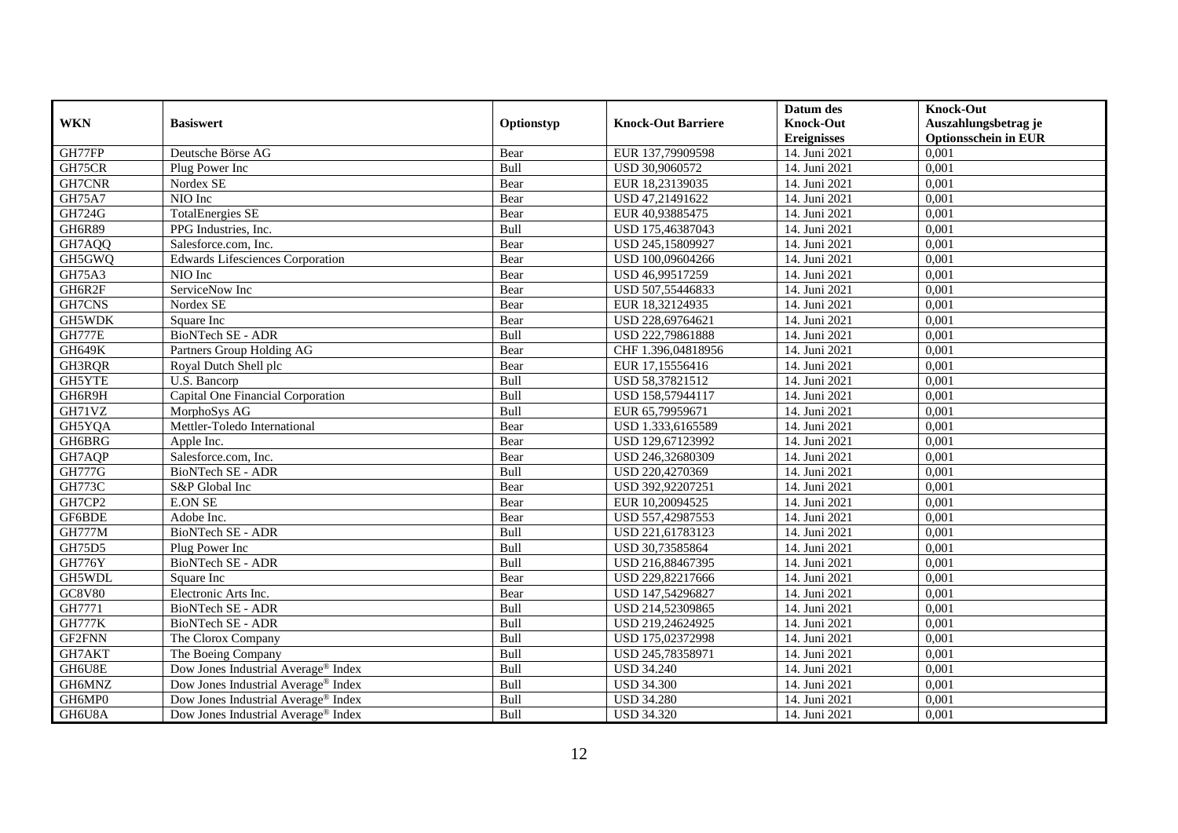|               |                                                 |            |                           | Datum des          | <b>Knock-Out</b>            |
|---------------|-------------------------------------------------|------------|---------------------------|--------------------|-----------------------------|
| <b>WKN</b>    | <b>Basiswert</b>                                | Optionstyp | <b>Knock-Out Barriere</b> | <b>Knock-Out</b>   | Auszahlungsbetrag je        |
|               |                                                 |            |                           | <b>Ereignisses</b> | <b>Optionsschein in EUR</b> |
| GH77FP        | Deutsche Börse AG                               | Bear       | EUR 137,79909598          | 14. Juni 2021      | 0,001                       |
| GH75CR        | Plug Power Inc                                  | Bull       | USD 30,9060572            | 14. Juni 2021      | 0,001                       |
| GH7CNR        | Nordex SE                                       | Bear       | EUR 18,23139035           | 14. Juni 2021      | 0,001                       |
| GH75A7        | NIO Inc                                         | Bear       | USD 47,21491622           | 14. Juni 2021      | 0,001                       |
| GH724G        | <b>TotalEnergies SE</b>                         | Bear       | EUR 40,93885475           | 14. Juni 2021      | 0,001                       |
| GH6R89        | PPG Industries, Inc.                            | Bull       | USD 175,46387043          | 14. Juni 2021      | 0,001                       |
| GH7AQQ        | Salesforce.com, Inc.                            | Bear       | USD 245,15809927          | 14. Juni 2021      | 0,001                       |
| GH5GWQ        | <b>Edwards Lifesciences Corporation</b>         | Bear       | USD 100,09604266          | 14. Juni 2021      | 0,001                       |
| <b>GH75A3</b> | NIO Inc                                         | Bear       | USD 46,99517259           | 14. Juni 2021      | 0,001                       |
| GH6R2F        | ServiceNow Inc                                  | Bear       | USD 507,55446833          | 14. Juni 2021      | 0,001                       |
| GH7CNS        | Nordex SE                                       | Bear       | EUR 18,32124935           | 14. Juni 2021      | 0,001                       |
| GH5WDK        | Square Inc                                      | Bear       | USD 228,69764621          | 14. Juni 2021      | 0,001                       |
| <b>GH777E</b> | BioNTech SE - ADR                               | Bull       | USD 222,79861888          | 14. Juni 2021      | 0,001                       |
| <b>GH649K</b> | Partners Group Holding AG                       | Bear       | CHF 1.396,04818956        | 14. Juni 2021      | 0,001                       |
| GH3RQR        | Royal Dutch Shell plc                           | Bear       | EUR 17,15556416           | 14. Juni 2021      | 0,001                       |
| GH5YTE        | U.S. Bancorp                                    | Bull       | USD 58,37821512           | 14. Juni 2021      | 0,001                       |
| GH6R9H        | Capital One Financial Corporation               | Bull       | USD 158,57944117          | 14. Juni 2021      | 0,001                       |
| GH71VZ        | MorphoSys AG                                    | Bull       | EUR 65,79959671           | 14. Juni 2021      | 0,001                       |
| GH5YQA        | Mettler-Toledo International                    | Bear       | USD 1.333,6165589         | 14. Juni 2021      | 0,001                       |
| GH6BRG        | Apple Inc.                                      | Bear       | USD 129,67123992          | 14. Juni 2021      | 0,001                       |
| GH7AQP        | Salesforce.com, Inc.                            | Bear       | USD 246,32680309          | 14. Juni 2021      | 0,001                       |
| <b>GH777G</b> | BioNTech SE - ADR                               | Bull       | USD 220,4270369           | 14. Juni 2021      | 0,001                       |
| <b>GH773C</b> | S&P Global Inc                                  | Bear       | USD 392,92207251          | 14. Juni 2021      | 0,001                       |
| GH7CP2        | <b>E.ON SE</b>                                  | Bear       | EUR 10,20094525           | 14. Juni 2021      | 0,001                       |
| GF6BDE        | Adobe Inc.                                      | Bear       | USD 557,42987553          | 14. Juni 2021      | 0,001                       |
| GH777M        | BioNTech SE - ADR                               | Bull       | USD 221,61783123          | 14. Juni 2021      | 0,001                       |
| <b>GH75D5</b> | Plug Power Inc                                  | Bull       | USD 30,73585864           | 14. Juni 2021      | 0,001                       |
| <b>GH776Y</b> | BioNTech SE - ADR                               | Bull       | USD 216,88467395          | 14. Juni 2021      | 0,001                       |
| GH5WDL        | Square Inc                                      | Bear       | USD 229,82217666          | 14. Juni 2021      | 0,001                       |
| <b>GC8V80</b> | Electronic Arts Inc.                            | Bear       | USD 147,54296827          | 14. Juni 2021      | 0.001                       |
| GH7771        | BioNTech SE - ADR                               | Bull       | USD 214,52309865          | 14. Juni 2021      | 0,001                       |
| <b>GH777K</b> | BioNTech SE - ADR                               | Bull       | USD 219,24624925          | 14. Juni 2021      | 0,001                       |
| GF2FNN        | The Clorox Company                              | Bull       | USD 175,02372998          | 14. Juni 2021      | 0,001                       |
| GH7AKT        | The Boeing Company                              | Bull       | USD 245,78358971          | 14. Juni 2021      | 0,001                       |
| GH6U8E        | Dow Jones Industrial Average® Index             | Bull       | <b>USD 34.240</b>         | 14. Juni 2021      | 0,001                       |
| GH6MNZ        | Dow Jones Industrial Average <sup>®</sup> Index | Bull       | <b>USD 34.300</b>         | 14. Juni 2021      | 0,001                       |
| GH6MP0        | Dow Jones Industrial Average® Index             | Bull       | <b>USD 34.280</b>         | 14. Juni 2021      | 0,001                       |
| GH6U8A        | Dow Jones Industrial Average <sup>®</sup> Index | Bull       | <b>USD 34.320</b>         | 14. Juni 2021      | 0,001                       |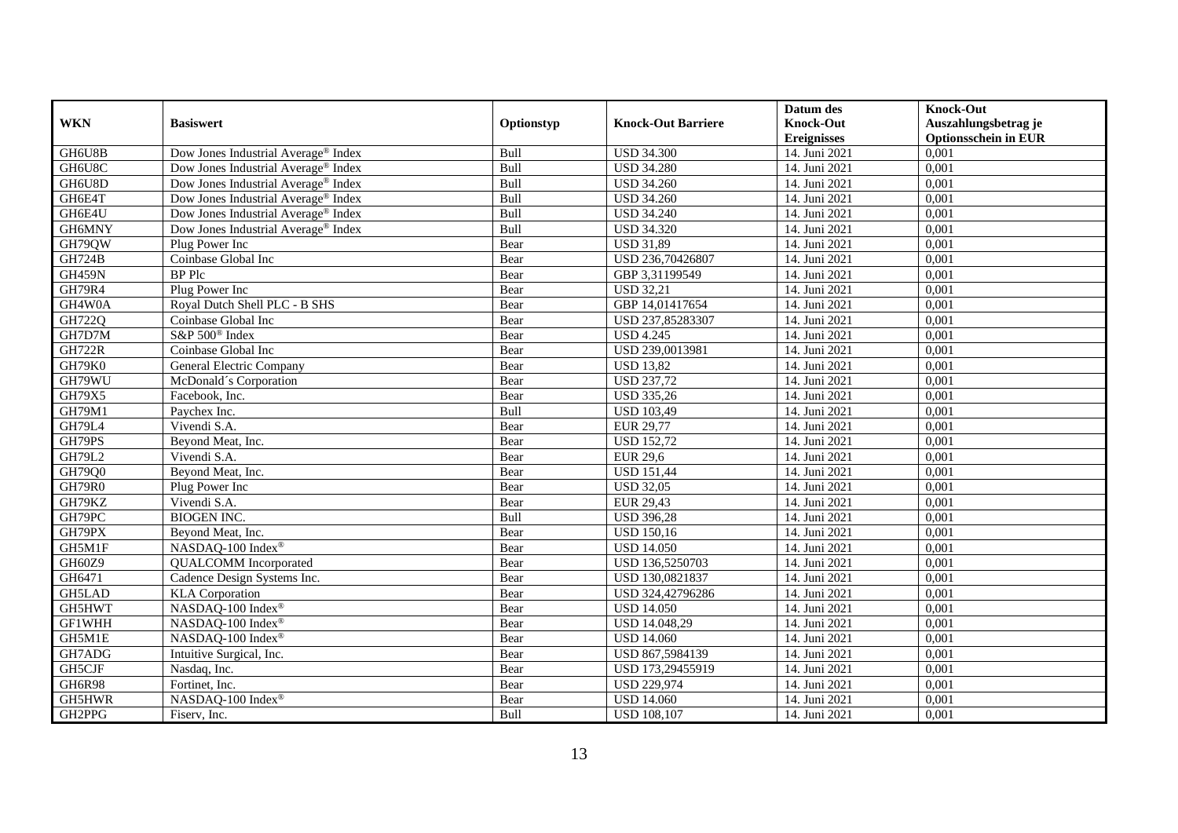|               |                                                 |             |                           | Datum des          | <b>Knock-Out</b>            |
|---------------|-------------------------------------------------|-------------|---------------------------|--------------------|-----------------------------|
| <b>WKN</b>    | <b>Basiswert</b>                                | Optionstyp  | <b>Knock-Out Barriere</b> | <b>Knock-Out</b>   | Auszahlungsbetrag je        |
|               |                                                 |             |                           | <b>Ereignisses</b> | <b>Optionsschein in EUR</b> |
| GH6U8B        | Dow Jones Industrial Average <sup>®</sup> Index | Bull        | <b>USD 34.300</b>         | 14. Juni 2021      | 0,001                       |
| GH6U8C        | Dow Jones Industrial Average <sup>®</sup> Index | Bull        | <b>USD 34.280</b>         | 14. Juni 2021      | 0,001                       |
| GH6U8D        | Dow Jones Industrial Average <sup>®</sup> Index | Bull        | <b>USD 34.260</b>         | 14. Juni 2021      | 0,001                       |
| GH6E4T        | Dow Jones Industrial Average <sup>®</sup> Index | Bull        | <b>USD 34.260</b>         | 14. Juni 2021      | 0,001                       |
| GH6E4U        | Dow Jones Industrial Average® Index             | Bull        | <b>USD 34.240</b>         | 14. Juni 2021      | 0,001                       |
| GH6MNY        | Dow Jones Industrial Average® Index             | Bull        | <b>USD 34.320</b>         | 14. Juni 2021      | 0,001                       |
| GH79QW        | Plug Power Inc                                  | Bear        | <b>USD 31,89</b>          | 14. Juni 2021      | 0,001                       |
| <b>GH724B</b> | Coinbase Global Inc                             | Bear        | USD 236,70426807          | 14. Juni 2021      | 0,001                       |
| <b>GH459N</b> | <b>BP</b> Plc                                   | Bear        | GBP 3,31199549            | 14. Juni 2021      | 0,001                       |
| GH79R4        | Plug Power Inc                                  | Bear        | <b>USD 32,21</b>          | 14. Juni 2021      | 0,001                       |
| GH4W0A        | Royal Dutch Shell PLC - B SHS                   | Bear        | GBP 14,01417654           | 14. Juni 2021      | 0,001                       |
| GH722Q        | Coinbase Global Inc                             | Bear        | USD 237,85283307          | 14. Juni 2021      | 0,001                       |
| GH7D7M        | S&P 500 <sup>®</sup> Index                      | Bear        | <b>USD 4.245</b>          | 14. Juni 2021      | 0,001                       |
| <b>GH722R</b> | Coinbase Global Inc                             | Bear        | USD 239,0013981           | 14. Juni 2021      | 0,001                       |
| GH79K0        | General Electric Company                        | Bear        | <b>USD 13,82</b>          | 14. Juni 2021      | 0,001                       |
| GH79WU        | McDonald's Corporation                          | Bear        | <b>USD 237,72</b>         | 14. Juni 2021      | 0,001                       |
| GH79X5        | Facebook, Inc.                                  | Bear        | <b>USD 335,26</b>         | 14. Juni 2021      | 0,001                       |
| GH79M1        | Paychex Inc.                                    | <b>Bull</b> | <b>USD 103,49</b>         | 14. Juni 2021      | 0,001                       |
| GH79L4        | Vivendi S.A.                                    | Bear        | <b>EUR 29,77</b>          | 14. Juni 2021      | 0,001                       |
| GH79PS        | Beyond Meat, Inc.                               | Bear        | <b>USD 152,72</b>         | 14. Juni 2021      | 0,001                       |
| <b>GH79L2</b> | Vivendi S.A.                                    | Bear        | <b>EUR 29,6</b>           | 14. Juni 2021      | 0,001                       |
| GH79Q0        | Beyond Meat, Inc.                               | Bear        | <b>USD 151,44</b>         | 14. Juni 2021      | 0,001                       |
| <b>GH79R0</b> | Plug Power Inc                                  | Bear        | <b>USD 32,05</b>          | 14. Juni 2021      | 0,001                       |
| GH79KZ        | Vivendi S.A.                                    | Bear        | EUR 29,43                 | 14. Juni 2021      | 0,001                       |
| GH79PC        | <b>BIOGEN INC.</b>                              | <b>Bull</b> | <b>USD 396.28</b>         | 14. Juni 2021      | 0.001                       |
| GH79PX        | Beyond Meat, Inc.                               | Bear        | <b>USD 150,16</b>         | 14. Juni 2021      | 0,001                       |
| GH5M1F        | NASDAQ-100 Index®                               | Bear        | <b>USD 14.050</b>         | 14. Juni 2021      | 0,001                       |
| GH60Z9        | <b>QUALCOMM</b> Incorporated                    | Bear        | USD 136,5250703           | 14. Juni 2021      | 0,001                       |
| GH6471        | Cadence Design Systems Inc.                     | Bear        | USD 130,0821837           | 14. Juni 2021      | 0,001                       |
| GH5LAD        | <b>KLA</b> Corporation                          | Bear        | USD 324,42796286          | 14. Juni 2021      | 0,001                       |
| GH5HWT        | NASDAQ-100 Index®                               | Bear        | <b>USD 14.050</b>         | 14. Juni 2021      | 0,001                       |
| GF1WHH        | NASDAQ-100 Index®                               | Bear        | <b>USD 14.048.29</b>      | 14. Juni 2021      | 0,001                       |
| GH5M1E        | NASDAQ-100 Index®                               | Bear        | <b>USD 14.060</b>         | 14. Juni 2021      | 0,001                       |
| GH7ADG        | Intuitive Surgical, Inc.                        | Bear        | USD 867,5984139           | 14. Juni 2021      | 0,001                       |
| GH5CJF        | Nasdaq, Inc.                                    | Bear        | USD 173,29455919          | 14. Juni 2021      | 0,001                       |
| GH6R98        | Fortinet, Inc.                                  | Bear        | <b>USD 229,974</b>        | 14. Juni 2021      | 0,001                       |
| GH5HWR        | NASDAQ-100 Index®                               | Bear        | <b>USD 14.060</b>         | 14. Juni 2021      | 0,001                       |
| GH2PPG        | Fiserv, Inc.                                    | Bull        | <b>USD 108,107</b>        | 14. Juni 2021      | 0,001                       |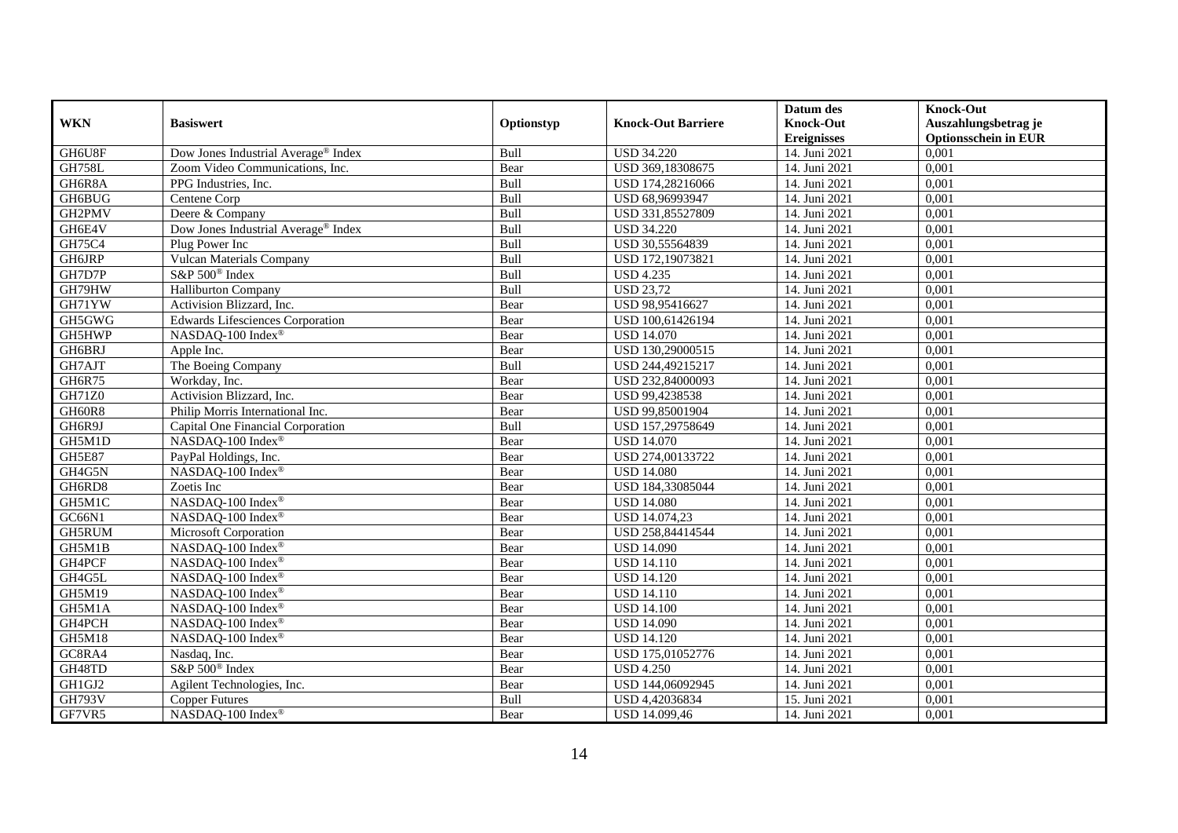|               |                                                 |            |                           | Datum des          | <b>Knock-Out</b>            |
|---------------|-------------------------------------------------|------------|---------------------------|--------------------|-----------------------------|
| <b>WKN</b>    | <b>Basiswert</b>                                | Optionstyp | <b>Knock-Out Barriere</b> | <b>Knock-Out</b>   | Auszahlungsbetrag je        |
|               |                                                 |            |                           | <b>Ereignisses</b> | <b>Optionsschein in EUR</b> |
| GH6U8F        | Dow Jones Industrial Average® Index             | Bull       | <b>USD 34.220</b>         | 14. Juni 2021      | 0,001                       |
| <b>GH758L</b> | Zoom Video Communications, Inc.                 | Bear       | USD 369,18308675          | 14. Juni 2021      | 0,001                       |
| GH6R8A        | PPG Industries, Inc.                            | Bull       | USD 174,28216066          | 14. Juni 2021      | 0,001                       |
| GH6BUG        | Centene Corp                                    | Bull       | USD 68,96993947           | 14. Juni 2021      | 0,001                       |
| GH2PMV        | Deere & Company                                 | Bull       | USD 331,85527809          | 14. Juni 2021      | 0,001                       |
| GH6E4V        | Dow Jones Industrial Average <sup>®</sup> Index | Bull       | <b>USD 34.220</b>         | 14. Juni 2021      | 0,001                       |
| GH75C4        | Plug Power Inc                                  | Bull       | USD 30,55564839           | 14. Juni 2021      | 0,001                       |
| GH6JRP        | <b>Vulcan Materials Company</b>                 | Bull       | USD 172,19073821          | 14. Juni 2021      | 0,001                       |
| GH7D7P        | S&P 500 <sup>®</sup> Index                      | Bull       | <b>USD 4.235</b>          | 14. Juni 2021      | 0,001                       |
| GH79HW        | <b>Halliburton Company</b>                      | Bull       | <b>USD 23,72</b>          | 14. Juni 2021      | 0,001                       |
| GH71YW        | Activision Blizzard, Inc.                       | Bear       | USD 98,95416627           | 14. Juni 2021      | 0,001                       |
| GH5GWG        | Edwards Lifesciences Corporation                | Bear       | USD 100,61426194          | 14. Juni 2021      | 0,001                       |
| GH5HWP        | NASDAQ-100 Index®                               | Bear       | <b>USD 14.070</b>         | 14. Juni 2021      | 0,001                       |
| GH6BRJ        | Apple Inc.                                      | Bear       | USD 130,29000515          | 14. Juni 2021      | 0,001                       |
| GH7AJT        | The Boeing Company                              | Bull       | USD 244,49215217          | 14. Juni 2021      | 0,001                       |
| GH6R75        | Workday, Inc.                                   | Bear       | USD 232,84000093          | 14. Juni 2021      | 0,001                       |
| GH71Z0        | Activision Blizzard, Inc.                       | Bear       | USD 99,4238538            | 14. Juni 2021      | 0,001                       |
| GH60R8        | Philip Morris International Inc.                | Bear       | USD 99,85001904           | 14. Juni 2021      | 0,001                       |
| GH6R9J        | Capital One Financial Corporation               | Bull       | USD 157,29758649          | 14. Juni 2021      | 0,001                       |
| GH5M1D        | NASDAQ-100 Index®                               | Bear       | <b>USD 14.070</b>         | 14. Juni 2021      | 0,001                       |
| <b>GH5E87</b> | PayPal Holdings, Inc.                           | Bear       | USD 274,00133722          | 14. Juni 2021      | 0,001                       |
| GH4G5N        | NASDAQ-100 Index®                               | Bear       | <b>USD 14.080</b>         | 14. Juni 2021      | 0,001                       |
| GH6RD8        | Zoetis Inc                                      | Bear       | USD 184,33085044          | 14. Juni 2021      | 0,001                       |
| GH5M1C        | NASDAQ-100 Index®                               | Bear       | <b>USD 14.080</b>         | 14. Juni 2021      | 0,001                       |
| GC66N1        | NASDAQ-100 Index®                               | Bear       | USD 14.074,23             | 14. Juni 2021      | 0,001                       |
| GH5RUM        | Microsoft Corporation                           | Bear       | USD 258,84414544          | 14. Juni 2021      | 0,001                       |
| GH5M1B        | NASDAQ-100 Index®                               | Bear       | <b>USD 14.090</b>         | 14. Juni 2021      | 0,001                       |
| GH4PCF        | NASDAQ-100 Index®                               | Bear       | <b>USD 14.110</b>         | 14. Juni 2021      | 0,001                       |
| GH4G5L        | NASDAQ-100 Index®                               | Bear       | <b>USD 14.120</b>         | 14. Juni 2021      | 0,001                       |
| <b>GH5M19</b> | NASDAQ-100 Index®                               | Bear       | <b>USD 14.110</b>         | 14. Juni 2021      | 0,001                       |
| GH5M1A        | NASDAQ-100 Index®                               | Bear       | <b>USD 14.100</b>         | 14. Juni 2021      | 0,001                       |
| GH4PCH        | NASDAQ-100 Index®                               | Bear       | <b>USD 14.090</b>         | 14. Juni 2021      | 0,001                       |
| GH5M18        | NASDAQ-100 Index®                               | Bear       | <b>USD 14.120</b>         | 14. Juni 2021      | 0,001                       |
| GC8RA4        | Nasdaq, Inc.                                    | Bear       | USD 175,01052776          | 14. Juni 2021      | 0,001                       |
| GH48TD        | S&P 500 <sup>®</sup> Index                      | Bear       | <b>USD 4.250</b>          | 14. Juni 2021      | 0,001                       |
| GH1GJ2        | Agilent Technologies, Inc.                      | Bear       | USD 144,06092945          | 14. Juni 2021      | 0,001                       |
| <b>GH793V</b> | <b>Copper Futures</b>                           | Bull       | USD 4,42036834            | 15. Juni 2021      | 0,001                       |
| GF7VR5        | NASDAQ-100 Index®                               | Bear       | USD 14.099,46             | 14. Juni 2021      | 0,001                       |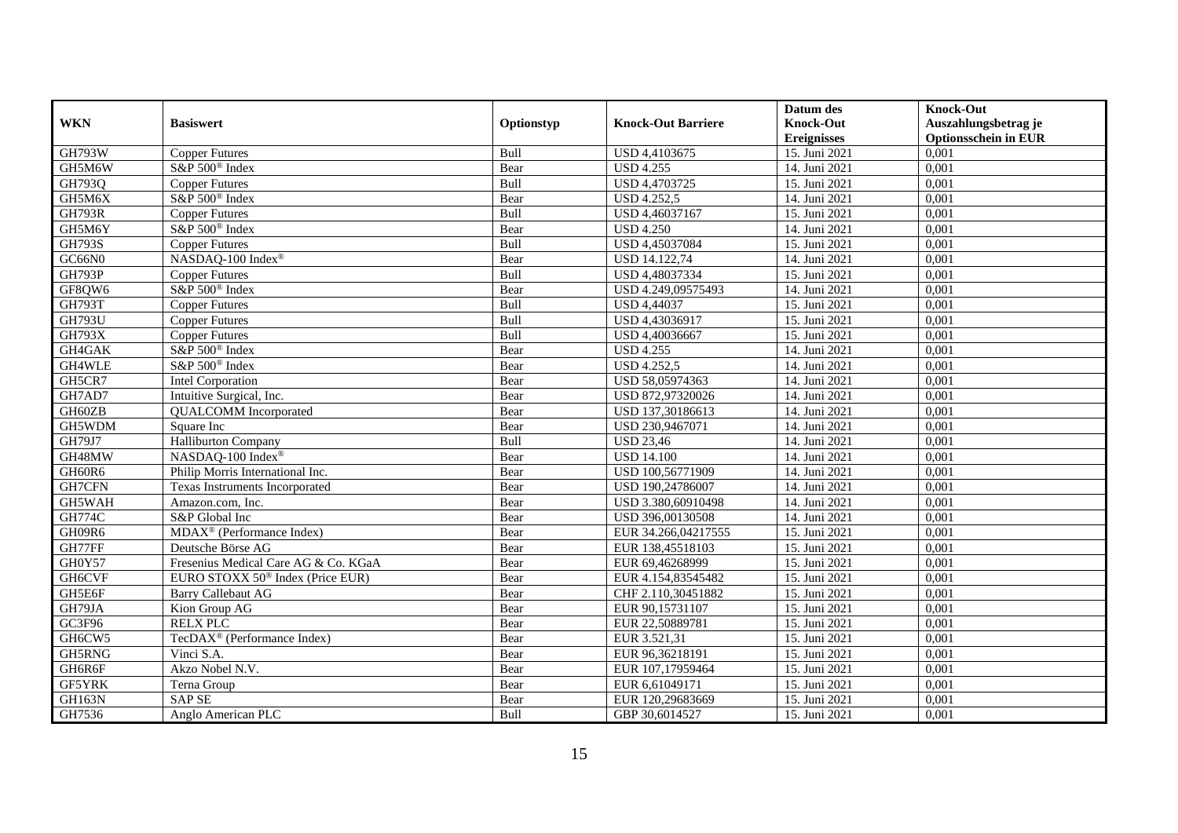|               |                                              |            |                           | Datum des          | <b>Knock-Out</b>            |
|---------------|----------------------------------------------|------------|---------------------------|--------------------|-----------------------------|
| <b>WKN</b>    | <b>Basiswert</b>                             | Optionstyp | <b>Knock-Out Barriere</b> | <b>Knock-Out</b>   | Auszahlungsbetrag je        |
|               |                                              |            |                           | <b>Ereignisses</b> | <b>Optionsschein in EUR</b> |
| <b>GH793W</b> | <b>Copper Futures</b>                        | Bull       | USD 4,4103675             | 15. Juni 2021      | 0,001                       |
| GH5M6W        | S&P 500 <sup>®</sup> Index                   | Bear       | <b>USD 4.255</b>          | 14. Juni 2021      | 0,001                       |
| GH793Q        | <b>Copper Futures</b>                        | Bull       | USD 4,4703725             | 15. Juni 2021      | 0,001                       |
| GH5M6X        | S&P 500 <sup>®</sup> Index                   | Bear       | <b>USD 4.252,5</b>        | 14. Juni 2021      | 0,001                       |
| <b>GH793R</b> | <b>Copper Futures</b>                        | Bull       | USD 4,46037167            | 15. Juni 2021      | 0,001                       |
| GH5M6Y        | S&P 500 <sup>®</sup> Index                   | Bear       | <b>USD 4.250</b>          | 14. Juni 2021      | 0,001                       |
| <b>GH793S</b> | <b>Copper Futures</b>                        | Bull       | USD 4,45037084            | 15. Juni 2021      | 0,001                       |
| GC66N0        | NASDAQ-100 Index®                            | Bear       | <b>USD 14.122,74</b>      | 14. Juni 2021      | 0,001                       |
| <b>GH793P</b> | Copper Futures                               | Bull       | USD 4,48037334            | 15. Juni 2021      | 0,001                       |
| GF8QW6        | S&P 500 <sup>®</sup> Index                   | Bear       | USD 4.249,09575493        | 14. Juni 2021      | 0,001                       |
| <b>GH793T</b> | <b>Copper Futures</b>                        | Bull       | <b>USD 4,44037</b>        | 15. Juni 2021      | 0,001                       |
| <b>GH793U</b> | <b>Copper Futures</b>                        | Bull       | USD 4,43036917            | 15. Juni 2021      | 0,001                       |
| <b>GH793X</b> | <b>Copper Futures</b>                        | Bull       | USD 4,40036667            | 15. Juni 2021      | 0,001                       |
| GH4GAK        | S&P 500 <sup>®</sup> Index                   | Bear       | <b>USD 4.255</b>          | 14. Juni 2021      | 0,001                       |
| GH4WLE        | S&P 500 <sup>®</sup> Index                   | Bear       | <b>USD 4.252,5</b>        | 14. Juni 2021      | 0,001                       |
| GH5CR7        | Intel Corporation                            | Bear       | USD 58,05974363           | 14. Juni 2021      | 0,001                       |
| GH7AD7        | Intuitive Surgical, Inc.                     | Bear       | USD 872,97320026          | 14. Juni 2021      | 0,001                       |
| GH60ZB        | <b>QUALCOMM</b> Incorporated                 | Bear       | USD 137,30186613          | 14. Juni 2021      | 0,001                       |
| GH5WDM        | Square Inc                                   | Bear       | USD 230,9467071           | 14. Juni 2021      | 0,001                       |
| GH79J7        | <b>Halliburton Company</b>                   | Bull       | <b>USD 23,46</b>          | 14. Juni 2021      | 0,001                       |
| GH48MW        | NASDAQ-100 Index®                            | Bear       | <b>USD 14.100</b>         | 14. Juni 2021      | 0,001                       |
| GH60R6        | Philip Morris International Inc.             | Bear       | USD 100,56771909          | 14. Juni 2021      | 0,001                       |
| GH7CFN        | Texas Instruments Incorporated               | Bear       | USD 190,24786007          | 14. Juni 2021      | 0,001                       |
| GH5WAH        | Amazon.com, Inc.                             | Bear       | USD 3.380,60910498        | 14. Juni 2021      | 0,001                       |
| <b>GH774C</b> | S&P Global Inc                               | Bear       | USD 396,00130508          | 14. Juni 2021      | 0,001                       |
| GH09R6        | MDAX <sup>®</sup> (Performance Index)        | Bear       | EUR 34.266,04217555       | 15. Juni 2021      | 0,001                       |
| GH77FF        | Deutsche Börse AG                            | Bear       | EUR 138,45518103          | 15. Juni 2021      | 0,001                       |
| GH0Y57        | Fresenius Medical Care AG & Co. KGaA         | Bear       | EUR 69,46268999           | 15. Juni 2021      | 0,001                       |
| <b>GH6CVF</b> | EURO STOXX 50 <sup>®</sup> Index (Price EUR) | Bear       | EUR 4.154,83545482        | 15. Juni 2021      | 0,001                       |
| GH5E6F        | <b>Barry Callebaut AG</b>                    | Bear       | CHF 2.110,30451882        | 15. Juni 2021      | 0,001                       |
| GH79JA        | Kion Group AG                                | Bear       | EUR 90,15731107           | 15. Juni 2021      | 0,001                       |
| GC3F96        | <b>RELX PLC</b>                              | Bear       | EUR 22,50889781           | 15. Juni 2021      | 0,001                       |
| GH6CW5        | TecDAX <sup>®</sup> (Performance Index)      | Bear       | EUR 3.521,31              | 15. Juni 2021      | 0,001                       |
| GH5RNG        | Vinci S.A.                                   | Bear       | EUR 96,36218191           | 15. Juni 2021      | 0,001                       |
| GH6R6F        | Akzo Nobel N.V.                              | Bear       | EUR 107,17959464          | 15. Juni 2021      | 0,001                       |
| GF5YRK        | Terna Group                                  | Bear       | EUR 6,61049171            | 15. Juni 2021      | 0,001                       |
| <b>GH163N</b> | <b>SAP SE</b>                                | Bear       | EUR 120,29683669          | 15. Juni 2021      | 0,001                       |
| GH7536        | Anglo American PLC                           | Bull       | GBP 30,6014527            | 15. Juni 2021      | 0,001                       |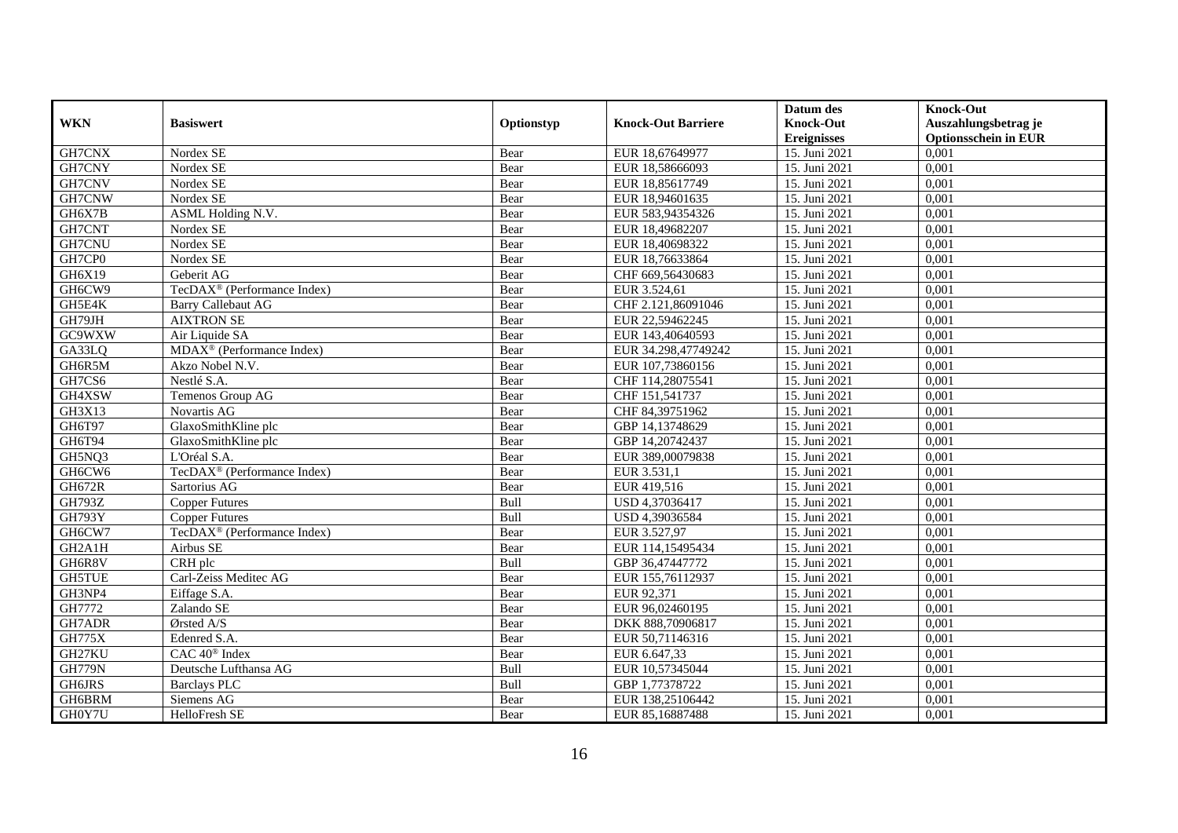|               |                                         |            |                           | Datum des          | <b>Knock-Out</b>            |
|---------------|-----------------------------------------|------------|---------------------------|--------------------|-----------------------------|
| <b>WKN</b>    | <b>Basiswert</b>                        | Optionstyp | <b>Knock-Out Barriere</b> | <b>Knock-Out</b>   | Auszahlungsbetrag je        |
|               |                                         |            |                           | <b>Ereignisses</b> | <b>Optionsschein in EUR</b> |
| GH7CNX        | Nordex SE                               | Bear       | EUR 18,67649977           | 15. Juni 2021      | 0,001                       |
| GH7CNY        | Nordex SE                               | Bear       | EUR 18,58666093           | 15. Juni 2021      | 0,001                       |
| GH7CNV        | Nordex SE                               | Bear       | EUR 18,85617749           | 15. Juni 2021      | 0,001                       |
| GH7CNW        | Nordex SE                               | Bear       | EUR 18,94601635           | 15. Juni 2021      | 0,001                       |
| GH6X7B        | ASML Holding N.V.                       | Bear       | EUR 583,94354326          | 15. Juni 2021      | 0,001                       |
| GH7CNT        | Nordex SE                               | Bear       | EUR 18,49682207           | 15. Juni 2021      | 0,001                       |
| GH7CNU        | Nordex SE                               | Bear       | EUR 18,40698322           | 15. Juni 2021      | 0,001                       |
| GH7CP0        | Nordex SE                               | Bear       | EUR 18,76633864           | 15. Juni 2021      | 0,001                       |
| GH6X19        | Geberit AG                              | Bear       | CHF 669,56430683          | 15. Juni 2021      | 0,001                       |
| GH6CW9        | TecDAX <sup>®</sup> (Performance Index) | Bear       | EUR 3.524,61              | 15. Juni 2021      | 0,001                       |
| GH5E4K        | <b>Barry Callebaut AG</b>               | Bear       | CHF 2.121,86091046        | 15. Juni 2021      | 0,001                       |
| GH79JH        | <b>AIXTRON SE</b>                       | Bear       | EUR 22,59462245           | 15. Juni 2021      | 0,001                       |
| GC9WXW        | Air Liquide SA                          | Bear       | EUR 143,40640593          | 15. Juni 2021      | 0,001                       |
| GA33LQ        | MDAX <sup>®</sup> (Performance Index)   | Bear       | EUR 34.298,47749242       | 15. Juni 2021      | 0,001                       |
| GH6R5M        | Akzo Nobel N.V.                         | Bear       | EUR 107,73860156          | 15. Juni 2021      | 0,001                       |
| GH7CS6        | Nestlé S.A.                             | Bear       | CHF 114,28075541          | 15. Juni 2021      | 0,001                       |
| GH4XSW        | Temenos Group AG                        | Bear       | CHF 151,541737            | 15. Juni 2021      | 0,001                       |
| GH3X13        | Novartis AG                             | Bear       | CHF 84.39751962           | 15. Juni 2021      | 0,001                       |
| GH6T97        | GlaxoSmithKline plc                     | Bear       | GBP 14,13748629           | 15. Juni 2021      | 0,001                       |
| GH6T94        | GlaxoSmithKline plc                     | Bear       | GBP 14,20742437           | 15. Juni 2021      | 0,001                       |
| GH5NQ3        | L'Oréal S.A.                            | Bear       | EUR 389,00079838          | 15. Juni 2021      | 0,001                       |
| GH6CW6        | TecDAX <sup>®</sup> (Performance Index) | Bear       | EUR 3.531,1               | 15. Juni 2021      | 0,001                       |
| <b>GH672R</b> | Sartorius AG                            | Bear       | EUR 419,516               | 15. Juni 2021      | 0,001                       |
| <b>GH793Z</b> | <b>Copper Futures</b>                   | Bull       | USD 4,37036417            | 15. Juni 2021      | 0,001                       |
| <b>GH793Y</b> | <b>Copper Futures</b>                   | Bull       | USD 4,39036584            | 15. Juni 2021      | 0,001                       |
| GH6CW7        | TecDAX <sup>®</sup> (Performance Index) | Bear       | EUR 3.527,97              | 15. Juni 2021      | 0,001                       |
| GH2A1H        | Airbus SE                               | Bear       | EUR 114,15495434          | 15. Juni 2021      | 0,001                       |
| GH6R8V        | CRH plc                                 | Bull       | GBP 36,47447772           | 15. Juni 2021      | 0,001                       |
| <b>GH5TUE</b> | Carl-Zeiss Meditec AG                   | Bear       | EUR 155,76112937          | 15. Juni 2021      | 0,001                       |
| GH3NP4        | Eiffage S.A.                            | Bear       | EUR 92,371                | 15. Juni 2021      | 0,001                       |
| GH7772        | Zalando SE                              | Bear       | EUR 96,02460195           | 15. Juni 2021      | 0,001                       |
| GH7ADR        | Ørsted A/S                              | Bear       | DKK 888,70906817          | 15. Juni 2021      | 0,001                       |
| <b>GH775X</b> | Edenred S.A.                            | Bear       | EUR 50,71146316           | 15. Juni 2021      | 0,001                       |
| GH27KU        | $CAC 40^{\circledast}$ Index            | Bear       | EUR 6.647,33              | 15. Juni 2021      | 0,001                       |
| <b>GH779N</b> | Deutsche Lufthansa AG                   | Bull       | EUR 10,57345044           | 15. Juni 2021      | 0,001                       |
| GH6JRS        | <b>Barclays PLC</b>                     | Bull       | GBP 1,77378722            | 15. Juni 2021      | 0,001                       |
| GH6BRM        | Siemens AG                              | Bear       | EUR 138,25106442          | 15. Juni 2021      | 0,001                       |
| GH0Y7U        | HelloFresh SE                           | Bear       | EUR 85,16887488           | 15. Juni 2021      | 0,001                       |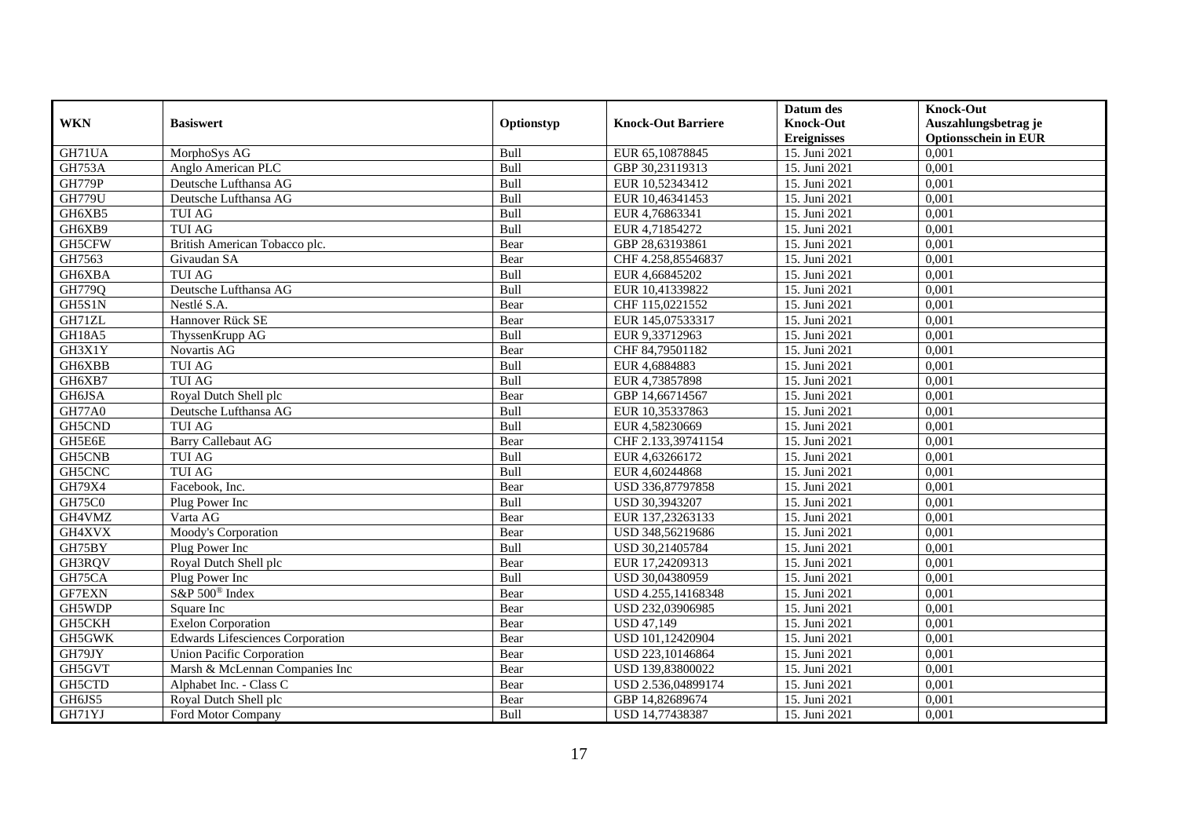|               |                                         |             |                           | Datum des          | <b>Knock-Out</b>            |
|---------------|-----------------------------------------|-------------|---------------------------|--------------------|-----------------------------|
| <b>WKN</b>    | <b>Basiswert</b>                        | Optionstyp  | <b>Knock-Out Barriere</b> | <b>Knock-Out</b>   | Auszahlungsbetrag je        |
|               |                                         |             |                           | <b>Ereignisses</b> | <b>Optionsschein in EUR</b> |
| GH71UA        | MorphoSys AG                            | Bull        | EUR 65,10878845           | 15. Juni 2021      | 0,001                       |
| <b>GH753A</b> | Anglo American PLC                      | Bull        | GBP 30,23119313           | 15. Juni 2021      | 0,001                       |
| <b>GH779P</b> | Deutsche Lufthansa AG                   | Bull        | EUR 10,52343412           | 15. Juni 2021      | 0,001                       |
| <b>GH779U</b> | Deutsche Lufthansa AG                   | Bull        | EUR 10,46341453           | 15. Juni 2021      | 0,001                       |
| GH6XB5        | <b>TUI AG</b>                           | Bull        | EUR 4,76863341            | 15. Juni 2021      | 0,001                       |
| GH6XB9        | <b>TUI AG</b>                           | Bull        | EUR 4,71854272            | 15. Juni 2021      | 0,001                       |
| GH5CFW        | British American Tobacco plc.           | Bear        | GBP 28,63193861           | 15. Juni 2021      | 0,001                       |
| GH7563        | Givaudan SA                             | Bear        | CHF 4.258,85546837        | 15. Juni 2021      | 0,001                       |
| GH6XBA        | <b>TUI AG</b>                           | Bull        | EUR 4,66845202            | 15. Juni 2021      | 0,001                       |
| GH779Q        | Deutsche Lufthansa AG                   | Bull        | EUR 10,41339822           | 15. Juni 2021      | 0,001                       |
| GH5S1N        | Nestlé S.A.                             | Bear        | CHF 115,0221552           | 15. Juni 2021      | 0,001                       |
| GH71ZL        | Hannover Rück SE                        | Bear        | EUR 145,07533317          | 15. Juni 2021      | 0,001                       |
| GH18A5        | ThyssenKrupp AG                         | Bull        | EUR 9,33712963            | 15. Juni 2021      | 0,001                       |
| GH3X1Y        | Novartis AG                             | Bear        | CHF 84,79501182           | 15. Juni 2021      | 0,001                       |
| GH6XBB        | <b>TUI AG</b>                           | Bull        | EUR 4,6884883             | 15. Juni 2021      | 0,001                       |
| GH6XB7        | <b>TUI AG</b>                           | Bull        | EUR 4,73857898            | 15. Juni 2021      | 0,001                       |
| GH6JSA        | Royal Dutch Shell plc                   | Bear        | GBP 14,66714567           | 15. Juni 2021      | 0,001                       |
| <b>GH77A0</b> | Deutsche Lufthansa AG                   | <b>Bull</b> | EUR 10.35337863           | 15. Juni 2021      | 0,001                       |
| GH5CND        | <b>TUI AG</b>                           | Bull        | EUR 4,58230669            | 15. Juni 2021      | 0,001                       |
| GH5E6E        | <b>Barry Callebaut AG</b>               | Bear        | CHF 2.133,39741154        | 15. Juni 2021      | 0,001                       |
| <b>GH5CNB</b> | <b>TUI AG</b>                           | Bull        | EUR 4,63266172            | 15. Juni 2021      | 0,001                       |
| <b>GH5CNC</b> | <b>TUI AG</b>                           | Bull        | EUR 4,60244868            | 15. Juni 2021      | 0,001                       |
| <b>GH79X4</b> | Facebook, Inc.                          | Bear        | USD 336,87797858          | 15. Juni 2021      | 0,001                       |
| GH75C0        | Plug Power Inc                          | Bull        | USD 30,3943207            | 15. Juni 2021      | 0,001                       |
| GH4VMZ        | Varta AG                                | Bear        | EUR 137,23263133          | 15. Juni 2021      | 0,001                       |
| GH4XVX        | Moody's Corporation                     | Bear        | USD 348,56219686          | 15. Juni 2021      | 0,001                       |
| GH75BY        | Plug Power Inc                          | Bull        | USD 30,21405784           | 15. Juni 2021      | 0,001                       |
| GH3RQV        | Royal Dutch Shell plc                   | Bear        | EUR 17,24209313           | 15. Juni 2021      | 0,001                       |
| GH75CA        | Plug Power Inc                          | Bull        | USD 30,04380959           | 15. Juni 2021      | 0,001                       |
| <b>GF7EXN</b> | S&P 500 <sup>®</sup> Index              | Bear        | USD 4.255,14168348        | 15. Juni 2021      | 0,001                       |
| GH5WDP        | Square Inc                              | Bear        | USD 232,03906985          | 15. Juni 2021      | 0,001                       |
| GH5CKH        | <b>Exelon Corporation</b>               | Bear        | <b>USD 47,149</b>         | 15. Juni 2021      | 0,001                       |
| GH5GWK        | <b>Edwards Lifesciences Corporation</b> | Bear        | USD 101,12420904          | 15. Juni 2021      | 0,001                       |
| GH79JY        | <b>Union Pacific Corporation</b>        | Bear        | USD 223,10146864          | 15. Juni 2021      | 0,001                       |
| GH5GVT        | Marsh & McLennan Companies Inc          | Bear        | USD 139,83800022          | 15. Juni 2021      | 0,001                       |
| GH5CTD        | Alphabet Inc. - Class C                 | Bear        | USD 2.536,04899174        | 15. Juni 2021      | 0,001                       |
| GH6JS5        | Royal Dutch Shell plc                   | Bear        | GBP 14,82689674           | 15. Juni 2021      | 0,001                       |
| GH71YJ        | Ford Motor Company                      | Bull        | USD 14,77438387           | 15. Juni 2021      | 0,001                       |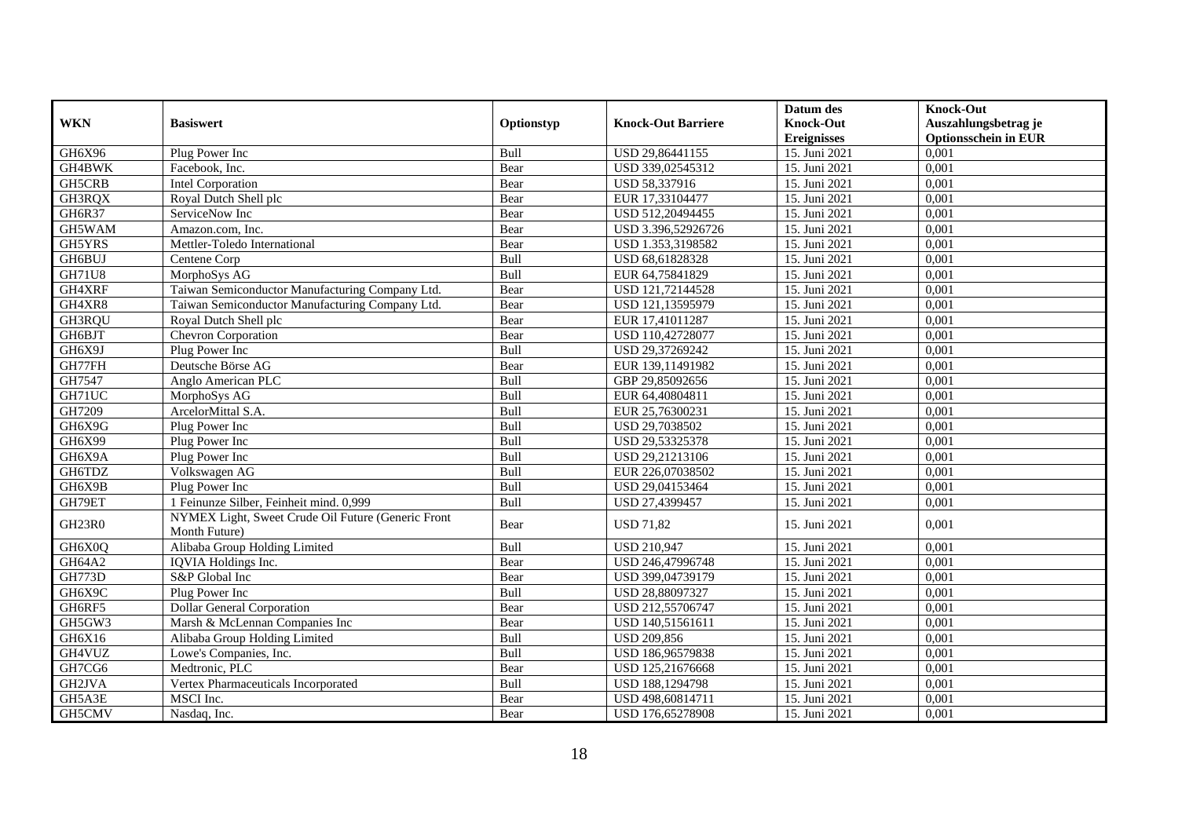| <b>WKN</b>    | <b>Basiswert</b>                                                    | Optionstyp | <b>Knock-Out Barriere</b> | Datum des<br><b>Knock-Out</b> | <b>Knock-Out</b><br>Auszahlungsbetrag je |
|---------------|---------------------------------------------------------------------|------------|---------------------------|-------------------------------|------------------------------------------|
|               |                                                                     |            |                           | <b>Ereignisses</b>            | <b>Optionsschein in EUR</b>              |
| GH6X96        | Plug Power Inc                                                      | Bull       | USD 29,86441155           | 15. Juni 2021                 | 0,001                                    |
| GH4BWK        | Facebook. Inc.                                                      | Bear       | USD 339,02545312          | 15. Juni 2021                 | 0,001                                    |
| GH5CRB        | Intel Corporation                                                   | Bear       | USD 58,337916             | 15. Juni 2021                 | 0,001                                    |
| GH3RQX        | Roval Dutch Shell plc                                               | Bear       | EUR 17,33104477           | 15. Juni 2021                 | 0,001                                    |
| GH6R37        | ServiceNow Inc                                                      | Bear       | USD 512,20494455          | 15. Juni 2021                 | 0,001                                    |
| GH5WAM        | Amazon.com, Inc.                                                    | Bear       | USD 3.396,52926726        | 15. Juni 2021                 | 0,001                                    |
| GH5YRS        | Mettler-Toledo International                                        | Bear       | USD 1.353,3198582         | 15. Juni 2021                 | 0,001                                    |
| GH6BUJ        | Centene Corp                                                        | Bull       | USD 68,61828328           | 15. Juni 2021                 | 0,001                                    |
| <b>GH71U8</b> | MorphoSys AG                                                        | Bull       | EUR 64,75841829           | 15. Juni 2021                 | 0,001                                    |
| GH4XRF        | Taiwan Semiconductor Manufacturing Company Ltd.                     | Bear       | USD 121,72144528          | 15. Juni 2021                 | 0,001                                    |
| GH4XR8        | Taiwan Semiconductor Manufacturing Company Ltd.                     | Bear       | USD 121,13595979          | 15. Juni 2021                 | 0,001                                    |
| GH3RQU        | Roval Dutch Shell plc                                               | Bear       | EUR 17,41011287           | 15. Juni 2021                 | 0,001                                    |
| GH6BJT        | <b>Chevron Corporation</b>                                          | Bear       | USD 110,42728077          | 15. Juni 2021                 | 0,001                                    |
| GH6X9J        | Plug Power Inc                                                      | Bull       | USD 29,37269242           | 15. Juni 2021                 | 0,001                                    |
| GH77FH        | Deutsche Börse AG                                                   | Bear       | EUR 139,11491982          | 15. Juni 2021                 | 0,001                                    |
| GH7547        | Anglo American PLC                                                  | Bull       | GBP 29,85092656           | 15. Juni 2021                 | 0,001                                    |
| GH71UC        | MorphoSys AG                                                        | Bull       | EUR 64,40804811           | 15. Juni 2021                 | 0,001                                    |
| GH7209        | ArcelorMittal S.A.                                                  | Bull       | EUR 25,76300231           | 15. Juni 2021                 | 0,001                                    |
| GH6X9G        | Plug Power Inc                                                      | Bull       | USD 29,7038502            | 15. Juni 2021                 | 0,001                                    |
| GH6X99        | Plug Power Inc                                                      | Bull       | USD 29,53325378           | 15. Juni 2021                 | 0,001                                    |
| GH6X9A        | Plug Power Inc                                                      | Bull       | USD 29,21213106           | 15. Juni 2021                 | 0,001                                    |
| GH6TDZ        | Volkswagen AG                                                       | Bull       | EUR 226,07038502          | 15. Juni 2021                 | 0,001                                    |
| GH6X9B        | Plug Power Inc                                                      | Bull       | USD 29,04153464           | 15. Juni 2021                 | 0,001                                    |
| GH79ET        | 1 Feinunze Silber, Feinheit mind. 0,999                             | Bull       | USD 27,4399457            | 15. Juni 2021                 | 0,001                                    |
| <b>GH23R0</b> | NYMEX Light, Sweet Crude Oil Future (Generic Front<br>Month Future) | Bear       | <b>USD 71,82</b>          | 15. Juni 2021                 | 0,001                                    |
| GH6X0Q        | Alibaba Group Holding Limited                                       | Bull       | <b>USD 210,947</b>        | 15. Juni 2021                 | 0.001                                    |
| GH64A2        | IQVIA Holdings Inc.                                                 | Bear       | USD 246,47996748          | 15. Juni 2021                 | 0,001                                    |
| <b>GH773D</b> | S&P Global Inc                                                      | Bear       | USD 399,04739179          | 15. Juni 2021                 | 0,001                                    |
| GH6X9C        | Plug Power Inc                                                      | Bull       | USD 28,88097327           | 15. Juni 2021                 | 0,001                                    |
| GH6RF5        | <b>Dollar General Corporation</b>                                   | Bear       | USD 212,55706747          | 15. Juni 2021                 | 0,001                                    |
| GH5GW3        | Marsh & McLennan Companies Inc                                      | Bear       | USD 140,51561611          | 15. Juni 2021                 | 0,001                                    |
| GH6X16        | Alibaba Group Holding Limited                                       | Bull       | <b>USD 209,856</b>        | 15. Juni 2021                 | 0,001                                    |
| GH4VUZ        | Lowe's Companies, Inc.                                              | Bull       | USD 186,96579838          | 15. Juni 2021                 | 0,001                                    |
| GH7CG6        | Medtronic, PLC                                                      | Bear       | USD 125,21676668          | 15. Juni 2021                 | 0,001                                    |
| GH2JVA        | Vertex Pharmaceuticals Incorporated                                 | Bull       | USD 188,1294798           | 15. Juni 2021                 | 0,001                                    |
| GH5A3E        | MSCI Inc.                                                           | Bear       | USD 498,60814711          | 15. Juni 2021                 | 0,001                                    |
| GH5CMV        | Nasdaq, Inc.                                                        | Bear       | USD 176,65278908          | 15. Juni 2021                 | 0,001                                    |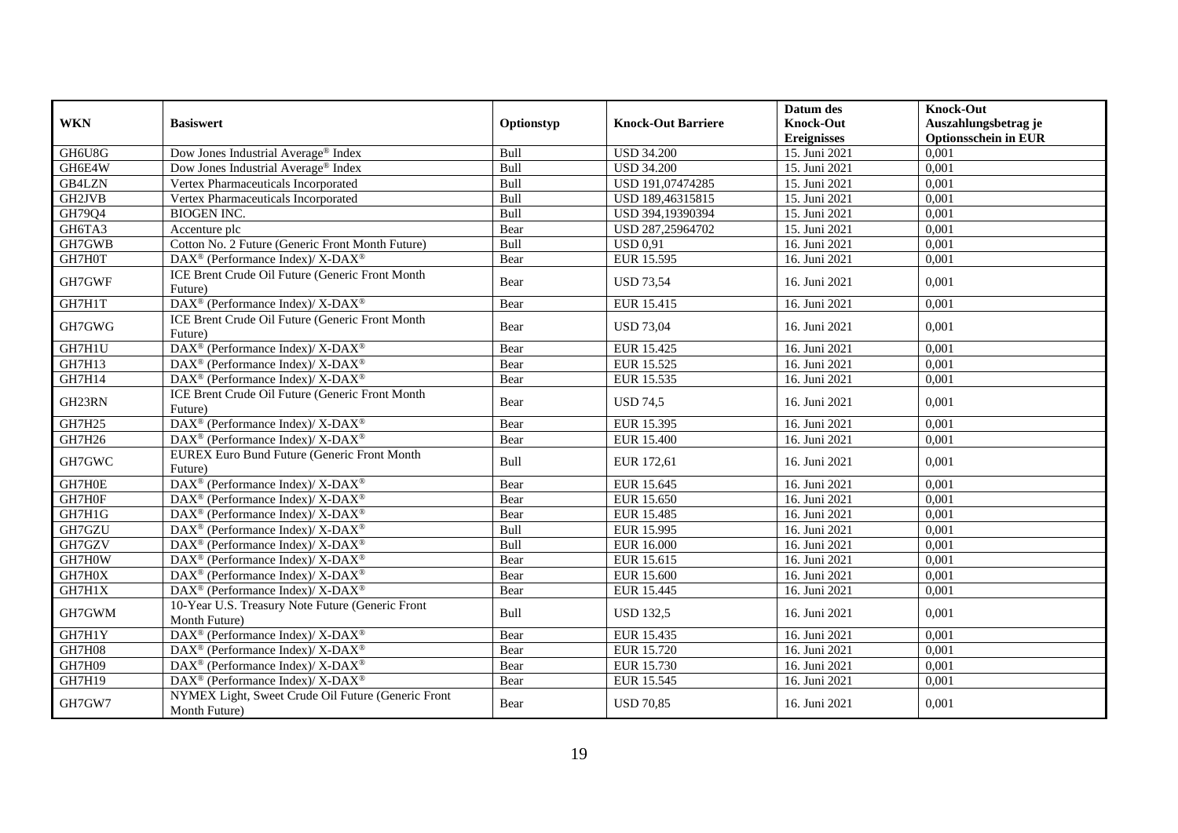| <b>WKN</b>    | <b>Basiswert</b>                                                          | Optionstyp | <b>Knock-Out Barriere</b> | Datum des<br><b>Knock-Out</b><br><b>Ereignisses</b> | <b>Knock-Out</b><br>Auszahlungsbetrag je<br><b>Optionsschein in EUR</b> |
|---------------|---------------------------------------------------------------------------|------------|---------------------------|-----------------------------------------------------|-------------------------------------------------------------------------|
| GH6U8G        | Dow Jones Industrial Average® Index                                       | Bull       | <b>USD 34.200</b>         | 15. Juni 2021                                       | 0,001                                                                   |
| GH6E4W        | Dow Jones Industrial Average® Index                                       | Bull       | <b>USD 34.200</b>         | 15. Juni 2021                                       | 0,001                                                                   |
| GB4LZN        | Vertex Pharmaceuticals Incorporated                                       | Bull       | USD 191,07474285          | 15. Juni 2021                                       | 0,001                                                                   |
| GH2JVB        | Vertex Pharmaceuticals Incorporated                                       | Bull       | USD 189,46315815          | 15. Juni 2021                                       | 0,001                                                                   |
| GH79Q4        | <b>BIOGEN INC.</b>                                                        | Bull       | USD 394,19390394          | 15. Juni 2021                                       | 0,001                                                                   |
| GH6TA3        | Accenture plc                                                             | Bear       | USD 287,25964702          | 15. Juni 2021                                       | 0,001                                                                   |
| GH7GWB        | Cotton No. 2 Future (Generic Front Month Future)                          | Bull       | <b>USD 0,91</b>           | 16. Juni 2021                                       | 0,001                                                                   |
| GH7H0T        | DAX <sup>®</sup> (Performance Index)/X-DAX <sup>®</sup>                   | Bear       | EUR 15.595                | 16. Juni 2021                                       | 0,001                                                                   |
| GH7GWF        | ICE Brent Crude Oil Future (Generic Front Month<br>Future)                | Bear       | <b>USD 73,54</b>          | 16. Juni 2021                                       | 0,001                                                                   |
| GH7H1T        | DAX <sup>®</sup> (Performance Index)/X-DAX <sup>®</sup>                   | Bear       | EUR 15.415                | 16. Juni 2021                                       | 0,001                                                                   |
| GH7GWG        | ICE Brent Crude Oil Future (Generic Front Month<br>Future)                | Bear       | <b>USD 73,04</b>          | 16. Juni 2021                                       | 0,001                                                                   |
| GH7H1U        | DAX <sup>®</sup> (Performance Index)/X-DAX <sup>®</sup>                   | Bear       | EUR 15.425                | 16. Juni 2021                                       | 0,001                                                                   |
| GH7H13        | DAX <sup>®</sup> (Performance Index)/ X-DAX <sup>®</sup>                  | Bear       | EUR 15.525                | 16. Juni 2021                                       | 0,001                                                                   |
| GH7H14        | DAX <sup>®</sup> (Performance Index)/X-DAX <sup>®</sup>                   | Bear       | EUR 15.535                | 16. Juni 2021                                       | 0.001                                                                   |
| GH23RN        | ICE Brent Crude Oil Future (Generic Front Month<br>Future)                | Bear       | <b>USD 74,5</b>           | 16. Juni 2021                                       | 0,001                                                                   |
| GH7H25        | DAX <sup>®</sup> (Performance Index)/ X-DAX <sup>®</sup>                  | Bear       | EUR 15.395                | 16. Juni 2021                                       | 0,001                                                                   |
| GH7H26        | DAX <sup>®</sup> (Performance Index)/X-DAX <sup>®</sup>                   | Bear       | <b>EUR 15.400</b>         | 16. Juni 2021                                       | 0,001                                                                   |
| GH7GWC        | <b>EUREX Euro Bund Future (Generic Front Month</b><br>Future)             | Bull       | EUR 172,61                | 16. Juni 2021                                       | 0,001                                                                   |
| GH7H0E        | DAX <sup>®</sup> (Performance Index)/ X-DAX <sup>®</sup>                  | Bear       | EUR 15.645                | 16. Juni 2021                                       | 0,001                                                                   |
| GH7H0F        | DAX <sup>®</sup> (Performance Index)/ X-DAX <sup>®</sup>                  | Bear       | EUR 15.650                | 16. Juni 2021                                       | 0,001                                                                   |
| GH7H1G        | DAX <sup>®</sup> (Performance Index)/ X-DAX <sup>®</sup>                  | Bear       | EUR 15.485                | 16. Juni 2021                                       | 0,001                                                                   |
| GH7GZU        | $DAX^{\circledast}$ (Performance Index)/ X-DAX <sup>®</sup>               | Bull       | EUR 15.995                | 16. Juni 2021                                       | 0,001                                                                   |
| GH7GZV        | DAX <sup>®</sup> (Performance Index)/ X-DAX <sup>®</sup>                  | Bull       | <b>EUR 16.000</b>         | 16. Juni 2021                                       | 0,001                                                                   |
| GH7H0W        | DAX <sup>®</sup> (Performance Index)/ X-DAX <sup>®</sup>                  | Bear       | EUR 15.615                | 16. Juni 2021                                       | 0,001                                                                   |
| GH7H0X        | $\text{DAX}^{\circledast}$ (Performance Index)/ X-DAX <sup>®</sup>        | Bear       | EUR 15.600                | 16. Juni 2021                                       | 0,001                                                                   |
| GH7H1X        | $DAX^{\circledast}$ (Performance Index)/ $\overline{X-DAX^{\circledast}}$ | Bear       | EUR 15.445                | 16. Juni 2021                                       | 0,001                                                                   |
| GH7GWM        | 10-Year U.S. Treasury Note Future (Generic Front<br>Month Future)         | Bull       | <b>USD 132,5</b>          | 16. Juni 2021                                       | 0,001                                                                   |
| GH7H1Y        | DAX <sup>®</sup> (Performance Index)/X-DAX <sup>®</sup>                   | Bear       | EUR 15.435                | 16. Juni 2021                                       | 0,001                                                                   |
| <b>GH7H08</b> | DAX <sup>®</sup> (Performance Index)/ X-DAX <sup>®</sup>                  | Bear       | EUR 15.720                | 16. Juni 2021                                       | 0,001                                                                   |
| <b>GH7H09</b> | DAX <sup>®</sup> (Performance Index)/ X-DAX <sup>®</sup>                  | Bear       | EUR 15.730                | 16. Juni 2021                                       | 0,001                                                                   |
| GH7H19        | DAX <sup>®</sup> (Performance Index)/ X-DAX <sup>®</sup>                  | Bear       | EUR 15.545                | 16. Juni 2021                                       | 0,001                                                                   |
| GH7GW7        | NYMEX Light, Sweet Crude Oil Future (Generic Front<br>Month Future)       | Bear       | <b>USD 70,85</b>          | 16. Juni 2021                                       | 0,001                                                                   |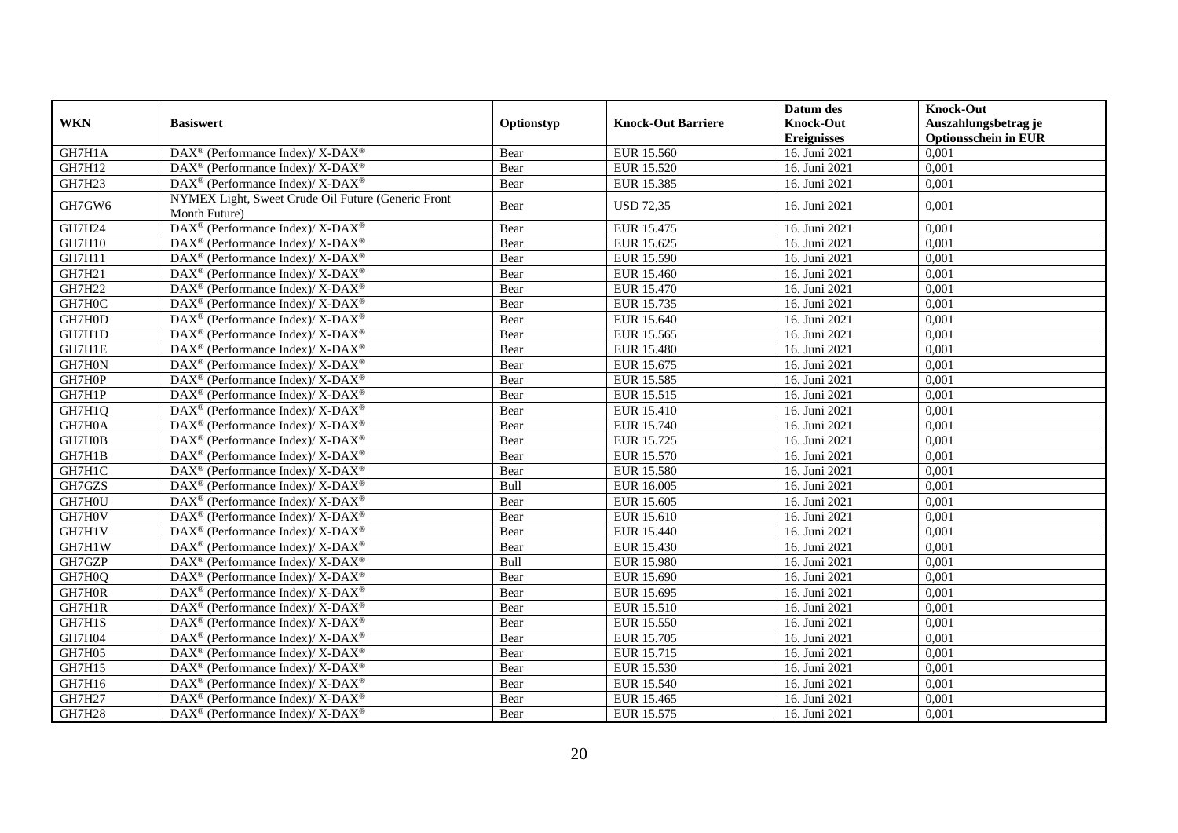|               |                                                                          |            |                           | Datum des          | <b>Knock-Out</b>            |
|---------------|--------------------------------------------------------------------------|------------|---------------------------|--------------------|-----------------------------|
| <b>WKN</b>    | <b>Basiswert</b>                                                         | Optionstyp | <b>Knock-Out Barriere</b> | <b>Knock-Out</b>   | Auszahlungsbetrag je        |
|               |                                                                          |            |                           | <b>Ereignisses</b> | <b>Optionsschein in EUR</b> |
| GH7H1A        | $\overline{\text{DAX}^{\otimes}}$ (Performance Index)/X-DAX <sup>®</sup> | Bear       | EUR 15.560                | 16. Juni 2021      | 0,001                       |
| GH7H12        | $DAX^{\circledcirc}$ (Performance Index)/X-DAX <sup>®</sup>              | Bear       | EUR 15.520                | 16. Juni 2021      | 0,001                       |
| GH7H23        | DAX <sup>®</sup> (Performance Index)/X-DAX <sup>®</sup>                  | Bear       | EUR 15.385                | 16. Juni 2021      | 0,001                       |
| GH7GW6        | NYMEX Light, Sweet Crude Oil Future (Generic Front                       | Bear       | <b>USD 72,35</b>          | 16. Juni 2021      | 0,001                       |
|               | Month Future)                                                            |            |                           |                    |                             |
| GH7H24        | DAX <sup>®</sup> (Performance Index)/X-DAX <sup>®</sup>                  | Bear       | EUR 15.475                | 16. Juni 2021      | 0,001                       |
| GH7H10        | DAX <sup>®</sup> (Performance Index)/X-DAX <sup>®</sup>                  | Bear       | EUR 15.625                | 16. Juni 2021      | 0,001                       |
| GH7H11        | $DAX^{\circledast}$ (Performance Index)/ X-DAX <sup>®</sup>              | Bear       | EUR 15.590                | 16. Juni 2021      | 0,001                       |
| GH7H21        | DAX <sup>®</sup> (Performance Index)/ X-DAX <sup>®</sup>                 | Bear       | EUR 15.460                | 16. Juni 2021      | 0,001                       |
| GH7H22        | DAX <sup>®</sup> (Performance Index)/X-DAX <sup>®</sup>                  | Bear       | EUR 15.470                | 16. Juni 2021      | 0,001                       |
| GH7H0C        | DAX <sup>®</sup> (Performance Index)/X-DAX <sup>®</sup>                  | Bear       | EUR 15.735                | 16. Juni 2021      | 0,001                       |
| GH7H0D        | DAX <sup>®</sup> (Performance Index)/ X-DAX <sup>®</sup>                 | Bear       | EUR 15.640                | 16. Juni 2021      | 0,001                       |
| GH7H1D        | DAX <sup>®</sup> (Performance Index)/ X-DAX <sup>®</sup>                 | Bear       | EUR 15.565                | 16. Juni 2021      | 0,001                       |
| GH7H1E        | DAX <sup>®</sup> (Performance Index)/ X-DAX <sup>®</sup>                 | Bear       | <b>EUR 15.480</b>         | 16. Juni 2021      | 0,001                       |
| GH7H0N        | DAX <sup>®</sup> (Performance Index)/ X-DAX <sup>®</sup>                 | Bear       | EUR 15.675                | 16. Juni 2021      | 0,001                       |
| GH7H0P        | $\text{DAX}^{\circledast}$ (Performance Index)/ X-DAX <sup>®</sup>       | Bear       | EUR 15.585                | 16. Juni 2021      | 0,001                       |
| GH7H1P        | DAX <sup>®</sup> (Performance Index)/ X-DAX <sup>®</sup>                 | Bear       | EUR 15.515                | 16. Juni 2021      | 0,001                       |
| GH7H1Q        | $DAX^{\circledast}$ (Performance Index)/ X-DAX <sup>®</sup>              | Bear       | <b>EUR 15.410</b>         | 16. Juni 2021      | 0,001                       |
| GH7H0A        | $DAX^{\circledast}$ (Performance Index)/ X-DAX <sup>®</sup>              | Bear       | EUR 15.740                | 16. Juni 2021      | 0,001                       |
| GH7H0B        | $DAX^{\circledast}$ (Performance Index)/ X-DAX <sup>®</sup>              | Bear       | EUR 15.725                | 16. Juni 2021      | 0,001                       |
| GH7H1B        | DAX <sup>®</sup> (Performance Index)/ X-DAX <sup>®</sup>                 | Bear       | EUR 15.570                | 16. Juni 2021      | 0,001                       |
| GH7H1C        | $DAX^{\circledast}$ (Performance Index)/ X-DAX <sup>®</sup>              | Bear       | <b>EUR 15.580</b>         | 16. Juni 2021      | 0,001                       |
| GH7GZS        | DAX <sup>®</sup> (Performance Index)/ X-DAX <sup>®</sup>                 | Bull       | EUR 16.005                | 16. Juni 2021      | 0,001                       |
| GH7H0U        | DAX <sup>®</sup> (Performance Index)/ X-DAX <sup>®</sup>                 | Bear       | EUR 15.605                | 16. Juni 2021      | 0,001                       |
| GH7H0V        | $DAX^{\circledast}$ (Performance Index)/ X-DAX <sup>®</sup>              | Bear       | EUR 15.610                | 16. Juni 2021      | 0,001                       |
| GH7H1V        | DAX <sup>®</sup> (Performance Index)/ X-DAX <sup>®</sup>                 | Bear       | <b>EUR 15.440</b>         | 16. Juni 2021      | 0,001                       |
| GH7H1W        | DAX <sup>®</sup> (Performance Index)/ X-DAX <sup>®</sup>                 | Bear       | <b>EUR 15.430</b>         | 16. Juni 2021      | 0,001                       |
| GH7GZP        | DAX <sup>®</sup> (Performance Index)/ X-DAX <sup>®</sup>                 | Bull       | <b>EUR 15.980</b>         | 16. Juni 2021      | 0,001                       |
| GH7H0Q        | $\text{DAX}^{\circledast}$ (Performance Index)/ X-DAX <sup>®</sup>       | Bear       | EUR 15.690                | 16. Juni 2021      | 0,001                       |
| GH7H0R        | DAX <sup>®</sup> (Performance Index)/ X-DAX <sup>®</sup>                 | Bear       | EUR 15.695                | 16. Juni 2021      | 0,001                       |
| GH7H1R        | $DAX^{\circledast}$ (Performance Index)/ X-DAX <sup>®</sup>              | Bear       | EUR 15.510                | 16. Juni 2021      | 0,001                       |
| GH7H1S        | DAX <sup>®</sup> (Performance Index)/ X-DAX <sup>®</sup>                 | Bear       | EUR 15.550                | 16. Juni 2021      | 0,001                       |
| GH7H04        | $DAX^{\circledast}$ (Performance Index)/ X-DAX <sup>®</sup>              | Bear       | EUR 15.705                | 16. Juni 2021      | 0,001                       |
| <b>GH7H05</b> | $\text{DAX}^{\circledast}$ (Performance Index)/ X-DAX <sup>®</sup>       | Bear       | EUR 15.715                | 16. Juni 2021      | 0,001                       |
| GH7H15        | DAX <sup>®</sup> (Performance Index)/ X-DAX <sup>®</sup>                 | Bear       | EUR 15.530                | 16. Juni 2021      | 0,001                       |
| GH7H16        | $DAX^{\circledast}$ (Performance Index)/ X-DAX <sup>®</sup>              | Bear       | EUR 15.540                | 16. Juni 2021      | 0,001                       |
| GH7H27        | DAX <sup>®</sup> (Performance Index)/ X-DAX <sup>®</sup>                 | Bear       | EUR 15.465                | 16. Juni 2021      | 0,001                       |
| <b>GH7H28</b> | DAX <sup>®</sup> (Performance Index)/X-DAX <sup>®</sup>                  | Bear       | EUR 15.575                | 16. Juni 2021      | 0,001                       |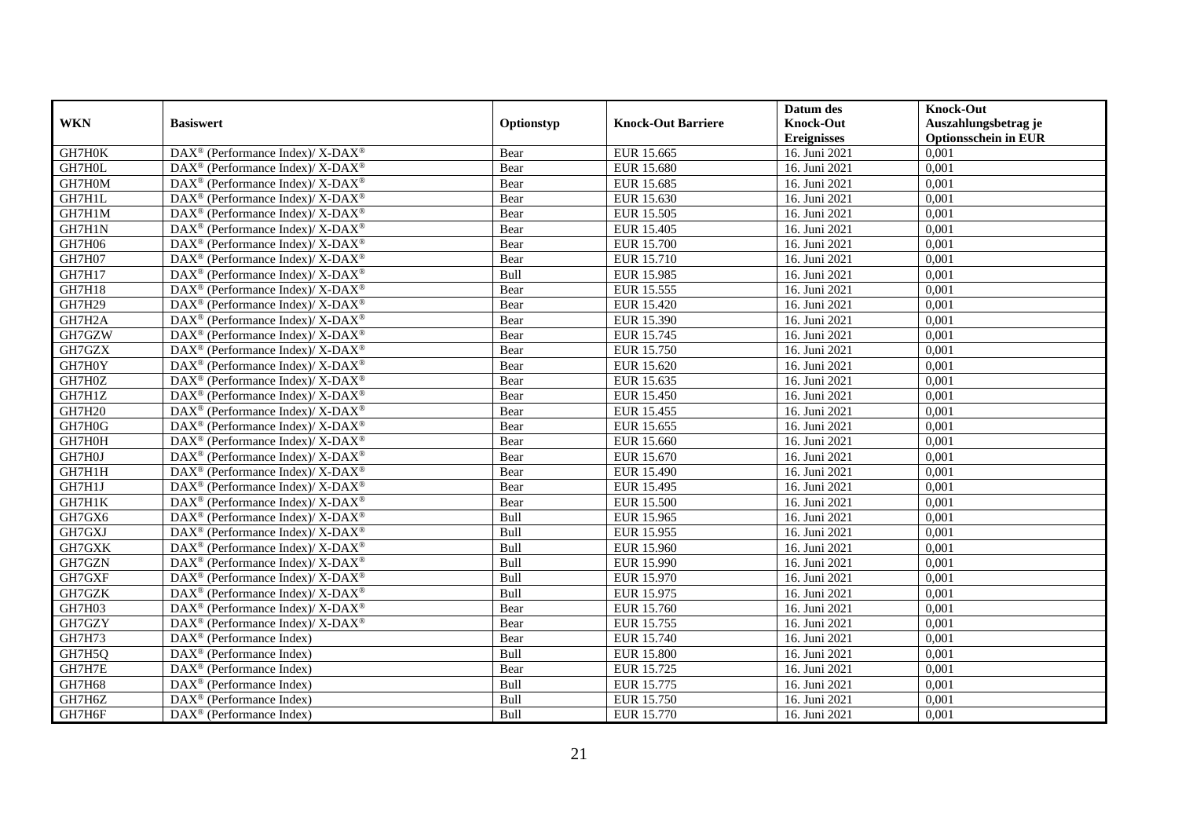|               |                                                             |            |                           | Datum des          | <b>Knock-Out</b>            |
|---------------|-------------------------------------------------------------|------------|---------------------------|--------------------|-----------------------------|
| <b>WKN</b>    | <b>Basiswert</b>                                            | Optionstyp | <b>Knock-Out Barriere</b> | <b>Knock-Out</b>   | Auszahlungsbetrag je        |
|               |                                                             |            |                           | <b>Ereignisses</b> | <b>Optionsschein in EUR</b> |
| GH7H0K        | DAX <sup>®</sup> (Performance Index)/X-DAX <sup>®</sup>     | Bear       | EUR 15.665                | 16. Juni 2021      | 0,001                       |
| GH7H0L        | $DAX^{\circledast}$ (Performance Index)/ X-DAX <sup>®</sup> | Bear       | <b>EUR 15.680</b>         | 16. Juni 2021      | 0,001                       |
| GH7H0M        | DAX <sup>®</sup> (Performance Index)/ X-DAX <sup>®</sup>    | Bear       | EUR 15.685                | 16. Juni 2021      | 0,001                       |
| GH7H1L        | $DAX^{\circledast}$ (Performance Index)/ X-DAX <sup>®</sup> | Bear       | EUR 15.630                | 16. Juni 2021      | 0,001                       |
| GH7H1M        | DAX <sup>®</sup> (Performance Index)/X-DAX <sup>®</sup>     | Bear       | <b>EUR 15.505</b>         | 16. Juni 2021      | 0,001                       |
| GH7H1N        | DAX <sup>®</sup> (Performance Index)/ X-DAX <sup>®</sup>    | Bear       | EUR 15.405                | 16. Juni 2021      | 0,001                       |
| GH7H06        | DAX <sup>®</sup> (Performance Index)/ X-DAX <sup>®</sup>    | Bear       | <b>EUR 15.700</b>         | 16. Juni 2021      | 0,001                       |
| <b>GH7H07</b> | $DAX^{\circledast}$ (Performance Index)/ X-DAX <sup>®</sup> | Bear       | EUR 15.710                | 16. Juni 2021      | 0,001                       |
| GH7H17        | $DAX^{\circledast}$ (Performance Index)/ X-DAX <sup>®</sup> | Bull       | <b>EUR 15.985</b>         | 16. Juni 2021      | 0,001                       |
| <b>GH7H18</b> | DAX <sup>®</sup> (Performance Index)/ X-DAX <sup>®</sup>    | Bear       | EUR 15.555                | 16. Juni 2021      | 0,001                       |
| <b>GH7H29</b> | DAX <sup>®</sup> (Performance Index)/ X-DAX <sup>®</sup>    | Bear       | <b>EUR 15.420</b>         | 16. Juni 2021      | 0,001                       |
| GH7H2A        | DAX <sup>®</sup> (Performance Index)/ X-DAX <sup>®</sup>    | Bear       | EUR 15.390                | 16. Juni 2021      | 0,001                       |
| GH7GZW        | $DAX^{\circledast}$ (Performance Index)/ X-DAX <sup>®</sup> | Bear       | EUR 15.745                | 16. Juni 2021      | 0,001                       |
| GH7GZX        | DAX <sup>®</sup> (Performance Index)/ X-DAX <sup>®</sup>    | Bear       | EUR 15.750                | 16. Juni 2021      | 0,001                       |
| GH7H0Y        | DAX <sup>®</sup> (Performance Index)/ X-DAX <sup>®</sup>    | Bear       | EUR 15.620                | 16. Juni 2021      | 0,001                       |
| GH7H0Z        | DAX <sup>®</sup> (Performance Index)/ X-DAX <sup>®</sup>    | Bear       | EUR 15.635                | 16. Juni 2021      | 0,001                       |
| GH7H1Z        | DAX <sup>®</sup> (Performance Index)/ X-DAX <sup>®</sup>    | Bear       | EUR 15.450                | 16. Juni 2021      | 0,001                       |
| <b>GH7H20</b> | $DAX^{\circledast}$ (Performance Index)/ X-DAX <sup>®</sup> | Bear       | EUR 15.455                | 16. Juni 2021      | 0,001                       |
| GH7H0G        | $DAX^{\circledast}$ (Performance Index)/ X-DAX <sup>®</sup> | Bear       | EUR 15.655                | 16. Juni 2021      | 0,001                       |
| GH7H0H        | DAX <sup>®</sup> (Performance Index)/ X-DAX <sup>®</sup>    | Bear       | EUR 15.660                | 16. Juni 2021      | 0,001                       |
| GH7H0J        | DAX <sup>®</sup> (Performance Index)/X-DAX <sup>®</sup>     | Bear       | EUR 15.670                | 16. Juni 2021      | 0,001                       |
| GH7H1H        | $DAX^{\circledast}$ (Performance Index)/ X-DAX <sup>®</sup> | Bear       | EUR 15.490                | 16. Juni 2021      | 0,001                       |
| GH7H1J        | DAX <sup>®</sup> (Performance Index)/ X-DAX <sup>®</sup>    | Bear       | EUR 15.495                | 16. Juni 2021      | 0,001                       |
| GH7H1K        | DAX <sup>®</sup> (Performance Index)/ X-DAX <sup>®</sup>    | Bear       | <b>EUR 15.500</b>         | 16. Juni 2021      | 0,001                       |
| GH7GX6        | DAX <sup>®</sup> (Performance Index)/X-DAX <sup>®</sup>     | Bull       | EUR 15.965                | 16. Juni 2021      | 0.001                       |
| GH7GXJ        | DAX <sup>®</sup> (Performance Index)/ X-DAX <sup>®</sup>    | Bull       | EUR 15.955                | 16. Juni 2021      | 0,001                       |
| GH7GXK        | DAX <sup>®</sup> (Performance Index)/ X-DAX <sup>®</sup>    | Bull       | <b>EUR 15.960</b>         | 16. Juni 2021      | 0,001                       |
| GH7GZN        | DAX <sup>®</sup> (Performance Index)/ X-DAX <sup>®</sup>    | Bull       | EUR 15.990                | 16. Juni 2021      | 0,001                       |
| GH7GXF        | DAX <sup>®</sup> (Performance Index)/ X-DAX <sup>®</sup>    | Bull       | EUR 15.970                | 16. Juni 2021      | 0,001                       |
| GH7GZK        | DAX <sup>®</sup> (Performance Index)/X-DAX <sup>®</sup>     | Bull       | EUR 15.975                | 16. Juni 2021      | 0,001                       |
| <b>GH7H03</b> | $DAX^{\circledast}$ (Performance Index)/ X-DAX <sup>®</sup> | Bear       | EUR 15.760                | 16. Juni 2021      | 0,001                       |
| GH7GZY        | DAX <sup>®</sup> (Performance Index)/X-DAX <sup>®</sup>     | Bear       | EUR 15.755                | 16. Juni 2021      | 0,001                       |
| <b>GH7H73</b> | $DAX^{\circledR}$ (Performance Index)                       | Bear       | EUR 15.740                | 16. Juni 2021      | 0,001                       |
| GH7H5Q        | $\overline{\text{DAX}}^{\textcirc}$ (Performance Index)     | Bull       | <b>EUR 15.800</b>         | 16. Juni 2021      | 0,001                       |
| GH7H7E        | $DAX^{\circledast}$ (Performance Index)                     | Bear       | EUR 15.725                | 16. Juni 2021      | 0,001                       |
| GH7H68        | $DAX^{\circledR}$ (Performance Index)                       | Bull       | EUR 15.775                | 16. Juni 2021      | 0,001                       |
| GH7H6Z        | DAX <sup>®</sup> (Performance Index)                        | Bull       | EUR 15.750                | 16. Juni 2021      | 0,001                       |
| GH7H6F        | $DAX^{\circledast}$ (Performance Index)                     | Bull       | EUR 15.770                | 16. Juni 2021      | 0,001                       |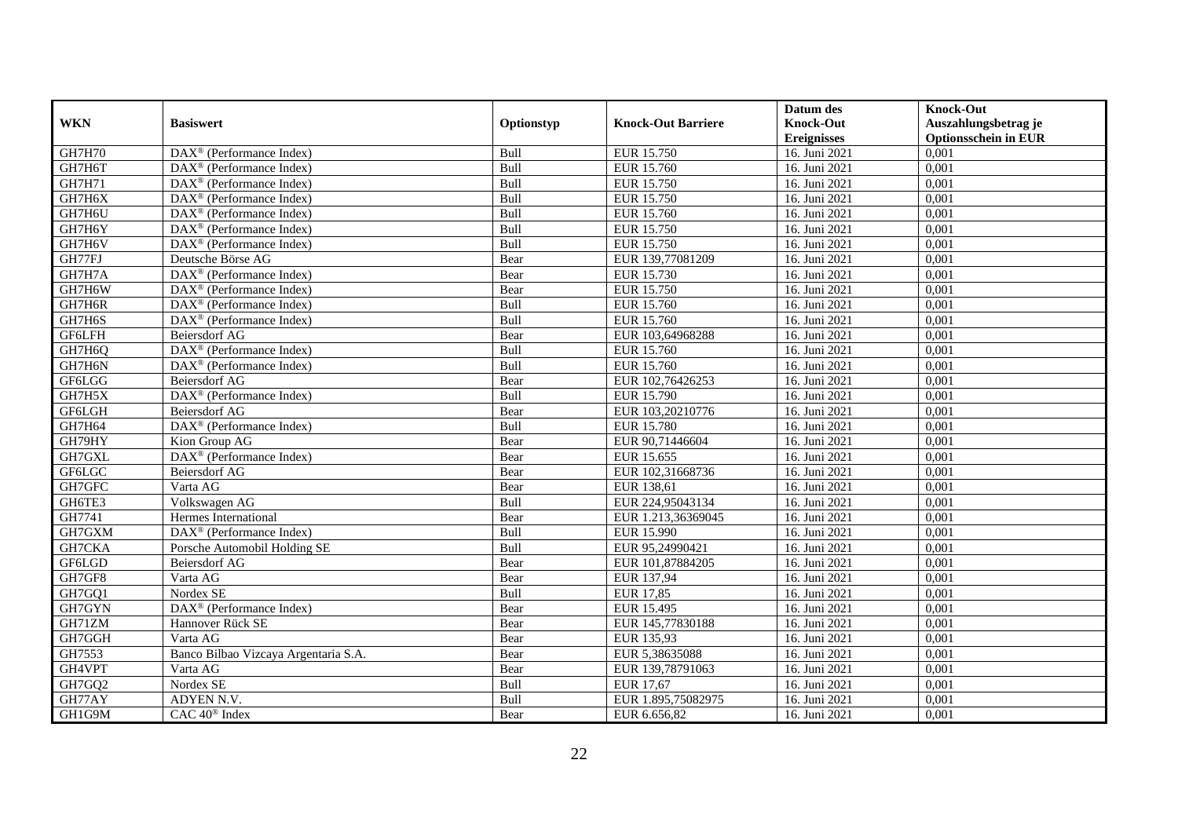|               |                                                         |            |                           | Datum des          | <b>Knock-Out</b>            |
|---------------|---------------------------------------------------------|------------|---------------------------|--------------------|-----------------------------|
| <b>WKN</b>    | <b>Basiswert</b>                                        | Optionstyp | <b>Knock-Out Barriere</b> | <b>Knock-Out</b>   | Auszahlungsbetrag je        |
|               |                                                         |            |                           | <b>Ereignisses</b> | <b>Optionsschein in EUR</b> |
| <b>GH7H70</b> | $\text{DAX}^{\textcircled{}}$ (Performance Index)       | Bull       | EUR 15.750                | 16. Juni 2021      | 0,001                       |
| GH7H6T        | $DAX^{\circledR}$ (Performance Index)                   | Bull       | EUR 15.760                | 16. Juni 2021      | 0,001                       |
| GH7H71        | $DAX^{\circledR}$ (Performance Index)                   | Bull       | EUR 15.750                | 16. Juni 2021      | 0,001                       |
| GH7H6X        | $DAX^{\circledast}$ (Performance Index)                 | Bull       | EUR 15.750                | 16. Juni 2021      | 0,001                       |
| GH7H6U        | DAX <sup>®</sup> (Performance Index)                    | Bull       | <b>EUR 15.760</b>         | 16. Juni 2021      | 0,001                       |
| GH7H6Y        | $\overline{\text{DAX}^{\otimes}}$ (Performance Index)   | Bull       | EUR 15.750                | 16. Juni 2021      | 0,001                       |
| GH7H6V        | DAX <sup>®</sup> (Performance Index)                    | Bull       | EUR 15.750                | 16. Juni 2021      | 0,001                       |
| GH77FJ        | Deutsche Börse AG                                       | Bear       | EUR 139,77081209          | 16. Juni 2021      | 0,001                       |
| GH7H7A        | $\text{DAX}^{\textcircled{}}$ (Performance Index)       | Bear       | EUR 15.730                | 16. Juni 2021      | 0,001                       |
| GH7H6W        | $DAX^{\circledR}$ (Performance Index)                   | Bear       | EUR 15.750                | 16. Juni 2021      | 0,001                       |
| GH7H6R        | $\overline{\text{DAX}^{\otimes}}$ (Performance Index)   | Bull       | EUR 15.760                | 16. Juni 2021      | 0,001                       |
| GH7H6S        | DAX <sup>®</sup> (Performance Index)                    | Bull       | <b>EUR 15.760</b>         | 16. Juni 2021      | 0,001                       |
| <b>GF6LFH</b> | <b>Beiersdorf AG</b>                                    | Bear       | EUR 103,64968288          | 16. Juni 2021      | 0,001                       |
| GH7H6Q        | DAX <sup>®</sup> (Performance Index)                    | Bull       | EUR 15.760                | 16. Juni 2021      | 0,001                       |
| GH7H6N        | DAX <sup>®</sup> (Performance Index)                    | Bull       | EUR 15.760                | 16. Juni 2021      | 0,001                       |
| GF6LGG        | <b>Beiersdorf AG</b>                                    | Bear       | EUR 102,76426253          | 16. Juni 2021      | 0,001                       |
| GH7H5X        | $\overline{\text{DAX}}^{\textcirc}$ (Performance Index) | Bull       | EUR 15.790                | 16. Juni 2021      | 0,001                       |
| GF6LGH        | Beiersdorf AG                                           | Bear       | EUR 103,20210776          | 16. Juni 2021      | 0,001                       |
| GH7H64        | DAX <sup>®</sup> (Performance Index)                    | Bull       | <b>EUR 15.780</b>         | 16. Juni 2021      | 0,001                       |
| GH79HY        | Kion Group AG                                           | Bear       | EUR 90,71446604           | 16. Juni 2021      | 0,001                       |
| GH7GXL        | DAX <sup>®</sup> (Performance Index)                    | Bear       | EUR 15.655                | 16. Juni 2021      | 0,001                       |
| <b>GF6LGC</b> | <b>Beiersdorf AG</b>                                    | Bear       | EUR 102,31668736          | 16. Juni 2021      | 0,001                       |
| GH7GFC        | Varta AG                                                | Bear       | EUR 138,61                | 16. Juni 2021      | 0,001                       |
| GH6TE3        | Volkswagen AG                                           | Bull       | EUR 224,95043134          | 16. Juni 2021      | 0,001                       |
| GH7741        | Hermes International                                    | Bear       | EUR 1.213,36369045        | 16. Juni 2021      | 0,001                       |
| GH7GXM        | DAX <sup>®</sup> (Performance Index)                    | Bull       | EUR 15.990                | 16. Juni 2021      | 0,001                       |
| GH7CKA        | Porsche Automobil Holding SE                            | Bull       | EUR 95,24990421           | 16. Juni 2021      | 0,001                       |
| GF6LGD        | <b>Beiersdorf AG</b>                                    | Bear       | EUR 101,87884205          | 16. Juni 2021      | 0,001                       |
| GH7GF8        | Varta AG                                                | Bear       | EUR 137,94                | 16. Juni 2021      | 0,001                       |
| GH7GQ1        | Nordex SE                                               | Bull       | <b>EUR 17,85</b>          | 16. Juni 2021      | 0,001                       |
| GH7GYN        | DAX <sup>®</sup> (Performance Index)                    | Bear       | EUR 15.495                | 16. Juni 2021      | 0,001                       |
| GH71ZM        | Hannover Rück SE                                        | Bear       | EUR 145,77830188          | 16. Juni 2021      | 0,001                       |
| GH7GGH        | Varta AG                                                | Bear       | EUR 135,93                | 16. Juni 2021      | 0,001                       |
| GH7553        | Banco Bilbao Vizcaya Argentaria S.A.                    | Bear       | EUR 5,38635088            | 16. Juni 2021      | 0,001                       |
| GH4VPT        | Varta AG                                                | Bear       | EUR 139,78791063          | 16. Juni 2021      | 0,001                       |
| GH7GQ2        | Nordex SE                                               | Bull       | EUR 17,67                 | 16. Juni 2021      | 0,001                       |
| GH77AY        | ADYEN N.V.                                              | Bull       | EUR 1.895,75082975        | 16. Juni 2021      | 0,001                       |
| GH1G9M        | CAC 40 <sup>®</sup> Index                               | Bear       | EUR 6.656,82              | 16. Juni 2021      | 0,001                       |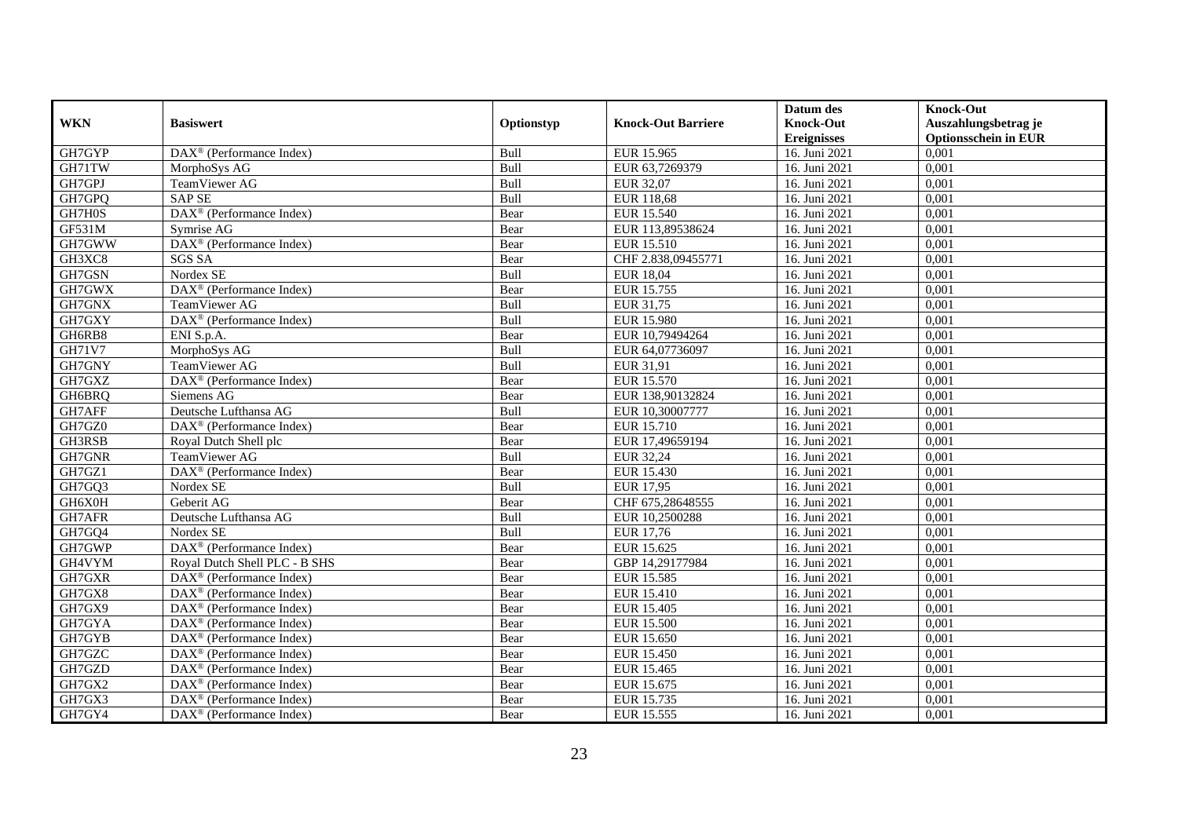|               |                                                                 |             |                           | Datum des          | <b>Knock-Out</b>            |
|---------------|-----------------------------------------------------------------|-------------|---------------------------|--------------------|-----------------------------|
| <b>WKN</b>    | <b>Basiswert</b>                                                | Optionstyp  | <b>Knock-Out Barriere</b> | <b>Knock-Out</b>   | Auszahlungsbetrag je        |
|               |                                                                 |             |                           | <b>Ereignisses</b> | <b>Optionsschein in EUR</b> |
| GH7GYP        | $\overline{\text{DAX}}^{\textcircled{}}$ (Performance Index)    | Bull        | EUR 15.965                | 16. Juni 2021      | 0,001                       |
| GH71TW        | MorphoSys AG                                                    | Bull        | EUR 63,7269379            | 16. Juni 2021      | 0,001                       |
| GH7GPJ        | <b>TeamViewer AG</b>                                            | Bull        | EUR 32,07                 | 16. Juni 2021      | 0,001                       |
| GH7GPQ        | <b>SAP SE</b>                                                   | Bull        | EUR 118,68                | 16. Juni 2021      | 0,001                       |
| GH7H0S        | DAX <sup>®</sup> (Performance Index)                            | Bear        | EUR 15.540                | 16. Juni 2021      | 0,001                       |
| <b>GF531M</b> | Symrise AG                                                      | Bear        | EUR 113,89538624          | 16. Juni 2021      | 0,001                       |
| GH7GWW        | $\overline{\text{DAX}}^{\textcirc}$ (Performance Index)         | Bear        | EUR 15.510                | 16. Juni 2021      | 0,001                       |
| GH3XC8        | <b>SGS SA</b>                                                   | Bear        | CHF 2.838,09455771        | 16. Juni 2021      | 0,001                       |
| GH7GSN        | Nordex SE                                                       | Bull        | <b>EUR 18,04</b>          | 16. Juni 2021      | 0,001                       |
| GH7GWX        | DAX <sup>®</sup> (Performance Index)                            | Bear        | EUR 15.755                | 16. Juni 2021      | 0,001                       |
| GH7GNX        | TeamViewer AG                                                   | Bull        | EUR 31,75                 | 16. Juni 2021      | 0,001                       |
| GH7GXY        | DAX <sup>®</sup> (Performance Index)                            | Bull        | <b>EUR 15.980</b>         | 16. Juni 2021      | 0,001                       |
| GH6RB8        | ENI S.p.A.                                                      | Bear        | EUR 10,79494264           | 16. Juni 2021      | 0,001                       |
| GH71V7        | MorphoSys AG                                                    | <b>Bull</b> | EUR 64,07736097           | 16. Juni 2021      | 0.001                       |
| GH7GNY        | TeamViewer AG                                                   | Bull        | EUR 31,91                 | 16. Juni 2021      | 0,001                       |
| GH7GXZ        | DAX <sup>®</sup> (Performance Index)                            | Bear        | EUR 15.570                | 16. Juni 2021      | 0,001                       |
| GH6BRQ        | Siemens AG                                                      | Bear        | EUR 138,90132824          | 16. Juni 2021      | 0,001                       |
| GH7AFF        | Deutsche Lufthansa AG                                           | Bull        | EUR 10,30007777           | 16. Juni 2021      | 0,001                       |
| GH7GZ0        | $\overline{\text{DAX}^{\circledast}(\text{Performance Index})}$ | Bear        | EUR 15.710                | 16. Juni 2021      | 0,001                       |
| GH3RSB        | Royal Dutch Shell plc                                           | Bear        | EUR 17,49659194           | 16. Juni 2021      | 0,001                       |
| GH7GNR        | TeamViewer AG                                                   | Bull        | EUR 32,24                 | 16. Juni 2021      | 0,001                       |
| GH7GZ1        | $\text{DAX}^{\textcircled{p}}$ (Performance Index)              | Bear        | EUR 15.430                | 16. Juni 2021      | 0,001                       |
| GH7GQ3        | Nordex SE                                                       | Bull        | <b>EUR 17,95</b>          | 16. Juni 2021      | 0,001                       |
| GH6X0H        | Geberit AG                                                      | Bear        | CHF 675,28648555          | 16. Juni 2021      | 0,001                       |
| GH7AFR        | Deutsche Lufthansa AG                                           | Bull        | EUR 10,2500288            | 16. Juni 2021      | 0,001                       |
| GH7GQ4        | Nordex SE                                                       | Bull        | EUR 17,76                 | 16. Juni 2021      | 0,001                       |
| GH7GWP        | DAX <sup>®</sup> (Performance Index)                            | Bear        | EUR 15.625                | 16. Juni 2021      | 0,001                       |
| GH4VYM        | Royal Dutch Shell PLC - B SHS                                   | Bear        | GBP 14,29177984           | 16. Juni 2021      | 0,001                       |
| GH7GXR        | $\text{DAX}^{\otimes}$ (Performance Index)                      | Bear        | EUR 15.585                | 16. Juni 2021      | 0,001                       |
| GH7GX8        | $\overline{\text{DAX}}^{\textcirc}$ (Performance Index)         | Bear        | <b>EUR 15.410</b>         | 16. Juni 2021      | 0,001                       |
| GH7GX9        | $DAX^{\otimes}$ (Performance Index)                             | Bear        | <b>EUR 15.405</b>         | 16. Juni 2021      | 0,001                       |
| GH7GYA        | DAX <sup>®</sup> (Performance Index)                            | Bear        | <b>EUR 15.500</b>         | 16. Juni 2021      | 0,001                       |
| GH7GYB        | $\text{DAX}^{\textcircled{D}}$ (Performance Index)              | Bear        | EUR 15.650                | 16. Juni 2021      | 0,001                       |
| GH7GZC        | $\overline{\text{DAX}}^{\textcirc}$ (Performance Index)         | Bear        | EUR 15.450                | 16. Juni 2021      | 0,001                       |
| GH7GZD        | $\text{DAX}^{\textcircled{n}}$ (Performance Index)              | Bear        | EUR 15.465                | 16. Juni 2021      | 0,001                       |
| GH7GX2        | DAX <sup>®</sup> (Performance Index)                            | Bear        | EUR 15.675                | 16. Juni 2021      | 0,001                       |
| GH7GX3        | $\text{DAX}^{\otimes}$ (Performance Index)                      | Bear        | EUR 15.735                | 16. Juni 2021      | 0,001                       |
| GH7GY4        | $\overline{\text{DAX}}^{\textcircled{}}$ (Performance Index)    | Bear        | EUR 15.555                | 16. Juni 2021      | 0,001                       |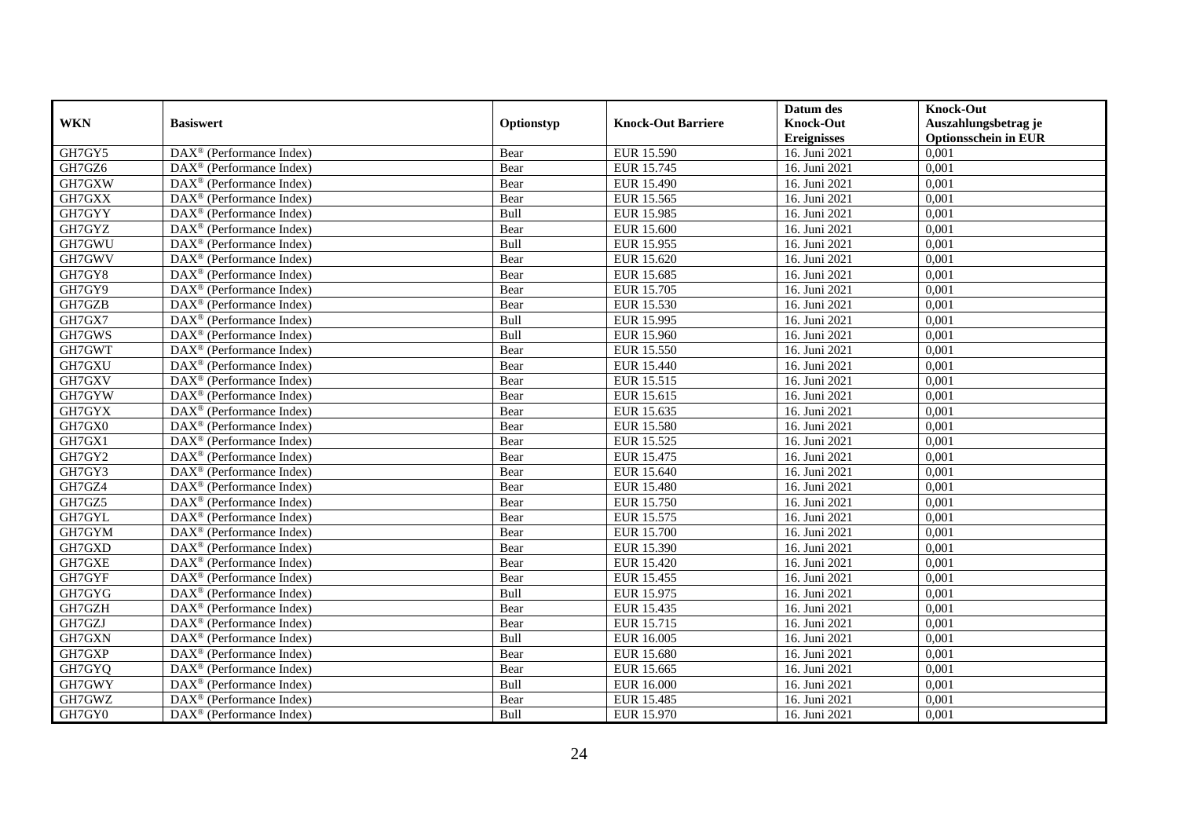|            |                                                         |            |                           | Datum des          | <b>Knock-Out</b>            |
|------------|---------------------------------------------------------|------------|---------------------------|--------------------|-----------------------------|
| <b>WKN</b> | <b>Basiswert</b>                                        | Optionstyp | <b>Knock-Out Barriere</b> | <b>Knock-Out</b>   | Auszahlungsbetrag je        |
|            |                                                         |            |                           | <b>Ereignisses</b> | <b>Optionsschein in EUR</b> |
| GH7GY5     | DAX <sup>®</sup> (Performance Index)                    | Bear       | EUR 15.590                | 16. Juni 2021      | 0,001                       |
| GH7GZ6     | $DAX^{\circledR}$ (Performance Index)                   | Bear       | EUR 15.745                | 16. Juni 2021      | 0,001                       |
| GH7GXW     | DAX <sup>®</sup> (Performance Index)                    | Bear       | EUR 15.490                | 16. Juni 2021      | 0,001                       |
| GH7GXX     | $\text{DAX}^{\circledast}$ (Performance Index)          | Bear       | EUR 15.565                | 16. Juni 2021      | 0,001                       |
| GH7GYY     | DAX <sup>®</sup> (Performance Index)                    | Bull       | EUR 15.985                | 16. Juni 2021      | 0,001                       |
| GH7GYZ     | $\text{DAX}^{\circledast}$ (Performance Index)          | Bear       | <b>EUR 15.600</b>         | 16. Juni 2021      | 0,001                       |
| GH7GWU     | $\text{DAX}^{\textcircled{n}}$ (Performance Index)      | Bull       | EUR 15.955                | 16. Juni 2021      | 0,001                       |
| GH7GWV     | $\text{DAX}^{\textcircled{}}$ (Performance Index)       | Bear       | EUR 15.620                | 16. Juni 2021      | 0,001                       |
| GH7GY8     | $\text{DAX}^{\textcircled{D}}$ (Performance Index)      | Bear       | EUR 15.685                | 16. Juni 2021      | 0,001                       |
| GH7GY9     | $DAX^{\otimes}$ (Performance Index)                     | Bear       | <b>EUR 15.705</b>         | 16. Juni 2021      | 0,001                       |
| GH7GZB     | DAX <sup>®</sup> (Performance Index)                    | Bear       | <b>EUR 15.530</b>         | 16. Juni 2021      | 0,001                       |
| GH7GX7     | $\overline{\text{DAX}^{\otimes}}$ (Performance Index)   | Bull       | EUR 15.995                | 16. Juni 2021      | 0,001                       |
| GH7GWS     | $\text{DAX}^{\circledast}$ (Performance Index)          | Bull       | EUR 15.960                | 16. Juni 2021      | 0,001                       |
| GH7GWT     | DAX <sup>®</sup> (Performance Index)                    | Bear       | EUR 15.550                | 16. Juni 2021      | 0,001                       |
| GH7GXU     | DAX <sup>®</sup> (Performance Index)                    | Bear       | EUR 15.440                | 16. Juni 2021      | 0,001                       |
| GH7GXV     | DAX <sup>®</sup> (Performance Index)                    | Bear       | EUR 15.515                | 16. Juni 2021      | 0,001                       |
| GH7GYW     | DAX <sup>®</sup> (Performance Index)                    | Bear       | EUR 15.615                | 16. Juni 2021      | 0,001                       |
| GH7GYX     | $\overline{\text{DAX}}^{\textcirc}$ (Performance Index) | Bear       | EUR 15.635                | 16. Juni 2021      | 0,001                       |
| GH7GX0     | DAX <sup>®</sup> (Performance Index)                    | Bear       | <b>EUR 15.580</b>         | 16. Juni 2021      | 0,001                       |
| GH7GX1     | DAX <sup>®</sup> (Performance Index)                    | Bear       | EUR 15.525                | 16. Juni 2021      | 0,001                       |
| GH7GY2     | DAX <sup>®</sup> (Performance Index)                    | Bear       | EUR 15.475                | 16. Juni 2021      | 0,001                       |
| GH7GY3     | $\overline{\text{DAX}^{\otimes}}$ (Performance Index)   | Bear       | EUR 15.640                | 16. Juni 2021      | 0,001                       |
| GH7GZ4     | $\text{DAX}^{\circledast}$ (Performance Index)          | Bear       | <b>EUR 15.480</b>         | 16. Juni 2021      | 0,001                       |
| GH7GZ5     | DAX <sup>®</sup> (Performance Index)                    | Bear       | <b>EUR 15.750</b>         | 16. Juni 2021      | 0,001                       |
| GH7GYL     | DAX <sup>®</sup> (Performance Index)                    | Bear       | EUR 15.575                | 16. Juni 2021      | 0,001                       |
| GH7GYM     | $\text{DAX}^{\otimes}$ (Performance Index)              | Bear       | <b>EUR 15.700</b>         | 16. Juni 2021      | 0,001                       |
| GH7GXD     | $\text{DAX}^{\circledast}$ (Performance Index)          | Bear       | EUR 15.390                | 16. Juni 2021      | 0,001                       |
| GH7GXE     | $\text{DAX}^{\textcircled{D}}$ (Performance Index)      | Bear       | EUR 15.420                | 16. Juni 2021      | 0,001                       |
| GH7GYF     | $\text{DAX}^{\textcircled{p}}$ (Performance Index)      | Bear       | EUR 15.455                | 16. Juni 2021      | 0,001                       |
| GH7GYG     | $DAX^{\circledcirc}$ (Performance Index)                | Bull       | EUR 15.975                | 16. Juni 2021      | 0,001                       |
| GH7GZH     | DAX <sup>®</sup> (Performance Index)                    | Bear       | EUR 15.435                | 16. Juni 2021      | 0,001                       |
| GH7GZJ     | DAX <sup>®</sup> (Performance Index)                    | Bear       | EUR 15.715                | 16. Juni 2021      | 0,001                       |
| GH7GXN     | $\overline{\text{DAX}^{\otimes}}$ (Performance Index)   | Bull       | EUR 16.005                | 16. Juni 2021      | 0,001                       |
| GH7GXP     | $\text{DAX}^{\circledast}$ (Performance Index)          | Bear       | <b>EUR 15.680</b>         | 16. Juni 2021      | 0,001                       |
| GH7GYQ     | DAX <sup>®</sup> (Performance Index)                    | Bear       | EUR 15.665                | 16. Juni 2021      | 0,001                       |
| GH7GWY     | $\text{DAX}^{\circledast}$ (Performance Index)          | Bull       | EUR 16.000                | 16. Juni 2021      | 0,001                       |
| GH7GWZ     | $\text{DAX}^{\otimes}$ (Performance Index)              | Bear       | EUR 15.485                | 16. Juni 2021      | 0,001                       |
| GH7GY0     | DAX <sup>®</sup> (Performance Index)                    | Bull       | EUR 15.970                | 16. Juni 2021      | 0,001                       |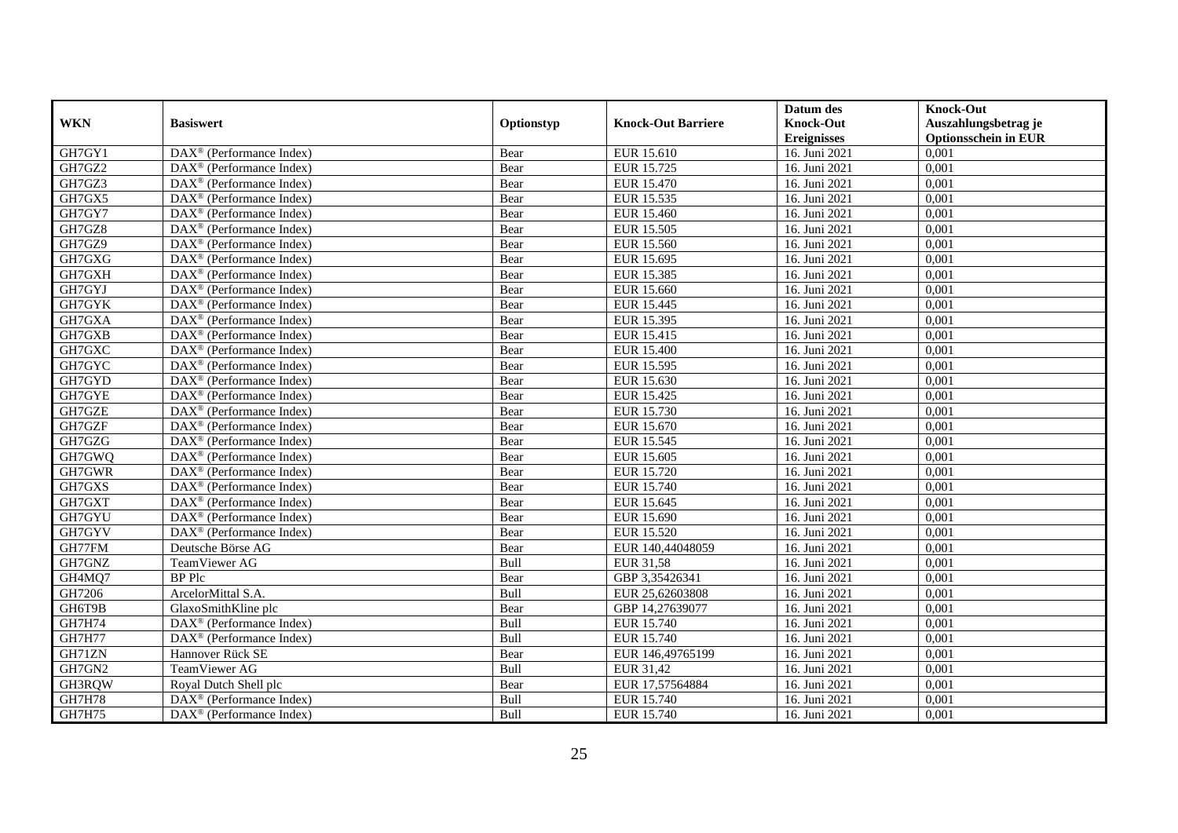|               |                                                              |            |                           | Datum des          | <b>Knock-Out</b>            |
|---------------|--------------------------------------------------------------|------------|---------------------------|--------------------|-----------------------------|
| <b>WKN</b>    | <b>Basiswert</b>                                             | Optionstyp | <b>Knock-Out Barriere</b> | <b>Knock-Out</b>   | Auszahlungsbetrag je        |
|               |                                                              |            |                           | <b>Ereignisses</b> | <b>Optionsschein in EUR</b> |
| GH7GY1        | $\overline{\text{DAX}^{\otimes}}$ (Performance Index)        | Bear       | EUR 15.610                | 16. Juni 2021      | 0,001                       |
| GH7GZ2        | $\text{DAX}^{\textcircled{p}}$ (Performance Index)           | Bear       | EUR 15.725                | 16. Juni 2021      | 0,001                       |
| GH7GZ3        | DAX <sup>®</sup> (Performance Index)                         | Bear       | EUR 15.470                | 16. Juni 2021      | 0,001                       |
| GH7GX5        | $\text{DAX}^{\circledast}$ (Performance Index)               | Bear       | EUR 15.535                | 16. Juni 2021      | 0,001                       |
| GH7GY7        | DAX <sup>®</sup> (Performance Index)                         | Bear       | EUR 15.460                | 16. Juni 2021      | 0,001                       |
| GH7GZ8        | $\text{DAX}^{\circledast}$ (Performance Index)               | Bear       | EUR 15.505                | 16. Juni 2021      | 0,001                       |
| GH7GZ9        | $\text{DAX}^{\textcircled{n}}$ (Performance Index)           | Bear       | EUR 15.560                | 16. Juni 2021      | 0,001                       |
| GH7GXG        | $\text{DAX}^{\textcircled{}}$ (Performance Index)            | Bear       | EUR 15.695                | 16. Juni 2021      | 0,001                       |
| GH7GXH        | $\text{DAX}^{\textcircled{p}}$ (Performance Index)           | Bear       | EUR 15.385                | 16. Juni 2021      | 0,001                       |
| GH7GYJ        | $DAX^{\otimes}$ (Performance Index)                          | Bear       | EUR 15.660                | 16. Juni 2021      | 0,001                       |
| GH7GYK        | $\overline{\text{DAX}}^{\textcircled{}}$ (Performance Index) | Bear       | EUR 15.445                | 16. Juni 2021      | 0,001                       |
| GH7GXA        | $\overline{\text{DAX}^{\otimes}}$ (Performance Index)        | Bear       | EUR 15.395                | 16. Juni 2021      | 0,001                       |
| GH7GXB        | $\text{DAX}^{\circledast}$ (Performance Index)               | Bear       | EUR 15.415                | 16. Juni 2021      | 0,001                       |
| GH7GXC        | DAX <sup>®</sup> (Performance Index)                         | Bear       | <b>EUR 15.400</b>         | 16. Juni 2021      | 0,001                       |
| GH7GYC        | DAX <sup>®</sup> (Performance Index)                         | Bear       | EUR 15.595                | 16. Juni 2021      | 0,001                       |
| GH7GYD        | DAX <sup>®</sup> (Performance Index)                         | Bear       | EUR 15.630                | 16. Juni 2021      | 0,001                       |
| GH7GYE        | DAX <sup>®</sup> (Performance Index)                         | Bear       | EUR 15.425                | 16. Juni 2021      | 0,001                       |
| GH7GZE        | $DAX^{\circledR}$ (Performance Index)                        | Bear       | EUR 15.730                | 16. Juni 2021      | 0,001                       |
| GH7GZF        | $\overline{\text{DAX}}^{\textcircled{}}$ (Performance Index) | Bear       | EUR 15.670                | 16. Juni 2021      | 0,001                       |
| GH7GZG        | DAX <sup>®</sup> (Performance Index)                         | Bear       | EUR 15.545                | 16. Juni 2021      | 0,001                       |
| GH7GWQ        | DAX <sup>®</sup> (Performance Index)                         | Bear       | EUR 15.605                | 16. Juni 2021      | 0,001                       |
| GH7GWR        | $\overline{\text{DAX}^{\otimes}}$ (Performance Index)        | Bear       | EUR 15.720                | 16. Juni 2021      | 0,001                       |
| GH7GXS        | $\overline{\text{DAX}}^{\textcirc}$ (Performance Index)      | Bear       | EUR 15.740                | 16. Juni 2021      | 0,001                       |
| GH7GXT        | DAX <sup>®</sup> (Performance Index)                         | Bear       | EUR 15.645                | 16. Juni 2021      | 0,001                       |
| GH7GYU        | DAX <sup>®</sup> (Performance Index)                         | Bear       | EUR 15.690                | 16. Juni 2021      | 0,001                       |
| GH7GYV        | $\text{DAX}^{\circledast}$ (Performance Index)               | Bear       | EUR 15.520                | 16. Juni 2021      | 0,001                       |
| GH77FM        | Deutsche Börse AG                                            | Bear       | EUR 140,44048059          | 16. Juni 2021      | 0,001                       |
| GH7GNZ        | TeamViewer AG                                                | Bull       | <b>EUR 31,58</b>          | 16. Juni 2021      | 0,001                       |
| GH4MQ7        | <b>BP</b> Plc                                                | Bear       | GBP 3,35426341            | 16. Juni 2021      | 0,001                       |
| GH7206        | ArcelorMittal S.A.                                           | Bull       | EUR 25,62603808           | 16. Juni 2021      | 0,001                       |
| GH6T9B        | GlaxoSmithKline plc                                          | Bear       | GBP 14,27639077           | 16. Juni 2021      | 0,001                       |
| GH7H74        | $\text{DAX}^{\otimes}$ (Performance Index)                   | Bull       | EUR 15.740                | 16. Juni 2021      | 0,001                       |
| <b>GH7H77</b> | DAX <sup>®</sup> (Performance Index)                         | Bull       | EUR 15.740                | 16. Juni 2021      | 0,001                       |
| GH71ZN        | Hannover Rück SE                                             | Bear       | EUR 146,49765199          | 16. Juni 2021      | 0,001                       |
| GH7GN2        | TeamViewer AG                                                | Bull       | EUR 31,42                 | 16. Juni 2021      | 0,001                       |
| GH3RQW        | Royal Dutch Shell plc                                        | Bear       | EUR 17,57564884           | 16. Juni 2021      | 0,001                       |
| <b>GH7H78</b> | DAX <sup>®</sup> (Performance Index)                         | Bull       | EUR 15.740                | 16. Juni 2021      | 0,001                       |
| GH7H75        | $\overline{\text{DAX}}^{\textcirc}$ (Performance Index)      | Bull       | EUR 15.740                | 16. Juni 2021      | 0,001                       |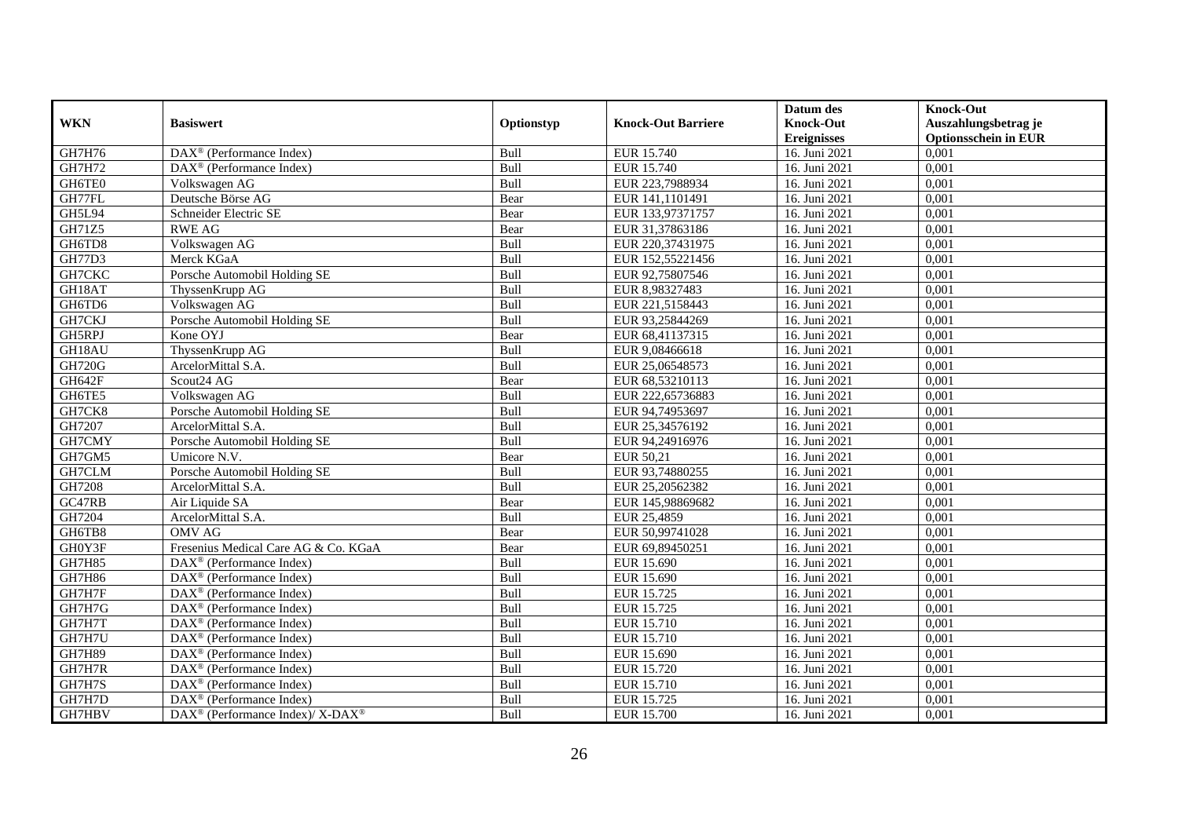| <b>WKN</b>    | <b>Basiswert</b>                                            | Optionstyp | <b>Knock-Out Barriere</b> | Datum des<br><b>Knock-Out</b> | <b>Knock-Out</b><br>Auszahlungsbetrag je |
|---------------|-------------------------------------------------------------|------------|---------------------------|-------------------------------|------------------------------------------|
|               |                                                             |            |                           | <b>Ereignisses</b>            | <b>Optionsschein in EUR</b>              |
| GH7H76        | $\overline{\text{DAX}^{\otimes}}$ (Performance Index)       | Bull       | EUR 15.740                | 16. Juni 2021                 | 0,001                                    |
| GH7H72        | $\overline{\text{DAX}}^{\textcirc}$ (Performance Index)     | Bull       | EUR 15.740                | $\overline{16}$ . Juni 2021   | 0,001                                    |
| GH6TE0        | Volkswagen AG                                               | Bull       | EUR 223,7988934           | 16. Juni 2021                 | 0,001                                    |
| GH77FL        | Deutsche Börse AG                                           | Bear       | EUR 141,1101491           | 16. Juni 2021                 | 0,001                                    |
| GH5L94        | Schneider Electric SE                                       | Bear       | EUR 133,97371757          | 16. Juni 2021                 | 0,001                                    |
| GH71Z5        | <b>RWE AG</b>                                               | Bear       | EUR 31,37863186           | 16. Juni 2021                 | 0,001                                    |
| GH6TD8        | Volkswagen AG                                               | Bull       | EUR 220,37431975          | 16. Juni 2021                 | 0,001                                    |
| <b>GH77D3</b> | Merck KGaA                                                  | Bull       | EUR 152,55221456          | 16. Juni 2021                 | 0,001                                    |
| GH7CKC        | Porsche Automobil Holding SE                                | Bull       | EUR 92,75807546           | 16. Juni 2021                 | 0,001                                    |
| GH18AT        | ThyssenKrupp AG                                             | Bull       | EUR 8,98327483            | 16. Juni 2021                 | 0,001                                    |
| GH6TD6        | Volkswagen AG                                               | Bull       | EUR 221,5158443           | 16. Juni 2021                 | 0,001                                    |
| GH7CKJ        | Porsche Automobil Holding SE                                | Bull       | EUR 93,25844269           | 16. Juni 2021                 | 0,001                                    |
| GH5RPJ        | Kone OYJ                                                    | Bear       | EUR 68,41137315           | 16. Juni 2021                 | 0,001                                    |
| GH18AU        | ThyssenKrupp AG                                             | Bull       | EUR 9,08466618            | 16. Juni 2021                 | 0,001                                    |
| <b>GH720G</b> | ArcelorMittal S.A.                                          | Bull       | EUR 25,06548573           | 16. Juni 2021                 | 0,001                                    |
| GH642F        | Scout24 AG                                                  | Bear       | EUR 68,53210113           | 16. Juni 2021                 | 0,001                                    |
| GH6TE5        | Volkswagen AG                                               | Bull       | EUR 222,65736883          | 16. Juni 2021                 | 0,001                                    |
| GH7CK8        | Porsche Automobil Holding SE                                | Bull       | EUR 94,74953697           | 16. Juni 2021                 | 0,001                                    |
| GH7207        | ArcelorMittal S.A.                                          | Bull       | EUR 25,34576192           | 16. Juni 2021                 | 0,001                                    |
| GH7CMY        | Porsche Automobil Holding SE                                | Bull       | EUR 94,24916976           | 16. Juni 2021                 | 0,001                                    |
| GH7GM5        | Umicore N.V.                                                | Bear       | EUR 50,21                 | 16. Juni 2021                 | 0,001                                    |
| GH7CLM        | Porsche Automobil Holding SE                                | Bull       | EUR 93,74880255           | 16. Juni 2021                 | 0,001                                    |
| GH7208        | ArcelorMittal S.A.                                          | Bull       | EUR 25,20562382           | 16. Juni 2021                 | 0,001                                    |
| GC47RB        | Air Liquide SA                                              | Bear       | EUR 145,98869682          | 16. Juni 2021                 | 0,001                                    |
| GH7204        | ArcelorMittal S.A.                                          | Bull       | EUR 25,4859               | 16. Juni 2021                 | 0,001                                    |
| GH6TB8        | <b>OMV AG</b>                                               | Bear       | EUR 50,99741028           | 16. Juni 2021                 | 0,001                                    |
| GH0Y3F        | Fresenius Medical Care AG & Co. KGaA                        | Bear       | EUR 69,89450251           | 16. Juni 2021                 | 0,001                                    |
| <b>GH7H85</b> | $\overline{\text{DAX}^{\otimes}}$ (Performance Index)       | Bull       | EUR 15.690                | 16. Juni 2021                 | 0,001                                    |
| GH7H86        | DAX <sup>®</sup> (Performance Index)                        | Bull       | EUR 15.690                | 16. Juni 2021                 | 0,001                                    |
| GH7H7F        | $DAX^{\circledcirc}$ (Performance Index)                    | Bull       | EUR 15.725                | 16. Juni 2021                 | 0.001                                    |
| GH7H7G        | $DAX^{\circledR}$ (Performance Index)                       | Bull       | EUR 15.725                | 16. Juni 2021                 | 0,001                                    |
| GH7H7T        | DAX <sup>®</sup> (Performance Index)                        | Bull       | <b>EUR 15.710</b>         | 16. Juni 2021                 | 0,001                                    |
| GH7H7U        | $\overline{\text{DAX}^{\otimes}}$ (Performance Index)       | Bull       | EUR 15.710                | 16. Juni 2021                 | 0,001                                    |
| <b>GH7H89</b> | $\overline{\text{DAX}^{\otimes}}$ (Performance Index)       | Bull       | EUR 15.690                | 16. Juni 2021                 | 0,001                                    |
| GH7H7R        | DAX <sup>®</sup> (Performance Index)                        | Bull       | EUR 15.720                | 16. Juni 2021                 | 0,001                                    |
| GH7H7S        | DAX <sup>®</sup> (Performance Index)                        | Bull       | EUR 15.710                | 16. Juni 2021                 | 0,001                                    |
| GH7H7D        | DAX <sup>®</sup> (Performance Index)                        | Bull       | EUR 15.725                | 16. Juni 2021                 | 0,001                                    |
| GH7HBV        | $DAX^{\circledast}$ (Performance Index)/ X-DAX <sup>®</sup> | Bull       | <b>EUR 15.700</b>         | 16. Juni 2021                 | 0,001                                    |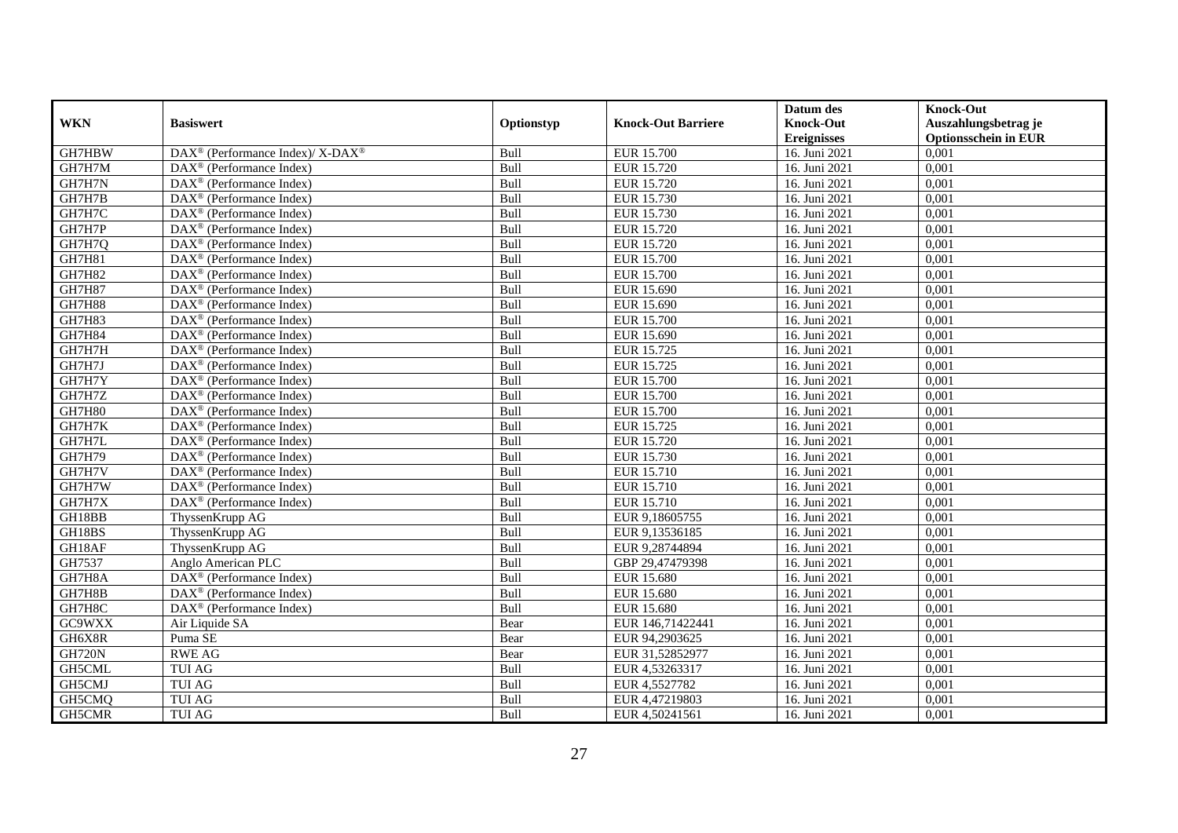|               |                                                              |            |                           | Datum des          | <b>Knock-Out</b>            |
|---------------|--------------------------------------------------------------|------------|---------------------------|--------------------|-----------------------------|
| <b>WKN</b>    | <b>Basiswert</b>                                             | Optionstyp | <b>Knock-Out Barriere</b> | <b>Knock-Out</b>   | Auszahlungsbetrag je        |
|               |                                                              |            |                           | <b>Ereignisses</b> | <b>Optionsschein in EUR</b> |
| GH7HBW        | DAX <sup>®</sup> (Performance Index)/X-DAX <sup>®</sup>      | Bull       | EUR 15.700                | 16. Juni 2021      | 0,001                       |
| GH7H7M        | $\text{DAX}^{\circledast}$ (Performance Index)               | Bull       | EUR 15.720                | 16. Juni 2021      | 0,001                       |
| GH7H7N        | DAX <sup>®</sup> (Performance Index)                         | Bull       | EUR 15.720                | 16. Juni 2021      | 0,001                       |
| GH7H7B        | $\text{DAX}^{\otimes}$ (Performance Index)                   | Bull       | EUR 15.730                | 16. Juni 2021      | 0,001                       |
| GH7H7C        | DAX <sup>®</sup> (Performance Index)                         | Bull       | EUR 15.730                | 16. Juni 2021      | 0,001                       |
| GH7H7P        | $\text{DAX}^{\textcircled{p}}$ (Performance Index)           | Bull       | <b>EUR 15.720</b>         | 16. Juni 2021      | 0,001                       |
| GH7H7Q        | $\overline{\text{DAX}^{\otimes}}$ (Performance Index)        | Bull       | EUR 15.720                | 16. Juni 2021      | 0,001                       |
| GH7H81        | $\overline{\text{DAX}}^{\textcircled{}}$ (Performance Index) | Bull       | <b>EUR 15.700</b>         | 16. Juni 2021      | 0,001                       |
| GH7H82        | $\text{DAX}^{\textcircled{n}}$ (Performance Index)           | Bull       | <b>EUR 15.700</b>         | 16. Juni 2021      | 0,001                       |
| GH7H87        | $\text{DAX}^{\otimes}$ (Performance Index)                   | Bull       | EUR 15.690                | 16. Juni 2021      | 0,001                       |
| <b>GH7H88</b> | $\overline{\text{DAX}}^{\textcircled{}}$ (Performance Index) | Bull       | EUR 15.690                | 16. Juni 2021      | 0,001                       |
| <b>GH7H83</b> | DAX <sup>®</sup> (Performance Index)                         | Bull       | <b>EUR 15.700</b>         | 16. Juni 2021      | 0,001                       |
| <b>GH7H84</b> | DAX <sup>®</sup> (Performance Index)                         | Bull       | EUR 15.690                | 16. Juni 2021      | 0,001                       |
| GH7H7H        | $\text{DAX}^{\textcircled{D}}$ (Performance Index)           | Bull       | EUR 15.725                | 16. Juni 2021      | 0,001                       |
| GH7H7J        | $\text{DAX}^{\otimes}$ (Performance Index)                   | Bull       | EUR 15.725                | 16. Juni 2021      | 0,001                       |
| GH7H7Y        | $\overline{\text{DAX}}^{\textcircled{}}$ (Performance Index) | Bull       | <b>EUR 15.700</b>         | 16. Juni 2021      | 0,001                       |
| GH7H7Z        | DAX <sup>®</sup> (Performance Index)                         | Bull       | <b>EUR 15.700</b>         | 16. Juni 2021      | 0,001                       |
| <b>GH7H80</b> | $\overline{\text{DAX}}^{\textcirc}$ (Performance Index)      | Bull       | EUR 15.700                | 16. Juni 2021      | 0,001                       |
| GH7H7K        | $\overline{\text{DAX}}^{\textcirc}$ (Performance Index)      | Bull       | EUR 15.725                | 16. Juni 2021      | 0,001                       |
| GH7H7L        | DAX <sup>®</sup> (Performance Index)                         | Bull       | EUR 15.720                | 16. Juni 2021      | 0,001                       |
| <b>GH7H79</b> | DAX <sup>®</sup> (Performance Index)                         | Bull       | EUR 15.730                | 16. Juni 2021      | 0,001                       |
| GH7H7V        | $\overline{\text{DAX}^{\otimes}}$ (Performance Index)        | Bull       | <b>EUR 15.710</b>         | 16. Juni 2021      | 0,001                       |
| GH7H7W        | DAX <sup>®</sup> (Performance Index)                         | Bull       | EUR 15.710                | 16. Juni 2021      | 0,001                       |
| GH7H7X        | DAX <sup>®</sup> (Performance Index)                         | Bull       | EUR 15.710                | 16. Juni 2021      | 0,001                       |
| GH18BB        | ThyssenKrupp AG                                              | Bull       | EUR 9,18605755            | 16. Juni 2021      | 0.001                       |
| GH18BS        | ThyssenKrupp AG                                              | Bull       | EUR 9,13536185            | 16. Juni 2021      | 0,001                       |
| GH18AF        | ThyssenKrupp AG                                              | Bull       | EUR 9,28744894            | 16. Juni 2021      | 0,001                       |
| GH7537        | Anglo American PLC                                           | Bull       | GBP 29,47479398           | 16. Juni 2021      | 0,001                       |
| GH7H8A        | DAX <sup>®</sup> (Performance Index)                         | Bull       | <b>EUR 15.680</b>         | 16. Juni 2021      | 0,001                       |
| GH7H8B        | $\text{DAX}^{\otimes}$ (Performance Index)                   | Bull       | <b>EUR 15.680</b>         | 16. Juni 2021      | 0,001                       |
| GH7H8C        | DAX <sup>®</sup> (Performance Index)                         | Bull       | <b>EUR 15.680</b>         | 16. Juni 2021      | 0,001                       |
| GC9WXX        | Air Liquide SA                                               | Bear       | EUR 146,71422441          | 16. Juni 2021      | 0,001                       |
| GH6X8R        | Puma SE                                                      | Bear       | EUR 94,2903625            | 16. Juni 2021      | 0,001                       |
| <b>GH720N</b> | <b>RWE AG</b>                                                | Bear       | EUR 31,52852977           | 16. Juni 2021      | 0,001                       |
| GH5CML        | <b>TUI AG</b>                                                | Bull       | EUR 4,53263317            | 16. Juni 2021      | 0,001                       |
| GH5CMJ        | <b>TUI AG</b>                                                | Bull       | EUR 4,5527782             | 16. Juni 2021      | 0,001                       |
| GH5CMQ        | <b>TUI AG</b>                                                | Bull       | EUR 4,47219803            | 16. Juni 2021      | 0,001                       |
| GH5CMR        | <b>TUI AG</b>                                                | Bull       | EUR 4,50241561            | 16. Juni 2021      | 0,001                       |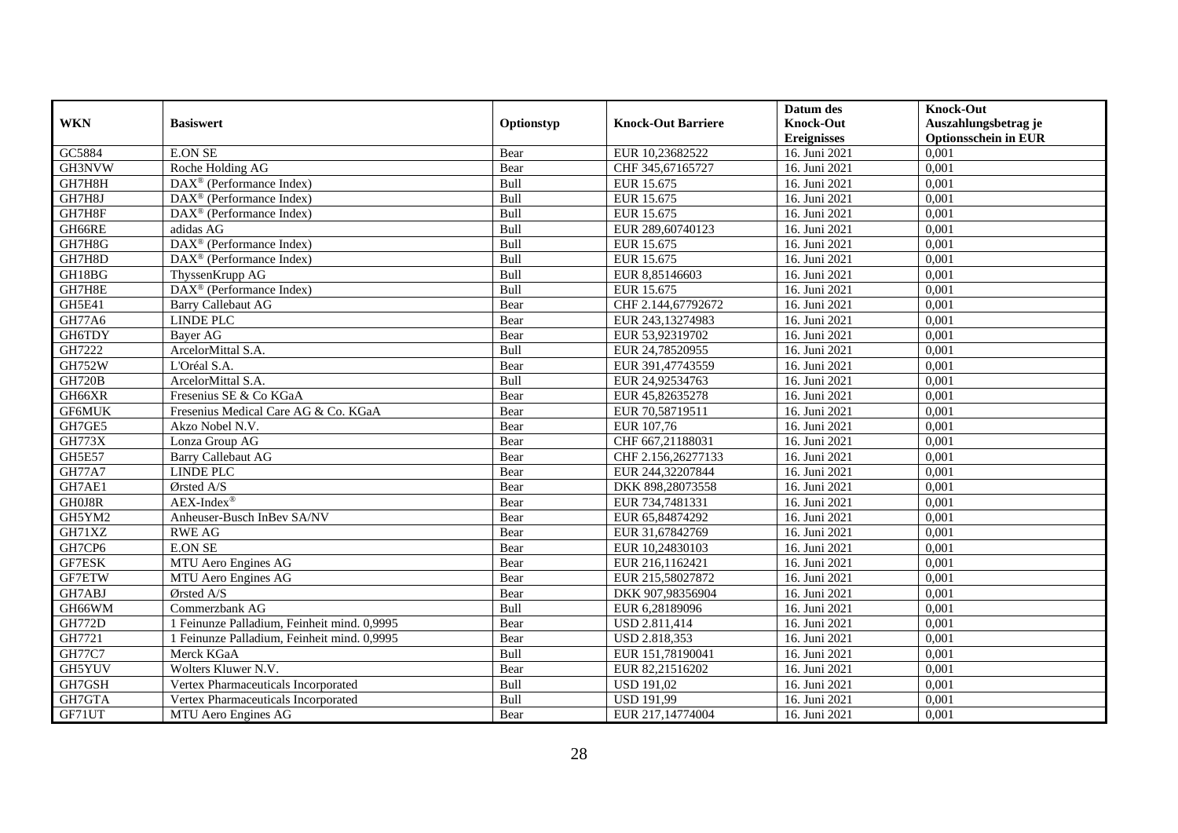|               |                                             |            |                           | Datum des          | <b>Knock-Out</b>            |
|---------------|---------------------------------------------|------------|---------------------------|--------------------|-----------------------------|
| <b>WKN</b>    | <b>Basiswert</b>                            | Optionstyp | <b>Knock-Out Barriere</b> | <b>Knock-Out</b>   | Auszahlungsbetrag je        |
|               |                                             |            |                           | <b>Ereignisses</b> | <b>Optionsschein in EUR</b> |
| GC5884        | <b>E.ON SE</b>                              | Bear       | EUR 10,23682522           | 16. Juni 2021      | 0,001                       |
| GH3NVW        | Roche Holding AG                            | Bear       | CHF 345,67165727          | 16. Juni 2021      | 0,001                       |
| GH7H8H        | $DAX^{\circledast}$ (Performance Index)     | Bull       | EUR 15.675                | 16. Juni 2021      | 0,001                       |
| GH7H8J        | $DAX^{\circledast}$ (Performance Index)     | Bull       | EUR 15.675                | 16. Juni 2021      | 0,001                       |
| GH7H8F        | DAX <sup>®</sup> (Performance Index)        | Bull       | EUR 15.675                | 16. Juni 2021      | 0,001                       |
| GH66RE        | adidas AG                                   | Bull       | EUR 289,60740123          | 16. Juni 2021      | 0,001                       |
| GH7H8G        | DAX <sup>®</sup> (Performance Index)        | Bull       | EUR 15.675                | 16. Juni 2021      | 0,001                       |
| GH7H8D        | $DAX^{\circledR}$ (Performance Index)       | Bull       | EUR 15.675                | 16. Juni 2021      | 0,001                       |
| GH18BG        | ThyssenKrupp AG                             | Bull       | EUR 8,85146603            | 16. Juni 2021      | 0,001                       |
| GH7H8E        | DAX <sup>®</sup> (Performance Index)        | Bull       | EUR 15.675                | 16. Juni 2021      | 0,001                       |
| GH5E41        | <b>Barry Callebaut AG</b>                   | Bear       | CHF 2.144,67792672        | 16. Juni 2021      | 0,001                       |
| GH77A6        | <b>LINDE PLC</b>                            | Bear       | EUR 243,13274983          | 16. Juni 2021      | 0,001                       |
| GH6TDY        | Bayer AG                                    | Bear       | EUR 53,92319702           | 16. Juni 2021      | 0,001                       |
| GH7222        | ArcelorMittal S.A.                          | Bull       | EUR 24,78520955           | 16. Juni 2021      | 0,001                       |
| GH752W        | L'Oréal S.A.                                | Bear       | EUR 391,47743559          | 16. Juni 2021      | 0,001                       |
| <b>GH720B</b> | ArcelorMittal S.A.                          | Bull       | EUR 24,92534763           | 16. Juni 2021      | 0,001                       |
| GH66XR        | Fresenius SE & Co KGaA                      | Bear       | EUR 45,82635278           | 16. Juni 2021      | 0,001                       |
| <b>GF6MUK</b> | Fresenius Medical Care AG & Co. KGaA        | Bear       | EUR 70.58719511           | 16. Juni 2021      | 0,001                       |
| GH7GE5        | Akzo Nobel N.V.                             | Bear       | EUR 107,76                | 16. Juni 2021      | 0,001                       |
| <b>GH773X</b> | Lonza Group AG                              | Bear       | CHF 667,21188031          | 16. Juni 2021      | 0,001                       |
| GH5E57        | <b>Barry Callebaut AG</b>                   | Bear       | CHF 2.156,26277133        | 16. Juni 2021      | 0,001                       |
| <b>GH77A7</b> | <b>LINDE PLC</b>                            | Bear       | EUR 244,32207844          | 16. Juni 2021      | 0,001                       |
| GH7AE1        | Ørsted A/S                                  | Bear       | DKK 898,28073558          | 16. Juni 2021      | 0,001                       |
| GH0J8R        | $AEX-Index^{\circledR}$                     | Bear       | EUR 734,7481331           | 16. Juni 2021      | 0,001                       |
| GH5YM2        | Anheuser-Busch InBev SA/NV                  | Bear       | EUR 65,84874292           | 16. Juni 2021      | 0,001                       |
| GH71XZ        | <b>RWE AG</b>                               | Bear       | EUR 31,67842769           | 16. Juni 2021      | 0,001                       |
| GH7CP6        | <b>E.ON SE</b>                              | Bear       | EUR 10,24830103           | 16. Juni 2021      | 0,001                       |
| GF7ESK        | MTU Aero Engines AG                         | Bear       | EUR 216,1162421           | 16. Juni 2021      | 0.001                       |
| GF7ETW        | MTU Aero Engines AG                         | Bear       | EUR 215,58027872          | 16. Juni 2021      | 0,001                       |
| GH7ABJ        | Ørsted A/S                                  | Bear       | DKK 907,98356904          | 16. Juni 2021      | 0,001                       |
| GH66WM        | Commerzbank AG                              | Bull       | EUR 6,28189096            | 16. Juni 2021      | 0,001                       |
| <b>GH772D</b> | 1 Feinunze Palladium, Feinheit mind. 0,9995 | Bear       | USD 2.811,414             | 16. Juni 2021      | 0,001                       |
| GH7721        | 1 Feinunze Palladium, Feinheit mind. 0,9995 | Bear       | USD 2.818,353             | 16. Juni 2021      | 0,001                       |
| <b>GH77C7</b> | Merck KGaA                                  | Bull       | EUR 151,78190041          | 16. Juni 2021      | 0,001                       |
| GH5YUV        | Wolters Kluwer N.V.                         | Bear       | EUR 82,21516202           | 16. Juni 2021      | 0,001                       |
| GH7GSH        | Vertex Pharmaceuticals Incorporated         | Bull       | <b>USD 191,02</b>         | 16. Juni 2021      | 0,001                       |
| GH7GTA        | Vertex Pharmaceuticals Incorporated         | Bull       | <b>USD 191,99</b>         | 16. Juni 2021      | 0,001                       |
| GF71UT        | MTU Aero Engines AG                         | Bear       | EUR 217,14774004          | 16. Juni 2021      | 0,001                       |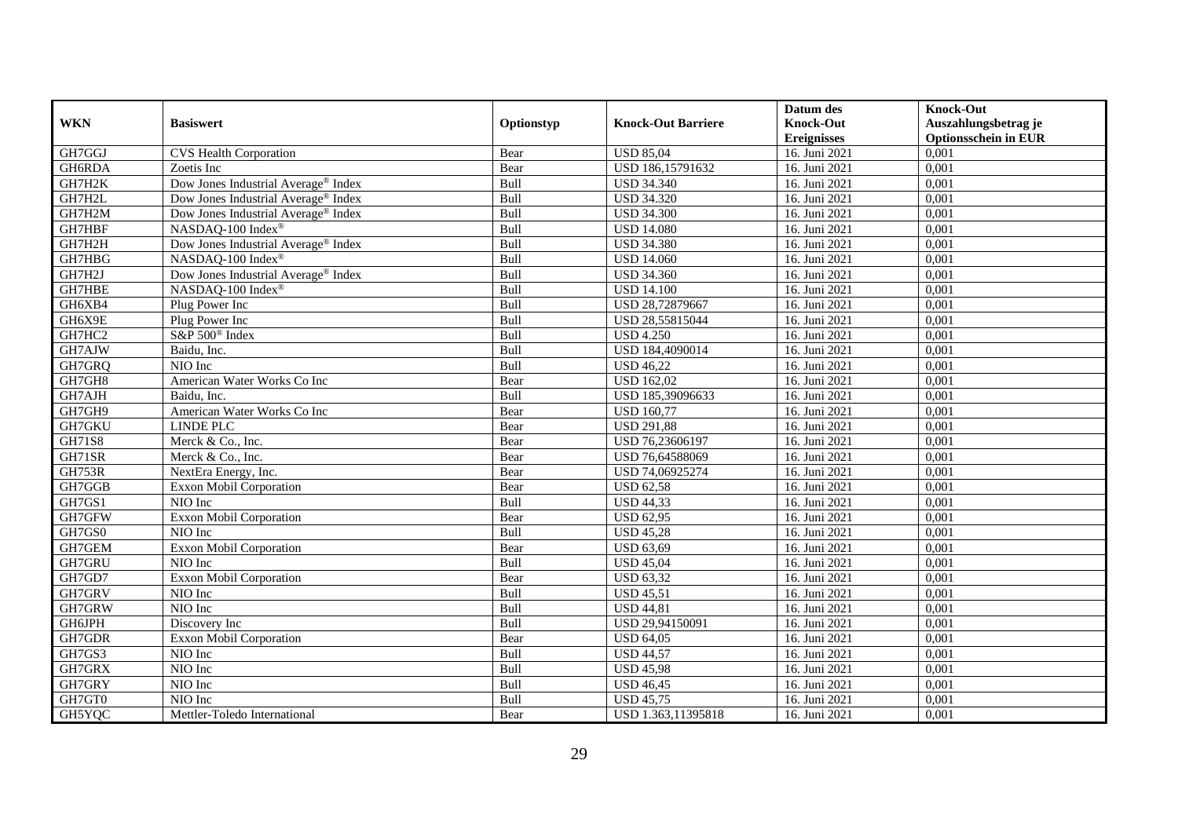|               |                                                 |            |                           | Datum des          | <b>Knock-Out</b>            |
|---------------|-------------------------------------------------|------------|---------------------------|--------------------|-----------------------------|
| <b>WKN</b>    | <b>Basiswert</b>                                | Optionstyp | <b>Knock-Out Barriere</b> | <b>Knock-Out</b>   | Auszahlungsbetrag je        |
|               |                                                 |            |                           | <b>Ereignisses</b> | <b>Optionsschein in EUR</b> |
| GH7GGJ        | CVS Health Corporation                          | Bear       | <b>USD 85,04</b>          | 16. Juni 2021      | 0,001                       |
| GH6RDA        | Zoetis Inc                                      | Bear       | USD 186,15791632          | 16. Juni 2021      | 0,001                       |
| GH7H2K        | Dow Jones Industrial Average® Index             | Bull       | <b>USD 34.340</b>         | 16. Juni 2021      | 0,001                       |
| GH7H2L        | Dow Jones Industrial Average <sup>®</sup> Index | Bull       | <b>USD 34.320</b>         | 16. Juni 2021      | 0,001                       |
| GH7H2M        | Dow Jones Industrial Average® Index             | Bull       | <b>USD 34.300</b>         | 16. Juni 2021      | 0,001                       |
| <b>GH7HBF</b> | NASDAQ-100 Index®                               | Bull       | <b>USD 14.080</b>         | 16. Juni 2021      | 0,001                       |
| GH7H2H        | Dow Jones Industrial Average <sup>®</sup> Index | Bull       | <b>USD 34.380</b>         | 16. Juni 2021      | 0,001                       |
| GH7HBG        | NASDAQ-100 Index®                               | Bull       | <b>USD 14.060</b>         | 16. Juni 2021      | 0,001                       |
| GH7H2J        | Dow Jones Industrial Average® Index             | Bull       | <b>USD 34.360</b>         | 16. Juni 2021      | 0,001                       |
| GH7HBE        | NASDAQ-100 Index <sup>®</sup>                   | Bull       | <b>USD 14.100</b>         | 16. Juni 2021      | 0,001                       |
| GH6XB4        | Plug Power Inc                                  | Bull       | USD 28,72879667           | 16. Juni 2021      | 0,001                       |
| GH6X9E        | Plug Power Inc                                  | Bull       | USD 28,55815044           | 16. Juni 2021      | 0,001                       |
| GH7HC2        | S&P 500 <sup>®</sup> Index                      | Bull       | <b>USD 4.250</b>          | 16. Juni 2021      | 0,001                       |
| GH7AJW        | Baidu, Inc.                                     | Bull       | USD 184,4090014           | 16. Juni 2021      | 0,001                       |
| GH7GRQ        | NIO Inc                                         | Bull       | <b>USD 46,22</b>          | 16. Juni 2021      | 0,001                       |
| GH7GH8        | American Water Works Co Inc                     | Bear       | <b>USD</b> 162,02         | 16. Juni 2021      | 0,001                       |
| GH7AJH        | Baidu, Inc.                                     | Bull       | USD 185,39096633          | 16. Juni 2021      | 0,001                       |
| GH7GH9        | American Water Works Co Inc                     | Bear       | <b>USD 160.77</b>         | 16. Juni 2021      | 0,001                       |
| GH7GKU        | <b>LINDE PLC</b>                                | Bear       | <b>USD 291,88</b>         | 16. Juni 2021      | 0,001                       |
| GH71S8        | Merck & Co., Inc.                               | Bear       | USD 76,23606197           | 16. Juni 2021      | 0,001                       |
| GH71SR        | Merck & Co., Inc.                               | Bear       | USD 76,64588069           | 16. Juni 2021      | 0,001                       |
| <b>GH753R</b> | NextEra Energy, Inc.                            | Bear       | USD 74,06925274           | 16. Juni 2021      | 0,001                       |
| GH7GGB        | <b>Exxon Mobil Corporation</b>                  | Bear       | <b>USD 62,58</b>          | 16. Juni 2021      | 0,001                       |
| GH7GS1        | NIO Inc                                         | Bull       | <b>USD 44,33</b>          | 16. Juni 2021      | 0,001                       |
| GH7GFW        | <b>Exxon Mobil Corporation</b>                  | Bear       | <b>USD 62,95</b>          | 16. Juni 2021      | 0.001                       |
| GH7GS0        | NIO Inc                                         | Bull       | <b>USD 45,28</b>          | 16. Juni 2021      | 0,001                       |
| GH7GEM        | <b>Exxon Mobil Corporation</b>                  | Bear       | <b>USD 63,69</b>          | 16. Juni 2021      | 0,001                       |
| GH7GRU        | NIO Inc                                         | Bull       | <b>USD 45,04</b>          | 16. Juni 2021      | 0,001                       |
| GH7GD7        | Exxon Mobil Corporation                         | Bear       | <b>USD 63,32</b>          | 16. Juni 2021      | 0,001                       |
| GH7GRV        | NIO Inc                                         | Bull       | <b>USD 45,51</b>          | 16. Juni 2021      | 0,001                       |
| GH7GRW        | NIO Inc                                         | Bull       | <b>USD 44,81</b>          | 16. Juni 2021      | 0,001                       |
| GH6JPH        | Discovery Inc                                   | Bull       | USD 29,94150091           | 16. Juni 2021      | 0,001                       |
| GH7GDR        | Exxon Mobil Corporation                         | Bear       | <b>USD 64,05</b>          | 16. Juni 2021      | 0,001                       |
| GH7GS3        | NIO Inc                                         | Bull       | <b>USD 44,57</b>          | 16. Juni 2021      | 0,001                       |
| GH7GRX        | $\overline{NIO}$ Inc                            | Bull       | <b>USD 45,98</b>          | 16. Juni 2021      | 0,001                       |
| GH7GRY        | NIO Inc                                         | Bull       | <b>USD 46,45</b>          | 16. Juni 2021      | 0,001                       |
| GH7GT0        | NIO Inc                                         | Bull       | <b>USD 45,75</b>          | 16. Juni 2021      | 0,001                       |
| GH5YQC        | Mettler-Toledo International                    | Bear       | USD 1.363,11395818        | 16. Juni 2021      | 0,001                       |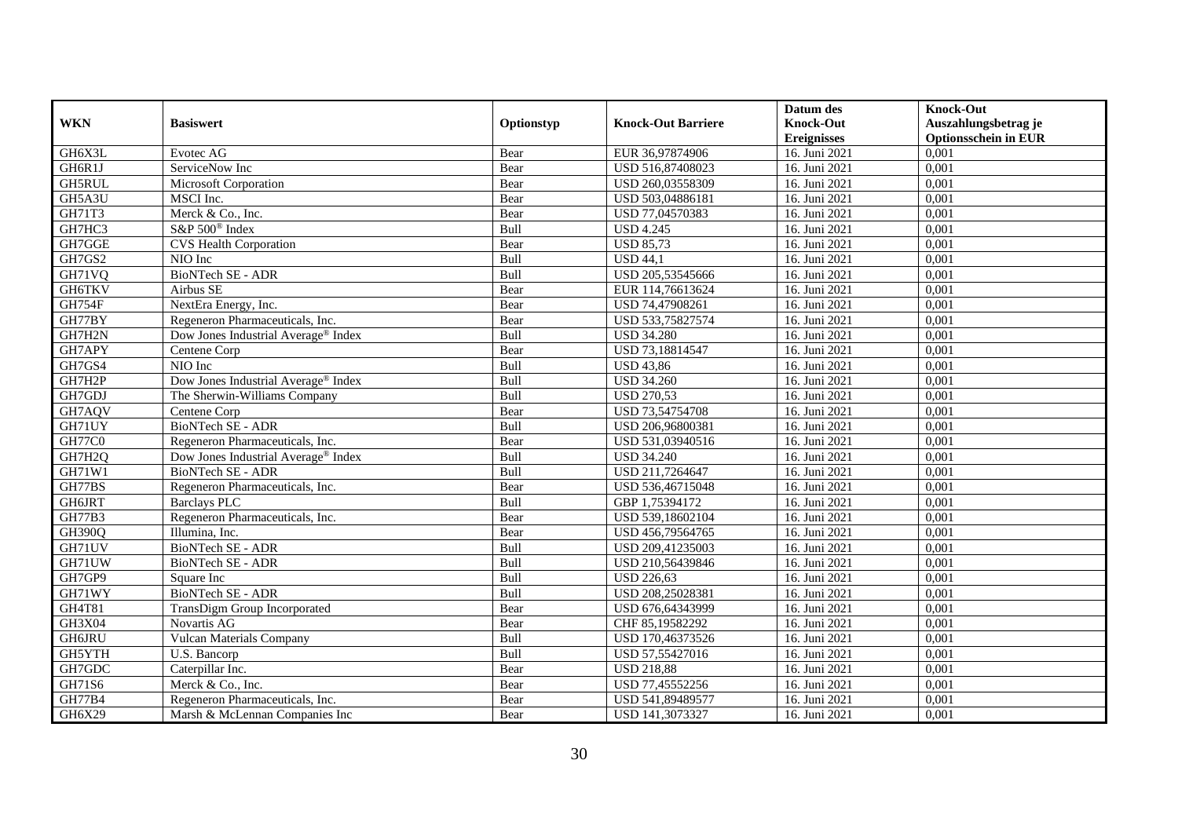|               |                                     |            |                           | Datum des                      | <b>Knock-Out</b>                     |
|---------------|-------------------------------------|------------|---------------------------|--------------------------------|--------------------------------------|
| <b>WKN</b>    | <b>Basiswert</b>                    | Optionstyp | <b>Knock-Out Barriere</b> | <b>Knock-Out</b>               | Auszahlungsbetrag je                 |
| GH6X3L        | Evotec AG                           | Bear       | EUR 36,97874906           | <b>Ereignisses</b>             | <b>Optionsschein in EUR</b><br>0,001 |
| GH6R1J        | ServiceNow Inc                      | Bear       | USD 516,87408023          | 16. Juni 2021<br>16. Juni 2021 | 0,001                                |
| GH5RUL        |                                     |            | USD 260,03558309          | 16. Juni 2021                  | 0,001                                |
|               | Microsoft Corporation               | Bear       |                           |                                |                                      |
| GH5A3U        | MSCI Inc.                           | Bear       | USD 503,04886181          | 16. Juni 2021                  | 0,001                                |
| GH71T3        | Merck & Co., Inc.                   | Bear       | USD 77,04570383           | 16. Juni 2021                  | 0,001                                |
| GH7HC3        | S&P 500 <sup>®</sup> Index          | Bull       | <b>USD 4.245</b>          | 16. Juni 2021                  | 0,001                                |
| GH7GGE        | <b>CVS</b> Health Corporation       | Bear       | <b>USD 85,73</b>          | 16. Juni 2021                  | 0,001                                |
| GH7GS2        | NIO Inc                             | Bull       | <b>USD 44,1</b>           | 16. Juni 2021                  | 0,001                                |
| GH71VQ        | <b>BioNTech SE - ADR</b>            | Bull       | USD 205,53545666          | 16. Juni 2021                  | 0,001                                |
| <b>GH6TKV</b> | Airbus SE                           | Bear       | EUR 114,76613624          | 16. Juni 2021                  | 0,001                                |
| <b>GH754F</b> | NextEra Energy, Inc.                | Bear       | USD 74,47908261           | 16. Juni 2021                  | 0,001                                |
| GH77BY        | Regeneron Pharmaceuticals, Inc.     | Bear       | USD 533,75827574          | 16. Juni 2021                  | 0,001                                |
| GH7H2N        | Dow Jones Industrial Average® Index | Bull       | <b>USD 34.280</b>         | 16. Juni 2021                  | 0,001                                |
| GH7APY        | Centene Corp                        | Bear       | USD 73,18814547           | 16. Juni 2021                  | 0,001                                |
| GH7GS4        | NIO Inc                             | Bull       | <b>USD 43,86</b>          | 16. Juni 2021                  | 0,001                                |
| GH7H2P        | Dow Jones Industrial Average® Index | Bull       | <b>USD 34.260</b>         | 16. Juni 2021                  | 0,001                                |
| GH7GDJ        | The Sherwin-Williams Company        | Bull       | <b>USD 270,53</b>         | 16. Juni 2021                  | 0,001                                |
| GH7AQV        | Centene Corp                        | Bear       | USD 73,54754708           | 16. Juni 2021                  | 0,001                                |
| GH71UY        | <b>BioNTech SE - ADR</b>            | Bull       | USD 206,96800381          | 16. Juni 2021                  | 0,001                                |
| GH77C0        | Regeneron Pharmaceuticals, Inc.     | Bear       | USD 531,03940516          | 16. Juni 2021                  | 0,001                                |
| GH7H2Q        | Dow Jones Industrial Average® Index | Bull       | <b>USD 34.240</b>         | 16. Juni 2021                  | 0,001                                |
| GH71W1        | <b>BioNTech SE - ADR</b>            | Bull       | USD 211,7264647           | 16. Juni 2021                  | 0,001                                |
| GH77BS        | Regeneron Pharmaceuticals, Inc.     | Bear       | USD 536,46715048          | 16. Juni 2021                  | 0,001                                |
| GH6JRT        | <b>Barclays PLC</b>                 | Bull       | GBP 1,75394172            | 16. Juni 2021                  | 0,001                                |
| GH77B3        | Regeneron Pharmaceuticals, Inc.     | Bear       | USD 539,18602104          | 16. Juni 2021                  | 0,001                                |
| GH390Q        | Illumina, Inc.                      | Bear       | USD 456,79564765          | 16. Juni 2021                  | 0,001                                |
| GH71UV        | <b>BioNTech SE - ADR</b>            | Bull       | USD 209,41235003          | 16. Juni 2021                  | 0,001                                |
| GH71UW        | <b>BioNTech SE - ADR</b>            | Bull       | USD 210.56439846          | 16. Juni 2021                  | 0,001                                |
| GH7GP9        | Square Inc                          | Bull       | <b>USD 226,63</b>         | 16. Juni 2021                  | 0,001                                |
| GH71WY        | <b>BioNTech SE - ADR</b>            | Bull       | USD 208,25028381          | 16. Juni 2021                  | 0,001                                |
| GH4T81        | TransDigm Group Incorporated        | Bear       | USD 676,64343999          | 16. Juni 2021                  | 0,001                                |
| GH3X04        | Novartis AG                         | Bear       | CHF 85,19582292           | 16. Juni 2021                  | 0,001                                |
| <b>GH6JRU</b> | <b>Vulcan Materials Company</b>     | Bull       | USD 170,46373526          | 16. Juni 2021                  | 0,001                                |
| GH5YTH        | U.S. Bancorp                        | Bull       | USD 57,55427016           | 16. Juni 2021                  | 0,001                                |
| GH7GDC        | Caterpillar Inc.                    | Bear       | <b>USD 218,88</b>         | 16. Juni 2021                  | 0,001                                |
| GH71S6        | Merck & Co., Inc.                   | Bear       | USD 77,45552256           | 16. Juni 2021                  | 0,001                                |
| GH77B4        | Regeneron Pharmaceuticals, Inc.     | Bear       | USD 541,89489577          | 16. Juni 2021                  | 0,001                                |
| GH6X29        | Marsh & McLennan Companies Inc      | Bear       | USD 141,3073327           | 16. Juni 2021                  | 0,001                                |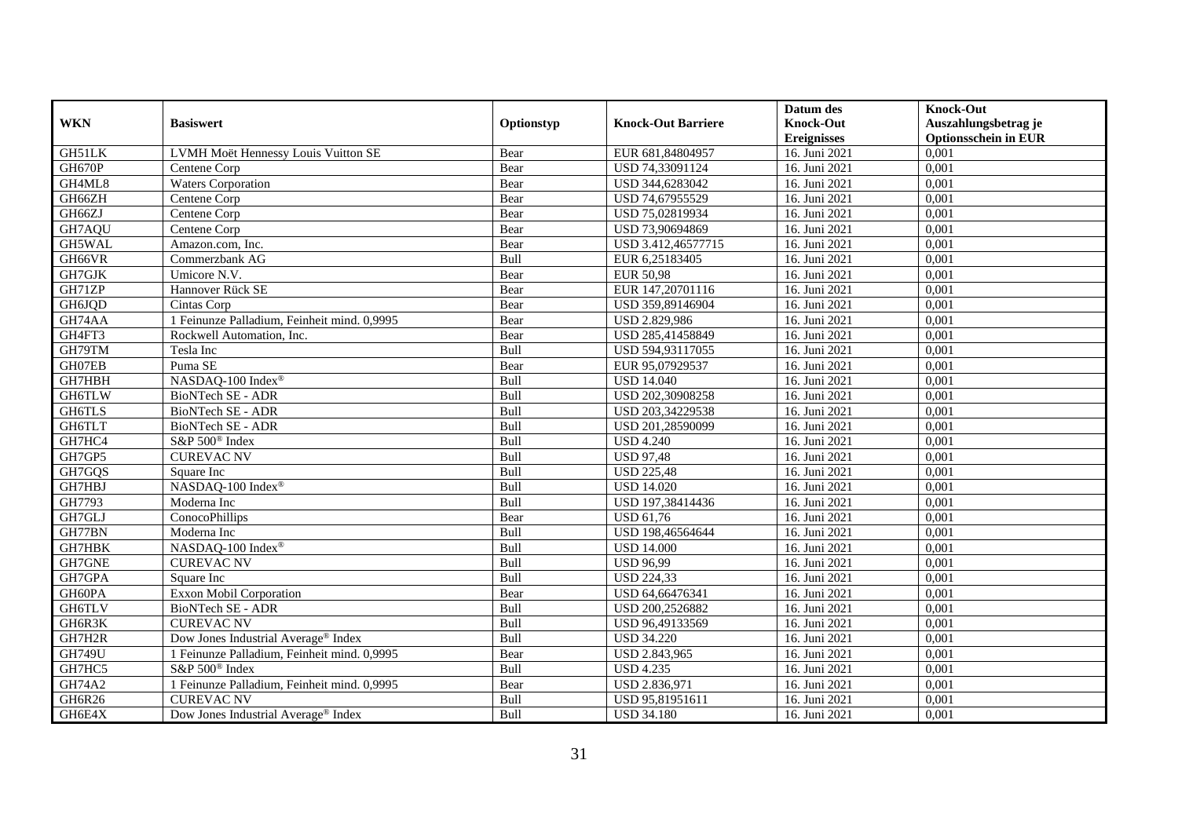|               |                                                 |            |                           | Datum des          | <b>Knock-Out</b>            |
|---------------|-------------------------------------------------|------------|---------------------------|--------------------|-----------------------------|
| <b>WKN</b>    | <b>Basiswert</b>                                | Optionstyp | <b>Knock-Out Barriere</b> | <b>Knock-Out</b>   | Auszahlungsbetrag je        |
|               |                                                 |            |                           | <b>Ereignisses</b> | <b>Optionsschein in EUR</b> |
| GH51LK        | LVMH Moët Hennessy Louis Vuitton SE             | Bear       | EUR 681,84804957          | 16. Juni 2021      | 0,001                       |
| GH670P        | Centene Corp                                    | Bear       | USD 74,33091124           | 16. Juni 2021      | 0,001                       |
| GH4ML8        | <b>Waters Corporation</b>                       | Bear       | USD 344,6283042           | 16. Juni 2021      | 0,001                       |
| GH66ZH        | Centene Corp                                    | Bear       | USD 74,67955529           | 16. Juni 2021      | 0,001                       |
| GH66ZJ        | Centene Corp                                    | Bear       | USD 75,02819934           | 16. Juni 2021      | 0,001                       |
| GH7AQU        | Centene Corp                                    | Bear       | USD 73,90694869           | 16. Juni 2021      | 0,001                       |
| GH5WAL        | Amazon.com. Inc.                                | Bear       | USD 3.412,46577715        | 16. Juni 2021      | 0,001                       |
| GH66VR        | Commerzbank AG                                  | Bull       | EUR 6,25183405            | 16. Juni 2021      | 0,001                       |
| GH7GJK        | Umicore N.V.                                    | Bear       | <b>EUR 50,98</b>          | 16. Juni 2021      | 0,001                       |
| GH71ZP        | Hannover Rück SE                                | Bear       | EUR 147,20701116          | 16. Juni 2021      | 0,001                       |
| GH6JQD        | Cintas Corp                                     | Bear       | USD 359,89146904          | 16. Juni 2021      | 0,001                       |
| GH74AA        | 1 Feinunze Palladium, Feinheit mind. 0,9995     | Bear       | USD 2.829,986             | 16. Juni 2021      | 0,001                       |
| GH4FT3        | Rockwell Automation, Inc.                       | Bear       | USD 285,41458849          | 16. Juni 2021      | 0,001                       |
| GH79TM        | Tesla Inc                                       | Bull       | USD 594,93117055          | 16. Juni 2021      | 0,001                       |
| GH07EB        | Puma SE                                         | Bear       | EUR 95,07929537           | 16. Juni 2021      | 0,001                       |
| GH7HBH        | NASDAQ-100 Index®                               | Bull       | <b>USD 14.040</b>         | 16. Juni 2021      | 0,001                       |
| GH6TLW        | <b>BioNTech SE - ADR</b>                        | Bull       | USD 202,30908258          | 16. Juni 2021      | 0,001                       |
| <b>GH6TLS</b> | <b>BioNTech SE - ADR</b>                        | Bull       | USD 203,34229538          | 16. Juni 2021      | 0,001                       |
| GH6TLT        | BioNTech SE - ADR                               | Bull       | USD 201,28590099          | 16. Juni 2021      | 0,001                       |
| GH7HC4        | S&P 500 <sup>®</sup> Index                      | Bull       | <b>USD 4.240</b>          | 16. Juni 2021      | 0,001                       |
| GH7GP5        | <b>CUREVAC NV</b>                               | Bull       | <b>USD 97,48</b>          | 16. Juni 2021      | 0,001                       |
| GH7GQS        | Square Inc                                      | Bull       | <b>USD 225,48</b>         | 16. Juni 2021      | 0,001                       |
| GH7HBJ        | NASDAQ-100 Index®                               | Bull       | <b>USD 14.020</b>         | 16. Juni 2021      | 0,001                       |
| GH7793        | Moderna Inc                                     | Bull       | USD 197,38414436          | 16. Juni 2021      | 0,001                       |
| GH7GLJ        | ConocoPhillips                                  | Bear       | <b>USD 61,76</b>          | 16. Juni 2021      | 0.001                       |
| GH77BN        | Moderna Inc                                     | Bull       | USD 198,46564644          | 16. Juni 2021      | 0,001                       |
| GH7HBK        | NASDAQ-100 Index®                               | Bull       | <b>USD 14.000</b>         | 16. Juni 2021      | 0,001                       |
| GH7GNE        | <b>CUREVAC NV</b>                               | Bull       | <b>USD 96,99</b>          | 16. Juni 2021      | 0,001                       |
| GH7GPA        | Square Inc                                      | Bull       | <b>USD 224,33</b>         | 16. Juni 2021      | 0,001                       |
| GH60PA        | <b>Exxon Mobil Corporation</b>                  | Bear       | USD 64,66476341           | 16. Juni 2021      | 0,001                       |
| GH6TLV        | BioNTech SE - ADR                               | Bull       | USD 200,2526882           | 16. Juni 2021      | 0,001                       |
| GH6R3K        | <b>CUREVAC NV</b>                               | Bull       | USD 96,49133569           | 16. Juni 2021      | 0,001                       |
| GH7H2R        | Dow Jones Industrial Average® Index             | Bull       | <b>USD 34.220</b>         | 16. Juni 2021      | 0,001                       |
| <b>GH749U</b> | 1 Feinunze Palladium, Feinheit mind. 0,9995     | Bear       | USD 2.843,965             | 16. Juni 2021      | 0,001                       |
| GH7HC5        | S&P 500 <sup>®</sup> Index                      | Bull       | <b>USD 4.235</b>          | 16. Juni 2021      | 0,001                       |
| <b>GH74A2</b> | 1 Feinunze Palladium, Feinheit mind. 0,9995     | Bear       | USD 2.836,971             | 16. Juni 2021      | 0,001                       |
| GH6R26        | <b>CUREVAC NV</b>                               | Bull       | USD 95,81951611           | 16. Juni 2021      | 0,001                       |
| GH6E4X        | Dow Jones Industrial Average <sup>®</sup> Index | Bull       | <b>USD 34.180</b>         | 16. Juni 2021      | 0,001                       |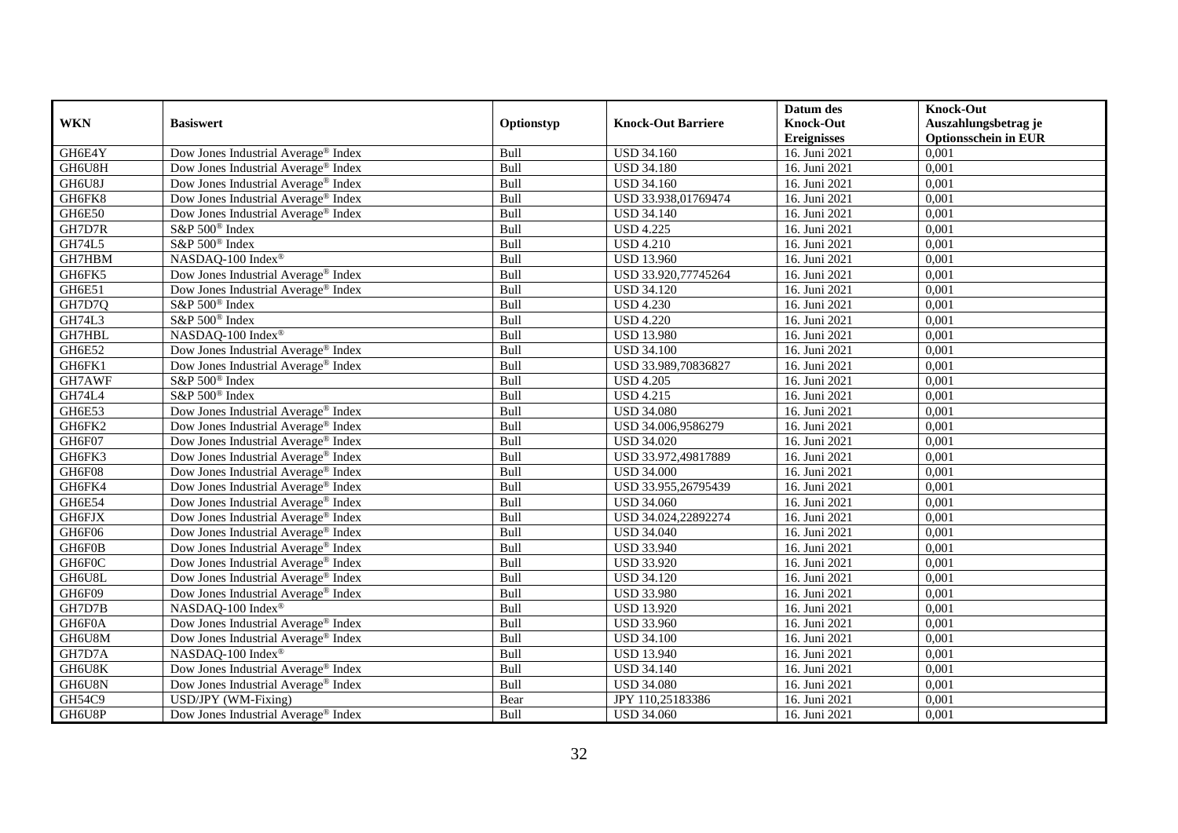|               |                                                 |             |                           | Datum des          | <b>Knock-Out</b>            |
|---------------|-------------------------------------------------|-------------|---------------------------|--------------------|-----------------------------|
| <b>WKN</b>    | <b>Basiswert</b>                                | Optionstyp  | <b>Knock-Out Barriere</b> | <b>Knock-Out</b>   | Auszahlungsbetrag je        |
|               |                                                 |             |                           | <b>Ereignisses</b> | <b>Optionsschein in EUR</b> |
| GH6E4Y        | Dow Jones Industrial Average® Index             | Bull        | <b>USD 34.160</b>         | 16. Juni 2021      | 0,001                       |
| GH6U8H        | Dow Jones Industrial Average <sup>®</sup> Index | Bull        | <b>USD 34.180</b>         | 16. Juni 2021      | 0,001                       |
| GH6U8J        | Dow Jones Industrial Average <sup>®</sup> Index | Bull        | <b>USD 34.160</b>         | 16. Juni 2021      | 0,001                       |
| GH6FK8        | Dow Jones Industrial Average <sup>®</sup> Index | Bull        | USD 33.938.01769474       | 16. Juni 2021      | 0,001                       |
| GH6E50        | Dow Jones Industrial Average <sup>®</sup> Index | Bull        | <b>USD 34.140</b>         | 16. Juni 2021      | 0,001                       |
| GH7D7R        | S&P 500 <sup>®</sup> Index                      | Bull        | <b>USD 4.225</b>          | 16. Juni 2021      | 0,001                       |
| <b>GH74L5</b> | S&P 500 <sup>®</sup> Index                      | Bull        | <b>USD 4.210</b>          | 16. Juni 2021      | 0,001                       |
| GH7HBM        | NASDAQ-100 Index®                               | Bull        | <b>USD 13.960</b>         | 16. Juni 2021      | 0,001                       |
| GH6FK5        | Dow Jones Industrial Average® Index             | Bull        | USD 33.920,77745264       | 16. Juni 2021      | 0,001                       |
| GH6E51        | Dow Jones Industrial Average <sup>®</sup> Index | Bull        | <b>USD 34.120</b>         | 16. Juni 2021      | 0,001                       |
| GH7D7Q        | S&P 500 <sup>®</sup> Index                      | Bull        | <b>USD 4.230</b>          | 16. Juni 2021      | 0,001                       |
| GH74L3        | S&P 500 <sup>®</sup> Index                      | Bull        | <b>USD 4.220</b>          | 16. Juni 2021      | 0,001                       |
| GH7HBL        | NASDAQ-100 Index®                               | Bull        | <b>USD 13.980</b>         | 16. Juni 2021      | 0,001                       |
| GH6E52        | Dow Jones Industrial Average® Index             | Bull        | <b>USD 34.100</b>         | 16. Juni 2021      | 0,001                       |
| GH6FK1        | Dow Jones Industrial Average <sup>®</sup> Index | Bull        | USD 33.989,70836827       | 16. Juni 2021      | 0,001                       |
| GH7AWF        | S&P 500 <sup>®</sup> Index                      | Bull        | <b>USD 4.205</b>          | 16. Juni 2021      | 0,001                       |
| GH74L4        | S&P 500 <sup>®</sup> Index                      | Bull        | <b>USD 4.215</b>          | 16. Juni 2021      | 0,001                       |
| GH6E53        | Dow Jones Industrial Average <sup>®</sup> Index | Bull        | <b>USD 34.080</b>         | 16. Juni 2021      | 0,001                       |
| GH6FK2        | Dow Jones Industrial Average® Index             | Bull        | USD 34.006,9586279        | 16. Juni 2021      | 0,001                       |
| GH6F07        | Dow Jones Industrial Average <sup>®</sup> Index | Bull        | <b>USD 34.020</b>         | 16. Juni 2021      | 0,001                       |
| GH6FK3        | Dow Jones Industrial Average <sup>®</sup> Index | Bull        | USD 33.972,49817889       | 16. Juni 2021      | 0,001                       |
| GH6F08        | Dow Jones Industrial Average® Index             | Bull        | <b>USD 34.000</b>         | 16. Juni 2021      | 0,001                       |
| GH6FK4        | Dow Jones Industrial Average® Index             | Bull        | USD 33.955,26795439       | 16. Juni 2021      | 0,001                       |
| GH6E54        | Dow Jones Industrial Average® Index             | Bull        | <b>USD 34.060</b>         | 16. Juni 2021      | 0,001                       |
| GH6FJX        | Dow Jones Industrial Average® Index             | Bull        | USD 34.024.22892274       | 16. Juni 2021      | 0.001                       |
| GH6F06        | Dow Jones Industrial Average <sup>®</sup> Index | Bull        | <b>USD 34.040</b>         | 16. Juni 2021      | 0,001                       |
| GH6F0B        | Dow Jones Industrial Average® Index             | Bull        | <b>USD 33.940</b>         | 16. Juni 2021      | 0,001                       |
| GH6F0C        | Dow Jones Industrial Average <sup>®</sup> Index | Bull        | <b>USD 33.920</b>         | 16. Juni 2021      | 0,001                       |
| GH6U8L        | Dow Jones Industrial Average® Index             | Bull        | <b>USD 34.120</b>         | 16. Juni 2021      | 0,001                       |
| GH6F09        | Dow Jones Industrial Average® Index             | Bull        | <b>USD 33.980</b>         | 16. Juni 2021      | 0,001                       |
| GH7D7B        | NASDAQ-100 Index®                               | Bull        | <b>USD 13.920</b>         | 16. Juni 2021      | 0,001                       |
| GH6F0A        | Dow Jones Industrial Average <sup>®</sup> Index | <b>Bull</b> | <b>USD 33.960</b>         | 16. Juni 2021      | 0,001                       |
| GH6U8M        | Dow Jones Industrial Average® Index             | Bull        | <b>USD 34.100</b>         | 16. Juni 2021      | 0,001                       |
| GH7D7A        | NASDAQ-100 Index®                               | Bull        | <b>USD 13.940</b>         | 16. Juni 2021      | 0,001                       |
| GH6U8K        | Dow Jones Industrial Average® Index             | Bull        | <b>USD 34.140</b>         | 16. Juni 2021      | 0,001                       |
| GH6U8N        | Dow Jones Industrial Average <sup>®</sup> Index | Bull        | <b>USD 34.080</b>         | 16. Juni 2021      | 0,001                       |
| GH54C9        | USD/JPY (WM-Fixing)                             | Bear        | JPY 110,25183386          | 16. Juni 2021      | 0,001                       |
| GH6U8P        | Dow Jones Industrial Average <sup>®</sup> Index | Bull        | <b>USD 34.060</b>         | 16. Juni 2021      | 0,001                       |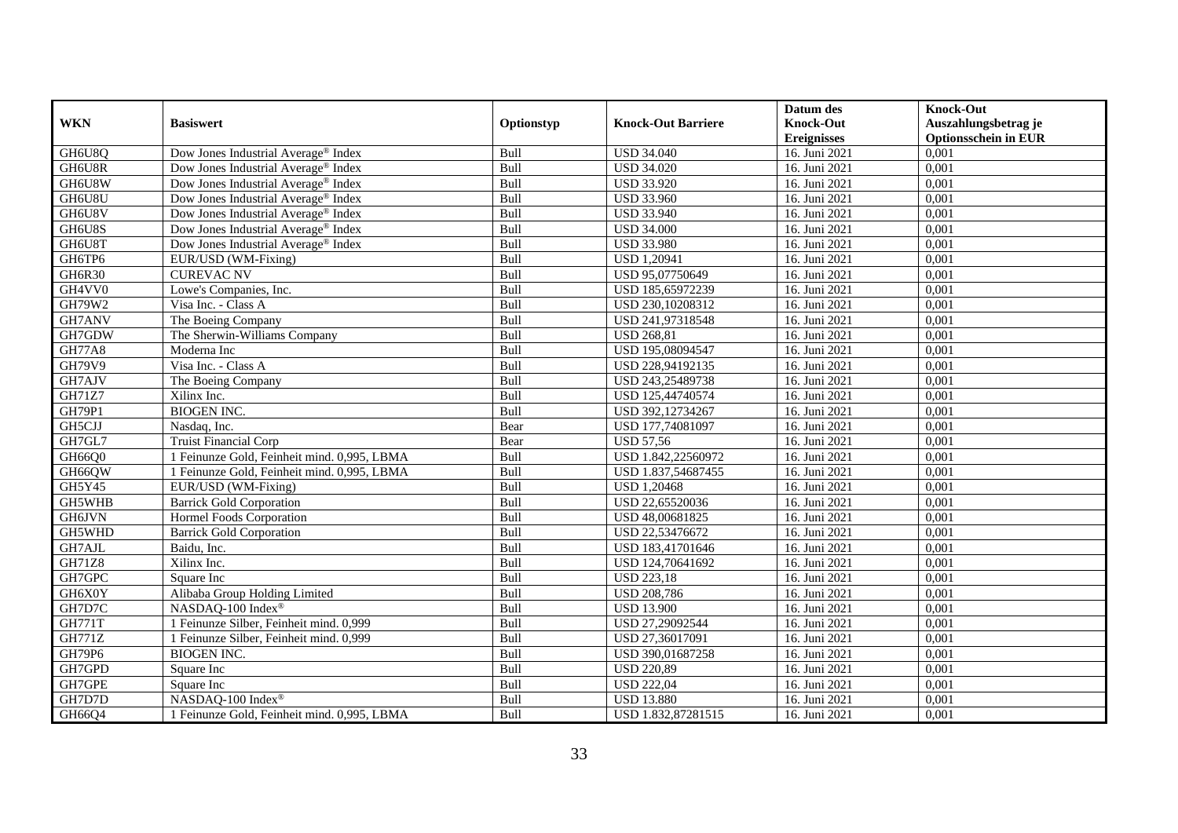| <b>WKN</b>    | <b>Basiswert</b>                                | Optionstyp | <b>Knock-Out Barriere</b> | Datum des<br><b>Knock-Out</b> | <b>Knock-Out</b><br>Auszahlungsbetrag je |
|---------------|-------------------------------------------------|------------|---------------------------|-------------------------------|------------------------------------------|
|               |                                                 |            |                           | <b>Ereignisses</b>            | <b>Optionsschein in EUR</b>              |
| GH6U8Q        | Dow Jones Industrial Average <sup>®</sup> Index | Bull       | <b>USD 34.040</b>         | 16. Juni 2021                 | 0,001                                    |
| GH6U8R        | Dow Jones Industrial Average <sup>®</sup> Index | Bull       | <b>USD 34.020</b>         | 16. Juni 2021                 | 0,001                                    |
| GH6U8W        | Dow Jones Industrial Average® Index             | Bull       | <b>USD 33.920</b>         | 16. Juni 2021                 | 0,001                                    |
| GH6U8U        | Dow Jones Industrial Average® Index             | Bull       | <b>USD 33.960</b>         | 16. Juni 2021                 | 0,001                                    |
| GH6U8V        | Dow Jones Industrial Average® Index             | Bull       | <b>USD 33.940</b>         | 16. Juni 2021                 | 0,001                                    |
| GH6U8S        | Dow Jones Industrial Average® Index             | Bull       | <b>USD 34.000</b>         | 16. Juni 2021                 | 0,001                                    |
| GH6U8T        | Dow Jones Industrial Average® Index             | Bull       | <b>USD 33.980</b>         | 16. Juni 2021                 | 0,001                                    |
| GH6TP6        | EUR/USD (WM-Fixing)                             | Bull       | <b>USD 1,20941</b>        | 16. Juni 2021                 | 0,001                                    |
| <b>GH6R30</b> | <b>CUREVAC NV</b>                               | Bull       | USD 95,07750649           | 16. Juni 2021                 | 0,001                                    |
| GH4VV0        | Lowe's Companies, Inc.                          | Bull       | USD 185,65972239          | 16. Juni 2021                 | 0,001                                    |
| GH79W2        | Visa Inc. - Class A                             | Bull       | USD 230,10208312          | 16. Juni 2021                 | 0,001                                    |
| GH7ANV        | The Boeing Company                              | Bull       | USD 241,97318548          | 16. Juni 2021                 | 0,001                                    |
| GH7GDW        | The Sherwin-Williams Company                    | Bull       | <b>USD 268,81</b>         | 16. Juni 2021                 | 0,001                                    |
| <b>GH77A8</b> | Moderna Inc                                     | Bull       | USD 195,08094547          | 16. Juni 2021                 | 0,001                                    |
| GH79V9        | Visa Inc. - Class A                             | Bull       | USD 228,94192135          | 16. Juni 2021                 | 0,001                                    |
| GH7AJV        | The Boeing Company                              | Bull       | USD 243,25489738          | 16. Juni 2021                 | 0,001                                    |
| <b>GH71Z7</b> | Xilinx Inc.                                     | Bull       | USD 125,44740574          | 16. Juni 2021                 | 0,001                                    |
| <b>GH79P1</b> | <b>BIOGEN INC.</b>                              | Bull       | USD 392,12734267          | 16. Juni 2021                 | 0,001                                    |
| GH5CJJ        | Nasdaq, Inc.                                    | Bear       | USD 177,74081097          | 16. Juni 2021                 | 0,001                                    |
| GH7GL7        | <b>Truist Financial Corp</b>                    | Bear       | <b>USD 57,56</b>          | 16. Juni 2021                 | 0,001                                    |
| GH66Q0        | 1 Feinunze Gold, Feinheit mind. 0,995, LBMA     | Bull       | USD 1.842,22560972        | 16. Juni 2021                 | 0,001                                    |
| GH66QW        | 1 Feinunze Gold, Feinheit mind, 0.995, LBMA     | Bull       | USD 1.837,54687455        | 16. Juni 2021                 | 0,001                                    |
| GH5Y45        | EUR/USD (WM-Fixing)                             | Bull       | <b>USD 1,20468</b>        | 16. Juni 2021                 | 0,001                                    |
| <b>GH5WHB</b> | <b>Barrick Gold Corporation</b>                 | Bull       | USD 22,65520036           | 16. Juni 2021                 | 0,001                                    |
| GH6JVN        | Hormel Foods Corporation                        | Bull       | USD 48,00681825           | 16. Juni 2021                 | 0,001                                    |
| GH5WHD        | <b>Barrick Gold Corporation</b>                 | Bull       | USD 22,53476672           | 16. Juni 2021                 | 0,001                                    |
| GH7AJL        | Baidu, Inc.                                     | Bull       | USD 183,41701646          | 16. Juni 2021                 | 0,001                                    |
| <b>GH71Z8</b> | $\overline{\text{Xilinx}}$ Inc.                 | Bull       | USD 124,70641692          | 16. Juni 2021                 | 0,001                                    |
| GH7GPC        | Square Inc                                      | Bull       | <b>USD 223,18</b>         | 16. Juni 2021                 | 0,001                                    |
| GH6X0Y        | Alibaba Group Holding Limited                   | Bull       | <b>USD 208,786</b>        | 16. Juni 2021                 | 0.001                                    |
| GH7D7C        | NASDAQ-100 Index®                               | Bull       | <b>USD 13.900</b>         | 16. Juni 2021                 | 0,001                                    |
| <b>GH771T</b> | 1 Feinunze Silber, Feinheit mind. 0,999         | Bull       | USD 27,29092544           | 16. Juni 2021                 | 0,001                                    |
| <b>GH771Z</b> | 1 Feinunze Silber, Feinheit mind. 0,999         | Bull       | USD 27,36017091           | 16. Juni 2021                 | 0,001                                    |
| GH79P6        | <b>BIOGEN INC.</b>                              | Bull       | USD 390,01687258          | 16. Juni 2021                 | 0,001                                    |
| GH7GPD        | Square Inc                                      | Bull       | <b>USD 220,89</b>         | 16. Juni 2021                 | 0,001                                    |
| GH7GPE        | Square Inc                                      | Bull       | <b>USD 222,04</b>         | 16. Juni 2021                 | 0,001                                    |
| GH7D7D        | NASDAQ-100 Index®                               | Bull       | <b>USD 13.880</b>         | 16. Juni 2021                 | 0,001                                    |
| GH66Q4        | 1 Feinunze Gold, Feinheit mind. 0,995, LBMA     | Bull       | USD 1.832,87281515        | 16. Juni 2021                 | 0,001                                    |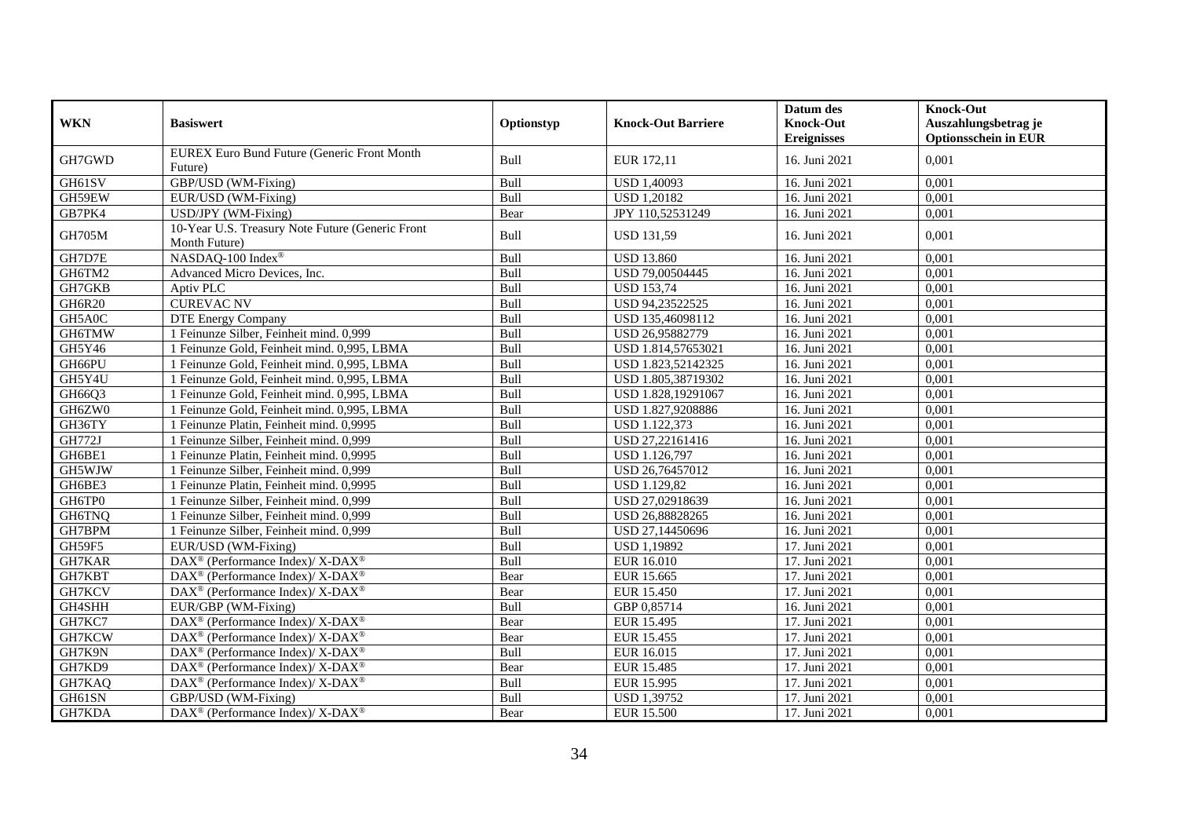| <b>WKN</b>    | <b>Basiswert</b>                                                  | Optionstyp  | <b>Knock-Out Barriere</b> | Datum des<br><b>Knock-Out</b> | <b>Knock-Out</b><br>Auszahlungsbetrag je |
|---------------|-------------------------------------------------------------------|-------------|---------------------------|-------------------------------|------------------------------------------|
|               |                                                                   |             |                           | <b>Ereignisses</b>            | <b>Optionsschein in EUR</b>              |
| GH7GWD        | <b>EUREX Euro Bund Future (Generic Front Month)</b><br>Future)    | Bull        | EUR 172,11                | 16. Juni 2021                 | 0,001                                    |
| GH61SV        | GBP/USD (WM-Fixing)                                               | Bull        | <b>USD 1,40093</b>        | 16. Juni 2021                 | 0,001                                    |
| GH59EW        | EUR/USD (WM-Fixing)                                               | Bull        | <b>USD 1,20182</b>        | 16. Juni 2021                 | 0,001                                    |
| GB7PK4        | USD/JPY (WM-Fixing)                                               | Bear        | JPY 110,52531249          | 16. Juni 2021                 | 0,001                                    |
| <b>GH705M</b> | 10-Year U.S. Treasury Note Future (Generic Front<br>Month Future) | Bull        | <b>USD 131.59</b>         | 16. Juni 2021                 | 0.001                                    |
| GH7D7E        | NASDAQ-100 Index®                                                 | Bull        | <b>USD 13.860</b>         | 16. Juni 2021                 | 0,001                                    |
| GH6TM2        | Advanced Micro Devices, Inc.                                      | Bull        | USD 79,00504445           | 16. Juni 2021                 | 0,001                                    |
| GH7GKB        | Aptiv PLC                                                         | Bull        | <b>USD 153,74</b>         | 16. Juni 2021                 | 0,001                                    |
| <b>GH6R20</b> | <b>CUREVAC NV</b>                                                 | Bull        | USD 94,23522525           | 16. Juni 2021                 | 0,001                                    |
| GH5A0C        | <b>DTE Energy Company</b>                                         | Bull        | USD 135,46098112          | 16. Juni 2021                 | 0,001                                    |
| GH6TMW        | 1 Feinunze Silber, Feinheit mind. 0,999                           | Bull        | USD 26,95882779           | 16. Juni 2021                 | 0,001                                    |
| GH5Y46        | 1 Feinunze Gold, Feinheit mind. 0,995, LBMA                       | Bull        | USD 1.814,57653021        | 16. Juni 2021                 | 0,001                                    |
| GH66PU        | 1 Feinunze Gold, Feinheit mind. 0,995, LBMA                       | Bull        | USD 1.823,52142325        | 16. Juni 2021                 | 0,001                                    |
| GH5Y4U        | 1 Feinunze Gold, Feinheit mind. 0,995, LBMA                       | Bull        | USD 1.805,38719302        | 16. Juni 2021                 | 0,001                                    |
| GH66Q3        | 1 Feinunze Gold, Feinheit mind. 0,995, LBMA                       | Bull        | USD 1.828,19291067        | 16. Juni 2021                 | 0,001                                    |
| GH6ZW0        | 1 Feinunze Gold, Feinheit mind. 0,995, LBMA                       | Bull        | USD 1.827,9208886         | 16. Juni 2021                 | 0,001                                    |
| GH36TY        | 1 Feinunze Platin, Feinheit mind. 0,9995                          | Bull        | USD 1.122,373             | 16. Juni 2021                 | 0,001                                    |
| GH772J        | 1 Feinunze Silber, Feinheit mind. 0.999                           | Bull        | USD 27,22161416           | 16. Juni 2021                 | 0,001                                    |
| GH6BE1        | 1 Feinunze Platin, Feinheit mind. 0,9995                          | Bull        | USD 1.126,797             | 16. Juni 2021                 | 0,001                                    |
| GH5WJW        | 1 Feinunze Silber, Feinheit mind. 0,999                           | Bull        | USD 26,76457012           | 16. Juni 2021                 | 0,001                                    |
| GH6BE3        | 1 Feinunze Platin, Feinheit mind. 0,9995                          | Bull        | <b>USD 1.129,82</b>       | 16. Juni 2021                 | 0,001                                    |
| GH6TP0        | 1 Feinunze Silber, Feinheit mind. 0,999                           | Bull        | USD 27,02918639           | 16. Juni 2021                 | 0,001                                    |
| GH6TNQ        | 1 Feinunze Silber, Feinheit mind. 0,999                           | Bull        | USD 26,88828265           | 16. Juni 2021                 | 0,001                                    |
| GH7BPM        | 1 Feinunze Silber, Feinheit mind. 0,999                           | Bull        | USD 27,14450696           | 16. Juni 2021                 | 0,001                                    |
| GH59F5        | EUR/USD (WM-Fixing)                                               | Bull        | <b>USD 1,19892</b>        | 17. Juni 2021                 | 0,001                                    |
| GH7KAR        | DAX <sup>®</sup> (Performance Index)/ X-DAX <sup>®</sup>          | Bull        | EUR 16.010                | 17. Juni 2021                 | 0,001                                    |
| GH7KBT        | DAX <sup>®</sup> (Performance Index)/ X-DAX <sup>®</sup>          | Bear        | EUR 15.665                | 17. Juni 2021                 | 0,001                                    |
| GH7KCV        | DAX <sup>®</sup> (Performance Index)/ X-DAX <sup>®</sup>          | Bear        | EUR 15.450                | 17. Juni 2021                 | 0,001                                    |
| GH4SHH        | EUR/GBP (WM-Fixing)                                               | <b>Bull</b> | GBP 0,85714               | 16. Juni 2021                 | 0.001                                    |
| GH7KC7        | DAX <sup>®</sup> (Performance Index)/ X-DAX <sup>®</sup>          | Bear        | EUR 15.495                | 17. Juni 2021                 | 0,001                                    |
| GH7KCW        | DAX <sup>®</sup> (Performance Index)/ X-DAX <sup>®</sup>          | Bear        | EUR 15.455                | 17. Juni 2021                 | 0,001                                    |
| GH7K9N        | DAX <sup>®</sup> (Performance Index)/ X-DAX <sup>®</sup>          | Bull        | EUR 16.015                | 17. Juni 2021                 | 0,001                                    |
| GH7KD9        | DAX <sup>®</sup> (Performance Index)/X-DAX <sup>®</sup>           | Bear        | EUR 15.485                | 17. Juni 2021                 | 0,001                                    |
| GH7KAQ        | DAX <sup>®</sup> (Performance Index)/ X-DAX <sup>®</sup>          | Bull        | EUR 15.995                | 17. Juni 2021                 | 0,001                                    |
| GH61SN        | GBP/USD (WM-Fixing)                                               | Bull        | <b>USD 1,39752</b>        | 17. Juni 2021                 | 0,001                                    |
| GH7KDA        | DAX <sup>®</sup> (Performance Index)/ X-DAX <sup>®</sup>          | Bear        | <b>EUR 15.500</b>         | 17. Juni 2021                 | 0,001                                    |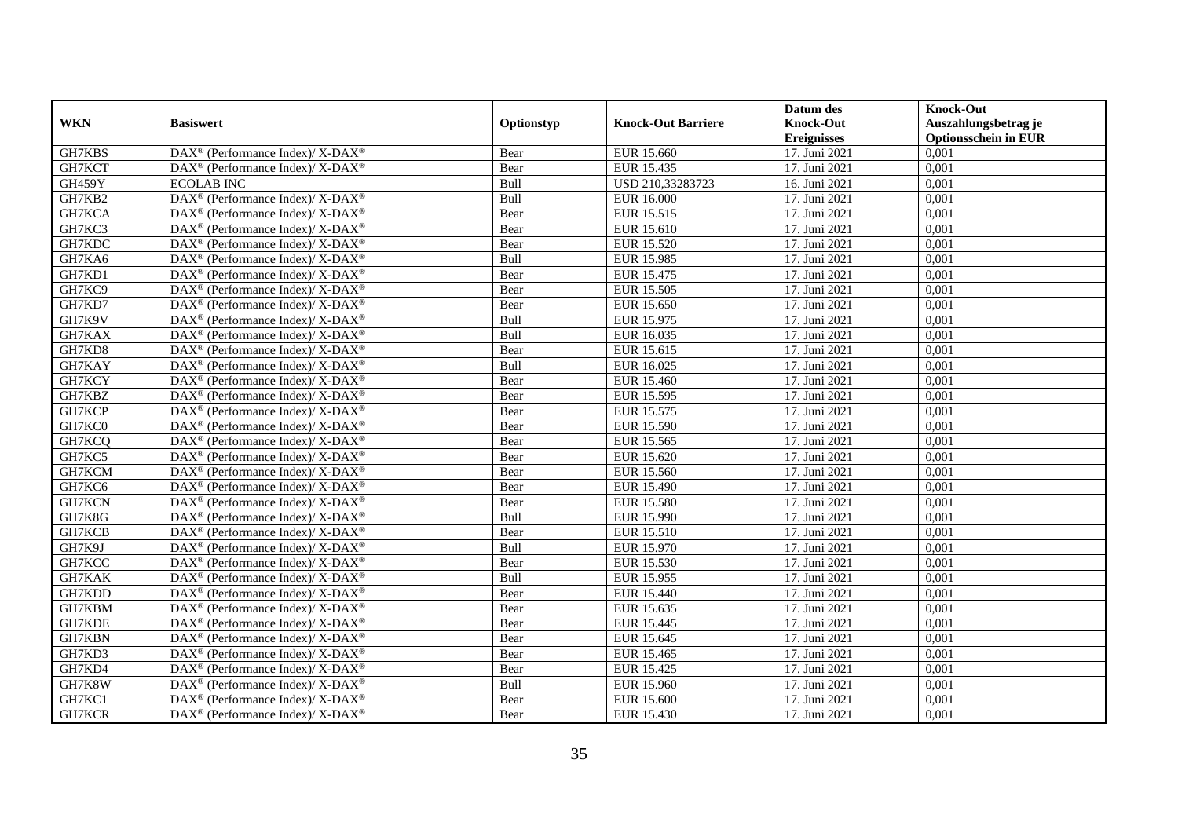|            |                                                                    |            |                           | Datum des          | <b>Knock-Out</b>            |
|------------|--------------------------------------------------------------------|------------|---------------------------|--------------------|-----------------------------|
| <b>WKN</b> | <b>Basiswert</b>                                                   | Optionstyp | <b>Knock-Out Barriere</b> | <b>Knock-Out</b>   | Auszahlungsbetrag je        |
|            |                                                                    |            |                           | <b>Ereignisses</b> | <b>Optionsschein in EUR</b> |
| GH7KBS     | DAX <sup>®</sup> (Performance Index)/ X-DAX <sup>®</sup>           | Bear       | EUR 15.660                | 17. Juni 2021      | 0,001                       |
| GH7KCT     | $DAX^{\circledast}$ (Performance Index)/ X-DAX <sup>®</sup>        | Bear       | EUR 15.435                | 17. Juni 2021      | 0,001                       |
| GH459Y     | <b>ECOLAB INC</b>                                                  | Bull       | USD 210,33283723          | 16. Juni 2021      | 0,001                       |
| GH7KB2     | DAX <sup>®</sup> (Performance Index)/ X-DAX <sup>®</sup>           | Bull       | <b>EUR 16.000</b>         | 17. Juni 2021      | 0,001                       |
| GH7KCA     | DAX <sup>®</sup> (Performance Index)/X-DAX <sup>®</sup>            | Bear       | EUR 15.515                | 17. Juni 2021      | 0,001                       |
| GH7KC3     | DAX <sup>®</sup> (Performance Index)/ X-DAX <sup>®</sup>           | Bear       | EUR 15.610                | 17. Juni 2021      | 0,001                       |
| GH7KDC     | DAX <sup>®</sup> (Performance Index)/ X-DAX <sup>®</sup>           | Bear       | <b>EUR 15.520</b>         | 17. Juni 2021      | 0,001                       |
| GH7KA6     | $DAX^{\circledast}$ (Performance Index)/ X-DAX <sup>®</sup>        | Bull       | EUR 15.985                | 17. Juni 2021      | 0,001                       |
| GH7KD1     | $DAX^{\circledast}$ (Performance Index)/ X-DAX <sup>®</sup>        | Bear       | EUR 15.475                | 17. Juni 2021      | 0,001                       |
| GH7KC9     | $DAX^{\circledast}$ (Performance Index)/ X-DAX <sup>®</sup>        | Bear       | <b>EUR 15.505</b>         | 17. Juni 2021      | 0,001                       |
| GH7KD7     | $DAX^{\circledast}$ (Performance Index)/ X-DAX <sup>®</sup>        | Bear       | EUR 15.650                | 17. Juni 2021      | 0,001                       |
| GH7K9V     | DAX <sup>®</sup> (Performance Index)/ X-DAX <sup>®</sup>           | Bull       | EUR 15.975                | 17. Juni 2021      | 0,001                       |
| GH7KAX     | $DAX^{\circledast}$ (Performance Index)/ X-DAX <sup>®</sup>        | Bull       | EUR 16.035                | 17. Juni 2021      | 0,001                       |
| GH7KD8     | DAX <sup>®</sup> (Performance Index)/ X-DAX <sup>®</sup>           | Bear       | EUR 15.615                | 17. Juni 2021      | 0,001                       |
| GH7KAY     | DAX <sup>®</sup> (Performance Index)/ X-DAX <sup>®</sup>           | Bull       | EUR 16.025                | 17. Juni 2021      | 0,001                       |
| GH7KCY     | DAX <sup>®</sup> (Performance Index)/ X-DAX <sup>®</sup>           | Bear       | EUR 15.460                | 17. Juni 2021      | 0,001                       |
| GH7KBZ     | DAX <sup>®</sup> (Performance Index)/ X-DAX <sup>®</sup>           | Bear       | EUR 15.595                | 17. Juni 2021      | 0,001                       |
| GH7KCP     | $DAX^{\circledast}$ (Performance Index)/ X-DAX <sup>®</sup>        | Bear       | EUR 15.575                | 17. Juni 2021      | 0,001                       |
| GH7KC0     | $DAX^{\circledast}$ (Performance Index)/ X-DAX <sup>®</sup>        | Bear       | EUR 15.590                | 17. Juni 2021      | 0,001                       |
| GH7KCQ     | DAX <sup>®</sup> (Performance Index)/ X-DAX <sup>®</sup>           | Bear       | EUR 15.565                | 17. Juni 2021      | 0,001                       |
| GH7KC5     | DAX <sup>®</sup> (Performance Index)/X-DAX <sup>®</sup>            | Bear       | EUR 15.620                | 17. Juni 2021      | 0,001                       |
| GH7KCM     | $DAX^{\circledast}$ (Performance Index)/ X-DAX <sup>®</sup>        | Bear       | EUR 15.560                | 17. Juni 2021      | 0,001                       |
| GH7KC6     | DAX <sup>®</sup> (Performance Index)/ X-DAX <sup>®</sup>           | Bear       | EUR 15.490                | 17. Juni 2021      | 0,001                       |
| GH7KCN     | DAX <sup>®</sup> (Performance Index)/ X-DAX <sup>®</sup>           | Bear       | <b>EUR 15.580</b>         | 17. Juni 2021      | 0,001                       |
| GH7K8G     | DAX <sup>®</sup> (Performance Index)/X-DAX <sup>®</sup>            | Bull       | EUR 15.990                | 17. Juni 2021      | 0.001                       |
| GH7KCB     | DAX <sup>®</sup> (Performance Index)/ X-DAX <sup>®</sup>           | Bear       | EUR 15.510                | 17. Juni 2021      | 0,001                       |
| GH7K9J     | DAX <sup>®</sup> (Performance Index)/ X-DAX <sup>®</sup>           | Bull       | <b>EUR 15.970</b>         | 17. Juni 2021      | 0,001                       |
| GH7KCC     | DAX <sup>®</sup> (Performance Index)/ X-DAX <sup>®</sup>           | Bear       | EUR 15.530                | 17. Juni 2021      | 0,001                       |
| GH7KAK     | DAX <sup>®</sup> (Performance Index)/ X-DAX <sup>®</sup>           | Bull       | EUR 15.955                | 17. Juni 2021      | 0,001                       |
| GH7KDD     | DAX <sup>®</sup> (Performance Index)/ X-DAX <sup>®</sup>           | Bear       | EUR 15.440                | 17. Juni 2021      | 0,001                       |
| GH7KBM     | DAX <sup>®</sup> (Performance Index)/ X-DAX <sup>®</sup>           | Bear       | EUR 15.635                | 17. Juni 2021      | 0,001                       |
| GH7KDE     | DAX <sup>®</sup> (Performance Index)/X-DAX <sup>®</sup>            | Bear       | EUR 15.445                | 17. Juni 2021      | 0,001                       |
| GH7KBN     | $DAX^{\circledast}$ (Performance Index)/ X-DAX <sup>®</sup>        | Bear       | EUR 15.645                | 17. Juni 2021      | 0,001                       |
| GH7KD3     | DAX <sup>®</sup> (Performance Index)/ X-DAX <sup>®</sup>           | Bear       | EUR 15.465                | 17. Juni 2021      | 0,001                       |
| GH7KD4     | DAX <sup>®</sup> (Performance Index)/ X-DAX <sup>®</sup>           | Bear       | EUR 15.425                | 17. Juni 2021      | 0,001                       |
| GH7K8W     | $\text{DAX}^{\circledast}$ (Performance Index)/ X-DAX <sup>®</sup> | Bull       | EUR 15.960                | 17. Juni 2021      | 0,001                       |
| GH7KC1     | DAX <sup>®</sup> (Performance Index)/ X-DAX <sup>®</sup>           | Bear       | EUR 15.600                | 17. Juni 2021      | 0,001                       |
| GH7KCR     | DAX <sup>®</sup> (Performance Index)/ X-DAX <sup>®</sup>           | Bear       | EUR 15.430                | 17. Juni 2021      | 0,001                       |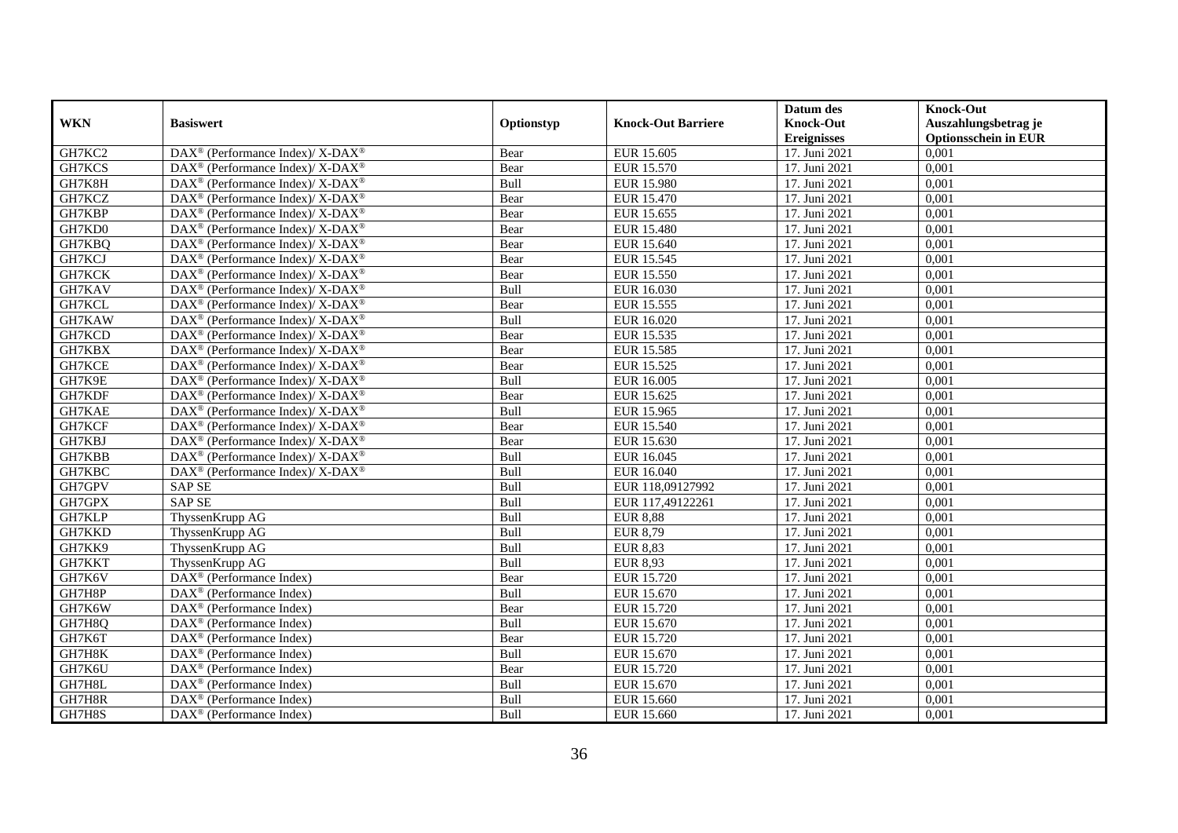|            |                                                                          |             |                           | Datum des          | <b>Knock-Out</b>            |
|------------|--------------------------------------------------------------------------|-------------|---------------------------|--------------------|-----------------------------|
| <b>WKN</b> | <b>Basiswert</b>                                                         | Optionstyp  | <b>Knock-Out Barriere</b> | <b>Knock-Out</b>   | Auszahlungsbetrag je        |
|            |                                                                          |             |                           | <b>Ereignisses</b> | <b>Optionsschein in EUR</b> |
| GH7KC2     | DAX <sup>®</sup> (Performance Index)/X-DAX <sup>®</sup>                  | Bear        | EUR 15.605                | 17. Juni 2021      | 0,001                       |
| GH7KCS     | $\text{DAX}^{\circledast}$ (Performance Index)/ X-DAX <sup>®</sup>       | Bear        | EUR 15.570                | 17. Juni 2021      | 0,001                       |
| GH7K8H     | $\text{DAX}^{\circledast}$ (Performance Index)/ X-DAX <sup>®</sup>       | Bull        | <b>EUR 15.980</b>         | 17. Juni 2021      | 0,001                       |
| GH7KCZ     | DAX <sup>®</sup> (Performance Index)/X-DAX <sup>®</sup>                  | Bear        | EUR 15.470                | 17. Juni 2021      | 0,001                       |
| GH7KBP     | $\text{DAX}^{\circledR}$ (Performance Index)/ X-DAX <sup>®</sup>         | Bear        | EUR 15.655                | 17. Juni 2021      | 0,001                       |
| GH7KD0     | $\text{DAX}^{\circledR}$ (Performance Index)/ X-DAX <sup>®</sup>         | Bear        | <b>EUR 15.480</b>         | 17. Juni 2021      | 0,001                       |
| GH7KBQ     | $\overline{\text{DAX}^{\otimes}}$ (Performance Index)/X-DAX <sup>®</sup> | Bear        | EUR 15.640                | 17. Juni 2021      | 0,001                       |
| GH7KCJ     | $\text{DAX}^{\circledast}$ (Performance Index)/ X-DAX <sup>®</sup>       | Bear        | EUR 15.545                | 17. Juni 2021      | 0,001                       |
| GH7KCK     | $\text{DAX}^{\circledast}$ (Performance Index)/ X-DAX <sup>®</sup>       | Bear        | EUR 15.550                | 17. Juni 2021      | 0,001                       |
| GH7KAV     | DAX <sup>®</sup> (Performance Index)/X-DAX <sup>®</sup>                  | Bull        | EUR 16.030                | 17. Juni 2021      | 0,001                       |
| GH7KCL     | $\text{DAX}^{\circledast}$ (Performance Index)/ X-DAX <sup>®</sup>       | Bear        | EUR 15.555                | 17. Juni 2021      | 0,001                       |
| GH7KAW     | DAX <sup>®</sup> (Performance Index)/ X-DAX <sup>®</sup>                 | Bull        | EUR 16.020                | 17. Juni 2021      | 0,001                       |
| GH7KCD     | $\text{DAX}^{\circledast}$ (Performance Index)/ X-DAX <sup>®</sup>       | Bear        | EUR 15.535                | 17. Juni 2021      | 0,001                       |
| GH7KBX     | DAX <sup>®</sup> (Performance Index)/ X-DAX <sup>®</sup>                 | Bear        | EUR 15.585                | 17. Juni 2021      | 0,001                       |
| GH7KCE     | DAX <sup>®</sup> (Performance Index)/ X-DAX <sup>®</sup>                 | Bear        | EUR 15.525                | 17. Juni 2021      | 0,001                       |
| GH7K9E     | DAX <sup>®</sup> (Performance Index)/ X-DAX <sup>®</sup>                 | Bull        | EUR 16.005                | 17. Juni 2021      | 0,001                       |
| GH7KDF     | DAX <sup>®</sup> (Performance Index)/ X-DAX <sup>®</sup>                 | Bear        | EUR 15.625                | 17. Juni 2021      | 0,001                       |
| GH7KAE     | $\text{DAX}^{\circledast}$ (Performance Index)/ X-DAX <sup>®</sup>       | <b>Bull</b> | EUR 15.965                | 17. Juni 2021      | 0,001                       |
| GH7KCF     | DAX <sup>®</sup> (Performance Index)/ X-DAX <sup>®</sup>                 | Bear        | EUR 15.540                | 17. Juni 2021      | 0,001                       |
| GH7KBJ     | DAX <sup>®</sup> (Performance Index)/X-DAX <sup>®</sup>                  | Bear        | EUR 15.630                | 17. Juni 2021      | 0,001                       |
| GH7KBB     | DAX <sup>®</sup> (Performance Index)/ X-DAX <sup>®</sup>                 | Bull        | EUR 16.045                | 17. Juni 2021      | 0,001                       |
| GH7KBC     | DAX <sup>®</sup> (Performance Index)/ X-DAX <sup>®</sup>                 | Bull        | EUR 16.040                | 17. Juni 2021      | 0,001                       |
| GH7GPV     | <b>SAP SE</b>                                                            | Bull        | EUR 118,09127992          | 17. Juni 2021      | 0,001                       |
| GH7GPX     | <b>SAP SE</b>                                                            | Bull        | EUR 117,49122261          | 17. Juni 2021      | 0,001                       |
| GH7KLP     | ThyssenKrupp AG                                                          | Bull        | <b>EUR 8,88</b>           | 17. Juni 2021      | 0.001                       |
| GH7KKD     | ThyssenKrupp AG                                                          | Bull        | <b>EUR 8,79</b>           | 17. Juni 2021      | 0,001                       |
| GH7KK9     | ThyssenKrupp AG                                                          | Bull        | <b>EUR 8,83</b>           | 17. Juni 2021      | 0,001                       |
| GH7KKT     | ThyssenKrupp AG                                                          | Bull        | <b>EUR 8,93</b>           | 17. Juni 2021      | 0,001                       |
| GH7K6V     | DAX <sup>®</sup> (Performance Index)                                     | Bear        | EUR 15.720                | 17. Juni 2021      | 0,001                       |
| GH7H8P     | $\text{DAX}^{\circledast}$ (Performance Index)                           | Bull        | EUR 15.670                | 17. Juni 2021      | 0,001                       |
| GH7K6W     | $\text{DAX}^{\textcircled{n}}$ (Performance Index)                       | Bear        | EUR 15.720                | 17. Juni 2021      | 0,001                       |
| GH7H8Q     | $DAX^{\circledR}$ (Performance Index)                                    | <b>Bull</b> | EUR 15.670                | 17. Juni 2021      | 0,001                       |
| GH7K6T     | $\overline{\text{DAX}^{\otimes}}$ (Performance Index)                    | Bear        | EUR 15.720                | 17. Juni 2021      | 0,001                       |
| GH7H8K     | $\overline{\text{DAX}^{\otimes}(\text{Performance Index})}$              | Bull        | EUR 15.670                | 17. Juni 2021      | 0,001                       |
| GH7K6U     | DAX <sup>®</sup> (Performance Index)                                     | Bear        | EUR 15.720                | 17. Juni 2021      | 0,001                       |
| GH7H8L     | DAX <sup>®</sup> (Performance Index)                                     | Bull        | EUR 15.670                | 17. Juni 2021      | 0,001                       |
| GH7H8R     | $\text{DAX}^{\circledast}$ (Performance Index)                           | Bull        | EUR 15.660                | 17. Juni 2021      | 0,001                       |
| GH7H8S     | DAX <sup>®</sup> (Performance Index)                                     | Bull        | EUR 15.660                | 17. Juni 2021      | 0,001                       |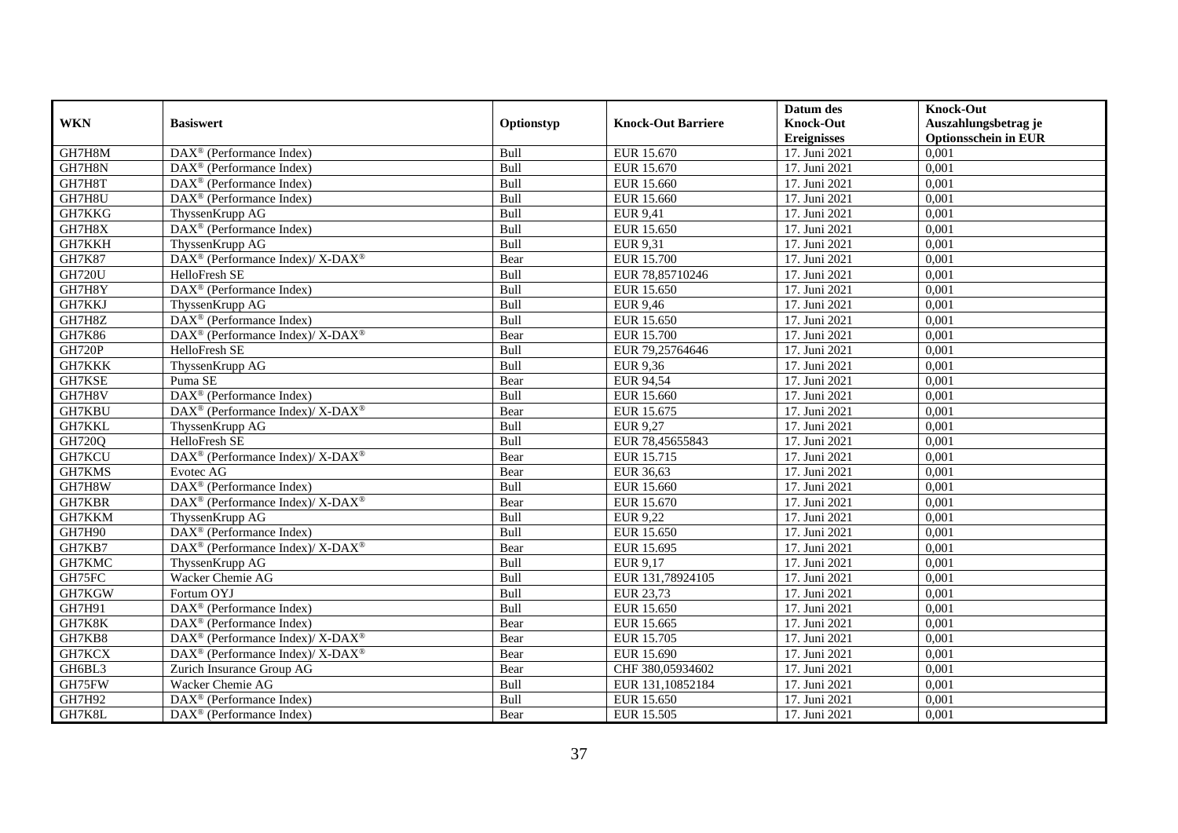| <b>WKN</b>    | <b>Basiswert</b>                                         | Optionstyp | <b>Knock-Out Barriere</b> | Datum des<br><b>Knock-Out</b> | <b>Knock-Out</b><br>Auszahlungsbetrag je |
|---------------|----------------------------------------------------------|------------|---------------------------|-------------------------------|------------------------------------------|
|               |                                                          |            |                           | <b>Ereignisses</b>            | <b>Optionsschein in EUR</b>              |
| GH7H8M        | DAX <sup>®</sup> (Performance Index)                     | Bull       | EUR 15.670                | 17. Juni 2021                 | 0,001                                    |
| GH7H8N        | $DAX^{\circledR}$ (Performance Index)                    | Bull       | EUR 15.670                | 17. Juni 2021                 | 0,001                                    |
| GH7H8T        | $\overline{\text{DAX}^{\otimes}}$ (Performance Index)    | Bull       | EUR 15.660                | 17. Juni 2021                 | 0,001                                    |
| GH7H8U        | DAX <sup>®</sup> (Performance Index)                     | Bull       | EUR 15.660                | 17. Juni 2021                 | 0,001                                    |
| GH7KKG        | ThyssenKrupp AG                                          | Bull       | <b>EUR 9,41</b>           | 17. Juni 2021                 | 0,001                                    |
| GH7H8X        | DAX <sup>®</sup> (Performance Index)                     | Bull       | <b>EUR 15.650</b>         | 17. Juni 2021                 | 0,001                                    |
| GH7KKH        | ThyssenKrupp AG                                          | Bull       | <b>EUR 9,31</b>           | 17. Juni 2021                 | 0,001                                    |
| <b>GH7K87</b> | DAX <sup>®</sup> (Performance Index)/X-DAX <sup>®</sup>  | Bear       | <b>EUR 15.700</b>         | 17. Juni 2021                 | 0,001                                    |
| <b>GH720U</b> | <b>HelloFresh SE</b>                                     | Bull       | EUR 78,85710246           | 17. Juni 2021                 | 0,001                                    |
| GH7H8Y        | DAX <sup>®</sup> (Performance Index)                     | Bull       | EUR 15.650                | 17. Juni 2021                 | 0,001                                    |
| GH7KKJ        | ThyssenKrupp AG                                          | Bull       | <b>EUR 9,46</b>           | 17. Juni 2021                 | 0,001                                    |
| GH7H8Z        | DAX <sup>®</sup> (Performance Index)                     | Bull       | EUR 15.650                | 17. Juni 2021                 | 0,001                                    |
| GH7K86        | DAX <sup>®</sup> (Performance Index)/ X-DAX <sup>®</sup> | Bear       | <b>EUR 15.700</b>         | 17. Juni 2021                 | 0,001                                    |
| <b>GH720P</b> | HelloFresh SE                                            | Bull       | EUR 79,25764646           | 17. Juni 2021                 | 0,001                                    |
| GH7KKK        | ThyssenKrupp AG                                          | Bull       | <b>EUR 9,36</b>           | 17. Juni 2021                 | 0,001                                    |
| GH7KSE        | Puma SE                                                  | Bear       | <b>EUR 94,54</b>          | 17. Juni 2021                 | 0,001                                    |
| GH7H8V        | DAX <sup>®</sup> (Performance Index)                     | Bull       | EUR 15.660                | 17. Juni 2021                 | 0,001                                    |
| GH7KBU        | DAX <sup>®</sup> (Performance Index)/X-DAX <sup>®</sup>  | Bear       | EUR 15.675                | 17. Juni 2021                 | 0,001                                    |
| GH7KKL        | ThyssenKrupp AG                                          | Bull       | EUR 9,27                  | 17. Juni 2021                 | 0,001                                    |
| <b>GH720Q</b> | HelloFresh SE                                            | Bull       | EUR 78,45655843           | 17. Juni 2021                 | 0,001                                    |
| GH7KCU        | DAX <sup>®</sup> (Performance Index)/ X-DAX <sup>®</sup> | Bear       | EUR 15.715                | 17. Juni 2021                 | 0,001                                    |
| GH7KMS        | Evotec AG                                                | Bear       | EUR 36,63                 | 17. Juni 2021                 | 0,001                                    |
| GH7H8W        | DAX <sup>®</sup> (Performance Index)                     | Bull       | <b>EUR 15.660</b>         | 17. Juni 2021                 | 0,001                                    |
| GH7KBR        | DAX <sup>®</sup> (Performance Index)/X-DAX <sup>®</sup>  | Bear       | EUR 15.670                | 17. Juni 2021                 | 0,001                                    |
| GH7KKM        | ThyssenKrupp AG                                          | Bull       | EUR 9,22                  | 17. Juni 2021                 | 0,001                                    |
| GH7H90        | DAX <sup>®</sup> (Performance Index)                     | Bull       | EUR 15.650                | 17. Juni 2021                 | 0,001                                    |
| GH7KB7        | DAX <sup>®</sup> (Performance Index)/X-DAX <sup>®</sup>  | Bear       | EUR 15.695                | 17. Juni 2021                 | 0,001                                    |
| GH7KMC        | ThyssenKrupp AG                                          | Bull       | EUR 9,17                  | 17. Juni 2021                 | 0,001                                    |
| GH75FC        | Wacker Chemie AG                                         | Bull       | EUR 131,78924105          | 17. Juni 2021                 | 0,001                                    |
| GH7KGW        | Fortum OYJ                                               | Bull       | EUR 23,73                 | 17. Juni 2021                 | 0.001                                    |
| GH7H91        | DAX <sup>®</sup> (Performance Index)                     | Bull       | EUR 15.650                | 17. Juni 2021                 | 0,001                                    |
| GH7K8K        | DAX <sup>®</sup> (Performance Index)                     | Bear       | EUR 15.665                | 17. Juni 2021                 | 0,001                                    |
| GH7KB8        | DAX <sup>®</sup> (Performance Index)/X-DAX <sup>®</sup>  | Bear       | EUR 15.705                | 17. Juni 2021                 | 0,001                                    |
| GH7KCX        | DAX <sup>®</sup> (Performance Index)/ X-DAX <sup>®</sup> | Bear       | EUR 15.690                | 17. Juni 2021                 | 0,001                                    |
| GH6BL3        | Zurich Insurance Group AG                                | Bear       | CHF 380,05934602          | 17. Juni 2021                 | 0,001                                    |
| GH75FW        | Wacker Chemie AG                                         | Bull       | EUR 131,10852184          | 17. Juni 2021                 | 0,001                                    |
| GH7H92        | DAX <sup>®</sup> (Performance Index)                     | Bull       | EUR 15.650                | 17. Juni 2021                 | 0,001                                    |
| GH7K8L        | DAX <sup>®</sup> (Performance Index)                     | Bear       | <b>EUR 15.505</b>         | 17. Juni 2021                 | 0,001                                    |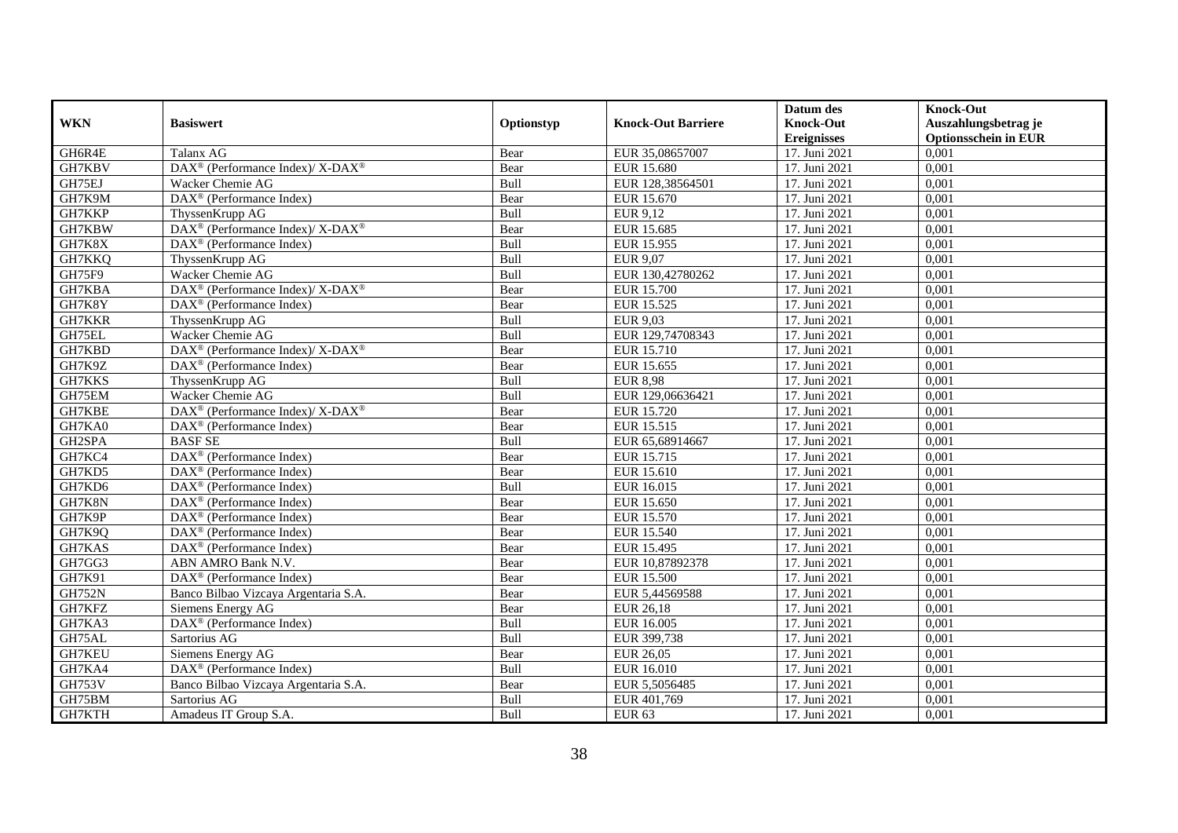|               |                                                                  |            |                           | Datum des          | <b>Knock-Out</b>            |
|---------------|------------------------------------------------------------------|------------|---------------------------|--------------------|-----------------------------|
| <b>WKN</b>    | <b>Basiswert</b>                                                 | Optionstyp | <b>Knock-Out Barriere</b> | <b>Knock-Out</b>   | Auszahlungsbetrag je        |
|               |                                                                  |            |                           | <b>Ereignisses</b> | <b>Optionsschein in EUR</b> |
| GH6R4E        | Talanx AG                                                        | Bear       | EUR 35,08657007           | 17. Juni 2021      | 0,001                       |
| GH7KBV        | DAX <sup>®</sup> (Performance Index)/ X-DAX <sup>®</sup>         | Bear       | EUR 15.680                | 17. Juni 2021      | 0,001                       |
| GH75EJ        | Wacker Chemie AG                                                 | Bull       | EUR 128,38564501          | 17. Juni 2021      | 0,001                       |
| GH7K9M        | DAX <sup>®</sup> (Performance Index)                             | Bear       | EUR 15.670                | 17. Juni 2021      | 0,001                       |
| GH7KKP        | ThyssenKrupp AG                                                  | Bull       | EUR 9,12                  | 17. Juni 2021      | 0,001                       |
| GH7KBW        | DAX <sup>®</sup> (Performance Index)/ X-DAX <sup>®</sup>         | Bear       | EUR 15.685                | 17. Juni 2021      | 0,001                       |
| GH7K8X        | DAX <sup>®</sup> (Performance Index)                             | Bull       | EUR 15.955                | 17. Juni 2021      | 0,001                       |
| GH7KKQ        | ThyssenKrupp AG                                                  | Bull       | <b>EUR 9,07</b>           | 17. Juni 2021      | 0,001                       |
| GH75F9        | Wacker Chemie AG                                                 | Bull       | EUR 130,42780262          | 17. Juni 2021      | 0,001                       |
| GH7KBA        | $DAX^{\circledast}$ (Performance Index)/X-DAX <sup>®</sup>       | Bear       | <b>EUR 15.700</b>         | 17. Juni 2021      | 0,001                       |
| GH7K8Y        | $\overline{\text{DAX}^{\otimes}}$ (Performance Index)            | Bear       | EUR 15.525                | 17. Juni 2021      | 0,001                       |
| <b>GH7KKR</b> | ThyssenKrupp AG                                                  | Bull       | EUR 9,03                  | 17. Juni 2021      | 0,001                       |
| GH75EL        | Wacker Chemie AG                                                 | Bull       | EUR 129,74708343          | 17. Juni 2021      | 0,001                       |
| GH7KBD        | DAX <sup>®</sup> (Performance Index)/ X-DAX <sup>®</sup>         | Bear       | EUR 15.710                | 17. Juni 2021      | 0,001                       |
| GH7K9Z        | DAX <sup>®</sup> (Performance Index)                             | Bear       | EUR 15.655                | 17. Juni 2021      | 0,001                       |
| GH7KKS        | ThyssenKrupp AG                                                  | Bull       | <b>EUR 8,98</b>           | 17. Juni 2021      | 0,001                       |
| GH75EM        | Wacker Chemie AG                                                 | Bull       | EUR 129,06636421          | 17. Juni 2021      | 0,001                       |
| GH7KBE        | $\text{DAX}^{\circledR}$ (Performance Index)/ X-DAX <sup>®</sup> | Bear       | EUR 15.720                | 17. Juni 2021      | 0,001                       |
| GH7KA0        | DAX <sup>®</sup> (Performance Index)                             | Bear       | EUR 15.515                | 17. Juni 2021      | 0,001                       |
| GH2SPA        | <b>BASF SE</b>                                                   | Bull       | EUR 65,68914667           | 17. Juni 2021      | 0,001                       |
| GH7KC4        | DAX <sup>®</sup> (Performance Index)                             | Bear       | EUR 15.715                | 17. Juni 2021      | 0,001                       |
| GH7KD5        | DAX <sup>®</sup> (Performance Index)                             | Bear       | <b>EUR 15.610</b>         | 17. Juni 2021      | 0,001                       |
| GH7KD6        | $\overline{\text{DAX}^{\otimes}}$ (Performance Index)            | Bull       | EUR 16.015                | 17. Juni 2021      | 0,001                       |
| GH7K8N        | DAX <sup>®</sup> (Performance Index)                             | Bear       | EUR 15.650                | 17. Juni 2021      | 0,001                       |
| GH7K9P        | $\overline{\text{DAX}^{\otimes}}$ (Performance Index)            | Bear       | EUR 15.570                | 17. Juni 2021      | 0,001                       |
| GH7K9Q        | $\text{DAX}^{\otimes}$ (Performance Index)                       | Bear       | EUR 15.540                | 17. Juni 2021      | 0,001                       |
| GH7KAS        | DAX <sup>®</sup> (Performance Index)                             | Bear       | EUR 15.495                | 17. Juni 2021      | 0,001                       |
| GH7GG3        | ABN AMRO Bank N.V.                                               | Bear       | EUR 10,87892378           | 17. Juni 2021      | 0,001                       |
| GH7K91        | DAX <sup>®</sup> (Performance Index)                             | Bear       | <b>EUR 15.500</b>         | 17. Juni 2021      | 0,001                       |
| <b>GH752N</b> | Banco Bilbao Vizcaya Argentaria S.A.                             | Bear       | EUR 5,44569588            | 17. Juni 2021      | 0,001                       |
| GH7KFZ        | Siemens Energy AG                                                | Bear       | EUR 26,18                 | 17. Juni 2021      | 0,001                       |
| GH7KA3        | DAX <sup>®</sup> (Performance Index)                             | Bull       | EUR 16.005                | 17. Juni 2021      | 0,001                       |
| GH75AL        | Sartorius AG                                                     | Bull       | EUR 399,738               | 17. Juni 2021      | 0,001                       |
| <b>GH7KEU</b> | Siemens Energy AG                                                | Bear       | EUR 26,05                 | 17. Juni 2021      | 0,001                       |
| GH7KA4        | DAX <sup>®</sup> (Performance Index)                             | Bull       | EUR 16.010                | 17. Juni 2021      | 0,001                       |
| <b>GH753V</b> | Banco Bilbao Vizcaya Argentaria S.A.                             | Bear       | EUR 5,5056485             | 17. Juni 2021      | 0,001                       |
| GH75BM        | Sartorius AG                                                     | Bull       | EUR 401,769               | 17. Juni 2021      | 0,001                       |
| GH7KTH        | Amadeus IT Group S.A.                                            | Bull       | <b>EUR 63</b>             | 17. Juni 2021      | 0,001                       |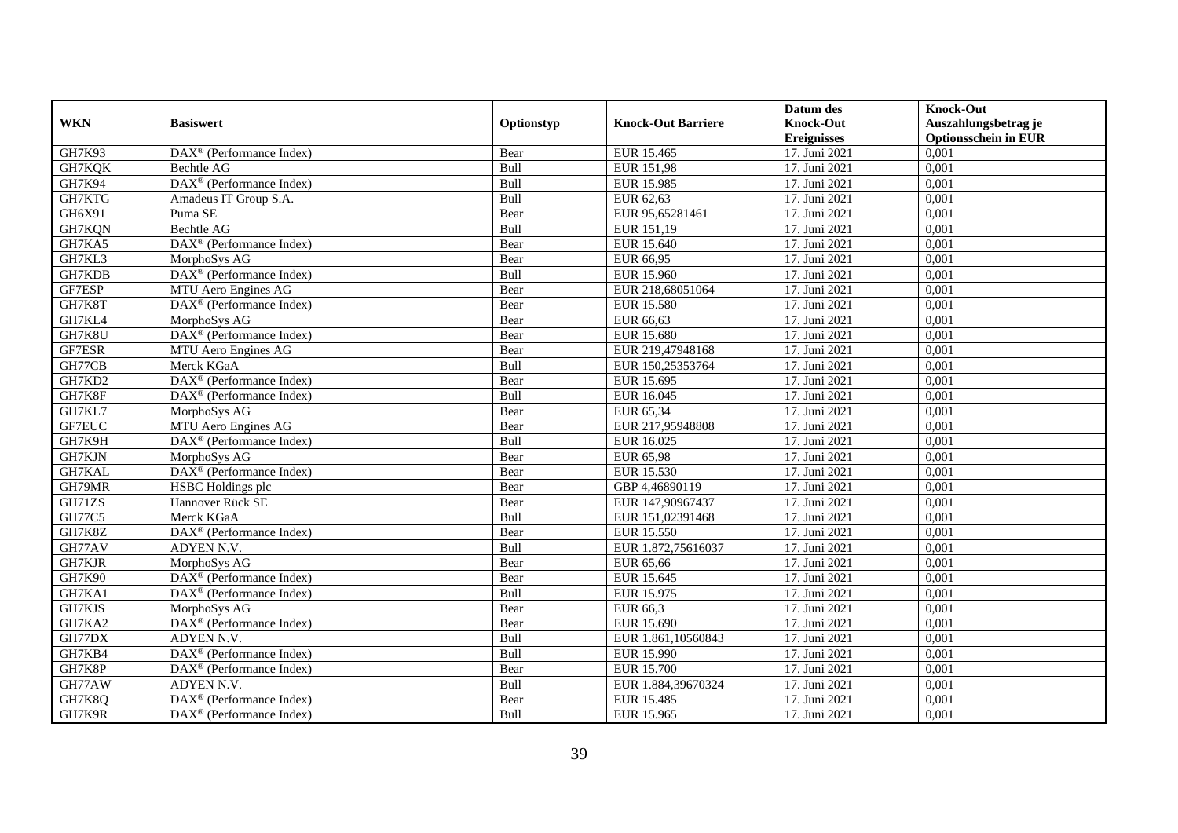|               |                                                         |            |                           | Datum des          | <b>Knock-Out</b>            |
|---------------|---------------------------------------------------------|------------|---------------------------|--------------------|-----------------------------|
| <b>WKN</b>    | <b>Basiswert</b>                                        | Optionstyp | <b>Knock-Out Barriere</b> | <b>Knock-Out</b>   | Auszahlungsbetrag je        |
|               |                                                         |            |                           | <b>Ereignisses</b> | <b>Optionsschein in EUR</b> |
| <b>GH7K93</b> | $\overline{\text{DAX}^{\otimes}}$ (Performance Index)   | Bear       | <b>EUR 15.465</b>         | 17. Juni 2021      | 0,001                       |
| GH7KQK        | Bechtle AG                                              | Bull       | EUR 151,98                | 17. Juni 2021      | 0,001                       |
| GH7K94        | DAX <sup>®</sup> (Performance Index)                    | Bull       | EUR 15.985                | 17. Juni 2021      | 0,001                       |
| GH7KTG        | Amadeus IT Group S.A.                                   | Bull       | EUR 62,63                 | 17. Juni 2021      | 0,001                       |
| GH6X91        | Puma SE                                                 | Bear       | EUR 95,65281461           | 17. Juni 2021      | 0,001                       |
| GH7KQN        | Bechtle AG                                              | Bull       | EUR 151,19                | 17. Juni 2021      | 0,001                       |
| GH7KA5        | $\overline{\text{DAX}^{\otimes}}$ (Performance Index)   | Bear       | EUR 15.640                | 17. Juni 2021      | 0,001                       |
| GH7KL3        | MorphoSys AG                                            | Bear       | EUR 66,95                 | 17. Juni 2021      | 0,001                       |
| GH7KDB        | DAX <sup>®</sup> (Performance Index)                    | Bull       | EUR 15.960                | 17. Juni 2021      | 0,001                       |
| GF7ESP        | MTU Aero Engines AG                                     | Bear       | EUR 218,68051064          | 17. Juni 2021      | 0,001                       |
| GH7K8T        | DAX <sup>®</sup> (Performance Index)                    | Bear       | <b>EUR 15.580</b>         | 17. Juni 2021      | 0,001                       |
| GH7KL4        | MorphoSys AG                                            | Bear       | EUR 66,63                 | 17. Juni 2021      | 0,001                       |
| GH7K8U        | $\overline{\text{DAX}^{\otimes}}$ (Performance Index)   | Bear       | <b>EUR 15.680</b>         | 17. Juni 2021      | 0,001                       |
| GF7ESR        | MTU Aero Engines AG                                     | Bear       | EUR 219,47948168          | 17. Juni 2021      | 0,001                       |
| GH77CB        | Merck KGaA                                              | Bull       | EUR 150,25353764          | 17. Juni 2021      | 0,001                       |
| GH7KD2        | DAX <sup>®</sup> (Performance Index)                    | Bear       | EUR 15.695                | 17. Juni 2021      | 0,001                       |
| GH7K8F        | DAX <sup>®</sup> (Performance Index)                    | Bull       | EUR 16.045                | 17. Juni 2021      | 0,001                       |
| GH7KL7        | MorphoSys AG                                            | Bear       | EUR 65.34                 | 17. Juni 2021      | 0,001                       |
| GF7EUC        | MTU Aero Engines AG                                     | Bear       | EUR 217,95948808          | 17. Juni 2021      | 0,001                       |
| GH7K9H        | DAX <sup>®</sup> (Performance Index)                    | Bull       | EUR 16.025                | 17. Juni 2021      | 0,001                       |
| GH7KJN        | MorphoSys AG                                            | Bear       | EUR 65,98                 | 17. Juni 2021      | 0,001                       |
| <b>GH7KAL</b> | DAX <sup>®</sup> (Performance Index)                    | Bear       | EUR 15.530                | 17. Juni 2021      | 0,001                       |
| GH79MR        | HSBC Holdings plc                                       | Bear       | GBP 4,46890119            | 17. Juni 2021      | 0,001                       |
| GH71ZS        | Hannover Rück SE                                        | Bear       | EUR 147,90967437          | 17. Juni 2021      | 0,001                       |
| <b>GH77C5</b> | Merck KGaA                                              | Bull       | EUR 151,02391468          | 17. Juni 2021      | 0,001                       |
| GH7K8Z        | DAX <sup>®</sup> (Performance Index)                    | Bear       | EUR 15.550                | 17. Juni 2021      | 0,001                       |
| GH77AV        | ADYEN N.V.                                              | Bull       | EUR 1.872,75616037        | 17. Juni 2021      | 0,001                       |
| GH7KJR        | MorphoSys AG                                            | Bear       | EUR 65,66                 | 17. Juni 2021      | 0,001                       |
| <b>GH7K90</b> | $\text{DAX}^{\textcircled{p}}$ (Performance Index)      | Bear       | EUR 15.645                | 17. Juni 2021      | 0,001                       |
| GH7KA1        | $\overline{\text{DAX}^{\otimes}}$ (Performance Index)   | Bull       | EUR 15.975                | 17. Juni 2021      | 0,001                       |
| GH7KJS        | MorphoSys AG                                            | Bear       | EUR 66,3                  | 17. Juni 2021      | 0,001                       |
| GH7KA2        | DAX <sup>®</sup> (Performance Index)                    | Bear       | EUR 15.690                | 17. Juni 2021      | 0,001                       |
| GH77DX        | ADYEN N.V.                                              | Bull       | EUR 1.861,10560843        | 17. Juni 2021      | 0,001                       |
| GH7KB4        | DAX <sup>®</sup> (Performance Index)                    | Bull       | <b>EUR 15.990</b>         | 17. Juni 2021      | 0,001                       |
| GH7K8P        | DAX <sup>®</sup> (Performance Index)                    | Bear       | <b>EUR 15.700</b>         | 17. Juni 2021      | 0,001                       |
| GH77AW        | ADYEN N.V.                                              | Bull       | EUR 1.884,39670324        | 17. Juni 2021      | 0,001                       |
| GH7K8Q        | $\overline{\text{DAX}^{\otimes}}$ (Performance Index)   | Bear       | EUR 15.485                | 17. Juni 2021      | 0,001                       |
| GH7K9R        | $\overline{\text{DAX}}^{\textcirc}$ (Performance Index) | Bull       | EUR 15.965                | 17. Juni 2021      | 0,001                       |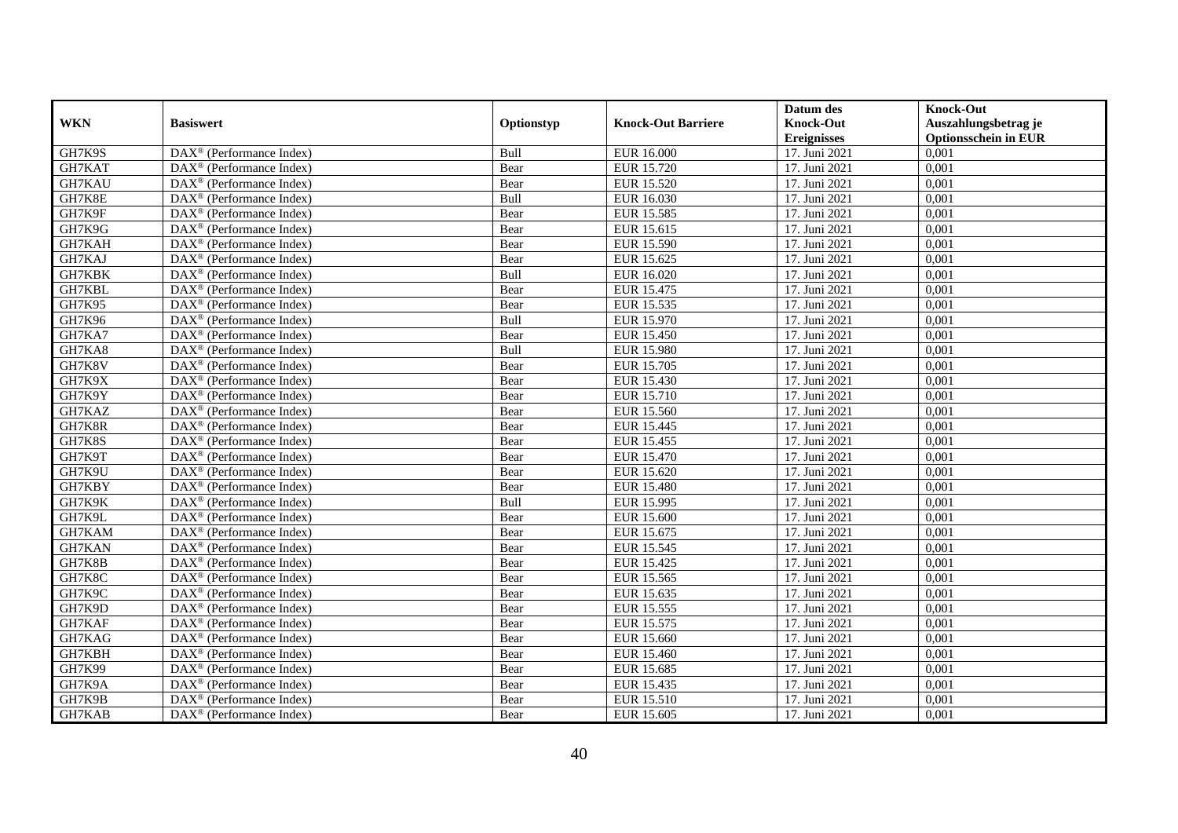|            |                                                              |            |                           | Datum des          | <b>Knock-Out</b>            |
|------------|--------------------------------------------------------------|------------|---------------------------|--------------------|-----------------------------|
| <b>WKN</b> | <b>Basiswert</b>                                             | Optionstyp | <b>Knock-Out Barriere</b> | <b>Knock-Out</b>   | Auszahlungsbetrag je        |
|            |                                                              |            |                           | <b>Ereignisses</b> | <b>Optionsschein in EUR</b> |
| GH7K9S     | DAX <sup>®</sup> (Performance Index)                         | Bull       | <b>EUR 16.000</b>         | 17. Juni 2021      | 0,001                       |
| GH7KAT     | $\text{DAX}^{\textcircled{p}}$ (Performance Index)           | Bear       | EUR 15.720                | 17. Juni 2021      | 0,001                       |
| GH7KAU     | DAX <sup>®</sup> (Performance Index)                         | Bear       | EUR 15.520                | 17. Juni 2021      | 0,001                       |
| GH7K8E     | $\text{DAX}^{\circledast}$ (Performance Index)               | Bull       | EUR 16.030                | 17. Juni 2021      | 0,001                       |
| GH7K9F     | DAX <sup>®</sup> (Performance Index)                         | Bear       | EUR 15.585                | 17. Juni 2021      | 0,001                       |
| GH7K9G     | $\text{DAX}^{\circledast}$ (Performance Index)               | Bear       | EUR 15.615                | 17. Juni 2021      | 0,001                       |
| GH7KAH     | $\text{DAX}^{\textcircled{n}}$ (Performance Index)           | Bear       | EUR 15.590                | 17. Juni 2021      | 0,001                       |
| GH7KAJ     | $\text{DAX}^{\textcircled{}}$ (Performance Index)            | Bear       | EUR 15.625                | 17. Juni 2021      | 0,001                       |
| GH7KBK     | $\text{DAX}^{\textcircled{p}}$ (Performance Index)           | Bull       | EUR 16.020                | 17. Juni 2021      | 0,001                       |
| GH7KBL     | $DAX^{\otimes}$ (Performance Index)                          | Bear       | EUR 15.475                | 17. Juni 2021      | 0,001                       |
| GH7K95     | $\overline{\text{DAX}}^{\textcircled{}}$ (Performance Index) | Bear       | EUR 15.535                | 17. Juni 2021      | 0,001                       |
| GH7K96     | $\overline{\text{DAX}^{\otimes}}$ (Performance Index)        | Bull       | <b>EUR 15.970</b>         | 17. Juni 2021      | 0,001                       |
| GH7KA7     | $\text{DAX}^{\circledast}$ (Performance Index)               | Bear       | EUR 15.450                | 17. Juni 2021      | 0,001                       |
| GH7KA8     | DAX <sup>®</sup> (Performance Index)                         | Bull       | <b>EUR 15.980</b>         | 17. Juni 2021      | 0,001                       |
| GH7K8V     | DAX <sup>®</sup> (Performance Index)                         | Bear       | EUR 15.705                | 17. Juni 2021      | 0,001                       |
| GH7K9X     | DAX <sup>®</sup> (Performance Index)                         | Bear       | EUR 15.430                | 17. Juni 2021      | 0,001                       |
| GH7K9Y     | DAX <sup>®</sup> (Performance Index)                         | Bear       | EUR 15.710                | 17. Juni 2021      | 0,001                       |
| GH7KAZ     | $\overline{\text{DAX}}^{\textcirc}$ (Performance Index)      | Bear       | EUR 15.560                | 17. Juni 2021      | 0,001                       |
| GH7K8R     | DAX <sup>®</sup> (Performance Index)                         | Bear       | EUR 15.445                | 17. Juni 2021      | 0,001                       |
| GH7K8S     | DAX <sup>®</sup> (Performance Index)                         | Bear       | EUR 15.455                | 17. Juni 2021      | 0,001                       |
| GH7K9T     | DAX <sup>®</sup> (Performance Index)                         | Bear       | EUR 15.470                | 17. Juni 2021      | 0,001                       |
| GH7K9U     | $\overline{\text{DAX}^{\otimes}}$ (Performance Index)        | Bear       | EUR 15.620                | 17. Juni 2021      | 0,001                       |
| GH7KBY     | $\text{DAX}^{\circledast}$ (Performance Index)               | Bear       | <b>EUR 15.480</b>         | 17. Juni 2021      | 0,001                       |
| GH7K9K     | DAX <sup>®</sup> (Performance Index)                         | Bull       | EUR 15.995                | 17. Juni 2021      | 0,001                       |
| GH7K9L     | DAX <sup>®</sup> (Performance Index)                         | Bear       | <b>EUR 15.600</b>         | 17. Juni 2021      | 0,001                       |
| GH7KAM     | $\text{DAX}^{\otimes}$ (Performance Index)                   | Bear       | EUR 15.675                | 17. Juni 2021      | 0,001                       |
| GH7KAN     | $\text{DAX}^{\circledast}$ (Performance Index)               | Bear       | EUR 15.545                | 17. Juni 2021      | 0,001                       |
| GH7K8B     | $\text{DAX}^{\textcircled{p}}$ (Performance Index)           | Bear       | <b>EUR 15.425</b>         | 17. Juni 2021      | 0,001                       |
| GH7K8C     | $\text{DAX}^{\textcircled{p}}$ (Performance Index)           | Bear       | EUR 15.565                | 17. Juni 2021      | 0,001                       |
| GH7K9C     | DAX <sup>®</sup> (Performance Index)                         | Bear       | EUR 15.635                | 17. Juni 2021      | 0,001                       |
| GH7K9D     | DAX <sup>®</sup> (Performance Index)                         | Bear       | EUR 15.555                | 17. Juni 2021      | 0,001                       |
| GH7KAF     | DAX <sup>®</sup> (Performance Index)                         | Bear       | EUR 15.575                | 17. Juni 2021      | 0,001                       |
| GH7KAG     | $\overline{\text{DAX}^{\otimes}}$ (Performance Index)        | Bear       | EUR 15.660                | 17. Juni 2021      | 0,001                       |
| GH7KBH     | $\text{DAX}^{\circledast}$ (Performance Index)               | Bear       | EUR 15.460                | 17. Juni 2021      | 0,001                       |
| GH7K99     | $\text{DAX}^{\textcircled{n}}$ (Performance Index)           | Bear       | EUR 15.685                | 17. Juni 2021      | 0,001                       |
| GH7K9A     | $\text{DAX}^{\circledast}$ (Performance Index)               | Bear       | EUR 15.435                | 17. Juni 2021      | 0,001                       |
| GH7K9B     | $\text{DAX}^{\otimes}$ (Performance Index)                   | Bear       | EUR 15.510                | 17. Juni 2021      | 0,001                       |
| GH7KAB     | $\overline{\text{DAX}}^{\textcircled{}}$ (Performance Index) | Bear       | EUR 15.605                | 17. Juni 2021      | 0,001                       |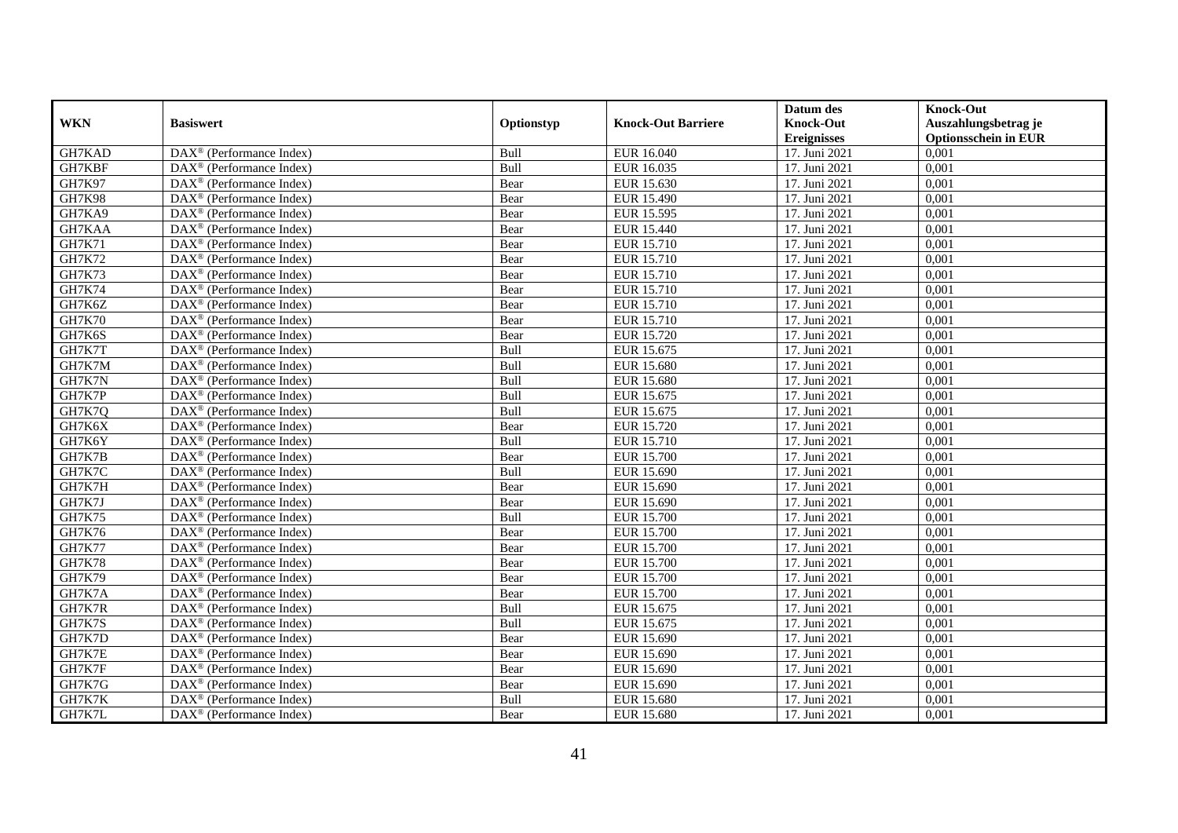|               |                                                              |            |                           | Datum des          | <b>Knock-Out</b>            |
|---------------|--------------------------------------------------------------|------------|---------------------------|--------------------|-----------------------------|
| <b>WKN</b>    | <b>Basiswert</b>                                             | Optionstyp | <b>Knock-Out Barriere</b> | <b>Knock-Out</b>   | Auszahlungsbetrag je        |
|               |                                                              |            |                           | <b>Ereignisses</b> | <b>Optionsschein in EUR</b> |
| GH7KAD        | DAX <sup>®</sup> (Performance Index)                         | Bull       | EUR 16.040                | 17. Juni 2021      | 0,001                       |
| GH7KBF        | $\text{DAX}^{\textcircled{D}}$ (Performance Index)           | Bull       | EUR 16.035                | 17. Juni 2021      | 0,001                       |
| GH7K97        | DAX <sup>®</sup> (Performance Index)                         | Bear       | EUR 15.630                | 17. Juni 2021      | 0,001                       |
| <b>GH7K98</b> | $\text{DAX}^{\otimes}$ (Performance Index)                   | Bear       | EUR 15.490                | 17. Juni 2021      | 0,001                       |
| GH7KA9        | DAX <sup>®</sup> (Performance Index)                         | Bear       | EUR 15.595                | 17. Juni 2021      | 0,001                       |
| GH7KAA        | $\text{DAX}^{\circledast}$ (Performance Index)               | Bear       | EUR 15.440                | 17. Juni 2021      | 0,001                       |
| GH7K71        | $\text{DAX}^{\textcircled{n}}$ (Performance Index)           | Bear       | EUR 15.710                | 17. Juni 2021      | 0,001                       |
| GH7K72        | $\text{DAX}^{\textcircled{}}$ (Performance Index)            | Bear       | EUR 15.710                | 17. Juni 2021      | 0,001                       |
| <b>GH7K73</b> | $\text{DAX}^{\textcircled{D}}$ (Performance Index)           | Bear       | EUR 15.710                | 17. Juni 2021      | 0,001                       |
| <b>GH7K74</b> | $DAX^{\otimes}$ (Performance Index)                          | Bear       | EUR 15.710                | 17. Juni 2021      | 0,001                       |
| GH7K6Z        | $\overline{\text{DAX}}^{\textcircled{}}$ (Performance Index) | Bear       | <b>EUR 15.710</b>         | 17. Juni 2021      | 0,001                       |
| <b>GH7K70</b> | $\overline{\text{DAX}^{\otimes}}$ (Performance Index)        | Bear       | <b>EUR 15.710</b>         | 17. Juni 2021      | 0,001                       |
| GH7K6S        | $\text{DAX}^{\circledast}$ (Performance Index)               | Bear       | EUR 15.720                | 17. Juni 2021      | 0,001                       |
| GH7K7T        | DAX <sup>®</sup> (Performance Index)                         | Bull       | EUR 15.675                | 17. Juni 2021      | 0,001                       |
| GH7K7M        | DAX <sup>®</sup> (Performance Index)                         | Bull       | EUR 15.680                | 17. Juni 2021      | 0,001                       |
| GH7K7N        | DAX <sup>®</sup> (Performance Index)                         | Bull       | EUR 15.680                | 17. Juni 2021      | 0,001                       |
| GH7K7P        | DAX <sup>®</sup> (Performance Index)                         | Bull       | EUR 15.675                | 17. Juni 2021      | 0,001                       |
| GH7K7Q        | $\overline{\text{DAX}}^{\textcirc}$ (Performance Index)      | Bull       | EUR 15.675                | 17. Juni 2021      | 0,001                       |
| GH7K6X        | DAX <sup>®</sup> (Performance Index)                         | Bear       | <b>EUR 15.720</b>         | 17. Juni 2021      | 0,001                       |
| GH7K6Y        | DAX <sup>®</sup> (Performance Index)                         | Bull       | EUR 15.710                | 17. Juni 2021      | 0,001                       |
| GH7K7B        | DAX <sup>®</sup> (Performance Index)                         | Bear       | <b>EUR 15.700</b>         | 17. Juni 2021      | 0,001                       |
| GH7K7C        | $\overline{\text{DAX}^{\otimes}}$ (Performance Index)        | Bull       | EUR 15.690                | 17. Juni 2021      | 0,001                       |
| GH7K7H        | $\text{DAX}^{\circledast}$ (Performance Index)               | Bear       | EUR 15.690                | 17. Juni 2021      | 0,001                       |
| GH7K7J        | DAX <sup>®</sup> (Performance Index)                         | Bear       | EUR 15.690                | 17. Juni 2021      | 0,001                       |
| GH7K75        | DAX <sup>®</sup> (Performance Index)                         | Bull       | <b>EUR 15.700</b>         | 17. Juni 2021      | 0,001                       |
| GH7K76        | $\text{DAX}^{\otimes}$ (Performance Index)                   | Bear       | <b>EUR 15.700</b>         | 17. Juni 2021      | 0,001                       |
| <b>GH7K77</b> | $\text{DAX}^{\circledast}$ (Performance Index)               | Bear       | <b>EUR 15.700</b>         | 17. Juni 2021      | 0,001                       |
| <b>GH7K78</b> | $\text{DAX}^{\textcircled{D}}$ (Performance Index)           | Bear       | <b>EUR 15.700</b>         | 17. Juni 2021      | 0,001                       |
| <b>GH7K79</b> | $\text{DAX}^{\textcircled{D}}$ (Performance Index)           | Bear       | EUR 15.700                | 17. Juni 2021      | 0,001                       |
| GH7K7A        | $DAX^{\otimes}$ (Performance Index)                          | Bear       | <b>EUR 15.700</b>         | 17. Juni 2021      | 0,001                       |
| GH7K7R        | DAX <sup>®</sup> (Performance Index)                         | Bull       | EUR 15.675                | 17. Juni 2021      | 0,001                       |
| GH7K7S        | DAX <sup>®</sup> (Performance Index)                         | Bull       | EUR 15.675                | 17. Juni 2021      | 0,001                       |
| GH7K7D        | $\overline{\text{DAX}^{\otimes}}$ (Performance Index)        | Bear       | EUR 15.690                | 17. Juni 2021      | 0,001                       |
| GH7K7E        | DAX <sup>®</sup> (Performance Index)                         | Bear       | EUR 15.690                | 17. Juni 2021      | 0,001                       |
| GH7K7F        | $\text{DAX}^{\textcircled{n}}$ (Performance Index)           | Bear       | EUR 15.690                | 17. Juni 2021      | 0,001                       |
| GH7K7G        | $\text{DAX}^{\textcircled{n}}$ (Performance Index)           | Bear       | EUR 15.690                | 17. Juni 2021      | 0,001                       |
| GH7K7K        | DAX <sup>®</sup> (Performance Index)                         | Bull       | EUR 15.680                | 17. Juni 2021      | 0,001                       |
| GH7K7L        | $\overline{\text{DAX}}^{\textcircled{}}$ (Performance Index) | Bear       | <b>EUR 15.680</b>         | 17. Juni 2021      | 0,001                       |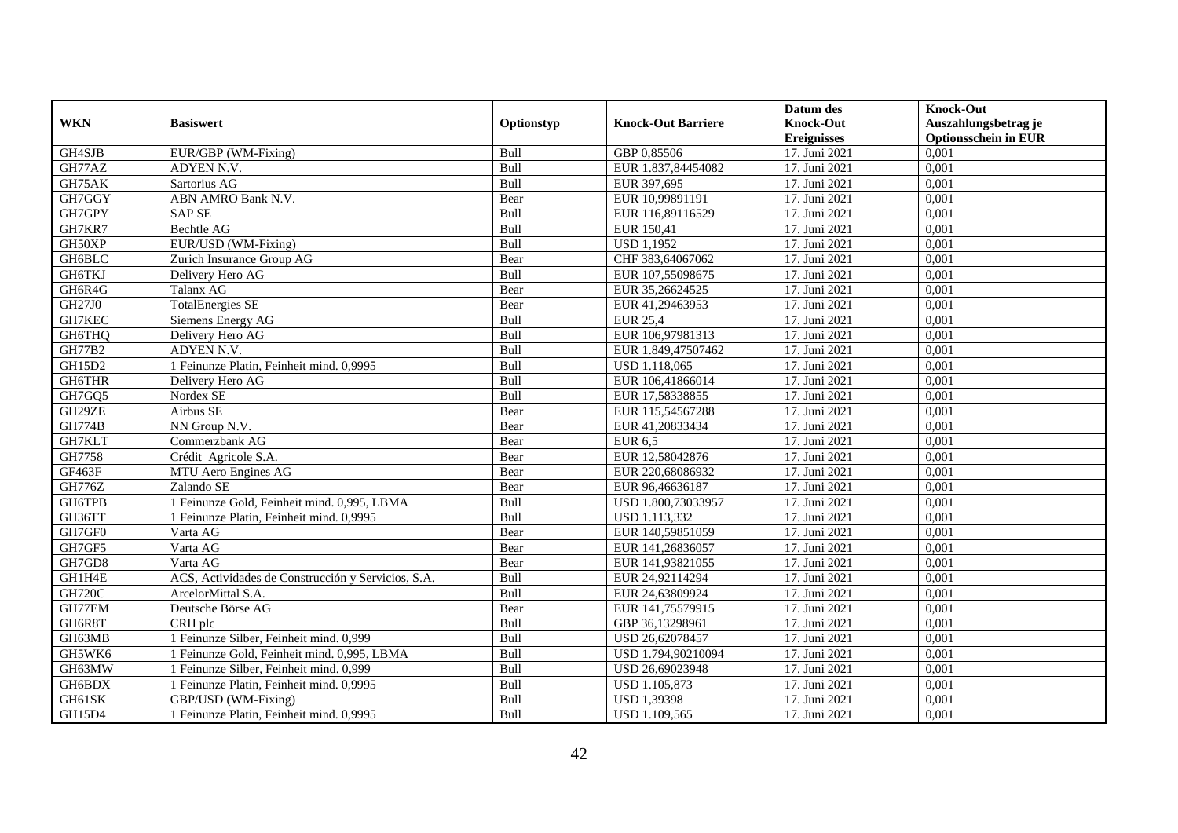|               |                                                    |             |                           | Datum des          | <b>Knock-Out</b>            |
|---------------|----------------------------------------------------|-------------|---------------------------|--------------------|-----------------------------|
| <b>WKN</b>    | <b>Basiswert</b>                                   | Optionstyp  | <b>Knock-Out Barriere</b> | <b>Knock-Out</b>   | Auszahlungsbetrag je        |
|               |                                                    |             |                           | <b>Ereignisses</b> | <b>Optionsschein in EUR</b> |
| GH4SJB        | EUR/GBP (WM-Fixing)                                | Bull        | GBP 0,85506               | 17. Juni 2021      | 0,001                       |
| GH77AZ        | ADYEN N.V.                                         | Bull        | EUR 1.837,84454082        | 17. Juni 2021      | 0,001                       |
| GH75AK        | Sartorius AG                                       | Bull        | EUR 397,695               | 17. Juni 2021      | 0,001                       |
| GH7GGY        | ABN AMRO Bank N.V.                                 | Bear        | EUR 10,99891191           | 17. Juni 2021      | 0.001                       |
| GH7GPY        | <b>SAP SE</b>                                      | Bull        | EUR 116,89116529          | 17. Juni 2021      | 0,001                       |
| GH7KR7        | <b>Bechtle AG</b>                                  | Bull        | EUR 150.41                | 17. Juni 2021      | 0,001                       |
| GH50XP        | EUR/USD (WM-Fixing)                                | Bull        | <b>USD 1,1952</b>         | 17. Juni 2021      | 0,001                       |
| GH6BLC        | Zurich Insurance Group AG                          | Bear        | CHF 383,64067062          | 17. Juni 2021      | 0,001                       |
| GH6TKJ        | Delivery Hero AG                                   | Bull        | EUR 107,55098675          | 17. Juni 2021      | 0,001                       |
| GH6R4G        | Talanx AG                                          | Bear        | EUR 35,26624525           | 17. Juni 2021      | 0,001                       |
| GH27J0        | <b>TotalEnergies SE</b>                            | Bear        | EUR 41,29463953           | 17. Juni 2021      | 0,001                       |
| GH7KEC        | Siemens Energy AG                                  | Bull        | <b>EUR 25,4</b>           | 17. Juni 2021      | 0,001                       |
| GH6THQ        | Delivery Hero AG                                   | Bull        | EUR 106,97981313          | 17. Juni 2021      | 0,001                       |
| GH77B2        | ADYEN N.V.                                         | Bull        | EUR 1.849,47507462        | 17. Juni 2021      | 0,001                       |
| GH15D2        | 1 Feinunze Platin, Feinheit mind. 0,9995           | Bull        | USD 1.118,065             | 17. Juni 2021      | 0,001                       |
| <b>GH6THR</b> | Delivery Hero AG                                   | Bull        | EUR 106,41866014          | 17. Juni 2021      | 0,001                       |
| GH7GQ5        | Nordex SE                                          | Bull        | EUR 17,58338855           | 17. Juni 2021      | 0,001                       |
| GH29ZE        | Airbus SE                                          | Bear        | EUR 115.54567288          | 17. Juni 2021      | 0,001                       |
| <b>GH774B</b> | NN Group N.V.                                      | Bear        | EUR 41,20833434           | 17. Juni 2021      | 0,001                       |
| GH7KLT        | Commerzbank AG                                     | Bear        | <b>EUR 6,5</b>            | 17. Juni 2021      | 0,001                       |
| GH7758        | Crédit Agricole S.A.                               | Bear        | EUR 12,58042876           | 17. Juni 2021      | 0,001                       |
| GF463F        | MTU Aero Engines AG                                | Bear        | EUR 220,68086932          | 17. Juni 2021      | 0,001                       |
| GH776Z        | Zalando SE                                         | Bear        | EUR 96,46636187           | 17. Juni 2021      | 0,001                       |
| GH6TPB        | 1 Feinunze Gold, Feinheit mind. 0,995, LBMA        | Bull        | USD 1.800,73033957        | 17. Juni 2021      | 0,001                       |
| GH36TT        | 1 Feinunze Platin, Feinheit mind. 0.9995           | <b>Bull</b> | USD 1.113,332             | 17. Juni 2021      | 0.001                       |
| GH7GF0        | Varta AG                                           | Bear        | EUR 140,59851059          | 17. Juni 2021      | 0,001                       |
| GH7GF5        | Varta AG                                           | Bear        | EUR 141,26836057          | 17. Juni 2021      | 0,001                       |
| GH7GD8        | Varta AG                                           | Bear        | EUR 141,93821055          | 17. Juni 2021      | 0,001                       |
| GH1H4E        | ACS, Actividades de Construcción y Servicios, S.A. | Bull        | EUR 24,92114294           | 17. Juni 2021      | 0,001                       |
| <b>GH720C</b> | ArcelorMittal S.A.                                 | Bull        | EUR 24,63809924           | 17. Juni 2021      | 0,001                       |
| GH77EM        | Deutsche Börse AG                                  | Bear        | EUR 141,75579915          | 17. Juni 2021      | 0,001                       |
| GH6R8T        | CRH plc                                            | <b>Bull</b> | GBP 36,13298961           | 17. Juni 2021      | 0,001                       |
| GH63MB        | 1 Feinunze Silber, Feinheit mind. 0,999            | Bull        | USD 26,62078457           | 17. Juni 2021      | 0,001                       |
| GH5WK6        | 1 Feinunze Gold, Feinheit mind. 0,995, LBMA        | Bull        | USD 1.794,90210094        | 17. Juni 2021      | 0,001                       |
| GH63MW        | 1 Feinunze Silber, Feinheit mind. 0,999            | Bull        | USD 26,69023948           | 17. Juni 2021      | 0,001                       |
| GH6BDX        | 1 Feinunze Platin, Feinheit mind. 0.9995           | Bull        | USD 1.105,873             | 17. Juni 2021      | 0,001                       |
| GH61SK        | GBP/USD (WM-Fixing)                                | Bull        | <b>USD 1,39398</b>        | 17. Juni 2021      | 0,001                       |
| GH15D4        | 1 Feinunze Platin, Feinheit mind. 0,9995           | Bull        | USD 1.109,565             | 17. Juni 2021      | 0,001                       |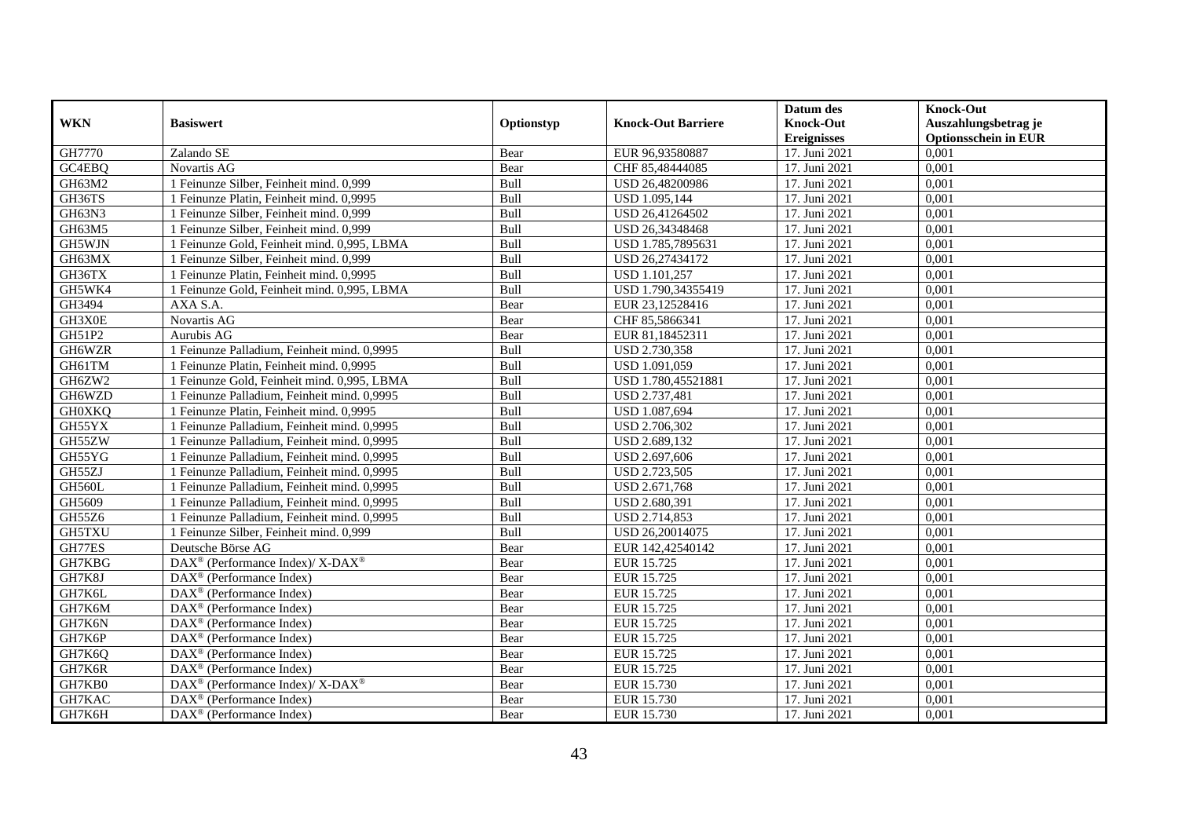|               |                                                                    |            |                           | Datum des          | <b>Knock-Out</b>            |
|---------------|--------------------------------------------------------------------|------------|---------------------------|--------------------|-----------------------------|
| <b>WKN</b>    | <b>Basiswert</b>                                                   | Optionstyp | <b>Knock-Out Barriere</b> | <b>Knock-Out</b>   | Auszahlungsbetrag je        |
|               |                                                                    |            |                           | <b>Ereignisses</b> | <b>Optionsschein in EUR</b> |
| GH7770        | Zalando SE                                                         | Bear       | EUR 96,93580887           | 17. Juni 2021      | 0,001                       |
| GC4EBQ        | Novartis AG                                                        | Bear       | CHF 85,48444085           | 17. Juni 2021      | 0,001                       |
| GH63M2        | 1 Feinunze Silber, Feinheit mind. 0,999                            | Bull       | USD 26,48200986           | 17. Juni 2021      | 0,001                       |
| GH36TS        | 1 Feinunze Platin, Feinheit mind. 0,9995                           | Bull       | USD 1.095,144             | 17. Juni 2021      | 0,001                       |
| GH63N3        | 1 Feinunze Silber, Feinheit mind. 0,999                            | Bull       | USD 26,41264502           | 17. Juni 2021      | 0,001                       |
| GH63M5        | 1 Feinunze Silber, Feinheit mind. 0,999                            | Bull       | USD 26,34348468           | 17. Juni 2021      | 0,001                       |
| GH5WJN        | 1 Feinunze Gold, Feinheit mind. 0,995, LBMA                        | Bull       | USD 1.785,7895631         | 17. Juni 2021      | 0,001                       |
| GH63MX        | 1 Feinunze Silber, Feinheit mind. 0,999                            | Bull       | USD 26,27434172           | 17. Juni 2021      | 0,001                       |
| GH36TX        | 1 Feinunze Platin, Feinheit mind. 0,9995                           | Bull       | USD 1.101,257             | 17. Juni 2021      | 0,001                       |
| GH5WK4        | 1 Feinunze Gold, Feinheit mind. 0,995, LBMA                        | Bull       | USD 1.790,34355419        | 17. Juni 2021      | 0,001                       |
| GH3494        | AXA S.A.                                                           | Bear       | EUR 23,12528416           | 17. Juni 2021      | 0,001                       |
| GH3X0E        | Novartis AG                                                        | Bear       | CHF 85,5866341            | 17. Juni 2021      | 0,001                       |
| GH51P2        | Aurubis AG                                                         | Bear       | EUR 81,18452311           | 17. Juni 2021      | 0,001                       |
| GH6WZR        | 1 Feinunze Palladium, Feinheit mind. 0,9995                        | Bull       | USD 2.730,358             | 17. Juni 2021      | 0,001                       |
| GH61TM        | 1 Feinunze Platin, Feinheit mind. 0,9995                           | Bull       | USD 1.091,059             | 17. Juni 2021      | 0,001                       |
| GH6ZW2        | 1 Feinunze Gold, Feinheit mind. 0,995, LBMA                        | Bull       | USD 1.780,45521881        | 17. Juni 2021      | 0,001                       |
| GH6WZD        | 1 Feinunze Palladium, Feinheit mind. 0,9995                        | Bull       | USD 2.737,481             | 17. Juni 2021      | 0,001                       |
| <b>GH0XKQ</b> | 1 Feinunze Platin, Feinheit mind. 0.9995                           | Bull       | <b>USD 1.087.694</b>      | 17. Juni 2021      | 0,001                       |
| GH55YX        | 1 Feinunze Palladium, Feinheit mind. 0,9995                        | Bull       | USD 2.706,302             | 17. Juni 2021      | 0,001                       |
| GH55ZW        | 1 Feinunze Palladium, Feinheit mind. 0,9995                        | Bull       | USD 2.689,132             | 17. Juni 2021      | 0,001                       |
| GH55YG        | 1 Feinunze Palladium, Feinheit mind. 0,9995                        | Bull       | USD 2.697,606             | 17. Juni 2021      | 0,001                       |
| GH55ZJ        | 1 Feinunze Palladium, Feinheit mind. 0,9995                        | Bull       | <b>USD 2.723,505</b>      | 17. Juni 2021      | 0,001                       |
| <b>GH560L</b> | 1 Feinunze Palladium, Feinheit mind. 0,9995                        | Bull       | USD 2.671,768             | 17. Juni 2021      | 0,001                       |
| GH5609        | 1 Feinunze Palladium, Feinheit mind. 0,9995                        | Bull       | USD 2.680,391             | 17. Juni 2021      | 0,001                       |
| GH55Z6        | 1 Feinunze Palladium. Feinheit mind. 0.9995                        | Bull       | USD 2.714,853             | 17. Juni 2021      | 0,001                       |
| GH5TXU        | 1 Feinunze Silber, Feinheit mind. 0,999                            | Bull       | USD 26,20014075           | 17. Juni 2021      | 0,001                       |
| GH77ES        | Deutsche Börse AG                                                  | Bear       | EUR 142,42540142          | 17. Juni 2021      | 0,001                       |
| GH7KBG        | DAX <sup>®</sup> (Performance Index)/ X-DAX <sup>®</sup>           | Bear       | EUR 15.725                | 17. Juni 2021      | 0.001                       |
| GH7K8J        | $\text{DAX}^{\textcircled{D}}$ (Performance Index)                 | Bear       | EUR 15.725                | 17. Juni 2021      | 0,001                       |
| GH7K6L        | $\text{DAX}^{\textcircled{D}}$ (Performance Index)                 | Bear       | EUR 15.725                | 17. Juni 2021      | 0,001                       |
| GH7K6M        | DAX <sup>®</sup> (Performance Index)                               | Bear       | EUR 15.725                | 17. Juni 2021      | 0,001                       |
| GH7K6N        | $\text{DAX}^{\textcircled{n}}$ (Performance Index)                 | Bear       | EUR 15.725                | 17. Juni 2021      | 0,001                       |
| GH7K6P        | $\overline{\text{DAX}^{\otimes}}$ (Performance Index)              | Bear       | EUR 15.725                | 17. Juni 2021      | 0,001                       |
| GH7K6Q        | DAX <sup>®</sup> (Performance Index)                               | Bear       | EUR 15.725                | 17. Juni 2021      | 0,001                       |
| GH7K6R        | $\text{DAX}^{\circledast}$ (Performance Index)                     | Bear       | EUR 15.725                | 17. Juni 2021      | 0,001                       |
| GH7KB0        | $\text{DAX}^{\circledast}$ (Performance Index)/ X-DAX <sup>®</sup> | Bear       | EUR 15.730                | 17. Juni 2021      | 0,001                       |
| GH7KAC        | $\text{DAX}^{\otimes}$ (Performance Index)                         | Bear       | EUR 15.730                | 17. Juni 2021      | 0,001                       |
| GH7K6H        | $\text{DAX}^{\textcircled{n}}$ (Performance Index)                 | Bear       | EUR 15.730                | 17. Juni 2021      | 0,001                       |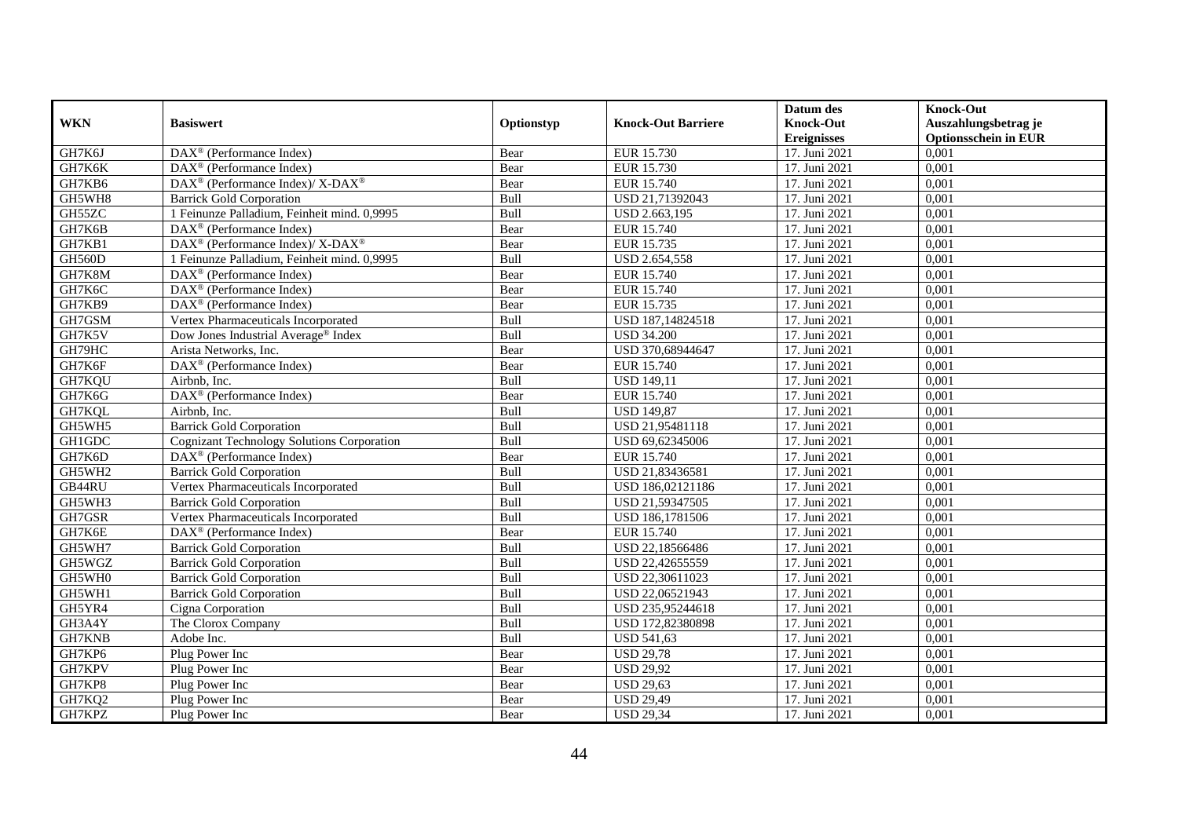|               |                                                          |              |                           | Datum des                              | <b>Knock-Out</b>                                    |
|---------------|----------------------------------------------------------|--------------|---------------------------|----------------------------------------|-----------------------------------------------------|
| <b>WKN</b>    | <b>Basiswert</b>                                         | Optionstyp   | <b>Knock-Out Barriere</b> | <b>Knock-Out</b><br><b>Ereignisses</b> | Auszahlungsbetrag je<br><b>Optionsschein in EUR</b> |
| GH7K6J        | $\text{DAX}^{\textcircled{}}$ (Performance Index)        | Bear         | EUR 15.730                | 17. Juni 2021                          | 0,001                                               |
| GH7K6K        | $DAX^{\circledR}$ (Performance Index)                    | Bear         | EUR 15.730                | 17. Juni 2021                          | 0,001                                               |
| GH7KB6        | DAX <sup>®</sup> (Performance Index)/ X-DAX <sup>®</sup> | Bear         | EUR 15.740                | 17. Juni 2021                          | 0,001                                               |
| GH5WH8        | <b>Barrick Gold Corporation</b>                          | Bull         | USD 21,71392043           | 17. Juni 2021                          | 0,001                                               |
| GH55ZC        | 1 Feinunze Palladium, Feinheit mind. 0,9995              | Bull         | USD 2.663,195             | 17. Juni 2021                          | 0,001                                               |
| GH7K6B        | DAX <sup>®</sup> (Performance Index)                     | Bear         | EUR 15.740                | 17. Juni 2021                          | 0,001                                               |
| GH7KB1        | DAX <sup>®</sup> (Performance Index)/ X-DAX <sup>®</sup> | Bear         | EUR 15.735                | 17. Juni 2021                          | 0,001                                               |
| <b>GH560D</b> | 1 Feinunze Palladium, Feinheit mind. 0,9995              | Bull         | <b>USD 2.654,558</b>      | 17. Juni 2021                          | 0,001                                               |
| GH7K8M        | $DAX^{\circledR}$ (Performance Index)                    | Bear         | EUR 15.740                | 17. Juni 2021                          | 0,001                                               |
| GH7K6C        | $DAX^{\circledR}$ (Performance Index)                    | Bear         | EUR 15.740                | 17. Juni 2021                          | 0,001                                               |
| GH7KB9        | $\overline{\text{DAX}^{\otimes}}$ (Performance Index)    |              | EUR 15.735                | 17. Juni 2021                          | 0,001                                               |
| GH7GSM        | Vertex Pharmaceuticals Incorporated                      | Bear<br>Bull | USD 187,14824518          | 17. Juni 2021                          | 0,001                                               |
| GH7K5V        |                                                          |              |                           |                                        |                                                     |
|               | Dow Jones Industrial Average® Index                      | Bull         | <b>USD 34.200</b>         | 17. Juni 2021                          | 0,001                                               |
| GH79HC        | Arista Networks, Inc.                                    | Bear         | USD 370,68944647          | 17. Juni 2021                          | 0,001                                               |
| GH7K6F        | DAX <sup>®</sup> (Performance Index)                     | Bear         | EUR 15.740                | 17. Juni 2021                          | 0,001                                               |
| GH7KQU        | Airbnb, Inc.                                             | Bull         | <b>USD 149,11</b>         | 17. Juni 2021                          | 0,001                                               |
| GH7K6G        | DAX <sup>®</sup> (Performance Index)                     | Bear         | EUR 15.740                | 17. Juni 2021                          | 0,001                                               |
| GH7KQL        | Airbnb. Inc.                                             | <b>Bull</b>  | <b>USD 149.87</b>         | 17. Juni 2021                          | 0,001                                               |
| GH5WH5        | <b>Barrick Gold Corporation</b>                          | Bull         | USD 21,95481118           | 17. Juni 2021                          | 0,001                                               |
| GH1GDC        | <b>Cognizant Technology Solutions Corporation</b>        | Bull         | USD 69,62345006           | 17. Juni 2021                          | 0,001                                               |
| GH7K6D        | DAX <sup>®</sup> (Performance Index)                     | Bear         | EUR 15.740                | 17. Juni 2021                          | 0,001                                               |
| GH5WH2        | <b>Barrick Gold Corporation</b>                          | Bull         | USD 21,83436581           | 17. Juni 2021                          | 0,001                                               |
| GB44RU        | Vertex Pharmaceuticals Incorporated                      | Bull         | USD 186,02121186          | 17. Juni 2021                          | 0,001                                               |
| GH5WH3        | <b>Barrick Gold Corporation</b>                          | Bull         | USD 21,59347505           | 17. Juni 2021                          | 0,001                                               |
| GH7GSR        | Vertex Pharmaceuticals Incorporated                      | Bull         | USD 186,1781506           | 17. Juni 2021                          | 0,001                                               |
| GH7K6E        | DAX <sup>®</sup> (Performance Index)                     | Bear         | EUR 15.740                | 17. Juni 2021                          | 0,001                                               |
| GH5WH7        | <b>Barrick Gold Corporation</b>                          | Bull         | USD 22,18566486           | 17. Juni 2021                          | 0,001                                               |
| GH5WGZ        | <b>Barrick Gold Corporation</b>                          | Bull         | USD 22,42655559           | 17. Juni 2021                          | 0,001                                               |
| GH5WH0        | <b>Barrick Gold Corporation</b>                          | Bull         | USD 22,30611023           | 17. Juni 2021                          | 0,001                                               |
| GH5WH1        | <b>Barrick Gold Corporation</b>                          | Bull         | USD 22,06521943           | 17. Juni 2021                          | 0,001                                               |
| GH5YR4        | Cigna Corporation                                        | Bull         | USD 235,95244618          | 17. Juni 2021                          | 0,001                                               |
| GH3A4Y        | The Clorox Company                                       | Bull         | USD 172,82380898          | 17. Juni 2021                          | 0,001                                               |
| GH7KNB        | Adobe Inc.                                               | Bull         | <b>USD 541,63</b>         | 17. Juni 2021                          | 0,001                                               |
| GH7KP6        | Plug Power Inc                                           | Bear         | <b>USD 29,78</b>          | 17. Juni 2021                          | 0,001                                               |
| GH7KPV        | Plug Power Inc                                           | Bear         | <b>USD 29,92</b>          | 17. Juni 2021                          | 0,001                                               |
| GH7KP8        | Plug Power Inc                                           | Bear         | <b>USD 29,63</b>          | 17. Juni 2021                          | 0,001                                               |
| GH7KQ2        | Plug Power Inc                                           | Bear         | <b>USD 29,49</b>          | 17. Juni 2021                          | 0,001                                               |
| GH7KPZ        | Plug Power Inc                                           | Bear         | <b>USD 29,34</b>          | 17. Juni 2021                          | 0,001                                               |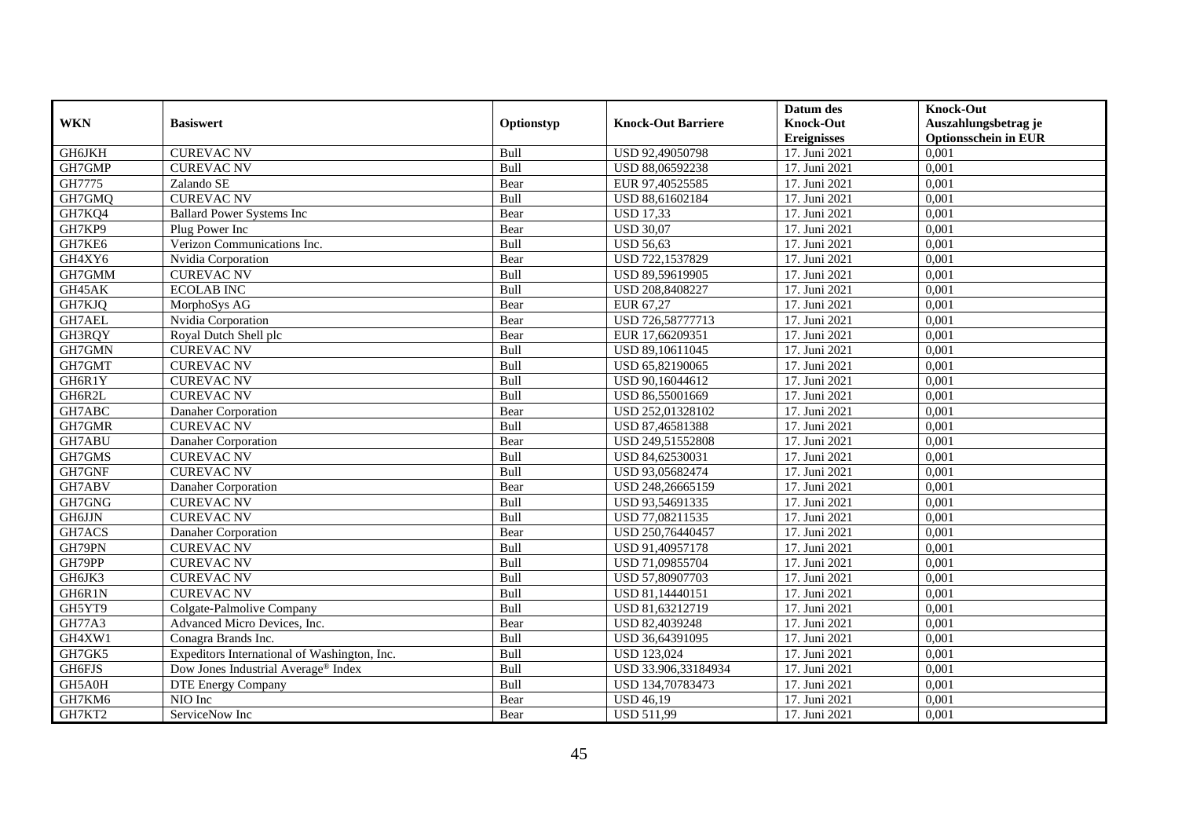|               |                                              |            |                           | Datum des          | <b>Knock-Out</b>            |
|---------------|----------------------------------------------|------------|---------------------------|--------------------|-----------------------------|
| <b>WKN</b>    | <b>Basiswert</b>                             | Optionstyp | <b>Knock-Out Barriere</b> | <b>Knock-Out</b>   | Auszahlungsbetrag je        |
|               |                                              |            |                           | <b>Ereignisses</b> | <b>Optionsschein in EUR</b> |
| <b>GH6JKH</b> | <b>CUREVAC NV</b>                            | Bull       | USD 92,49050798           | 17. Juni 2021      | 0,001                       |
| GH7GMP        | <b>CUREVAC NV</b>                            | Bull       | USD 88,06592238           | 17. Juni 2021      | 0,001                       |
| GH7775        | Zalando SE                                   | Bear       | EUR 97,40525585           | 17. Juni 2021      | 0,001                       |
| GH7GMQ        | <b>CUREVAC NV</b>                            | Bull       | USD 88,61602184           | 17. Juni 2021      | 0,001                       |
| GH7KQ4        | <b>Ballard Power Systems Inc</b>             | Bear       | <b>USD 17,33</b>          | 17. Juni 2021      | 0,001                       |
| GH7KP9        | Plug Power Inc                               | Bear       | <b>USD 30,07</b>          | 17. Juni 2021      | 0,001                       |
| GH7KE6        | Verizon Communications Inc.                  | Bull       | <b>USD 56,63</b>          | 17. Juni 2021      | 0,001                       |
| GH4XY6        | Nvidia Corporation                           | Bear       | USD 722,1537829           | 17. Juni 2021      | 0,001                       |
| GH7GMM        | <b>CUREVAC NV</b>                            | Bull       | USD 89,59619905           | 17. Juni 2021      | 0,001                       |
| GH45AK        | <b>ECOLAB INC</b>                            | Bull       | USD 208,8408227           | 17. Juni 2021      | 0,001                       |
| GH7KJQ        | MorphoSys AG                                 | Bear       | EUR 67,27                 | 17. Juni 2021      | 0,001                       |
| GH7AEL        | Nvidia Corporation                           | Bear       | USD 726,58777713          | 17. Juni 2021      | 0,001                       |
| GH3RQY        | Royal Dutch Shell plc                        | Bear       | EUR 17,66209351           | 17. Juni 2021      | 0,001                       |
| GH7GMN        | <b>CUREVAC NV</b>                            | Bull       | USD 89,10611045           | 17. Juni 2021      | 0,001                       |
| GH7GMT        | <b>CUREVAC NV</b>                            | Bull       | USD 65,82190065           | 17. Juni 2021      | 0,001                       |
| GH6R1Y        | <b>CUREVAC NV</b>                            | Bull       | USD 90,16044612           | 17. Juni 2021      | 0,001                       |
| GH6R2L        | <b>CUREVAC NV</b>                            | Bull       | USD 86,55001669           | 17. Juni 2021      | 0,001                       |
| GH7ABC        | Danaher Corporation                          | Bear       | USD 252,01328102          | 17. Juni 2021      | 0,001                       |
| GH7GMR        | <b>CUREVAC NV</b>                            | Bull       | USD 87,46581388           | 17. Juni 2021      | 0,001                       |
| GH7ABU        | Danaher Corporation                          | Bear       | USD 249,51552808          | 17. Juni 2021      | 0,001                       |
| GH7GMS        | <b>CUREVAC NV</b>                            | Bull       | USD 84,62530031           | 17. Juni 2021      | 0,001                       |
| GH7GNF        | <b>CUREVAC NV</b>                            | Bull       | USD 93,05682474           | 17. Juni 2021      | 0,001                       |
| GH7ABV        | Danaher Corporation                          | Bear       | USD 248,26665159          | 17. Juni 2021      | 0,001                       |
| GH7GNG        | <b>CUREVAC NV</b>                            | Bull       | USD 93,54691335           | 17. Juni 2021      | 0,001                       |
| GH6JJN        | <b>CUREVAC NV</b>                            | Bull       | USD 77,08211535           | 17. Juni 2021      | 0,001                       |
| GH7ACS        | Danaher Corporation                          | Bear       | USD 250,76440457          | 17. Juni 2021      | 0,001                       |
| GH79PN        | <b>CUREVAC NV</b>                            | Bull       | USD 91,40957178           | 17. Juni 2021      | 0,001                       |
| GH79PP        | <b>CUREVAC NV</b>                            | Bull       | USD 71,09855704           | 17. Juni 2021      | 0,001                       |
| GH6JK3        | <b>CUREVAC NV</b>                            | Bull       | USD 57,80907703           | 17. Juni 2021      | 0,001                       |
| GH6R1N        | <b>CUREVAC NV</b>                            | Bull       | USD 81,14440151           | 17. Juni 2021      | 0,001                       |
| GH5YT9        | Colgate-Palmolive Company                    | Bull       | USD 81,63212719           | 17. Juni 2021      | 0,001                       |
| <b>GH77A3</b> | Advanced Micro Devices, Inc.                 | Bear       | USD 82,4039248            | 17. Juni 2021      | 0,001                       |
| GH4XW1        | Conagra Brands Inc.                          | Bull       | USD 36,64391095           | 17. Juni 2021      | 0,001                       |
| GH7GK5        | Expeditors International of Washington, Inc. | Bull       | <b>USD 123,024</b>        | 17. Juni 2021      | 0,001                       |
| GH6FJS        | Dow Jones Industrial Average® Index          | Bull       | USD 33.906,33184934       | 17. Juni 2021      | 0,001                       |
| GH5A0H        | <b>DTE Energy Company</b>                    | Bull       | USD 134,70783473          | 17. Juni 2021      | 0,001                       |
| GH7KM6        | NIO Inc                                      | Bear       | <b>USD 46,19</b>          | 17. Juni 2021      | 0,001                       |
| GH7KT2        | ServiceNow Inc                               | Bear       | <b>USD 511,99</b>         | 17. Juni 2021      | 0,001                       |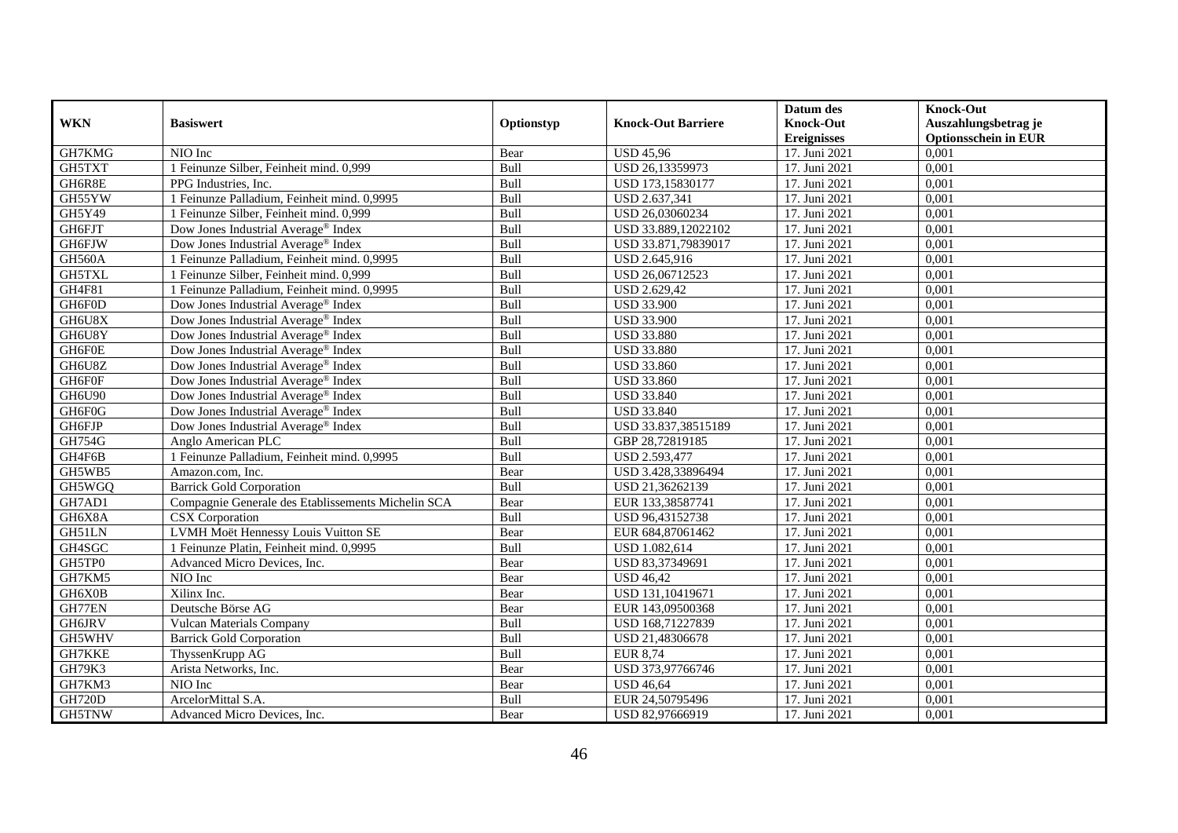|               |                                                    |            |                           | Datum des          | <b>Knock-Out</b>            |
|---------------|----------------------------------------------------|------------|---------------------------|--------------------|-----------------------------|
| <b>WKN</b>    | <b>Basiswert</b>                                   | Optionstyp | <b>Knock-Out Barriere</b> | <b>Knock-Out</b>   | Auszahlungsbetrag je        |
|               |                                                    |            |                           | <b>Ereignisses</b> | <b>Optionsschein in EUR</b> |
| GH7KMG        | NIO Inc                                            | Bear       | <b>USD 45,96</b>          | 17. Juni 2021      | 0,001                       |
| GH5TXT        | 1 Feinunze Silber, Feinheit mind. 0,999            | Bull       | USD 26,13359973           | 17. Juni 2021      | 0,001                       |
| GH6R8E        | PPG Industries, Inc.                               | Bull       | USD 173,15830177          | 17. Juni 2021      | 0,001                       |
| GH55YW        | 1 Feinunze Palladium, Feinheit mind. 0,9995        | Bull       | USD 2.637,341             | 17. Juni 2021      | 0,001                       |
| GH5Y49        | 1 Feinunze Silber, Feinheit mind. 0,999            | Bull       | USD 26,03060234           | 17. Juni 2021      | 0,001                       |
| GH6FJT        | Dow Jones Industrial Average <sup>®</sup> Index    | Bull       | USD 33.889,12022102       | 17. Juni 2021      | 0,001                       |
| GH6FJW        | Dow Jones Industrial Average® Index                | Bull       | USD 33.871,79839017       | 17. Juni 2021      | 0,001                       |
| <b>GH560A</b> | 1 Feinunze Palladium, Feinheit mind. 0,9995        | Bull       | USD 2.645,916             | 17. Juni 2021      | 0,001                       |
| GH5TXL        | 1 Feinunze Silber, Feinheit mind. 0,999            | Bull       | USD 26,06712523           | 17. Juni 2021      | 0,001                       |
| GH4F81        | 1 Feinunze Palladium, Feinheit mind. 0,9995        | Bull       | <b>USD 2.629,42</b>       | 17. Juni 2021      | 0,001                       |
| GH6F0D        | Dow Jones Industrial Average <sup>®</sup> Index    | Bull       | <b>USD 33.900</b>         | 17. Juni 2021      | 0,001                       |
| GH6U8X        | Dow Jones Industrial Average® Index                | Bull       | <b>USD 33.900</b>         | 17. Juni 2021      | 0,001                       |
| GH6U8Y        | Dow Jones Industrial Average® Index                | Bull       | <b>USD 33.880</b>         | 17. Juni 2021      | 0,001                       |
| GH6F0E        | Dow Jones Industrial Average <sup>®</sup> Index    | Bull       | <b>USD 33.880</b>         | 17. Juni 2021      | 0.001                       |
| GH6U8Z        | Dow Jones Industrial Average® Index                | Bull       | <b>USD 33.860</b>         | 17. Juni 2021      | 0,001                       |
| GH6F0F        | Dow Jones Industrial Average® Index                | Bull       | <b>USD 33.860</b>         | 17. Juni 2021      | 0,001                       |
| <b>GH6U90</b> | Dow Jones Industrial Average® Index                | Bull       | <b>USD 33.840</b>         | 17. Juni 2021      | 0,001                       |
| GH6F0G        | Dow Jones Industrial Average® Index                | Bull       | <b>USD 33.840</b>         | 17. Juni 2021      | 0,001                       |
| GH6FJP        | Dow Jones Industrial Average® Index                | Bull       | USD 33.837,38515189       | 17. Juni 2021      | 0,001                       |
| <b>GH754G</b> | Anglo American PLC                                 | Bull       | GBP 28,72819185           | 17. Juni 2021      | 0,001                       |
| GH4F6B        | 1 Feinunze Palladium, Feinheit mind. 0,9995        | Bull       | USD 2.593,477             | 17. Juni 2021      | 0,001                       |
| GH5WB5        | Amazon.com. Inc.                                   | Bear       | USD 3.428.33896494        | 17. Juni 2021      | 0,001                       |
| GH5WGQ        | <b>Barrick Gold Corporation</b>                    | Bull       | USD 21,36262139           | 17. Juni 2021      | 0,001                       |
| GH7AD1        | Compagnie Generale des Etablissements Michelin SCA | Bear       | EUR 133,38587741          | 17. Juni 2021      | 0,001                       |
| GH6X8A        | <b>CSX</b> Corporation                             | Bull       | USD 96,43152738           | 17. Juni 2021      | 0,001                       |
| GH51LN        | LVMH Moët Hennessy Louis Vuitton SE                | Bear       | EUR 684,87061462          | 17. Juni 2021      | 0,001                       |
| GH4SGC        | 1 Feinunze Platin, Feinheit mind. 0,9995           | Bull       | USD 1.082,614             | 17. Juni 2021      | 0,001                       |
| GH5TP0        | Advanced Micro Devices, Inc.                       | Bear       | USD 83,37349691           | 17. Juni 2021      | 0,001                       |
| GH7KM5        | NIO Inc                                            | Bear       | <b>USD 46,42</b>          | 17. Juni 2021      | 0,001                       |
| GH6X0B        | Xilinx Inc.                                        | Bear       | USD 131,10419671          | 17. Juni 2021      | 0,001                       |
| GH77EN        | Deutsche Börse AG                                  | Bear       | EUR 143,09500368          | 17. Juni 2021      | 0,001                       |
| GH6JRV        | <b>Vulcan Materials Company</b>                    | Bull       | USD 168,71227839          | 17. Juni 2021      | 0,001                       |
| GH5WHV        | <b>Barrick Gold Corporation</b>                    | Bull       | USD 21,48306678           | 17. Juni 2021      | 0,001                       |
| GH7KKE        | ThyssenKrupp AG                                    | Bull       | <b>EUR 8,74</b>           | 17. Juni 2021      | 0,001                       |
| GH79K3        | Arista Networks, Inc.                              | Bear       | USD 373,97766746          | 17. Juni 2021      | 0,001                       |
| GH7KM3        | NIO Inc                                            | Bear       | <b>USD 46,64</b>          | 17. Juni 2021      | 0,001                       |
| <b>GH720D</b> | ArcelorMittal S.A.                                 | Bull       | EUR 24,50795496           | 17. Juni 2021      | 0,001                       |
| GH5TNW        | Advanced Micro Devices, Inc.                       | Bear       | USD 82,97666919           | 17. Juni 2021      | 0,001                       |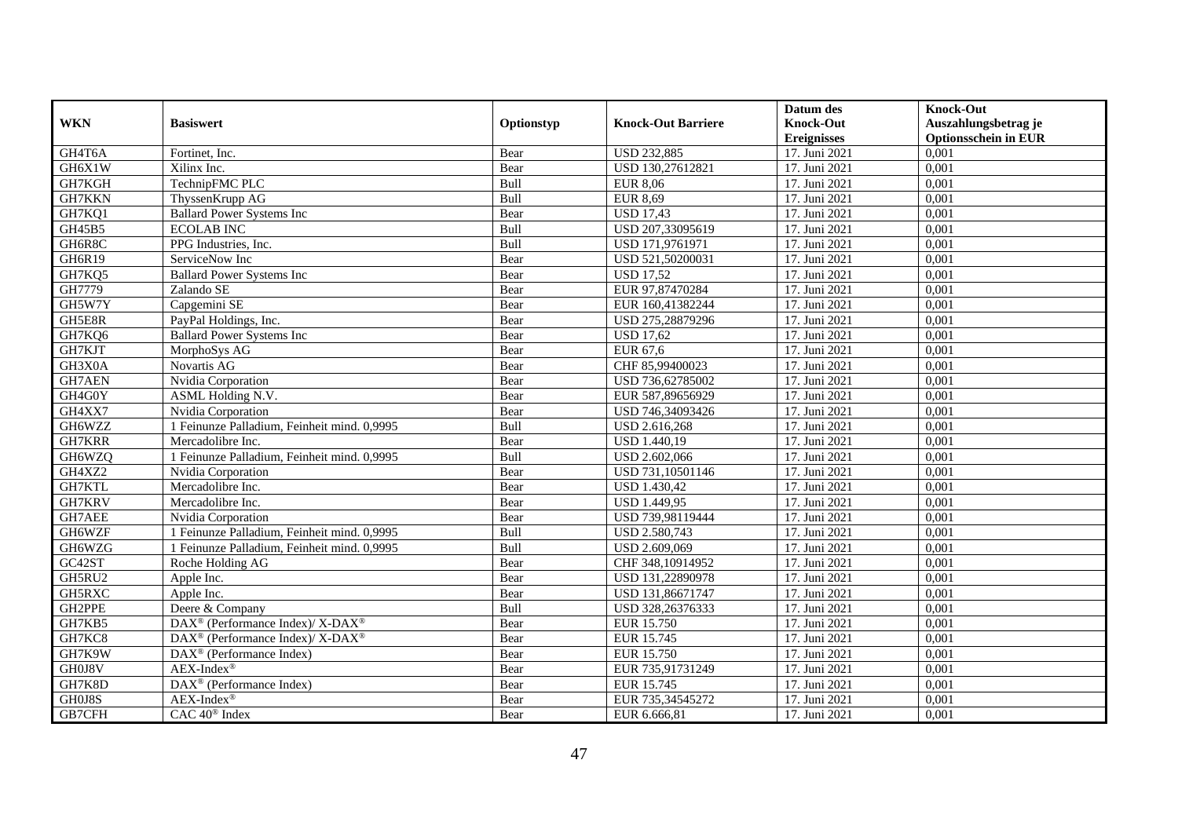|               |                                                          |            |                           | Datum des          | <b>Knock-Out</b>            |
|---------------|----------------------------------------------------------|------------|---------------------------|--------------------|-----------------------------|
| <b>WKN</b>    | <b>Basiswert</b>                                         | Optionstyp | <b>Knock-Out Barriere</b> | <b>Knock-Out</b>   | Auszahlungsbetrag je        |
|               |                                                          |            |                           | <b>Ereignisses</b> | <b>Optionsschein in EUR</b> |
| GH4T6A        | Fortinet, Inc.                                           | Bear       | <b>USD 232,885</b>        | 17. Juni 2021      | 0,001                       |
| GH6X1W        | Xilinx Inc.                                              | Bear       | USD 130,27612821          | 17. Juni 2021      | 0,001                       |
| GH7KGH        | TechnipFMC PLC                                           | Bull       | <b>EUR 8,06</b>           | 17. Juni 2021      | 0,001                       |
| <b>GH7KKN</b> | ThyssenKrupp AG                                          | Bull       | <b>EUR 8,69</b>           | 17. Juni 2021      | 0,001                       |
| GH7KQ1        | <b>Ballard Power Systems Inc</b>                         | Bear       | <b>USD 17,43</b>          | 17. Juni 2021      | 0,001                       |
| GH45B5        | <b>ECOLAB INC</b>                                        | Bull       | USD 207,33095619          | 17. Juni 2021      | 0,001                       |
| GH6R8C        | PPG Industries, Inc.                                     | Bull       | USD 171,9761971           | 17. Juni 2021      | 0,001                       |
| GH6R19        | ServiceNow Inc                                           | Bear       | USD 521,50200031          | 17. Juni 2021      | 0,001                       |
| GH7KQ5        | <b>Ballard Power Systems Inc</b>                         | Bear       | <b>USD 17,52</b>          | 17. Juni 2021      | 0,001                       |
| GH7779        | Zalando SE                                               | Bear       | EUR 97,87470284           | 17. Juni 2021      | 0,001                       |
| GH5W7Y        | Capgemini SE                                             | Bear       | EUR 160,41382244          | 17. Juni 2021      | 0,001                       |
| GH5E8R        | PayPal Holdings, Inc.                                    | Bear       | USD 275,28879296          | 17. Juni 2021      | 0,001                       |
| GH7KQ6        | <b>Ballard Power Systems Inc</b>                         | Bear       | <b>USD 17,62</b>          | 17. Juni 2021      | 0,001                       |
| GH7KJT        | MorphoSys AG                                             | Bear       | EUR 67,6                  | 17. Juni 2021      | 0,001                       |
| GH3X0A        | Novartis AG                                              | Bear       | CHF 85,99400023           | 17. Juni 2021      | 0,001                       |
| <b>GH7AEN</b> | Nvidia Corporation                                       | Bear       | USD 736,62785002          | 17. Juni 2021      | 0,001                       |
| GH4G0Y        | <b>ASML Holding N.V.</b>                                 | Bear       | EUR 587,89656929          | 17. Juni 2021      | 0,001                       |
| GH4XX7        | Nvidia Corporation                                       | Bear       | USD 746.34093426          | 17. Juni 2021      | 0,001                       |
| GH6WZZ        | 1 Feinunze Palladium, Feinheit mind. 0,9995              | Bull       | USD 2.616,268             | 17. Juni 2021      | 0,001                       |
| GH7KRR        | Mercadolibre Inc.                                        | Bear       | <b>USD 1.440,19</b>       | 17. Juni 2021      | 0,001                       |
| GH6WZQ        | 1 Feinunze Palladium, Feinheit mind. 0,9995              | Bull       | USD 2.602,066             | 17. Juni 2021      | 0,001                       |
| GH4XZ2        | Nvidia Corporation                                       | Bear       | USD 731,10501146          | 17. Juni 2021      | 0,001                       |
| GH7KTL        | Mercadolibre Inc.                                        | Bear       | <b>USD 1.430,42</b>       | 17. Juni 2021      | 0,001                       |
| GH7KRV        | Mercadolibre Inc.                                        | Bear       | <b>USD 1.449,95</b>       | 17. Juni 2021      | 0,001                       |
| GH7AEE        | Nvidia Corporation                                       | Bear       | USD 739,98119444          | 17. Juni 2021      | 0.001                       |
| GH6WZF        | 1 Feinunze Palladium, Feinheit mind. 0,9995              | Bull       | USD 2.580,743             | 17. Juni 2021      | 0,001                       |
| GH6WZG        | 1 Feinunze Palladium, Feinheit mind. 0,9995              | Bull       | USD 2.609,069             | 17. Juni 2021      | 0,001                       |
| GC42ST        | Roche Holding AG                                         | Bear       | CHF 348,10914952          | 17. Juni 2021      | 0,001                       |
| GH5RU2        | Apple Inc.                                               | Bear       | USD 131,22890978          | 17. Juni 2021      | 0,001                       |
| GH5RXC        | Apple Inc.                                               | Bear       | USD 131,86671747          | 17. Juni 2021      | 0,001                       |
| GH2PPE        | Deere & Company                                          | Bull       | USD 328,26376333          | 17. Juni 2021      | 0,001                       |
| GH7KB5        | DAX <sup>®</sup> (Performance Index)/ X-DAX <sup>®</sup> | Bear       | EUR 15.750                | 17. Juni 2021      | 0,001                       |
| GH7KC8        | DAX <sup>®</sup> (Performance Index)/X-DAX <sup>®</sup>  | Bear       | EUR 15.745                | 17. Juni 2021      | 0,001                       |
| GH7K9W        | DAX <sup>®</sup> (Performance Index)                     | Bear       | EUR 15.750                | 17. Juni 2021      | 0,001                       |
| GH0J8V        | $AEX-Index^{\circledR}$                                  | Bear       | EUR 735,91731249          | 17. Juni 2021      | 0,001                       |
| GH7K8D        | $DAX^{\circledast}$ (Performance Index)                  | Bear       | EUR 15.745                | 17. Juni 2021      | 0,001                       |
| GH0J8S        | AEX-Index®                                               | Bear       | EUR 735,34545272          | 17. Juni 2021      | 0,001                       |
| GB7CFH        | CAC 40 <sup>®</sup> Index                                | Bear       | EUR 6.666,81              | 17. Juni 2021      | 0,001                       |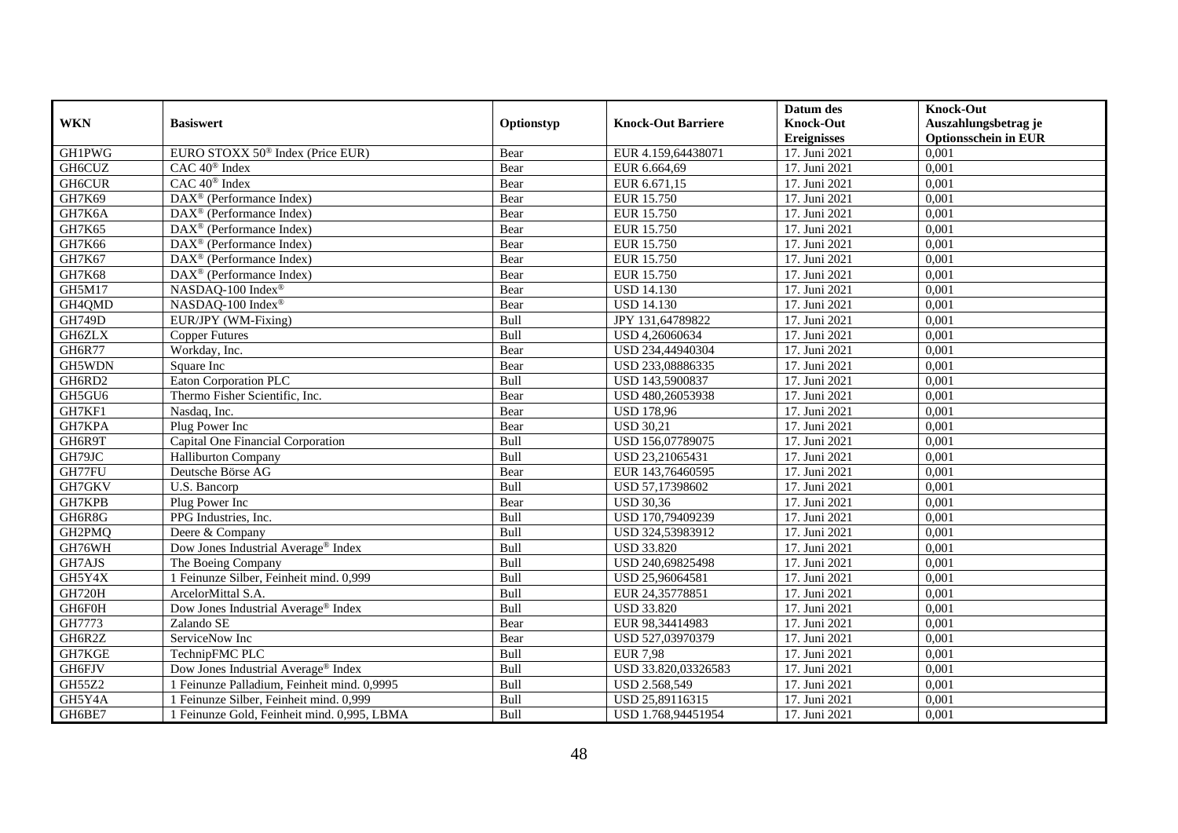|               |                                                         |            |                           | Datum des                              | <b>Knock-Out</b>                                    |
|---------------|---------------------------------------------------------|------------|---------------------------|----------------------------------------|-----------------------------------------------------|
| <b>WKN</b>    | <b>Basiswert</b>                                        | Optionstyp | <b>Knock-Out Barriere</b> | <b>Knock-Out</b><br><b>Ereignisses</b> | Auszahlungsbetrag je<br><b>Optionsschein in EUR</b> |
| <b>GH1PWG</b> | EURO STOXX 50 <sup>®</sup> Index (Price EUR)            | Bear       | EUR 4.159,64438071        | 17. Juni 2021                          | 0,001                                               |
| GH6CUZ        | $CAC 40$ <sup>®</sup> Index                             | Bear       | EUR 6.664,69              | 17. Juni 2021                          | 0,001                                               |
| <b>GH6CUR</b> | CAC 40 <sup>®</sup> Index                               | Bear       | EUR 6.671,15              | 17. Juni 2021                          | 0,001                                               |
| GH7K69        | DAX <sup>®</sup> (Performance Index)                    | Bear       | EUR 15.750                | 17. Juni 2021                          | 0,001                                               |
| GH7K6A        | $\text{DAX}^{\textcircled{n}}$ (Performance Index)      | Bear       | EUR 15.750                | 17. Juni 2021                          | 0,001                                               |
| <b>GH7K65</b> | $\text{DAX}^{\textcircled{D}}$ (Performance Index)      | Bear       | <b>EUR 15.750</b>         | 17. Juni 2021                          | 0,001                                               |
| GH7K66        | $\overline{\text{DAX}}^{\textcirc}$ (Performance Index) | Bear       | EUR 15.750                | 17. Juni 2021                          | 0,001                                               |
| GH7K67        | $DAX^{\otimes}$ (Performance Index)                     | Bear       | EUR 15.750                | 17. Juni 2021                          | 0,001                                               |
| <b>GH7K68</b> | $\text{DAX}^{\textcircled{D}}$ (Performance Index)      | Bear       | EUR 15.750                | 17. Juni 2021                          | 0,001                                               |
| GH5M17        | NASDAQ-100 Index®                                       | Bear       | <b>USD 14.130</b>         | 17. Juni 2021                          | 0,001                                               |
| GH4QMD        | NASDAQ-100 Index®                                       | Bear       | <b>USD 14.130</b>         | 17. Juni 2021                          | 0,001                                               |
| <b>GH749D</b> | EUR/JPY (WM-Fixing)                                     | Bull       | JPY 131,64789822          | 17. Juni 2021                          | 0,001                                               |
| GH6ZLX        | <b>Copper Futures</b>                                   | Bull       | USD 4,26060634            | 17. Juni 2021                          | 0,001                                               |
| <b>GH6R77</b> | Workday, Inc.                                           | Bear       | USD 234,44940304          | 17. Juni 2021                          | 0,001                                               |
| GH5WDN        | Square Inc                                              | Bear       | USD 233,08886335          | 17. Juni 2021                          | 0,001                                               |
| GH6RD2        | <b>Eaton Corporation PLC</b>                            | Bull       | USD 143,5900837           | 17. Juni 2021                          | 0,001                                               |
| GH5GU6        | Thermo Fisher Scientific, Inc.                          | Bear       | USD 480,26053938          | 17. Juni 2021                          | 0,001                                               |
| GH7KF1        | Nasdaq, Inc.                                            | Bear       | <b>USD 178,96</b>         | 17. Juni 2021                          | 0,001                                               |
| GH7KPA        | Plug Power Inc                                          | Bear       | <b>USD 30,21</b>          | 17. Juni 2021                          | 0,001                                               |
| GH6R9T        | Capital One Financial Corporation                       | Bull       | USD 156,07789075          | 17. Juni 2021                          | 0,001                                               |
| GH79JC        | <b>Halliburton Company</b>                              | Bull       | USD 23,21065431           | 17. Juni 2021                          | 0,001                                               |
| GH77FU        | Deutsche Börse AG                                       | Bear       | EUR 143,76460595          | 17. Juni 2021                          | 0,001                                               |
| GH7GKV        | $\overline{U}$ .S. Bancorp                              | Bull       | USD 57,17398602           | 17. Juni 2021                          | 0,001                                               |
| GH7KPB        | Plug Power Inc                                          | Bear       | <b>USD 30,36</b>          | 17. Juni 2021                          | 0,001                                               |
| GH6R8G        | PPG Industries, Inc.                                    | Bull       | USD 170,79409239          | 17. Juni 2021                          | 0,001                                               |
| GH2PMQ        | Deere & Company                                         | Bull       | USD 324,53983912          | 17. Juni 2021                          | 0,001                                               |
| GH76WH        | Dow Jones Industrial Average <sup>®</sup> Index         | Bull       | <b>USD 33.820</b>         | 17. Juni 2021                          | 0,001                                               |
| GH7AJS        | The Boeing Company                                      | Bull       | USD 240,69825498          | 17. Juni 2021                          | 0,001                                               |
| GH5Y4X        | 1 Feinunze Silber, Feinheit mind. 0,999                 | Bull       | USD 25,96064581           | 17. Juni 2021                          | 0,001                                               |
| <b>GH720H</b> | ArcelorMittal S.A.                                      | Bull       | EUR 24,35778851           | 17. Juni 2021                          | 0.001                                               |
| GH6F0H        | Dow Jones Industrial Average® Index                     | Bull       | <b>USD 33.820</b>         | 17. Juni 2021                          | 0,001                                               |
| GH7773        | Zalando SE                                              | Bear       | EUR 98,34414983           | 17. Juni 2021                          | 0,001                                               |
| GH6R2Z        | ServiceNow Inc                                          | Bear       | USD 527,03970379          | 17. Juni 2021                          | 0,001                                               |
| GH7KGE        | TechnipFMC PLC                                          | Bull       | <b>EUR 7,98</b>           | 17. Juni 2021                          | 0,001                                               |
| GH6FJV        | Dow Jones Industrial Average <sup>®</sup> Index         | Bull       | USD 33.820,03326583       | 17. Juni 2021                          | 0,001                                               |
| GH55Z2        | 1 Feinunze Palladium, Feinheit mind. 0,9995             | Bull       | USD 2.568,549             | 17. Juni 2021                          | 0,001                                               |
| GH5Y4A        | 1 Feinunze Silber, Feinheit mind. 0,999                 | Bull       | USD 25,89116315           | 17. Juni 2021                          | 0,001                                               |
| GH6BE7        | 1 Feinunze Gold, Feinheit mind. 0,995, LBMA             | Bull       | USD 1.768,94451954        | 17. Juni 2021                          | 0,001                                               |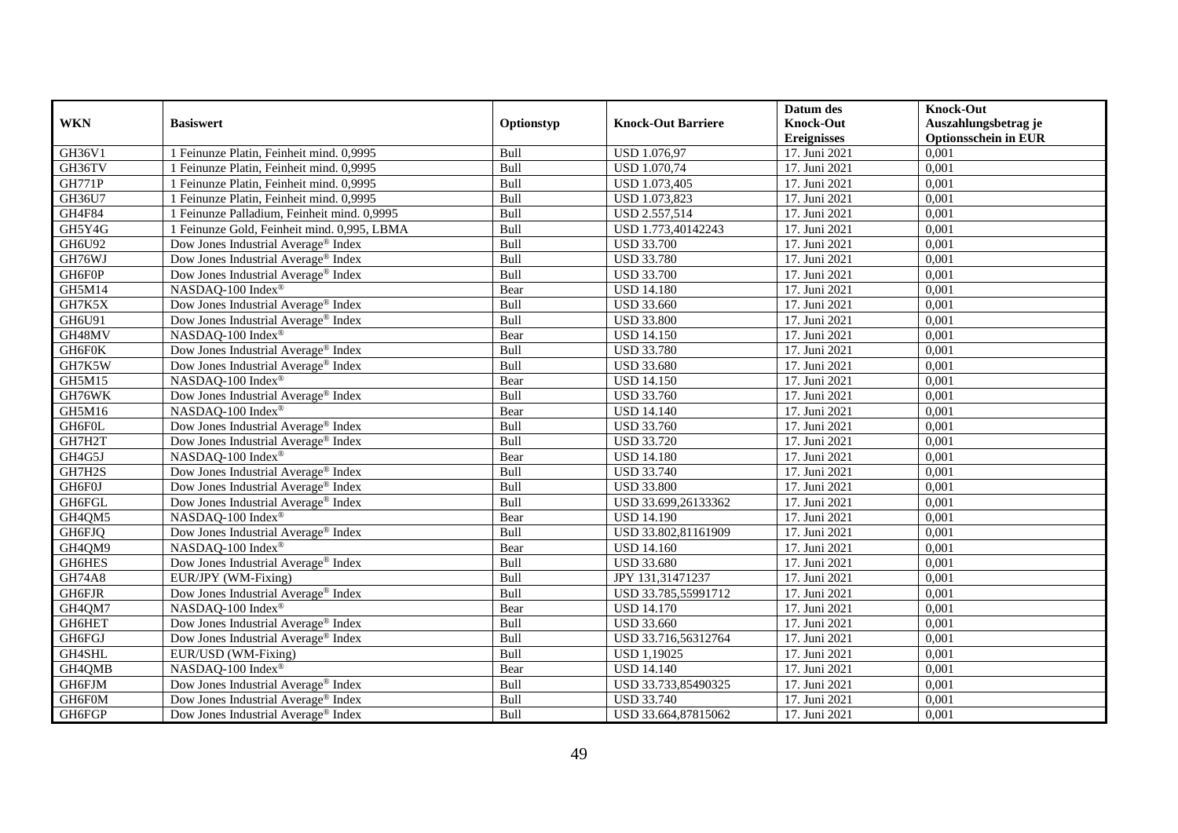|               |                                                 |            |                                   | Datum des          | <b>Knock-Out</b>            |
|---------------|-------------------------------------------------|------------|-----------------------------------|--------------------|-----------------------------|
| <b>WKN</b>    | <b>Basiswert</b>                                | Optionstyp | <b>Knock-Out Barriere</b>         | <b>Knock-Out</b>   | Auszahlungsbetrag je        |
|               |                                                 |            |                                   | <b>Ereignisses</b> | <b>Optionsschein in EUR</b> |
| GH36V1        | 1 Feinunze Platin, Feinheit mind. 0,9995        | Bull       | <b>USD 1.076,97</b>               | 17. Juni 2021      | 0,001                       |
| GH36TV        | 1 Feinunze Platin, Feinheit mind. 0,9995        | Bull       | <b>USD 1.070,74</b>               | 17. Juni 2021      | 0,001                       |
| <b>GH771P</b> | 1 Feinunze Platin, Feinheit mind, 0.9995        | Bull       | USD 1.073,405                     | 17. Juni 2021      | 0,001                       |
| GH36U7        | 1 Feinunze Platin, Feinheit mind. 0,9995        | Bull       | USD 1.073,823                     | 17. Juni 2021      | 0,001                       |
| GH4F84        | 1 Feinunze Palladium, Feinheit mind. 0,9995     | Bull       | USD 2.557,514                     | 17. Juni 2021      | 0,001                       |
| GH5Y4G        | 1 Feinunze Gold, Feinheit mind. 0,995, LBMA     | Bull       | USD 1.773,40142243                | 17. Juni 2021      | 0,001                       |
| GH6U92        | Dow Jones Industrial Average® Index             | Bull       | <b>USD 33.700</b>                 | 17. Juni 2021      | 0,001                       |
| GH76WJ        | Dow Jones Industrial Average® Index             | Bull       | <b>USD 33.780</b>                 | 17. Juni 2021      | 0,001                       |
| GH6F0P        | Dow Jones Industrial Average® Index             | Bull       | <b>USD 33.700</b>                 | 17. Juni 2021      | 0,001                       |
| GH5M14        | NASDAQ-100 Index®                               | Bear       | <b>USD 14.180</b>                 | 17. Juni 2021      | 0,001                       |
| GH7K5X        | Dow Jones Industrial Average <sup>®</sup> Index | Bull       | <b>USD 33.660</b>                 | 17. Juni 2021      | 0,001                       |
| GH6U91        | Dow Jones Industrial Average <sup>®</sup> Index | Bull       | <b>USD 33.800</b>                 | 17. Juni 2021      | 0,001                       |
| GH48MV        | NASDAQ-100 Index®                               | Bear       | <b>USD 14.150</b>                 | 17. Juni 2021      | 0,001                       |
| GH6F0K        | Dow Jones Industrial Average® Index             | Bull       | <b>USD 33.780</b>                 | 17. Juni 2021      | 0,001                       |
| GH7K5W        | Dow Jones Industrial Average <sup>®</sup> Index | Bull       | <b>USD 33.680</b>                 | 17. Juni 2021      | 0,001                       |
| GH5M15        | NASDAQ-100 Index®                               | Bear       | <b>USD 14.150</b>                 | 17. Juni 2021      | 0,001                       |
| GH76WK        | Dow Jones Industrial Average® Index             | Bull       | <b>USD 33.760</b>                 | 17. Juni 2021      | 0,001                       |
| GH5M16        | NASDAQ-100 Index®                               | Bear       | <b>USD 14.140</b>                 | 17. Juni 2021      | 0,001                       |
| GH6F0L        | Dow Jones Industrial Average® Index             | Bull       | <b>USD 33.760</b>                 | 17. Juni 2021      | 0,001                       |
| GH7H2T        | Dow Jones Industrial Average® Index             | Bull       | <b>USD 33.720</b>                 | 17. Juni 2021      | 0,001                       |
| GH4G5J        | NASDAQ-100 Index®                               | Bear       | <b>USD 14.180</b>                 | 17. Juni 2021      | 0,001                       |
| GH7H2S        | Dow Jones Industrial Average <sup>®</sup> Index | Bull       | <b>USD 33.740</b>                 | 17. Juni 2021      | 0,001                       |
| GH6F0J        | Dow Jones Industrial Average <sup>®</sup> Index | Bull       | <b>USD 33.800</b>                 | 17. Juni 2021      | 0,001                       |
| GH6FGL        | Dow Jones Industrial Average® Index             | Bull       | USD 33.699,26133362               | 17. Juni 2021      | 0,001                       |
| GH4QM5        | NASDAQ-100 Index®                               | Bear       | <b>USD 14.190</b>                 | 17. Juni 2021      | 0,001                       |
| GH6FJQ        | Dow Jones Industrial Average® Index             | Bull       | USD 33.802,81161909               | 17. Juni 2021      | 0,001                       |
| GH4QM9        | NASDAQ-100 Index®                               | Bear       | <b>USD 14.160</b>                 | 17. Juni 2021      | 0,001                       |
| GH6HES        | Dow Jones Industrial Average <sup>®</sup> Index | Bull       | <b>USD 33.680</b>                 | 17. Juni 2021      | 0,001                       |
| GH74A8        | EUR/JPY (WM-Fixing)                             | Bull       | JPY 131,31471237                  | 17. Juni 2021      | 0,001                       |
| GH6FJR        | Dow Jones Industrial Average® Index             | Bull       | USD 33.785,55991712               | 17. Juni 2021      | 0,001                       |
| GH4QM7        | NASDAQ-100 Index®                               | Bear       | <b>USD 14.170</b>                 | 17. Juni 2021      | 0,001                       |
| GH6HET        | Dow Jones Industrial Average <sup>®</sup> Index | Bull       | <b>USD 33.660</b>                 | 17. Juni 2021      | 0,001                       |
| GH6FGJ        | Dow Jones Industrial Average® Index             | Bull       | USD 33.716,56312764               | 17. Juni 2021      | 0,001                       |
| GH4SHL        | EUR/USD (WM-Fixing)                             | Bull       | $\overline{\text{USD 1}}$ , 19025 | 17. Juni 2021      | 0,001                       |
| GH4QMB        | NASDAQ-100 Index®                               | Bear       | <b>USD 14.140</b>                 | 17. Juni 2021      | 0,001                       |
| GH6FJM        | Dow Jones Industrial Average® Index             | Bull       | USD 33.733,85490325               | 17. Juni 2021      | 0,001                       |
| GH6F0M        | Dow Jones Industrial Average® Index             | Bull       | <b>USD 33.740</b>                 | 17. Juni 2021      | 0,001                       |
| GH6FGP        | Dow Jones Industrial Average® Index             | Bull       | USD 33.664,87815062               | 17. Juni 2021      | 0,001                       |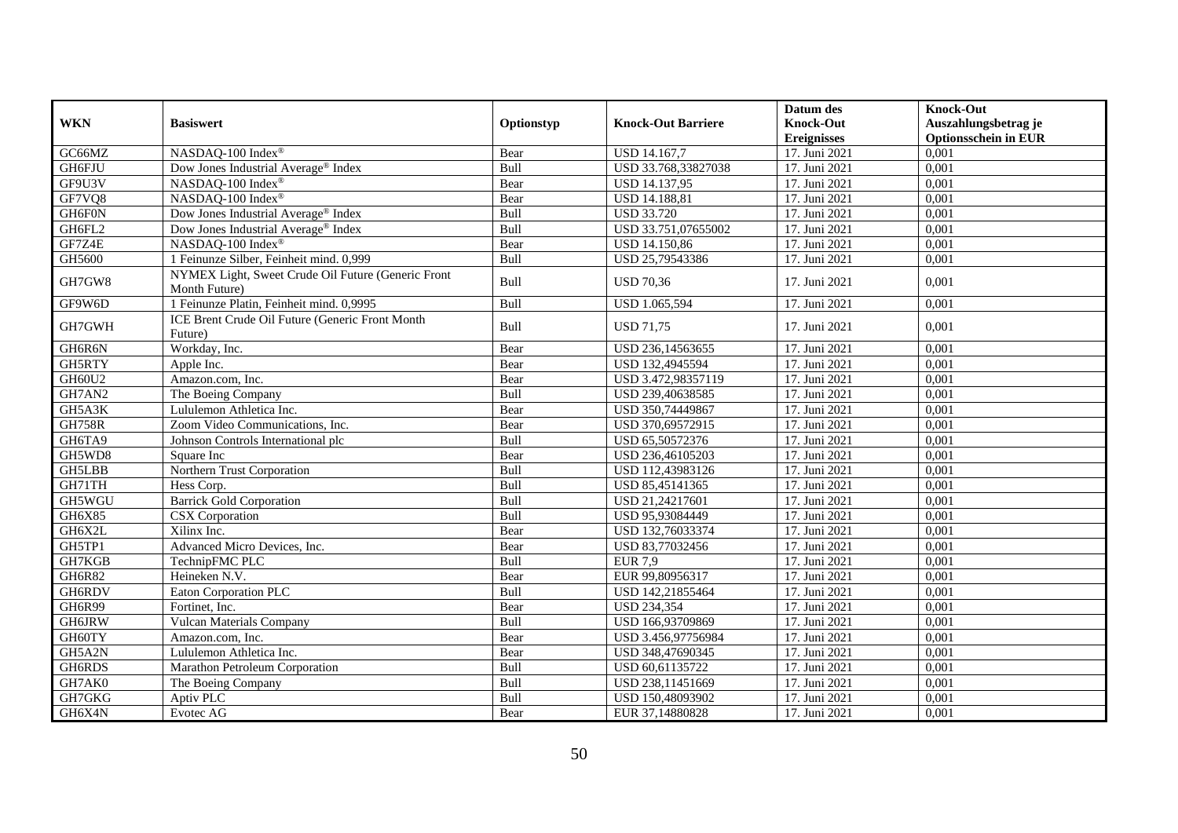|               |                                                                     |            |                           | Datum des          | <b>Knock-Out</b>            |
|---------------|---------------------------------------------------------------------|------------|---------------------------|--------------------|-----------------------------|
| <b>WKN</b>    | <b>Basiswert</b>                                                    | Optionstyp | <b>Knock-Out Barriere</b> | <b>Knock-Out</b>   | Auszahlungsbetrag je        |
|               |                                                                     |            |                           | <b>Ereignisses</b> | <b>Optionsschein in EUR</b> |
| GC66MZ        | NASDAQ-100 Index®                                                   | Bear       | USD 14.167,7              | 17. Juni 2021      | 0,001                       |
| GH6FJU        | Dow Jones Industrial Average <sup>®</sup> Index                     | Bull       | USD 33.768,33827038       | 17. Juni 2021      | 0,001                       |
| GF9U3V        | NASDAQ-100 Index®                                                   | Bear       | USD 14.137,95             | 17. Juni 2021      | 0,001                       |
| GF7VQ8        | NASDAQ-100 Index®                                                   | Bear       | USD 14.188,81             | 17. Juni 2021      | 0,001                       |
| GH6F0N        | Dow Jones Industrial Average <sup>®</sup> Index                     | Bull       | <b>USD 33.720</b>         | 17. Juni 2021      | 0,001                       |
| GH6FL2        | Dow Jones Industrial Average® Index                                 | Bull       | USD 33.751,07655002       | 17. Juni 2021      | 0,001                       |
| GF7Z4E        | NASDAQ-100 Index®                                                   | Bear       | USD 14.150,86             | 17. Juni 2021      | 0,001                       |
| GH5600        | 1 Feinunze Silber, Feinheit mind. 0,999                             | Bull       | USD 25,79543386           | 17. Juni 2021      | 0,001                       |
| GH7GW8        | NYMEX Light, Sweet Crude Oil Future (Generic Front<br>Month Future) | Bull       | <b>USD 70,36</b>          | 17. Juni 2021      | 0,001                       |
| GF9W6D        | 1 Feinunze Platin, Feinheit mind. 0,9995                            | Bull       | USD 1.065,594             | 17. Juni 2021      | 0,001                       |
| GH7GWH        | ICE Brent Crude Oil Future (Generic Front Month<br>Future)          | Bull       | <b>USD 71,75</b>          | 17. Juni 2021      | 0,001                       |
| GH6R6N        | Workday, Inc.                                                       | Bear       | USD 236,14563655          | 17. Juni 2021      | 0,001                       |
| GH5RTY        | Apple Inc.                                                          | Bear       | USD 132,4945594           | 17. Juni 2021      | 0,001                       |
| <b>GH60U2</b> | Amazon.com, Inc.                                                    | Bear       | USD 3.472,98357119        | 17. Juni 2021      | 0,001                       |
| GH7AN2        | The Boeing Company                                                  | Bull       | USD 239,40638585          | 17. Juni 2021      | 0,001                       |
| GH5A3K        | Lululemon Athletica Inc.                                            | Bear       | USD 350,74449867          | 17. Juni 2021      | 0,001                       |
| <b>GH758R</b> | Zoom Video Communications, Inc.                                     | Bear       | USD 370,69572915          | 17. Juni 2021      | 0,001                       |
| GH6TA9        | Johnson Controls International plc                                  | Bull       | USD 65,50572376           | 17. Juni 2021      | 0,001                       |
| GH5WD8        | Square Inc                                                          | Bear       | USD 236,46105203          | 17. Juni 2021      | 0,001                       |
| <b>GH5LBB</b> | Northern Trust Corporation                                          | Bull       | USD 112,43983126          | 17. Juni 2021      | 0,001                       |
| GH71TH        | Hess Corp.                                                          | Bull       | USD 85,45141365           | 17. Juni 2021      | 0,001                       |
| GH5WGU        | <b>Barrick Gold Corporation</b>                                     | Bull       | USD 21,24217601           | 17. Juni 2021      | 0,001                       |
| GH6X85        | <b>CSX</b> Corporation                                              | Bull       | USD 95,93084449           | 17. Juni 2021      | 0,001                       |
| GH6X2L        | Xilinx Inc.                                                         | Bear       | USD 132,76033374          | 17. Juni 2021      | 0,001                       |
| GH5TP1        | Advanced Micro Devices, Inc.                                        | Bear       | USD 83,77032456           | 17. Juni 2021      | 0,001                       |
| GH7KGB        | TechnipFMC PLC                                                      | Bull       | <b>EUR 7,9</b>            | 17. Juni 2021      | 0,001                       |
| GH6R82        | Heineken N.V.                                                       | Bear       | EUR 99,80956317           | 17. Juni 2021      | 0,001                       |
| GH6RDV        | <b>Eaton Corporation PLC</b>                                        | Bull       | USD 142,21855464          | 17. Juni 2021      | 0,001                       |
| GH6R99        | Fortinet, Inc.                                                      | Bear       | <b>USD 234,354</b>        | 17. Juni 2021      | 0,001                       |
| GH6JRW        | <b>Vulcan Materials Company</b>                                     | Bull       | USD 166,93709869          | 17. Juni 2021      | 0,001                       |
| GH60TY        | Amazon.com, Inc.                                                    | Bear       | USD 3.456,97756984        | 17. Juni 2021      | 0,001                       |
| GH5A2N        | Lululemon Athletica Inc.                                            | Bear       | USD 348,47690345          | 17. Juni 2021      | 0,001                       |
| GH6RDS        | Marathon Petroleum Corporation                                      | Bull       | USD 60,61135722           | 17. Juni 2021      | 0,001                       |
| GH7AK0        | The Boeing Company                                                  | Bull       | USD 238,11451669          | 17. Juni 2021      | 0,001                       |
| GH7GKG        | Aptiv PLC                                                           | Bull       | USD 150,48093902          | 17. Juni 2021      | 0,001                       |
| GH6X4N        | Evotec AG                                                           | Bear       | EUR 37,14880828           | 17. Juni 2021      | 0,001                       |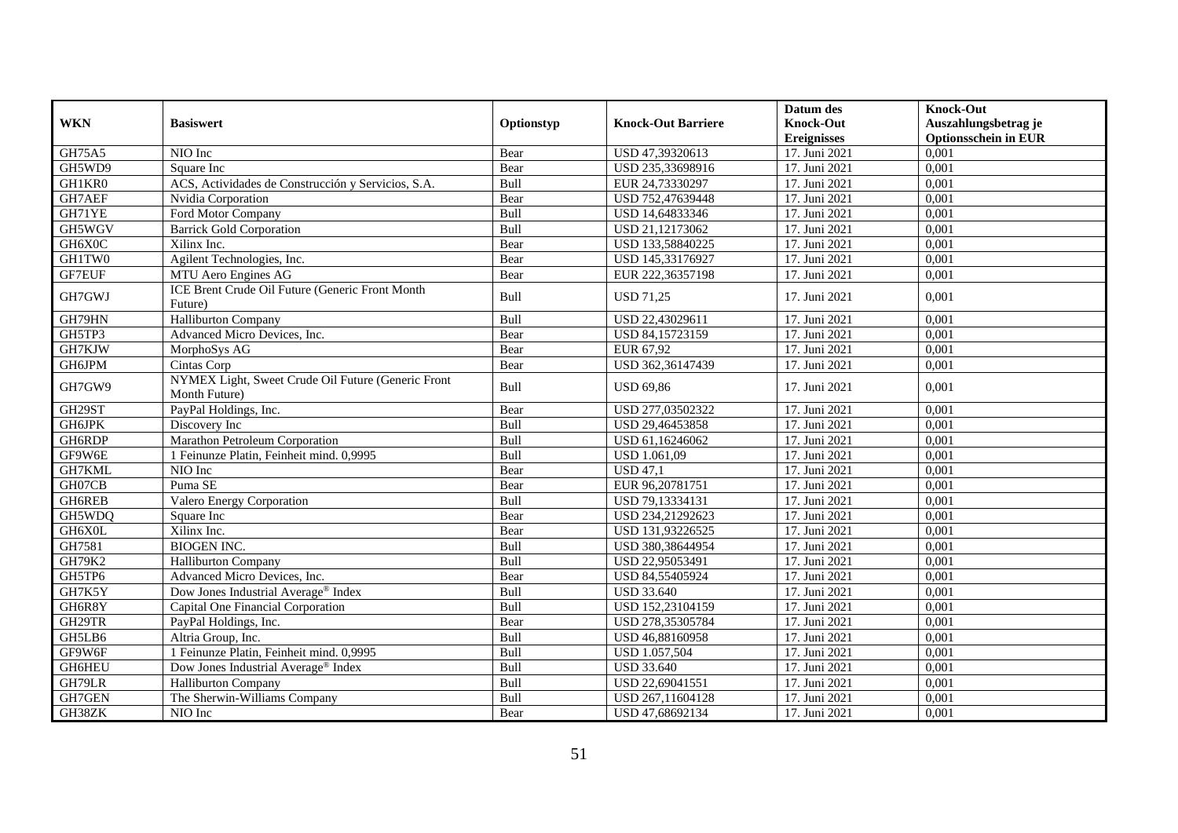| <b>WKN</b>    | <b>Basiswert</b>                                                    | Optionstyp | <b>Knock-Out Barriere</b> | Datum des<br><b>Knock-Out</b><br><b>Ereignisses</b> | <b>Knock-Out</b><br>Auszahlungsbetrag je<br><b>Optionsschein in EUR</b> |
|---------------|---------------------------------------------------------------------|------------|---------------------------|-----------------------------------------------------|-------------------------------------------------------------------------|
| GH75A5        | NIO Inc                                                             | Bear       | USD 47,39320613           | 17. Juni 2021                                       | 0,001                                                                   |
| GH5WD9        | Square Inc                                                          | Bear       | USD 235,33698916          | 17. Juni 2021                                       | 0,001                                                                   |
| GH1KR0        | ACS, Actividades de Construcción y Servicios, S.A.                  | Bull       | EUR 24,73330297           | 17. Juni 2021                                       | 0,001                                                                   |
| GH7AEF        | Nvidia Corporation                                                  | Bear       | USD 752,47639448          | 17. Juni 2021                                       | 0,001                                                                   |
| GH71YE        | Ford Motor Company                                                  | Bull       | USD 14,64833346           | 17. Juni 2021                                       | 0,001                                                                   |
| GH5WGV        | <b>Barrick Gold Corporation</b>                                     | Bull       | USD 21,12173062           | 17. Juni 2021                                       | 0,001                                                                   |
| GH6X0C        | Xilinx Inc.                                                         | Bear       | USD 133,58840225          | 17. Juni 2021                                       | 0,001                                                                   |
| GH1TW0        | Agilent Technologies, Inc.                                          | Bear       | USD 145,33176927          | 17. Juni 2021                                       | 0,001                                                                   |
| <b>GF7EUF</b> | MTU Aero Engines AG                                                 | Bear       | EUR 222,36357198          | 17. Juni 2021                                       | 0,001                                                                   |
| GH7GWJ        | ICE Brent Crude Oil Future (Generic Front Month<br>Future)          | Bull       | <b>USD 71,25</b>          | 17. Juni 2021                                       | 0.001                                                                   |
| GH79HN        | <b>Halliburton Company</b>                                          | Bull       | USD 22,43029611           | 17. Juni 2021                                       | 0,001                                                                   |
| GH5TP3        | Advanced Micro Devices, Inc.                                        | Bear       | USD 84,15723159           | 17. Juni 2021                                       | 0,001                                                                   |
| GH7KJW        | MorphoSys AG                                                        | Bear       | EUR 67,92                 | 17. Juni 2021                                       | 0,001                                                                   |
| GH6JPM        | Cintas Corp                                                         | Bear       | USD 362,36147439          | 17. Juni 2021                                       | 0,001                                                                   |
| GH7GW9        | NYMEX Light, Sweet Crude Oil Future (Generic Front<br>Month Future) | Bull       | <b>USD 69,86</b>          | 17. Juni 2021                                       | 0,001                                                                   |
| GH29ST        | PayPal Holdings, Inc.                                               | Bear       | USD 277,03502322          | 17. Juni 2021                                       | 0.001                                                                   |
| <b>GH6JPK</b> | Discovery Inc                                                       | Bull       | USD 29,46453858           | 17. Juni 2021                                       | 0,001                                                                   |
| GH6RDP        | Marathon Petroleum Corporation                                      | Bull       | USD 61,16246062           | 17. Juni 2021                                       | 0,001                                                                   |
| GF9W6E        | 1 Feinunze Platin, Feinheit mind. 0,9995                            | Bull       | USD 1.061,09              | 17. Juni 2021                                       | 0,001                                                                   |
| GH7KML        | NIO Inc                                                             | Bear       | <b>USD 47,1</b>           | 17. Juni 2021                                       | 0,001                                                                   |
| GH07CB        | Puma SE                                                             | Bear       | EUR 96,20781751           | 17. Juni 2021                                       | 0,001                                                                   |
| GH6REB        | Valero Energy Corporation                                           | Bull       | USD 79,13334131           | 17. Juni 2021                                       | 0,001                                                                   |
| GH5WDQ        | Square Inc                                                          | Bear       | USD 234,21292623          | 17. Juni 2021                                       | 0,001                                                                   |
| GH6X0L        | Xilinx Inc.                                                         | Bear       | USD 131,93226525          | 17. Juni 2021                                       | 0,001                                                                   |
| GH7581        | <b>BIOGEN INC.</b>                                                  | Bull       | USD 380,38644954          | 17. Juni 2021                                       | 0,001                                                                   |
| <b>GH79K2</b> | <b>Halliburton Company</b>                                          | Bull       | USD 22,95053491           | 17. Juni 2021                                       | 0,001                                                                   |
| GH5TP6        | Advanced Micro Devices, Inc.                                        | Bear       | USD 84,55405924           | 17. Juni 2021                                       | 0,001                                                                   |
| GH7K5Y        | Dow Jones Industrial Average® Index                                 | Bull       | <b>USD 33.640</b>         | 17. Juni 2021                                       | 0,001                                                                   |
| GH6R8Y        | Capital One Financial Corporation                                   | Bull       | USD 152,23104159          | 17. Juni 2021                                       | 0,001                                                                   |
| GH29TR        | PayPal Holdings, Inc.                                               | Bear       | USD 278,35305784          | 17. Juni 2021                                       | 0,001                                                                   |
| GH5LB6        | Altria Group, Inc.                                                  | Bull       | USD 46,88160958           | 17. Juni 2021                                       | 0,001                                                                   |
| GF9W6F        | 1 Feinunze Platin, Feinheit mind. 0,9995                            | Bull       | <b>USD 1.057,504</b>      | 17. Juni 2021                                       | 0,001                                                                   |
| <b>GH6HEU</b> | Dow Jones Industrial Average® Index                                 | Bull       | <b>USD 33.640</b>         | 17. Juni 2021                                       | 0,001                                                                   |
| GH79LR        | <b>Halliburton Company</b>                                          | Bull       | USD 22,69041551           | 17. Juni 2021                                       | 0,001                                                                   |
| GH7GEN        | The Sherwin-Williams Company                                        | Bull       | USD 267,11604128          | 17. Juni 2021                                       | 0,001                                                                   |
| GH38ZK        | NIO Inc                                                             | Bear       | USD 47,68692134           | 17. Juni 2021                                       | 0,001                                                                   |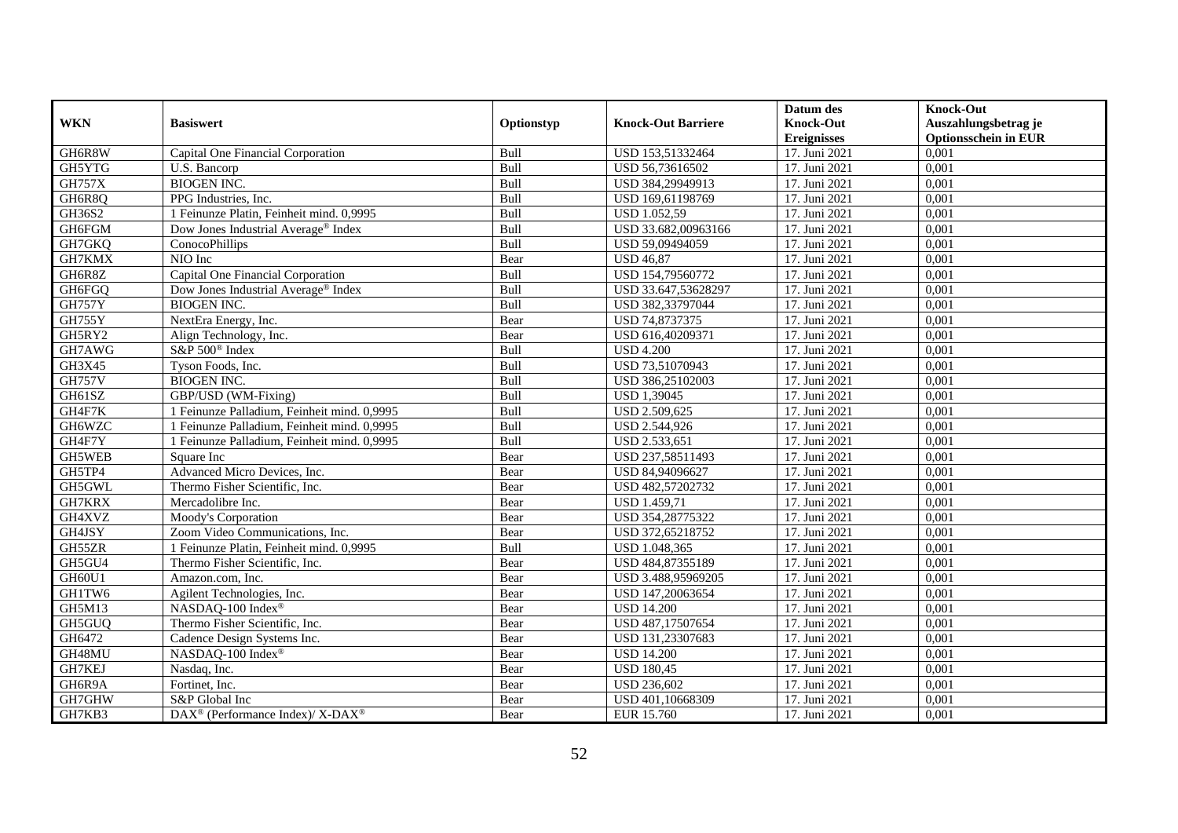|               |                                                          |            |                           | Datum des          | <b>Knock-Out</b>            |
|---------------|----------------------------------------------------------|------------|---------------------------|--------------------|-----------------------------|
| <b>WKN</b>    | <b>Basiswert</b>                                         | Optionstyp | <b>Knock-Out Barriere</b> | <b>Knock-Out</b>   | Auszahlungsbetrag je        |
|               |                                                          |            |                           | <b>Ereignisses</b> | <b>Optionsschein in EUR</b> |
| GH6R8W        | Capital One Financial Corporation                        | Bull       | USD 153,51332464          | 17. Juni 2021      | 0,001                       |
| GH5YTG        | U.S. Bancorp                                             | Bull       | USD 56,73616502           | 17. Juni 2021      | 0,001                       |
| <b>GH757X</b> | <b>BIOGEN INC.</b>                                       | Bull       | USD 384,29949913          | 17. Juni 2021      | 0,001                       |
| GH6R8Q        | PPG Industries, Inc.                                     | Bull       | USD 169,61198769          | 17. Juni 2021      | 0,001                       |
| GH36S2        | 1 Feinunze Platin, Feinheit mind. 0,9995                 | Bull       | <b>USD 1.052,59</b>       | 17. Juni 2021      | 0,001                       |
| GH6FGM        | Dow Jones Industrial Average® Index                      | Bull       | USD 33.682,00963166       | 17. Juni 2021      | 0,001                       |
| GH7GKQ        | ConocoPhillips                                           | Bull       | USD 59,09494059           | 17. Juni 2021      | 0,001                       |
| GH7KMX        | NIO Inc                                                  | Bear       | <b>USD 46,87</b>          | 17. Juni 2021      | 0,001                       |
| GH6R8Z        | Capital One Financial Corporation                        | Bull       | USD 154,79560772          | 17. Juni 2021      | 0,001                       |
| GH6FGQ        | Dow Jones Industrial Average <sup>®</sup> Index          | Bull       | USD 33.647,53628297       | 17. Juni 2021      | 0,001                       |
| <b>GH757Y</b> | <b>BIOGEN INC.</b>                                       | Bull       | USD 382,33797044          | 17. Juni 2021      | 0,001                       |
| <b>GH755Y</b> | NextEra Energy, Inc.                                     | Bear       | USD 74,8737375            | 17. Juni 2021      | 0,001                       |
| GH5RY2        | Align Technology, Inc.                                   | Bear       | USD 616,40209371          | 17. Juni 2021      | 0,001                       |
| GH7AWG        | S&P 500 <sup>®</sup> Index                               | Bull       | <b>USD 4.200</b>          | 17. Juni 2021      | 0,001                       |
| GH3X45        | Tyson Foods, Inc.                                        | Bull       | USD 73,51070943           | 17. Juni 2021      | 0,001                       |
| <b>GH757V</b> | <b>BIOGEN INC.</b>                                       | Bull       | USD 386,25102003          | 17. Juni 2021      | 0,001                       |
| GH61SZ        | GBP/USD (WM-Fixing)                                      | Bull       | <b>USD 1,39045</b>        | 17. Juni 2021      | 0,001                       |
| GH4F7K        | 1 Feinunze Palladium, Feinheit mind. 0,9995              | Bull       | <b>USD 2.509.625</b>      | 17. Juni 2021      | 0,001                       |
| GH6WZC        | 1 Feinunze Palladium, Feinheit mind. 0,9995              | Bull       | USD 2.544,926             | 17. Juni 2021      | 0,001                       |
| GH4F7Y        | 1 Feinunze Palladium, Feinheit mind. 0,9995              | Bull       | USD 2.533,651             | 17. Juni 2021      | 0,001                       |
| GH5WEB        | Square Inc                                               | Bear       | USD 237,58511493          | 17. Juni 2021      | 0,001                       |
| GH5TP4        | Advanced Micro Devices, Inc.                             | Bear       | USD 84,94096627           | 17. Juni 2021      | 0,001                       |
| GH5GWL        | Thermo Fisher Scientific, Inc.                           | Bear       | USD 482,57202732          | 17. Juni 2021      | 0,001                       |
| GH7KRX        | Mercadolibre Inc.                                        | Bear       | <b>USD 1.459,71</b>       | 17. Juni 2021      | 0,001                       |
| GH4XVZ        | Moody's Corporation                                      | Bear       | USD 354,28775322          | 17. Juni 2021      | 0.001                       |
| GH4JSY        | Zoom Video Communications, Inc.                          | Bear       | USD 372,65218752          | 17. Juni 2021      | 0,001                       |
| GH55ZR        | 1 Feinunze Platin, Feinheit mind. 0,9995                 | Bull       | USD 1.048,365             | 17. Juni 2021      | 0,001                       |
| GH5GU4        | Thermo Fisher Scientific, Inc.                           | Bear       | USD 484,87355189          | 17. Juni 2021      | 0,001                       |
| GH60U1        | Amazon.com. Inc.                                         | Bear       | USD 3.488,95969205        | 17. Juni 2021      | 0,001                       |
| GH1TW6        | Agilent Technologies, Inc.                               | Bear       | USD 147,20063654          | 17. Juni 2021      | 0,001                       |
| GH5M13        | NASDAQ-100 Index®                                        | Bear       | <b>USD 14.200</b>         | 17. Juni 2021      | 0,001                       |
| GH5GUQ        | Thermo Fisher Scientific, Inc.                           | Bear       | USD 487,17507654          | 17. Juni 2021      | 0,001                       |
| GH6472        | Cadence Design Systems Inc.                              | Bear       | USD 131,23307683          | 17. Juni 2021      | 0,001                       |
| GH48MU        | NASDAQ-100 Index®                                        | Bear       | <b>USD 14.200</b>         | 17. Juni 2021      | 0,001                       |
| GH7KEJ        | Nasdaq, Inc.                                             | Bear       | <b>USD 180,45</b>         | 17. Juni 2021      | 0,001                       |
| GH6R9A        | Fortinet, Inc.                                           | Bear       | <b>USD 236,602</b>        | 17. Juni 2021      | 0,001                       |
| GH7GHW        | S&P Global Inc                                           | Bear       | USD 401,10668309          | 17. Juni 2021      | 0,001                       |
| GH7KB3        | DAX <sup>®</sup> (Performance Index)/ X-DAX <sup>®</sup> | Bear       | EUR 15.760                | 17. Juni 2021      | 0,001                       |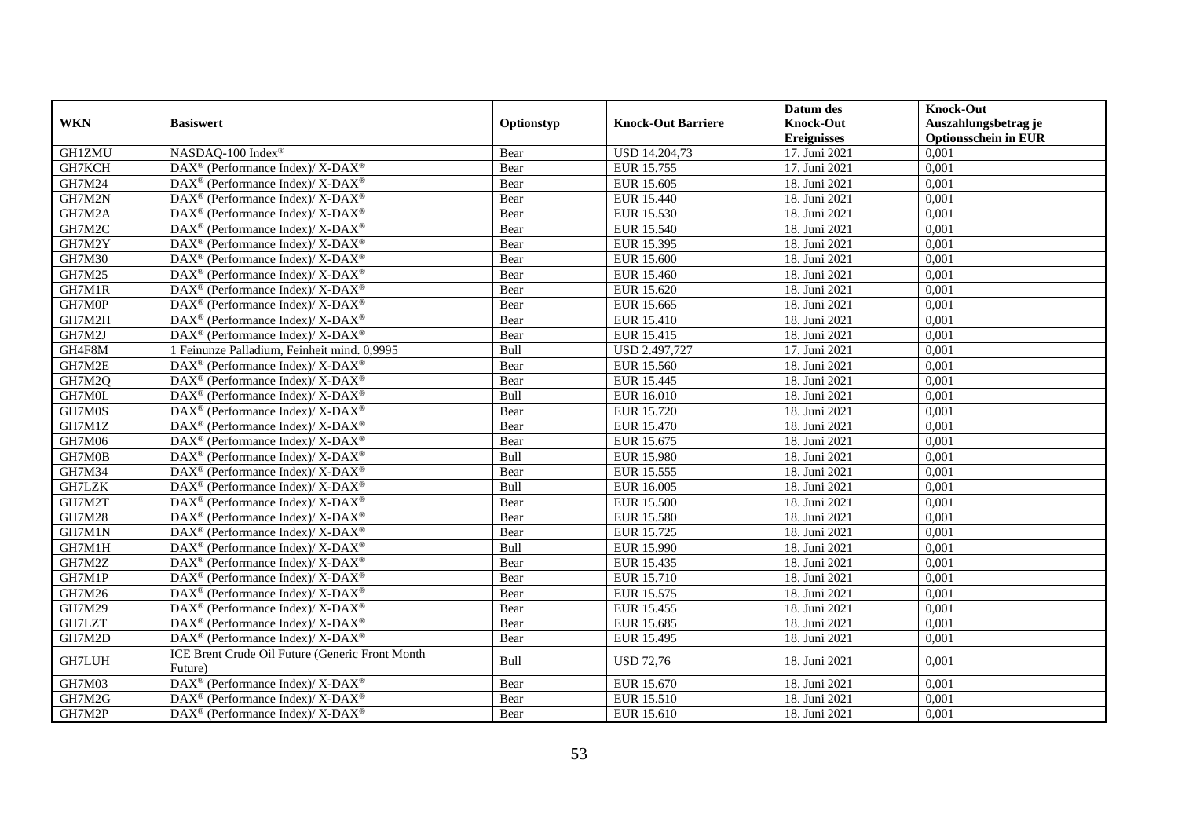|               |                                                                    |            |                           | Datum des          | <b>Knock-Out</b>            |
|---------------|--------------------------------------------------------------------|------------|---------------------------|--------------------|-----------------------------|
| <b>WKN</b>    | <b>Basiswert</b>                                                   | Optionstyp | <b>Knock-Out Barriere</b> | <b>Knock-Out</b>   | Auszahlungsbetrag je        |
|               |                                                                    |            |                           | <b>Ereignisses</b> | <b>Optionsschein in EUR</b> |
| <b>GH1ZMU</b> | NASDAQ-100 Index®                                                  | Bear       | USD 14.204,73             | 17. Juni 2021      | 0,001                       |
| GH7KCH        | DAX <sup>®</sup> (Performance Index)/ X-DAX <sup>®</sup>           | Bear       | EUR 15.755                | 17. Juni 2021      | 0,001                       |
| GH7M24        | DAX <sup>®</sup> (Performance Index)/X-DAX <sup>®</sup>            | Bear       | EUR 15.605                | 18. Juni 2021      | 0,001                       |
| GH7M2N        | $DAX^{\circledast}$ (Performance Index)/ X-DAX <sup>®</sup>        | Bear       | EUR 15.440                | 18. Juni 2021      | 0,001                       |
| GH7M2A        | DAX <sup>®</sup> (Performance Index)/X-DAX <sup>®</sup>            | Bear       | <b>EUR 15.530</b>         | 18. Juni 2021      | 0,001                       |
| GH7M2C        | DAX <sup>®</sup> (Performance Index)/ X-DAX <sup>®</sup>           | Bear       | EUR 15.540                | 18. Juni 2021      | 0,001                       |
| GH7M2Y        | DAX <sup>®</sup> (Performance Index)/ X-DAX <sup>®</sup>           | Bear       | EUR 15.395                | 18. Juni 2021      | 0,001                       |
| GH7M30        | $DAX^{\circledast}$ (Performance Index)/ X-DAX <sup>®</sup>        | Bear       | <b>EUR 15.600</b>         | 18. Juni 2021      | 0,001                       |
| GH7M25        | $DAX^{\circledast}$ (Performance Index)/ X-DAX <sup>®</sup>        | Bear       | EUR 15.460                | 18. Juni 2021      | 0,001                       |
| GH7M1R        | DAX <sup>®</sup> (Performance Index)/ X-DAX <sup>®</sup>           | Bear       | EUR 15.620                | 18. Juni 2021      | 0,001                       |
| GH7M0P        | DAX <sup>®</sup> (Performance Index)/ X-DAX <sup>®</sup>           | Bear       | EUR 15.665                | 18. Juni 2021      | 0,001                       |
| GH7M2H        | DAX <sup>®</sup> (Performance Index)/ X-DAX <sup>®</sup>           | Bear       | <b>EUR 15.410</b>         | 18. Juni 2021      | 0,001                       |
| GH7M2J        | $DAX^{\circledast}$ (Performance Index)/ X-DAX <sup>®</sup>        | Bear       | EUR 15.415                | 18. Juni 2021      | 0,001                       |
| GH4F8M        | 1 Feinunze Palladium, Feinheit mind. 0,9995                        | Bull       | USD 2.497,727             | 17. Juni 2021      | 0,001                       |
| GH7M2E        | DAX <sup>®</sup> (Performance Index)/ X-DAX <sup>®</sup>           | Bear       | EUR 15.560                | 18. Juni 2021      | 0,001                       |
| GH7M2Q        | DAX <sup>®</sup> (Performance Index)/ X-DAX <sup>®</sup>           | Bear       | EUR 15.445                | 18. Juni 2021      | 0,001                       |
| GH7M0L        | DAX <sup>®</sup> (Performance Index)/ X-DAX <sup>®</sup>           | Bull       | EUR 16.010                | 18. Juni 2021      | 0,001                       |
| GH7M0S        | $DAX^{\circledast}$ (Performance Index)/ X-DAX <sup>®</sup>        | Bear       | EUR 15.720                | 18. Juni 2021      | 0,001                       |
| GH7M1Z        | $DAX^{\circledast}$ (Performance Index)/ X-DAX <sup>®</sup>        | Bear       | EUR 15.470                | 18. Juni 2021      | 0,001                       |
| GH7M06        | DAX <sup>®</sup> (Performance Index)/X-DAX <sup>®</sup>            | Bear       | EUR 15.675                | 18. Juni 2021      | 0,001                       |
| GH7M0B        | DAX <sup>®</sup> (Performance Index)/X-DAX <sup>®</sup>            | Bull       | <b>EUR 15.980</b>         | 18. Juni 2021      | 0,001                       |
| GH7M34        | $\text{DAX}^{\circledast}$ (Performance Index)/X-DAX <sup>®</sup>  | Bear       | EUR 15.555                | 18. Juni 2021      | 0,001                       |
| GH7LZK        | DAX <sup>®</sup> (Performance Index)/ X-DAX <sup>®</sup>           | Bull       | EUR 16.005                | 18. Juni 2021      | 0,001                       |
| GH7M2T        | DAX <sup>®</sup> (Performance Index)/X-DAX <sup>®</sup>            | Bear       | <b>EUR 15.500</b>         | 18. Juni 2021      | 0,001                       |
| <b>GH7M28</b> | DAX <sup>®</sup> (Performance Index)/X-DAX <sup>®</sup>            | Bear       | <b>EUR 15.580</b>         | 18. Juni 2021      | 0.001                       |
| GH7M1N        | DAX <sup>®</sup> (Performance Index)/X-DAX <sup>®</sup>            | Bear       | EUR 15.725                | 18. Juni 2021      | 0,001                       |
| GH7M1H        | DAX <sup>®</sup> (Performance Index)/ X-DAX <sup>®</sup>           | Bull       | <b>EUR 15.990</b>         | 18. Juni 2021      | 0,001                       |
| GH7M2Z        | DAX <sup>®</sup> (Performance Index)/ X-DAX <sup>®</sup>           | Bear       | EUR 15.435                | 18. Juni 2021      | 0,001                       |
| GH7M1P        | DAX <sup>®</sup> (Performance Index)/ X-DAX <sup>®</sup>           | Bear       | EUR 15.710                | 18. Juni 2021      | 0,001                       |
| GH7M26        | $DAX^{\circledast}$ (Performance Index)/ X-DAX <sup>®</sup>        | Bear       | EUR 15.575                | 18. Juni 2021      | 0,001                       |
| GH7M29        | DAX <sup>®</sup> (Performance Index)/X-DAX <sup>®</sup>            | Bear       | EUR 15.455                | 18. Juni 2021      | 0,001                       |
| GH7LZT        | DAX <sup>®</sup> (Performance Index)/X-DAX <sup>®</sup>            | Bear       | EUR 15.685                | 18. Juni 2021      | 0,001                       |
| GH7M2D        | DAX <sup>®</sup> (Performance Index)/X-DAX <sup>®</sup>            | Bear       | EUR 15.495                | 18. Juni 2021      | 0,001                       |
| <b>GH7LUH</b> | ICE Brent Crude Oil Future (Generic Front Month                    | Bull       | <b>USD 72,76</b>          | 18. Juni 2021      | 0,001                       |
|               | Future)                                                            |            |                           |                    |                             |
| GH7M03        | DAX <sup>®</sup> (Performance Index)/ X-DAX <sup>®</sup>           | Bear       | EUR 15.670                | 18. Juni 2021      | 0,001                       |
| GH7M2G        | DAX <sup>®</sup> (Performance Index)/X-DAX <sup>®</sup>            | Bear       | EUR 15.510                | 18. Juni 2021      | 0,001                       |
| GH7M2P        | $\text{DAX}^{\circledast}$ (Performance Index)/ X-DAX <sup>®</sup> | Bear       | EUR 15.610                | 18. Juni 2021      | 0,001                       |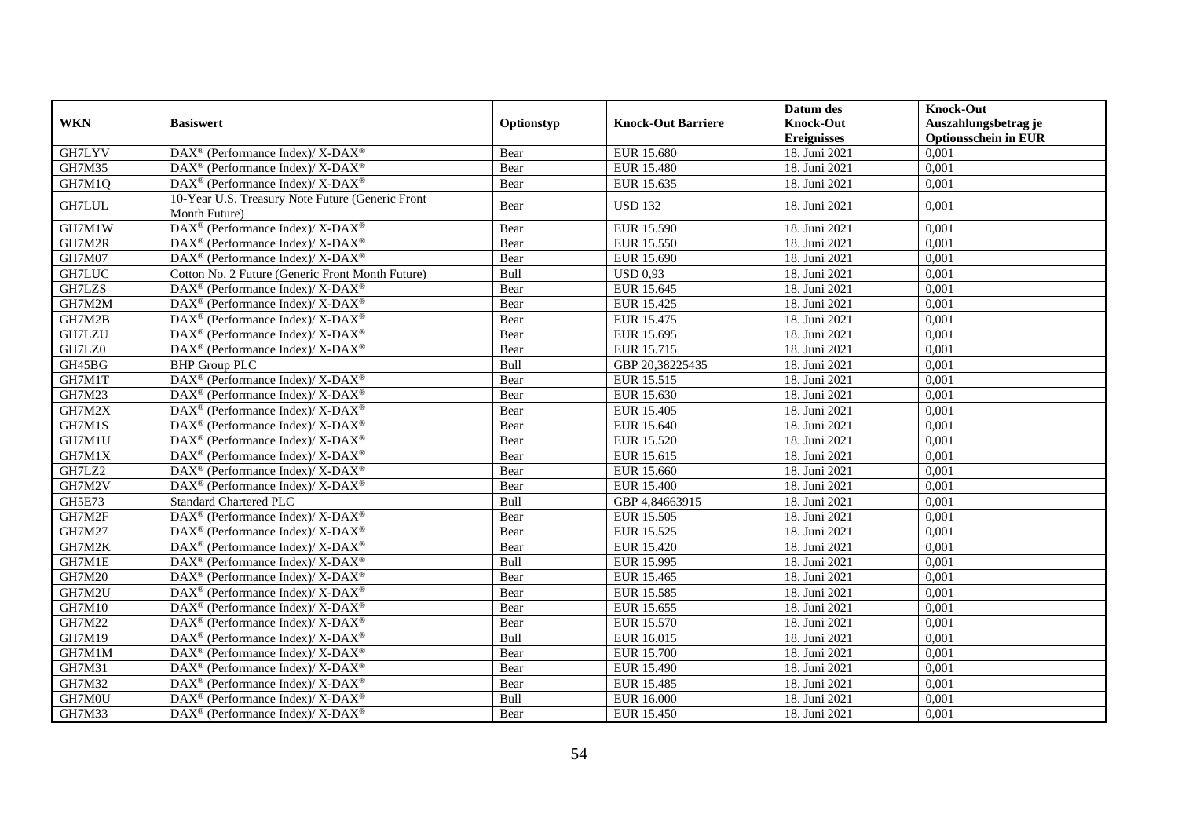|               |                                                                          |            |                           | Datum des          | <b>Knock-Out</b>            |
|---------------|--------------------------------------------------------------------------|------------|---------------------------|--------------------|-----------------------------|
| <b>WKN</b>    | <b>Basiswert</b>                                                         | Optionstyp | <b>Knock-Out Barriere</b> | <b>Knock-Out</b>   | Auszahlungsbetrag je        |
|               |                                                                          |            |                           | <b>Ereignisses</b> | <b>Optionsschein in EUR</b> |
| GH7LYV        | $\overline{\text{DAX}^{\otimes}}$ (Performance Index)/X-DAX <sup>®</sup> | Bear       | EUR 15.680                | 18. Juni 2021      | 0,001                       |
| <b>GH7M35</b> | $DAX^{\circledcirc}$ (Performance Index)/ X-DAX <sup>®</sup>             | Bear       | <b>EUR 15.480</b>         | 18. Juni 2021      | 0,001                       |
| GH7M1Q        | DAX <sup>®</sup> (Performance Index)/X-DAX <sup>®</sup>                  | Bear       | EUR 15.635                | 18. Juni 2021      | 0,001                       |
| GH7LUL        | 10-Year U.S. Treasury Note Future (Generic Front                         | Bear       | <b>USD 132</b>            | 18. Juni 2021      | 0,001                       |
| GH7M1W        | Month Future)<br>DAX <sup>®</sup> (Performance Index)/X-DAX <sup>®</sup> | Bear       | EUR 15.590                | 18. Juni 2021      | 0,001                       |
| GH7M2R        | DAX <sup>®</sup> (Performance Index)/ X-DAX <sup>®</sup>                 | Bear       | EUR 15.550                | 18. Juni 2021      | 0,001                       |
| GH7M07        | DAX <sup>®</sup> (Performance Index)/ X-DAX <sup>®</sup>                 |            | EUR 15.690                | 18. Juni 2021      | 0,001                       |
|               |                                                                          | Bear       |                           |                    |                             |
| GH7LUC        | Cotton No. 2 Future (Generic Front Month Future)                         | Bull       | <b>USD 0,93</b>           | 18. Juni 2021      | 0,001                       |
| GH7LZS        | DAX <sup>®</sup> (Performance Index)/ X-DAX <sup>®</sup>                 | Bear       | EUR 15.645                | 18. Juni 2021      | 0,001                       |
| GH7M2M        | $DAX^{\circledast}$ (Performance Index)/ X-DAX <sup>®</sup>              | Bear       | EUR 15.425                | 18. Juni 2021      | 0,001                       |
| GH7M2B        | DAX <sup>®</sup> (Performance Index)/ X-DAX <sup>®</sup>                 | Bear       | EUR 15.475                | 18. Juni 2021      | 0,001                       |
| GH7LZU        | DAX <sup>®</sup> (Performance Index)/ X-DAX <sup>®</sup>                 | Bear       | EUR 15.695                | 18. Juni 2021      | 0,001                       |
| GH7LZ0        | $DAX^{\circledast}$ (Performance Index)/ X-DAX <sup>®</sup>              | Bear       | EUR 15.715                | 18. Juni 2021      | 0,001                       |
| GH45BG        | <b>BHP Group PLC</b>                                                     | Bull       | GBP 20,38225435           | 18. Juni 2021      | 0,001                       |
| GH7M1T        | DAX <sup>®</sup> (Performance Index)/ X-DAX <sup>®</sup>                 | Bear       | EUR 15.515                | 18. Juni 2021      | 0,001                       |
| GH7M23        | DAX <sup>®</sup> (Performance Index)/ X-DAX <sup>®</sup>                 | Bear       | EUR 15.630                | 18. Juni 2021      | 0,001                       |
| GH7M2X        | DAX <sup>®</sup> (Performance Index)/ X-DAX <sup>®</sup>                 | Bear       | EUR 15.405                | 18. Juni 2021      | 0,001                       |
| GH7M1S        | $DAX^{\circledast}$ (Performance Index)/ X-DAX <sup>®</sup>              | Bear       | EUR 15.640                | 18. Juni 2021      | 0,001                       |
| GH7M1U        | $DAX^{\circledast}$ (Performance Index)/ X-DAX <sup>®</sup>              | Bear       | EUR 15.520                | 18. Juni 2021      | 0,001                       |
| GH7M1X        | $\overline{\text{DAX}^{\otimes}}$ (Performance Index)/X-DAX <sup>®</sup> | Bear       | EUR 15.615                | 18. Juni 2021      | 0,001                       |
| GH7LZ2        | DAX <sup>®</sup> (Performance Index)/X-DAX <sup>®</sup>                  | Bear       | EUR 15.660                | 18. Juni 2021      | 0,001                       |
| GH7M2V        | DAX <sup>®</sup> (Performance Index)/ X-DAX <sup>®</sup>                 | Bear       | <b>EUR 15.400</b>         | 18. Juni 2021      | 0,001                       |
| GH5E73        | <b>Standard Chartered PLC</b>                                            | Bull       | GBP 4,84663915            | 18. Juni 2021      | 0,001                       |
| GH7M2F        | DAX <sup>®</sup> (Performance Index)/X-DAX <sup>®</sup>                  | Bear       | EUR 15.505                | 18. Juni 2021      | 0,001                       |
| GH7M27        | DAX <sup>®</sup> (Performance Index)/ X-DAX <sup>®</sup>                 | Bear       | EUR 15.525                | 18. Juni 2021      | 0,001                       |
| GH7M2K        | DAX <sup>®</sup> (Performance Index)/ X-DAX <sup>®</sup>                 | Bear       | <b>EUR 15.420</b>         | 18. Juni 2021      | 0,001                       |
| GH7M1E        | DAX <sup>®</sup> (Performance Index)/ X-DAX <sup>®</sup>                 | Bull       | EUR 15.995                | 18. Juni 2021      | 0,001                       |
| GH7M20        | $\text{DAX}^{\circledast}$ (Performance Index)/ X-DAX <sup>®</sup>       | Bear       | EUR 15.465                | 18. Juni 2021      | 0,001                       |
| GH7M2U        | DAX <sup>®</sup> (Performance Index)/ X-DAX <sup>®</sup>                 | Bear       | <b>EUR 15.585</b>         | 18. Juni 2021      | 0,001                       |
| GH7M10        | $DAX^{\circledast}$ (Performance Index)/ X-DAX <sup>®</sup>              | Bear       | EUR 15.655                | 18. Juni 2021      | 0,001                       |
| GH7M22        | DAX <sup>®</sup> (Performance Index)/ X-DAX <sup>®</sup>                 | Bear       | EUR 15.570                | 18. Juni 2021      | 0,001                       |
| GH7M19        | $DAX^{\circledast}$ (Performance Index)/ X-DAX <sup>®</sup>              | Bull       | EUR 16.015                | 18. Juni 2021      | 0,001                       |
| GH7M1M        | $\text{DAX}^{\circledast}$ (Performance Index)/ X-DAX <sup>®</sup>       | Bear       | <b>EUR 15.700</b>         | 18. Juni 2021      | 0,001                       |
| GH7M31        | DAX <sup>®</sup> (Performance Index)/ X-DAX <sup>®</sup>                 | Bear       | EUR 15.490                | 18. Juni 2021      | 0,001                       |
| GH7M32        | $\text{DAX}^{\circledR}$ (Performance Index)/ X-DAX <sup>®</sup>         | Bear       | EUR 15.485                | 18. Juni 2021      | 0,001                       |
| GH7M0U        | DAX <sup>®</sup> (Performance Index)/X-DAX <sup>®</sup>                  | Bull       | <b>EUR 16.000</b>         | 18. Juni 2021      | 0,001                       |
| GH7M33        | DAX <sup>®</sup> (Performance Index)/X-DAX <sup>®</sup>                  | Bear       | EUR 15.450                | 18. Juni 2021      | 0,001                       |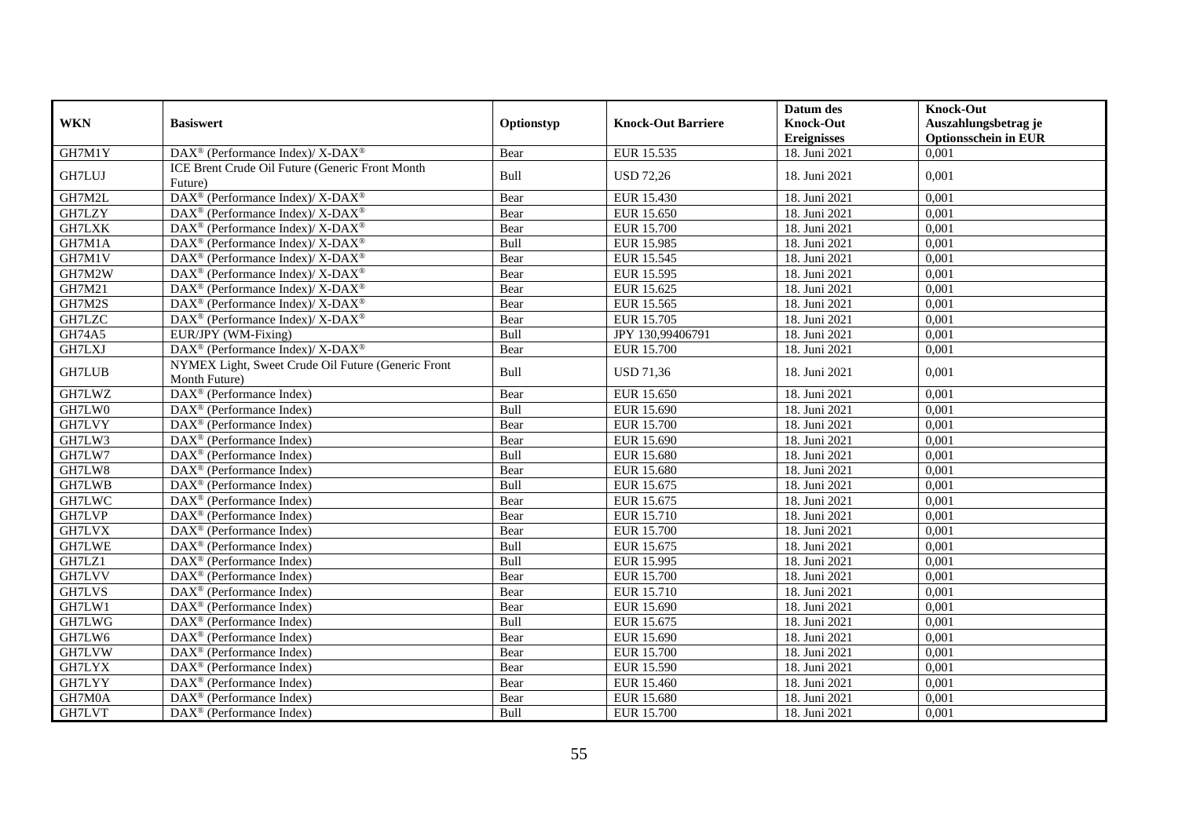|               |                                                             |             |                           | Datum des          | <b>Knock-Out</b>            |
|---------------|-------------------------------------------------------------|-------------|---------------------------|--------------------|-----------------------------|
| <b>WKN</b>    | <b>Basiswert</b>                                            | Optionstyp  | <b>Knock-Out Barriere</b> | <b>Knock-Out</b>   | Auszahlungsbetrag je        |
|               |                                                             |             |                           | <b>Ereignisses</b> | <b>Optionsschein in EUR</b> |
| GH7M1Y        | DAX <sup>®</sup> (Performance Index)/ X-DAX <sup>®</sup>    | Bear        | EUR 15.535                | 18. Juni 2021      | 0,001                       |
|               | ICE Brent Crude Oil Future (Generic Front Month             |             |                           |                    |                             |
| GH7LUJ        | Future)                                                     | Bull        | <b>USD 72.26</b>          | 18. Juni 2021      | 0.001                       |
| GH7M2L        | DAX <sup>®</sup> (Performance Index)/X-DAX <sup>®</sup>     | Bear        | EUR 15.430                | 18. Juni 2021      | 0,001                       |
| GH7LZY        | DAX <sup>®</sup> (Performance Index)/ X-DAX <sup>®</sup>    | Bear        | EUR 15.650                | 18. Juni 2021      | 0,001                       |
| <b>GH7LXK</b> | DAX <sup>®</sup> (Performance Index)/ X-DAX <sup>®</sup>    | Bear        | <b>EUR 15.700</b>         | 18. Juni 2021      | 0,001                       |
| GH7M1A        | $DAX^{\circledast}$ (Performance Index)/ X-DAX <sup>®</sup> | Bull        | EUR 15.985                | 18. Juni 2021      | 0,001                       |
| GH7M1V        | $DAX^{\circledcirc}$ (Performance Index)/X-DAX <sup>®</sup> | Bear        | EUR 15.545                | 18. Juni 2021      | 0,001                       |
| GH7M2W        | DAX <sup>®</sup> (Performance Index)/ X-DAX <sup>®</sup>    | Bear        | EUR 15.595                | 18. Juni 2021      | 0,001                       |
| GH7M21        | DAX <sup>®</sup> (Performance Index)/ X-DAX <sup>®</sup>    | Bear        | EUR 15.625                | 18. Juni 2021      | 0,001                       |
| GH7M2S        | DAX <sup>®</sup> (Performance Index)/ X-DAX <sup>®</sup>    | Bear        | EUR 15.565                | 18. Juni 2021      | 0,001                       |
| GH7LZC        | DAX <sup>®</sup> (Performance Index)/X-DAX <sup>®</sup>     | Bear        | EUR 15.705                | 18. Juni 2021      | 0,001                       |
| <b>GH74A5</b> | EUR/JPY (WM-Fixing)                                         | Bull        | JPY 130,99406791          | 18. Juni 2021      | 0,001                       |
| GH7LXJ        | DAX <sup>®</sup> (Performance Index)/X-DAX <sup>®</sup>     | Bear        | <b>EUR 15.700</b>         | 18. Juni 2021      | 0,001                       |
|               | NYMEX Light, Sweet Crude Oil Future (Generic Front          | Bull        |                           |                    | 0,001                       |
| <b>GH7LUB</b> | Month Future)                                               |             | <b>USD 71,36</b>          | 18. Juni 2021      |                             |
| GH7LWZ        | DAX <sup>®</sup> (Performance Index)                        | Bear        | EUR 15.650                | 18. Juni 2021      | 0,001                       |
| GH7LW0        | $DAX^{\circledcirc}$ (Performance Index)                    | Bull        | EUR 15.690                | 18. Juni 2021      | 0,001                       |
| GH7LVY        | $DAX^{\circledcirc}$ (Performance Index)                    | Bear        | <b>EUR 15.700</b>         | 18. Juni 2021      | 0,001                       |
| GH7LW3        | DAX <sup>®</sup> (Performance Index)                        | Bear        | EUR 15.690                | 18. Juni 2021      | 0,001                       |
| GH7LW7        | DAX <sup>®</sup> (Performance Index)                        | Bull        | EUR 15.680                | 18. Juni 2021      | 0,001                       |
| GH7LW8        | DAX <sup>®</sup> (Performance Index)                        | Bear        | EUR 15.680                | 18. Juni 2021      | 0,001                       |
| <b>GH7LWB</b> | $DAX^{\circledcirc}$ (Performance Index)                    | <b>Bull</b> | EUR 15.675                | 18. Juni 2021      | 0,001                       |
| GH7LWC        | $DAX^{\circledR}$ (Performance Index)                       | Bear        | EUR 15.675                | 18. Juni 2021      | 0,001                       |
| GH7LVP        | DAX <sup>®</sup> (Performance Index)                        | Bear        | EUR 15.710                | 18. Juni 2021      | 0,001                       |
| GH7LVX        | DAX <sup>®</sup> (Performance Index)                        | Bear        | <b>EUR 15.700</b>         | 18. Juni 2021      | 0,001                       |
| <b>GH7LWE</b> | $\overline{\text{DAX}^{\otimes}}$ (Performance Index)       | Bull        | EUR 15.675                | 18. Juni 2021      | 0,001                       |
| GH7LZ1        | $\overline{\text{DAX}^{\otimes}}$ (Performance Index)       | Bull        | EUR 15.995                | 18. Juni 2021      | 0,001                       |
| GH7LVV        | $DAX^{\circledR}$ (Performance Index)                       | Bear        | <b>EUR 15.700</b>         | 18. Juni 2021      | 0,001                       |
| GH7LVS        | $DAX^{\circledcirc}$ (Performance Index)                    | Bear        | EUR 15.710                | 18. Juni 2021      | 0,001                       |
| GH7LW1        | DAX <sup>®</sup> (Performance Index)                        | Bear        | EUR 15.690                | 18. Juni 2021      | 0,001                       |
| GH7LWG        | DAX <sup>®</sup> (Performance Index)                        | Bull        | EUR 15.675                | 18. Juni 2021      | 0,001                       |
| GH7LW6        | DAX <sup>®</sup> (Performance Index)                        | Bear        | EUR 15.690                | 18. Juni 2021      | 0,001                       |
| GH7LVW        | $\text{DAX}^{\textcircled{}}$ (Performance Index)           | Bear        | <b>EUR 15.700</b>         | 18. Juni 2021      | 0,001                       |
| <b>GH7LYX</b> | DAX <sup>®</sup> (Performance Index)                        | Bear        | <b>EUR 15.590</b>         | 18. Juni 2021      | 0,001                       |
| GH7LYY        | $\text{DAX}^{\textcircled{}}$ (Performance Index)           | Bear        | EUR 15.460                | 18. Juni 2021      | 0,001                       |
| GH7M0A        | DAX <sup>®</sup> (Performance Index)                        | Bear        | EUR 15.680                | 18. Juni 2021      | 0,001                       |
| GH7LVT        | $\overline{\text{DAX}^{\otimes}}$ (Performance Index)       | Bull        | EUR 15.700                | 18. Juni 2021      | 0,001                       |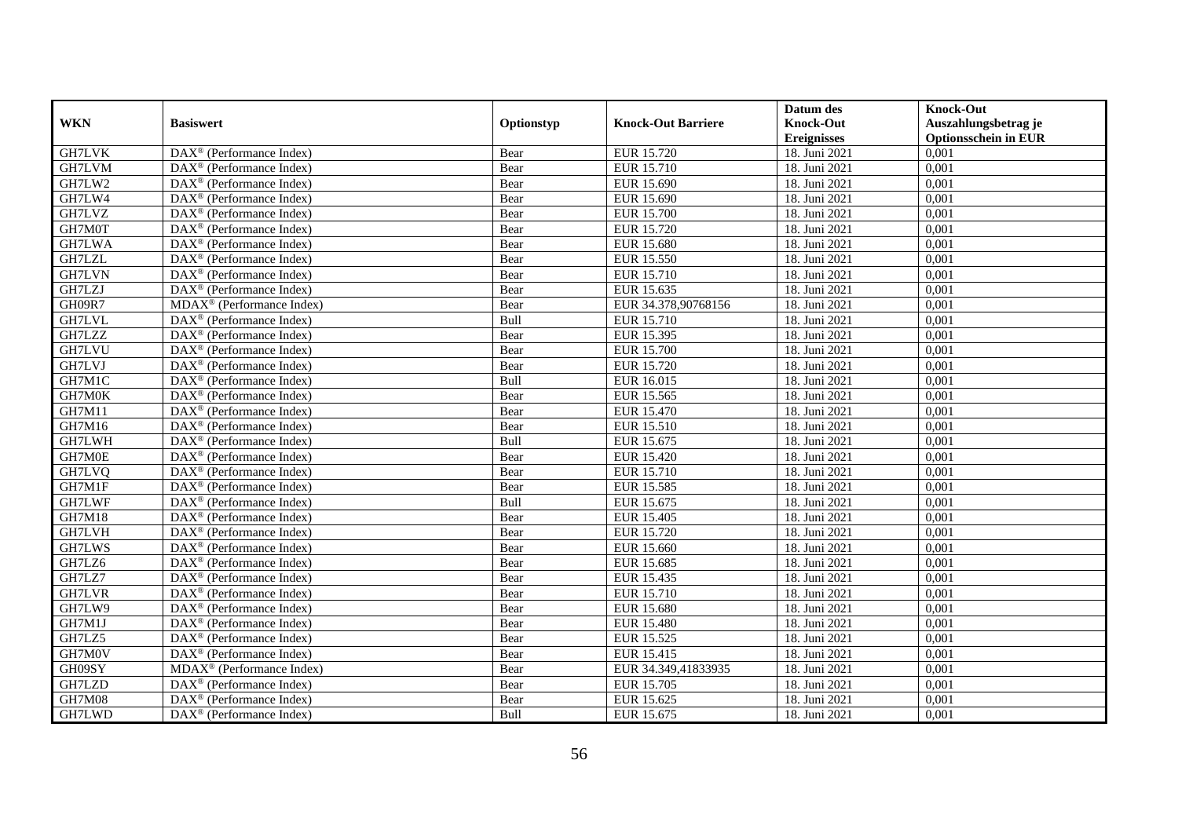|               |                                                         |            |                           | Datum des          | <b>Knock-Out</b>            |
|---------------|---------------------------------------------------------|------------|---------------------------|--------------------|-----------------------------|
| <b>WKN</b>    | <b>Basiswert</b>                                        | Optionstyp | <b>Knock-Out Barriere</b> | <b>Knock-Out</b>   | Auszahlungsbetrag je        |
|               |                                                         |            |                           | <b>Ereignisses</b> | <b>Optionsschein in EUR</b> |
| <b>GH7LVK</b> | $\overline{\text{DAX}}^{\textcirc}$ (Performance Index) | Bear       | EUR 15.720                | 18. Juni 2021      | 0,001                       |
| GH7LVM        | $DAX^{\circledcirc}$ (Performance Index)                | Bear       | EUR 15.710                | 18. Juni 2021      | 0,001                       |
| GH7LW2        | DAX <sup>®</sup> (Performance Index)                    | Bear       | EUR 15.690                | 18. Juni 2021      | 0,001                       |
| GH7LW4        | $DAX^{\circledast}$ (Performance Index)                 | Bear       | EUR 15.690                | 18. Juni 2021      | 0,001                       |
| GH7LVZ        | DAX <sup>®</sup> (Performance Index)                    | Bear       | <b>EUR 15.700</b>         | 18. Juni 2021      | 0,001                       |
| GH7M0T        | DAX <sup>®</sup> (Performance Index)                    | Bear       | EUR 15.720                | 18. Juni 2021      | 0,001                       |
| GH7LWA        | $\text{DAX}^{\textcircled{}}$ (Performance Index)       | Bear       | EUR 15.680                | 18. Juni 2021      | 0,001                       |
| GH7LZL        | $DAX^{\circledR}$ (Performance Index)                   | Bear       | EUR 15.550                | 18. Juni 2021      | 0,001                       |
| <b>GH7LVN</b> | $DAX^{\circledR}$ (Performance Index)                   | Bear       | EUR 15.710                | 18. Juni 2021      | 0,001                       |
| GH7LZJ        | DAX <sup>®</sup> (Performance Index)                    | Bear       | EUR 15.635                | 18. Juni 2021      | 0,001                       |
| GH09R7        | MDAX <sup>®</sup> (Performance Index)                   | Bear       | EUR 34.378,90768156       | 18. Juni 2021      | 0,001                       |
| GH7LVL        | DAX <sup>®</sup> (Performance Index)                    | Bull       | <b>EUR 15.710</b>         | 18. Juni 2021      | 0,001                       |
| GH7LZZ        | DAX <sup>®</sup> (Performance Index)                    | Bear       | EUR 15.395                | 18. Juni 2021      | 0,001                       |
| GH7LVU        | DAX <sup>®</sup> (Performance Index)                    | Bear       | <b>EUR 15.700</b>         | 18. Juni 2021      | 0,001                       |
| GH7LVJ        | $DAX^{\circledast}$ (Performance Index)                 | Bear       | EUR 15.720                | 18. Juni 2021      | 0,001                       |
| GH7M1C        | DAX <sup>®</sup> (Performance Index)                    | Bull       | EUR 16.015                | 18. Juni 2021      | 0,001                       |
| GH7M0K        | DAX <sup>®</sup> (Performance Index)                    | Bear       | EUR 15.565                | 18. Juni 2021      | 0,001                       |
| <b>GH7M11</b> | $DAX^{\circledcirc}$ (Performance Index)                | Bear       | EUR 15.470                | 18. Juni 2021      | 0,001                       |
| GH7M16        | $DAX^{\circledR}$ (Performance Index)                   | Bear       | EUR 15.510                | 18. Juni 2021      | 0,001                       |
| GH7LWH        | DAX <sup>®</sup> (Performance Index)                    | Bull       | EUR 15.675                | 18. Juni 2021      | 0,001                       |
| GH7M0E        | DAX <sup>®</sup> (Performance Index)                    | Bear       | <b>EUR 15.420</b>         | 18. Juni 2021      | 0,001                       |
| GH7LVQ        | DAX <sup>®</sup> (Performance Index)                    | Bear       | EUR 15.710                | 18. Juni 2021      | 0,001                       |
| GH7M1F        | DAX <sup>®</sup> (Performance Index)                    | Bear       | EUR 15.585                | 18. Juni 2021      | 0,001                       |
| GH7LWF        | $DAX^{\circledast}$ (Performance Index)                 | Bull       | EUR 15.675                | 18. Juni 2021      | 0,001                       |
| <b>GH7M18</b> | DAX <sup>®</sup> (Performance Index)                    | Bear       | <b>EUR 15.405</b>         | 18. Juni 2021      | 0,001                       |
| GH7LVH        | DAX <sup>®</sup> (Performance Index)                    | Bear       | EUR 15.720                | 18. Juni 2021      | 0,001                       |
| GH7LWS        | $DAX^{\circledast}$ (Performance Index)                 | Bear       | EUR 15.660                | 18. Juni 2021      | 0,001                       |
| GH7LZ6        | $DAX^{\circledcirc}$ (Performance Index)                | Bear       | EUR 15.685                | 18. Juni 2021      | 0,001                       |
| GH7LZ7        | $\overline{\text{DAX}}^{\textcirc}$ (Performance Index) | Bear       | EUR 15.435                | 18. Juni 2021      | 0,001                       |
| GH7LVR        | DAX <sup>®</sup> (Performance Index)                    | Bear       | <b>EUR 15.710</b>         | 18. Juni 2021      | 0,001                       |
| GH7LW9        | DAX <sup>®</sup> (Performance Index)                    | Bear       | <b>EUR 15.680</b>         | 18. Juni 2021      | 0,001                       |
| GH7M1J        | DAX <sup>®</sup> (Performance Index)                    | Bear       | <b>EUR 15.480</b>         | 18. Juni 2021      | 0,001                       |
| GH7LZ5        | $\overline{\text{DAX}^{\otimes}}$ (Performance Index)   | Bear       | EUR 15.525                | 18. Juni 2021      | 0,001                       |
| GH7M0V        | $DAX^{\circledast}$ (Performance Index)                 | Bear       | EUR 15.415                | 18. Juni 2021      | 0,001                       |
| GH09SY        | $MDAX^{\circledR}$ (Performance Index)                  | Bear       | EUR 34.349,41833935       | 18. Juni 2021      | 0,001                       |
| GH7LZD        | $DAX^{\circledast}$ (Performance Index)                 | Bear       | EUR 15.705                | 18. Juni 2021      | 0,001                       |
| GH7M08        | DAX <sup>®</sup> (Performance Index)                    | Bear       | EUR 15.625                | 18. Juni 2021      | 0,001                       |
| GH7LWD        | $DAX^{\circledast}$ (Performance Index)                 | Bull       | EUR 15.675                | 18. Juni 2021      | 0,001                       |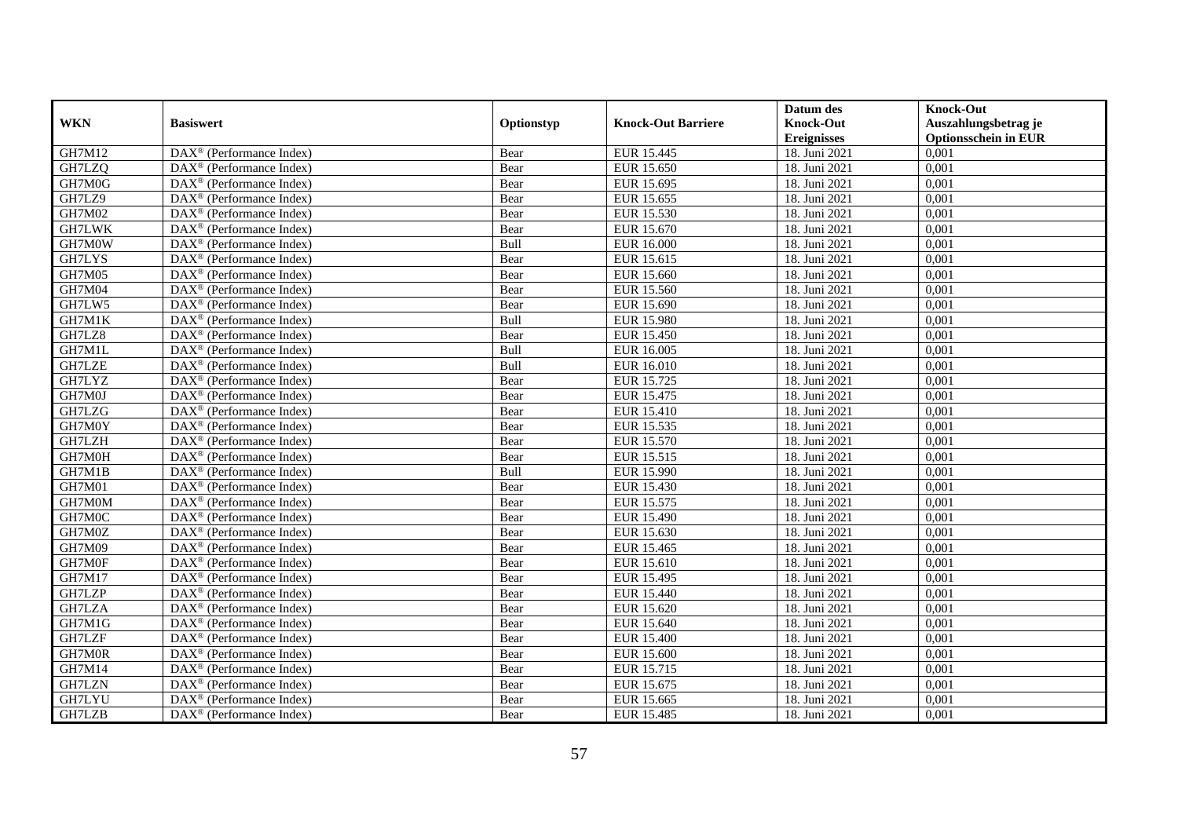|               |                                                         |            |                           | Datum des          | <b>Knock-Out</b>            |
|---------------|---------------------------------------------------------|------------|---------------------------|--------------------|-----------------------------|
| <b>WKN</b>    | <b>Basiswert</b>                                        | Optionstyp | <b>Knock-Out Barriere</b> | <b>Knock-Out</b>   | Auszahlungsbetrag je        |
|               |                                                         |            |                           | <b>Ereignisses</b> | <b>Optionsschein in EUR</b> |
| GH7M12        | DAX <sup>®</sup> (Performance Index)                    | Bear       | EUR 15.445                | 18. Juni 2021      | 0,001                       |
| GH7LZQ        | $DAX^{\circledR}$ (Performance Index)                   | Bear       | EUR 15.650                | 18. Juni 2021      | 0,001                       |
| GH7M0G        | DAX <sup>®</sup> (Performance Index)                    | Bear       | EUR 15.695                | 18. Juni 2021      | 0,001                       |
| GH7LZ9        | $\text{DAX}^{\circledast}$ (Performance Index)          | Bear       | EUR 15.655                | 18. Juni 2021      | 0,001                       |
| GH7M02        | DAX <sup>®</sup> (Performance Index)                    | Bear       | EUR 15.530                | 18. Juni 2021      | 0,001                       |
| GH7LWK        | $\text{DAX}^{\circledast}$ (Performance Index)          | Bear       | EUR 15.670                | 18. Juni 2021      | 0,001                       |
| GH7M0W        | $\text{DAX}^{\textcircled{n}}$ (Performance Index)      | Bull       | <b>EUR 16.000</b>         | 18. Juni 2021      | 0,001                       |
| GH7LYS        | $\text{DAX}^{\textcircled{}}$ (Performance Index)       | Bear       | EUR 15.615                | 18. Juni 2021      | 0,001                       |
| GH7M05        | $\text{DAX}^{\textcircled{p}}$ (Performance Index)      | Bear       | EUR 15.660                | 18. Juni 2021      | 0,001                       |
| <b>GH7M04</b> | $DAX^{\otimes}$ (Performance Index)                     | Bear       | EUR 15.560                | 18. Juni 2021      | 0,001                       |
| GH7LW5        | DAX <sup>®</sup> (Performance Index)                    | Bear       | EUR 15.690                | 18. Juni 2021      | 0,001                       |
| GH7M1K        | $\overline{\text{DAX}^{\otimes}}$ (Performance Index)   | Bull       | <b>EUR 15.980</b>         | 18. Juni 2021      | 0,001                       |
| GH7LZ8        | $\text{DAX}^{\circledast}$ (Performance Index)          | Bear       | <b>EUR 15.450</b>         | 18. Juni 2021      | 0,001                       |
| GH7M1L        | DAX <sup>®</sup> (Performance Index)                    | Bull       | EUR 16.005                | 18. Juni 2021      | 0,001                       |
| GH7LZE        | DAX <sup>®</sup> (Performance Index)                    | Bull       | EUR 16.010                | 18. Juni 2021      | 0,001                       |
| GH7LYZ        | DAX <sup>®</sup> (Performance Index)                    | Bear       | EUR 15.725                | 18. Juni 2021      | 0,001                       |
| GH7M0J        | DAX <sup>®</sup> (Performance Index)                    | Bear       | EUR 15.475                | 18. Juni 2021      | 0,001                       |
| GH7LZG        | $\overline{\text{DAX}}^{\textcirc}$ (Performance Index) | Bear       | EUR 15.410                | 18. Juni 2021      | 0,001                       |
| GH7M0Y        | DAX <sup>®</sup> (Performance Index)                    | Bear       | EUR 15.535                | 18. Juni 2021      | 0,001                       |
| GH7LZH        | DAX <sup>®</sup> (Performance Index)                    | Bear       | EUR 15.570                | 18. Juni 2021      | 0,001                       |
| GH7M0H        | DAX <sup>®</sup> (Performance Index)                    | Bear       | EUR 15.515                | 18. Juni 2021      | 0,001                       |
| GH7M1B        | $\overline{\text{DAX}^{\otimes}}$ (Performance Index)   | Bull       | EUR 15.990                | 18. Juni 2021      | 0,001                       |
| GH7M01        | $\text{DAX}^{\circledast}$ (Performance Index)          | Bear       | EUR 15.430                | 18. Juni 2021      | 0,001                       |
| GH7M0M        | DAX <sup>®</sup> (Performance Index)                    | Bear       | EUR 15.575                | 18. Juni 2021      | 0,001                       |
| GH7M0C        | DAX <sup>®</sup> (Performance Index)                    | Bear       | EUR 15.490                | 18. Juni 2021      | 0,001                       |
| GH7M0Z        | $\text{DAX}^{\otimes}$ (Performance Index)              | Bear       | EUR 15.630                | 18. Juni 2021      | 0,001                       |
| GH7M09        | $\text{DAX}^{\circledast}$ (Performance Index)          | Bear       | EUR 15.465                | 18. Juni 2021      | 0,001                       |
| GH7M0F        | $\text{DAX}^{\textcircled{p}}$ (Performance Index)      | Bear       | EUR 15.610                | 18. Juni 2021      | 0,001                       |
| GH7M17        | $\text{DAX}^{\textcircled{p}}$ (Performance Index)      | Bear       | EUR 15.495                | 18. Juni 2021      | 0,001                       |
| GH7LZP        | $DAX^{\circledR}$ (Performance Index)                   | Bear       | EUR 15.440                | 18. Juni 2021      | 0,001                       |
| GH7LZA        | DAX <sup>®</sup> (Performance Index)                    | Bear       | EUR 15.620                | 18. Juni 2021      | 0,001                       |
| GH7M1G        | $\text{DAX}^{\otimes}$ (Performance Index)              | Bear       | EUR 15.640                | 18. Juni 2021      | 0,001                       |
| GH7LZF        | $\overline{\text{DAX}^{\otimes}}$ (Performance Index)   | Bear       | <b>EUR 15.400</b>         | 18. Juni 2021      | 0,001                       |
| GH7M0R        | $\text{DAX}^{\circledast}$ (Performance Index)          | Bear       | <b>EUR 15.600</b>         | 18. Juni 2021      | 0,001                       |
| GH7M14        | $\text{DAX}^{\textcircled{n}}$ (Performance Index)      | Bear       | EUR 15.715                | 18. Juni 2021      | 0,001                       |
| GH7LZN        | $\text{DAX}^{\circledast}$ (Performance Index)          | Bear       | EUR 15.675                | 18. Juni 2021      | 0,001                       |
| GH7LYU        | $\text{DAX}^{\otimes}$ (Performance Index)              | Bear       | EUR 15.665                | 18. Juni 2021      | 0,001                       |
| GH7LZB        | DAX <sup>®</sup> (Performance Index)                    | Bear       | EUR 15.485                | 18. Juni 2021      | 0,001                       |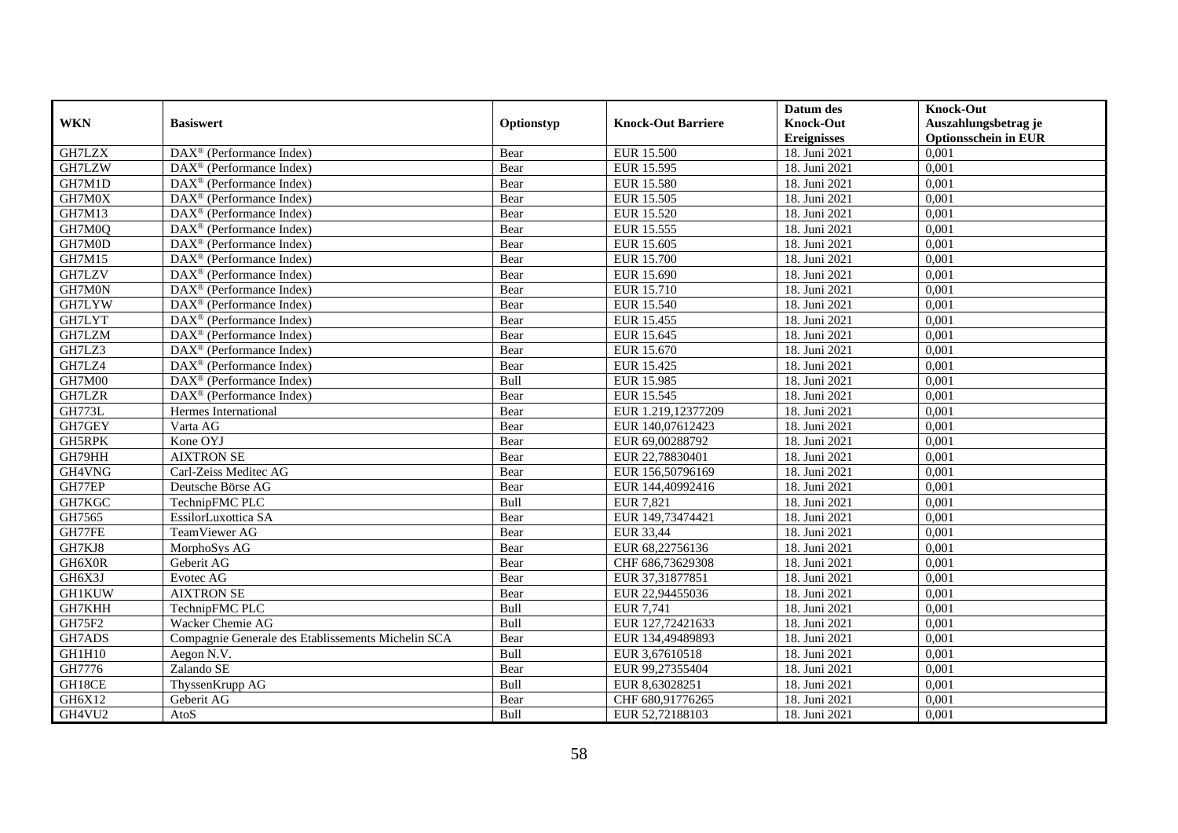|               |                                                       |            |                           | Datum des          | <b>Knock-Out</b>            |
|---------------|-------------------------------------------------------|------------|---------------------------|--------------------|-----------------------------|
| <b>WKN</b>    | <b>Basiswert</b>                                      | Optionstyp | <b>Knock-Out Barriere</b> | <b>Knock-Out</b>   | Auszahlungsbetrag je        |
|               |                                                       |            |                           | <b>Ereignisses</b> | <b>Optionsschein in EUR</b> |
| GH7LZX        | DAX <sup>®</sup> (Performance Index)                  | Bear       | EUR 15.500                | 18. Juni 2021      | 0,001                       |
| GH7LZW        | $DAX^{\circledR}$ (Performance Index)                 | Bear       | EUR 15.595                | 18. Juni 2021      | 0,001                       |
| GH7M1D        | $DAX^{\circledR}$ (Performance Index)                 | Bear       | <b>EUR 15.580</b>         | 18. Juni 2021      | 0,001                       |
| GH7M0X        | DAX <sup>®</sup> (Performance Index)                  | Bear       | EUR 15.505                | 18. Juni 2021      | 0,001                       |
| GH7M13        | DAX <sup>®</sup> (Performance Index)                  | Bear       | EUR 15.520                | 18. Juni 2021      | 0,001                       |
| GH7M0Q        | DAX <sup>®</sup> (Performance Index)                  | Bear       | EUR 15.555                | 18. Juni 2021      | 0,001                       |
| GH7M0D        | $DAX^{\otimes}$ (Performance Index)                   | Bear       | EUR 15.605                | 18. Juni 2021      | 0,001                       |
| GH7M15        | $\overline{\text{DAX}^{\otimes}}$ (Performance Index) | Bear       | <b>EUR 15.700</b>         | 18. Juni 2021      | 0,001                       |
| GH7LZV        | DAX <sup>®</sup> (Performance Index)                  | Bear       | EUR 15.690                | 18. Juni 2021      | 0,001                       |
| GH7M0N        | $\text{DAX}^{\textcircled{}}$ (Performance Index)     | Bear       | EUR 15.710                | 18. Juni 2021      | 0,001                       |
| GH7LYW        | $\overline{\text{DAX}^{\otimes}}$ (Performance Index) | Bear       | EUR 15.540                | 18. Juni 2021      | 0,001                       |
| GH7LYT        | DAX <sup>®</sup> (Performance Index)                  | Bear       | EUR 15.455                | 18. Juni 2021      | 0,001                       |
| GH7LZM        | $\text{DAX}^{\textcircled{n}}$ (Performance Index)    | Bear       | EUR 15.645                | 18. Juni 2021      | 0,001                       |
| GH7LZ3        | DAX <sup>®</sup> (Performance Index)                  | Bear       | EUR 15.670                | 18. Juni 2021      | 0.001                       |
| GH7LZ4        | $DAX^{\otimes}$ (Performance Index)                   | Bear       | EUR 15.425                | 18. Juni 2021      | 0,001                       |
| GH7M00        | DAX <sup>®</sup> (Performance Index)                  | Bull       | <b>EUR 15.985</b>         | 18. Juni 2021      | 0,001                       |
| GH7LZR        | DAX <sup>®</sup> (Performance Index)                  | Bear       | EUR 15.545                | 18. Juni 2021      | 0,001                       |
| GH773L        | Hermes International                                  | Bear       | EUR 1.219,12377209        | 18. Juni 2021      | 0,001                       |
| GH7GEY        | Varta AG                                              | Bear       | EUR 140,07612423          | 18. Juni 2021      | 0,001                       |
| GH5RPK        | Kone OYJ                                              | Bear       | EUR 69,00288792           | 18. Juni 2021      | 0,001                       |
| GH79HH        | <b>AIXTRON SE</b>                                     | Bear       | EUR 22,78830401           | 18. Juni 2021      | 0,001                       |
| GH4VNG        | Carl-Zeiss Meditec AG                                 | Bear       | EUR 156,50796169          | 18. Juni 2021      | 0,001                       |
| GH77EP        | Deutsche Börse AG                                     | Bear       | EUR 144,40992416          | 18. Juni 2021      | 0,001                       |
| GH7KGC        | TechnipFMC PLC                                        | Bull       | EUR 7,821                 | 18. Juni 2021      | 0,001                       |
| GH7565        | EssilorLuxottica SA                                   | Bear       | EUR 149,73474421          | 18. Juni 2021      | 0,001                       |
| GH77FE        | TeamViewer AG                                         | Bear       | EUR 33,44                 | 18. Juni 2021      | 0,001                       |
| GH7KJ8        | MorphoSys AG                                          | Bear       | EUR 68,22756136           | 18. Juni 2021      | 0,001                       |
| GH6X0R        | Geberit AG                                            | Bear       | CHF 686,73629308          | 18. Juni 2021      | 0,001                       |
| GH6X3J        | Evotec AG                                             | Bear       | EUR 37,31877851           | 18. Juni 2021      | 0,001                       |
| <b>GH1KUW</b> | <b>AIXTRON SE</b>                                     | Bear       | EUR 22,94455036           | 18. Juni 2021      | 0,001                       |
| GH7KHH        | TechnipFMC PLC                                        | Bull       | EUR 7,741                 | 18. Juni 2021      | 0,001                       |
| GH75F2        | Wacker Chemie AG                                      | Bull       | EUR 127,72421633          | 18. Juni 2021      | 0,001                       |
| GH7ADS        | Compagnie Generale des Etablissements Michelin SCA    | Bear       | EUR 134,49489893          | 18. Juni 2021      | 0,001                       |
| GH1H10        | Aegon N.V.                                            | Bull       | EUR 3,67610518            | 18. Juni 2021      | 0,001                       |
| GH7776        | Zalando SE                                            | Bear       | EUR 99,27355404           | 18. Juni 2021      | 0,001                       |
| GH18CE        | ThyssenKrupp AG                                       | Bull       | EUR 8,63028251            | 18. Juni 2021      | 0,001                       |
| GH6X12        | Geberit AG                                            | Bear       | CHF 680,91776265          | 18. Juni 2021      | 0,001                       |
| GH4VU2        | AtoS                                                  | Bull       | EUR 52,72188103           | 18. Juni 2021      | 0,001                       |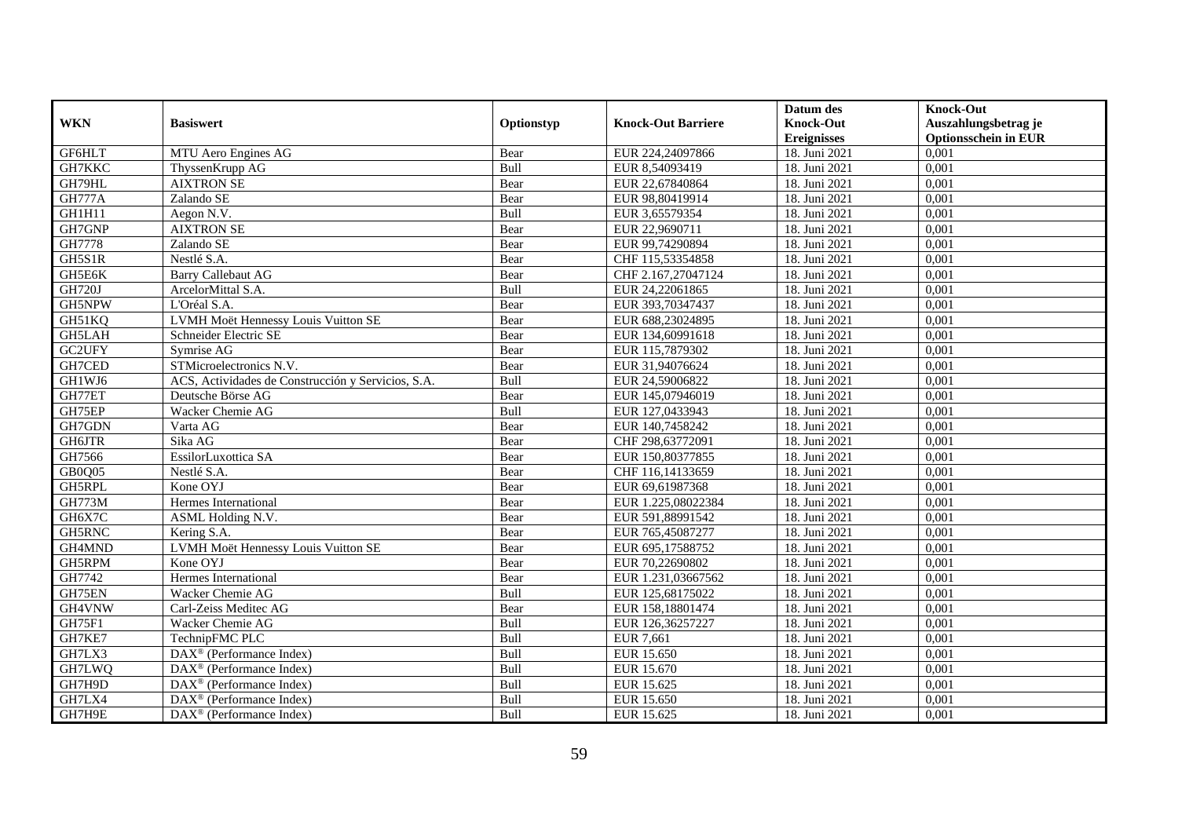|               |                                                              |             |                           | Datum des          | <b>Knock-Out</b>            |
|---------------|--------------------------------------------------------------|-------------|---------------------------|--------------------|-----------------------------|
| <b>WKN</b>    | <b>Basiswert</b>                                             | Optionstyp  | <b>Knock-Out Barriere</b> | <b>Knock-Out</b>   | Auszahlungsbetrag je        |
|               |                                                              |             |                           | <b>Ereignisses</b> | <b>Optionsschein in EUR</b> |
| GF6HLT        | MTU Aero Engines AG                                          | Bear        | EUR 224,24097866          | 18. Juni 2021      | 0,001                       |
| GH7KKC        | ThyssenKrupp AG                                              | Bull        | EUR 8,54093419            | 18. Juni 2021      | 0,001                       |
| GH79HL        | <b>AIXTRON SE</b>                                            | Bear        | EUR 22,67840864           | 18. Juni 2021      | 0,001                       |
| <b>GH777A</b> | Zalando SE                                                   | Bear        | EUR 98,80419914           | 18. Juni 2021      | 0,001                       |
| GH1H11        | Aegon N.V.                                                   | Bull        | EUR 3,65579354            | 18. Juni 2021      | 0,001                       |
| GH7GNP        | <b>AIXTRON SE</b>                                            | Bear        | EUR 22,9690711            | 18. Juni 2021      | 0,001                       |
| GH7778        | Zalando SE                                                   | Bear        | EUR 99,74290894           | 18. Juni 2021      | 0,001                       |
| GH5S1R        | Nestlé S.A.                                                  | Bear        | CHF 115,53354858          | 18. Juni 2021      | 0,001                       |
| GH5E6K        | <b>Barry Callebaut AG</b>                                    | Bear        | CHF 2.167,27047124        | 18. Juni 2021      | 0,001                       |
| <b>GH720J</b> | ArcelorMittal S.A.                                           | Bull        | EUR 24,22061865           | 18. Juni 2021      | 0,001                       |
| GH5NPW        | L'Oréal S.A.                                                 | Bear        | EUR 393,70347437          | 18. Juni 2021      | 0,001                       |
| GH51KQ        | LVMH Moët Hennessy Louis Vuitton SE                          | Bear        | EUR 688,23024895          | 18. Juni 2021      | 0,001                       |
| GH5LAH        | Schneider Electric SE                                        | Bear        | EUR 134,60991618          | 18. Juni 2021      | 0,001                       |
| GC2UFY        | Symrise AG                                                   | Bear        | EUR 115,7879302           | 18. Juni 2021      | 0,001                       |
| GH7CED        | STMicroelectronics N.V.                                      | Bear        | EUR 31,94076624           | 18. Juni 2021      | 0,001                       |
| GH1WJ6        | ACS, Actividades de Construcción y Servicios, S.A.           | Bull        | EUR 24,59006822           | 18. Juni 2021      | 0,001                       |
| GH77ET        | Deutsche Börse AG                                            | Bear        | EUR 145,07946019          | 18. Juni 2021      | 0,001                       |
| GH75EP        | Wacker Chemie AG                                             | <b>Bull</b> | EUR 127,0433943           | 18. Juni 2021      | 0,001                       |
| GH7GDN        | Varta AG                                                     | Bear        | EUR 140,7458242           | 18. Juni 2021      | 0,001                       |
| <b>GH6JTR</b> | Sika AG                                                      | Bear        | CHF 298,63772091          | 18. Juni 2021      | 0,001                       |
| GH7566        | EssilorLuxottica SA                                          | Bear        | EUR 150,80377855          | 18. Juni 2021      | 0,001                       |
| GB0Q05        | Nestlé S.A.                                                  | Bear        | CHF 116,14133659          | 18. Juni 2021      | 0,001                       |
| <b>GH5RPL</b> | Kone OYJ                                                     | Bear        | EUR 69,61987368           | 18. Juni 2021      | 0,001                       |
| GH773M        | Hermes International                                         | Bear        | EUR 1.225,08022384        | 18. Juni 2021      | 0,001                       |
| GH6X7C        | ASML Holding N.V.                                            | Bear        | EUR 591,88991542          | 18. Juni 2021      | 0,001                       |
| GH5RNC        | Kering S.A.                                                  | Bear        | EUR 765,45087277          | 18. Juni 2021      | 0,001                       |
| GH4MND        | LVMH Moët Hennessy Louis Vuitton SE                          | Bear        | EUR 695,17588752          | 18. Juni 2021      | 0,001                       |
| GH5RPM        | Kone OYJ                                                     | Bear        | EUR 70,22690802           | 18. Juni 2021      | 0,001                       |
| GH7742        | Hermes International                                         | Bear        | EUR 1.231,03667562        | 18. Juni 2021      | 0,001                       |
| GH75EN        | Wacker Chemie AG                                             | Bull        | EUR 125,68175022          | 18. Juni 2021      | 0,001                       |
| GH4VNW        | Carl-Zeiss Meditec AG                                        | Bear        | EUR 158,18801474          | 18. Juni 2021      | 0,001                       |
| GH75F1        | Wacker Chemie AG                                             | Bull        | EUR 126,36257227          | 18. Juni 2021      | 0,001                       |
| GH7KE7        | TechnipFMC PLC                                               | Bull        | EUR 7,661                 | 18. Juni 2021      | 0,001                       |
| GH7LX3        | DAX <sup>®</sup> (Performance Index)                         | Bull        | EUR 15.650                | 18. Juni 2021      | 0,001                       |
| GH7LWQ        | $\text{DAX}^{\textcircled{n}}$ (Performance Index)           | Bull        | EUR 15.670                | 18. Juni 2021      | 0,001                       |
| GH7H9D        | DAX <sup>®</sup> (Performance Index)                         | Bull        | EUR 15.625                | 18. Juni 2021      | 0,001                       |
| GH7LX4        | $\text{DAX}^{\otimes}$ (Performance Index)                   | Bull        | EUR 15.650                | 18. Juni 2021      | 0,001                       |
| GH7H9E        | $\overline{\text{DAX}}^{\textcircled{}}$ (Performance Index) | Bull        | EUR 15.625                | 18. Juni 2021      | 0,001                       |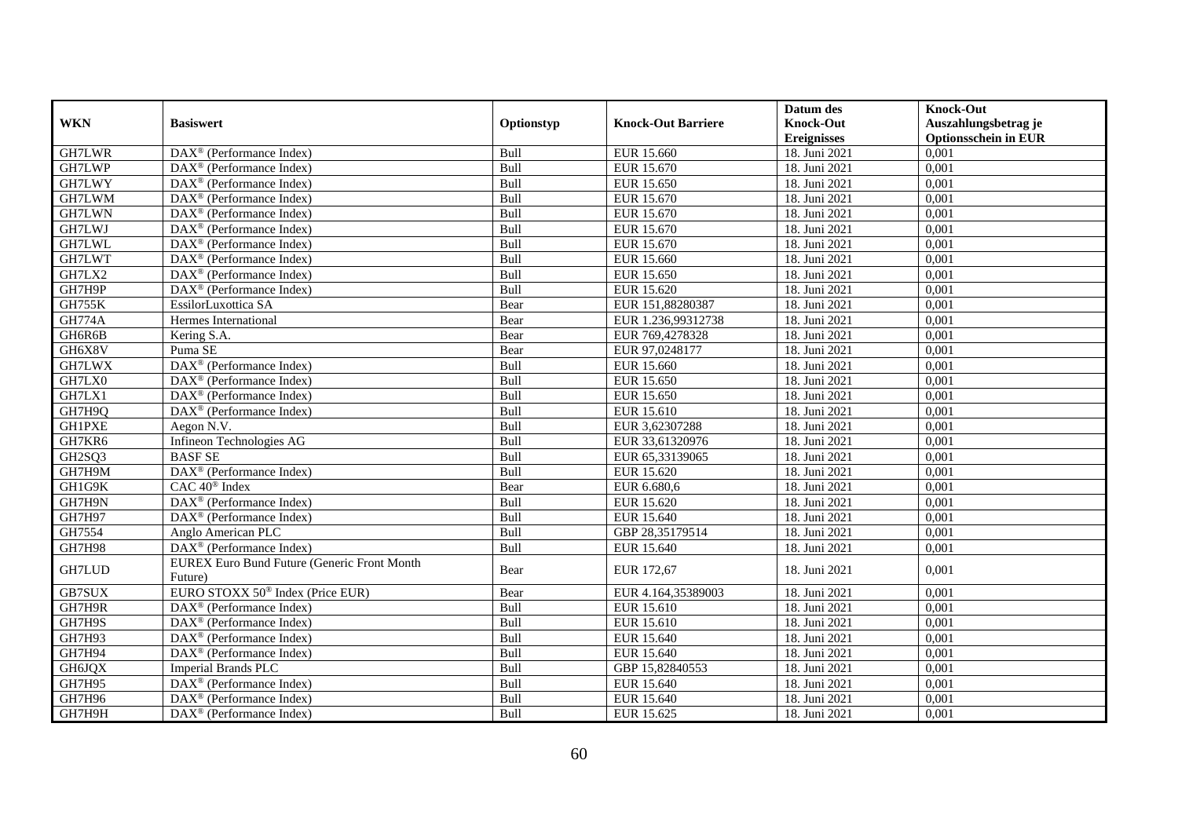|               |                                                         |            |                           | Datum des          | <b>Knock-Out</b>            |
|---------------|---------------------------------------------------------|------------|---------------------------|--------------------|-----------------------------|
| <b>WKN</b>    | <b>Basiswert</b>                                        | Optionstyp | <b>Knock-Out Barriere</b> | <b>Knock-Out</b>   | Auszahlungsbetrag je        |
|               |                                                         |            |                           | <b>Ereignisses</b> | <b>Optionsschein in EUR</b> |
| GH7LWR        | DAX <sup>®</sup> (Performance Index)                    | Bull       | EUR 15.660                | 18. Juni 2021      | 0,001                       |
| GH7LWP        | $DAX^{\circledast}$ (Performance Index)                 | Bull       | EUR 15.670                | 18. Juni 2021      | 0,001                       |
| GH7LWY        | $\overline{\text{DAX}}^{\textcirc}$ (Performance Index) | Bull       | <b>EUR 15.650</b>         | 18. Juni 2021      | 0,001                       |
| GH7LWM        | DAX <sup>®</sup> (Performance Index)                    | Bull       | EUR 15.670                | 18. Juni 2021      | 0,001                       |
| GH7LWN        | DAX <sup>®</sup> (Performance Index)                    | Bull       | EUR 15.670                | 18. Juni 2021      | 0,001                       |
| GH7LWJ        | $\overline{\text{DAX}^{\otimes}}$ (Performance Index)   | Bull       | EUR 15.670                | 18. Juni 2021      | 0,001                       |
| GH7LWL        | $DAX^{\circledast}$ (Performance Index)                 | Bull       | EUR 15.670                | 18. Juni 2021      | 0,001                       |
| GH7LWT        | $DAX^{\circledR}$ (Performance Index)                   | Bull       | EUR 15.660                | 18. Juni 2021      | 0,001                       |
| GH7LX2        | $DAX^{\circledR}$ (Performance Index)                   | Bull       | EUR 15.650                | 18. Juni 2021      | 0,001                       |
| GH7H9P        | DAX <sup>®</sup> (Performance Index)                    | Bull       | EUR 15.620                | 18. Juni 2021      | 0,001                       |
| <b>GH755K</b> | EssilorLuxottica SA                                     | Bear       | EUR 151,88280387          | 18. Juni 2021      | 0,001                       |
| <b>GH774A</b> | Hermes International                                    | Bear       | EUR 1.236,99312738        | 18. Juni 2021      | 0,001                       |
| GH6R6B        | Kering S.A.                                             | Bear       | EUR 769,4278328           | 18. Juni 2021      | 0,001                       |
| GH6X8V        | Puma SE                                                 | Bear       | EUR 97,0248177            | 18. Juni 2021      | 0,001                       |
| GH7LWX        | DAX <sup>®</sup> (Performance Index)                    | Bull       | EUR 15.660                | 18. Juni 2021      | 0,001                       |
| GH7LX0        | DAX <sup>®</sup> (Performance Index)                    | Bull       | <b>EUR 15.650</b>         | 18. Juni 2021      | 0,001                       |
| GH7LX1        | DAX <sup>®</sup> (Performance Index)                    | Bull       | EUR 15.650                | 18. Juni 2021      | 0,001                       |
| GH7H9Q        | $\overline{\text{DAX}}^{\textcirc}$ (Performance Index) | Bull       | EUR 15.610                | 18. Juni 2021      | 0,001                       |
| <b>GH1PXE</b> | Aegon N.V.                                              | Bull       | EUR 3,62307288            | 18. Juni 2021      | 0,001                       |
| GH7KR6        | <b>Infineon Technologies AG</b>                         | Bull       | EUR 33,61320976           | 18. Juni 2021      | 0,001                       |
| GH2SQ3        | <b>BASF SE</b>                                          | Bull       | EUR 65,33139065           | 18. Juni 2021      | 0,001                       |
| GH7H9M        | DAX <sup>®</sup> (Performance Index)                    | Bull       | EUR 15.620                | 18. Juni 2021      | 0,001                       |
| GH1G9K        | $CAC 40$ <sup>®</sup> Index                             | Bear       | EUR 6.680,6               | 18. Juni 2021      | 0,001                       |
| GH7H9N        | $DAX^{\circledR}$ (Performance Index)                   | Bull       | EUR 15.620                | 18. Juni 2021      | 0,001                       |
| GH7H97        | $\overline{\text{DAX}}^{\textcirc}$ (Performance Index) | Bull       | EUR 15.640                | 18. Juni 2021      | 0,001                       |
| GH7554        | Anglo American PLC                                      | Bull       | GBP 28,35179514           | 18. Juni 2021      | 0,001                       |
| <b>GH7H98</b> | DAX <sup>®</sup> (Performance Index)                    | Bull       | EUR 15.640                | 18. Juni 2021      | 0.001                       |
| GH7LUD        | <b>EUREX Euro Bund Future (Generic Front Month</b>      | Bear       | EUR 172,67                | 18. Juni 2021      | 0,001                       |
|               | Future)                                                 |            |                           |                    |                             |
| GB7SUX        | EURO STOXX 50 <sup>®</sup> Index (Price EUR)            | Bear       | EUR 4.164,35389003        | 18. Juni 2021      | 0,001                       |
| GH7H9R        | DAX <sup>®</sup> (Performance Index)                    | Bull       | EUR 15.610                | 18. Juni 2021      | 0,001                       |
| GH7H9S        | DAX <sup>®</sup> (Performance Index)                    | Bull       | EUR 15.610                | 18. Juni 2021      | 0,001                       |
| GH7H93        | $DAX^{\circledast}$ (Performance Index)                 | Bull       | EUR 15.640                | 18. Juni 2021      | 0,001                       |
| <b>GH7H94</b> | DAX <sup>®</sup> (Performance Index)                    | Bull       | EUR 15.640                | 18. Juni 2021      | 0,001                       |
| GH6JQX        | <b>Imperial Brands PLC</b>                              | Bull       | GBP 15,82840553           | 18. Juni 2021      | 0,001                       |
| <b>GH7H95</b> | $\overline{\text{DAX}^{\otimes}}$ (Performance Index)   | Bull       | EUR 15.640                | 18. Juni 2021      | 0,001                       |
| GH7H96        | $\text{DAX}^{\otimes}$ (Performance Index)              | Bull       | EUR 15.640                | 18. Juni 2021      | 0,001                       |
| GH7H9H        | DAX <sup>®</sup> (Performance Index)                    | Bull       | EUR 15.625                | 18. Juni 2021      | 0,001                       |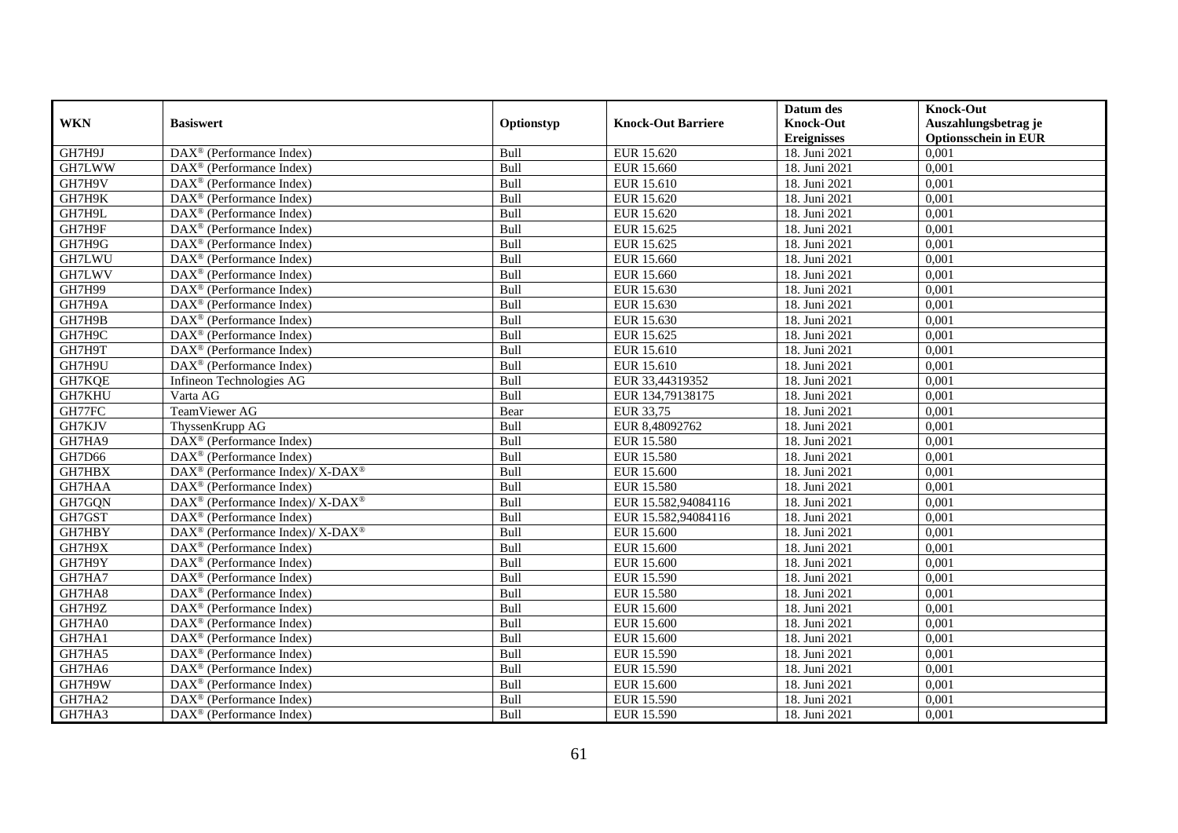|               |                                                                  |            |                           | Datum des          | <b>Knock-Out</b>            |
|---------------|------------------------------------------------------------------|------------|---------------------------|--------------------|-----------------------------|
| <b>WKN</b>    | <b>Basiswert</b>                                                 | Optionstyp | <b>Knock-Out Barriere</b> | <b>Knock-Out</b>   | Auszahlungsbetrag je        |
|               |                                                                  |            |                           | <b>Ereignisses</b> | <b>Optionsschein in EUR</b> |
| GH7H9J        | $\overline{\text{DAX}}^{\textcirc}$ (Performance Index)          | Bull       | EUR 15.620                | 18. Juni 2021      | 0,001                       |
| GH7LWW        | $\text{DAX}^{\textcircled{p}}$ (Performance Index)               | Bull       | EUR 15.660                | 18. Juni 2021      | 0,001                       |
| GH7H9V        | DAX <sup>®</sup> (Performance Index)                             | Bull       | EUR 15.610                | 18. Juni 2021      | 0,001                       |
| GH7H9K        | $\text{DAX}^{\otimes}$ (Performance Index)                       | Bull       | EUR 15.620                | 18. Juni 2021      | 0,001                       |
| GH7H9L        | DAX <sup>®</sup> (Performance Index)                             | Bull       | EUR 15.620                | 18. Juni 2021      | 0,001                       |
| GH7H9F        | $\text{DAX}^{\textcircled{n}}$ (Performance Index)               | Bull       | EUR 15.625                | 18. Juni 2021      | 0,001                       |
| GH7H9G        | $\text{DAX}^{\textcircled{n}}$ (Performance Index)               | Bull       | EUR 15.625                | 18. Juni 2021      | 0,001                       |
| GH7LWU        | $\text{DAX}^{\textcircled{}}$ (Performance Index)                | Bull       | EUR 15.660                | 18. Juni 2021      | 0,001                       |
| GH7LWV        | $\text{DAX}^{\textcircled{p}}$ (Performance Index)               | Bull       | EUR 15.660                | 18. Juni 2021      | 0,001                       |
| <b>GH7H99</b> | $DAX^{\otimes}$ (Performance Index)                              | Bull       | EUR 15.630                | 18. Juni 2021      | 0,001                       |
| GH7H9A        | DAX <sup>®</sup> (Performance Index)                             | Bull       | EUR 15.630                | 18. Juni 2021      | 0,001                       |
| GH7H9B        | $\overline{\text{DAX}^{\otimes}}$ (Performance Index)            | Bull       | EUR 15.630                | 18. Juni 2021      | 0,001                       |
| GH7H9C        | $\text{DAX}^{\circledast}$ (Performance Index)                   | Bull       | EUR 15.625                | 18. Juni 2021      | 0,001                       |
| GH7H9T        | DAX <sup>®</sup> (Performance Index)                             | Bull       | EUR 15.610                | 18. Juni 2021      | 0,001                       |
| GH7H9U        | DAX <sup>®</sup> (Performance Index)                             | Bull       | EUR 15.610                | 18. Juni 2021      | 0,001                       |
| GH7KQE        | Infineon Technologies AG                                         | Bull       | EUR 33,44319352           | 18. Juni 2021      | 0,001                       |
| GH7KHU        | Varta AG                                                         | Bull       | EUR 134,79138175          | 18. Juni 2021      | 0,001                       |
| GH77FC        | TeamViewer AG                                                    | Bear       | EUR 33.75                 | 18. Juni 2021      | 0,001                       |
| GH7KJV        | ThyssenKrupp AG                                                  | Bull       | EUR 8,48092762            | 18. Juni 2021      | 0,001                       |
| GH7HA9        | DAX <sup>®</sup> (Performance Index)                             | Bull       | <b>EUR 15.580</b>         | 18. Juni 2021      | 0,001                       |
| GH7D66        | $\text{DAX}^{\textcircled{p}}$ (Performance Index)               | Bull       | <b>EUR 15.580</b>         | 18. Juni 2021      | 0,001                       |
| GH7HBX        | $\text{DAX}^{\circledR}$ (Performance Index)/ X-DAX <sup>®</sup> | Bull       | <b>EUR 15.600</b>         | 18. Juni 2021      | 0,001                       |
| GH7HAA        | DAX <sup>®</sup> (Performance Index)                             | Bull       | <b>EUR 15.580</b>         | 18. Juni 2021      | 0,001                       |
| GH7GQN        | $\text{DAX}^{\circledR}$ (Performance Index)/ X-DAX <sup>®</sup> | Bull       | EUR 15.582,94084116       | 18. Juni 2021      | 0,001                       |
| GH7GST        | $\text{DAX}^{\circledast}$ (Performance Index)                   | Bull       | EUR 15.582,94084116       | 18. Juni 2021      | 0,001                       |
| GH7HBY        | $DAX^{\circledast}$ (Performance Index)/ X-DAX <sup>®</sup>      | Bull       | <b>EUR 15.600</b>         | 18. Juni 2021      | 0,001                       |
| GH7H9X        | DAX <sup>®</sup> (Performance Index)                             | Bull       | <b>EUR 15.600</b>         | 18. Juni 2021      | 0,001                       |
| GH7H9Y        | $\text{DAX}^{\textcircled{p}}$ (Performance Index)               | Bull       | <b>EUR 15.600</b>         | 18. Juni 2021      | 0,001                       |
| GH7HA7        | $\text{DAX}^{\textcircled{p}}$ (Performance Index)               | Bull       | EUR 15.590                | 18. Juni 2021      | 0,001                       |
| GH7HA8        | $\text{DAX}^{\textcircled{p}}$ (Performance Index)               | Bull       | <b>EUR 15.580</b>         | 18. Juni 2021      | 0,001                       |
| GH7H9Z        | DAX <sup>®</sup> (Performance Index)                             | Bull       | <b>EUR 15.600</b>         | 18. Juni 2021      | 0,001                       |
| GH7HA0        | DAX <sup>®</sup> (Performance Index)                             | Bull       | <b>EUR 15.600</b>         | 18. Juni 2021      | 0,001                       |
| GH7HA1        | $\overline{\text{DAX}^{\otimes}}$ (Performance Index)            | Bull       | <b>EUR 15.600</b>         | 18. Juni 2021      | 0,001                       |
| GH7HA5        | DAX <sup>®</sup> (Performance Index)                             | Bull       | EUR 15.590                | 18. Juni 2021      | 0,001                       |
| GH7HA6        | $\text{DAX}^{\textcircled{n}}$ (Performance Index)               | Bull       | EUR 15.590                | 18. Juni 2021      | 0,001                       |
| GH7H9W        | $\text{DAX}^{\textcircled{n}}$ (Performance Index)               | Bull       | EUR 15.600                | 18. Juni 2021      | 0,001                       |
| GH7HA2        | $\text{DAX}^{\otimes}$ (Performance Index)                       | Bull       | EUR 15.590                | 18. Juni 2021      | 0,001                       |
| GH7HA3        | $\overline{\text{DAX}}^{\textcirc}$ (Performance Index)          | Bull       | EUR 15.590                | 18. Juni 2021      | 0,001                       |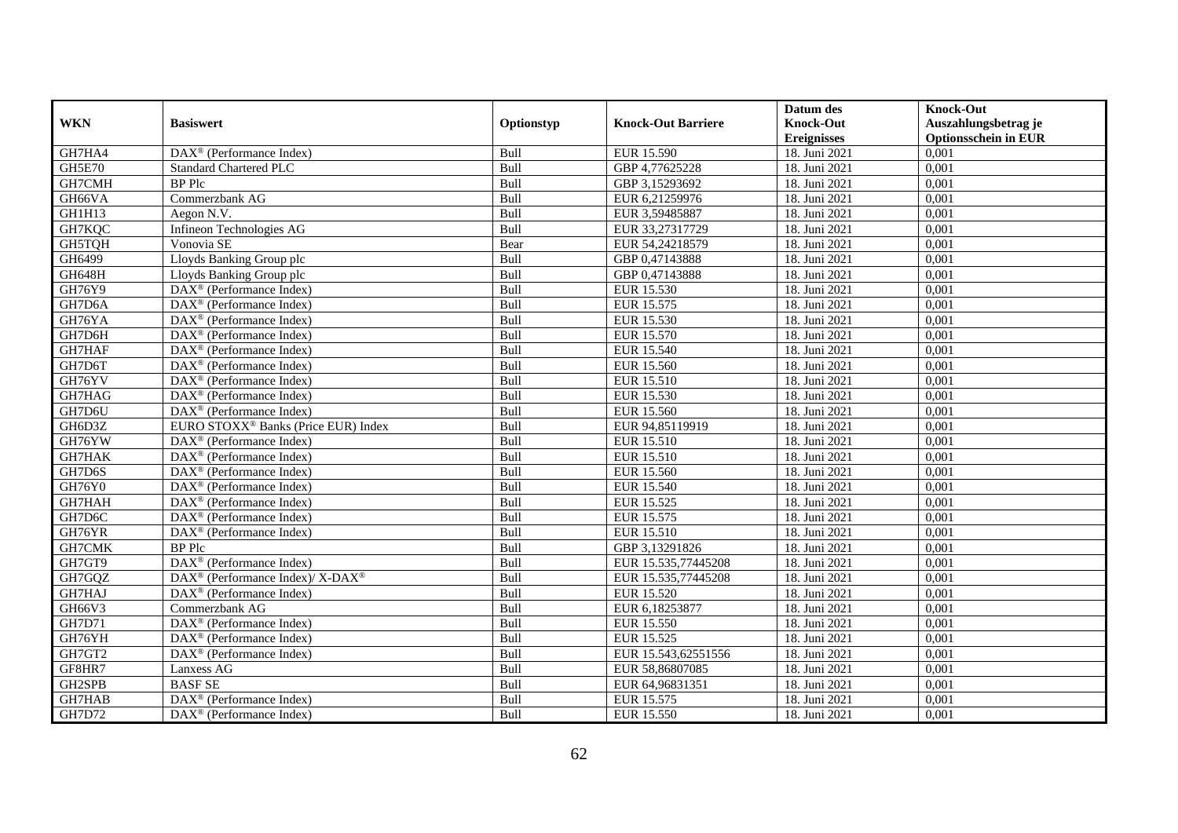|               |                                                             |             |                           | Datum des          | <b>Knock-Out</b>            |
|---------------|-------------------------------------------------------------|-------------|---------------------------|--------------------|-----------------------------|
| <b>WKN</b>    | <b>Basiswert</b>                                            | Optionstyp  | <b>Knock-Out Barriere</b> | <b>Knock-Out</b>   | Auszahlungsbetrag je        |
|               |                                                             |             |                           | <b>Ereignisses</b> | <b>Optionsschein in EUR</b> |
| GH7HA4        | DAX <sup>®</sup> (Performance Index)                        | Bull        | EUR 15.590                | 18. Juni 2021      | 0,001                       |
| <b>GH5E70</b> | <b>Standard Chartered PLC</b>                               | Bull        | GBP 4,77625228            | 18. Juni 2021      | 0,001                       |
| GH7CMH        | <b>BP</b> Plc                                               | Bull        | GBP 3,15293692            | 18. Juni 2021      | 0,001                       |
| GH66VA        | Commerzbank AG                                              | Bull        | EUR 6,21259976            | 18. Juni 2021      | 0,001                       |
| GH1H13        | Aegon N.V.                                                  | Bull        | EUR 3,59485887            | 18. Juni 2021      | 0,001                       |
| GH7KQC        | Infineon Technologies AG                                    | Bull        | EUR 33,27317729           | 18. Juni 2021      | 0,001                       |
| GH5TOH        | Vonovia SE                                                  | Bear        | EUR 54,24218579           | 18. Juni 2021      | 0,001                       |
| GH6499        | Lloyds Banking Group plc                                    | Bull        | GBP 0,47143888            | 18. Juni 2021      | 0,001                       |
| GH648H        | Lloyds Banking Group plc                                    | Bull        | GBP 0,47143888            | 18. Juni 2021      | 0,001                       |
| GH76Y9        | DAX <sup>®</sup> (Performance Index)                        | Bull        | EUR 15.530                | 18. Juni 2021      | 0,001                       |
| GH7D6A        | $\overline{\text{DAX}^{\otimes}}$ (Performance Index)       | Bull        | EUR 15.575                | 18. Juni 2021      | 0,001                       |
| GH76YA        | DAX <sup>®</sup> (Performance Index)                        | Bull        | EUR 15.530                | 18. Juni 2021      | 0,001                       |
| GH7D6H        | $\text{DAX}^{\circledast}$ (Performance Index)              | Bull        | EUR 15.570                | 18. Juni 2021      | 0,001                       |
| GH7HAF        | DAX <sup>®</sup> (Performance Index)                        | <b>Bull</b> | EUR 15.540                | 18. Juni 2021      | 0.001                       |
| GH7D6T        | $\overline{\text{DAX}}^{\textcirc}$ (Performance Index)     | Bull        | EUR 15.560                | 18. Juni 2021      | 0,001                       |
| GH76YV        | DAX <sup>®</sup> (Performance Index)                        | Bull        | EUR 15.510                | 18. Juni 2021      | 0,001                       |
| GH7HAG        | DAX <sup>®</sup> (Performance Index)                        | Bull        | EUR 15.530                | 18. Juni 2021      | 0,001                       |
| GH7D6U        | DAX <sup>®</sup> (Performance Index)                        | Bull        | EUR 15.560                | 18. Juni 2021      | 0,001                       |
| GH6D3Z        | EURO STOXX <sup>®</sup> Banks (Price EUR) Index             | Bull        | EUR 94,85119919           | 18. Juni 2021      | 0,001                       |
| GH76YW        | $\text{DAX}^{\circledast}$ (Performance Index)              | Bull        | EUR 15.510                | 18. Juni 2021      | 0,001                       |
| GH7HAK        | DAX <sup>®</sup> (Performance Index)                        | Bull        | EUR 15.510                | 18. Juni 2021      | 0,001                       |
| GH7D6S        | $DAX^{\circledR}$ (Performance Index)                       | Bull        | EUR 15.560                | 18. Juni 2021      | 0,001                       |
| GH76Y0        | $\text{DAX}^{\textcircled{p}}$ (Performance Index)          | Bull        | EUR 15.540                | 18. Juni 2021      | 0,001                       |
| GH7HAH        | $\text{DAX}^{\textcircled{p}}$ (Performance Index)          | Bull        | EUR 15.525                | 18. Juni 2021      | 0,001                       |
| GH7D6C        | $\text{DAX}^{\textcircled{p}}$ (Performance Index)          | Bull        | EUR 15.575                | 18. Juni 2021      | 0,001                       |
| GH76YR        | $\text{DAX}^{\circledast}$ (Performance Index)              | Bull        | EUR 15.510                | 18. Juni 2021      | 0,001                       |
| GH7CMK        | <b>BP</b> Plc                                               | Bull        | GBP 3,13291826            | 18. Juni 2021      | 0,001                       |
| GH7GT9        | DAX <sup>®</sup> (Performance Index)                        | Bull        | EUR 15.535,77445208       | 18. Juni 2021      | 0,001                       |
| GH7GQZ        | $DAX^{\circledast}$ (Performance Index)/ X-DAX <sup>®</sup> | Bull        | EUR 15.535,77445208       | 18. Juni 2021      | 0,001                       |
| GH7HAJ        | $\text{DAX}^{\circledast}$ (Performance Index)              | Bull        | EUR 15.520                | 18. Juni 2021      | 0,001                       |
| GH66V3        | Commerzbank AG                                              | Bull        | EUR 6,18253877            | 18. Juni 2021      | 0,001                       |
| GH7D71        | DAX <sup>®</sup> (Performance Index)                        | Bull        | <b>EUR 15.550</b>         | 18. Juni 2021      | 0,001                       |
| GH76YH        | $\text{DAX}^{\textcircled{p}}$ (Performance Index)          | Bull        | EUR 15.525                | 18. Juni 2021      | 0,001                       |
| GH7GT2        | DAX <sup>®</sup> (Performance Index)                        | Bull        | EUR 15.543,62551556       | 18. Juni 2021      | 0,001                       |
| GF8HR7        | Lanxess AG                                                  | Bull        | EUR 58,86807085           | 18. Juni 2021      | 0,001                       |
| GH2SPB        | <b>BASF SE</b>                                              | Bull        | EUR 64,96831351           | 18. Juni 2021      | 0,001                       |
| GH7HAB        | DAX <sup>®</sup> (Performance Index)                        | Bull        | EUR 15.575                | 18. Juni 2021      | 0,001                       |
| GH7D72        | DAX <sup>®</sup> (Performance Index)                        | Bull        | EUR 15.550                | 18. Juni 2021      | 0,001                       |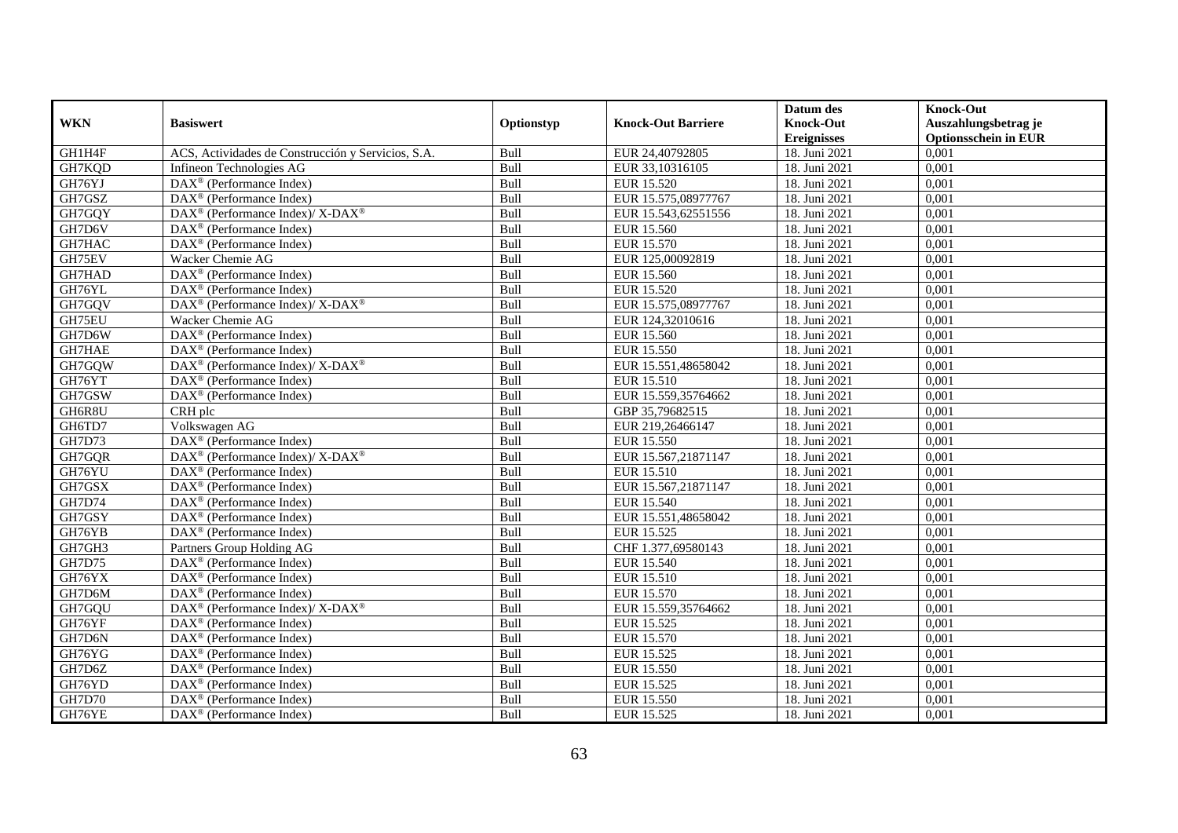|               |                                                                  |            |                           | Datum des          | <b>Knock-Out</b>            |
|---------------|------------------------------------------------------------------|------------|---------------------------|--------------------|-----------------------------|
| <b>WKN</b>    | <b>Basiswert</b>                                                 | Optionstyp | <b>Knock-Out Barriere</b> | <b>Knock-Out</b>   | Auszahlungsbetrag je        |
|               |                                                                  |            |                           | <b>Ereignisses</b> | <b>Optionsschein in EUR</b> |
| GH1H4F        | ACS, Actividades de Construcción y Servicios, S.A.               | Bull       | EUR 24,40792805           | 18. Juni 2021      | 0,001                       |
| GH7KQD        | Infineon Technologies AG                                         | Bull       | EUR 33,10316105           | 18. Juni 2021      | 0,001                       |
| GH76YJ        | DAX <sup>®</sup> (Performance Index)                             | Bull       | EUR 15.520                | 18. Juni 2021      | 0,001                       |
| GH7GSZ        | $\text{DAX}^{\circledast}$ (Performance Index)                   | Bull       | EUR 15.575,08977767       | 18. Juni 2021      | 0,001                       |
| GH7GQY        | $\text{DAX}^{\circledR}$ (Performance Index)/ X-DAX <sup>®</sup> | Bull       | EUR 15.543,62551556       | 18. Juni 2021      | 0,001                       |
| GH7D6V        | $\text{DAX}^{\textcircled{n}}$ (Performance Index)               | Bull       | EUR 15.560                | 18. Juni 2021      | 0,001                       |
| GH7HAC        | $\overline{\text{DAX}}^{\textcirc}$ (Performance Index)          | Bull       | EUR 15.570                | 18. Juni 2021      | 0,001                       |
| GH75EV        | Wacker Chemie AG                                                 | Bull       | EUR 125,00092819          | 18. Juni 2021      | 0,001                       |
| GH7HAD        | $\text{DAX}^{\textcircled{p}}$ (Performance Index)               | Bull       | EUR 15.560                | 18. Juni 2021      | 0,001                       |
| GH76YL        | $DAX^{\otimes}$ (Performance Index)                              | Bull       | EUR 15.520                | 18. Juni 2021      | 0,001                       |
| GH7GQV        | DAX <sup>®</sup> (Performance Index)/ X-DAX <sup>®</sup>         | Bull       | EUR 15.575,08977767       | 18. Juni 2021      | 0,001                       |
| GH75EU        | Wacker Chemie AG                                                 | Bull       | EUR 124,32010616          | 18. Juni 2021      | 0,001                       |
| GH7D6W        | DAX <sup>®</sup> (Performance Index)                             | Bull       | EUR 15.560                | 18. Juni 2021      | 0,001                       |
| GH7HAE        | $\text{DAX}^{\circledast}$ (Performance Index)                   | Bull       | EUR 15.550                | 18. Juni 2021      | 0,001                       |
| GH7GQW        | DAX <sup>®</sup> (Performance Index)/ X-DAX <sup>®</sup>         | Bull       | EUR 15.551,48658042       | 18. Juni 2021      | 0,001                       |
| GH76YT        | DAX <sup>®</sup> (Performance Index)                             | Bull       | EUR 15.510                | 18. Juni 2021      | 0,001                       |
| GH7GSW        | DAX <sup>®</sup> (Performance Index)                             | Bull       | EUR 15.559,35764662       | 18. Juni 2021      | 0,001                       |
| GH6R8U        | CRH plc                                                          | Bull       | GBP 35,79682515           | 18. Juni 2021      | 0,001                       |
| GH6TD7        | Volkswagen AG                                                    | Bull       | EUR 219,26466147          | 18. Juni 2021      | 0,001                       |
| GH7D73        | DAX <sup>®</sup> (Performance Index)                             | Bull       | <b>EUR 15.550</b>         | 18. Juni 2021      | 0,001                       |
| GH7GQR        | $\text{DAX}^{\circledR}$ (Performance Index)/ X-DAX <sup>®</sup> | Bull       | EUR 15.567,21871147       | 18. Juni 2021      | 0,001                       |
| GH76YU        | $\overline{\text{DAX}^{\otimes}}$ (Performance Index)            | Bull       | EUR 15.510                | 18. Juni 2021      | 0,001                       |
| GH7GSX        | $\overline{\text{DAX}^{\otimes}}$ (Performance Index)            | Bull       | EUR 15.567,21871147       | 18. Juni 2021      | 0,001                       |
| <b>GH7D74</b> | DAX <sup>®</sup> (Performance Index)                             | Bull       | <b>EUR 15.540</b>         | 18. Juni 2021      | 0,001                       |
| GH7GSY        | $\overline{\text{DAX}^{\otimes}}$ (Performance Index)            | Bull       | EUR 15.551,48658042       | 18. Juni 2021      | 0,001                       |
| GH76YB        | DAX <sup>®</sup> (Performance Index)                             | Bull       | EUR 15.525                | 18. Juni 2021      | 0,001                       |
| GH7GH3        | Partners Group Holding AG                                        | Bull       | CHF 1.377,69580143        | 18. Juni 2021      | 0,001                       |
| GH7D75        | $\text{DAX}^{\textcircled{p}}$ (Performance Index)               | Bull       | EUR 15.540                | 18. Juni 2021      | 0,001                       |
| GH76YX        | $\text{DAX}^{\textcircled{p}}$ (Performance Index)               | Bull       | EUR 15.510                | 18. Juni 2021      | 0,001                       |
| GH7D6M        | $\overline{\text{DAX}^{\otimes}}$ (Performance Index)            | Bull       | EUR 15.570                | 18. Juni 2021      | 0,001                       |
| GH7GQU        | $\text{DAX}^{\circledR}$ (Performance Index)/ X-DAX <sup>®</sup> | Bull       | EUR 15.559,35764662       | 18. Juni 2021      | 0,001                       |
| GH76YF        | $\text{DAX}^{\textcircled{n}}$ (Performance Index)               | Bull       | EUR 15.525                | 18. Juni 2021      | 0,001                       |
| GH7D6N        | $\overline{\text{DAX}^{\otimes}}$ (Performance Index)            | Bull       | EUR 15.570                | 18. Juni 2021      | 0,001                       |
| GH76YG        | DAX <sup>®</sup> (Performance Index)                             | Bull       | EUR 15.525                | 18. Juni 2021      | 0,001                       |
| GH7D6Z        | $\text{DAX}^{\textcircled{n}}$ (Performance Index)               | Bull       | EUR 15.550                | 18. Juni 2021      | 0,001                       |
| GH76YD        | $\text{DAX}^{\textcircled{n}}$ (Performance Index)               | Bull       | EUR 15.525                | 18. Juni 2021      | 0,001                       |
| GH7D70        | $\text{DAX}^{\otimes}$ (Performance Index)                       | Bull       | EUR 15.550                | 18. Juni 2021      | 0,001                       |
| GH76YE        | $\overline{\text{DAX}}^{\textcircled{}}$ (Performance Index)     | Bull       | EUR 15.525                | 18. Juni 2021      | 0,001                       |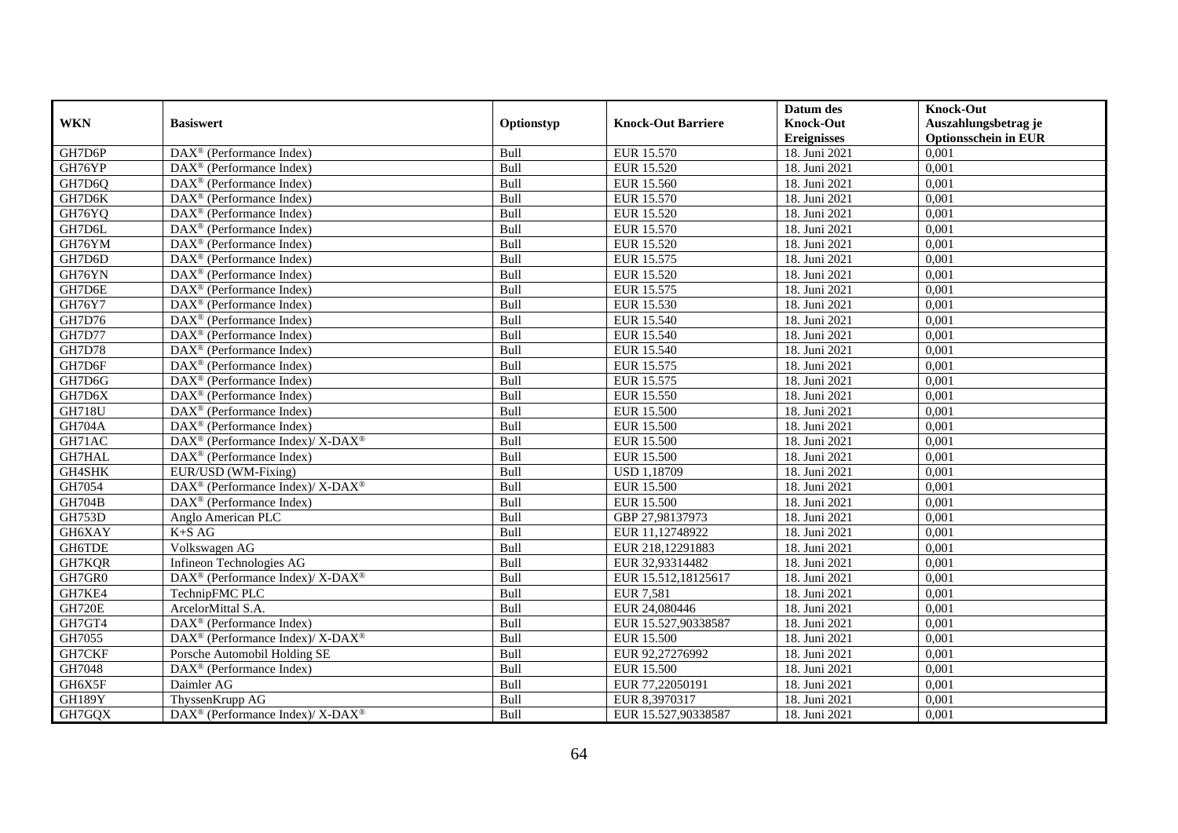|               |                                                                   |            |                           | Datum des          | <b>Knock-Out</b>            |
|---------------|-------------------------------------------------------------------|------------|---------------------------|--------------------|-----------------------------|
| <b>WKN</b>    | <b>Basiswert</b>                                                  | Optionstyp | <b>Knock-Out Barriere</b> | <b>Knock-Out</b>   | Auszahlungsbetrag je        |
|               |                                                                   |            |                           | <b>Ereignisses</b> | <b>Optionsschein in EUR</b> |
| GH7D6P        | DAX <sup>®</sup> (Performance Index)                              | Bull       | EUR 15.570                | 18. Juni 2021      | 0,001                       |
| GH76YP        | $\text{DAX}^{\textcircled{n}}$ (Performance Index)                | Bull       | EUR 15.520                | 18. Juni 2021      | 0,001                       |
| GH7D6Q        | $DAX^{\circledR}$ (Performance Index)                             | Bull       | EUR 15.560                | 18. Juni 2021      | 0,001                       |
| GH7D6K        | DAX <sup>®</sup> (Performance Index)                              | Bull       | EUR 15.570                | 18. Juni 2021      | 0,001                       |
| GH76YQ        | DAX <sup>®</sup> (Performance Index)                              | Bull       | <b>EUR 15.520</b>         | 18. Juni 2021      | 0,001                       |
| GH7D6L        | $\overline{\text{DAX}^{\otimes}}$ (Performance Index)             | Bull       | EUR 15.570                | 18. Juni 2021      | 0,001                       |
| GH76YM        | DAX <sup>®</sup> (Performance Index)                              | Bull       | EUR 15.520                | 18. Juni 2021      | 0,001                       |
| GH7D6D        | $\text{DAX}^{\textcircled{p}}$ (Performance Index)                | Bull       | EUR 15.575                | 18. Juni 2021      | 0,001                       |
| GH76YN        | $DAX^{\circledR}$ (Performance Index)                             | Bull       | EUR 15.520                | 18. Juni 2021      | 0,001                       |
| GH7D6E        | $\text{DAX}^{\textcircled{}}$ (Performance Index)                 | Bull       | EUR 15.575                | 18. Juni 2021      | 0,001                       |
| GH76Y7        | $\overline{\text{DAX}}^{\textcircled{}}$ (Performance Index)      | Bull       | EUR 15.530                | 18. Juni 2021      | 0,001                       |
| GH7D76        | DAX <sup>®</sup> (Performance Index)                              | Bull       | EUR 15.540                | 18. Juni 2021      | 0,001                       |
| <b>GH7D77</b> | $DAX^{\circledR}$ (Performance Index)                             | Bull       | EUR 15.540                | 18. Juni 2021      | 0,001                       |
| <b>GH7D78</b> | $\text{DAX}^{\textcircled{n}}$ (Performance Index)                | Bull       | EUR 15.540                | 18. Juni 2021      | 0,001                       |
| GH7D6F        | $\text{DAX}^{\textcircled{n}}$ (Performance Index)                | Bull       | EUR 15.575                | 18. Juni 2021      | 0,001                       |
| GH7D6G        | DAX <sup>®</sup> (Performance Index)                              | Bull       | EUR 15.575                | 18. Juni 2021      | 0,001                       |
| GH7D6X        | DAX <sup>®</sup> (Performance Index)                              | Bull       | EUR 15.550                | 18. Juni 2021      | 0,001                       |
| <b>GH718U</b> | $\overline{\text{DAX}}^{\textcirc}$ (Performance Index)           | Bull       | <b>EUR 15.500</b>         | 18. Juni 2021      | 0,001                       |
| <b>GH704A</b> | $\text{DAX}^{\textcircled{p}}$ (Performance Index)                | Bull       | <b>EUR 15.500</b>         | 18. Juni 2021      | 0,001                       |
| GH71AC        | DAX <sup>®</sup> (Performance Index)/ X-DAX <sup>®</sup>          | Bull       | <b>EUR 15.500</b>         | 18. Juni 2021      | 0,001                       |
| GH7HAL        | DAX <sup>®</sup> (Performance Index)                              | Bull       | <b>EUR 15.500</b>         | 18. Juni 2021      | 0,001                       |
| GH4SHK        | EUR/USD (WM-Fixing)                                               | Bull       | <b>USD 1,18709</b>        | 18. Juni 2021      | 0,001                       |
| GH7054        | DAX <sup>®</sup> (Performance Index)/ X-DAX <sup>®</sup>          | Bull       | <b>EUR 15.500</b>         | 18. Juni 2021      | 0,001                       |
| <b>GH704B</b> | $DAX^{\otimes}$ (Performance Index)                               | Bull       | <b>EUR 15.500</b>         | 18. Juni 2021      | 0,001                       |
| GH753D        | Anglo American PLC                                                | Bull       | GBP 27,98137973           | 18. Juni 2021      | 0,001                       |
| GH6XAY        | $K+SAG$                                                           | Bull       | EUR 11,12748922           | 18. Juni 2021      | 0,001                       |
| GH6TDE        | Volkswagen AG                                                     | Bull       | EUR 218,12291883          | 18. Juni 2021      | 0,001                       |
| GH7KQR        | Infineon Technologies AG                                          | Bull       | EUR 32.93314482           | 18. Juni 2021      | 0,001                       |
| GH7GR0        | $\text{DAX}^{\circledR}$ (Performance Index)/ X-DAX <sup>®</sup>  | Bull       | EUR 15.512,18125617       | 18. Juni 2021      | 0,001                       |
| GH7KE4        | TechnipFMC PLC                                                    | Bull       | <b>EUR 7,581</b>          | 18. Juni 2021      | 0,001                       |
| <b>GH720E</b> | ArcelorMittal S.A.                                                | Bull       | EUR 24,080446             | 18. Juni 2021      | 0,001                       |
| GH7GT4        | DAX <sup>®</sup> (Performance Index)                              | Bull       | EUR 15.527,90338587       | 18. Juni 2021      | 0,001                       |
| GH7055        | $\text{DAX}^{\circledast}$ (Performance Index)/X-DAX <sup>®</sup> | Bull       | <b>EUR 15.500</b>         | 18. Juni 2021      | 0,001                       |
| GH7CKF        | Porsche Automobil Holding SE                                      | Bull       | EUR 92,27276992           | 18. Juni 2021      | 0,001                       |
| GH7048        | DAX <sup>®</sup> (Performance Index)                              | Bull       | <b>EUR 15.500</b>         | 18. Juni 2021      | 0,001                       |
| GH6X5F        | Daimler AG                                                        | Bull       | EUR 77,22050191           | 18. Juni 2021      | 0,001                       |
| GH189Y        | ThyssenKrupp AG                                                   | Bull       | EUR 8,3970317             | 18. Juni 2021      | 0,001                       |
| GH7GQX        | $\text{DAX}^{\circledR}$ (Performance Index)/ X-DAX <sup>®</sup>  | Bull       | EUR 15.527,90338587       | 18. Juni 2021      | 0,001                       |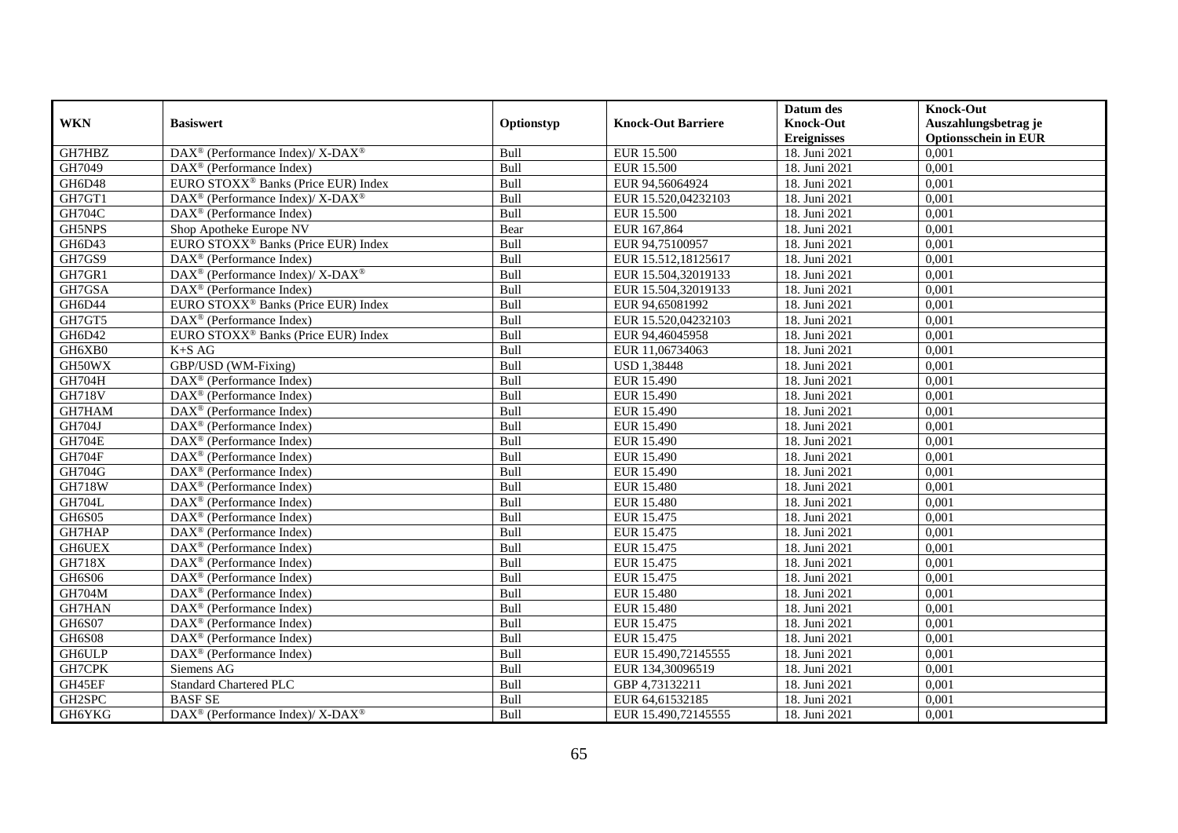|               |                                                              |             |                           | Datum des          | <b>Knock-Out</b>            |
|---------------|--------------------------------------------------------------|-------------|---------------------------|--------------------|-----------------------------|
| <b>WKN</b>    | <b>Basiswert</b>                                             | Optionstyp  | <b>Knock-Out Barriere</b> | <b>Knock-Out</b>   | Auszahlungsbetrag je        |
|               |                                                              |             |                           | <b>Ereignisses</b> | <b>Optionsschein in EUR</b> |
| GH7HBZ        | DAX <sup>®</sup> (Performance Index)/ X-DAX <sup>®</sup>     | Bull        | <b>EUR 15.500</b>         | 18. Juni 2021      | 0,001                       |
| GH7049        | $\text{DAX}^{\circledast}$ (Performance Index)               | Bull        | <b>EUR 15.500</b>         | 18. Juni 2021      | 0,001                       |
| GH6D48        | EURO STOXX <sup>®</sup> Banks (Price EUR) Index              | Bull        | EUR 94,56064924           | 18. Juni 2021      | 0,001                       |
| GH7GT1        | $DAX^{\circledast}$ (Performance Index)/ X-DAX <sup>®</sup>  | Bull        | EUR 15.520,04232103       | 18. Juni 2021      | 0,001                       |
| <b>GH704C</b> | $\overline{\text{DAX}}^{\textcircled{}}$ (Performance Index) | Bull        | <b>EUR 15.500</b>         | 18. Juni 2021      | 0,001                       |
| <b>GH5NPS</b> | Shop Apotheke Europe NV                                      | Bear        | EUR 167,864               | 18. Juni 2021      | 0,001                       |
| GH6D43        | EURO STOXX <sup>®</sup> Banks (Price EUR) Index              | Bull        | EUR 94,75100957           | 18. Juni 2021      | 0,001                       |
| GH7GS9        | $\text{DAX}^{\textcircled{n}}$ (Performance Index)           | Bull        | EUR 15.512,18125617       | 18. Juni 2021      | 0,001                       |
| GH7GR1        | DAX <sup>®</sup> (Performance Index)/ X-DAX <sup>®</sup>     | Bull        | EUR 15.504,32019133       | 18. Juni 2021      | 0,001                       |
| GH7GSA        | $\text{DAX}^{\otimes}$ (Performance Index)                   | Bull        | EUR 15.504,32019133       | 18. Juni 2021      | 0,001                       |
| GH6D44        | EURO STOXX <sup>®</sup> Banks (Price EUR) Index              | Bull        | EUR 94,65081992           | 18. Juni 2021      | 0,001                       |
| GH7GT5        | DAX <sup>®</sup> (Performance Index)                         | Bull        | EUR 15.520,04232103       | 18. Juni 2021      | 0,001                       |
| GH6D42        | EURO STOXX <sup>®</sup> Banks (Price EUR) Index              | Bull        | EUR 94,46045958           | 18. Juni 2021      | 0,001                       |
| GH6XB0        | $K+SAG$                                                      | Bull        | EUR 11,06734063           | 18. Juni 2021      | 0,001                       |
| GH50WX        | GBP/USD (WM-Fixing)                                          | Bull        | <b>USD 1,38448</b>        | 18. Juni 2021      | 0,001                       |
| GH704H        | $\overline{\text{DAX}^{\circledast}}$ (Performance Index)    | Bull        | <b>EUR 15.490</b>         | 18. Juni 2021      | 0,001                       |
| <b>GH718V</b> | DAX <sup>®</sup> (Performance Index)                         | Bull        | EUR 15.490                | 18. Juni 2021      | 0,001                       |
| GH7HAM        | $DAX^{\circledR}$ (Performance Index)                        | Bull        | EUR 15.490                | 18. Juni 2021      | 0,001                       |
| GH704J        | $\overline{\text{DAX}}^{\textcirc}$ (Performance Index)      | Bull        | <b>EUR 15.490</b>         | 18. Juni 2021      | 0,001                       |
| <b>GH704E</b> | DAX <sup>®</sup> (Performance Index)                         | Bull        | EUR 15.490                | 18. Juni 2021      | 0,001                       |
| <b>GH704F</b> | DAX <sup>®</sup> (Performance Index)                         | Bull        | <b>EUR 15.490</b>         | 18. Juni 2021      | 0,001                       |
| GH704G        | $\overline{\text{DAX}^{\otimes}}$ (Performance Index)        | Bull        | <b>EUR 15.490</b>         | 18. Juni 2021      | 0,001                       |
| <b>GH718W</b> | DAX <sup>®</sup> (Performance Index)                         | Bull        | <b>EUR 15.480</b>         | 18. Juni 2021      | 0,001                       |
| GH704L        | DAX <sup>®</sup> (Performance Index)                         | Bull        | <b>EUR 15.480</b>         | 18. Juni 2021      | 0,001                       |
| <b>GH6S05</b> | $\overline{\text{DAX}}^{\textcirc}$ (Performance Index)      | <b>Bull</b> | EUR 15.475                | 18. Juni 2021      | 0.001                       |
| GH7HAP        | DAX <sup>®</sup> (Performance Index)                         | Bull        | EUR 15.475                | 18. Juni 2021      | 0,001                       |
| <b>GH6UEX</b> | DAX <sup>®</sup> (Performance Index)                         | Bull        | EUR 15.475                | 18. Juni 2021      | 0,001                       |
| <b>GH718X</b> | $\text{DAX}^{\textcircled{p}}$ (Performance Index)           | Bull        | EUR 15.475                | 18. Juni 2021      | 0,001                       |
| GH6S06        | $\overline{\text{DAX}^{\otimes}}$ (Performance Index)        | Bull        | EUR 15.475                | 18. Juni 2021      | 0,001                       |
| <b>GH704M</b> | $\text{DAX}^{\circledast}$ (Performance Index)               | Bull        | <b>EUR 15.480</b>         | 18. Juni 2021      | 0,001                       |
| GH7HAN        | $\text{DAX}^{\textcircled{n}}$ (Performance Index)           | Bull        | <b>EUR 15.480</b>         | 18. Juni 2021      | 0,001                       |
| GH6S07        | $DAX^{\circledR}$ (Performance Index)                        | Bull        | EUR 15.475                | 18. Juni 2021      | 0,001                       |
| <b>GH6S08</b> | $\text{DAX}^{\textcircled{p}}$ (Performance Index)           | Bull        | EUR 15.475                | 18. Juni 2021      | 0,001                       |
| <b>GH6ULP</b> | DAX <sup>®</sup> (Performance Index)                         | Bull        | EUR 15.490,72145555       | 18. Juni 2021      | 0,001                       |
| GH7CPK        | Siemens AG                                                   | Bull        | EUR 134,30096519          | 18. Juni 2021      | 0,001                       |
| GH45EF        | <b>Standard Chartered PLC</b>                                | Bull        | GBP 4,73132211            | 18. Juni 2021      | 0,001                       |
| GH2SPC        | <b>BASF SE</b>                                               | Bull        | EUR 64,61532185           | 18. Juni 2021      | 0,001                       |
| GH6YKG        | DAX <sup>®</sup> (Performance Index)/ X-DAX <sup>®</sup>     | Bull        | EUR 15.490,72145555       | 18. Juni 2021      | 0,001                       |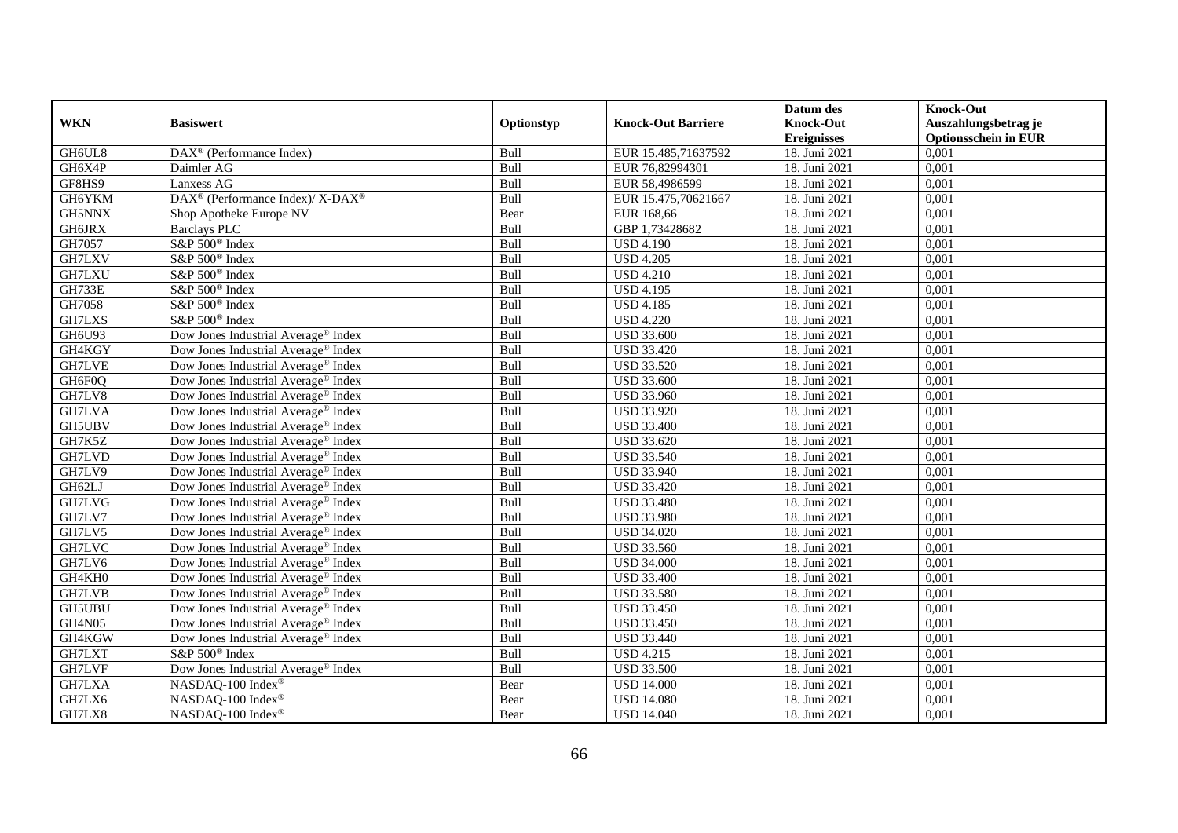|               |                                                          |             |                           | Datum des          | <b>Knock-Out</b>            |
|---------------|----------------------------------------------------------|-------------|---------------------------|--------------------|-----------------------------|
| <b>WKN</b>    | <b>Basiswert</b>                                         | Optionstyp  | <b>Knock-Out Barriere</b> | <b>Knock-Out</b>   | Auszahlungsbetrag je        |
|               |                                                          |             |                           | <b>Ereignisses</b> | <b>Optionsschein in EUR</b> |
| GH6UL8        | DAX <sup>®</sup> (Performance Index)                     | Bull        | EUR 15.485,71637592       | 18. Juni 2021      | 0,001                       |
| GH6X4P        | Daimler AG                                               | Bull        | EUR 76,82994301           | 18. Juni 2021      | 0,001                       |
| GF8HS9        | Lanxess AG                                               | Bull        | EUR 58,4986599            | 18. Juni 2021      | 0,001                       |
| GH6YKM        | DAX <sup>®</sup> (Performance Index)/ X-DAX <sup>®</sup> | Bull        | EUR 15.475,70621667       | 18. Juni 2021      | 0,001                       |
| GH5NNX        | Shop Apotheke Europe NV                                  | Bear        | EUR 168,66                | 18. Juni 2021      | 0,001                       |
| <b>GH6JRX</b> | <b>Barclays PLC</b>                                      | Bull        | GBP 1,73428682            | 18. Juni 2021      | 0,001                       |
| GH7057        | $S\&P 500$ <sup>®</sup> Index                            | Bull        | <b>USD 4.190</b>          | 18. Juni 2021      | 0,001                       |
| GH7LXV        | S&P 500 <sup>®</sup> Index                               | Bull        | <b>USD 4.205</b>          | 18. Juni 2021      | 0,001                       |
| GH7LXU        | S&P 500 <sup>®</sup> Index                               | Bull        | <b>USD 4.210</b>          | 18. Juni 2021      | 0,001                       |
| GH733E        | S&P 500 <sup>®</sup> Index                               | Bull        | <b>USD 4.195</b>          | 18. Juni 2021      | 0,001                       |
| GH7058        | S&P 500 <sup>®</sup> Index                               | Bull        | <b>USD 4.185</b>          | 18. Juni 2021      | 0,001                       |
| GH7LXS        | S&P 500 <sup>®</sup> Index                               | Bull        | <b>USD 4.220</b>          | 18. Juni 2021      | 0,001                       |
| GH6U93        | Dow Jones Industrial Average® Index                      | Bull        | <b>USD 33.600</b>         | 18. Juni 2021      | 0,001                       |
| GH4KGY        | Dow Jones Industrial Average <sup>®</sup> Index          | <b>Bull</b> | <b>USD 33.420</b>         | 18. Juni 2021      | 0,001                       |
| <b>GH7LVE</b> | Dow Jones Industrial Average <sup>®</sup> Index          | Bull        | <b>USD 33.520</b>         | 18. Juni 2021      | 0,001                       |
| GH6F0Q        | Dow Jones Industrial Average® Index                      | Bull        | <b>USD 33.600</b>         | 18. Juni 2021      | 0,001                       |
| GH7LV8        | Dow Jones Industrial Average <sup>®</sup> Index          | Bull        | <b>USD 33.960</b>         | 18. Juni 2021      | 0,001                       |
| GH7LVA        | Dow Jones Industrial Average® Index                      | Bull        | <b>USD 33.920</b>         | 18. Juni 2021      | 0,001                       |
| GH5UBV        | Dow Jones Industrial Average® Index                      | Bull        | <b>USD 33.400</b>         | 18. Juni 2021      | 0,001                       |
| GH7K5Z        | Dow Jones Industrial Average <sup>®</sup> Index          | Bull        | <b>USD 33.620</b>         | 18. Juni 2021      | 0,001                       |
| GH7LVD        | Dow Jones Industrial Average® Index                      | Bull        | <b>USD 33.540</b>         | 18. Juni 2021      | 0,001                       |
| GH7LV9        | Dow Jones Industrial Average <sup>®</sup> Index          | Bull        | <b>USD 33.940</b>         | 18. Juni 2021      | 0,001                       |
| GH62LJ        | Dow Jones Industrial Average <sup>®</sup> Index          | Bull        | <b>USD 33.420</b>         | 18. Juni 2021      | 0,001                       |
| GH7LVG        | Dow Jones Industrial Average® Index                      | Bull        | <b>USD 33.480</b>         | 18. Juni 2021      | 0,001                       |
| GH7LV7        | Dow Jones Industrial Average <sup>®</sup> Index          | Bull        | <b>USD 33.980</b>         | 18. Juni 2021      | 0,001                       |
| GH7LV5        | Dow Jones Industrial Average® Index                      | Bull        | <b>USD 34.020</b>         | 18. Juni 2021      | 0,001                       |
| GH7LVC        | Dow Jones Industrial Average <sup>®</sup> Index          | Bull        | <b>USD 33.560</b>         | 18. Juni 2021      | 0,001                       |
| GH7LV6        | Dow Jones Industrial Average <sup>®</sup> Index          | Bull        | <b>USD 34.000</b>         | 18. Juni 2021      | 0,001                       |
| GH4KH0        | Dow Jones Industrial Average® Index                      | Bull        | <b>USD 33.400</b>         | 18. Juni 2021      | 0,001                       |
| GH7LVB        | Dow Jones Industrial Average <sup>®</sup> Index          | Bull        | <b>USD 33.580</b>         | 18. Juni 2021      | 0,001                       |
| GH5UBU        | Dow Jones Industrial Average <sup>®</sup> Index          | Bull        | <b>USD 33.450</b>         | 18. Juni 2021      | 0,001                       |
| GH4N05        | Dow Jones Industrial Average <sup>®</sup> Index          | Bull        | <b>USD 33.450</b>         | 18. Juni 2021      | 0,001                       |
| GH4KGW        | Dow Jones Industrial Average® Index                      | Bull        | <b>USD 33.440</b>         | 18. Juni 2021      | 0,001                       |
| GH7LXT        | S&P 500 <sup>®</sup> Index                               | Bull        | <b>USD 4.215</b>          | 18. Juni 2021      | 0,001                       |
| GH7LVF        | Dow Jones Industrial Average® Index                      | Bull        | <b>USD 33.500</b>         | 18. Juni 2021      | 0,001                       |
| GH7LXA        | NASDAQ-100 Index®                                        | Bear        | <b>USD 14.000</b>         | 18. Juni 2021      | 0,001                       |
| GH7LX6        | NASDAQ-100 Index®                                        | Bear        | <b>USD 14.080</b>         | 18. Juni 2021      | 0,001                       |
| GH7LX8        | NASDAQ-100 Index®                                        | Bear        | <b>USD 14.040</b>         | 18. Juni 2021      | 0,001                       |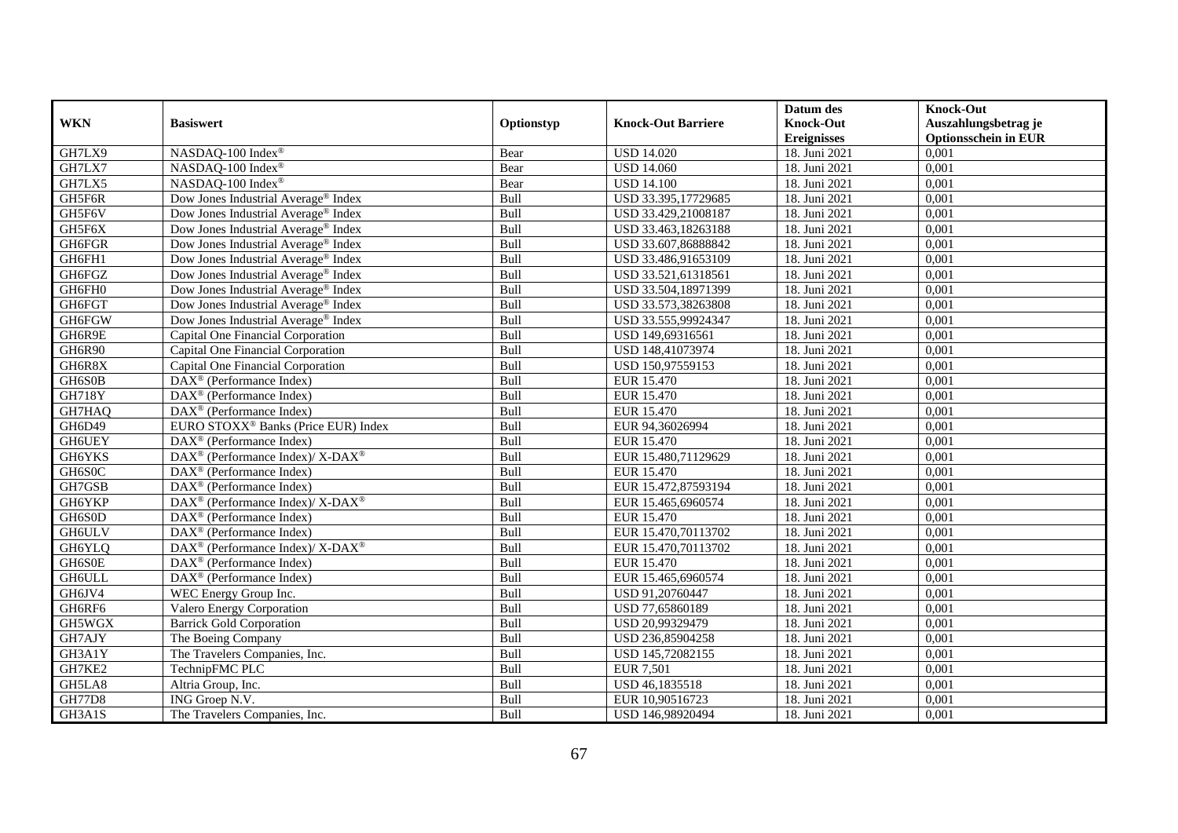|               |                                                                  |             |                           | Datum des          | <b>Knock-Out</b>            |
|---------------|------------------------------------------------------------------|-------------|---------------------------|--------------------|-----------------------------|
| <b>WKN</b>    | <b>Basiswert</b>                                                 | Optionstyp  | <b>Knock-Out Barriere</b> | <b>Knock-Out</b>   | Auszahlungsbetrag je        |
|               |                                                                  |             |                           | <b>Ereignisses</b> | <b>Optionsschein in EUR</b> |
| GH7LX9        | NASDAQ-100 Index®                                                | Bear        | <b>USD 14.020</b>         | 18. Juni 2021      | 0,001                       |
| GH7LX7        | NASDAQ-100 Index®                                                | Bear        | <b>USD 14.060</b>         | 18. Juni 2021      | 0,001                       |
| GH7LX5        | NASDAQ-100 Index <sup>®</sup>                                    | Bear        | <b>USD 14.100</b>         | 18. Juni 2021      | 0,001                       |
| GH5F6R        | Dow Jones Industrial Average <sup>®</sup> Index                  | Bull        | USD 33.395,17729685       | 18. Juni 2021      | 0,001                       |
| GH5F6V        | Dow Jones Industrial Average® Index                              | Bull        | USD 33.429,21008187       | 18. Juni 2021      | 0,001                       |
| GH5F6X        | Dow Jones Industrial Average <sup>®</sup> Index                  | Bull        | USD 33.463,18263188       | 18. Juni 2021      | 0,001                       |
| GH6FGR        | Dow Jones Industrial Average <sup>®</sup> Index                  | Bull        | USD 33.607,86888842       | 18. Juni 2021      | 0,001                       |
| GH6FH1        | Dow Jones Industrial Average <sup>®</sup> Index                  | Bull        | USD 33.486,91653109       | 18. Juni 2021      | 0,001                       |
| GH6FGZ        | Dow Jones Industrial Average <sup>®</sup> Index                  | Bull        | USD 33.521,61318561       | 18. Juni 2021      | 0,001                       |
| GH6FH0        | Dow Jones Industrial Average <sup>®</sup> Index                  | Bull        | USD 33.504,18971399       | 18. Juni 2021      | 0,001                       |
| GH6FGT        | Dow Jones Industrial Average® Index                              | Bull        | USD 33.573,38263808       | 18. Juni 2021      | 0,001                       |
| GH6FGW        | Dow Jones Industrial Average® Index                              | Bull        | USD 33.555,99924347       | 18. Juni 2021      | 0,001                       |
| GH6R9E        | Capital One Financial Corporation                                | Bull        | USD 149,69316561          | 18. Juni 2021      | 0,001                       |
| GH6R90        | Capital One Financial Corporation                                | <b>Bull</b> | USD 148,41073974          | 18. Juni 2021      | 0.001                       |
| GH6R8X        | Capital One Financial Corporation                                | Bull        | USD 150,97559153          | 18. Juni 2021      | 0,001                       |
| GH6S0B        | DAX <sup>®</sup> (Performance Index)                             | Bull        | EUR 15.470                | 18. Juni 2021      | 0,001                       |
| GH718Y        | DAX <sup>®</sup> (Performance Index)                             | Bull        | EUR 15.470                | 18. Juni 2021      | 0,001                       |
| GH7HAQ        | $\text{DAX}^{\textcircled{n}}$ (Performance Index)               | Bull        | EUR 15.470                | 18. Juni 2021      | 0,001                       |
| GH6D49        | EURO STOXX <sup>®</sup> Banks (Price EUR) Index                  | Bull        | EUR 94,36026994           | 18. Juni 2021      | 0,001                       |
| <b>GH6UEY</b> | $\text{DAX}^{\circledast}$ (Performance Index)                   | Bull        | EUR 15.470                | 18. Juni 2021      | 0,001                       |
| GH6YKS        | $\text{DAX}^{\circledR}$ (Performance Index)/ X-DAX <sup>®</sup> | Bull        | EUR 15.480,71129629       | 18. Juni 2021      | 0,001                       |
| GH6S0C        | $DAX^{\circledR}$ (Performance Index)                            | Bull        | EUR 15.470                | 18. Juni 2021      | 0,001                       |
| GH7GSB        | $\text{DAX}^{\textcircled{p}}$ (Performance Index)               | Bull        | EUR 15.472,87593194       | 18. Juni 2021      | 0,001                       |
| <b>GH6YKP</b> | $\text{DAX}^{\circledR}$ (Performance Index)/ X-DAX <sup>®</sup> | Bull        | EUR 15.465,6960574        | 18. Juni 2021      | 0,001                       |
| GH6S0D        | $DAX^{\circledR}$ (Performance Index)                            | Bull        | EUR 15.470                | 18. Juni 2021      | 0,001                       |
| GH6ULV        | $\overline{\text{DAX}^{\otimes}}$ (Performance Index)            | Bull        | EUR 15.470,70113702       | 18. Juni 2021      | 0,001                       |
| GH6YLQ        | $\text{DAX}^{\circledR}$ (Performance Index)/ X-DAX <sup>®</sup> | Bull        | EUR 15.470,70113702       | 18. Juni 2021      | 0,001                       |
| GH6S0E        | DAX <sup>®</sup> (Performance Index)                             | Bull        | EUR 15.470                | 18. Juni 2021      | 0,001                       |
| GH6ULL        | $\text{DAX}^{\otimes}$ (Performance Index)                       | Bull        | EUR 15.465,6960574        | 18. Juni 2021      | 0,001                       |
| GH6JV4        | WEC Energy Group Inc.                                            | Bull        | USD 91,20760447           | 18. Juni 2021      | 0,001                       |
| GH6RF6        | Valero Energy Corporation                                        | Bull        | USD 77,65860189           | 18. Juni 2021      | 0,001                       |
| GH5WGX        | <b>Barrick Gold Corporation</b>                                  | Bull        | USD 20,99329479           | 18. Juni 2021      | 0,001                       |
| GH7AJY        | The Boeing Company                                               | Bull        | USD 236,85904258          | 18. Juni 2021      | 0,001                       |
| GH3A1Y        | The Travelers Companies, Inc.                                    | Bull        | USD 145,72082155          | 18. Juni 2021      | 0,001                       |
| GH7KE2        | TechnipFMC PLC                                                   | Bull        | EUR 7,501                 | 18. Juni 2021      | 0,001                       |
| GH5LA8        | Altria Group, Inc.                                               | Bull        | USD 46,1835518            | 18. Juni 2021      | 0,001                       |
| <b>GH77D8</b> | ING Groep N.V.                                                   | Bull        | EUR 10,90516723           | 18. Juni 2021      | 0,001                       |
| GH3A1S        | The Travelers Companies, Inc.                                    | Bull        | USD 146,98920494          | 18. Juni 2021      | 0,001                       |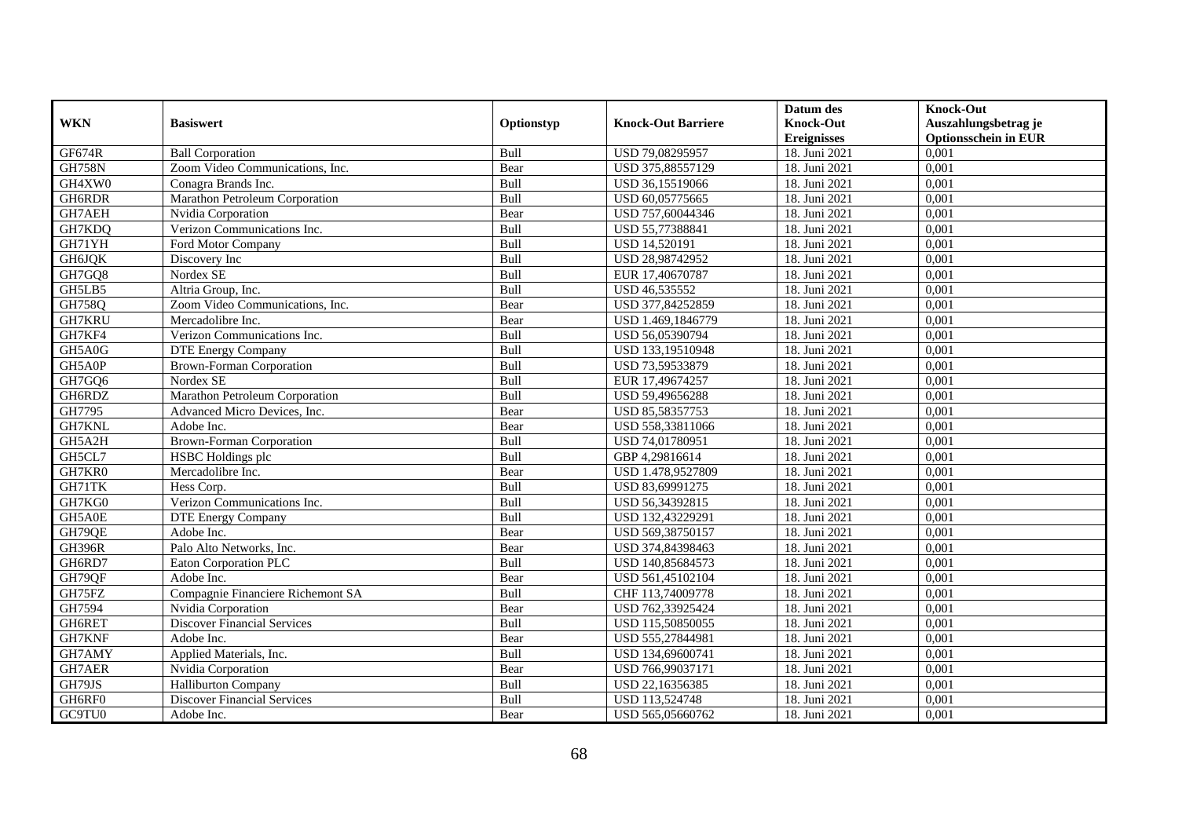|               |                                    |            |                           | Datum des                              | <b>Knock-Out</b>                                    |
|---------------|------------------------------------|------------|---------------------------|----------------------------------------|-----------------------------------------------------|
| <b>WKN</b>    | <b>Basiswert</b>                   | Optionstyp | <b>Knock-Out Barriere</b> | <b>Knock-Out</b><br><b>Ereignisses</b> | Auszahlungsbetrag je<br><b>Optionsschein in EUR</b> |
| <b>GF674R</b> | <b>Ball Corporation</b>            | Bull       | USD 79,08295957           | 18. Juni 2021                          | 0,001                                               |
| <b>GH758N</b> | Zoom Video Communications, Inc.    | Bear       | USD 375,88557129          | 18. Juni 2021                          | 0,001                                               |
| GH4XW0        | Conagra Brands Inc.                | Bull       | USD 36,15519066           | 18. Juni 2021                          | 0,001                                               |
| GH6RDR        | Marathon Petroleum Corporation     | Bull       | USD 60,05775665           | 18. Juni 2021                          | 0,001                                               |
| GH7AEH        | Nvidia Corporation                 | Bear       | USD 757,60044346          | 18. Juni 2021                          | 0,001                                               |
| GH7KDO        | Verizon Communications Inc.        | Bull       | USD 55,77388841           | 18. Juni 2021                          | 0,001                                               |
| GH71YH        | Ford Motor Company                 | Bull       | <b>USD 14,520191</b>      | 18. Juni 2021                          | 0,001                                               |
| GH6JQK        | Discovery Inc                      | Bull       | USD 28,98742952           | 18. Juni 2021                          | 0,001                                               |
| GH7GQ8        | Nordex SE                          | Bull       | EUR 17,40670787           | 18. Juni 2021                          | 0,001                                               |
| GH5LB5        | Altria Group, Inc.                 | Bull       | USD 46,535552             | 18. Juni 2021                          | 0,001                                               |
| <b>GH758Q</b> | Zoom Video Communications, Inc.    | Bear       | USD 377,84252859          | 18. Juni 2021                          | 0,001                                               |
| <b>GH7KRU</b> | Mercadolibre Inc.                  | Bear       | USD 1.469,1846779         | 18. Juni 2021                          | 0,001                                               |
| GH7KF4        | Verizon Communications Inc.        | Bull       | USD 56,05390794           | 18. Juni 2021                          | 0,001                                               |
| GH5A0G        | <b>DTE Energy Company</b>          | Bull       | USD 133,19510948          | 18. Juni 2021                          | 0,001                                               |
| GH5A0P        | <b>Brown-Forman Corporation</b>    | Bull       | USD 73,59533879           | 18. Juni 2021                          | 0,001                                               |
| GH7GQ6        | Nordex SE                          | Bull       | EUR 17,49674257           | 18. Juni 2021                          | 0,001                                               |
| GH6RDZ        | Marathon Petroleum Corporation     | Bull       | USD 59,49656288           | 18. Juni 2021                          | 0,001                                               |
| GH7795        | Advanced Micro Devices, Inc.       | Bear       | USD 85,58357753           | 18. Juni 2021                          | 0,001                                               |
| GH7KNL        | Adobe Inc.                         | Bear       | USD 558,33811066          | 18. Juni 2021                          | 0,001                                               |
| GH5A2H        | <b>Brown-Forman Corporation</b>    | Bull       | USD 74,01780951           | 18. Juni 2021                          | 0,001                                               |
| GH5CL7        | <b>HSBC</b> Holdings plc           | Bull       | GBP 4,29816614            | 18. Juni 2021                          | 0,001                                               |
| GH7KR0        | Mercadolibre Inc.                  | Bear       | USD 1.478,9527809         | 18. Juni 2021                          | 0,001                                               |
| GH71TK        | Hess Corp.                         | Bull       | USD 83,69991275           | 18. Juni 2021                          | 0,001                                               |
| GH7KG0        | Verizon Communications Inc.        | Bull       | USD 56,34392815           | 18. Juni 2021                          | 0,001                                               |
| GH5A0E        | DTE Energy Company                 | Bull       | USD 132,43229291          | 18. Juni 2021                          | 0,001                                               |
| GH79QE        | Adobe Inc.                         | Bear       | USD 569,38750157          | 18. Juni 2021                          | 0,001                                               |
| <b>GH396R</b> | Palo Alto Networks, Inc.           | Bear       | USD 374,84398463          | 18. Juni 2021                          | 0,001                                               |
| GH6RD7        | Eaton Corporation PLC              | Bull       | USD 140,85684573          | 18. Juni 2021                          | 0,001                                               |
| GH79QF        | Adobe Inc.                         | Bear       | USD 561,45102104          | 18. Juni 2021                          | 0,001                                               |
| GH75FZ        | Compagnie Financiere Richemont SA  | Bull       | CHF 113,74009778          | 18. Juni 2021                          | 0.001                                               |
| GH7594        | Nvidia Corporation                 | Bear       | USD 762,33925424          | 18. Juni 2021                          | 0,001                                               |
| GH6RET        | <b>Discover Financial Services</b> | Bull       | USD 115,50850055          | 18. Juni 2021                          | 0,001                                               |
| GH7KNF        | Adobe Inc.                         | Bear       | USD 555,27844981          | 18. Juni 2021                          | 0,001                                               |
| GH7AMY        | Applied Materials, Inc.            | Bull       | USD 134,69600741          | 18. Juni 2021                          | 0,001                                               |
| GH7AER        | Nvidia Corporation                 | Bear       | USD 766,99037171          | 18. Juni 2021                          | 0,001                                               |
| GH79JS        | Halliburton Company                | Bull       | USD 22,16356385           | 18. Juni 2021                          | 0,001                                               |
| GH6RF0        | <b>Discover Financial Services</b> | Bull       | USD 113,524748            | 18. Juni 2021                          | 0,001                                               |
| GC9TU0        | Adobe Inc.                         | Bear       | USD 565,05660762          | 18. Juni 2021                          | 0,001                                               |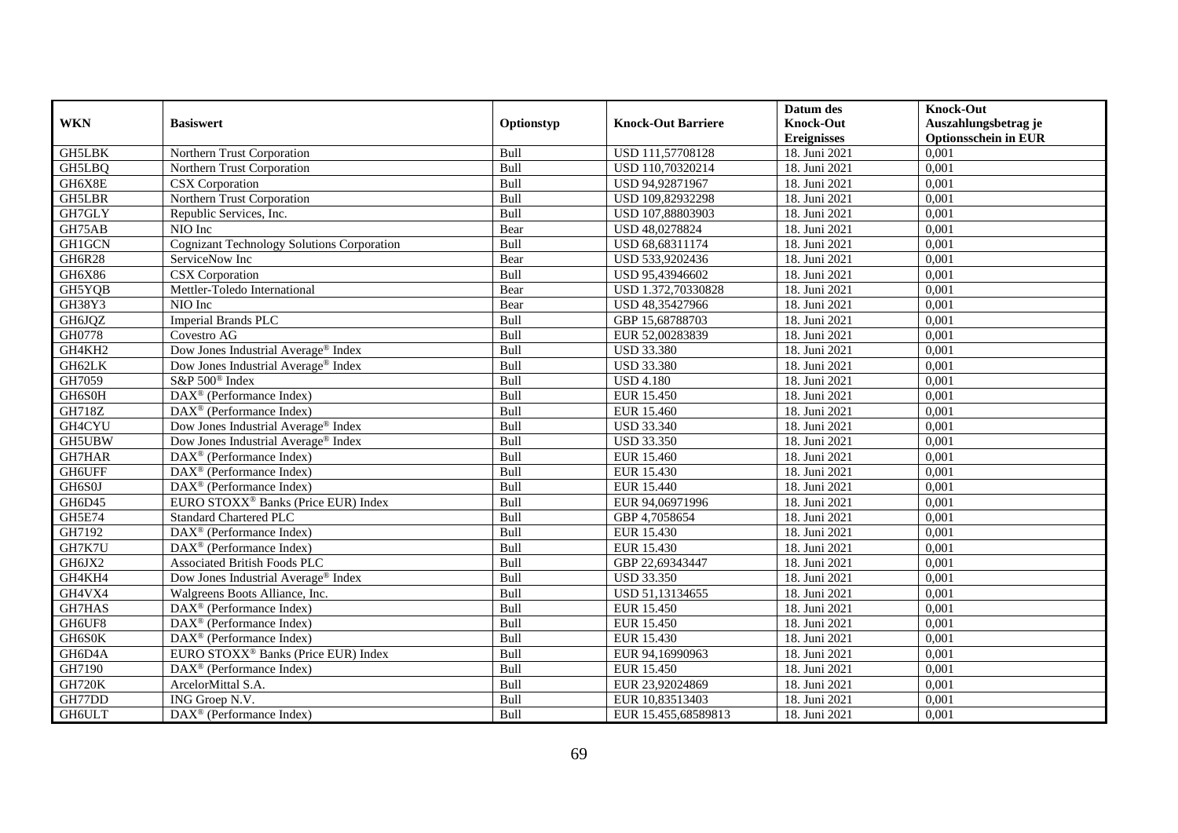|               |                                                              |            |                           | Datum des          | <b>Knock-Out</b>            |
|---------------|--------------------------------------------------------------|------------|---------------------------|--------------------|-----------------------------|
| <b>WKN</b>    | <b>Basiswert</b>                                             | Optionstyp | <b>Knock-Out Barriere</b> | <b>Knock-Out</b>   | Auszahlungsbetrag je        |
|               |                                                              |            |                           | <b>Ereignisses</b> | <b>Optionsschein in EUR</b> |
| GH5LBK        | Northern Trust Corporation                                   | Bull       | USD 111,57708128          | 18. Juni 2021      | 0,001                       |
| <b>GH5LBQ</b> | Northern Trust Corporation                                   | Bull       | USD 110,70320214          | 18. Juni 2021      | 0,001                       |
| GH6X8E        | <b>CSX</b> Corporation                                       | Bull       | USD 94,92871967           | 18. Juni 2021      | 0,001                       |
| GH5LBR        | Northern Trust Corporation                                   | Bull       | USD 109,82932298          | 18. Juni 2021      | 0,001                       |
| GH7GLY        | Republic Services, Inc.                                      | Bull       | USD 107,88803903          | 18. Juni 2021      | 0,001                       |
| GH75AB        | NIO Inc                                                      | Bear       | USD 48,0278824            | 18. Juni 2021      | 0,001                       |
| GH1GCN        | <b>Cognizant Technology Solutions Corporation</b>            | Bull       | USD 68,68311174           | 18. Juni 2021      | 0,001                       |
| GH6R28        | ServiceNow Inc                                               | Bear       | USD 533,9202436           | 18. Juni 2021      | 0,001                       |
| GH6X86        | CSX Corporation                                              | Bull       | USD 95,43946602           | 18. Juni 2021      | 0,001                       |
| GH5YQB        | Mettler-Toledo International                                 | Bear       | USD 1.372,70330828        | 18. Juni 2021      | 0,001                       |
| GH38Y3        | NIO Inc                                                      | Bear       | USD 48,35427966           | 18. Juni 2021      | 0,001                       |
| GH6JQZ        | <b>Imperial Brands PLC</b>                                   | Bull       | GBP 15,68788703           | 18. Juni 2021      | 0,001                       |
| GH0778        | Covestro AG                                                  | Bull       | EUR 52,00283839           | 18. Juni 2021      | 0,001                       |
| GH4KH2        | Dow Jones Industrial Average® Index                          | Bull       | <b>USD 33.380</b>         | 18. Juni 2021      | 0,001                       |
| GH62LK        | Dow Jones Industrial Average® Index                          | Bull       | <b>USD 33.380</b>         | 18. Juni 2021      | 0,001                       |
| GH7059        | S&P 500 <sup>®</sup> Index                                   | Bull       | <b>USD 4.180</b>          | 18. Juni 2021      | 0,001                       |
| GH6S0H        | DAX <sup>®</sup> (Performance Index)                         | Bull       | EUR 15.450                | 18. Juni 2021      | 0,001                       |
| <b>GH718Z</b> | $DAX^{\circledR}$ (Performance Index)                        | Bull       | EUR 15.460                | 18. Juni 2021      | 0,001                       |
| GH4CYU        | Dow Jones Industrial Average® Index                          | Bull       | <b>USD 33.340</b>         | 18. Juni 2021      | 0,001                       |
| GH5UBW        | Dow Jones Industrial Average <sup>®</sup> Index              | Bull       | <b>USD 33.350</b>         | 18. Juni 2021      | 0,001                       |
| GH7HAR        | DAX <sup>®</sup> (Performance Index)                         | Bull       | EUR 15.460                | 18. Juni 2021      | 0,001                       |
| GH6UFF        | DAX <sup>®</sup> (Performance Index)                         | Bull       | EUR 15.430                | 18. Juni 2021      | 0,001                       |
| GH6S0J        | $\overline{\text{DAX}^{\otimes}}$ (Performance Index)        | Bull       | EUR 15.440                | 18. Juni 2021      | 0,001                       |
| GH6D45        | EURO STOXX <sup>®</sup> Banks (Price EUR) Index              | Bull       | EUR 94,06971996           | 18. Juni 2021      | 0,001                       |
| <b>GH5E74</b> | <b>Standard Chartered PLC</b>                                | Bull       | GBP 4,7058654             | 18. Juni 2021      | 0,001                       |
| GH7192        | $\text{DAX}^{\otimes}$ (Performance Index)                   | Bull       | EUR 15.430                | 18. Juni 2021      | 0,001                       |
| GH7K7U        | DAX <sup>®</sup> (Performance Index)                         | Bull       | EUR 15.430                | 18. Juni 2021      | 0,001                       |
| GH6JX2        | Associated British Foods PLC                                 | Bull       | GBP 22,69343447           | 18. Juni 2021      | 0,001                       |
| GH4KH4        | Dow Jones Industrial Average® Index                          | Bull       | <b>USD 33.350</b>         | 18. Juni 2021      | 0,001                       |
| GH4VX4        | Walgreens Boots Alliance, Inc.                               | Bull       | USD 51,13134655           | 18. Juni 2021      | 0,001                       |
| GH7HAS        | DAX <sup>®</sup> (Performance Index)                         | Bull       | EUR 15.450                | 18. Juni 2021      | 0,001                       |
| GH6UF8        | DAX <sup>®</sup> (Performance Index)                         | Bull       | <b>EUR 15.450</b>         | 18. Juni 2021      | 0,001                       |
| GH6S0K        | $\text{DAX}^{\textcircled{p}}$ (Performance Index)           | Bull       | EUR 15.430                | 18. Juni 2021      | 0,001                       |
| GH6D4A        | EURO STOXX <sup>®</sup> Banks (Price EUR) Index              | Bull       | EUR 94,16990963           | 18. Juni 2021      | 0,001                       |
| GH7190        | $\text{DAX}^{\textcircled{n}}$ (Performance Index)           | Bull       | EUR 15.450                | 18. Juni 2021      | 0,001                       |
| <b>GH720K</b> | ArcelorMittal S.A.                                           | Bull       | EUR 23,92024869           | 18. Juni 2021      | 0,001                       |
| GH77DD        | ING Groep N.V.                                               | Bull       | EUR 10,83513403           | 18. Juni 2021      | 0,001                       |
| <b>GH6ULT</b> | $\overline{\text{DAX}}^{\textcircled{}}$ (Performance Index) | Bull       | EUR 15.455,68589813       | 18. Juni 2021      | 0,001                       |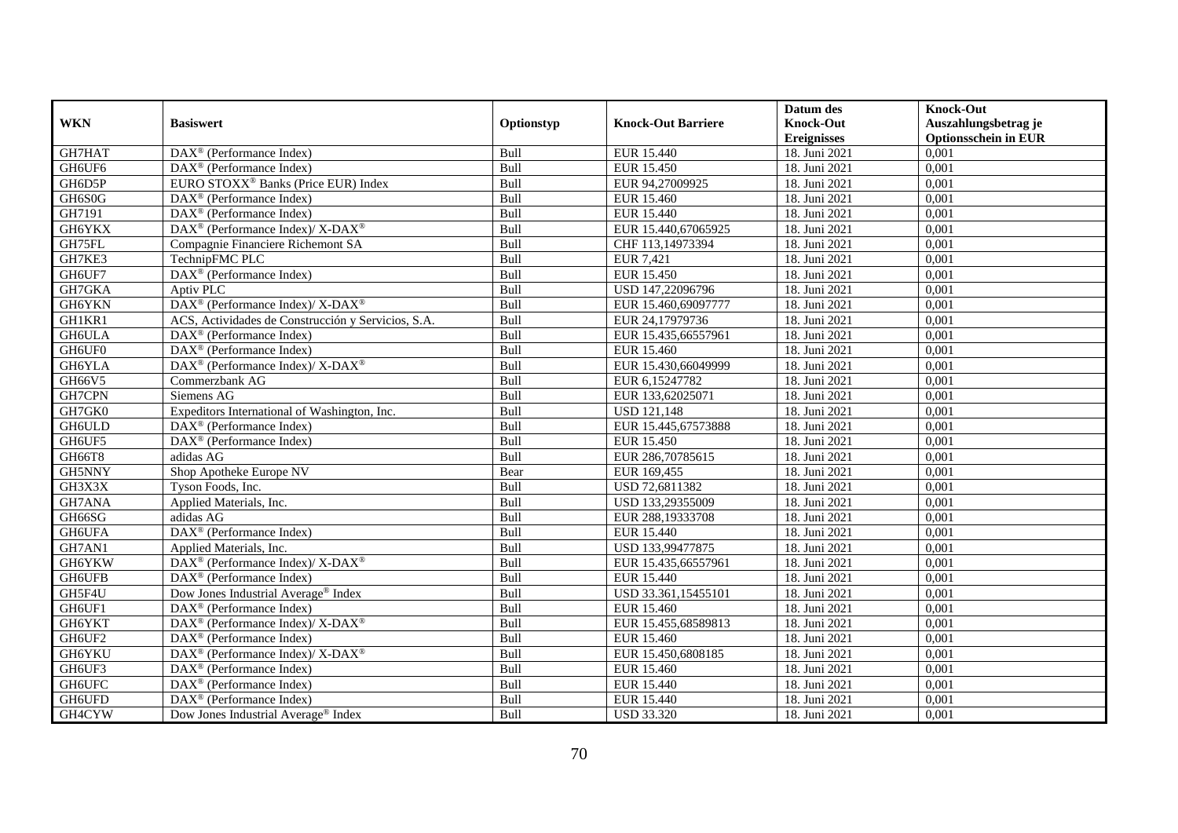|               |                                                            |            |                           | Datum des          | <b>Knock-Out</b>            |
|---------------|------------------------------------------------------------|------------|---------------------------|--------------------|-----------------------------|
| <b>WKN</b>    | <b>Basiswert</b>                                           | Optionstyp | <b>Knock-Out Barriere</b> | <b>Knock-Out</b>   | Auszahlungsbetrag je        |
|               |                                                            |            |                           | <b>Ereignisses</b> | <b>Optionsschein in EUR</b> |
| GH7HAT        | DAX <sup>®</sup> (Performance Index)                       | Bull       | EUR 15.440                | 18. Juni 2021      | 0,001                       |
| GH6UF6        | $\text{DAX}^{\textcircled{}}$ (Performance Index)          | Bull       | <b>EUR 15.450</b>         | 18. Juni 2021      | 0,001                       |
| GH6D5P        | EURO STOXX <sup>®</sup> Banks (Price EUR) Index            | Bull       | EUR 94,27009925           | 18. Juni 2021      | 0,001                       |
| GH6S0G        | $DAX^{\circledR}$ (Performance Index)                      | Bull       | EUR 15.460                | 18. Juni 2021      | 0,001                       |
| GH7191        | $\overline{\text{DAX}^{\otimes}}$ (Performance Index)      | Bull       | <b>EUR 15.440</b>         | 18. Juni 2021      | 0,001                       |
| <b>GH6YKX</b> | DAX <sup>®</sup> (Performance Index)/X-DAX <sup>®</sup>    | Bull       | EUR 15.440,67065925       | 18. Juni 2021      | 0,001                       |
| GH75FL        | Compagnie Financiere Richemont SA                          | Bull       | CHF 113,14973394          | 18. Juni 2021      | 0,001                       |
| GH7KE3        | TechnipFMC PLC                                             | Bull       | EUR 7,421                 | 18. Juni 2021      | 0,001                       |
| GH6UF7        | DAX <sup>®</sup> (Performance Index)                       | Bull       | <b>EUR 15.450</b>         | 18. Juni 2021      | 0,001                       |
| GH7GKA        | Aptiv PLC                                                  | Bull       | USD 147,22096796          | 18. Juni 2021      | 0,001                       |
| GH6YKN        | DAX <sup>®</sup> (Performance Index)/ X-DAX <sup>®</sup>   | Bull       | EUR 15.460,69097777       | 18. Juni 2021      | 0,001                       |
| GH1KR1        | ACS, Actividades de Construcción y Servicios, S.A.         | Bull       | EUR 24,17979736           | 18. Juni 2021      | 0,001                       |
| GH6ULA        | DAX <sup>®</sup> (Performance Index)                       | Bull       | EUR 15.435,66557961       | 18. Juni 2021      | 0,001                       |
| GH6UF0        | $DAX^{\circledR}$ (Performance Index)                      | Bull       | <b>EUR 15.460</b>         | 18. Juni 2021      | 0,001                       |
| GH6YLA        | DAX <sup>®</sup> (Performance Index)/ X-DAX <sup>®</sup>   | Bull       | EUR 15.430,66049999       | 18. Juni 2021      | 0,001                       |
| GH66V5        | Commerzbank AG                                             | Bull       | EUR 6,15247782            | 18. Juni 2021      | 0,001                       |
| GH7CPN        | Siemens AG                                                 | Bull       | EUR 133,62025071          | 18. Juni 2021      | 0,001                       |
| GH7GK0        | Expeditors International of Washington, Inc.               | Bull       | <b>USD 121.148</b>        | 18. Juni 2021      | 0,001                       |
| GH6ULD        | $\overline{\text{DAX}}^{\textcirc}$ (Performance Index)    | Bull       | EUR 15.445,67573888       | 18. Juni 2021      | 0,001                       |
| GH6UF5        | DAX <sup>®</sup> (Performance Index)                       | Bull       | <b>EUR 15.450</b>         | 18. Juni 2021      | 0,001                       |
| GH66T8        | adidas AG                                                  | Bull       | EUR 286,70785615          | 18. Juni 2021      | 0,001                       |
| GH5NNY        | Shop Apotheke Europe NV                                    | Bear       | EUR 169,455               | 18. Juni 2021      | 0,001                       |
| GH3X3X        | Tyson Foods, Inc.                                          | Bull       | USD 72,6811382            | 18. Juni 2021      | 0,001                       |
| GH7ANA        | Applied Materials, Inc.                                    | Bull       | USD 133,29355009          | 18. Juni 2021      | 0,001                       |
| GH66SG        | adidas AG                                                  | Bull       | EUR 288,19333708          | 18. Juni 2021      | 0.001                       |
| <b>GH6UFA</b> | DAX <sup>®</sup> (Performance Index)                       | Bull       | EUR 15.440                | 18. Juni 2021      | 0,001                       |
| GH7AN1        | Applied Materials, Inc.                                    | Bull       | USD 133,99477875          | 18. Juni 2021      | 0,001                       |
| GH6YKW        | DAX <sup>®</sup> (Performance Index)/X-DAX <sup>®</sup>    | Bull       | EUR 15.435,66557961       | 18. Juni 2021      | 0,001                       |
| GH6UFB        | DAX <sup>®</sup> (Performance Index)                       | Bull       | <b>EUR 15.440</b>         | 18. Juni 2021      | 0,001                       |
| GH5F4U        | Dow Jones Industrial Average® Index                        | Bull       | USD 33.361,15455101       | 18. Juni 2021      | 0,001                       |
| GH6UF1        | $DAX^{\circledast}$ (Performance Index)                    | Bull       | EUR 15.460                | 18. Juni 2021      | 0,001                       |
| GH6YKT        | $DAX^{\circledast}$ (Performance Index)/X-DAX <sup>®</sup> | Bull       | EUR 15.455,68589813       | 18. Juni 2021      | 0,001                       |
| GH6UF2        | $DAX^{\circledR}$ (Performance Index)                      | Bull       | EUR 15.460                | 18. Juni 2021      | 0,001                       |
| <b>GH6YKU</b> | DAX <sup>®</sup> (Performance Index)/ X-DAX <sup>®</sup>   | Bull       | EUR 15.450,6808185        | 18. Juni 2021      | 0,001                       |
| GH6UF3        | DAX <sup>®</sup> (Performance Index)                       | Bull       | EUR 15.460                | 18. Juni 2021      | 0,001                       |
| <b>GH6UFC</b> | $DAX^{\circledast}$ (Performance Index)                    | Bull       | EUR 15.440                | 18. Juni 2021      | 0,001                       |
| GH6UFD        | DAX <sup>®</sup> (Performance Index)                       | Bull       | EUR 15.440                | 18. Juni 2021      | 0,001                       |
| GH4CYW        | Dow Jones Industrial Average® Index                        | Bull       | <b>USD 33.320</b>         | 18. Juni 2021      | 0,001                       |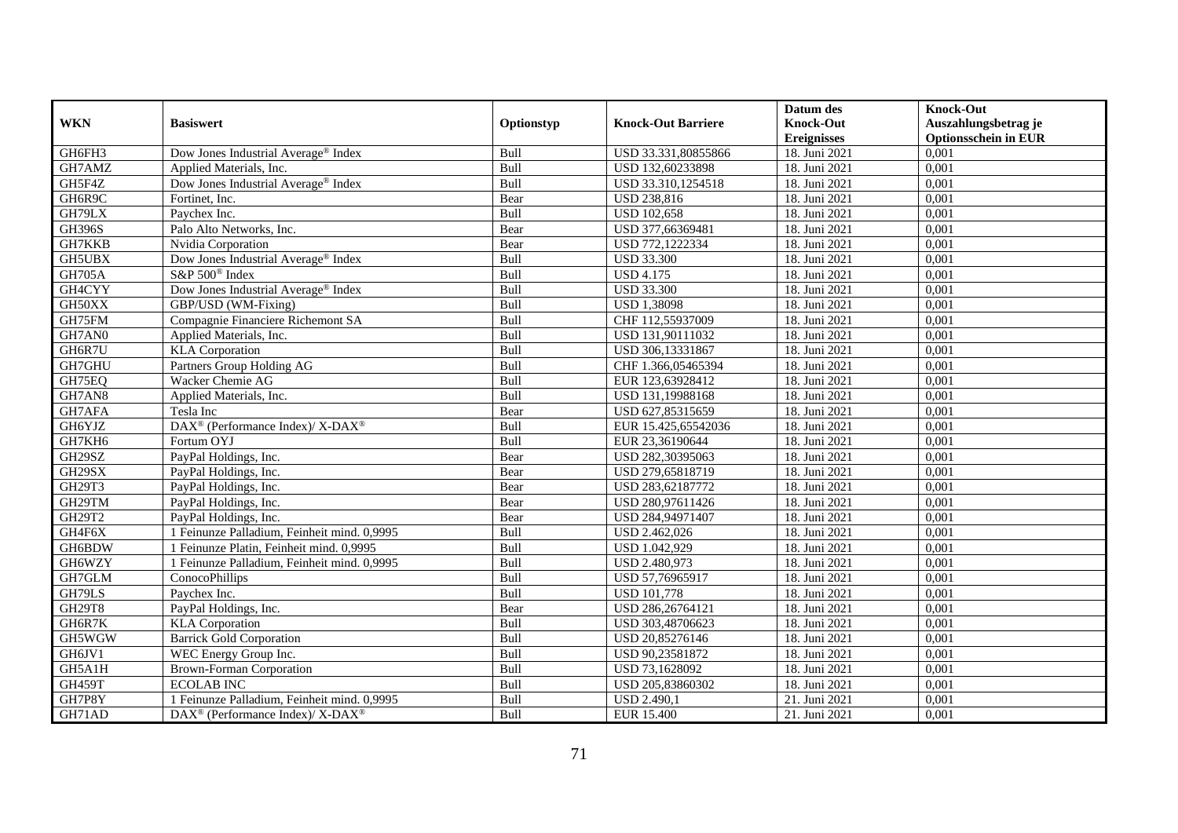|               |                                                                          |            |                           | Datum des          | <b>Knock-Out</b>            |
|---------------|--------------------------------------------------------------------------|------------|---------------------------|--------------------|-----------------------------|
| <b>WKN</b>    | <b>Basiswert</b>                                                         | Optionstyp | <b>Knock-Out Barriere</b> | <b>Knock-Out</b>   | Auszahlungsbetrag je        |
|               |                                                                          |            |                           | <b>Ereignisses</b> | <b>Optionsschein in EUR</b> |
| GH6FH3        | Dow Jones Industrial Average <sup>®</sup> Index                          | Bull       | USD 33.331,80855866       | 18. Juni 2021      | 0,001                       |
| GH7AMZ        | Applied Materials, Inc.                                                  | Bull       | USD 132,60233898          | 18. Juni 2021      | 0,001                       |
| GH5F4Z        | Dow Jones Industrial Average® Index                                      | Bull       | USD 33.310,1254518        | 18. Juni 2021      | 0,001                       |
| GH6R9C        | Fortinet, Inc.                                                           | Bear       | USD 238,816               | 18. Juni 2021      | 0,001                       |
| GH79LX        | Paychex Inc.                                                             | Bull       | <b>USD 102,658</b>        | 18. Juni 2021      | 0,001                       |
| <b>GH396S</b> | Palo Alto Networks, Inc.                                                 | Bear       | USD 377,66369481          | 18. Juni 2021      | 0,001                       |
| GH7KKB        | Nvidia Corporation                                                       | Bear       | USD 772,1222334           | 18. Juni 2021      | 0,001                       |
| GH5UBX        | Dow Jones Industrial Average® Index                                      | Bull       | <b>USD 33.300</b>         | 18. Juni 2021      | 0,001                       |
| <b>GH705A</b> | S&P 500 <sup>®</sup> Index                                               | Bull       | <b>USD 4.175</b>          | 18. Juni 2021      | 0,001                       |
| GH4CYY        | Dow Jones Industrial Average <sup>®</sup> Index                          | Bull       | <b>USD 33.300</b>         | 18. Juni 2021      | 0,001                       |
| GH50XX        | GBP/USD (WM-Fixing)                                                      | Bull       | <b>USD 1,38098</b>        | 18. Juni 2021      | 0,001                       |
| GH75FM        | Compagnie Financiere Richemont SA                                        | Bull       | CHF 112,55937009          | 18. Juni 2021      | 0,001                       |
| GH7AN0        | Applied Materials, Inc.                                                  | Bull       | USD 131,90111032          | 18. Juni 2021      | 0,001                       |
| GH6R7U        | <b>KLA</b> Corporation                                                   | Bull       | USD 306,13331867          | 18. Juni 2021      | 0,001                       |
| GH7GHU        | Partners Group Holding AG                                                | Bull       | CHF 1.366,05465394        | 18. Juni 2021      | 0,001                       |
| GH75EQ        | Wacker Chemie AG                                                         | Bull       | EUR 123,63928412          | 18. Juni 2021      | 0,001                       |
| GH7AN8        | Applied Materials, Inc.                                                  | Bull       | USD 131,19988168          | 18. Juni 2021      | 0,001                       |
| GH7AFA        | Tesla Inc                                                                | Bear       | USD 627,85315659          | 18. Juni 2021      | 0,001                       |
| GH6YJZ        | DAX <sup>®</sup> (Performance Index)/X-DAX <sup>®</sup>                  | Bull       | EUR 15.425,65542036       | 18. Juni 2021      | 0,001                       |
| GH7KH6        | Fortum OYJ                                                               | Bull       | EUR 23,36190644           | 18. Juni 2021      | 0,001                       |
| GH29SZ        | PayPal Holdings, Inc.                                                    | Bear       | USD 282,30395063          | 18. Juni 2021      | 0,001                       |
| GH29SX        | PayPal Holdings, Inc.                                                    | Bear       | USD 279,65818719          | 18. Juni 2021      | 0,001                       |
| GH29T3        | PayPal Holdings, Inc.                                                    | Bear       | USD 283,62187772          | 18. Juni 2021      | 0,001                       |
| GH29TM        | PayPal Holdings, Inc.                                                    | Bear       | USD 280,97611426          | 18. Juni 2021      | 0,001                       |
| GH29T2        | PayPal Holdings, Inc.                                                    | Bear       | USD 284,94971407          | 18. Juni 2021      | 0,001                       |
| GH4F6X        | 1 Feinunze Palladium, Feinheit mind. 0,9995                              | Bull       | USD 2.462,026             | 18. Juni 2021      | 0,001                       |
| GH6BDW        | 1 Feinunze Platin, Feinheit mind. 0,9995                                 | Bull       | USD 1.042,929             | 18. Juni 2021      | 0,001                       |
| GH6WZY        | 1 Feinunze Palladium, Feinheit mind. 0,9995                              | Bull       | USD 2.480,973             | 18. Juni 2021      | 0,001                       |
| GH7GLM        | ConocoPhillips                                                           | Bull       | USD 57,76965917           | 18. Juni 2021      | 0,001                       |
| GH79LS        | Paychex Inc.                                                             | Bull       | <b>USD 101,778</b>        | 18. Juni 2021      | 0,001                       |
| <b>GH29T8</b> | PayPal Holdings, Inc.                                                    | Bear       | USD 286,26764121          | 18. Juni 2021      | 0,001                       |
| GH6R7K        | <b>KLA</b> Corporation                                                   | Bull       | USD 303,48706623          | 18. Juni 2021      | 0,001                       |
| GH5WGW        | <b>Barrick Gold Corporation</b>                                          | Bull       | USD 20,85276146           | 18. Juni 2021      | 0,001                       |
| GH6JV1        | WEC Energy Group Inc.                                                    | Bull       | USD 90,23581872           | 18. Juni 2021      | 0,001                       |
| GH5A1H        | Brown-Forman Corporation                                                 | Bull       | USD 73,1628092            | 18. Juni 2021      | 0,001                       |
| GH459T        | <b>ECOLAB INC</b>                                                        | Bull       | USD 205,83860302          | 18. Juni 2021      | 0,001                       |
| GH7P8Y        | 1 Feinunze Palladium, Feinheit mind. 0,9995                              | Bull       | <b>USD 2.490,1</b>        | 21. Juni 2021      | 0,001                       |
| GH71AD        | $\overline{\text{DAX}^{\otimes}}$ (Performance Index)/X-DAX <sup>®</sup> | Bull       | <b>EUR 15.400</b>         | 21. Juni 2021      | 0,001                       |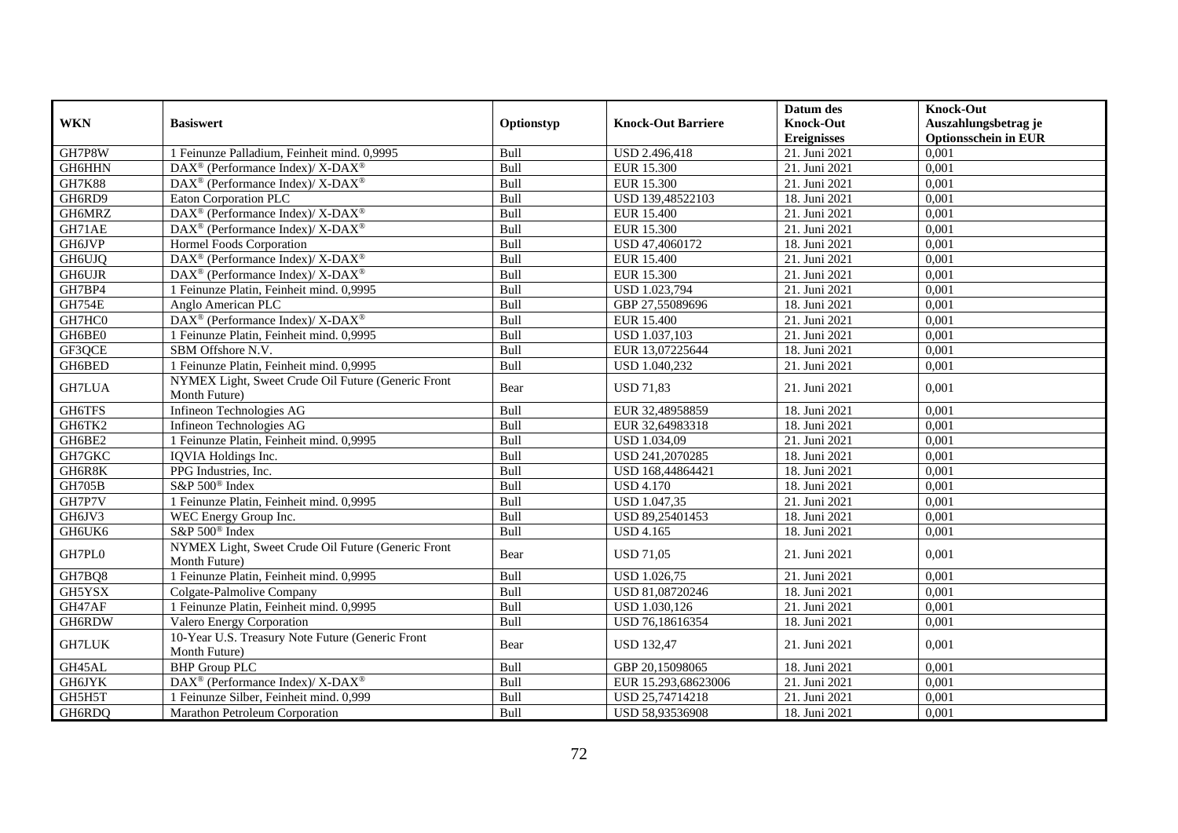| <b>WKN</b>    | <b>Basiswert</b>                                                    | Optionstyp  | <b>Knock-Out Barriere</b> | Datum des<br><b>Knock-Out</b><br><b>Ereignisses</b> | <b>Knock-Out</b><br>Auszahlungsbetrag je<br><b>Optionsschein in EUR</b> |
|---------------|---------------------------------------------------------------------|-------------|---------------------------|-----------------------------------------------------|-------------------------------------------------------------------------|
| GH7P8W        | 1 Feinunze Palladium, Feinheit mind. 0,9995                         | Bull        | USD 2.496,418             | 21. Juni 2021                                       | 0,001                                                                   |
| GH6HHN        | $DAX^{\circledcirc}$ (Performance Index)/X-DAX <sup>®</sup>         | <b>Bull</b> | <b>EUR 15.300</b>         | 21. Juni 2021                                       | 0,001                                                                   |
| <b>GH7K88</b> | DAX <sup>®</sup> (Performance Index)/ X-DAX <sup>®</sup>            | Bull        | <b>EUR 15.300</b>         | 21. Juni 2021                                       | 0,001                                                                   |
| GH6RD9        | Eaton Corporation PLC                                               | Bull        | USD 139,48522103          | 18. Juni 2021                                       | 0,001                                                                   |
| GH6MRZ        | DAX <sup>®</sup> (Performance Index)/ X-DAX <sup>®</sup>            | Bull        | <b>EUR 15.400</b>         | 21. Juni $2021$                                     | 0,001                                                                   |
| GH71AE        | $DAX^{\circledast}$ (Performance Index)/X-DAX <sup>®</sup>          | Bull        | <b>EUR 15.300</b>         | 21. Juni 2021                                       | 0,001                                                                   |
| <b>GH6JVP</b> | Hormel Foods Corporation                                            | Bull        | USD 47,4060172            | 18. Juni 2021                                       | 0,001                                                                   |
| GH6UJQ        | DAX <sup>®</sup> (Performance Index)/ X-DAX <sup>®</sup>            | Bull        | EUR 15.400                | 21. Juni 2021                                       | 0,001                                                                   |
| GH6UJR        | DAX <sup>®</sup> (Performance Index)/ X-DAX <sup>®</sup>            | Bull        | <b>EUR 15.300</b>         | 21. Juni 2021                                       | 0,001                                                                   |
| GH7BP4        | 1 Feinunze Platin, Feinheit mind. 0,9995                            | Bull        | USD 1.023,794             | 21. Juni 2021                                       | 0,001                                                                   |
| <b>GH754E</b> | Anglo American PLC                                                  | Bull        | GBP 27,55089696           | 18. Juni 2021                                       | 0,001                                                                   |
| GH7HC0        | DAX <sup>®</sup> (Performance Index)/ X-DAX <sup>®</sup>            | Bull        | <b>EUR 15.400</b>         | 21. Juni 2021                                       | 0,001                                                                   |
| GH6BE0        | 1 Feinunze Platin, Feinheit mind. 0,9995                            | Bull        | USD 1.037,103             | 21. Juni 2021                                       | 0,001                                                                   |
| GF3QCE        | SBM Offshore N.V.                                                   | Bull        | EUR 13,07225644           | 18. Juni 2021                                       | 0,001                                                                   |
| GH6BED        | 1 Feinunze Platin, Feinheit mind. 0,9995                            | Bull        | USD 1.040,232             | 21. Juni 2021                                       | 0,001                                                                   |
| <b>GH7LUA</b> | NYMEX Light, Sweet Crude Oil Future (Generic Front<br>Month Future) | Bear        | <b>USD 71,83</b>          | 21. Juni 2021                                       | 0,001                                                                   |
| GH6TFS        | Infineon Technologies AG                                            | Bull        | EUR 32,48958859           | 18. Juni 2021                                       | 0,001                                                                   |
| GH6TK2        | Infineon Technologies AG                                            | Bull        | EUR 32,64983318           | 18. Juni 2021                                       | 0,001                                                                   |
| GH6BE2        | 1 Feinunze Platin, Feinheit mind. 0.9995                            | Bull        | USD 1.034,09              | 21. Juni 2021                                       | 0.001                                                                   |
| GH7GKC        | IQVIA Holdings Inc.                                                 | Bull        | USD 241,2070285           | 18. Juni 2021                                       | 0,001                                                                   |
| GH6R8K        | PPG Industries, Inc.                                                | Bull        | USD 168,44864421          | 18. Juni 2021                                       | 0,001                                                                   |
| <b>GH705B</b> | S&P 500 <sup>®</sup> Index                                          | Bull        | <b>USD 4.170</b>          | 18. Juni 2021                                       | 0,001                                                                   |
| GH7P7V        | 1 Feinunze Platin, Feinheit mind. 0,9995                            | Bull        | USD 1.047,35              | 21. Juni 2021                                       | 0,001                                                                   |
| GH6JV3        | WEC Energy Group Inc.                                               | Bull        | USD 89,25401453           | 18. Juni 2021                                       | 0,001                                                                   |
| GH6UK6        | S&P 500 <sup>®</sup> Index                                          | Bull        | <b>USD 4.165</b>          | 18. Juni 2021                                       | 0,001                                                                   |
| GH7PL0        | NYMEX Light, Sweet Crude Oil Future (Generic Front<br>Month Future) | Bear        | <b>USD 71,05</b>          | 21. Juni 2021                                       | 0,001                                                                   |
| GH7BQ8        | 1 Feinunze Platin, Feinheit mind. 0,9995                            | Bull        | USD 1.026,75              | 21. Juni 2021                                       | 0,001                                                                   |
| GH5YSX        | Colgate-Palmolive Company                                           | Bull        | USD 81,08720246           | 18. Juni 2021                                       | 0,001                                                                   |
| GH47AF        | 1 Feinunze Platin, Feinheit mind. 0,9995                            | Bull        | USD 1.030,126             | 21. Juni 2021                                       | 0,001                                                                   |
| GH6RDW        | Valero Energy Corporation                                           | Bull        | USD 76,18616354           | 18. Juni 2021                                       | 0,001                                                                   |
| <b>GH7LUK</b> | 10-Year U.S. Treasury Note Future (Generic Front<br>Month Future)   | Bear        | <b>USD 132,47</b>         | 21. Juni 2021                                       | 0,001                                                                   |
| GH45AL        | <b>BHP Group PLC</b>                                                | Bull        | GBP 20,15098065           | 18. Juni 2021                                       | 0,001                                                                   |
| GH6JYK        | DAX <sup>®</sup> (Performance Index)/X-DAX <sup>®</sup>             | Bull        | EUR 15.293,68623006       | 21. Juni 2021                                       | 0,001                                                                   |
| GH5H5T        | 1 Feinunze Silber, Feinheit mind. 0,999                             | Bull        | USD 25,74714218           | 21. Juni 2021                                       | 0,001                                                                   |
| GH6RDQ        | Marathon Petroleum Corporation                                      | Bull        | USD 58,93536908           | 18. Juni 2021                                       | 0,001                                                                   |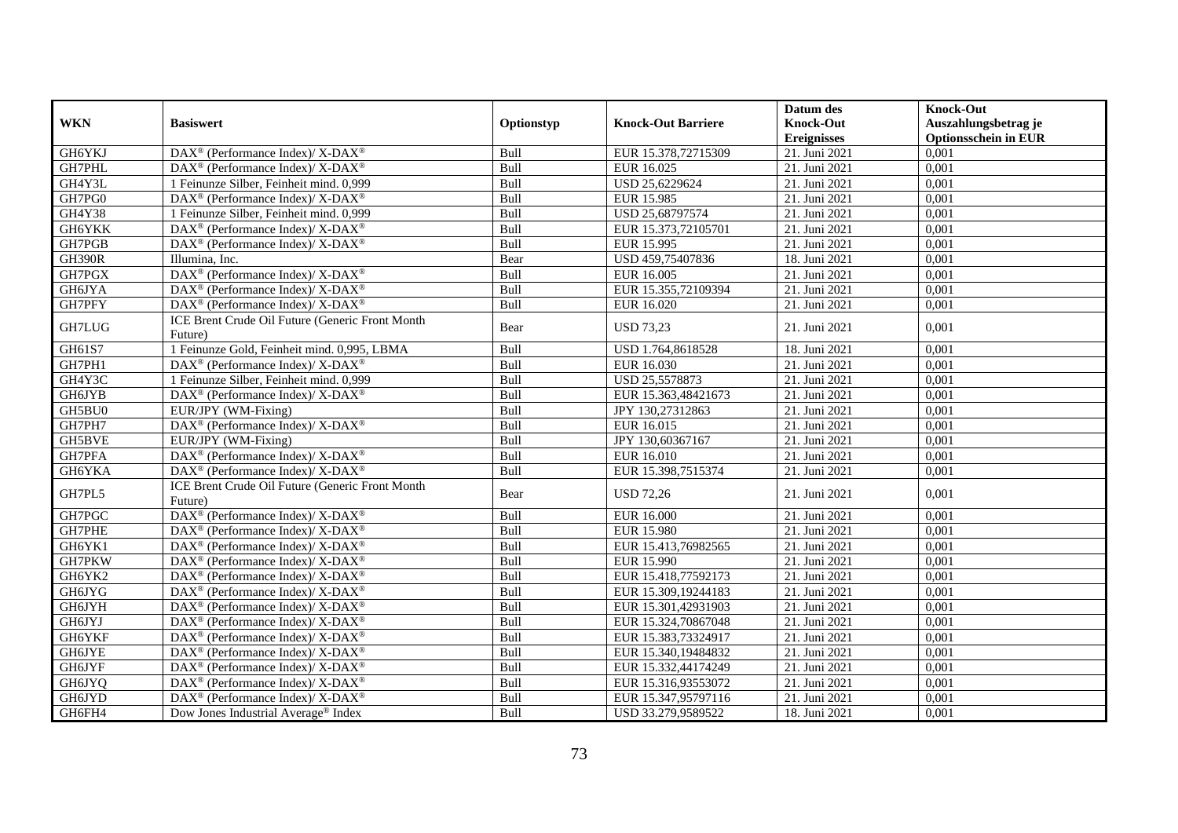| <b>WKN</b>    | <b>Basiswert</b>                                                  | Optionstyp | <b>Knock-Out Barriere</b> | Datum des<br><b>Knock-Out</b><br><b>Ereignisses</b> | <b>Knock-Out</b><br>Auszahlungsbetrag je<br><b>Optionsschein in EUR</b> |
|---------------|-------------------------------------------------------------------|------------|---------------------------|-----------------------------------------------------|-------------------------------------------------------------------------|
| GH6YKJ        | DAX <sup>®</sup> (Performance Index)/ X-DAX <sup>®</sup>          | Bull       | EUR 15.378,72715309       | 21. Juni 2021                                       | 0,001                                                                   |
| <b>GH7PHL</b> | DAX <sup>®</sup> (Performance Index)/X-DAX <sup>®</sup>           | Bull       | EUR 16.025                | 21. Juni 2021                                       | 0,001                                                                   |
| GH4Y3L        | 1 Feinunze Silber, Feinheit mind. 0,999                           | Bull       | USD 25,6229624            | 21. Juni 2021                                       | 0,001                                                                   |
| GH7PG0        | $DAX^{\circledast}$ (Performance Index)/ X-DAX <sup>®</sup>       | Bull       | EUR 15.985                | 21. Juni 2021                                       | 0,001                                                                   |
| GH4Y38        | 1 Feinunze Silber, Feinheit mind. 0,999                           | Bull       | USD 25,68797574           | 21. Juni 2021                                       | 0,001                                                                   |
| GH6YKK        | DAX <sup>®</sup> (Performance Index)/X-DAX <sup>®</sup>           | Bull       | EUR 15.373,72105701       | 21. Juni 2021                                       | 0,001                                                                   |
| GH7PGB        | DAX <sup>®</sup> (Performance Index)/ X-DAX <sup>®</sup>          | Bull       | EUR 15.995                | 21. Juni 2021                                       | 0,001                                                                   |
| <b>GH390R</b> | Illumina. Inc.                                                    | Bear       | USD 459,75407836          | 18. Juni 2021                                       | 0,001                                                                   |
| GH7PGX        | DAX <sup>®</sup> (Performance Index)/ X-DAX <sup>®</sup>          | Bull       | EUR 16.005                | 21. Juni 2021                                       | 0,001                                                                   |
| GH6JYA        | DAX <sup>®</sup> (Performance Index)/ X-DAX <sup>®</sup>          | Bull       | EUR 15.355,72109394       | 21. Juni 2021                                       | 0,001                                                                   |
| GH7PFY        | DAX <sup>®</sup> (Performance Index)/X-DAX <sup>®</sup>           | Bull       | EUR 16.020                | 21. Juni 2021                                       | 0,001                                                                   |
| GH7LUG        | ICE Brent Crude Oil Future (Generic Front Month<br>Future)        | Bear       | <b>USD 73,23</b>          | 21. Juni 2021                                       | 0,001                                                                   |
| GH61S7        | 1 Feinunze Gold, Feinheit mind. 0,995, LBMA                       | Bull       | USD 1.764,8618528         | 18. Juni 2021                                       | 0,001                                                                   |
| GH7PH1        | DAX <sup>®</sup> (Performance Index)/ X-DAX <sup>®</sup>          | Bull       | EUR 16.030                | 21. Juni 2021                                       | 0,001                                                                   |
| GH4Y3C        | 1 Feinunze Silber, Feinheit mind. 0,999                           | Bull       | USD 25,5578873            | 21. Juni $2021$                                     | 0,001                                                                   |
| GH6JYB        | $\text{DAX}^{\circledast}$ (Performance Index)/X-DAX <sup>®</sup> | Bull       | EUR 15.363,48421673       | 21. Juni 2021                                       | 0,001                                                                   |
| GH5BU0        | EUR/JPY (WM-Fixing)                                               | Bull       | JPY 130,27312863          | 21. Juni 2021                                       | 0,001                                                                   |
| GH7PH7        | DAX <sup>®</sup> (Performance Index)/X-DAX <sup>®</sup>           | Bull       | EUR 16.015                | 21. Juni 2021                                       | 0,001                                                                   |
| GH5BVE        | EUR/JPY (WM-Fixing)                                               | Bull       | JPY 130,60367167          | 21. Juni 2021                                       | 0,001                                                                   |
| GH7PFA        | DAX <sup>®</sup> (Performance Index)/ X-DAX <sup>®</sup>          | Bull       | EUR 16.010                | 21. Juni 2021                                       | 0,001                                                                   |
| GH6YKA        | DAX <sup>®</sup> (Performance Index)/X-DAX <sup>®</sup>           | Bull       | EUR 15.398,7515374        | 21. Juni 2021                                       | 0.001                                                                   |
| GH7PL5        | ICE Brent Crude Oil Future (Generic Front Month<br>Future)        | Bear       | <b>USD 72,26</b>          | 21. Juni 2021                                       | 0,001                                                                   |
| GH7PGC        | DAX <sup>®</sup> (Performance Index)/X-DAX <sup>®</sup>           | Bull       | <b>EUR 16.000</b>         | 21. Juni 2021                                       | 0,001                                                                   |
| GH7PHE        | $DAX^{\circledast}$ (Performance Index)/ X-DAX <sup>®</sup>       | Bull       | <b>EUR 15.980</b>         | 21. Juni 2021                                       | 0,001                                                                   |
| GH6YK1        | DAX <sup>®</sup> (Performance Index)/X-DAX <sup>®</sup>           | Bull       | EUR 15.413,76982565       | 21. Juni $2021$                                     | 0,001                                                                   |
| GH7PKW        | DAX <sup>®</sup> (Performance Index)/X-DAX <sup>®</sup>           | Bull       | EUR 15.990                | 21. Juni 2021                                       | 0,001                                                                   |
| GH6YK2        | $\text{DAX}^{\circledR}$ (Performance Index)/ X-DAX <sup>®</sup>  | Bull       | EUR 15.418,77592173       | 21. Juni 2021                                       | 0,001                                                                   |
| GH6JYG        | $\text{DAX}^{\circledast}$ (Performance Index)/X-DAX <sup>®</sup> | Bull       | EUR 15.309,19244183       | 21. Juni 2021                                       | 0,001                                                                   |
| GH6JYH        | $DAX^{\circledast}$ (Performance Index)/ X-DAX <sup>®</sup>       | Bull       | EUR 15.301,42931903       | 21. Juni 2021                                       | 0,001                                                                   |
| GH6JYJ        | DAX <sup>®</sup> (Performance Index)/ X-DAX <sup>®</sup>          | Bull       | EUR 15.324,70867048       | 21. Juni 2021                                       | 0,001                                                                   |
| GH6YKF        | $\text{DAX}^{\circledast}$ (Performance Index)/X-DAX <sup>®</sup> | Bull       | EUR 15.383,73324917       | 21. Juni 2021                                       | 0,001                                                                   |
| GH6JYE        | DAX <sup>®</sup> (Performance Index)/ X-DAX <sup>®</sup>          | Bull       | EUR 15.340,19484832       | 21. Juni 2021                                       | 0,001                                                                   |
| <b>GH6JYF</b> | DAX <sup>®</sup> (Performance Index)/ X-DAX <sup>®</sup>          | Bull       | EUR 15.332,44174249       | 21. Juni 2021                                       | 0,001                                                                   |
| GH6JYQ        | $\text{DAX}^{\circledast}$ (Performance Index)/X-DAX <sup>®</sup> | Bull       | EUR 15.316,93553072       | 21. Juni 2021                                       | 0,001                                                                   |
| GH6JYD        | DAX <sup>®</sup> (Performance Index)/X-DAX <sup>®</sup>           | Bull       | EUR 15.347,95797116       | 21. Juni 2021                                       | 0,001                                                                   |
| GH6FH4        | Dow Jones Industrial Average <sup>®</sup> Index                   | Bull       | USD 33.279,9589522        | 18. Juni 2021                                       | 0,001                                                                   |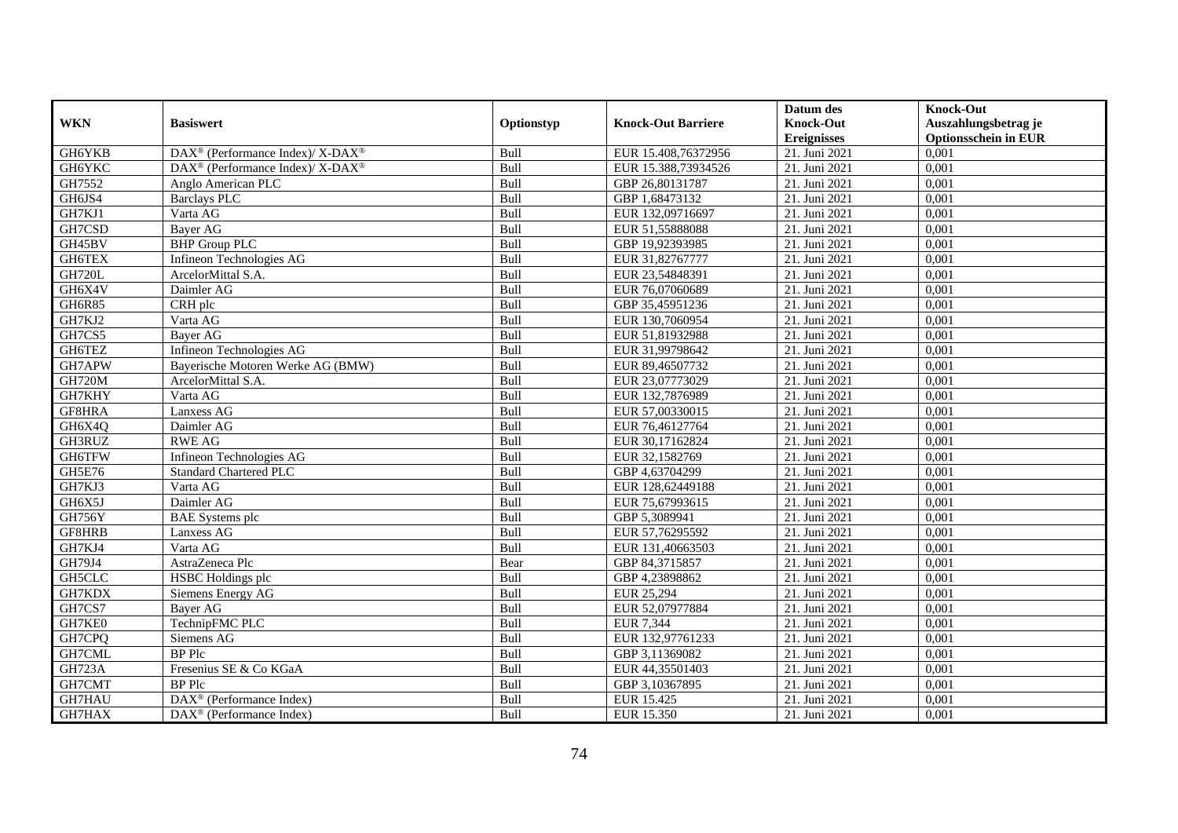|               |                                                                  |            |                           | Datum des          | <b>Knock-Out</b>            |
|---------------|------------------------------------------------------------------|------------|---------------------------|--------------------|-----------------------------|
| <b>WKN</b>    | <b>Basiswert</b>                                                 | Optionstyp | <b>Knock-Out Barriere</b> | <b>Knock-Out</b>   | Auszahlungsbetrag je        |
|               |                                                                  |            |                           | <b>Ereignisses</b> | <b>Optionsschein in EUR</b> |
| GH6YKB        | $\text{DAX}^{\circledR}$ (Performance Index)/ X-DAX <sup>®</sup> | Bull       | EUR 15.408,76372956       | 21. Juni 2021      | 0,001                       |
| <b>GH6YKC</b> | DAX <sup>®</sup> (Performance Index)/ X-DAX <sup>®</sup>         | Bull       | EUR 15.388,73934526       | 21. Juni 2021      | 0,001                       |
| GH7552        | Anglo American PLC                                               | Bull       | GBP 26,80131787           | 21. Juni 2021      | 0,001                       |
| GH6JS4        | <b>Barclays PLC</b>                                              | Bull       | GBP 1,68473132            | 21. Juni 2021      | 0,001                       |
| GH7KJ1        | Varta AG                                                         | Bull       | EUR 132,09716697          | 21. Juni 2021      | 0,001                       |
| GH7CSD        | <b>Bayer AG</b>                                                  | Bull       | EUR 51,55888088           | 21. Juni 2021      | 0,001                       |
| GH45BV        | <b>BHP Group PLC</b>                                             | Bull       | GBP 19,92393985           | 21. Juni 2021      | 0,001                       |
| GH6TEX        | Infineon Technologies AG                                         | Bull       | EUR 31,82767777           | 21. Juni 2021      | 0,001                       |
| <b>GH720L</b> | ArcelorMittal S.A.                                               | Bull       | EUR 23,54848391           | 21. Juni 2021      | 0,001                       |
| GH6X4V        | Daimler AG                                                       | Bull       | EUR 76,07060689           | 21. Juni 2021      | 0,001                       |
| <b>GH6R85</b> | CRH plc                                                          | Bull       | GBP 35,45951236           | 21. Juni 2021      | 0,001                       |
| GH7KJ2        | Varta AG                                                         | Bull       | EUR 130,7060954           | 21. Juni 2021      | 0,001                       |
| GH7CS5        | <b>Baver AG</b>                                                  | Bull       | EUR 51,81932988           | 21. Juni 2021      | 0,001                       |
| GH6TEZ        | Infineon Technologies AG                                         | Bull       | EUR 31,99798642           | 21. Juni 2021      | 0,001                       |
| GH7APW        | Bayerische Motoren Werke AG (BMW)                                | Bull       | EUR 89,46507732           | 21. Juni 2021      | 0,001                       |
| <b>GH720M</b> | ArcelorMittal S.A.                                               | Bull       | EUR 23,07773029           | 21. Juni 2021      | 0,001                       |
| GH7KHY        | Varta AG                                                         | Bull       | EUR 132,7876989           | 21. Juni 2021      | 0,001                       |
| GF8HRA        | Lanxess AG                                                       | Bull       | EUR 57,00330015           | 21. Juni 2021      | 0,001                       |
| GH6X4Q        | Daimler AG                                                       | Bull       | EUR 76,46127764           | 21. Juni 2021      | 0,001                       |
| GH3RUZ        | <b>RWE AG</b>                                                    | Bull       | EUR 30,17162824           | 21. Juni 2021      | 0,001                       |
| <b>GH6TFW</b> | Infineon Technologies AG                                         | Bull       | EUR 32,1582769            | 21. Juni 2021      | 0,001                       |
| <b>GH5E76</b> | <b>Standard Chartered PLC</b>                                    | Bull       | GBP 4,63704299            | 21. Juni 2021      | 0,001                       |
| GH7KJ3        | Varta AG                                                         | Bull       | EUR 128,62449188          | 21. Juni 2021      | 0,001                       |
| GH6X5J        | Daimler AG                                                       | Bull       | EUR 75,67993615           | 21. Juni 2021      | 0,001                       |
| <b>GH756Y</b> | <b>BAE</b> Systems plc                                           | Bull       | GBP 5,3089941             | 21. Juni 2021      | 0,001                       |
| GF8HRB        | Lanxess AG                                                       | Bull       | EUR 57,76295592           | 21. Juni 2021      | 0,001                       |
| GH7KJ4        | Varta AG                                                         | Bull       | EUR 131,40663503          | 21. Juni 2021      | 0,001                       |
| GH79J4        | AstraZeneca Plc                                                  | Bear       | GBP 84,3715857            | 21. Juni 2021      | 0.001                       |
| <b>GH5CLC</b> | <b>HSBC</b> Holdings plc                                         | Bull       | GBP 4,23898862            | 21. Juni 2021      | 0,001                       |
| GH7KDX        | Siemens Energy AG                                                | Bull       | EUR 25,294                | 21. Juni 2021      | 0,001                       |
| GH7CS7        | <b>Bayer AG</b>                                                  | Bull       | EUR 52,07977884           | 21. Juni 2021      | 0,001                       |
| GH7KE0        | TechnipFMC PLC                                                   | Bull       | EUR 7,344                 | 21. Juni 2021      | 0,001                       |
| GH7CPQ        | Siemens AG                                                       | Bull       | EUR 132,97761233          | 21. Juni 2021      | 0,001                       |
| GH7CML        | <b>BP</b> Plc                                                    | Bull       | GBP 3,11369082            | 21. Juni 2021      | 0,001                       |
| <b>GH723A</b> | Fresenius SE & Co KGaA                                           | Bull       | EUR 44,35501403           | 21. Juni 2021      | 0,001                       |
| GH7CMT        | <b>BP</b> Plc                                                    | Bull       | GBP 3,10367895            | 21. Juni 2021      | 0,001                       |
| GH7HAU        | DAX <sup>®</sup> (Performance Index)                             | Bull       | EUR 15.425                | 21. Juni 2021      | 0,001                       |
| GH7HAX        | $\text{DAX}^{\textcircled{}}$ (Performance Index)                | Bull       | EUR 15.350                | 21. Juni 2021      | 0,001                       |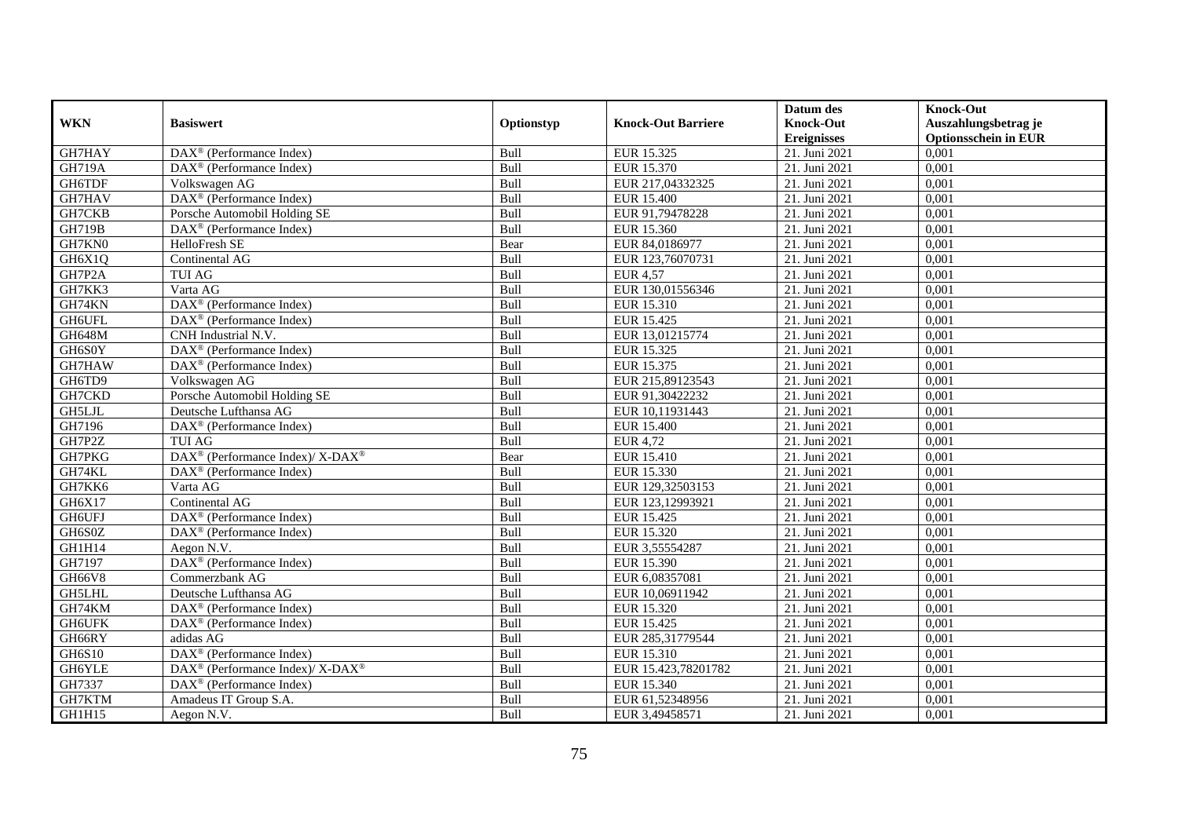|               |                                                          |            |                           | Datum des          | <b>Knock-Out</b>            |
|---------------|----------------------------------------------------------|------------|---------------------------|--------------------|-----------------------------|
| <b>WKN</b>    | <b>Basiswert</b>                                         | Optionstyp | <b>Knock-Out Barriere</b> | <b>Knock-Out</b>   | Auszahlungsbetrag je        |
|               |                                                          |            |                           | <b>Ereignisses</b> | <b>Optionsschein in EUR</b> |
| GH7HAY        | $\text{DAX}^{\textcircled{p}}$ (Performance Index)       | Bull       | EUR 15.325                | 21. Juni 2021      | 0,001                       |
| <b>GH719A</b> | $\overline{\text{DAX}}^{\textcirc}$ (Performance Index)  | Bull       | EUR 15.370                | 21. Juni 2021      | 0,001                       |
| GH6TDF        | Volkswagen AG                                            | Bull       | EUR 217,04332325          | 21. Juni 2021      | 0,001                       |
| GH7HAV        | DAX <sup>®</sup> (Performance Index)                     | Bull       | EUR 15.400                | 21. Juni 2021      | 0,001                       |
| GH7CKB        | Porsche Automobil Holding SE                             | Bull       | EUR 91,79478228           | 21. Juni 2021      | 0,001                       |
| <b>GH719B</b> | DAX <sup>®</sup> (Performance Index)                     | Bull       | EUR 15.360                | 21. Juni 2021      | 0,001                       |
| GH7KN0        | HelloFresh SE                                            | Bear       | EUR 84,0186977            | 21. Juni 2021      | 0,001                       |
| GH6X1Q        | Continental AG                                           | Bull       | EUR 123,76070731          | 21. Juni 2021      | 0,001                       |
| GH7P2A        | <b>TUI AG</b>                                            | Bull       | <b>EUR 4,57</b>           | 21. Juni 2021      | 0,001                       |
| GH7KK3        | Varta AG                                                 | Bull       | EUR 130,01556346          | 21. Juni 2021      | 0,001                       |
| GH74KN        | DAX <sup>®</sup> (Performance Index)                     | Bull       | EUR 15.310                | 21. Juni 2021      | 0,001                       |
| GH6UFL        | DAX <sup>®</sup> (Performance Index)                     | Bull       | EUR 15.425                | 21. Juni 2021      | 0,001                       |
| <b>GH648M</b> | CNH Industrial N.V.                                      | Bull       | EUR 13,01215774           | 21. Juni 2021      | 0,001                       |
| GH6S0Y        | DAX <sup>®</sup> (Performance Index)                     | Bull       | EUR 15.325                | 21. Juni 2021      | 0,001                       |
| GH7HAW        | $\text{DAX}^{\circledast}$ (Performance Index)           | Bull       | EUR 15.375                | 21. Juni 2021      | 0,001                       |
| GH6TD9        | Volkswagen AG                                            | Bull       | EUR 215,89123543          | 21. Juni 2021      | 0,001                       |
| GH7CKD        | Porsche Automobil Holding SE                             | Bull       | EUR 91,30422232           | 21. Juni 2021      | 0,001                       |
| GH5LJL        | Deutsche Lufthansa AG                                    | Bull       | EUR 10.11931443           | 21. Juni 2021      | 0,001                       |
| GH7196        | DAX <sup>®</sup> (Performance Index)                     | Bull       | <b>EUR 15.400</b>         | 21. Juni 2021      | 0,001                       |
| GH7P2Z        | <b>TUI AG</b>                                            | Bull       | <b>EUR 4,72</b>           | 21. Juni 2021      | 0,001                       |
| GH7PKG        | DAX <sup>®</sup> (Performance Index)/ X-DAX <sup>®</sup> | Bear       | <b>EUR 15.410</b>         | 21. Juni 2021      | 0,001                       |
| GH74KL        | DAX <sup>®</sup> (Performance Index)                     | Bull       | EUR 15.330                | 21. Juni 2021      | 0,001                       |
| GH7KK6        | Varta AG                                                 | Bull       | EUR 129,32503153          | 21. Juni 2021      | 0,001                       |
| GH6X17        | Continental AG                                           | Bull       | EUR 123,12993921          | 21. Juni 2021      | 0,001                       |
| GH6UFJ        | DAX <sup>®</sup> (Performance Index)                     | Bull       | EUR 15.425                | 21. Juni 2021      | 0,001                       |
| GH6S0Z        | $\text{DAX}^{\otimes}$ (Performance Index)               | Bull       | EUR 15.320                | 21. Juni 2021      | 0,001                       |
| GH1H14        | Aegon N.V.                                               | Bull       | EUR 3,55554287            | 21. Juni 2021      | 0,001                       |
| GH7197        | DAX <sup>®</sup> (Performance Index)                     | Bull       | EUR 15.390                | 21. Juni 2021      | 0,001                       |
| GH66V8        | Commerzbank AG                                           | Bull       | EUR 6,08357081            | 21. Juni 2021      | 0,001                       |
| <b>GH5LHL</b> | Deutsche Lufthansa AG                                    | Bull       | EUR 10,06911942           | 21. Juni 2021      | 0,001                       |
| GH74KM        | $\text{DAX}^{\textcircled{D}}$ (Performance Index)       | Bull       | EUR 15.320                | 21. Juni 2021      | 0,001                       |
| <b>GH6UFK</b> | DAX <sup>®</sup> (Performance Index)                     | Bull       | EUR 15.425                | 21. Juni 2021      | 0,001                       |
| GH66RY        | adidas AG                                                | Bull       | EUR 285,31779544          | 21. Juni 2021      | 0,001                       |
| <b>GH6S10</b> | DAX <sup>®</sup> (Performance Index)                     | Bull       | EUR 15.310                | 21. Juni 2021      | 0,001                       |
| GH6YLE        | DAX <sup>®</sup> (Performance Index)/ X-DAX <sup>®</sup> | Bull       | EUR 15.423,78201782       | 21. Juni 2021      | 0,001                       |
| GH7337        | DAX <sup>®</sup> (Performance Index)                     | Bull       | EUR 15.340                | 21. Juni 2021      | 0,001                       |
| GH7KTM        | Amadeus IT Group S.A.                                    | Bull       | EUR 61,52348956           | 21. Juni 2021      | 0,001                       |
| GH1H15        | Aegon N.V.                                               | Bull       | EUR 3,49458571            | 21. Juni 2021      | 0,001                       |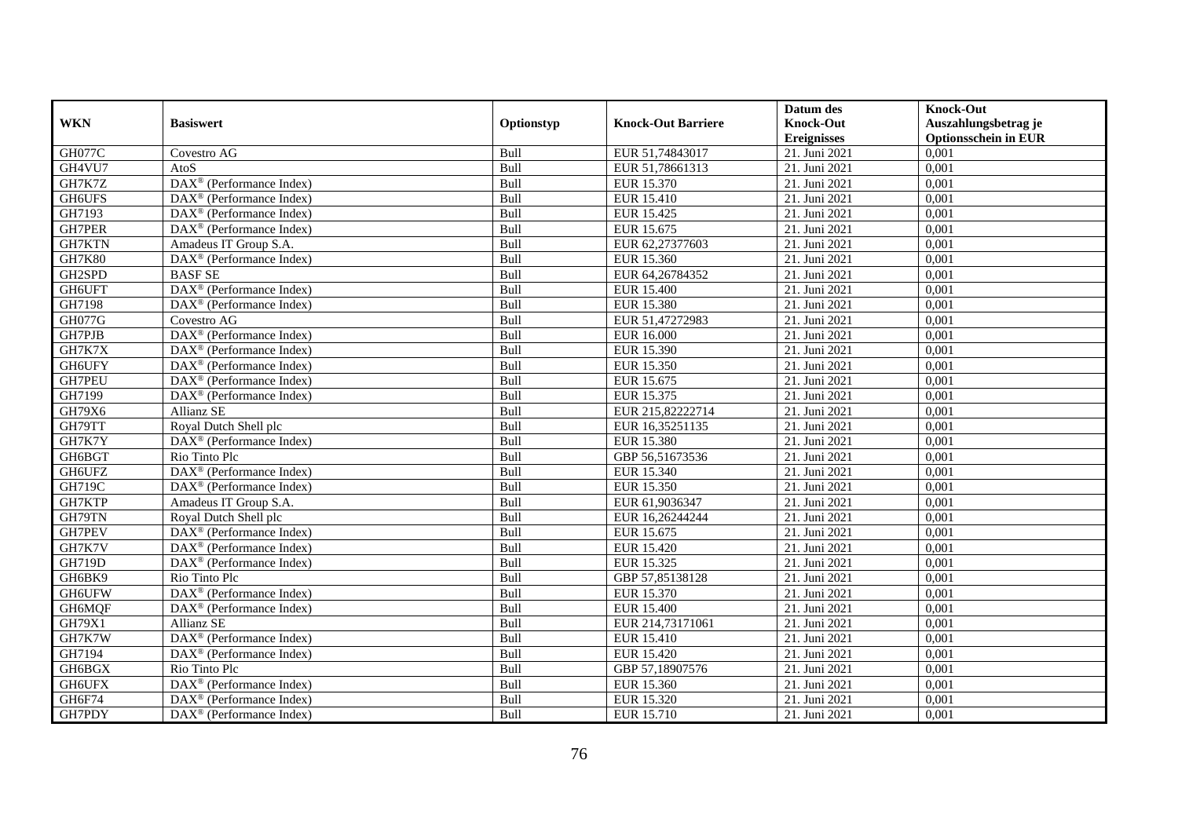|               |                                                       |            |                           | Datum des          | <b>Knock-Out</b>            |
|---------------|-------------------------------------------------------|------------|---------------------------|--------------------|-----------------------------|
| <b>WKN</b>    | <b>Basiswert</b>                                      | Optionstyp | <b>Knock-Out Barriere</b> | <b>Knock-Out</b>   | Auszahlungsbetrag je        |
|               |                                                       |            |                           | <b>Ereignisses</b> | <b>Optionsschein in EUR</b> |
| <b>GH077C</b> | Covestro AG                                           | Bull       | EUR 51,74843017           | 21. Juni 2021      | 0,001                       |
| GH4VU7        | AtoS                                                  | Bull       | EUR 51,78661313           | 21. Juni 2021      | 0,001                       |
| GH7K7Z        | $\overline{\text{DAX}^{\otimes}}$ (Performance Index) | Bull       | EUR 15.370                | 21. Juni 2021      | 0,001                       |
| <b>GH6UFS</b> | $\text{DAX}^{\otimes}$ (Performance Index)            | Bull       | <b>EUR 15.410</b>         | 21. Juni 2021      | 0,001                       |
| GH7193        | DAX <sup>®</sup> (Performance Index)                  | Bull       | EUR 15.425                | 21. Juni 2021      | 0,001                       |
| <b>GH7PER</b> | DAX <sup>®</sup> (Performance Index)                  | Bull       | EUR 15.675                | 21. Juni 2021      | 0,001                       |
| GH7KTN        | Amadeus IT Group S.A.                                 | Bull       | EUR 62,27377603           | 21. Juni 2021      | 0,001                       |
| <b>GH7K80</b> | DAX <sup>®</sup> (Performance Index)                  | Bull       | EUR 15.360                | 21. Juni 2021      | 0,001                       |
| GH2SPD        | <b>BASF SE</b>                                        | Bull       | EUR 64,26784352           | 21. Juni 2021      | 0,001                       |
| GH6UFT        | DAX <sup>®</sup> (Performance Index)                  | Bull       | <b>EUR 15.400</b>         | 21. Juni 2021      | 0,001                       |
| GH7198        | DAX <sup>®</sup> (Performance Index)                  | Bull       | <b>EUR 15.380</b>         | 21. Juni 2021      | 0,001                       |
| GH077G        | Covestro AG                                           | Bull       | EUR 51,47272983           | 21. Juni 2021      | 0,001                       |
| GH7PJB        | DAX <sup>®</sup> (Performance Index)                  | Bull       | <b>EUR 16.000</b>         | 21. Juni 2021      | 0,001                       |
| GH7K7X        | DAX <sup>®</sup> (Performance Index)                  | Bull       | EUR 15.390                | 21. Juni 2021      | 0,001                       |
| GH6UFY        | $\text{DAX}^{\otimes}$ (Performance Index)            | Bull       | EUR 15.350                | 21. Juni 2021      | 0,001                       |
| GH7PEU        | $\overline{\text{DAX}^{\otimes}}$ (Performance Index) | Bull       | EUR 15.675                | 21. Juni 2021      | 0,001                       |
| GH7199        | DAX <sup>®</sup> (Performance Index)                  | Bull       | EUR 15.375                | 21. Juni 2021      | 0,001                       |
| GH79X6        | Allianz SE                                            | Bull       | EUR 215,82222714          | 21. Juni 2021      | 0,001                       |
| GH79TT        | Royal Dutch Shell plc                                 | Bull       | EUR 16,35251135           | 21. Juni 2021      | 0,001                       |
| GH7K7Y        | DAX <sup>®</sup> (Performance Index)                  | Bull       | <b>EUR 15.380</b>         | 21. Juni 2021      | 0,001                       |
| GH6BGT        | Rio Tinto Plc                                         | Bull       | GBP 56,51673536           | 21. Juni 2021      | 0,001                       |
| GH6UFZ        | DAX <sup>®</sup> (Performance Index)                  | Bull       | EUR 15.340                | 21. Juni 2021      | 0,001                       |
| GH719C        | DAX <sup>®</sup> (Performance Index)                  | Bull       | EUR 15.350                | 21. Juni 2021      | 0,001                       |
| GH7KTP        | Amadeus IT Group S.A.                                 | Bull       | EUR 61,9036347            | 21. Juni 2021      | 0,001                       |
| GH79TN        | Royal Dutch Shell plc                                 | Bull       | EUR 16,26244244           | 21. Juni 2021      | 0,001                       |
| GH7PEV        | $\text{DAX}^{\otimes}$ (Performance Index)            | Bull       | EUR 15.675                | 21. Juni 2021      | 0,001                       |
| GH7K7V        | DAX <sup>®</sup> (Performance Index)                  | Bull       | EUR 15.420                | 21. Juni 2021      | 0,001                       |
| <b>GH719D</b> | $\text{DAX}^{\textcircled{p}}$ (Performance Index)    | Bull       | EUR 15.325                | 21. Juni 2021      | 0,001                       |
| GH6BK9        | Rio Tinto Plc                                         | Bull       | GBP 57,85138128           | 21. Juni 2021      | 0,001                       |
| <b>GH6UFW</b> | DAX <sup>®</sup> (Performance Index)                  | Bull       | EUR 15.370                | 21. Juni 2021      | 0,001                       |
| GH6MQF        | DAX <sup>®</sup> (Performance Index)                  | Bull       | <b>EUR 15.400</b>         | 21. Juni 2021      | 0,001                       |
| GH79X1        | Allianz SE                                            | Bull       | EUR 214,73171061          | 21. Juni 2021      | 0,001                       |
| GH7K7W        | DAX <sup>®</sup> (Performance Index)                  | Bull       | <b>EUR 15.410</b>         | 21. Juni 2021      | 0,001                       |
| GH7194        | DAX <sup>®</sup> (Performance Index)                  | Bull       | EUR 15.420                | 21. Juni 2021      | 0,001                       |
| GH6BGX        | Rio Tinto Plc                                         | Bull       | GBP 57,18907576           | 21. Juni 2021      | 0,001                       |
| GH6UFX        | DAX <sup>®</sup> (Performance Index)                  | Bull       | EUR 15.360                | 21. Juni 2021      | 0,001                       |
| GH6F74        | $\text{DAX}^{\otimes}$ (Performance Index)            | Bull       | EUR 15.320                | 21. Juni 2021      | 0,001                       |
| GH7PDY        | $\text{DAX}^{\textcircled{n}}$ (Performance Index)    | Bull       | EUR 15.710                | 21. Juni 2021      | 0,001                       |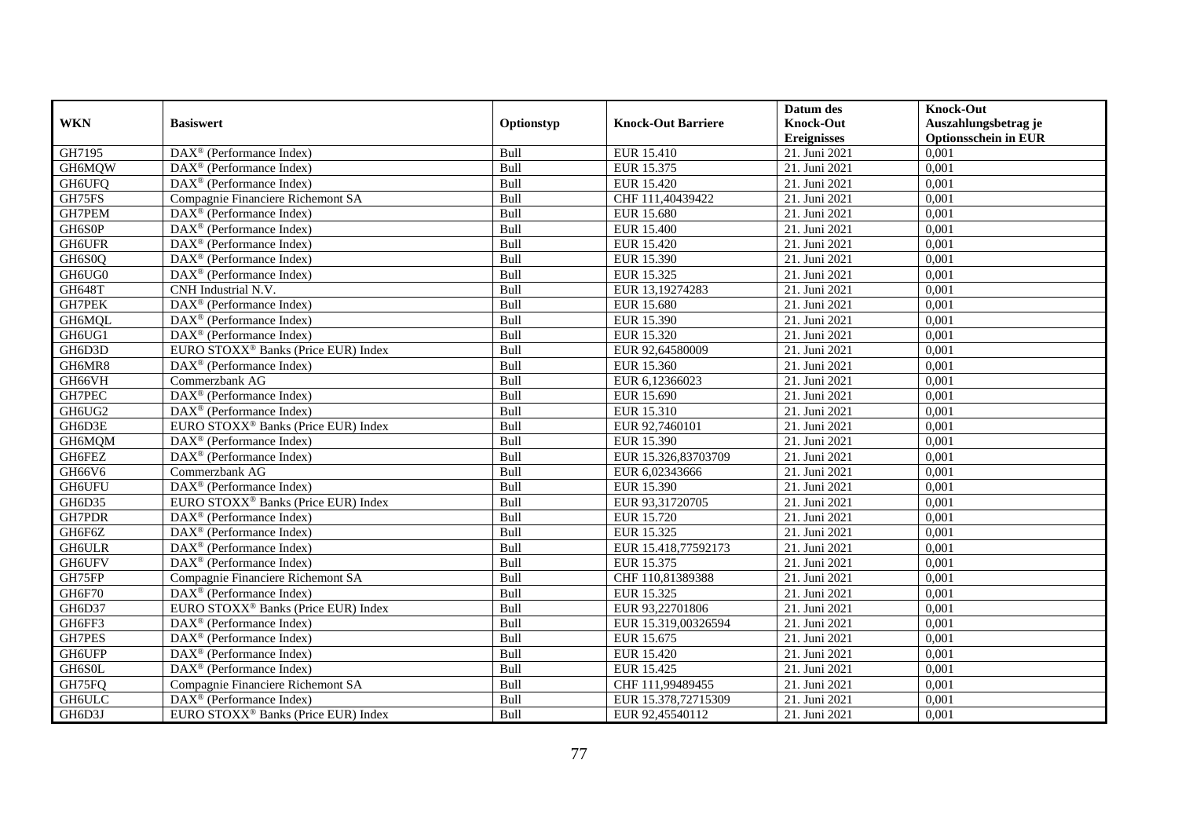|                  |                                                                           |              |                           | Datum des                           | <b>Knock-Out</b>                     |
|------------------|---------------------------------------------------------------------------|--------------|---------------------------|-------------------------------------|--------------------------------------|
| <b>WKN</b>       | <b>Basiswert</b>                                                          | Optionstyp   | <b>Knock-Out Barriere</b> | <b>Knock-Out</b>                    | Auszahlungsbetrag je                 |
| GH7195           | $\overline{\text{DAX}^{\otimes}}$ (Performance Index)                     | Bull         | <b>EUR 15.410</b>         | <b>Ereignisses</b><br>21. Juni 2021 | <b>Optionsschein in EUR</b><br>0,001 |
| GH6MQW           | $\text{DAX}^{\textcircled{p}}$ (Performance Index)                        | Bull         | EUR 15.375                | 21. Juni 2021                       | 0,001                                |
| GH6UFQ           | DAX <sup>®</sup> (Performance Index)                                      | Bull         | EUR 15.420                | 21. Juni 2021                       | 0,001                                |
|                  |                                                                           |              | CHF 111,40439422          |                                     |                                      |
| GH75FS           | Compagnie Financiere Richemont SA<br>DAX <sup>®</sup> (Performance Index) | Bull         | <b>EUR 15.680</b>         | 21. Juni 2021<br>21. Juni 2021      | 0,001<br>0,001                       |
| GH7PEM<br>GH6S0P | DAX <sup>®</sup> (Performance Index)                                      | Bull<br>Bull | <b>EUR 15.400</b>         | 21. Juni 2021                       | 0,001                                |
| GH6UFR           | $\text{DAX}^{\textcircled{p}}$ (Performance Index)                        | Bull         | EUR 15.420                | 21. Juni 2021                       | 0,001                                |
| GH6S0Q           | $\text{DAX}^{\textcircled{p}}$ (Performance Index)                        | Bull         | EUR 15.390                | 21. Juni 2021                       | 0,001                                |
|                  |                                                                           |              |                           |                                     |                                      |
| GH6UG0           | $\text{DAX}^{\textcircled{p}}$ (Performance Index)                        | Bull         | EUR 15.325                | 21. Juni 2021                       | 0,001                                |
| <b>GH648T</b>    | CNH Industrial N.V.                                                       | Bull         | EUR 13,19274283           | 21. Juni 2021                       | 0,001                                |
| <b>GH7PEK</b>    | $\overline{\text{DAX}^{\circledast}}$ (Performance Index)                 | Bull         | <b>EUR 15.680</b>         | 21. Juni 2021                       | 0,001                                |
| GH6MQL           | DAX <sup>®</sup> (Performance Index)                                      | Bull         | EUR 15.390                | 21. Juni 2021                       | 0,001                                |
| GH6UG1           | $\text{DAX}^{\circledast}$ (Performance Index)                            | Bull         | EUR 15.320                | 21. Juni 2021                       | 0,001                                |
| GH6D3D           | EURO STOXX <sup>®</sup> Banks (Price EUR) Index                           | Bull         | EUR 92,64580009           | 21. Juni 2021                       | 0,001                                |
| GH6MR8           | $\overline{\text{DAX}^{\otimes}}$ (Performance Index)                     | Bull         | EUR 15.360                | 21. Juni 2021                       | 0,001                                |
| GH66VH           | Commerzbank AG                                                            | Bull         | EUR 6,12366023            | 21. Juni 2021                       | 0,001                                |
| GH7PEC           | DAX <sup>®</sup> (Performance Index)                                      | Bull         | EUR 15.690                | 21. Juni 2021                       | 0,001                                |
| GH6UG2           | $\text{DAX}^{\textcircled{p}}$ (Performance Index)                        | Bull         | EUR 15.310                | 21. Juni 2021                       | 0,001                                |
| GH6D3E           | EURO STOXX <sup>®</sup> Banks (Price EUR) Index                           | Bull         | EUR 92,7460101            | 21. Juni 2021                       | 0,001                                |
| GH6MQM           | $\text{DAX}^{\textcircled{n}}$ (Performance Index)                        | Bull         | EUR 15.390                | 21. Juni 2021                       | 0,001                                |
| GH6FEZ           | DAX <sup>®</sup> (Performance Index)                                      | Bull         | EUR 15.326,83703709       | 21. Juni 2021                       | 0,001                                |
| GH66V6           | Commerzbank AG                                                            | Bull         | EUR 6,02343666            | 21. Juni 2021                       | 0,001                                |
| <b>GH6UFU</b>    | DAX <sup>®</sup> (Performance Index)                                      | Bull         | EUR 15.390                | 21. Juni 2021                       | 0,001                                |
| GH6D35           | EURO STOXX <sup>®</sup> Banks (Price EUR) Index                           | Bull         | EUR 93,31720705           | 21. Juni 2021                       | 0,001                                |
| <b>GH7PDR</b>    | $\text{DAX}^{\textcircled{p}}$ (Performance Index)                        | Bull         | EUR 15.720                | 21. Juni 2021                       | 0,001                                |
| GH6F6Z           | DAX <sup>®</sup> (Performance Index)                                      | Bull         | EUR 15.325                | 21. Juni 2021                       | 0,001                                |
| GH6ULR           | DAX <sup>®</sup> (Performance Index)                                      | Bull         | EUR 15.418,77592173       | 21. Juni 2021                       | 0,001                                |
| GH6UFV           | DAX <sup>®</sup> (Performance Index)                                      | Bull         | EUR 15.375                | 21. Juni 2021                       | 0,001                                |
| GH75FP           | Compagnie Financiere Richemont SA                                         | Bull         | CHF 110,81389388          | 21. Juni 2021                       | 0,001                                |
| GH6F70           | $\overline{\text{DAX}}^{\textcircled{}}$ (Performance Index)              | Bull         | EUR 15.325                | 21. Juni 2021                       | 0.001                                |
| GH6D37           | EURO STOXX <sup>®</sup> Banks (Price EUR) Index                           | Bull         | EUR 93,22701806           | 21. Juni 2021                       | 0,001                                |
| GH6FF3           | $\text{DAX}^{\textcircled{p}}$ (Performance Index)                        | Bull         | EUR 15.319,00326594       | 21. Juni 2021                       | 0,001                                |
| <b>GH7PES</b>    | $\overline{\text{DAX}^{\otimes}}$ (Performance Index)                     | Bull         | EUR 15.675                | 21. Juni 2021                       | 0,001                                |
| GH6UFP           | DAX <sup>®</sup> (Performance Index)                                      | Bull         | EUR 15.420                | 21. Juni 2021                       | 0,001                                |
| GH6S0L           | DAX <sup>®</sup> (Performance Index)                                      | Bull         | EUR 15.425                | 21. Juni 2021                       | 0,001                                |
| GH75FQ           | Compagnie Financiere Richemont SA                                         | Bull         | CHF 111,99489455          | 21. Juni 2021                       | 0,001                                |
| <b>GH6ULC</b>    | DAX <sup>®</sup> (Performance Index)                                      | Bull         | EUR 15.378,72715309       | 21. Juni 2021                       | 0,001                                |
| GH6D3J           | EURO STOXX <sup>®</sup> Banks (Price EUR) Index                           | Bull         | EUR 92,45540112           | 21. Juni 2021                       | 0,001                                |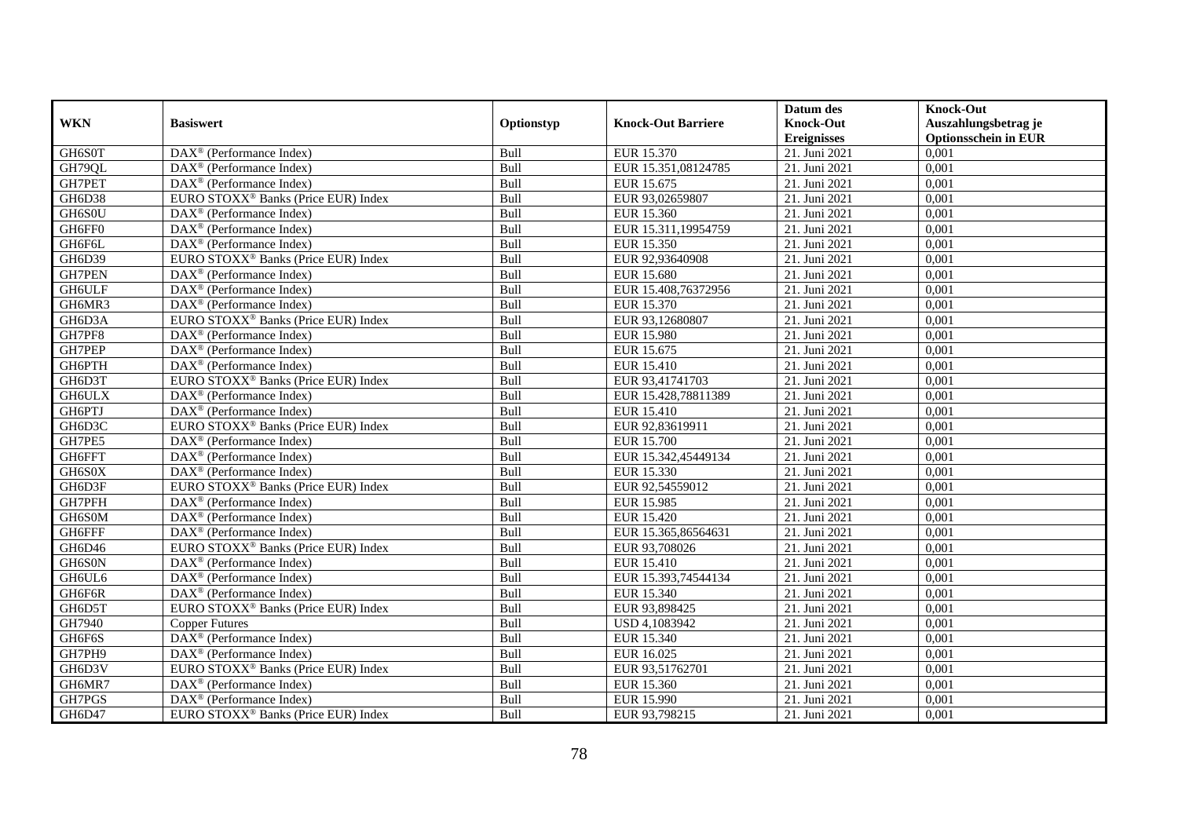|               |                                                         |            |                           | Datum des                           | <b>Knock-Out</b>                     |
|---------------|---------------------------------------------------------|------------|---------------------------|-------------------------------------|--------------------------------------|
| <b>WKN</b>    | <b>Basiswert</b>                                        | Optionstyp | <b>Knock-Out Barriere</b> | <b>Knock-Out</b>                    | Auszahlungsbetrag je                 |
| GH6S0T        | $\overline{\text{DAX}}^{\textcirc}$ (Performance Index) | Bull       | EUR 15.370                | <b>Ereignisses</b><br>21. Juni 2021 | <b>Optionsschein in EUR</b><br>0,001 |
|               |                                                         |            |                           |                                     |                                      |
| GH79QL        | $\text{DAX}^{\textcircled{p}}$ (Performance Index)      | Bull       | EUR 15.351,08124785       | 21. Juni 2021                       | 0,001                                |
| GH7PET        | DAX <sup>®</sup> (Performance Index)                    | Bull       | EUR 15.675                | 21. Juni 2021                       | 0,001                                |
| GH6D38        | EURO STOXX <sup>®</sup> Banks (Price EUR) Index         | Bull       | EUR 93,02659807           | 21. Juni 2021                       | 0,001                                |
| GH6S0U        | $\text{DAX}^{\textcircled{n}}$ (Performance Index)      | Bull       | EUR 15.360                | 21. Juni 2021                       | 0,001                                |
| GH6FF0        | $\text{DAX}^{\textcircled{p}}$ (Performance Index)      | Bull       | EUR 15.311,19954759       | 21. Juni 2021                       | 0,001                                |
| GH6F6L        | $\overline{\text{DAX}}^{\textcirc}$ (Performance Index) | Bull       | EUR 15.350                | 21. Juni 2021                       | 0,001                                |
| GH6D39        | EURO STOXX <sup>®</sup> Banks (Price EUR) Index         | Bull       | EUR 92,93640908           | 21. Juni 2021                       | 0,001                                |
| <b>GH7PEN</b> | $\text{DAX}^{\textcircled{n}}$ (Performance Index)      | Bull       | EUR 15.680                | 21. Juni 2021                       | 0,001                                |
| GH6ULF        | DAX <sup>®</sup> (Performance Index)                    | Bull       | EUR 15.408,76372956       | 21. Juni 2021                       | 0,001                                |
| GH6MR3        | DAX <sup>®</sup> (Performance Index)                    | Bull       | EUR 15.370                | 21. Juni 2021                       | 0,001                                |
| GH6D3A        | EURO STOXX <sup>®</sup> Banks (Price EUR) Index         | Bull       | EUR 93,12680807           | 21. Juni 2021                       | 0,001                                |
| GH7PF8        | $\text{DAX}^{\circledast}$ (Performance Index)          | Bull       | <b>EUR 15.980</b>         | 21. Juni 2021                       | 0,001                                |
| GH7PEP        | DAX <sup>®</sup> (Performance Index)                    | Bull       | EUR 15.675                | 21. Juni 2021                       | 0,001                                |
| GH6PTH        | DAX <sup>®</sup> (Performance Index)                    | Bull       | <b>EUR 15.410</b>         | 21. Juni 2021                       | 0,001                                |
| GH6D3T        | EURO STOXX <sup>®</sup> Banks (Price EUR) Index         | Bull       | EUR 93,41741703           | 21. Juni 2021                       | 0,001                                |
| GH6ULX        | DAX <sup>®</sup> (Performance Index)                    | Bull       | EUR 15.428,78811389       | 21. Juni 2021                       | 0,001                                |
| GH6PTJ        | $\overline{\text{DAX}^{\otimes}}$ (Performance Index)   | Bull       | EUR 15.410                | 21. Juni 2021                       | 0,001                                |
| GH6D3C        | EURO STOXX <sup>®</sup> Banks (Price EUR) Index         | Bull       | EUR 92,83619911           | 21. Juni 2021                       | 0,001                                |
| GH7PE5        | $\text{DAX}^{\textcircled{n}}$ (Performance Index)      | Bull       | <b>EUR 15.700</b>         | 21. Juni 2021                       | 0,001                                |
| GH6FFT        | DAX <sup>®</sup> (Performance Index)                    | Bull       | EUR 15.342,45449134       | 21. Juni $2021$                     | 0,001                                |
| GH6S0X        | $\text{DAX}^{\textcircled{n}}$ (Performance Index)      | Bull       | EUR 15.330                | 21. Juni 2021                       | 0,001                                |
| GH6D3F        | EURO STOXX <sup>®</sup> Banks (Price EUR) Index         | Bull       | EUR 92,54559012           | 21. Juni 2021                       | 0,001                                |
| <b>GH7PFH</b> | $\text{DAX}^{\textcircled{p}}$ (Performance Index)      | Bull       | <b>EUR 15.985</b>         | 21. Juni 2021                       | 0,001                                |
| GH6S0M        | $\text{DAX}^{\textcircled{p}}$ (Performance Index)      | Bull       | EUR 15.420                | 21. Juni 2021                       | 0,001                                |
| <b>GH6FFF</b> | DAX <sup>®</sup> (Performance Index)                    | Bull       | EUR 15.365,86564631       | 21. Juni 2021                       | 0,001                                |
| GH6D46        | EURO STOXX <sup>®</sup> Banks (Price EUR) Index         | Bull       | EUR 93,708026             | 21. Juni 2021                       | 0,001                                |
| GH6S0N        | $\text{DAX}^{\textcircled{p}}$ (Performance Index)      | Bull       | EUR 15.410                | 21. Juni 2021                       | 0,001                                |
| GH6UL6        | $\overline{\text{DAX}^{\otimes}}$ (Performance Index)   | Bull       | EUR 15.393,74544134       | 21. Juni 2021                       | 0,001                                |
| GH6F6R        | $DAX^{\circledR}$ (Performance Index)                   | Bull       | EUR 15.340                | 21. Juni 2021                       | 0.001                                |
| GH6D5T        | EURO STOXX <sup>®</sup> Banks (Price EUR) Index         | Bull       | EUR 93,898425             | 21. Juni 2021                       | 0,001                                |
| GH7940        | <b>Copper Futures</b>                                   | Bull       | USD 4,1083942             | 21. Juni 2021                       | 0,001                                |
| GH6F6S        | DAX <sup>®</sup> (Performance Index)                    | Bull       | EUR 15.340                | 21. Juni 2021                       | 0,001                                |
| GH7PH9        | DAX <sup>®</sup> (Performance Index)                    | Bull       | EUR 16.025                | 21. Juni 2021                       | 0,001                                |
| GH6D3V        | EURO STOXX <sup>®</sup> Banks (Price EUR) Index         | Bull       | EUR 93,51762701           | 21. Juni 2021                       | 0,001                                |
| GH6MR7        | $\text{DAX}^{\textcircled{n}}$ (Performance Index)      | Bull       | EUR 15.360                | 21. Juni 2021                       | 0,001                                |
| GH7PGS        | DAX <sup>®</sup> (Performance Index)                    | Bull       | EUR 15.990                | 21. Juni 2021                       | 0,001                                |
| GH6D47        | EURO STOXX <sup>®</sup> Banks (Price EUR) Index         | Bull       | EUR 93,798215             | 21. Juni 2021                       | 0,001                                |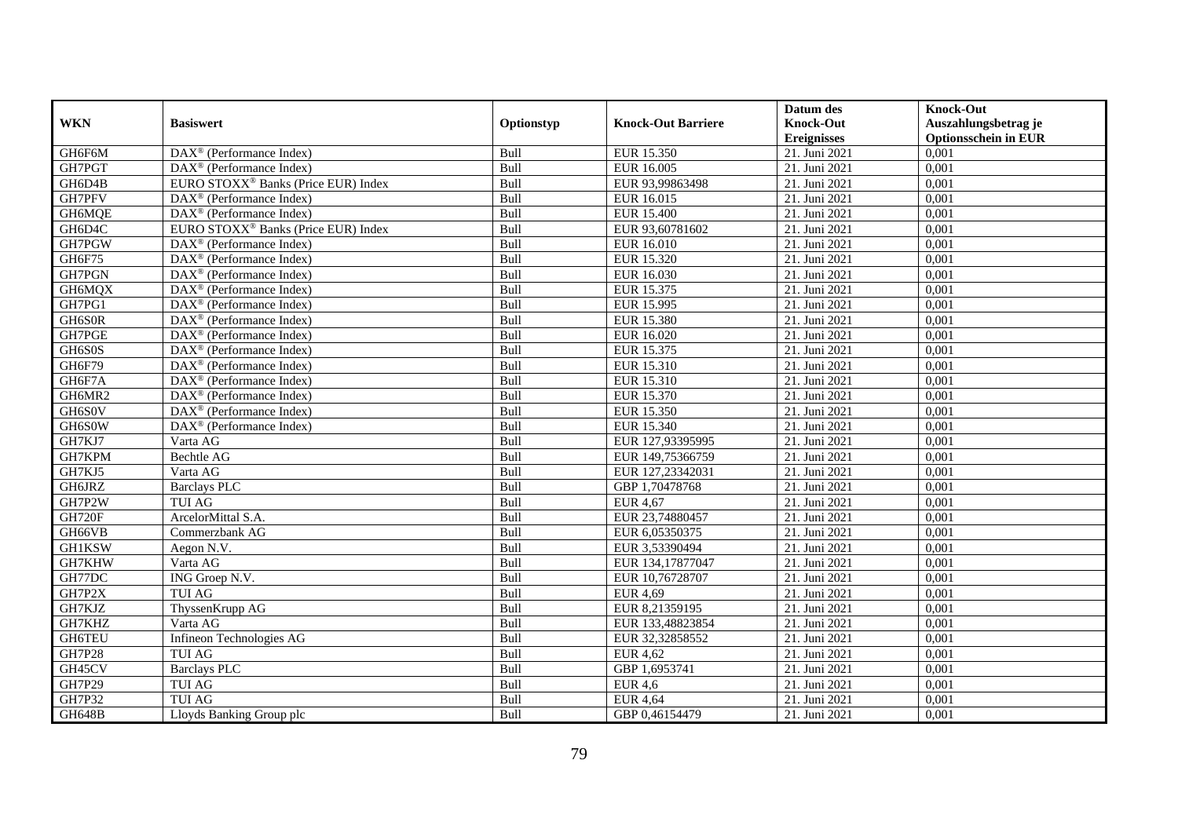|               |                                                         |             |                           | Datum des          | <b>Knock-Out</b>            |
|---------------|---------------------------------------------------------|-------------|---------------------------|--------------------|-----------------------------|
| <b>WKN</b>    | <b>Basiswert</b>                                        | Optionstyp  | <b>Knock-Out Barriere</b> | <b>Knock-Out</b>   | Auszahlungsbetrag je        |
|               |                                                         |             |                           | <b>Ereignisses</b> | <b>Optionsschein in EUR</b> |
| GH6F6M        | DAX <sup>®</sup> (Performance Index)                    | Bull        | EUR 15.350                | 21. Juni 2021      | 0,001                       |
| GH7PGT        | $\overline{\text{DAX}^{\otimes}}$ (Performance Index)   | Bull        | EUR 16.005                | 21. Juni 2021      | 0,001                       |
| GH6D4B        | EURO STOXX <sup>®</sup> Banks (Price EUR) Index         | Bull        | EUR 93,99863498           | 21. Juni 2021      | 0,001                       |
| GH7PFV        | $\text{DAX}^{\textcircled{n}}$ (Performance Index)      | Bull        | EUR 16.015                | 21. Juni 2021      | 0,001                       |
| GH6MQE        | $\overline{\text{DAX}^{\otimes}}$ (Performance Index)   | Bull        | <b>EUR 15.400</b>         | 21. Juni 2021      | 0,001                       |
| GH6D4C        | EURO STOXX <sup>®</sup> Banks (Price EUR) Index         | Bull        | EUR 93,60781602           | 21. Juni 2021      | 0,001                       |
| GH7PGW        | $\text{DAX}^{\textcircled{p}}$ (Performance Index)      | Bull        | EUR 16.010                | 21. Juni 2021      | 0,001                       |
| GH6F75        | $\overline{\text{DAX}}^{\textcirc}$ (Performance Index) | Bull        | EUR 15.320                | 21. Juni 2021      | 0,001                       |
| GH7PGN        | DAX <sup>®</sup> (Performance Index)                    | Bull        | EUR 16.030                | 21. Juni 2021      | 0,001                       |
| GH6MQX        | DAX <sup>®</sup> (Performance Index)                    | Bull        | EUR 15.375                | 21. Juni 2021      | 0,001                       |
| GH7PG1        | $\overline{\text{DAX}^{\otimes}}$ (Performance Index)   | Bull        | EUR 15.995                | 21. Juni 2021      | 0,001                       |
| GH6S0R        | DAX <sup>®</sup> (Performance Index)                    | Bull        | <b>EUR 15.380</b>         | 21. Juni 2021      | 0,001                       |
| GH7PGE        | $\text{DAX}^{\textcircled{n}}$ (Performance Index)      | Bull        | <b>EUR 16.020</b>         | 21. Juni 2021      | 0,001                       |
| GH6S0S        | DAX <sup>®</sup> (Performance Index)                    | <b>Bull</b> | EUR 15.375                | 21. Juni 2021      | 0.001                       |
| GH6F79        | $DAX^{\otimes}$ (Performance Index)                     | Bull        | EUR 15.310                | 21. Juni 2021      | 0,001                       |
| GH6F7A        | DAX <sup>®</sup> (Performance Index)                    | Bull        | EUR 15.310                | 21. Juni 2021      | 0,001                       |
| GH6MR2        | $\overline{\text{DAX}}^{\textcirc}$ (Performance Index) | Bull        | EUR 15.370                | 21. Juni 2021      | 0,001                       |
| GH6S0V        | DAX <sup>®</sup> (Performance Index)                    | Bull        | EUR 15.350                | 21. Juni 2021      | 0,001                       |
| GH6S0W        | $\text{DAX}^{\circledast}$ (Performance Index)          | Bull        | EUR 15.340                | 21. Juni 2021      | 0,001                       |
| GH7KJ7        | Varta AG                                                | Bull        | EUR 127,93395995          | 21. Juni 2021      | 0,001                       |
| GH7KPM        | Bechtle AG                                              | Bull        | EUR 149,75366759          | 21. Juni 2021      | 0,001                       |
| GH7KJ5        | Varta AG                                                | Bull        | EUR 127,23342031          | 21. Juni 2021      | 0,001                       |
| GH6JRZ        | <b>Barclays PLC</b>                                     | Bull        | GBP 1,70478768            | 21. Juni 2021      | 0,001                       |
| GH7P2W        | <b>TUI AG</b>                                           | Bull        | <b>EUR 4,67</b>           | 21. Juni 2021      | 0,001                       |
| <b>GH720F</b> | ArcelorMittal S.A.                                      | Bull        | EUR 23,74880457           | 21. Juni 2021      | 0,001                       |
| GH66VB        | Commerzbank AG                                          | Bull        | EUR 6,05350375            | 21. Juni 2021      | 0,001                       |
| <b>GH1KSW</b> | Aegon N.V.                                              | Bull        | EUR 3,53390494            | 21. Juni 2021      | 0,001                       |
| GH7KHW        | Varta AG                                                | Bull        | EUR 134,17877047          | 21. Juni 2021      | 0,001                       |
| GH77DC        | ING Groep N.V.                                          | Bull        | EUR 10,76728707           | 21. Juni 2021      | 0,001                       |
| GH7P2X        | <b>TUI AG</b>                                           | Bull        | <b>EUR 4,69</b>           | 21. Juni 2021      | 0,001                       |
| GH7KJZ        | ThyssenKrupp AG                                         | Bull        | EUR 8,21359195            | 21. Juni 2021      | 0,001                       |
| GH7KHZ        | Varta AG                                                | Bull        | EUR 133,48823854          | 21. Juni 2021      | 0,001                       |
| <b>GH6TEU</b> | Infineon Technologies AG                                | Bull        | EUR 32,32858552           | 21. Juni 2021      | 0,001                       |
| <b>GH7P28</b> | <b>TUI AG</b>                                           | Bull        | <b>EUR 4,62</b>           | 21. Juni 2021      | 0,001                       |
| GH45CV        | Barclays PLC                                            | Bull        | GBP 1,6953741             | 21. Juni 2021      | 0,001                       |
| GH7P29        | <b>TUI AG</b>                                           | Bull        | <b>EUR 4,6</b>            | 21. Juni 2021      | 0,001                       |
| GH7P32        | <b>TUI AG</b>                                           | Bull        | <b>EUR 4,64</b>           | 21. Juni 2021      | 0,001                       |
| <b>GH648B</b> | Lloyds Banking Group plc                                | Bull        | GBP 0,46154479            | 21. Juni 2021      | 0,001                       |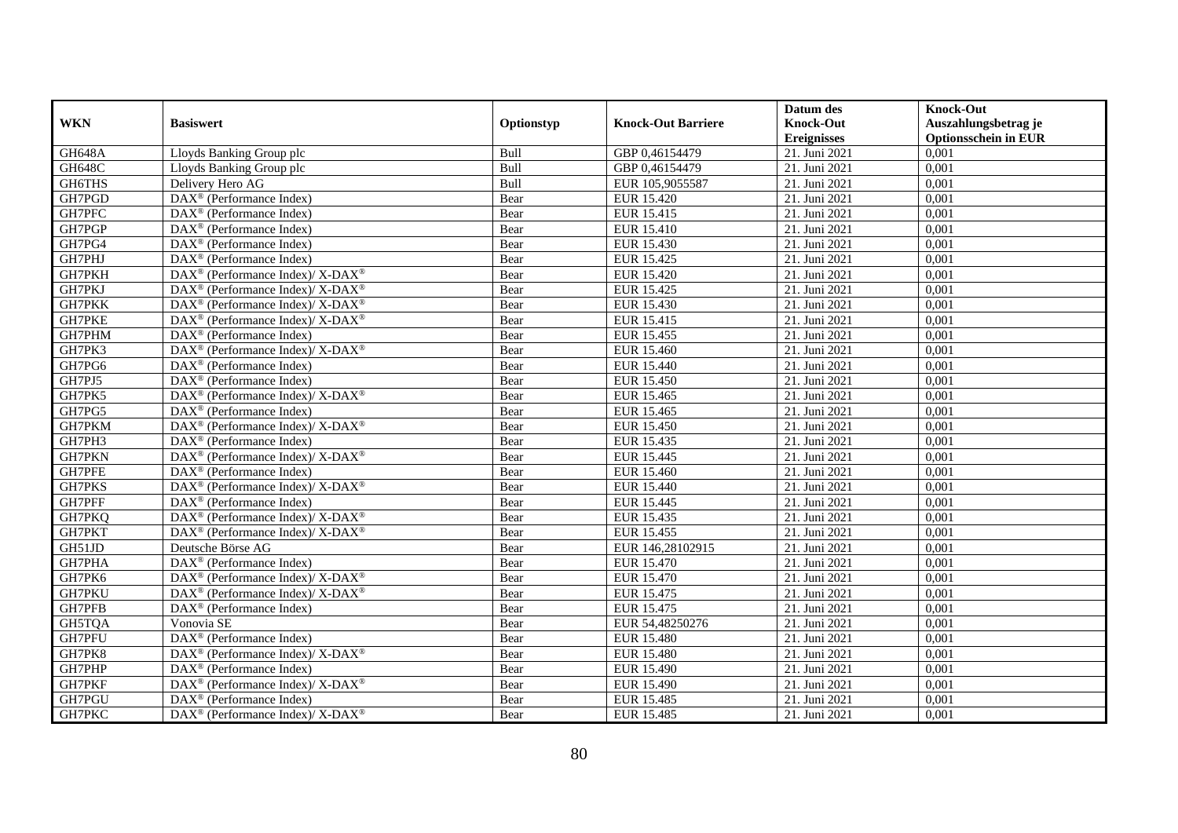|               |                                                                                        |            |                           | Datum des          | <b>Knock-Out</b>            |
|---------------|----------------------------------------------------------------------------------------|------------|---------------------------|--------------------|-----------------------------|
| <b>WKN</b>    | <b>Basiswert</b>                                                                       | Optionstyp | <b>Knock-Out Barriere</b> | <b>Knock-Out</b>   | Auszahlungsbetrag je        |
|               |                                                                                        |            |                           | <b>Ereignisses</b> | <b>Optionsschein in EUR</b> |
| GH648A        | Lloyds Banking Group plc                                                               | Bull       | GBP 0,46154479            | 21. Juni 2021      | 0,001                       |
| <b>GH648C</b> | Lloyds Banking Group plc                                                               | Bull       | GBP 0,46154479            | 21. Juni 2021      | 0,001                       |
| GH6THS        | Delivery Hero AG                                                                       | Bull       | EUR 105,9055587           | 21. Juni 2021      | 0,001                       |
| GH7PGD        | $\text{DAX}^{\textcircled{p}}$ (Performance Index)                                     | Bear       | EUR 15.420                | 21. Juni 2021      | 0,001                       |
| GH7PFC        | $\overline{\text{DAX}^{\otimes}(\text{Performance Index})}$                            | Bear       | EUR 15.415                | 21. Juni 2021      | 0,001                       |
| GH7PGP        | $\text{DAX}^{\textcircled{p}}$ (Performance Index)                                     | Bear       | <b>EUR 15.410</b>         | 21. Juni 2021      | 0,001                       |
| GH7PG4        | $\text{DAX}^{\textcircled{p}}$ (Performance Index)                                     | Bear       | EUR 15.430                | 21. Juni 2021      | 0,001                       |
| GH7PHJ        | DAX <sup>®</sup> (Performance Index)                                                   | Bear       | EUR 15.425                | 21. Juni 2021      | 0,001                       |
| GH7PKH        | DAX <sup>®</sup> (Performance Index)/ X-DAX <sup>®</sup>                               | Bear       | EUR 15.420                | 21. Juni 2021      | 0,001                       |
| GH7PKJ        | DAX <sup>®</sup> (Performance Index)/X-DAX <sup>®</sup>                                | Bear       | <b>EUR 15.425</b>         | 21. Juni 2021      | 0,001                       |
| <b>GH7PKK</b> | $\text{DAX}^{\circledast}$ (Performance Index)/ X-DAX <sup>®</sup>                     | Bear       | EUR 15.430                | 21. Juni 2021      | 0,001                       |
| <b>GH7PKE</b> | DAX <sup>®</sup> (Performance Index)/ X-DAX <sup>®</sup>                               | Bear       | EUR 15.415                | 21. Juni 2021      | 0,001                       |
| GH7PHM        | $\overline{\text{DAX}^{\otimes}}$ (Performance Index)                                  | Bear       | EUR 15.455                | 21. Juni 2021      | 0,001                       |
| GH7PK3        | DAX <sup>®</sup> (Performance Index)/ X-DAX <sup>®</sup>                               | Bear       | EUR 15.460                | 21. Juni 2021      | 0,001                       |
| GH7PG6        | $\text{DAX}^{\otimes}$ (Performance Index)                                             | Bear       | EUR 15.440                | 21. Juni 2021      | 0,001                       |
| GH7PJ5        | $\overline{\text{DAX}^{\otimes}}$ (Performance Index)                                  | Bear       | <b>EUR 15.450</b>         | 21. Juni 2021      | 0,001                       |
| GH7PK5        | DAX <sup>®</sup> (Performance Index)/X-DAX <sup>®</sup>                                | Bear       | EUR 15.465                | 21. Juni 2021      | 0,001                       |
| GH7PG5        | $DAX^{\circledR}$ (Performance Index)                                                  | Bear       | EUR 15.465                | 21. Juni 2021      | 0,001                       |
| <b>GH7PKM</b> | DAX <sup>®</sup> (Performance Index)/ X-DAX <sup>®</sup>                               | Bear       | <b>EUR 15.450</b>         | 21. Juni 2021      | 0,001                       |
| GH7PH3        | $\overline{\text{DAX}^{\otimes}}$ (Performance Index)                                  | Bear       | EUR 15.435                | 21. Juni 2021      | 0,001                       |
| <b>GH7PKN</b> | $\text{DAX}^{\circledR}$ (Performance Index)/ X-DAX <sup>®</sup>                       | Bear       | EUR 15.445                | 21. Juni 2021      | 0,001                       |
| <b>GH7PFE</b> | $\overline{\text{DAX}^{\otimes}}$ (Performance Index)                                  | Bear       | EUR 15.460                | 21. Juni 2021      | 0,001                       |
| GH7PKS        | DAX <sup>®</sup> (Performance Index)/ X-DAX <sup>®</sup>                               | Bear       | EUR 15.440                | 21. Juni 2021      | 0,001                       |
| GH7PFF        | DAX <sup>®</sup> (Performance Index)                                                   | Bear       | EUR 15.445                | 21. Juni 2021      | 0,001                       |
| GH7PKQ        | $DAX^{\circledcirc}$ (Performance Index)/ X-DAX <sup>®</sup>                           | Bear       | EUR 15.435                | 21. Juni 2021      | 0.001                       |
| GH7PKT        | DAX <sup>®</sup> (Performance Index)/ X-DAX <sup>®</sup>                               | Bear       | EUR 15.455                | 21. Juni 2021      | 0,001                       |
| GH51JD        | Deutsche Börse AG                                                                      | Bear       | EUR 146,28102915          | 21. Juni 2021      | 0,001                       |
| GH7PHA        | $\overline{\text{DAX}^{\otimes}}$ (Performance Index)                                  | Bear       | EUR 15.470                | 21. Juni 2021      | 0,001                       |
| GH7PK6        | DAX <sup>®</sup> (Performance Index)/ X-DAX <sup>®</sup>                               | Bear       | EUR 15.470                | 21. Juni 2021      | 0,001                       |
| GH7PKU        | DAX <sup>®</sup> (Performance Index)/X-DAX <sup>®</sup>                                | Bear       | EUR 15.475                | 21. Juni 2021      | 0,001                       |
| GH7PFB        | DAX <sup>®</sup> (Performance Index)                                                   | Bear       | EUR 15.475                | 21. Juni 2021      | 0,001                       |
| GH5TQA        | Vonovia SE                                                                             | Bear       | EUR 54,48250276           | 21. Juni 2021      | 0,001                       |
| <b>GH7PFU</b> | DAX <sup>®</sup> (Performance Index)                                                   | Bear       | <b>EUR 15.480</b>         | 21. Juni 2021      | 0,001                       |
| GH7PK8        | DAX <sup>®</sup> (Performance Index)/X-DAX <sup>®</sup>                                | Bear       | <b>EUR 15.480</b>         | 21. Juni 2021      | 0,001                       |
| GH7PHP        | DAX <sup>®</sup> (Performance Index)                                                   | Bear       | <b>EUR 15.490</b>         | 21. Juni 2021      | 0,001                       |
| GH7PKF        | $\text{DAX}^{\otimes}$ (Performance Index)/X-DAX <sup>®</sup>                          | Bear       | <b>EUR 15.490</b>         | 21. Juni 2021      | 0,001                       |
| GH7PGU        | $\text{DAX}^{\circledast}$ (Performance Index)                                         | Bear       | EUR 15.485                | 21. Juni 2021      | 0,001                       |
| GH7PKC        | $\overline{\text{DAX}^{\textcircled{\tiny 0}}}$ (Performance Index)/X-DAX <sup>®</sup> | Bear       | EUR 15.485                | 21. Juni 2021      | 0,001                       |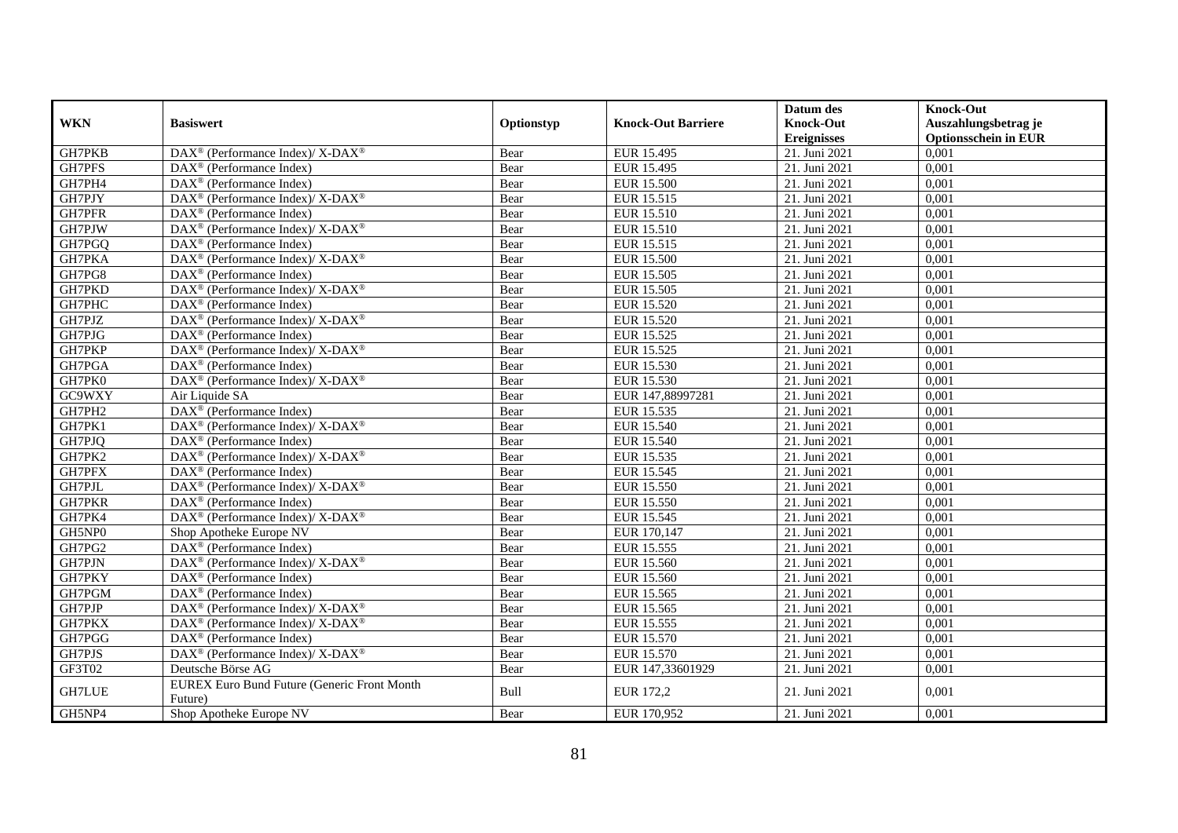|               |                                                                                         |            |                           | Datum des          | <b>Knock-Out</b>            |
|---------------|-----------------------------------------------------------------------------------------|------------|---------------------------|--------------------|-----------------------------|
| <b>WKN</b>    | <b>Basiswert</b>                                                                        | Optionstyp | <b>Knock-Out Barriere</b> | <b>Knock-Out</b>   | Auszahlungsbetrag je        |
|               |                                                                                         |            |                           | <b>Ereignisses</b> | <b>Optionsschein in EUR</b> |
| GH7PKB        | DAX <sup>®</sup> (Performance Index)/ X-DAX <sup>®</sup>                                | Bear       | EUR 15.495                | 21. Juni 2021      | 0,001                       |
| GH7PFS        | $\text{DAX}^{\textcircled{}}$ (Performance Index)                                       | Bear       | EUR 15.495                | 21. Juni 2021      | 0,001                       |
| GH7PH4        | DAX <sup>®</sup> (Performance Index)                                                    | Bear       | <b>EUR 15.500</b>         | 21. Juni 2021      | 0,001                       |
| GH7PJY        | $DAX^{\circledast}$ (Performance Index)/ $\overline{X-DAX^{\circledast}}$               | Bear       | EUR 15.515                | 21. Juni 2021      | 0,001                       |
| GH7PFR        | DAX <sup>®</sup> (Performance Index)                                                    | Bear       | EUR 15.510                | 21. Juni 2021      | 0,001                       |
| GH7PJW        | DAX <sup>®</sup> (Performance Index)/X-DAX <sup>®</sup>                                 | Bear       | EUR 15.510                | 21. Juni 2021      | 0,001                       |
| GH7PGQ        | $DAX^{\circledast}$ (Performance Index)                                                 | Bear       | EUR 15.515                | 21. Juni 2021      | 0,001                       |
| GH7PKA        | DAX <sup>®</sup> (Performance Index)/ X-DAX <sup>®</sup>                                | Bear       | <b>EUR 15.500</b>         | 21. Juni 2021      | 0,001                       |
| GH7PG8        | $DAX^{\circledR}$ (Performance Index)                                                   | Bear       | EUR 15.505                | 21. Juni 2021      | 0,001                       |
| GH7PKD        | DAX <sup>®</sup> (Performance Index)/X-DAX <sup>®</sup>                                 | Bear       | <b>EUR 15.505</b>         | 21. Juni 2021      | 0,001                       |
| GH7PHC        | $\overline{\text{DAX}}^{\textcirc}$ (Performance Index)                                 | Bear       | <b>EUR 15.520</b>         | 21. Juni 2021      | 0,001                       |
| GH7PJZ        | DAX <sup>®</sup> (Performance Index)/ X-DAX <sup>®</sup>                                | Bear       | <b>EUR 15.520</b>         | 21. Juni 2021      | 0,001                       |
| GH7PJG        | $DAX^{\circledast}$ (Performance Index)                                                 | Bear       | EUR 15.525                | 21. Juni 2021      | 0,001                       |
| GH7PKP        | $\text{DAX}^{\circledR}$ (Performance Index)/ X-DAX <sup>®</sup>                        | Bear       | EUR 15.525                | 21. Juni 2021      | 0,001                       |
| GH7PGA        | $DAX^{\circledcirc}$ (Performance Index)                                                | Bear       | EUR 15.530                | 21. Juni 2021      | 0,001                       |
| GH7PK0        | $DAX^{\circledast}$ (Performance Index)/ $\overline{X-DAX^{\circledast}}$               | Bear       | <b>EUR 15.530</b>         | 21. Juni 2021      | 0,001                       |
| GC9WXY        | Air Liquide SA                                                                          | Bear       | EUR 147,88997281          | 21. Juni 2021      | 0,001                       |
| GH7PH2        | DAX <sup>®</sup> (Performance Index)                                                    | Bear       | EUR 15.535                | 21. Juni 2021      | 0,001                       |
| GH7PK1        | DAX <sup>®</sup> (Performance Index)/ X-DAX <sup>®</sup>                                | Bear       | EUR 15.540                | 21. Juni 2021      | 0,001                       |
| GH7PJQ        | $\text{DAX}^{\textcircled{}}$ (Performance Index)                                       | Bear       | EUR 15.540                | 21. Juni 2021      | 0,001                       |
| GH7PK2        | $\text{DAX}^{\circledast}$ (Performance Index)/ $\overline{\text{X-DAX}^{\circledast}}$ | Bear       | EUR 15.535                | 21. Juni 2021      | 0,001                       |
| GH7PFX        | $\overline{\text{DAX}}^{\textcirc}$ (Performance Index)                                 | Bear       | EUR 15.545                | 21. Juni 2021      | 0,001                       |
| GH7PJL        | DAX <sup>®</sup> (Performance Index)/ X-DAX <sup>®</sup>                                | Bear       | <b>EUR 15.550</b>         | 21. Juni 2021      | 0,001                       |
| GH7PKR        | $DAX^{\circledast}$ (Performance Index)                                                 | Bear       | <b>EUR 15.550</b>         | 21. Juni 2021      | 0,001                       |
| GH7PK4        | DAX <sup>®</sup> (Performance Index)/X-DAX <sup>®</sup>                                 | Bear       | EUR 15.545                | 21. Juni 2021      | 0,001                       |
| GH5NP0        | Shop Apotheke Europe NV                                                                 | Bear       | EUR 170,147               | 21. Juni 2021      | 0,001                       |
| GH7PG2        | $DAX^{\circledcirc}$ (Performance Index)                                                | Bear       | EUR 15.555                | 21. Juni 2021      | 0,001                       |
| GH7PJN        | $DAX^{\circledast}$ (Performance Index)/ $\overline{X-DAX^{\circledast}}$               | Bear       | EUR 15.560                | 21. Juni 2021      | 0,001                       |
| GH7PKY        | $\overline{\text{DAX}^{\otimes}}$ (Performance Index)                                   | Bear       | EUR 15.560                | 21. Juni 2021      | 0,001                       |
| GH7PGM        | $DAX^{\circledast}$ (Performance Index)                                                 | Bear       | EUR 15.565                | 21. Juni 2021      | 0,001                       |
| GH7PJP        | DAX <sup>®</sup> (Performance Index)/ X-DAX <sup>®</sup>                                | Bear       | EUR 15.565                | 21. Juni 2021      | 0,001                       |
| GH7PKX        | DAX <sup>®</sup> (Performance Index)/ X-DAX <sup>®</sup>                                | Bear       | EUR 15.555                | 21. Juni 2021      | 0,001                       |
| GH7PGG        | $\text{DAX}^{\otimes}$ (Performance Index)                                              | Bear       | EUR 15.570                | 21. Juni 2021      | 0,001                       |
| GH7PJS        | DAX <sup>®</sup> (Performance Index)/X-DAX <sup>®</sup>                                 | Bear       | EUR 15.570                | 21. Juni 2021      | 0,001                       |
| GF3T02        | Deutsche Börse AG                                                                       | Bear       | EUR 147,33601929          | 21. Juni 2021      | 0,001                       |
| <b>GH7LUE</b> | EUREX Euro Bund Future (Generic Front Month<br>Future)                                  | Bull       | <b>EUR 172,2</b>          | 21. Juni 2021      | 0,001                       |
| GH5NP4        | Shop Apotheke Europe NV                                                                 | Bear       | EUR 170,952               | 21. Juni 2021      | 0,001                       |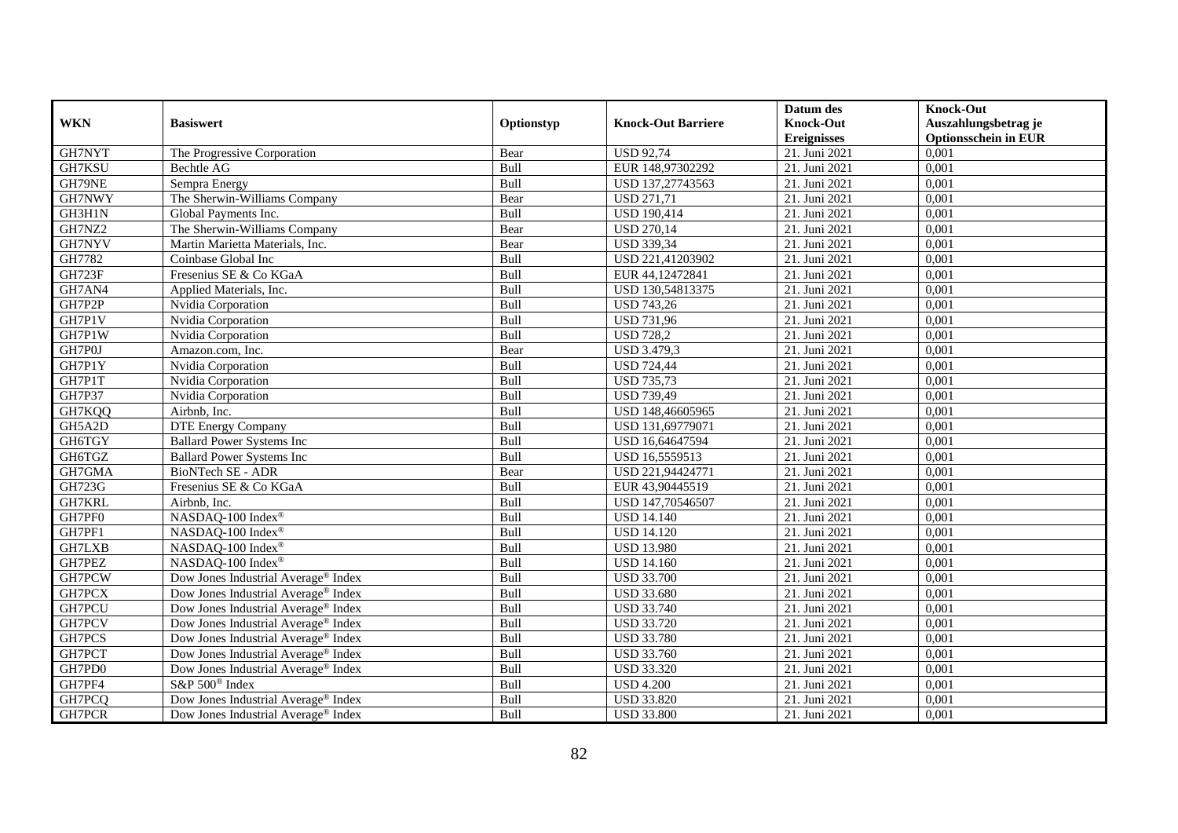|               |                                                 |             |                           | Datum des          | <b>Knock-Out</b>            |
|---------------|-------------------------------------------------|-------------|---------------------------|--------------------|-----------------------------|
| <b>WKN</b>    | <b>Basiswert</b>                                | Optionstyp  | <b>Knock-Out Barriere</b> | <b>Knock-Out</b>   | Auszahlungsbetrag je        |
|               |                                                 |             |                           | <b>Ereignisses</b> | <b>Optionsschein in EUR</b> |
| GH7NYT        | The Progressive Corporation                     | Bear        | <b>USD 92,74</b>          | 21. Juni 2021      | 0,001                       |
| GH7KSU        | Bechtle AG                                      | Bull        | EUR 148,97302292          | 21. Juni 2021      | 0,001                       |
| GH79NE        | Sempra Energy                                   | Bull        | USD 137,27743563          | 21. Juni 2021      | 0,001                       |
| GH7NWY        | The Sherwin-Williams Company                    | Bear        | <b>USD 271,71</b>         | 21. Juni 2021      | 0,001                       |
| GH3H1N        | Global Payments Inc.                            | Bull        | <b>USD 190,414</b>        | 21. Juni $2021$    | 0,001                       |
| GH7NZ2        | The Sherwin-Williams Company                    | Bear        | <b>USD 270,14</b>         | 21. Juni 2021      | 0,001                       |
| GH7NYV        | Martin Marietta Materials, Inc.                 | Bear        | <b>USD 339,34</b>         | 21. Juni 2021      | 0,001                       |
| GH7782        | Coinbase Global Inc                             | Bull        | USD 221,41203902          | 21. Juni 2021      | 0,001                       |
| <b>GH723F</b> | Fresenius SE & Co KGaA                          | Bull        | EUR 44,12472841           | 21. Juni 2021      | 0,001                       |
| GH7AN4        | Applied Materials, Inc.                         | Bull        | USD 130,54813375          | 21. Juni 2021      | 0,001                       |
| GH7P2P        | Nvidia Corporation                              | Bull        | <b>USD 743,26</b>         | 21. Juni 2021      | 0,001                       |
| GH7P1V        | Nvidia Corporation                              | Bull        | <b>USD 731,96</b>         | 21. Juni 2021      | 0,001                       |
| GH7P1W        | Nvidia Corporation                              | Bull        | <b>USD 728,2</b>          | 21. Juni 2021      | 0,001                       |
| GH7P0J        | Amazon.com. Inc.                                | Bear        | <b>USD 3.479,3</b>        | 21. Juni 2021      | 0,001                       |
| GH7P1Y        | Nvidia Corporation                              | Bull        | <b>USD 724,44</b>         | 21. Juni 2021      | 0,001                       |
| GH7P1T        | Nvidia Corporation                              | Bull        | <b>USD 735,73</b>         | 21. Juni 2021      | 0,001                       |
| <b>GH7P37</b> | Nvidia Corporation                              | Bull        | <b>USD 739,49</b>         | 21. Juni 2021      | 0,001                       |
| GH7KQQ        | Airbnb. Inc.                                    | Bull        | USD 148,46605965          | 21. Juni 2021      | 0,001                       |
| GH5A2D        | <b>DTE Energy Company</b>                       | Bull        | USD 131,69779071          | 21. Juni 2021      | 0,001                       |
| GH6TGY        | <b>Ballard Power Systems Inc</b>                | Bull        | USD 16,64647594           | 21. Juni 2021      | 0,001                       |
| GH6TGZ        | <b>Ballard Power Systems Inc</b>                | Bull        | USD 16,5559513            | 21. Juni 2021      | 0,001                       |
| GH7GMA        | <b>BioNTech SE - ADR</b>                        | Bear        | USD 221,94424771          | 21. Juni 2021      | 0,001                       |
| GH723G        | Fresenius SE & Co KGaA                          | Bull        | EUR 43,90445519           | 21. Juni 2021      | 0,001                       |
| GH7KRL        | Airbnb, Inc.                                    | Bull        | USD 147,70546507          | 21. Juni 2021      | 0,001                       |
| GH7PF0        | NASDAQ-100 Index®                               | <b>Bull</b> | <b>USD 14.140</b>         | 21. Juni 2021      | 0.001                       |
| GH7PF1        | NASDAQ-100 Index®                               | Bull        | <b>USD 14.120</b>         | 21. Juni 2021      | 0,001                       |
| GH7LXB        | NASDAQ-100 Index®                               | Bull        | <b>USD 13.980</b>         | 21. Juni 2021      | 0,001                       |
| GH7PEZ        | NASDAQ-100 Index®                               | Bull        | <b>USD 14.160</b>         | 21. Juni 2021      | 0,001                       |
| GH7PCW        | Dow Jones Industrial Average® Index             | Bull        | <b>USD 33.700</b>         | 21. Juni 2021      | 0,001                       |
| GH7PCX        | Dow Jones Industrial Average <sup>®</sup> Index | Bull        | <b>USD 33.680</b>         | 21. Juni 2021      | 0,001                       |
| GH7PCU        | Dow Jones Industrial Average <sup>®</sup> Index | Bull        | <b>USD 33.740</b>         | 21. Juni 2021      | 0,001                       |
| GH7PCV        | Dow Jones Industrial Average <sup>®</sup> Index | Bull        | <b>USD 33.720</b>         | 21. Juni 2021      | 0,001                       |
| GH7PCS        | Dow Jones Industrial Average® Index             | Bull        | <b>USD 33.780</b>         | 21. Juni 2021      | 0,001                       |
| GH7PCT        | Dow Jones Industrial Average® Index             | Bull        | <b>USD 33.760</b>         | 21. Juni 2021      | 0,001                       |
| GH7PD0        | Dow Jones Industrial Average <sup>®</sup> Index | Bull        | <b>USD 33.320</b>         | 21. Juni 2021      | 0,001                       |
| GH7PF4        | S&P 500 <sup>®</sup> Index                      | Bull        | <b>USD 4.200</b>          | 21. Juni 2021      | 0,001                       |
| GH7PCQ        | Dow Jones Industrial Average <sup>®</sup> Index | Bull        | <b>USD 33.820</b>         | 21. Juni 2021      | 0,001                       |
| GH7PCR        | Dow Jones Industrial Average <sup>®</sup> Index | Bull        | <b>USD 33.800</b>         | 21. Juni 2021      | 0,001                       |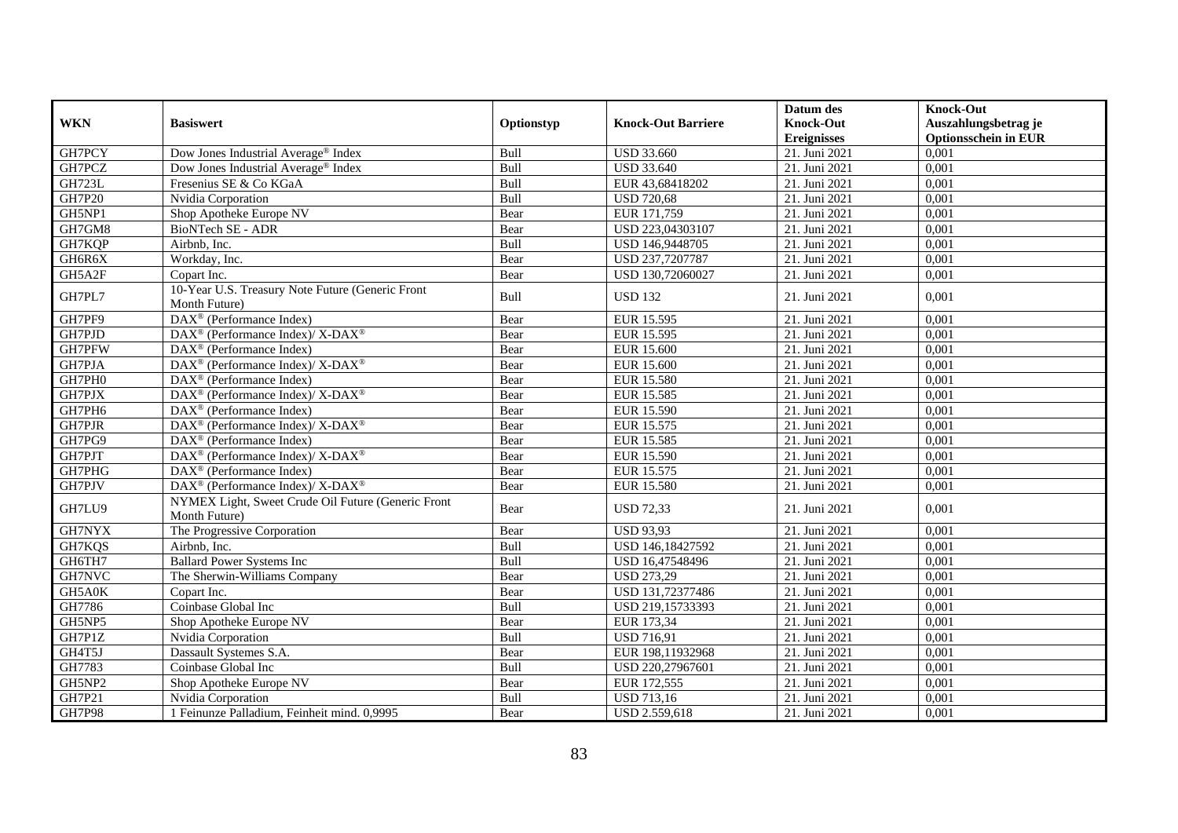|               |                                                                                                 |            |                           | Datum des          | <b>Knock-Out</b>            |
|---------------|-------------------------------------------------------------------------------------------------|------------|---------------------------|--------------------|-----------------------------|
| <b>WKN</b>    | <b>Basiswert</b>                                                                                | Optionstyp | <b>Knock-Out Barriere</b> | <b>Knock-Out</b>   | Auszahlungsbetrag je        |
|               |                                                                                                 |            |                           | <b>Ereignisses</b> | <b>Optionsschein in EUR</b> |
| GH7PCY        | Dow Jones Industrial Average® Index                                                             | Bull       | <b>USD 33.660</b>         | 21. Juni 2021      | 0,001                       |
| GH7PCZ        | Dow Jones Industrial Average® Index                                                             | Bull       | <b>USD 33.640</b>         | 21. Juni 2021      | 0,001                       |
| <b>GH723L</b> | Fresenius SE & Co KGaA                                                                          | Bull       | EUR 43,68418202           | 21. Juni 2021      | 0,001                       |
| GH7P20        | Nvidia Corporation                                                                              | Bull       | <b>USD 720,68</b>         | 21. Juni 2021      | 0,001                       |
| GH5NP1        | Shop Apotheke Europe NV                                                                         | Bear       | EUR 171,759               | 21. Juni 2021      | 0,001                       |
| GH7GM8        | <b>BioNTech SE - ADR</b>                                                                        | Bear       | USD 223,04303107          | 21. Juni 2021      | 0,001                       |
| GH7KQP        | Airbnb, Inc.                                                                                    | Bull       | USD 146,9448705           | 21. Juni 2021      | 0,001                       |
| GH6R6X        | Workday, Inc.                                                                                   | Bear       | USD 237,7207787           | 21. Juni 2021      | 0,001                       |
| GH5A2F        | Copart Inc.                                                                                     | Bear       | USD 130,72060027          | 21. Juni 2021      | 0,001                       |
| GH7PL7        | 10-Year U.S. Treasury Note Future (Generic Front<br>Month Future)                               | Bull       | <b>USD 132</b>            | 21. Juni 2021      | 0,001                       |
| GH7PF9        | $\overline{\text{DAX}^{\textcircled{a}}}$ (Performance Index)                                   | Bear       | EUR 15.595                | 21. Juni 2021      | 0,001                       |
| GH7PJD        | DAX <sup>®</sup> (Performance Index)/X-DAX <sup>®</sup>                                         | Bear       | EUR 15.595                | 21. Juni 2021      | 0,001                       |
| GH7PFW        | $DAX^{\circledR}$ (Performance Index)                                                           | Bear       | EUR 15.600                | 21. Juni 2021      | 0.001                       |
| GH7PJA        | DAX <sup>®</sup> (Performance Index)/ X-DAX <sup>®</sup>                                        | Bear       | EUR 15.600                | 21. Juni 2021      | 0,001                       |
| GH7PH0        | DAX <sup>®</sup> (Performance Index)                                                            | Bear       | <b>EUR 15.580</b>         | 21. Juni 2021      | 0,001                       |
| GH7PJX        | DAX <sup>®</sup> (Performance Index)/ X-DAX <sup>®</sup>                                        | Bear       | EUR 15.585                | 21. Juni 2021      | 0,001                       |
| GH7PH6        | $\text{DAX}^{\textcircled{p}}$ (Performance Index)                                              | Bear       | EUR 15.590                | 21. Juni 2021      | 0,001                       |
| <b>GH7PJR</b> | $\text{DAX}^{\textcircled{p}}$ (Performance Index)/ $\overline{\text{X-DAX}^{\textcircled{p}}}$ | Bear       | EUR 15.575                | 21. Juni 2021      | 0,001                       |
| GH7PG9        | $\overline{\text{DAX}^{\otimes}}$ (Performance Index)                                           | Bear       | EUR 15.585                | 21. Juni 2021      | 0,001                       |
| GH7PJT        | $\overline{\text{DAX}^{\otimes}}$ (Performance Index)/X-DAX <sup>®</sup>                        | Bear       | EUR 15.590                | 21. Juni 2021      | 0,001                       |
| GH7PHG        | $\text{DAX}^{\textcircled{p}}$ (Performance Index)                                              | Bear       | EUR 15.575                | 21. Juni 2021      | 0,001                       |
| GH7PJV        | DAX <sup>®</sup> (Performance Index)/X-DAX <sup>®</sup>                                         | Bear       | <b>EUR 15.580</b>         | 21. Juni 2021      | 0,001                       |
| GH7LU9        | NYMEX Light, Sweet Crude Oil Future (Generic Front<br>Month Future)                             | Bear       | <b>USD 72,33</b>          | 21. Juni 2021      | 0,001                       |
| GH7NYX        | The Progressive Corporation                                                                     | Bear       | <b>USD 93,93</b>          | 21. Juni 2021      | 0,001                       |
| GH7KQS        | Airbnb, Inc.                                                                                    | Bull       | USD 146,18427592          | 21. Juni 2021      | 0,001                       |
| GH6TH7        | <b>Ballard Power Systems Inc</b>                                                                | Bull       | USD 16,47548496           | 21. Juni 2021      | 0,001                       |
| GH7NVC        | The Sherwin-Williams Company                                                                    | Bear       | <b>USD 273,29</b>         | 21. Juni 2021      | 0,001                       |
| GH5A0K        | Copart Inc.                                                                                     | Bear       | USD 131,72377486          | 21. Juni 2021      | 0,001                       |
| GH7786        | Coinbase Global Inc                                                                             | Bull       | USD 219,15733393          | 21. Juni 2021      | 0,001                       |
| GH5NP5        | Shop Apotheke Europe NV                                                                         | Bear       | EUR 173,34                | 21. Juni 2021      | 0,001                       |
| GH7P1Z        | Nvidia Corporation                                                                              | Bull       | <b>USD 716,91</b>         | 21. Juni 2021      | 0,001                       |
| GH4T5J        | Dassault Systemes S.A.                                                                          | Bear       | EUR 198,11932968          | 21. Juni 2021      | 0,001                       |
| GH7783        | Coinbase Global Inc                                                                             | Bull       | USD 220,27967601          | 21. Juni 2021      | 0,001                       |
| GH5NP2        | Shop Apotheke Europe NV                                                                         | Bear       | EUR 172,555               | 21. Juni 2021      | 0,001                       |
| GH7P21        | Nvidia Corporation                                                                              | Bull       | <b>USD 713,16</b>         | 21. Juni 2021      | 0,001                       |
| <b>GH7P98</b> | 1 Feinunze Palladium, Feinheit mind. 0,9995                                                     | Bear       | USD 2.559,618             | 21. Juni 2021      | 0,001                       |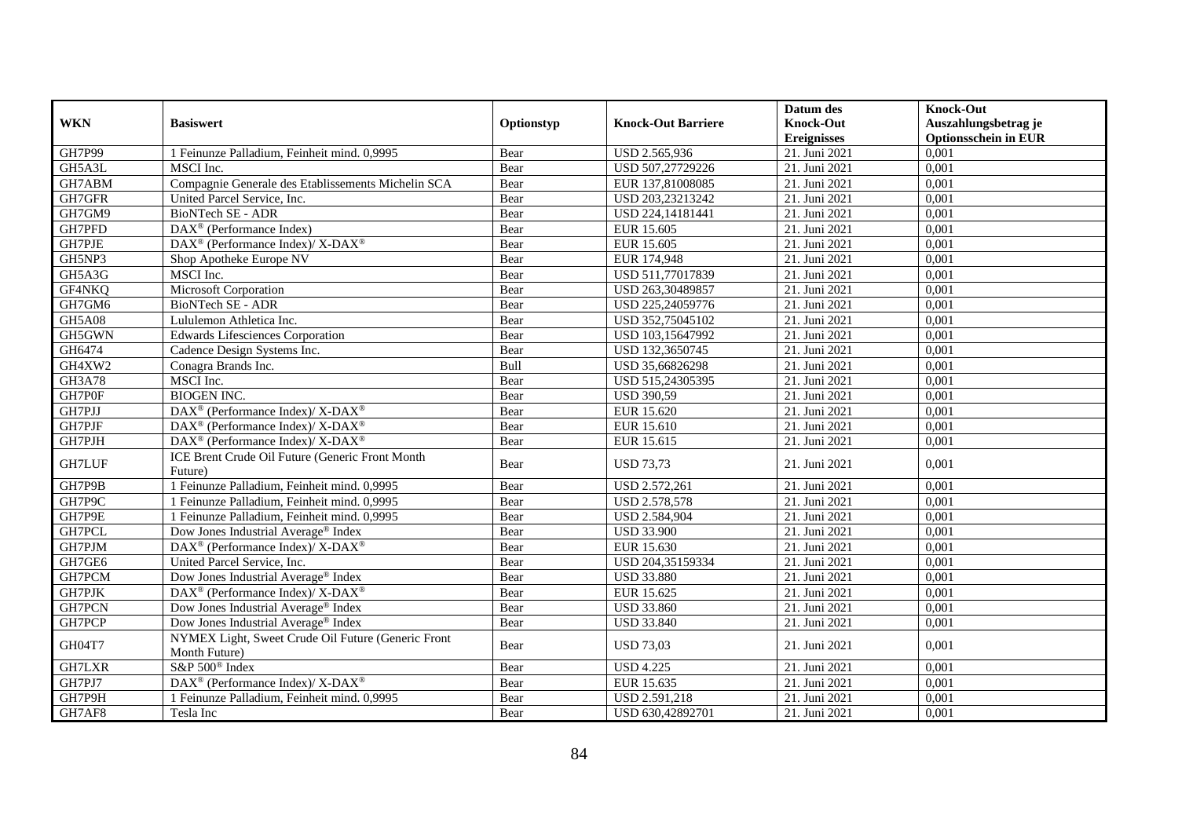| <b>WKN</b>    | <b>Basiswert</b>                                                    | Optionstyp | <b>Knock-Out Barriere</b> | Datum des<br><b>Knock-Out</b><br><b>Ereignisses</b> | <b>Knock-Out</b><br>Auszahlungsbetrag je<br><b>Optionsschein in EUR</b> |
|---------------|---------------------------------------------------------------------|------------|---------------------------|-----------------------------------------------------|-------------------------------------------------------------------------|
| <b>GH7P99</b> | 1 Feinunze Palladium, Feinheit mind. 0,9995                         | Bear       | USD 2.565,936             | 21. Juni 2021                                       | 0,001                                                                   |
| GH5A3L        | MSCI Inc.                                                           | Bear       | USD 507,27729226          | 21. Juni 2021                                       | 0,001                                                                   |
| GH7ABM        | Compagnie Generale des Etablissements Michelin SCA                  | Bear       | EUR 137,81008085          | 21. Juni 2021                                       | 0,001                                                                   |
| GH7GFR        | United Parcel Service, Inc.                                         | Bear       | USD 203,23213242          | 21. Juni 2021                                       | 0,001                                                                   |
| GH7GM9        | <b>BioNTech SE - ADR</b>                                            | Bear       | USD 224,14181441          | 21. Juni 2021                                       | 0,001                                                                   |
| GH7PFD        | DAX <sup>®</sup> (Performance Index)                                | Bear       | EUR 15.605                | 21. Juni 2021                                       | 0,001                                                                   |
| GH7PJE        | DAX <sup>®</sup> (Performance Index)/ X-DAX <sup>®</sup>            | Bear       | EUR 15.605                | 21. Juni 2021                                       | 0,001                                                                   |
| GH5NP3        | Shop Apotheke Europe NV                                             | Bear       | EUR 174,948               | 21. Juni 2021                                       | 0,001                                                                   |
| GH5A3G        | MSCI Inc.                                                           | Bear       | USD 511,77017839          | 21. Juni 2021                                       | 0.001                                                                   |
| GF4NKQ        | <b>Microsoft Corporation</b>                                        | Bear       | USD 263,30489857          | 21. Juni 2021                                       | 0,001                                                                   |
| GH7GM6        | <b>BioNTech SE - ADR</b>                                            | Bear       | USD 225,24059776          | 21. Juni 2021                                       | 0,001                                                                   |
| <b>GH5A08</b> | Lululemon Athletica Inc.                                            | Bear       | USD 352,75045102          | 21. Juni 2021                                       | 0,001                                                                   |
| GH5GWN        | <b>Edwards Lifesciences Corporation</b>                             | Bear       | USD 103,15647992          | 21. Juni 2021                                       | 0,001                                                                   |
| GH6474        | Cadence Design Systems Inc.                                         | Bear       | USD 132,3650745           | 21. Juni 2021                                       | 0,001                                                                   |
| GH4XW2        | Conagra Brands Inc.                                                 | Bull       | USD 35,66826298           | 21. Juni 2021                                       | 0,001                                                                   |
| <b>GH3A78</b> | MSCI Inc.                                                           | Bear       | USD 515,24305395          | 21. Juni 2021                                       | 0,001                                                                   |
| GH7P0F        | <b>BIOGEN INC.</b>                                                  | Bear       | <b>USD 390,59</b>         | 21. Juni 2021                                       | 0,001                                                                   |
| GH7PJJ        | DAX <sup>®</sup> (Performance Index)/ X-DAX <sup>®</sup>            | Bear       | EUR 15.620                | 21. Juni 2021                                       | 0,001                                                                   |
| GH7PJF        | DAX <sup>®</sup> (Performance Index)/ X-DAX <sup>®</sup>            | Bear       | EUR 15.610                | 21. Juni 2021                                       | 0,001                                                                   |
| GH7PJH        | $DAX^{\circledast}$ (Performance Index)/ X-DAX <sup>®</sup>         | Bear       | EUR 15.615                | 21. Juni 2021                                       | 0,001                                                                   |
| <b>GH7LUF</b> | ICE Brent Crude Oil Future (Generic Front Month<br>Future)          | Bear       | <b>USD 73,73</b>          | 21. Juni 2021                                       | 0,001                                                                   |
| GH7P9B        | 1 Feinunze Palladium, Feinheit mind. 0,9995                         | Bear       | USD 2.572,261             | 21. Juni 2021                                       | 0,001                                                                   |
| GH7P9C        | 1 Feinunze Palladium, Feinheit mind. 0,9995                         | Bear       | <b>USD 2.578,578</b>      | 21. Juni 2021                                       | 0,001                                                                   |
| GH7P9E        | 1 Feinunze Palladium, Feinheit mind. 0,9995                         | Bear       | <b>USD 2.584,904</b>      | 21. Juni 2021                                       | 0,001                                                                   |
| GH7PCL        | Dow Jones Industrial Average <sup>®</sup> Index                     | Bear       | <b>USD 33.900</b>         | 21. Juni 2021                                       | 0,001                                                                   |
| GH7PJM        | $DAX^{\circledast}$ (Performance Index)/X-DAX <sup>®</sup>          | Bear       | EUR 15.630                | 21. Juni 2021                                       | 0.001                                                                   |
| GH7GE6        | United Parcel Service, Inc.                                         | Bear       | USD 204,35159334          | 21. Juni 2021                                       | 0,001                                                                   |
| GH7PCM        | Dow Jones Industrial Average® Index                                 | Bear       | <b>USD 33.880</b>         | 21. Juni 2021                                       | 0,001                                                                   |
| GH7PJK        | $DAX^{\circledast}$ (Performance Index)/ X-DAX <sup>®</sup>         | Bear       | EUR 15.625                | 21. Juni 2021                                       | 0,001                                                                   |
| GH7PCN        | Dow Jones Industrial Average® Index                                 | Bear       | <b>USD 33.860</b>         | 21. Juni 2021                                       | 0,001                                                                   |
| GH7PCP        | Dow Jones Industrial Average® Index                                 | Bear       | <b>USD 33.840</b>         | 21. Juni 2021                                       | 0.001                                                                   |
| GH04T7        | NYMEX Light, Sweet Crude Oil Future (Generic Front<br>Month Future) | Bear       | <b>USD 73,03</b>          | 21. Juni 2021                                       | 0,001                                                                   |
| GH7LXR        | S&P 500 <sup>®</sup> Index                                          | Bear       | <b>USD 4.225</b>          | 21. Juni 2021                                       | 0,001                                                                   |
| GH7PJ7        | DAX <sup>®</sup> (Performance Index)/X-DAX <sup>®</sup>             | Bear       | EUR 15.635                | 21. Juni 2021                                       | 0,001                                                                   |
| GH7P9H        | 1 Feinunze Palladium, Feinheit mind. 0,9995                         | Bear       | USD 2.591,218             | 21. Juni 2021                                       | 0,001                                                                   |
| GH7AF8        | Tesla Inc                                                           | Bear       | USD 630,42892701          | 21. Juni 2021                                       | 0,001                                                                   |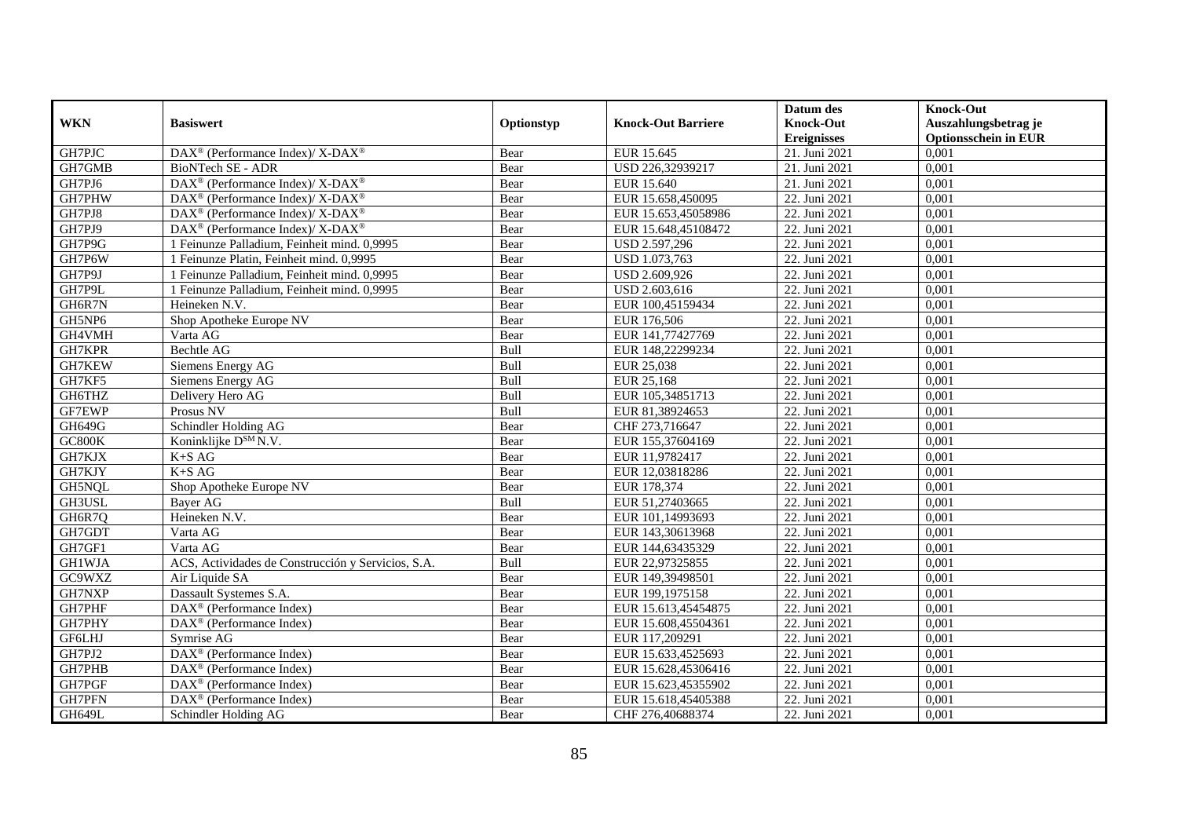|               |                                                                    |            |                           | Datum des          | <b>Knock-Out</b>            |
|---------------|--------------------------------------------------------------------|------------|---------------------------|--------------------|-----------------------------|
| <b>WKN</b>    | <b>Basiswert</b>                                                   | Optionstyp | <b>Knock-Out Barriere</b> | <b>Knock-Out</b>   | Auszahlungsbetrag je        |
|               |                                                                    |            |                           | <b>Ereignisses</b> | <b>Optionsschein in EUR</b> |
| GH7PJC        | DAX <sup>®</sup> (Performance Index)/X-DAX <sup>®</sup>            | Bear       | EUR 15.645                | 21. Juni 2021      | 0,001                       |
| GH7GMB        | <b>BioNTech SE - ADR</b>                                           | Bear       | USD 226,32939217          | 21. Juni 2021      | 0,001                       |
| GH7PJ6        | $\text{DAX}^{\circledast}$ (Performance Index)/ X-DAX <sup>®</sup> | Bear       | EUR 15.640                | 21. Juni 2021      | 0,001                       |
| GH7PHW        | DAX <sup>®</sup> (Performance Index)/X-DAX <sup>®</sup>            | Bear       | EUR 15.658,450095         | 22. Juni 2021      | 0,001                       |
| GH7PJ8        | DAX <sup>®</sup> (Performance Index)/ X-DAX <sup>®</sup>           | Bear       | EUR 15.653,45058986       | 22. Juni 2021      | 0,001                       |
| GH7PJ9        | DAX <sup>®</sup> (Performance Index)/ X-DAX <sup>®</sup>           | Bear       | EUR 15.648,45108472       | 22. Juni 2021      | 0,001                       |
| GH7P9G        | 1 Feinunze Palladium, Feinheit mind. 0,9995                        | Bear       | USD 2.597,296             | 22. Juni 2021      | 0,001                       |
| GH7P6W        | 1 Feinunze Platin, Feinheit mind. 0,9995                           | Bear       | USD 1.073,763             | 22. Juni 2021      | 0,001                       |
| GH7P9J        | 1 Feinunze Palladium, Feinheit mind. 0,9995                        | Bear       | USD 2.609,926             | 22. Juni 2021      | 0,001                       |
| GH7P9L        | 1 Feinunze Palladium, Feinheit mind. 0,9995                        | Bear       | USD 2.603,616             | 22. Juni 2021      | 0,001                       |
| GH6R7N        | Heineken N.V.                                                      | Bear       | EUR 100,45159434          | 22. Juni 2021      | 0,001                       |
| GH5NP6        | Shop Apotheke Europe NV                                            | Bear       | EUR 176,506               | 22. Juni 2021      | 0,001                       |
| GH4VMH        | Varta AG                                                           | Bear       | EUR 141,77427769          | 22. Juni 2021      | 0,001                       |
| GH7KPR        | Bechtle AG                                                         | Bull       | EUR 148,22299234          | 22. Juni 2021      | 0,001                       |
| GH7KEW        | Siemens Energy AG                                                  | Bull       | EUR 25,038                | 22. Juni 2021      | 0,001                       |
| GH7KF5        | Siemens Energy AG                                                  | Bull       | EUR 25,168                | 22. Juni 2021      | 0,001                       |
| GH6THZ        | Delivery Hero AG                                                   | Bull       | EUR 105,34851713          | 22. Juni 2021      | 0,001                       |
| GF7EWP        | Prosus NV                                                          | Bull       | EUR 81.38924653           | 22. Juni 2021      | 0,001                       |
| GH649G        | Schindler Holding AG                                               | Bear       | CHF 273,716647            | 22. Juni 2021      | 0,001                       |
| GC800K        | Koninklijke D <sup>SM</sup> N.V.                                   | Bear       | EUR 155,37604169          | 22. Juni 2021      | 0,001                       |
| GH7KJX        | $K+SAG$                                                            | Bear       | EUR 11,9782417            | 22. Juni 2021      | 0,001                       |
| GH7KJY        | $K+SAG$                                                            | Bear       | EUR 12,03818286           | 22. Juni 2021      | 0,001                       |
| GH5NQL        | Shop Apotheke Europe NV                                            | Bear       | EUR 178,374               | 22. Juni 2021      | 0,001                       |
| GH3USL        | Bayer AG                                                           | Bull       | EUR 51,27403665           | 22. Juni 2021      | 0,001                       |
| GH6R7Q        | Heineken N.V.                                                      | Bear       | EUR 101,14993693          | 22. Juni 2021      | 0.001                       |
| GH7GDT        | Varta AG                                                           | Bear       | EUR 143,30613968          | 22. Juni 2021      | 0,001                       |
| GH7GF1        | Varta AG                                                           | Bear       | EUR 144,63435329          | 22. Juni 2021      | 0,001                       |
| <b>GH1WJA</b> | ACS, Actividades de Construcción y Servicios, S.A.                 | Bull       | EUR 22,97325855           | 22. Juni 2021      | 0,001                       |
| GC9WXZ        | Air Liquide SA                                                     | Bear       | EUR 149,39498501          | 22. Juni 2021      | 0,001                       |
| GH7NXP        | Dassault Systemes S.A.                                             | Bear       | EUR 199,1975158           | 22. Juni 2021      | 0,001                       |
| GH7PHF        | DAX <sup>®</sup> (Performance Index)                               | Bear       | EUR 15.613,45454875       | 22. Juni 2021      | 0,001                       |
| GH7PHY        | $\text{DAX}^{\circledast}$ (Performance Index)                     | Bear       | EUR 15.608,45504361       | 22. Juni 2021      | 0,001                       |
| <b>GF6LHJ</b> | Symrise AG                                                         | Bear       | EUR 117,209291            | 22. Juni 2021      | 0,001                       |
| GH7PJ2        | DAX <sup>®</sup> (Performance Index)                               | Bear       | EUR 15.633,4525693        | 22. Juni 2021      | 0,001                       |
| <b>GH7PHB</b> | DAX <sup>®</sup> (Performance Index)                               | Bear       | EUR 15.628,45306416       | 22. Juni 2021      | 0,001                       |
| GH7PGF        | DAX <sup>®</sup> (Performance Index)                               | Bear       | EUR 15.623,45355902       | 22. Juni 2021      | 0,001                       |
| GH7PFN        | $\text{DAX}^{\circledast}$ (Performance Index)                     | Bear       | EUR 15.618,45405388       | 22. Juni 2021      | 0,001                       |
| <b>GH649L</b> | Schindler Holding AG                                               | Bear       | CHF 276,40688374          | 22. Juni 2021      | 0,001                       |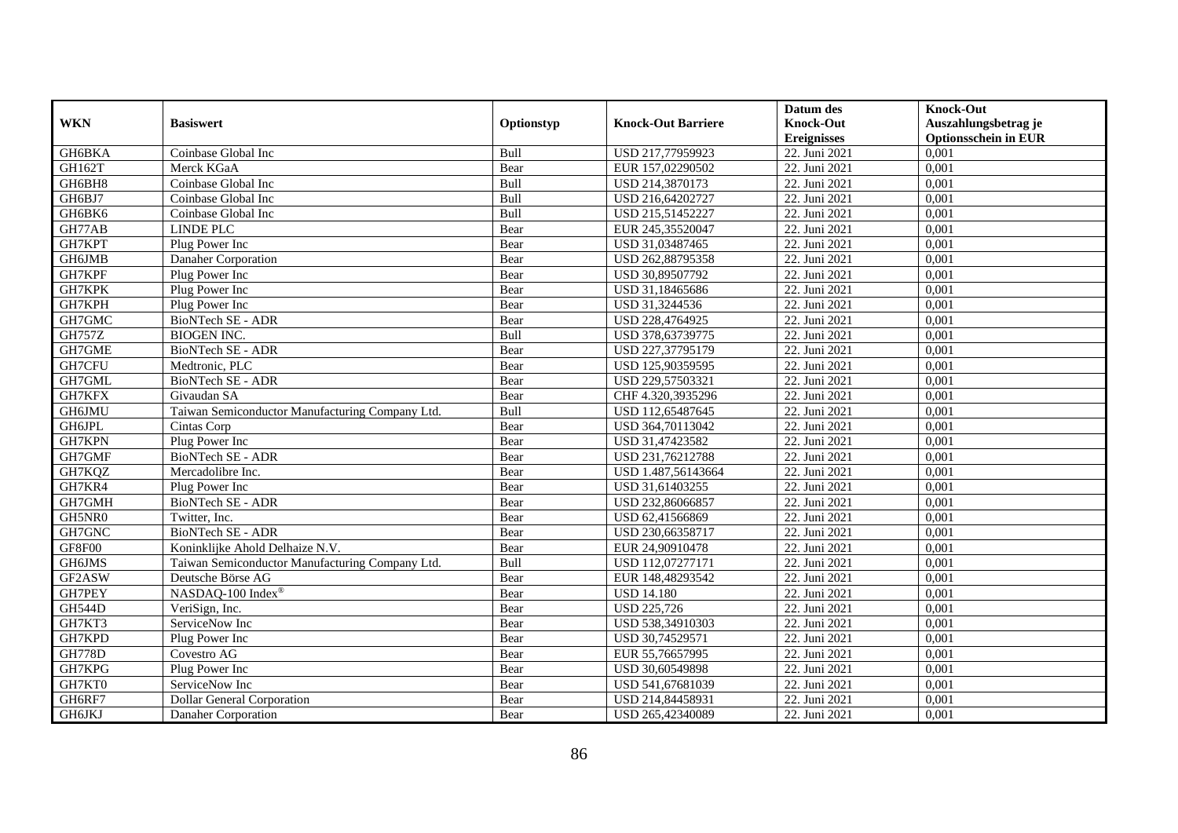|                |                                                 |             |                           | Datum des          | <b>Knock-Out</b>            |
|----------------|-------------------------------------------------|-------------|---------------------------|--------------------|-----------------------------|
| <b>WKN</b>     | <b>Basiswert</b>                                | Optionstyp  | <b>Knock-Out Barriere</b> | <b>Knock-Out</b>   | Auszahlungsbetrag je        |
|                |                                                 |             |                           | <b>Ereignisses</b> | <b>Optionsschein in EUR</b> |
| GH6BKA         | Coinbase Global Inc                             | Bull        | USD 217,77959923          | 22. Juni 2021      | 0,001                       |
| GH162T         | Merck KGaA                                      | Bear        | EUR 157,02290502          | 22. Juni 2021      | 0,001                       |
| GH6BH8         | Coinbase Global Inc                             | Bull        | USD 214,3870173           | 22. Juni 2021      | 0,001                       |
| GH6BJ7         | Coinbase Global Inc                             | Bull        | USD 216,64202727          | 22. Juni 2021      | 0,001                       |
| GH6BK6         | Coinbase Global Inc                             | Bull        | USD 215,51452227          | 22. Juni 2021      | 0,001                       |
| GH77AB         | <b>LINDE PLC</b>                                | Bear        | EUR 245,35520047          | 22. Juni 2021      | 0,001                       |
| GH7KPT         | Plug Power Inc                                  | Bear        | USD 31,03487465           | 22. Juni 2021      | 0,001                       |
| GH6JMB         | Danaher Corporation                             | Bear        | USD 262,88795358          | 22. Juni 2021      | 0,001                       |
| GH7KPF         | Plug Power Inc                                  | Bear        | USD 30,89507792           | 22. Juni 2021      | 0,001                       |
| GH7KPK         | Plug Power Inc                                  | Bear        | USD 31,18465686           | 22. Juni 2021      | 0,001                       |
| GH7KPH         | Plug Power Inc                                  | Bear        | USD 31,3244536            | 22. Juni 2021      | 0,001                       |
| GH7GMC         | <b>BioNTech SE - ADR</b>                        | Bear        | USD 228,4764925           | 22. Juni 2021      | 0,001                       |
| GH757Z         | <b>BIOGEN INC.</b>                              | Bull        | USD 378,63739775          | 22. Juni 2021      | 0,001                       |
| GH7GME         | BioNTech SE - ADR                               | Bear        | USD 227,37795179          | 22. Juni 2021      | 0,001                       |
| GH7CFU         | Medtronic, PLC                                  | Bear        | USD 125,90359595          | 22. Juni 2021      | 0,001                       |
| GH7GML         | BioNTech SE - ADR                               | Bear        | USD 229,57503321          | 22. Juni 2021      | 0,001                       |
| GH7KFX         | Givaudan SA                                     | Bear        | CHF 4.320,3935296         | 22. Juni 2021      | 0,001                       |
| GH6JMU         | Taiwan Semiconductor Manufacturing Company Ltd. | <b>Bull</b> | USD 112,65487645          | 22. Juni 2021      | 0,001                       |
| GH6JPL         | Cintas Corp                                     | Bear        | USD 364,70113042          | 22. Juni 2021      | 0,001                       |
| GH7KPN         | Plug Power Inc                                  | Bear        | USD 31,47423582           | 22. Juni 2021      | 0,001                       |
| GH7GMF         | <b>BioNTech SE - ADR</b>                        | Bear        | USD 231,76212788          | 22. Juni 2021      | 0,001                       |
| GH7KQZ         | Mercadolibre Inc.                               | Bear        | USD 1.487,56143664        | 22. Juni 2021      | 0,001                       |
| GH7KR4         | Plug Power Inc                                  | Bear        | USD 31,61403255           | 22. Juni 2021      | 0,001                       |
| GH7GMH         | <b>BioNTech SE - ADR</b>                        | Bear        | USD 232,86066857          | 22. Juni 2021      | 0,001                       |
| GH5NR0         | Twitter, Inc.                                   | Bear        | USD 62,41566869           | 22. Juni 2021      | 0,001                       |
| GH7GNC         | BioNTech SE - ADR                               | Bear        | USD 230,66358717          | 22. Juni 2021      | 0,001                       |
| ${\sf GF8F00}$ | Koninklijke Ahold Delhaize N.V.                 | Bear        | EUR 24,90910478           | 22. Juni 2021      | 0,001                       |
| GH6JMS         | Taiwan Semiconductor Manufacturing Company Ltd. | Bull        | USD 112,07277171          | 22. Juni 2021      | 0,001                       |
| GF2ASW         | Deutsche Börse AG                               | Bear        | EUR 148,48293542          | 22. Juni 2021      | 0,001                       |
| <b>GH7PEY</b>  | NASDAQ-100 Index®                               | Bear        | <b>USD 14.180</b>         | 22. Juni 2021      | 0,001                       |
| <b>GH544D</b>  | VeriSign, Inc.                                  | Bear        | <b>USD 225,726</b>        | 22. Juni 2021      | 0,001                       |
| GH7KT3         | ServiceNow Inc                                  | Bear        | USD 538,34910303          | 22. Juni 2021      | 0,001                       |
| GH7KPD         | Plug Power Inc                                  | Bear        | USD 30,74529571           | 22. Juni 2021      | 0,001                       |
| <b>GH778D</b>  | Covestro AG                                     | Bear        | EUR 55,76657995           | 22. Juni 2021      | 0,001                       |
| GH7KPG         | Plug Power Inc                                  | Bear        | USD 30,60549898           | 22. Juni 2021      | 0,001                       |
| GH7KT0         | ServiceNow Inc                                  | Bear        | USD 541,67681039          | 22. Juni 2021      | 0,001                       |
| GH6RF7         | <b>Dollar General Corporation</b>               | Bear        | USD 214,84458931          | 22. Juni 2021      | 0,001                       |
| GH6JKJ         | Danaher Corporation                             | Bear        | USD 265,42340089          | 22. Juni 2021      | 0,001                       |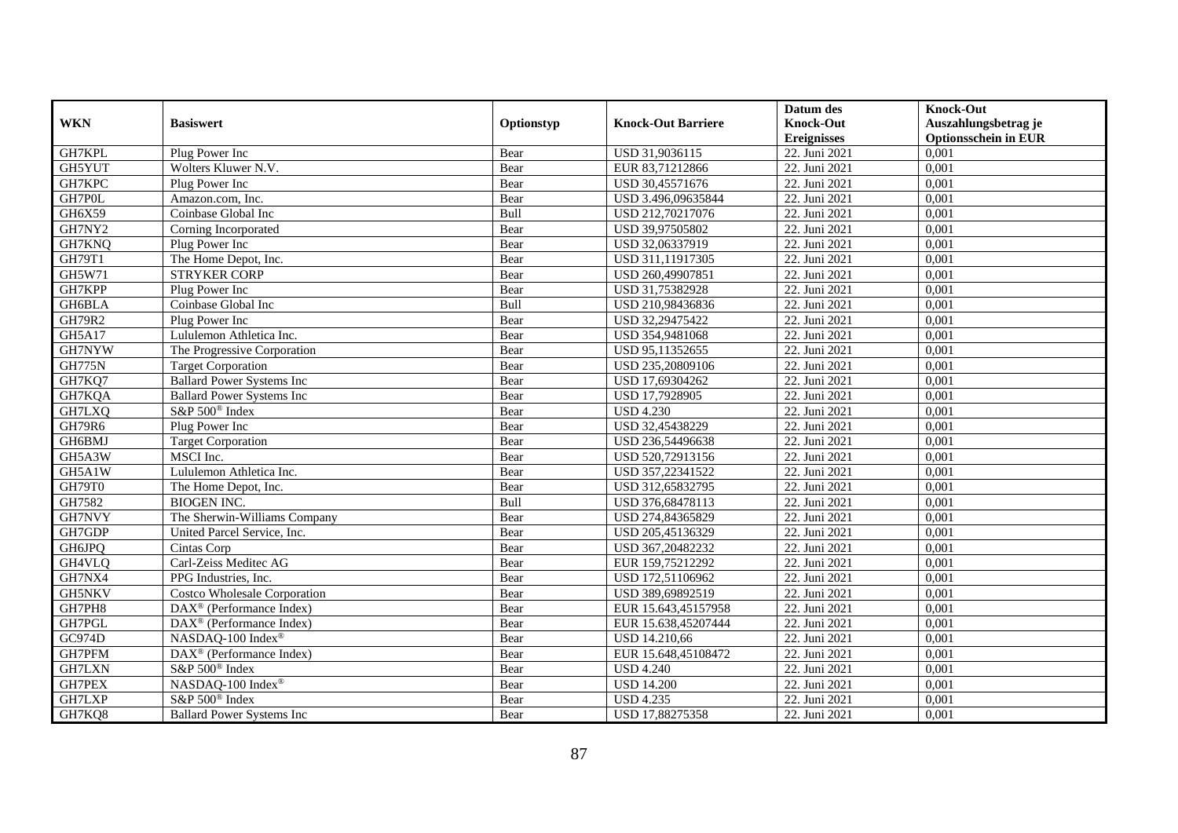|               |                                      |            |                           | Datum des          | <b>Knock-Out</b>            |
|---------------|--------------------------------------|------------|---------------------------|--------------------|-----------------------------|
| <b>WKN</b>    | <b>Basiswert</b>                     | Optionstyp | <b>Knock-Out Barriere</b> | <b>Knock-Out</b>   | Auszahlungsbetrag je        |
|               |                                      |            |                           | <b>Ereignisses</b> | <b>Optionsschein in EUR</b> |
| GH7KPL        | Plug Power Inc                       | Bear       | USD 31,9036115            | 22. Juni 2021      | 0,001                       |
| GH5YUT        | Wolters Kluwer N.V.                  | Bear       | EUR 83,71212866           | 22. Juni 2021      | 0,001                       |
| GH7KPC        | Plug Power Inc                       | Bear       | USD 30,45571676           | 22. Juni 2021      | 0,001                       |
| GH7P0L        | Amazon.com, Inc.                     | Bear       | USD 3.496,09635844        | 22. Juni 2021      | 0,001                       |
| GH6X59        | Coinbase Global Inc                  | Bull       | USD 212,70217076          | 22. Juni 2021      | 0,001                       |
| GH7NY2        | Corning Incorporated                 | Bear       | USD 39,97505802           | 22. Juni 2021      | 0,001                       |
| GH7KNQ        | Plug Power Inc                       | Bear       | USD 32,06337919           | 22. Juni 2021      | 0,001                       |
| GH79T1        | The Home Depot, Inc.                 | Bear       | USD 311,11917305          | 22. Juni 2021      | 0,001                       |
| GH5W71        | <b>STRYKER CORP</b>                  | Bear       | USD 260,49907851          | 22. Juni 2021      | 0,001                       |
| GH7KPP        | Plug Power Inc                       | Bear       | USD 31,75382928           | 22. Juni 2021      | 0,001                       |
| GH6BLA        | Coinbase Global Inc                  | Bull       | USD 210,98436836          | 22. Juni 2021      | 0,001                       |
| <b>GH79R2</b> | Plug Power Inc                       | Bear       | USD 32,29475422           | 22. Juni 2021      | 0,001                       |
| GH5A17        | Lululemon Athletica Inc.             | Bear       | USD 354,9481068           | 22. Juni 2021      | 0,001                       |
| GH7NYW        | The Progressive Corporation          | Bear       | USD 95,11352655           | 22. Juni 2021      | 0,001                       |
| <b>GH775N</b> | <b>Target Corporation</b>            | Bear       | USD 235,20809106          | 22. Juni 2021      | 0,001                       |
| GH7KQ7        | <b>Ballard Power Systems Inc</b>     | Bear       | USD 17,69304262           | 22. Juni 2021      | 0,001                       |
| GH7KQA        | <b>Ballard Power Systems Inc</b>     | Bear       | USD 17,7928905            | 22. Juni 2021      | 0,001                       |
| GH7LXQ        | S&P 500 <sup>®</sup> Index           | Bear       | <b>USD 4.230</b>          | 22. Juni 2021      | 0,001                       |
| GH79R6        | Plug Power Inc                       | Bear       | USD 32,45438229           | 22. Juni 2021      | 0,001                       |
| GH6BMJ        | <b>Target Corporation</b>            | Bear       | USD 236,54496638          | 22. Juni 2021      | 0,001                       |
| GH5A3W        | MSCI Inc.                            | Bear       | USD 520,72913156          | 22. Juni 2021      | 0,001                       |
| GH5A1W        | Lululemon Athletica Inc.             | Bear       | USD 357,22341522          | 22. Juni 2021      | 0,001                       |
| GH79T0        | The Home Depot, Inc.                 | Bear       | USD 312,65832795          | 22. Juni 2021      | 0,001                       |
| GH7582        | <b>BIOGEN INC.</b>                   | Bull       | USD 376,68478113          | 22. Juni 2021      | 0,001                       |
| GH7NVY        | The Sherwin-Williams Company         | Bear       | USD 274,84365829          | 22. Juni 2021      | 0,001                       |
| GH7GDP        | United Parcel Service, Inc.          | Bear       | USD 205,45136329          | 22. Juni 2021      | 0,001                       |
| GH6JPQ        | Cintas Corp                          | Bear       | USD 367,20482232          | 22. Juni 2021      | 0,001                       |
| GH4VLQ        | Carl-Zeiss Meditec AG                | Bear       | EUR 159,75212292          | 22. Juni 2021      | 0,001                       |
| GH7NX4        | PPG Industries, Inc.                 | Bear       | USD 172,51106962          | 22. Juni 2021      | 0,001                       |
| GH5NKV        | <b>Costco Wholesale Corporation</b>  | Bear       | USD 389,69892519          | 22. Juni 2021      | 0,001                       |
| GH7PH8        | $DAX^{\otimes}$ (Performance Index)  | Bear       | EUR 15.643,45157958       | 22. Juni 2021      | 0,001                       |
| GH7PGL        | DAX <sup>®</sup> (Performance Index) | Bear       | EUR 15.638,45207444       | 22. Juni 2021      | 0,001                       |
| GC974D        | NASDAQ-100 Index®                    | Bear       | USD 14.210,66             | 22. Juni 2021      | 0,001                       |
| GH7PFM        | DAX <sup>®</sup> (Performance Index) | Bear       | EUR 15.648,45108472       | 22. Juni 2021      | 0,001                       |
| GH7LXN        | S&P 500 <sup>®</sup> Index           | Bear       | <b>USD 4.240</b>          | 22. Juni 2021      | 0,001                       |
| GH7PEX        | NASDAQ-100 Index®                    | Bear       | <b>USD 14.200</b>         | 22. Juni 2021      | 0,001                       |
| GH7LXP        | S&P 500 <sup>®</sup> Index           | Bear       | <b>USD 4.235</b>          | 22. Juni 2021      | 0,001                       |
| GH7KQ8        | <b>Ballard Power Systems Inc</b>     | Bear       | USD 17,88275358           | 22. Juni 2021      | 0,001                       |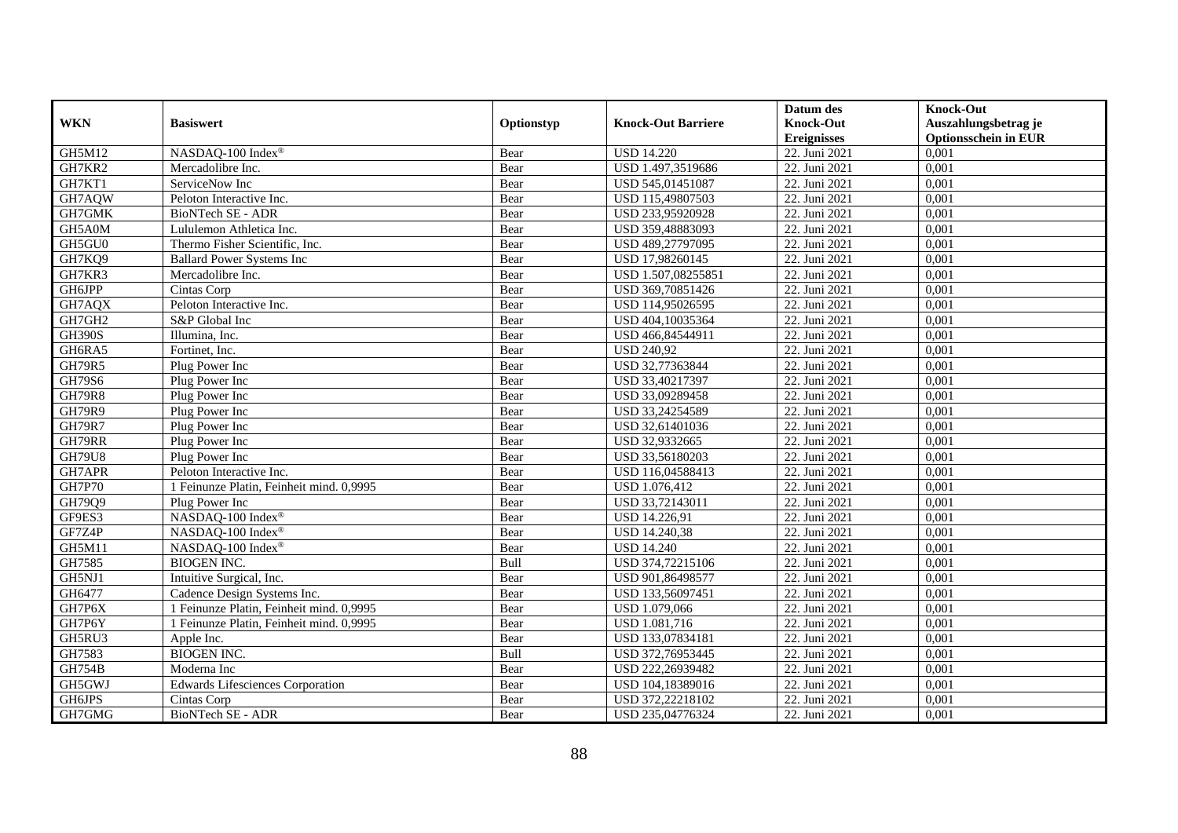|               |                                          |            |                           | Datum des          | <b>Knock-Out</b>            |
|---------------|------------------------------------------|------------|---------------------------|--------------------|-----------------------------|
| <b>WKN</b>    | <b>Basiswert</b>                         | Optionstyp | <b>Knock-Out Barriere</b> | <b>Knock-Out</b>   | Auszahlungsbetrag je        |
|               |                                          |            |                           | <b>Ereignisses</b> | <b>Optionsschein in EUR</b> |
| GH5M12        | NASDAQ-100 Index®                        | Bear       | <b>USD 14.220</b>         | 22. Juni 2021      | 0,001                       |
| GH7KR2        | Mercadolibre Inc.                        | Bear       | USD 1.497,3519686         | 22. Juni 2021      | 0,001                       |
| GH7KT1        | ServiceNow Inc                           | Bear       | USD 545,01451087          | 22. Juni 2021      | 0,001                       |
| GH7AQW        | Peloton Interactive Inc.                 | Bear       | USD 115,49807503          | 22. Juni 2021      | 0,001                       |
| GH7GMK        | <b>BioNTech SE - ADR</b>                 | Bear       | USD 233,95920928          | 22. Juni 2021      | 0,001                       |
| GH5A0M        | Lululemon Athletica Inc.                 | Bear       | USD 359,48883093          | 22. Juni 2021      | 0,001                       |
| GH5GU0        | Thermo Fisher Scientific, Inc.           | Bear       | USD 489,27797095          | 22. Juni 2021      | 0,001                       |
| GH7KQ9        | <b>Ballard Power Systems Inc</b>         | Bear       | USD 17,98260145           | 22. Juni 2021      | 0,001                       |
| GH7KR3        | Mercadolibre Inc.                        | Bear       | USD 1.507,08255851        | 22. Juni 2021      | 0,001                       |
| GH6JPP        | Cintas Corp                              | Bear       | USD 369,70851426          | 22. Juni 2021      | 0,001                       |
| GH7AQX        | Peloton Interactive Inc.                 | Bear       | USD 114,95026595          | 22. Juni 2021      | 0,001                       |
| GH7GH2        | S&P Global Inc                           | Bear       | USD 404,10035364          | 22. Juni 2021      | 0,001                       |
| <b>GH390S</b> | Illumina, Inc.                           | Bear       | USD 466,84544911          | 22. Juni 2021      | 0,001                       |
| GH6RA5        | Fortinet, Inc.                           | Bear       | <b>USD 240,92</b>         | 22. Juni 2021      | 0,001                       |
| GH79R5        | Plug Power Inc                           | Bear       | USD 32,77363844           | 22. Juni 2021      | 0,001                       |
| GH79S6        | Plug Power Inc                           | Bear       | USD 33,40217397           | 22. Juni 2021      | 0,001                       |
| <b>GH79R8</b> | Plug Power Inc                           | Bear       | USD 33,09289458           | 22. Juni 2021      | 0,001                       |
| GH79R9        | Plug Power Inc                           | Bear       | USD 33.24254589           | 22. Juni 2021      | 0,001                       |
| <b>GH79R7</b> | Plug Power Inc                           | Bear       | USD 32,61401036           | 22. Juni 2021      | 0,001                       |
| GH79RR        | Plug Power Inc                           | Bear       | USD 32,9332665            | 22. Juni 2021      | 0,001                       |
| <b>GH79U8</b> | Plug Power Inc                           | Bear       | USD 33,56180203           | 22. Juni 2021      | 0,001                       |
| GH7APR        | Peloton Interactive Inc.                 | Bear       | USD 116,04588413          | 22. Juni 2021      | 0,001                       |
| <b>GH7P70</b> | 1 Feinunze Platin, Feinheit mind. 0,9995 | Bear       | USD 1.076,412             | 22. Juni 2021      | 0,001                       |
| GH79Q9        | Plug Power Inc                           | Bear       | USD 33,72143011           | 22. Juni 2021      | 0,001                       |
| GF9ES3        | NASDAQ-100 Index®                        | Bear       | USD 14.226,91             | 22. Juni 2021      | 0,001                       |
| GF7Z4P        | NASDAQ-100 Index®                        | Bear       | USD 14.240,38             | 22. Juni 2021      | 0,001                       |
| GH5M11        | NASDAQ-100 Index®                        | Bear       | <b>USD 14.240</b>         | 22. Juni 2021      | 0,001                       |
| GH7585        | <b>BIOGEN INC.</b>                       | Bull       | USD 374,72215106          | 22. Juni 2021      | 0,001                       |
| GH5NJ1        | Intuitive Surgical, Inc.                 | Bear       | USD 901,86498577          | 22. Juni 2021      | 0,001                       |
| GH6477        | Cadence Design Systems Inc.              | Bear       | USD 133,56097451          | 22. Juni 2021      | 0,001                       |
| GH7P6X        | 1 Feinunze Platin, Feinheit mind. 0,9995 | Bear       | USD 1.079,066             | 22. Juni 2021      | 0,001                       |
| GH7P6Y        | 1 Feinunze Platin, Feinheit mind. 0,9995 | Bear       | USD 1.081,716             | 22. Juni 2021      | 0,001                       |
| GH5RU3        | Apple Inc.                               | Bear       | USD 133,07834181          | 22. Juni 2021      | 0,001                       |
| GH7583        | <b>BIOGEN INC.</b>                       | Bull       | USD 372,76953445          | 22. Juni 2021      | 0,001                       |
| <b>GH754B</b> | Moderna Inc                              | Bear       | USD 222,26939482          | 22. Juni 2021      | 0,001                       |
| GH5GWJ        | <b>Edwards Lifesciences Corporation</b>  | Bear       | USD 104,18389016          | 22. Juni 2021      | 0,001                       |
| GH6JPS        | Cintas Corp                              | Bear       | USD 372,22218102          | 22. Juni 2021      | 0,001                       |
| GH7GMG        | BioNTech SE - ADR                        | Bear       | USD 235,04776324          | 22. Juni 2021      | 0,001                       |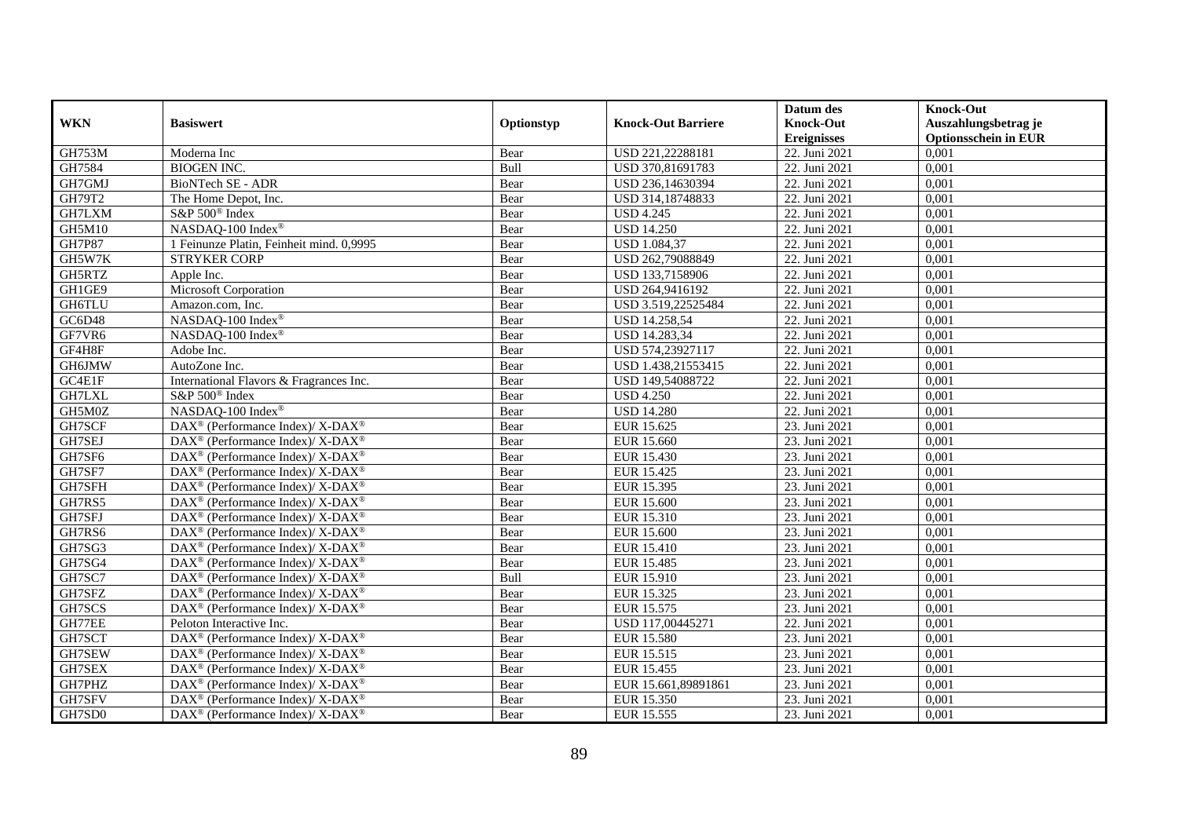|               |                                                                          |            |                           | Datum des          | <b>Knock-Out</b>            |
|---------------|--------------------------------------------------------------------------|------------|---------------------------|--------------------|-----------------------------|
| <b>WKN</b>    | <b>Basiswert</b>                                                         | Optionstyp | <b>Knock-Out Barriere</b> | <b>Knock-Out</b>   | Auszahlungsbetrag je        |
|               |                                                                          |            |                           | <b>Ereignisses</b> | <b>Optionsschein in EUR</b> |
| GH753M        | Moderna Inc                                                              | Bear       | USD 221,22288181          | 22. Juni 2021      | 0,001                       |
| GH7584        | <b>BIOGEN INC.</b>                                                       | Bull       | USD 370,81691783          | 22. Juni 2021      | 0,001                       |
| GH7GMJ        | BioNTech SE - ADR                                                        | Bear       | USD 236,14630394          | 22. Juni 2021      | 0,001                       |
| GH79T2        | The Home Depot, Inc.                                                     | Bear       | USD 314,18748833          | 22. Juni 2021      | 0,001                       |
| GH7LXM        | S&P 500 <sup>®</sup> Index                                               | Bear       | <b>USD 4.245</b>          | 22. Juni 2021      | 0,001                       |
| <b>GH5M10</b> | NASDAQ-100 Index®                                                        | Bear       | <b>USD 14.250</b>         | 22. Juni 2021      | 0,001                       |
| <b>GH7P87</b> | 1 Feinunze Platin, Feinheit mind. 0,9995                                 | Bear       | <b>USD 1.084,37</b>       | 22. Juni 2021      | 0,001                       |
| GH5W7K        | <b>STRYKER CORP</b>                                                      | Bear       | USD 262,79088849          | 22. Juni 2021      | 0,001                       |
| GH5RTZ        | Apple Inc.                                                               | Bear       | USD 133,7158906           | 22. Juni 2021      | 0,001                       |
| GH1GE9        | Microsoft Corporation                                                    | Bear       | USD 264,9416192           | 22. Juni 2021      | 0,001                       |
| <b>GH6TLU</b> | Amazon.com, Inc.                                                         | Bear       | USD 3.519,22525484        | 22. Juni 2021      | 0,001                       |
| GC6D48        | NASDAQ-100 Index®                                                        | Bear       | <b>USD 14.258,54</b>      | 22. Juni 2021      | 0,001                       |
| GF7VR6        | NASDAQ-100 Index®                                                        | Bear       | USD 14.283,34             | 22. Juni 2021      | 0,001                       |
| GF4H8F        | Adobe Inc.                                                               | Bear       | USD 574,23927117          | 22. Juni 2021      | 0,001                       |
| GH6JMW        | AutoZone Inc.                                                            | Bear       | USD 1.438,21553415        | 22. Juni 2021      | 0,001                       |
| GC4E1F        | International Flavors & Fragrances Inc.                                  | Bear       | USD 149,54088722          | 22. Juni 2021      | 0,001                       |
| GH7LXL        | S&P 500 <sup>®</sup> Index                                               | Bear       | <b>USD 4.250</b>          | 22. Juni 2021      | 0,001                       |
| GH5M0Z        | NASDAQ-100 Index®                                                        | Bear       | <b>USD 14.280</b>         | 22. Juni 2021      | 0,001                       |
| GH7SCF        | DAX <sup>®</sup> (Performance Index)/ X-DAX <sup>®</sup>                 | Bear       | EUR 15.625                | 23. Juni 2021      | 0,001                       |
| GH7SEJ        | $\text{DAX}^{\circledast}$ (Performance Index)/ X-DAX <sup>®</sup>       | Bear       | EUR 15.660                | 23. Juni 2021      | 0,001                       |
| GH7SF6        | $DAX^{\circledast}$ (Performance Index)/X-DAX <sup>®</sup>               | Bear       | EUR 15.430                | 23. Juni 2021      | 0,001                       |
| GH7SF7        | $\text{DAX}^{\circledast}$ (Performance Index)/ X-DAX <sup>®</sup>       | Bear       | <b>EUR 15.425</b>         | 23. Juni 2021      | 0,001                       |
| GH7SFH        | DAX <sup>®</sup> (Performance Index)/ X-DAX <sup>®</sup>                 | Bear       | EUR 15.395                | 23. Juni 2021      | 0,001                       |
| GH7RS5        | $DAX^{\circledcirc}$ (Performance Index)/X-DAX <sup>®</sup>              | Bear       | <b>EUR 15.600</b>         | 23. Juni 2021      | 0,001                       |
| GH7SFJ        | $\overline{\text{DAX}^{\otimes}}$ (Performance Index)/X-DAX <sup>®</sup> | Bear       | EUR 15.310                | 23. Juni 2021      | 0,001                       |
| GH7RS6        | DAX <sup>®</sup> (Performance Index)/ X-DAX <sup>®</sup>                 | Bear       | <b>EUR 15.600</b>         | 23. Juni 2021      | 0,001                       |
| GH7SG3        | $\text{DAX}^{\circledast}$ (Performance Index)/ X-DAX <sup>®</sup>       | Bear       | <b>EUR 15.410</b>         | 23. Juni 2021      | 0,001                       |
| GH7SG4        | $\text{DAX}^{\circledast}$ (Performance Index)/ X-DAX <sup>®</sup>       | Bear       | <b>EUR 15.485</b>         | 23. Juni 2021      | 0,001                       |
| GH7SC7        | $\text{DAX}^{\circledast}$ (Performance Index)/ X-DAX <sup>®</sup>       | Bull       | EUR 15.910                | 23. Juni 2021      | 0,001                       |
| GH7SFZ        | $DAX^{\circledcirc}$ (Performance Index)/ X-DAX <sup>®</sup>             | Bear       | EUR 15.325                | 23. Juni 2021      | 0.001                       |
| GH7SCS        | $\text{DAX}^{\circledR}$ (Performance Index)/ X-DAX <sup>®</sup>         | Bear       | EUR 15.575                | 23. Juni 2021      | 0,001                       |
| GH77EE        | Peloton Interactive Inc.                                                 | Bear       | USD 117,00445271          | 22. Juni 2021      | 0,001                       |
| GH7SCT        | $\text{DAX}^{\circledR}$ (Performance Index)/ X-DAX <sup>®</sup>         | Bear       | <b>EUR 15.580</b>         | 23. Juni 2021      | 0,001                       |
| GH7SEW        | $\text{DAX}^{\circledR}$ (Performance Index)/ X-DAX <sup>®</sup>         | Bear       | EUR 15.515                | 23. Juni 2021      | 0,001                       |
| GH7SEX        | $\text{DAX}^{\circledR}$ (Performance Index)/ X-DAX <sup>®</sup>         | Bear       | EUR 15.455                | 23. Juni 2021      | 0,001                       |
| GH7PHZ        | $\text{DAX}^{\otimes}$ (Performance Index)/X-DAX <sup>®</sup>            | Bear       | EUR 15.661,89891861       | 23. Juni 2021      | 0,001                       |
| GH7SFV        | DAX <sup>®</sup> (Performance Index)/ X-DAX <sup>®</sup>                 | Bear       | EUR 15.350                | 23. Juni 2021      | 0,001                       |
| GH7SD0        | DAX <sup>®</sup> (Performance Index)/X-DAX <sup>®</sup>                  | Bear       | EUR 15.555                | 23. Juni 2021      | 0,001                       |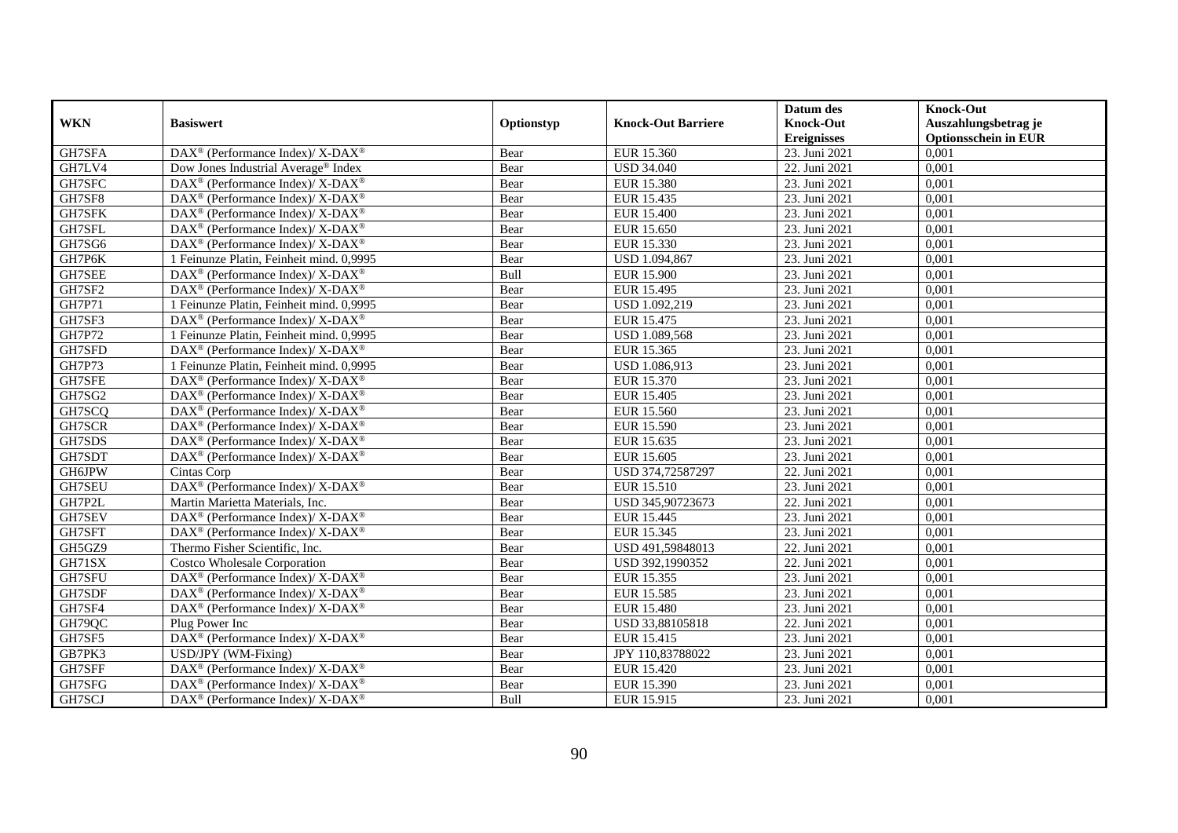|               |                                                                    |            |                           | Datum des          | <b>Knock-Out</b>            |
|---------------|--------------------------------------------------------------------|------------|---------------------------|--------------------|-----------------------------|
| <b>WKN</b>    | <b>Basiswert</b>                                                   | Optionstyp | <b>Knock-Out Barriere</b> | <b>Knock-Out</b>   | Auszahlungsbetrag je        |
|               |                                                                    |            |                           | <b>Ereignisses</b> | <b>Optionsschein in EUR</b> |
| GH7SFA        | $\text{DAX}^{\circledast}$ (Performance Index)/ X-DAX <sup>®</sup> | Bear       | EUR 15.360                | 23. Juni 2021      | 0,001                       |
| GH7LV4        | Dow Jones Industrial Average <sup>®</sup> Index                    | Bear       | <b>USD 34.040</b>         | 22. Juni 2021      | 0,001                       |
| GH7SFC        | DAX <sup>®</sup> (Performance Index)/X-DAX <sup>®</sup>            | Bear       | EUR 15.380                | 23. Juni 2021      | 0,001                       |
| GH7SF8        | DAX <sup>®</sup> (Performance Index)/ X-DAX <sup>®</sup>           | Bear       | EUR 15.435                | 23. Juni 2021      | 0,001                       |
| GH7SFK        | $\text{DAX}^{\circledast}$ (Performance Index)/ X-DAX <sup>®</sup> | Bear       | <b>EUR 15.400</b>         | 23. Juni 2021      | 0,001                       |
| GH7SFL        | $DAX^{\circledcirc}$ (Performance Index)/X-DAX <sup>®</sup>        | Bear       | EUR 15.650                | 23. Juni 2021      | 0,001                       |
| GH7SG6        | DAX <sup>®</sup> (Performance Index)/X-DAX <sup>®</sup>            | Bear       | EUR 15.330                | 23. Juni 2021      | 0,001                       |
| GH7P6K        | 1 Feinunze Platin, Feinheit mind. 0,9995                           | Bear       | USD 1.094,867             | 23. Juni 2021      | 0,001                       |
| GH7SEE        | $\text{DAX}^{\circledR}$ (Performance Index)/ X-DAX <sup>®</sup>   | Bull       | <b>EUR 15.900</b>         | 23. Juni 2021      | 0,001                       |
| GH7SF2        | $\text{DAX}^{\circledR}$ (Performance Index)/ X-DAX <sup>®</sup>   | Bear       | EUR 15.495                | 23. Juni 2021      | 0,001                       |
| GH7P71        | 1 Feinunze Platin, Feinheit mind. 0,9995                           | Bear       | USD 1.092,219             | 23. Juni 2021      | 0,001                       |
| GH7SF3        | DAX <sup>®</sup> (Performance Index)/ X-DAX <sup>®</sup>           | Bear       | EUR 15.475                | 23. Juni 2021      | 0,001                       |
| GH7P72        | 1 Feinunze Platin, Feinheit mind. 0,9995                           | Bear       | USD 1.089,568             | 23. Juni 2021      | 0,001                       |
| GH7SFD        | DAX <sup>®</sup> (Performance Index)/ X-DAX <sup>®</sup>           | Bear       | EUR 15.365                | 23. Juni 2021      | 0,001                       |
| <b>GH7P73</b> | 1 Feinunze Platin, Feinheit mind. 0,9995                           | Bear       | USD 1.086,913             | 23. Juni 2021      | 0,001                       |
| GH7SFE        | $DAX^{\circledcirc}$ (Performance Index)/ X-DAX <sup>®</sup>       | Bear       | EUR 15.370                | 23. Juni 2021      | 0,001                       |
| GH7SG2        | $\text{DAX}^{\circledR}$ (Performance Index)/ X-DAX <sup>®</sup>   | Bear       | EUR 15.405                | 23. Juni 2021      | 0,001                       |
| GH7SCQ        | $\text{DAX}^{\circledR}$ (Performance Index)/ X-DAX <sup>®</sup>   | Bear       | EUR 15.560                | 23. Juni 2021      | 0,001                       |
| GH7SCR        | $\text{DAX}^{\circledR}$ (Performance Index)/ X-DAX <sup>®</sup>   | Bear       | EUR 15.590                | 23. Juni 2021      | 0,001                       |
| GH7SDS        | DAX <sup>®</sup> (Performance Index)/ X-DAX <sup>®</sup>           | Bear       | EUR 15.635                | 23. Juni 2021      | 0,001                       |
| GH7SDT        | DAX <sup>®</sup> (Performance Index)/ X-DAX <sup>®</sup>           | Bear       | EUR 15.605                | 23. Juni 2021      | 0,001                       |
| GH6JPW        | Cintas Corp                                                        | Bear       | USD 374,72587297          | 22. Juni 2021      | 0,001                       |
| GH7SEU        | DAX <sup>®</sup> (Performance Index)/X-DAX <sup>®</sup>            | Bear       | EUR 15.510                | 23. Juni 2021      | 0,001                       |
| GH7P2L        | Martin Marietta Materials, Inc.                                    | Bear       | USD 345,90723673          | 22. Juni 2021      | 0,001                       |
| GH7SEV        | $DAX^{\circledcirc}$ (Performance Index)/X-DAX <sup>®</sup>        | Bear       | EUR 15.445                | 23. Juni 2021      | 0,001                       |
| GH7SFT        | $\text{DAX}^{\circledR}$ (Performance Index)/ X-DAX <sup>®</sup>   | Bear       | EUR 15.345                | 23. Juni 2021      | 0,001                       |
| GH5GZ9        | Thermo Fisher Scientific, Inc.                                     | Bear       | USD 491,59848013          | 22. Juni 2021      | 0,001                       |
| GH71SX        | <b>Costco Wholesale Corporation</b>                                | Bear       | USD 392,1990352           | 22. Juni 2021      | 0,001                       |
| GH7SFU        | DAX <sup>®</sup> (Performance Index)/ X-DAX <sup>®</sup>           | Bear       | EUR 15.355                | 23. Juni 2021      | 0,001                       |
| GH7SDF        | DAX <sup>®</sup> (Performance Index)/ X-DAX <sup>®</sup>           | Bear       | EUR 15.585                | 23. Juni 2021      | 0,001                       |
| GH7SF4        | $\text{DAX}^{\circledast}$ (Performance Index)/ X-DAX <sup>®</sup> | Bear       | <b>EUR 15.480</b>         | 23. Juni 2021      | 0,001                       |
| GH79QC        | Plug Power Inc                                                     | Bear       | USD 33,88105818           | 22. Juni 2021      | 0,001                       |
| GH7SF5        | DAX <sup>®</sup> (Performance Index)/ X-DAX <sup>®</sup>           | Bear       | EUR 15.415                | 23. Juni 2021      | 0.001                       |
| GB7PK3        | USD/JPY (WM-Fixing)                                                | Bear       | JPY 110,83788022          | 23. Juni 2021      | 0,001                       |
| GH7SFF        | $DAX^{\circledcirc}$ (Performance Index)/X-DAX <sup>®</sup>        | Bear       | <b>EUR 15.420</b>         | 23. Juni 2021      | 0,001                       |
| GH7SFG        | DAX <sup>®</sup> (Performance Index)/ X-DAX <sup>®</sup>           | Bear       | <b>EUR 15.390</b>         | 23. Juni 2021      | 0,001                       |
| GH7SCJ        | DAX <sup>®</sup> (Performance Index)/ X-DAX <sup>®</sup>           | Bull       | EUR 15.915                | 23. Juni 2021      | 0,001                       |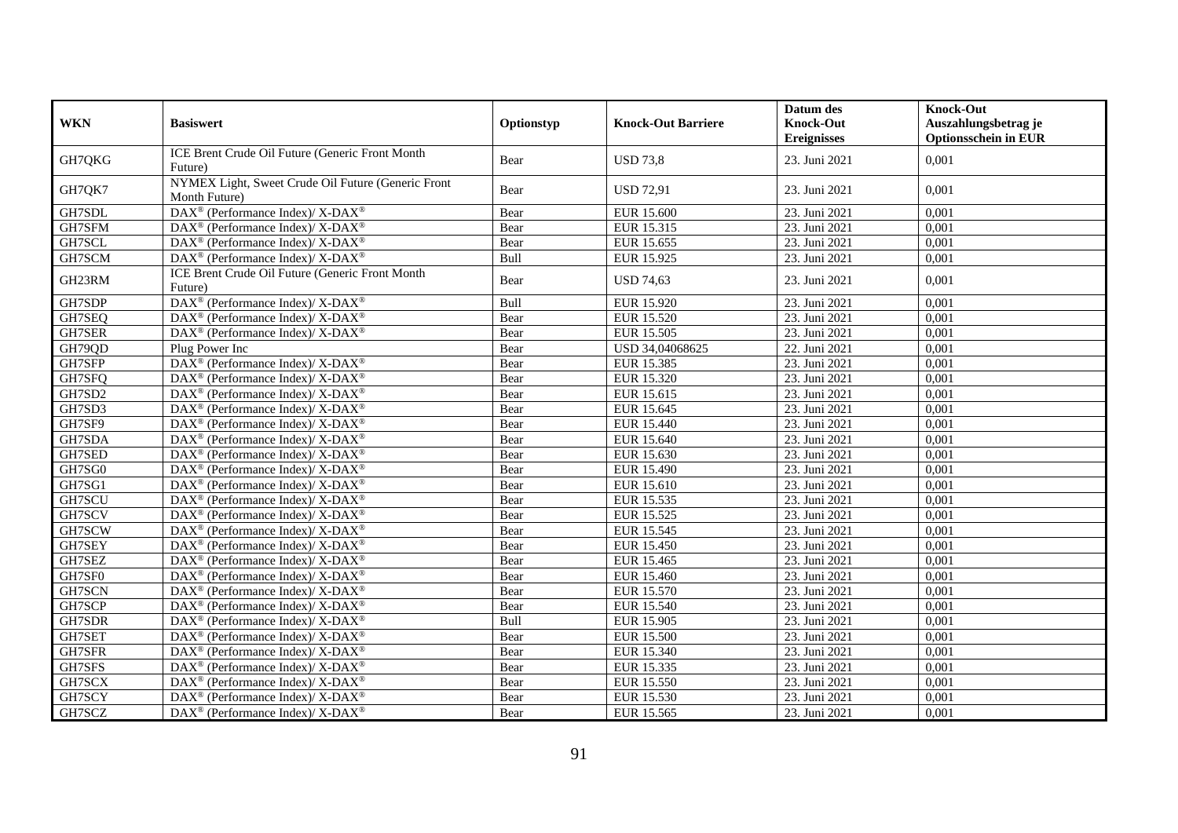| <b>WKN</b> | <b>Basiswert</b>                                                    | Optionstyp | <b>Knock-Out Barriere</b> | Datum des<br><b>Knock-Out</b><br><b>Ereignisses</b> | <b>Knock-Out</b><br>Auszahlungsbetrag je<br><b>Optionsschein in EUR</b> |
|------------|---------------------------------------------------------------------|------------|---------------------------|-----------------------------------------------------|-------------------------------------------------------------------------|
| GH7QKG     | ICE Brent Crude Oil Future (Generic Front Month<br>Future)          | Bear       | <b>USD 73,8</b>           | 23. Juni 2021                                       | 0,001                                                                   |
| GH7QK7     | NYMEX Light, Sweet Crude Oil Future (Generic Front<br>Month Future) | Bear       | <b>USD 72,91</b>          | 23. Juni 2021                                       | 0,001                                                                   |
| GH7SDL     | DAX <sup>®</sup> (Performance Index)/X-DAX <sup>®</sup>             | Bear       | <b>EUR 15.600</b>         | 23. Juni 2021                                       | 0,001                                                                   |
| GH7SFM     | DAX <sup>®</sup> (Performance Index)/ X-DAX <sup>®</sup>            | Bear       | EUR 15.315                | 23. Juni 2021                                       | 0,001                                                                   |
| GH7SCL     | $\text{DAX}^{\circledast}$ (Performance Index)/X-DAX <sup>®</sup>   | Bear       | EUR 15.655                | 23. Juni 2021                                       | 0,001                                                                   |
| GH7SCM     | $DAX^{\circledcirc}$ (Performance Index)/X-DAX <sup>®</sup>         | Bull       | EUR 15.925                | 23. Juni 2021                                       | 0.001                                                                   |
| GH23RM     | ICE Brent Crude Oil Future (Generic Front Month<br>Future)          | Bear       | <b>USD 74,63</b>          | 23. Juni 2021                                       | 0,001                                                                   |
| GH7SDP     | DAX <sup>®</sup> (Performance Index)/ X-DAX <sup>®</sup>            | Bull       | EUR 15.920                | 23. Juni 2021                                       | 0,001                                                                   |
| GH7SEQ     | DAX <sup>®</sup> (Performance Index)/X-DAX <sup>®</sup>             | Bear       | <b>EUR 15.520</b>         | 23. Juni 2021                                       | 0,001                                                                   |
| GH7SER     | $DAX^{\circledast}$ (Performance Index)/ X-DAX <sup>®</sup>         | Bear       | EUR 15.505                | 23. Juni 2021                                       | 0,001                                                                   |
| GH79QD     | Plug Power Inc                                                      | Bear       | USD 34,04068625           | 22. Juni 2021                                       | 0,001                                                                   |
| GH7SFP     | DAX <sup>®</sup> (Performance Index)/ X-DAX <sup>®</sup>            | Bear       | EUR 15.385                | 23. Juni 2021                                       | 0,001                                                                   |
| GH7SFQ     | DAX <sup>®</sup> (Performance Index)/X-DAX <sup>®</sup>             | Bear       | EUR 15.320                | 23. Juni 2021                                       | 0,001                                                                   |
| GH7SD2     | $DAX^{\circledast}$ (Performance Index)/ X-DAX <sup>®</sup>         | Bear       | EUR 15.615                | 23. Juni 2021                                       | 0,001                                                                   |
| GH7SD3     | $DAX^{\circledcirc}$ (Performance Index)/X-DAX <sup>®</sup>         | Bear       | EUR 15.645                | 23. Juni 2021                                       | 0,001                                                                   |
| GH7SF9     | DAX <sup>®</sup> (Performance Index)/ X-DAX <sup>®</sup>            | Bear       | EUR 15.440                | 23. Juni 2021                                       | 0,001                                                                   |
| GH7SDA     | DAX <sup>®</sup> (Performance Index)/ X-DAX <sup>®</sup>            | Bear       | EUR 15.640                | 23. Juni 2021                                       | 0,001                                                                   |
| GH7SED     | $DAX^{\circledast}$ (Performance Index)/ X-DAX <sup>®</sup>         | Bear       | EUR 15.630                | 23. Juni 2021                                       | 0,001                                                                   |
| GH7SG0     | DAX <sup>®</sup> (Performance Index)/ X-DAX <sup>®</sup>            | Bear       | EUR 15.490                | 23. Juni 2021                                       | 0,001                                                                   |
| GH7SG1     | DAX <sup>®</sup> (Performance Index)/ X-DAX <sup>®</sup>            | Bear       | EUR 15.610                | 23. Juni 2021                                       | 0,001                                                                   |
| GH7SCU     | $DAX^{\circledast}$ (Performance Index)/ X-DAX <sup>®</sup>         | Bear       | EUR 15.535                | 23. Juni 2021                                       | 0,001                                                                   |
| GH7SCV     | DAX <sup>®</sup> (Performance Index)/ X-DAX <sup>®</sup>            | Bear       | EUR 15.525                | 23. Juni 2021                                       | 0,001                                                                   |
| GH7SCW     | DAX <sup>®</sup> (Performance Index)/ X-DAX <sup>®</sup>            | Bear       | EUR 15.545                | 23. Juni 2021                                       | 0,001                                                                   |
| GH7SEY     | $DAX^{\circledast}$ (Performance Index)/ X-DAX <sup>®</sup>         | Bear       | EUR 15.450                | 23. Juni 2021                                       | 0,001                                                                   |
| GH7SEZ     | $\text{DAX}^{\circledR}$ (Performance Index)/ X-DAX <sup>®</sup>    | Bear       | EUR 15.465                | 23. Juni 2021                                       | 0,001                                                                   |
| GH7SF0     | DAX <sup>®</sup> (Performance Index)/ X-DAX <sup>®</sup>            | Bear       | EUR 15.460                | 23. Juni 2021                                       | 0,001                                                                   |
| GH7SCN     | $\text{DAX}^{\circledast}$ (Performance Index)/X-DAX <sup>®</sup>   | Bear       | EUR 15.570                | 23. Juni 2021                                       | 0,001                                                                   |
| GH7SCP     | DAX <sup>®</sup> (Performance Index)/X-DAX <sup>®</sup>             | Bear       | EUR 15.540                | 23. Juni 2021                                       | 0,001                                                                   |
| GH7SDR     | DAX <sup>®</sup> (Performance Index)/X-DAX <sup>®</sup>             | Bull       | <b>EUR 15.905</b>         | 23. Juni 2021                                       | 0,001                                                                   |
| GH7SET     | DAX <sup>®</sup> (Performance Index)/ X-DAX <sup>®</sup>            | Bear       | <b>EUR 15.500</b>         | 23. Juni 2021                                       | 0,001                                                                   |
| GH7SFR     | DAX <sup>®</sup> (Performance Index)/ X-DAX <sup>®</sup>            | Bear       | EUR 15.340                | 23. Juni 2021                                       | 0,001                                                                   |
| GH7SFS     | DAX <sup>®</sup> (Performance Index)/X-DAX <sup>®</sup>             | Bear       | EUR 15.335                | 23. Juni 2021                                       | 0,001                                                                   |
| GH7SCX     | DAX <sup>®</sup> (Performance Index)/X-DAX <sup>®</sup>             | Bear       | EUR 15.550                | 23. Juni 2021                                       | 0,001                                                                   |
| GH7SCY     | DAX <sup>®</sup> (Performance Index)/ X-DAX <sup>®</sup>            | Bear       | EUR 15.530                | 23. Juni 2021                                       | 0,001                                                                   |
| GH7SCZ     | $DAX^{\circledast}$ (Performance Index)/ X-DAX <sup>®</sup>         | Bear       | EUR 15.565                | 23. Juni 2021                                       | 0,001                                                                   |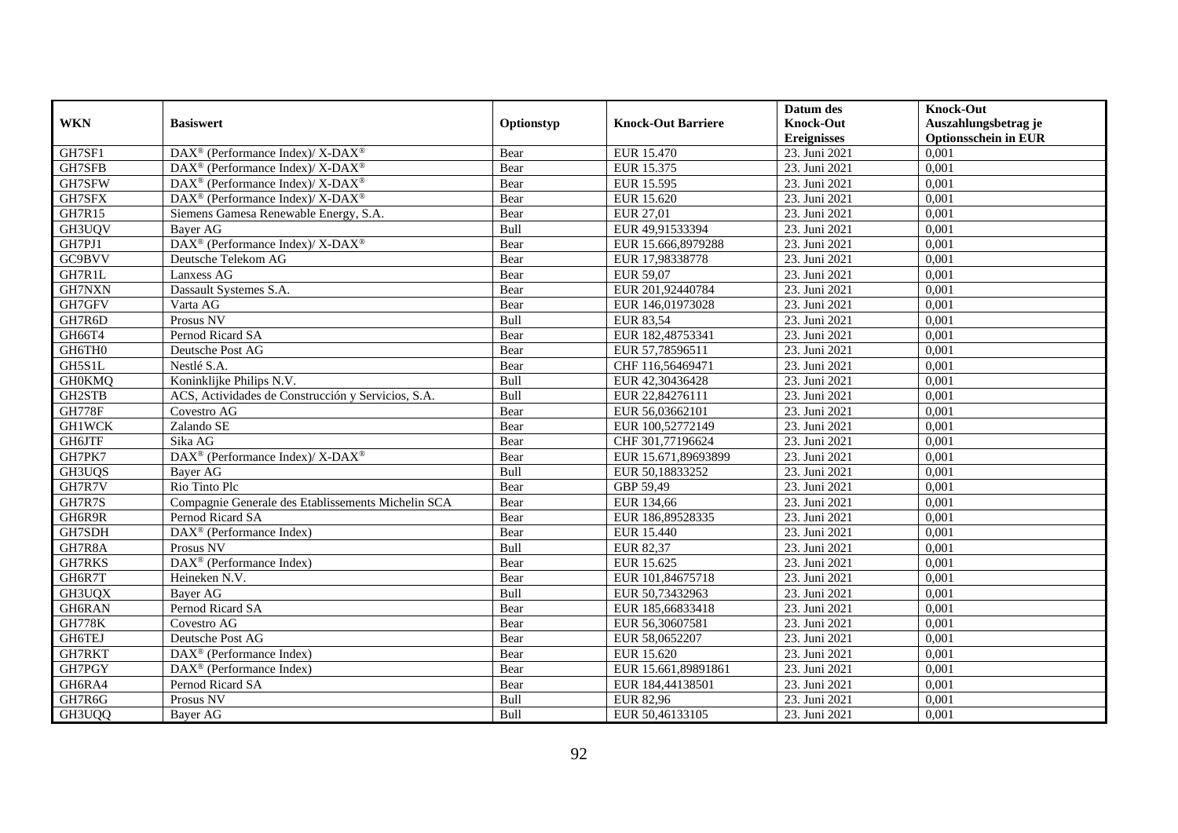|               |                                                             |            |                           | Datum des          | <b>Knock-Out</b>            |
|---------------|-------------------------------------------------------------|------------|---------------------------|--------------------|-----------------------------|
| <b>WKN</b>    | <b>Basiswert</b>                                            | Optionstyp | <b>Knock-Out Barriere</b> | <b>Knock-Out</b>   | Auszahlungsbetrag je        |
|               |                                                             |            |                           | <b>Ereignisses</b> | <b>Optionsschein in EUR</b> |
| GH7SF1        | DAX <sup>®</sup> (Performance Index)/ X-DAX <sup>®</sup>    | Bear       | EUR 15.470                | 23. Juni 2021      | 0,001                       |
| GH7SFB        | DAX <sup>®</sup> (Performance Index)/ X-DAX <sup>®</sup>    | Bear       | EUR 15.375                | 23. Juni 2021      | 0,001                       |
| GH7SFW        | DAX <sup>®</sup> (Performance Index)/ X-DAX <sup>®</sup>    | Bear       | EUR 15.595                | 23. Juni 2021      | 0,001                       |
| GH7SFX        | $DAX^{\circledcirc}$ (Performance Index)/X-DAX <sup>®</sup> | Bear       | EUR 15.620                | 23. Juni 2021      | 0,001                       |
| <b>GH7R15</b> | Siemens Gamesa Renewable Energy, S.A.                       | Bear       | EUR 27,01                 | 23. Juni 2021      | 0,001                       |
| GH3UQV        | <b>Baver AG</b>                                             | Bull       | EUR 49,91533394           | 23. Juni 2021      | 0,001                       |
| GH7PJ1        | DAX <sup>®</sup> (Performance Index)/ X-DAX <sup>®</sup>    | Bear       | EUR 15.666,8979288        | 23. Juni 2021      | 0,001                       |
| GC9BVV        | Deutsche Telekom AG                                         | Bear       | EUR 17,98338778           | 23. Juni 2021      | 0,001                       |
| GH7R1L        | Lanxess AG                                                  | Bear       | EUR 59,07                 | 23. Juni 2021      | 0,001                       |
| GH7NXN        | Dassault Systemes S.A.                                      | Bear       | EUR 201,92440784          | 23. Juni 2021      | 0,001                       |
| GH7GFV        | Varta AG                                                    | Bear       | EUR 146,01973028          | 23. Juni 2021      | 0,001                       |
| GH7R6D        | Prosus NV                                                   | Bull       | <b>EUR 83,54</b>          | 23. Juni 2021      | 0,001                       |
| GH66T4        | Pernod Ricard SA                                            | Bear       | EUR 182,48753341          | 23. Juni 2021      | 0,001                       |
| GH6TH0        | Deutsche Post AG                                            | Bear       | EUR 57,78596511           | 23. Juni 2021      | 0,001                       |
| GH5S1L        | Nestlé S.A.                                                 | Bear       | CHF 116,56469471          | 23. Juni 2021      | 0,001                       |
| <b>GH0KMQ</b> | Koninklijke Philips N.V.                                    | Bull       | EUR 42,30436428           | 23. Juni 2021      | 0,001                       |
| GH2STB        | ACS, Actividades de Construcción y Servicios, S.A.          | Bull       | EUR 22,84276111           | 23. Juni 2021      | 0,001                       |
| <b>GH778F</b> | Covestro AG                                                 | Bear       | EUR 56,03662101           | 23. Juni 2021      | 0,001                       |
| <b>GH1WCK</b> | Zalando SE                                                  | Bear       | EUR 100,52772149          | 23. Juni 2021      | 0,001                       |
| GH6JTF        | Sika AG                                                     | Bear       | CHF 301,77196624          | 23. Juni 2021      | 0,001                       |
| GH7PK7        | DAX <sup>®</sup> (Performance Index)/ X-DAX <sup>®</sup>    | Bear       | EUR 15.671,89693899       | 23. Juni 2021      | 0,001                       |
| GH3UQS        | Bayer AG                                                    | Bull       | EUR 50,18833252           | 23. Juni 2021      | 0,001                       |
| GH7R7V        | Rio Tinto Plc                                               | Bear       | GBP 59,49                 | 23. Juni 2021      | 0,001                       |
| GH7R7S        | Compagnie Generale des Etablissements Michelin SCA          | Bear       | EUR 134,66                | 23. Juni 2021      | 0,001                       |
| GH6R9R        | Pernod Ricard SA                                            | Bear       | EUR 186,89528335          | 23. Juni 2021      | 0.001                       |
| GH7SDH        | DAX <sup>®</sup> (Performance Index)                        | Bear       | EUR 15.440                | 23. Juni 2021      | 0,001                       |
| GH7R8A        | Prosus NV                                                   | Bull       | <b>EUR 82,37</b>          | 23. Juni 2021      | 0,001                       |
| <b>GH7RKS</b> | DAX <sup>®</sup> (Performance Index)                        | Bear       | EUR 15.625                | 23. Juni 2021      | 0,001                       |
| GH6R7T        | Heineken N.V.                                               | Bear       | EUR 101,84675718          | 23. Juni 2021      | 0,001                       |
| GH3UQX        | Bayer AG                                                    | Bull       | EUR 50,73432963           | 23. Juni 2021      | 0,001                       |
| GH6RAN        | Pernod Ricard SA                                            | Bear       | EUR 185,66833418          | 23. Juni 2021      | 0,001                       |
| <b>GH778K</b> | Covestro AG                                                 | Bear       | EUR 56,30607581           | 23. Juni 2021      | 0,001                       |
| GH6TEJ        | Deutsche Post AG                                            | Bear       | EUR 58,0652207            | 23. Juni 2021      | 0,001                       |
| GH7RKT        | DAX <sup>®</sup> (Performance Index)                        | Bear       | EUR 15.620                | 23. Juni 2021      | 0,001                       |
| GH7PGY        | DAX <sup>®</sup> (Performance Index)                        | Bear       | EUR 15.661,89891861       | 23. Juni 2021      | 0,001                       |
| GH6RA4        | Pernod Ricard SA                                            | Bear       | EUR 184,44138501          | 23. Juni 2021      | 0,001                       |
| GH7R6G        | Prosus NV                                                   | Bull       | <b>EUR 82,96</b>          | 23. Juni 2021      | 0,001                       |
| GH3UQQ        | Bayer AG                                                    | Bull       | EUR 50,46133105           | 23. Juni 2021      | 0,001                       |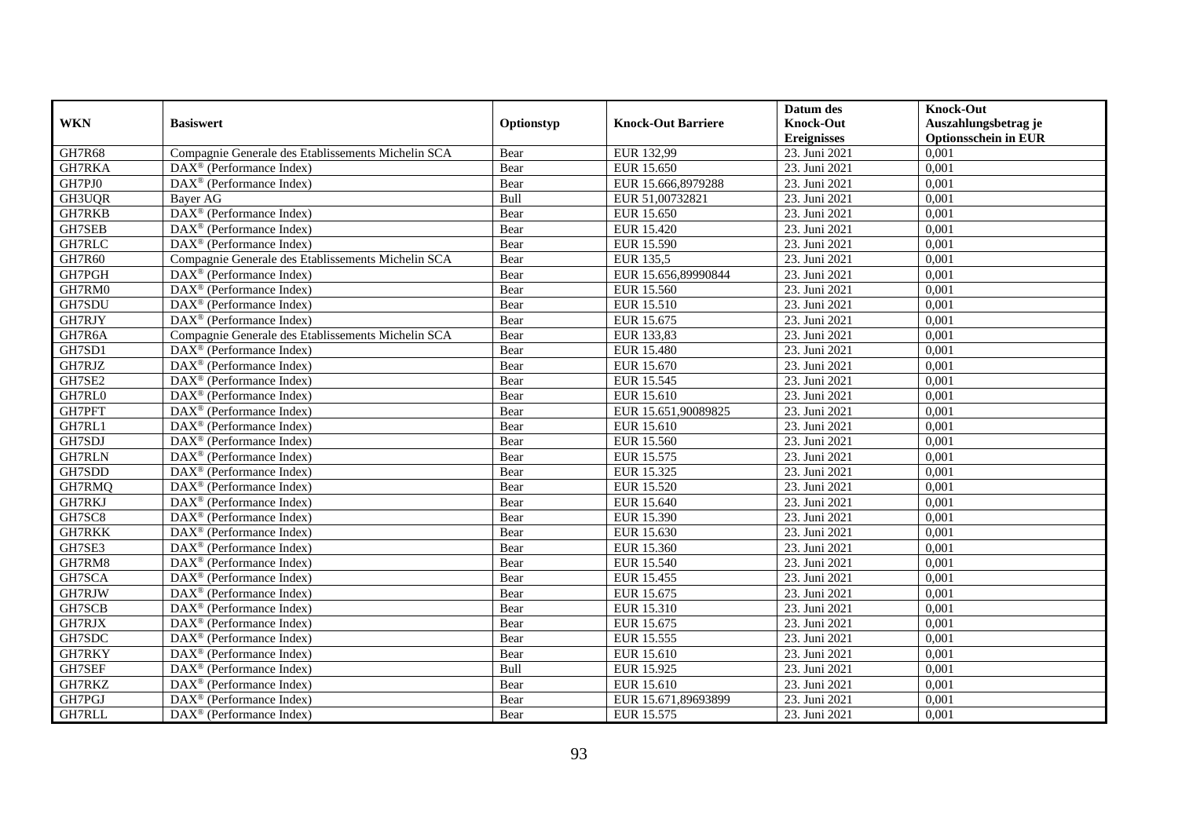|               |                                                              |            |                           | Datum des          | <b>Knock-Out</b>            |
|---------------|--------------------------------------------------------------|------------|---------------------------|--------------------|-----------------------------|
| <b>WKN</b>    | <b>Basiswert</b>                                             | Optionstyp | <b>Knock-Out Barriere</b> | <b>Knock-Out</b>   | Auszahlungsbetrag je        |
|               |                                                              |            |                           | <b>Ereignisses</b> | <b>Optionsschein in EUR</b> |
| <b>GH7R68</b> | Compagnie Generale des Etablissements Michelin SCA           | Bear       | EUR 132,99                | 23. Juni 2021      | 0,001                       |
| GH7RKA        | DAX <sup>®</sup> (Performance Index)                         | Bear       | EUR 15.650                | 23. Juni 2021      | 0,001                       |
| GH7PJ0        | DAX <sup>®</sup> (Performance Index)                         | Bear       | EUR 15.666,8979288        | 23. Juni 2021      | 0,001                       |
| GH3UQR        | Bayer AG                                                     | Bull       | EUR 51,00732821           | 23. Juni 2021      | 0,001                       |
| GH7RKB        | DAX <sup>®</sup> (Performance Index)                         | Bear       | EUR 15.650                | 23. Juni 2021      | 0,001                       |
| GH7SEB        | DAX <sup>®</sup> (Performance Index)                         | Bear       | EUR 15.420                | 23. Juni 2021      | 0,001                       |
| GH7RLC        | $\text{DAX}^{\otimes}$ (Performance Index)                   | Bear       | EUR 15.590                | 23. Juni 2021      | 0,001                       |
| GH7R60        | Compagnie Generale des Etablissements Michelin SCA           | Bear       | <b>EUR 135,5</b>          | 23. Juni 2021      | 0,001                       |
| GH7PGH        | $\text{DAX}^{\textcircled{D}}$ (Performance Index)           | Bear       | EUR 15.656,89990844       | 23. Juni 2021      | 0,001                       |
| GH7RM0        | $DAX^{\otimes}$ (Performance Index)                          | Bear       | EUR 15.560                | 23. Juni 2021      | 0,001                       |
| GH7SDU        | $\overline{\text{DAX}}^{\textcircled{}}$ (Performance Index) | Bear       | EUR 15.510                | 23. Juni 2021      | 0,001                       |
| GH7RJY        | $\overline{\text{DAX}^{\otimes}}$ (Performance Index)        | Bear       | EUR 15.675                | 23. Juni 2021      | 0,001                       |
| GH7R6A        | Compagnie Generale des Etablissements Michelin SCA           | Bear       | EUR 133,83                | 23. Juni 2021      | 0,001                       |
| GH7SD1        | DAX <sup>®</sup> (Performance Index)                         | Bear       | <b>EUR 15.480</b>         | 23. Juni 2021      | 0,001                       |
| GH7RJZ        | $\text{DAX}^{\circledast}$ (Performance Index)               | Bear       | EUR 15.670                | 23. Juni 2021      | 0,001                       |
| GH7SE2        | DAX <sup>®</sup> (Performance Index)                         | Bear       | EUR 15.545                | 23. Juni 2021      | 0,001                       |
| GH7RL0        | DAX <sup>®</sup> (Performance Index)                         | Bear       | EUR 15.610                | 23. Juni 2021      | 0,001                       |
| GH7PFT        | $DAX^{\circledR}$ (Performance Index)                        | Bear       | EUR 15.651.90089825       | 23. Juni 2021      | 0,001                       |
| GH7RL1        | $\overline{\text{DAX}}^{\textcircled{}}$ (Performance Index) | Bear       | EUR 15.610                | 23. Juni 2021      | 0,001                       |
| GH7SDJ        | DAX <sup>®</sup> (Performance Index)                         | Bear       | EUR 15.560                | 23. Juni 2021      | 0,001                       |
| <b>GH7RLN</b> | DAX <sup>®</sup> (Performance Index)                         | Bear       | EUR 15.575                | 23. Juni 2021      | 0,001                       |
| GH7SDD        | $\overline{\text{DAX}^{\otimes}}$ (Performance Index)        | Bear       | EUR 15.325                | 23. Juni 2021      | 0,001                       |
| GH7RMQ        | $\overline{\text{DAX}^{\otimes}}$ (Performance Index)        | Bear       | EUR 15.520                | 23. Juni 2021      | 0,001                       |
| GH7RKJ        | DAX <sup>®</sup> (Performance Index)                         | Bear       | EUR 15.640                | 23. Juni 2021      | 0,001                       |
| GH7SC8        | DAX <sup>®</sup> (Performance Index)                         | Bear       | EUR 15.390                | 23. Juni 2021      | 0,001                       |
| GH7RKK        | $\text{DAX}^{\otimes}$ (Performance Index)                   | Bear       | EUR 15.630                | 23. Juni 2021      | 0,001                       |
| GH7SE3        | DAX <sup>®</sup> (Performance Index)                         | Bear       | EUR 15.360                | 23. Juni 2021      | 0,001                       |
| GH7RM8        | $\text{DAX}^{\textcircled{D}}$ (Performance Index)           | Bear       | EUR 15.540                | 23. Juni 2021      | 0.001                       |
| GH7SCA        | $\text{DAX}^{\textcircled{D}}$ (Performance Index)           | Bear       | EUR 15.455                | 23. Juni 2021      | 0,001                       |
| GH7RJW        | $\text{DAX}^{\textcircled{D}}$ (Performance Index)           | Bear       | EUR 15.675                | 23. Juni 2021      | 0,001                       |
| GH7SCB        | DAX <sup>®</sup> (Performance Index)                         | Bear       | EUR 15.310                | 23. Juni 2021      | 0,001                       |
| GH7RJX        | DAX <sup>®</sup> (Performance Index)                         | Bear       | EUR 15.675                | 23. Juni 2021      | 0,001                       |
| GH7SDC        | $\overline{\text{DAX}^{\otimes}}$ (Performance Index)        | Bear       | EUR 15.555                | 23. Juni 2021      | 0,001                       |
| GH7RKY        | DAX <sup>®</sup> (Performance Index)                         | Bear       | EUR 15.610                | 23. Juni 2021      | 0,001                       |
| GH7SEF        | $\text{DAX}^{\textcircled{n}}$ (Performance Index)           | Bull       | EUR 15.925                | 23. Juni 2021      | 0,001                       |
| GH7RKZ        | $\text{DAX}^{\textcircled{n}}$ (Performance Index)           | Bear       | EUR 15.610                | 23. Juni 2021      | 0,001                       |
| GH7PGJ        | $\text{DAX}^{\otimes}$ (Performance Index)                   | Bear       | EUR 15.671,89693899       | 23. Juni 2021      | 0,001                       |
| GH7RLL        | $\overline{\text{DAX}}^{\textcirc}$ (Performance Index)      | Bear       | EUR 15.575                | 23. Juni 2021      | 0,001                       |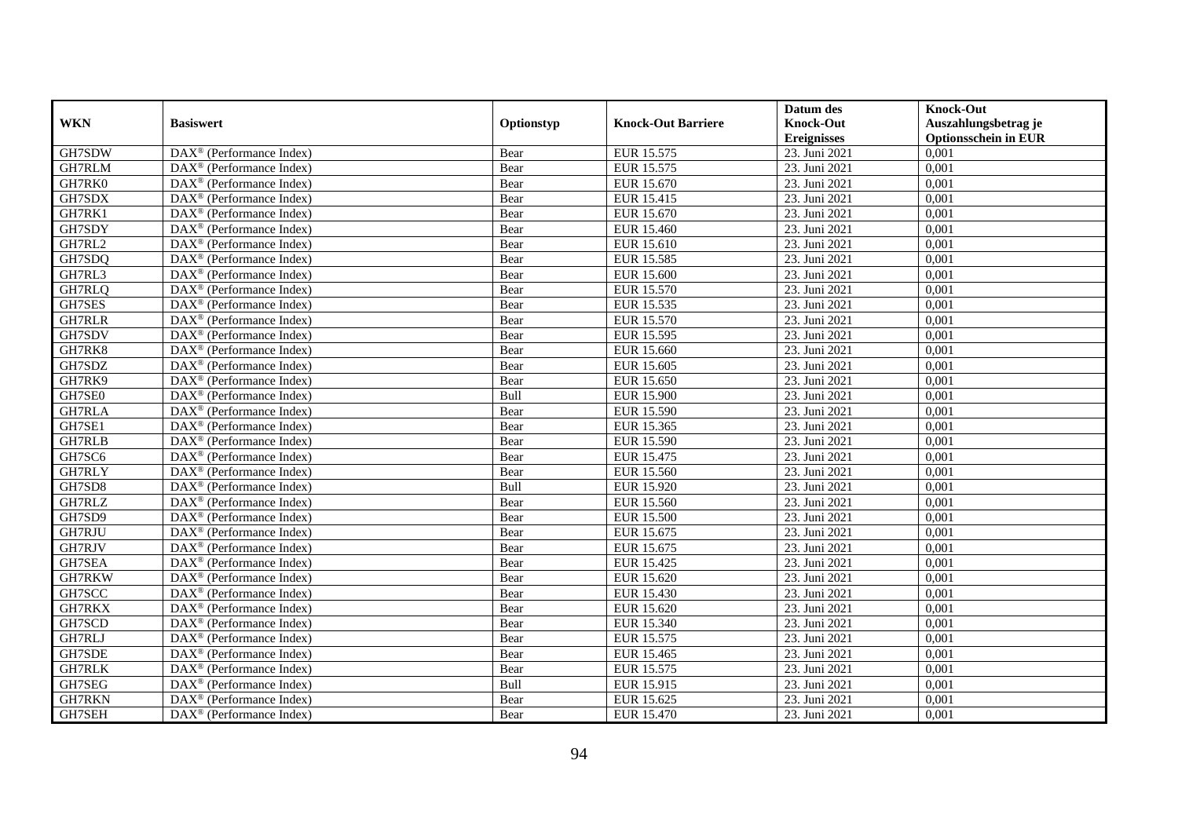|               |                                                              |            |                           | Datum des          | <b>Knock-Out</b>            |
|---------------|--------------------------------------------------------------|------------|---------------------------|--------------------|-----------------------------|
| <b>WKN</b>    | <b>Basiswert</b>                                             | Optionstyp | <b>Knock-Out Barriere</b> | <b>Knock-Out</b>   | Auszahlungsbetrag je        |
|               |                                                              |            |                           | <b>Ereignisses</b> | <b>Optionsschein in EUR</b> |
| GH7SDW        | DAX <sup>®</sup> (Performance Index)                         | Bear       | EUR 15.575                | 23. Juni 2021      | 0,001                       |
| <b>GH7RLM</b> | $\text{DAX}^{\circledast}$ (Performance Index)               | Bear       | EUR 15.575                | 23. Juni 2021      | 0,001                       |
| GH7RK0        | DAX <sup>®</sup> (Performance Index)                         | Bear       | EUR 15.670                | 23. Juni 2021      | 0,001                       |
| GH7SDX        | $\text{DAX}^{\otimes}$ (Performance Index)                   | Bear       | EUR 15.415                | 23. Juni 2021      | 0,001                       |
| GH7RK1        | DAX <sup>®</sup> (Performance Index)                         | Bear       | <b>EUR 15.670</b>         | 23. Juni 2021      | 0,001                       |
| GH7SDY        | $\text{DAX}^{\textcircled{p}}$ (Performance Index)           | Bear       | EUR 15.460                | 23. Juni 2021      | 0,001                       |
| GH7RL2        | $\overline{\text{DAX}^{\otimes}}$ (Performance Index)        | Bear       | EUR 15.610                | 23. Juni 2021      | 0,001                       |
| GH7SDQ        | $\text{DAX}^{\textcircled{n}}$ (Performance Index)           | Bear       | EUR 15.585                | 23. Juni 2021      | 0,001                       |
| GH7RL3        | $\text{DAX}^{\textcircled{n}}$ (Performance Index)           | Bear       | <b>EUR 15.600</b>         | 23. Juni 2021      | 0,001                       |
| GH7RLQ        | $\text{DAX}^{\otimes}$ (Performance Index)                   | Bear       | EUR 15.570                | 23. Juni 2021      | 0,001                       |
| GH7SES        | $\overline{\text{DAX}}^{\textcircled{}}$ (Performance Index) | Bear       | EUR 15.535                | 23. Juni 2021      | 0,001                       |
| <b>GH7RLR</b> | $\overline{\text{DAX}}^{\textcircled{}}$ (Performance Index) | Bear       | <b>EUR 15.570</b>         | 23. Juni 2021      | 0,001                       |
| GH7SDV        | $\text{DAX}^{\textcircled{n}}$ (Performance Index)           | Bear       | EUR 15.595                | 23. Juni 2021      | 0,001                       |
| GH7RK8        | $DAX^{\circledR}$ (Performance Index)                        | Bear       | EUR 15.660                | 23. Juni 2021      | 0,001                       |
| GH7SDZ        | $\text{DAX}^{\otimes}$ (Performance Index)                   | Bear       | EUR 15.605                | 23. Juni 2021      | 0,001                       |
| GH7RK9        | DAX <sup>®</sup> (Performance Index)                         | Bear       | EUR 15.650                | 23. Juni 2021      | 0,001                       |
| GH7SE0        | DAX <sup>®</sup> (Performance Index)                         | Bull       | <b>EUR 15.900</b>         | 23. Juni 2021      | 0,001                       |
| GH7RLA        | $\overline{\text{DAX}}^{\textcirc}$ (Performance Index)      | Bear       | EUR 15.590                | 23. Juni 2021      | 0,001                       |
| GH7SE1        | DAX <sup>®</sup> (Performance Index)                         | Bear       | EUR 15.365                | 23. Juni 2021      | 0,001                       |
| <b>GH7RLB</b> | DAX <sup>®</sup> (Performance Index)                         | Bear       | EUR 15.590                | 23. Juni 2021      | 0,001                       |
| GH7SC6        | DAX <sup>®</sup> (Performance Index)                         | Bear       | EUR 15.475                | 23. Juni 2021      | 0,001                       |
| <b>GH7RLY</b> | $\overline{\text{DAX}^{\otimes}}$ (Performance Index)        | Bear       | EUR 15.560                | 23. Juni 2021      | 0,001                       |
| GH7SD8        | DAX <sup>®</sup> (Performance Index)                         | Bull       | EUR 15.920                | 23. Juni 2021      | 0,001                       |
| GH7RLZ        | $\text{DAX}^{\circledast}$ (Performance Index)               | Bear       | EUR 15.560                | 23. Juni 2021      | 0,001                       |
| GH7SD9        | $DAX^{\circledR}$ (Performance Index)                        | Bear       | <b>EUR 15.500</b>         | 23. Juni 2021      | 0.001                       |
| GH7RJU        | DAX <sup>®</sup> (Performance Index)                         | Bear       | EUR 15.675                | 23. Juni 2021      | 0,001                       |
| GH7RJV        | DAX <sup>®</sup> (Performance Index)                         | Bear       | EUR 15.675                | 23. Juni 2021      | 0,001                       |
| GH7SEA        | $\text{DAX}^{\textcircled{p}}$ (Performance Index)           | Bear       | EUR 15.425                | 23. Juni 2021      | 0,001                       |
| GH7RKW        | DAX <sup>®</sup> (Performance Index)                         | Bear       | EUR 15.620                | 23. Juni 2021      | 0,001                       |
| GH7SCC        | $\text{DAX}^{\circledast}$ (Performance Index)               | Bear       | EUR 15.430                | 23. Juni 2021      | 0,001                       |
| GH7RKX        | $\text{DAX}^{\otimes}$ (Performance Index)                   | Bear       | EUR 15.620                | 23. Juni 2021      | 0,001                       |
| GH7SCD        | $DAX^{\circledR}$ (Performance Index)                        | Bear       | EUR 15.340                | 23. Juni 2021      | 0,001                       |
| GH7RLJ        | $\overline{\text{DAX}}^{\textcirc}$ (Performance Index)      | Bear       | EUR 15.575                | 23. Juni 2021      | 0,001                       |
| GH7SDE        | $\overline{\text{DAX}^{\otimes}(\text{Performance Index})}$  | Bear       | EUR 15.465                | 23. Juni 2021      | 0,001                       |
| <b>GH7RLK</b> | DAX <sup>®</sup> (Performance Index)                         | Bear       | EUR 15.575                | 23. Juni 2021      | 0,001                       |
| GH7SEG        | DAX <sup>®</sup> (Performance Index)                         | Bull       | EUR 15.915                | 23. Juni 2021      | 0,001                       |
| <b>GH7RKN</b> | $\text{DAX}^{\circledast}$ (Performance Index)               | Bear       | EUR 15.625                | 23. Juni 2021      | 0,001                       |
| GH7SEH        | $\text{DAX}^{\circledast}$ (Performance Index)               | Bear       | EUR 15.470                | 23. Juni 2021      | 0,001                       |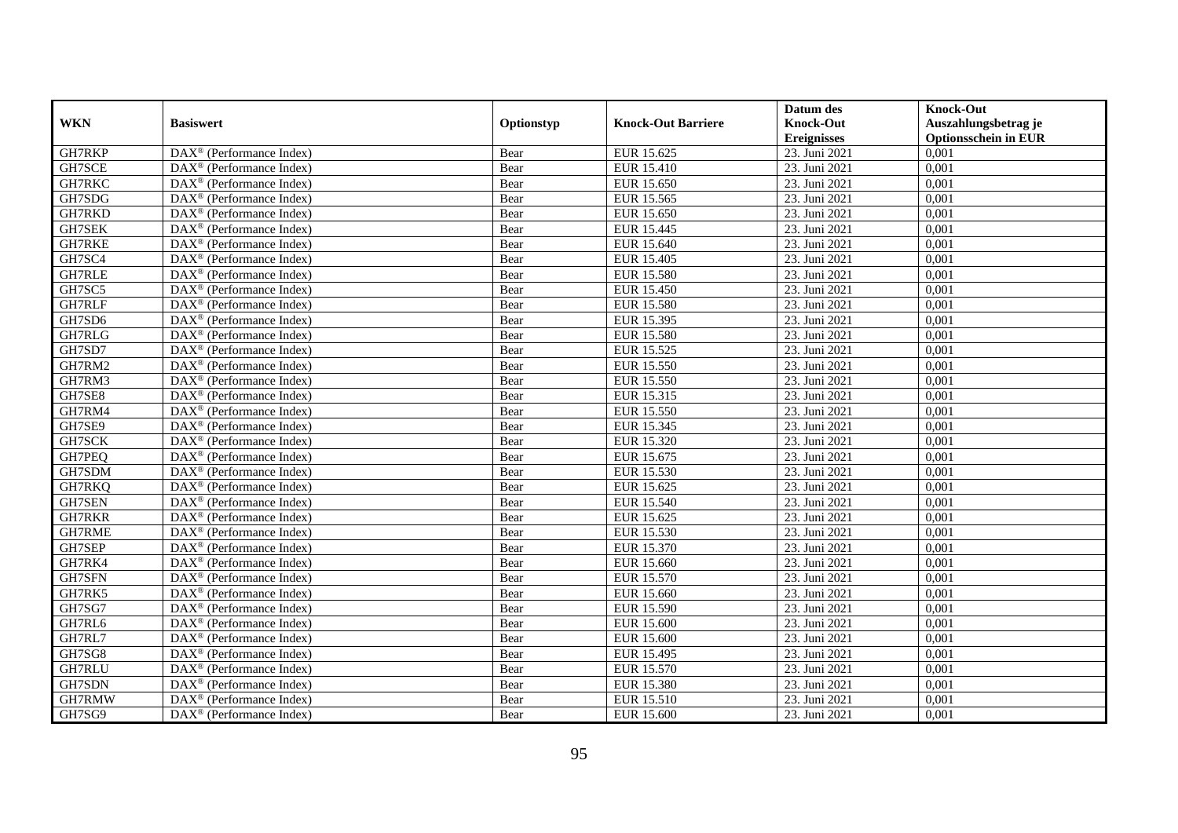|               |                                                              |            |                           | Datum des          | <b>Knock-Out</b>            |
|---------------|--------------------------------------------------------------|------------|---------------------------|--------------------|-----------------------------|
| <b>WKN</b>    | <b>Basiswert</b>                                             | Optionstyp | <b>Knock-Out Barriere</b> | <b>Knock-Out</b>   | Auszahlungsbetrag je        |
|               |                                                              |            |                           | <b>Ereignisses</b> | <b>Optionsschein in EUR</b> |
| GH7RKP        | DAX <sup>®</sup> (Performance Index)                         | Bear       | EUR 15.625                | 23. Juni 2021      | 0,001                       |
| GH7SCE        | $DAX^{\circledR}$ (Performance Index)                        | Bear       | <b>EUR 15.410</b>         | 23. Juni 2021      | 0,001                       |
| GH7RKC        | DAX <sup>®</sup> (Performance Index)                         | Bear       | EUR 15.650                | 23. Juni 2021      | 0,001                       |
| GH7SDG        | $\text{DAX}^{\circledast}$ (Performance Index)               | Bear       | EUR 15.565                | 23. Juni 2021      | 0,001                       |
| GH7RKD        | DAX <sup>®</sup> (Performance Index)                         | Bear       | EUR 15.650                | 23. Juni 2021      | 0,001                       |
| GH7SEK        | $\text{DAX}^{\circledast}$ (Performance Index)               | Bear       | EUR 15.445                | 23. Juni 2021      | 0,001                       |
| <b>GH7RKE</b> | $\text{DAX}^{\textcircled{n}}$ (Performance Index)           | Bear       | EUR 15.640                | 23. Juni 2021      | 0,001                       |
| GH7SC4        | $\text{DAX}^{\textcircled{}}$ (Performance Index)            | Bear       | EUR 15.405                | 23. Juni 2021      | 0,001                       |
| <b>GH7RLE</b> | $\text{DAX}^{\textcircled{D}}$ (Performance Index)           | Bear       | <b>EUR 15.580</b>         | 23. Juni 2021      | 0,001                       |
| GH7SC5        | $DAX^{\otimes}$ (Performance Index)                          | Bear       | <b>EUR 15.450</b>         | 23. Juni 2021      | 0,001                       |
| GH7RLF        | $\overline{\text{DAX}}^{\textcircled{}}$ (Performance Index) | Bear       | <b>EUR 15.580</b>         | 23. Juni 2021      | 0,001                       |
| GH7SD6        | $\overline{\text{DAX}^{\otimes}}$ (Performance Index)        | Bear       | EUR 15.395                | 23. Juni 2021      | 0,001                       |
| <b>GH7RLG</b> | $\text{DAX}^{\circledast}$ (Performance Index)               | Bear       | <b>EUR 15.580</b>         | 23. Juni 2021      | 0,001                       |
| GH7SD7        | DAX <sup>®</sup> (Performance Index)                         | Bear       | EUR 15.525                | 23. Juni 2021      | 0,001                       |
| GH7RM2        | DAX <sup>®</sup> (Performance Index)                         | Bear       | EUR 15.550                | 23. Juni 2021      | 0,001                       |
| GH7RM3        | DAX <sup>®</sup> (Performance Index)                         | Bear       | EUR 15.550                | 23. Juni 2021      | 0,001                       |
| GH7SE8        | DAX <sup>®</sup> (Performance Index)                         | Bear       | EUR 15.315                | 23. Juni 2021      | 0,001                       |
| GH7RM4        | $\overline{\text{DAX}}^{\textcirc}$ (Performance Index)      | Bear       | EUR 15.550                | 23. Juni 2021      | 0,001                       |
| GH7SE9        | DAX <sup>®</sup> (Performance Index)                         | Bear       | EUR 15.345                | 23. Juni 2021      | 0,001                       |
| GH7SCK        | DAX <sup>®</sup> (Performance Index)                         | Bear       | EUR 15.320                | 23. Juni 2021      | 0,001                       |
| GH7PEQ        | DAX <sup>®</sup> (Performance Index)                         | Bear       | EUR 15.675                | 23. Juni 2021      | 0,001                       |
| GH7SDM        | $\overline{\text{DAX}^{\otimes}}$ (Performance Index)        | Bear       | EUR 15.530                | 23. Juni 2021      | 0,001                       |
| GH7RKQ        | $\text{DAX}^{\circledast}$ (Performance Index)               | Bear       | EUR 15.625                | 23. Juni 2021      | 0,001                       |
| <b>GH7SEN</b> | DAX <sup>®</sup> (Performance Index)                         | Bear       | EUR 15.540                | 23. Juni 2021      | 0,001                       |
| <b>GH7RKR</b> | DAX <sup>®</sup> (Performance Index)                         | Bear       | EUR 15.625                | 23. Juni 2021      | 0,001                       |
| GH7RME        | $\text{DAX}^{\otimes}$ (Performance Index)                   | Bear       | EUR 15.530                | 23. Juni 2021      | 0,001                       |
| GH7SEP        | $\text{DAX}^{\circledast}$ (Performance Index)               | Bear       | EUR 15.370                | 23. Juni 2021      | 0,001                       |
| GH7RK4        | $DAX^{\circledR}$ (Performance Index)                        | Bear       | EUR 15.660                | 23. Juni 2021      | 0,001                       |
| <b>GH7SFN</b> | $\text{DAX}^{\textcircled{D}}$ (Performance Index)           | Bear       | EUR 15.570                | 23. Juni 2021      | 0,001                       |
| GH7RK5        | $DAX^{\circledcirc}$ (Performance Index)                     | Bear       | EUR 15.660                | 23. Juni 2021      | 0,001                       |
| GH7SG7        | DAX <sup>®</sup> (Performance Index)                         | Bear       | EUR 15.590                | 23. Juni 2021      | 0,001                       |
| GH7RL6        | $\text{DAX}^{\otimes}$ (Performance Index)                   | Bear       | <b>EUR 15.600</b>         | 23. Juni 2021      | 0,001                       |
| GH7RL7        | $\overline{\text{DAX}^{\otimes}}$ (Performance Index)        | Bear       | <b>EUR 15.600</b>         | 23. Juni 2021      | 0,001                       |
| GH7SG8        | $\text{DAX}^{\circledast}$ (Performance Index)               | Bear       | EUR 15.495                | 23. Juni 2021      | 0,001                       |
| <b>GH7RLU</b> | DAX <sup>®</sup> (Performance Index)                         | Bear       | EUR 15.570                | 23. Juni 2021      | 0,001                       |
| GH7SDN        | $\text{DAX}^{\circledast}$ (Performance Index)               | Bear       | <b>EUR 15.380</b>         | 23. Juni 2021      | 0,001                       |
| GH7RMW        | $\text{DAX}^{\otimes}$ (Performance Index)                   | Bear       | EUR 15.510                | 23. Juni 2021      | 0,001                       |
| GH7SG9        | DAX <sup>®</sup> (Performance Index)                         | Bear       | <b>EUR 15.600</b>         | 23. Juni 2021      | 0,001                       |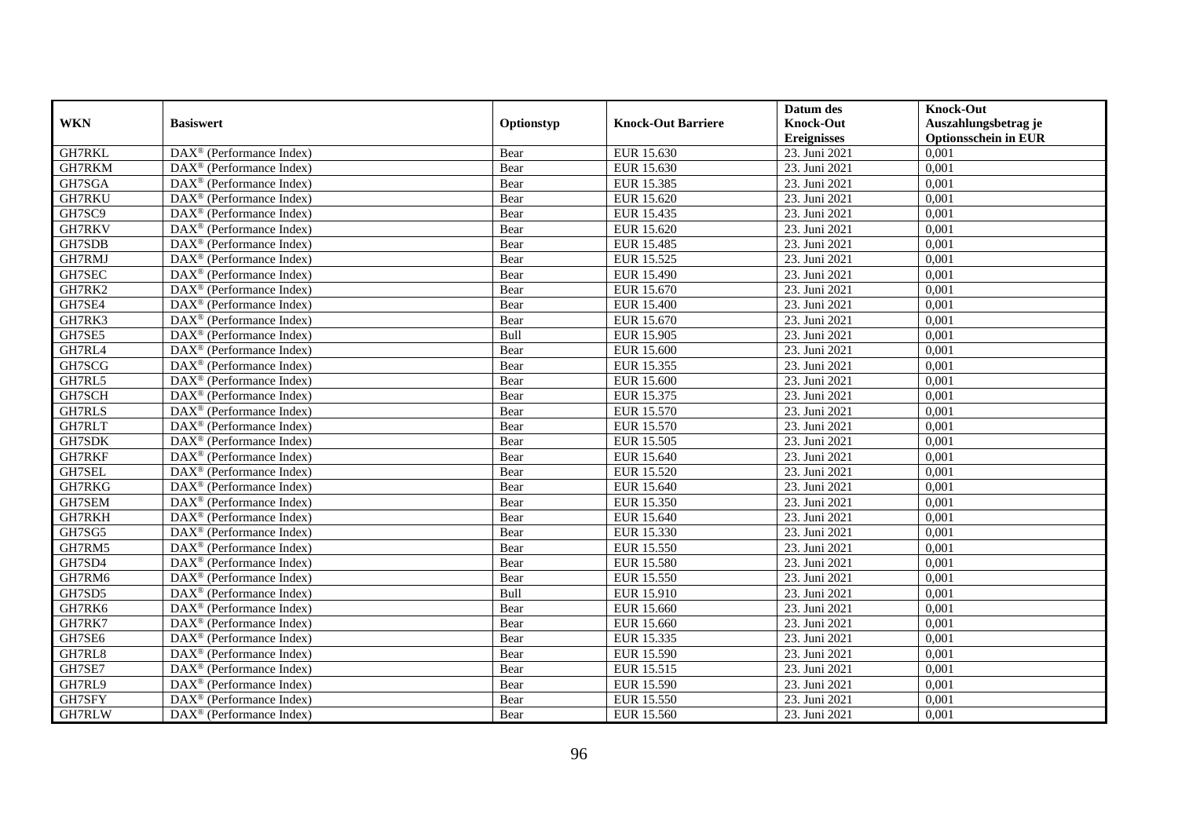|               |                                                              |            |                           | Datum des          | <b>Knock-Out</b>            |
|---------------|--------------------------------------------------------------|------------|---------------------------|--------------------|-----------------------------|
| <b>WKN</b>    | <b>Basiswert</b>                                             | Optionstyp | <b>Knock-Out Barriere</b> | <b>Knock-Out</b>   | Auszahlungsbetrag je        |
|               |                                                              |            |                           | <b>Ereignisses</b> | <b>Optionsschein in EUR</b> |
| <b>GH7RKL</b> | DAX <sup>®</sup> (Performance Index)                         | Bear       | EUR 15.630                | 23. Juni 2021      | 0,001                       |
| GH7RKM        | $DAX^{\circledR}$ (Performance Index)                        | Bear       | EUR 15.630                | 23. Juni 2021      | 0,001                       |
| GH7SGA        | DAX <sup>®</sup> (Performance Index)                         | Bear       | EUR 15.385                | 23. Juni 2021      | 0,001                       |
| GH7RKU        | $\text{DAX}^{\circledast}$ (Performance Index)               | Bear       | EUR 15.620                | 23. Juni 2021      | 0,001                       |
| GH7SC9        | DAX <sup>®</sup> (Performance Index)                         | Bear       | EUR 15.435                | 23. Juni 2021      | 0,001                       |
| GH7RKV        | $\text{DAX}^{\circledast}$ (Performance Index)               | Bear       | EUR 15.620                | 23. Juni 2021      | 0,001                       |
| GH7SDB        | $\text{DAX}^{\textcircled{n}}$ (Performance Index)           | Bear       | EUR 15.485                | 23. Juni 2021      | 0,001                       |
| GH7RMJ        | $\text{DAX}^{\textcircled{}}$ (Performance Index)            | Bear       | EUR 15.525                | 23. Juni 2021      | 0,001                       |
| GH7SEC        | $\text{DAX}^{\textcircled{D}}$ (Performance Index)           | Bear       | EUR 15.490                | 23. Juni 2021      | 0,001                       |
| GH7RK2        | $DAX^{\otimes}$ (Performance Index)                          | Bear       | EUR 15.670                | 23. Juni 2021      | 0,001                       |
| GH7SE4        | $\overline{\text{DAX}}^{\textcircled{}}$ (Performance Index) | Bear       | <b>EUR 15.400</b>         | 23. Juni 2021      | 0,001                       |
| GH7RK3        | $\overline{\text{DAX}^{\otimes}}$ (Performance Index)        | Bear       | EUR 15.670                | 23. Juni 2021      | 0,001                       |
| GH7SE5        | $\text{DAX}^{\circledast}$ (Performance Index)               | Bull       | <b>EUR 15.905</b>         | 23. Juni 2021      | 0,001                       |
| GH7RL4        | DAX <sup>®</sup> (Performance Index)                         | Bear       | <b>EUR 15.600</b>         | 23. Juni 2021      | 0,001                       |
| GH7SCG        | DAX <sup>®</sup> (Performance Index)                         | Bear       | EUR 15.355                | 23. Juni 2021      | 0,001                       |
| GH7RL5        | DAX <sup>®</sup> (Performance Index)                         | Bear       | <b>EUR 15.600</b>         | 23. Juni 2021      | 0,001                       |
| GH7SCH        | DAX <sup>®</sup> (Performance Index)                         | Bear       | EUR 15.375                | 23. Juni 2021      | 0,001                       |
| GH7RLS        | $\overline{\text{DAX}}^{\textcirc}$ (Performance Index)      | Bear       | EUR 15.570                | 23. Juni 2021      | 0,001                       |
| GH7RLT        | DAX <sup>®</sup> (Performance Index)                         | Bear       | EUR 15.570                | 23. Juni 2021      | 0,001                       |
| GH7SDK        | DAX <sup>®</sup> (Performance Index)                         | Bear       | EUR 15.505                | 23. Juni 2021      | 0,001                       |
| GH7RKF        | DAX <sup>®</sup> (Performance Index)                         | Bear       | EUR 15.640                | 23. Juni 2021      | 0,001                       |
| <b>GH7SEL</b> | $\overline{\text{DAX}^{\otimes}}$ (Performance Index)        | Bear       | EUR 15.520                | 23. Juni 2021      | 0,001                       |
| GH7RKG        | $\text{DAX}^{\circledast}$ (Performance Index)               | Bear       | EUR 15.640                | 23. Juni 2021      | 0,001                       |
| GH7SEM        | DAX <sup>®</sup> (Performance Index)                         | Bear       | EUR 15.350                | 23. Juni 2021      | 0,001                       |
| GH7RKH        | DAX <sup>®</sup> (Performance Index)                         | Bear       | EUR 15.640                | 23. Juni 2021      | 0,001                       |
| GH7SG5        | $\text{DAX}^{\otimes}$ (Performance Index)                   | Bear       | EUR 15.330                | 23. Juni 2021      | 0,001                       |
| GH7RM5        | $\text{DAX}^{\circledast}$ (Performance Index)               | Bear       | EUR 15.550                | 23. Juni 2021      | 0,001                       |
| GH7SD4        | $DAX^{\circledR}$ (Performance Index)                        | Bear       | <b>EUR 15.580</b>         | 23. Juni 2021      | 0,001                       |
| GH7RM6        | $\text{DAX}^{\textcircled{D}}$ (Performance Index)           | Bear       | EUR 15.550                | 23. Juni 2021      | 0,001                       |
| GH7SD5        | $DAX^{\circledcirc}$ (Performance Index)                     | Bull       | <b>EUR 15.910</b>         | 23. Juni 2021      | 0,001                       |
| GH7RK6        | DAX <sup>®</sup> (Performance Index)                         | Bear       | EUR 15.660                | 23. Juni 2021      | 0,001                       |
| GH7RK7        | $\text{DAX}^{\otimes}$ (Performance Index)                   | Bear       | EUR 15.660                | 23. Juni 2021      | 0,001                       |
| GH7SE6        | $\overline{\text{DAX}^{\otimes}}$ (Performance Index)        | Bear       | EUR 15.335                | 23. Juni 2021      | 0,001                       |
| GH7RL8        | $\text{DAX}^{\circledast}$ (Performance Index)               | Bear       | EUR 15.590                | 23. Juni 2021      | 0,001                       |
| GH7SE7        | DAX <sup>®</sup> (Performance Index)                         | Bear       | EUR 15.515                | 23. Juni 2021      | 0,001                       |
| GH7RL9        | $\text{DAX}^{\textcircled{n}}$ (Performance Index)           | Bear       | EUR 15.590                | 23. Juni 2021      | 0,001                       |
| GH7SFY        | $\text{DAX}^{\otimes}$ (Performance Index)                   | Bear       | EUR 15.550                | 23. Juni 2021      | 0,001                       |
| GH7RLW        | DAX <sup>®</sup> (Performance Index)                         | Bear       | EUR 15.560                | 23. Juni 2021      | 0,001                       |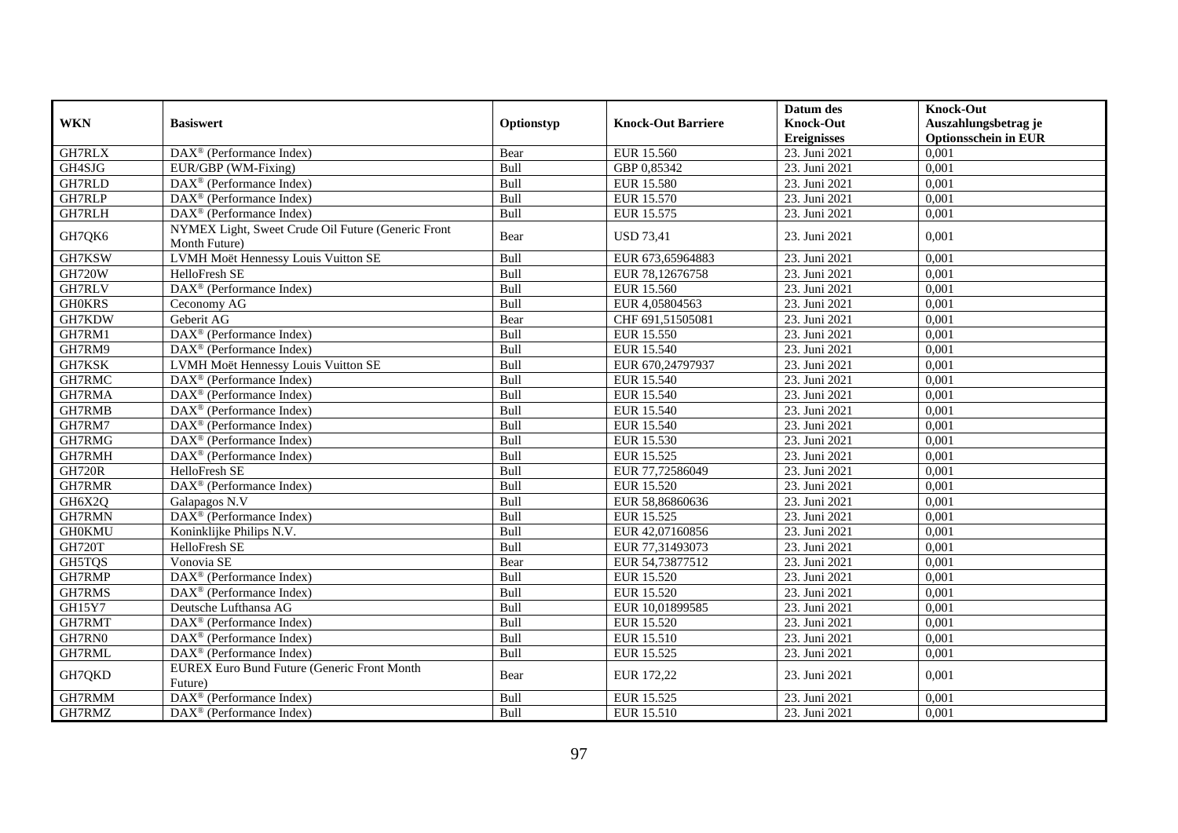| <b>WKN</b>    | <b>Basiswert</b>                                                    | Optionstyp | <b>Knock-Out Barriere</b> | Datum des<br><b>Knock-Out</b><br><b>Ereignisses</b> | <b>Knock-Out</b><br>Auszahlungsbetrag je<br><b>Optionsschein in EUR</b> |
|---------------|---------------------------------------------------------------------|------------|---------------------------|-----------------------------------------------------|-------------------------------------------------------------------------|
| GH7RLX        | DAX <sup>®</sup> (Performance Index)                                | Bear       | EUR 15.560                | 23. Juni 2021                                       | 0,001                                                                   |
| GH4SJG        | EUR/GBP (WM-Fixing)                                                 | Bull       | GBP 0,85342               | 23. Juni 2021                                       | 0,001                                                                   |
| <b>GH7RLD</b> | $\text{DAX}^{\textcircled{n}}$ (Performance Index)                  | Bull       | <b>EUR 15.580</b>         | 23. Juni 2021                                       | 0,001                                                                   |
| GH7RLP        | $\text{DAX}^{\textcircled{n}}$ (Performance Index)                  | Bull       | EUR 15.570                | 23. Juni 2021                                       | 0,001                                                                   |
| GH7RLH        | DAX <sup>®</sup> (Performance Index)                                | Bull       | EUR 15.575                | 23. Juni 2021                                       | 0,001                                                                   |
| GH7QK6        | NYMEX Light, Sweet Crude Oil Future (Generic Front<br>Month Future) | Bear       | <b>USD 73,41</b>          | 23. Juni 2021                                       | 0,001                                                                   |
| GH7KSW        | LVMH Moët Hennessy Louis Vuitton SE                                 | Bull       | EUR 673,65964883          | 23. Juni 2021                                       | 0,001                                                                   |
| <b>GH720W</b> | HelloFresh SE                                                       | Bull       | EUR 78,12676758           | 23. Juni 2021                                       | 0,001                                                                   |
| <b>GH7RLV</b> | DAX <sup>®</sup> (Performance Index)                                | Bull       | EUR 15.560                | 23. Juni 2021                                       | 0,001                                                                   |
| <b>GH0KRS</b> | Ceconomy AG                                                         | Bull       | EUR 4,05804563            | 23. Juni 2021                                       | 0,001                                                                   |
| GH7KDW        | Geberit AG                                                          | Bear       | CHF 691,51505081          | 23. Juni 2021                                       | 0,001                                                                   |
| GH7RM1        | DAX <sup>®</sup> (Performance Index)                                | Bull       | EUR 15.550                | 23. Juni 2021                                       | 0,001                                                                   |
| GH7RM9        | $DAX^{\circledR}$ (Performance Index)                               | Bull       | EUR 15.540                | 23. Juni 2021                                       | 0,001                                                                   |
| GH7KSK        | LVMH Moët Hennessy Louis Vuitton SE                                 | Bull       | EUR 670,24797937          | 23. Juni 2021                                       | 0,001                                                                   |
| GH7RMC        | DAX <sup>®</sup> (Performance Index)                                | Bull       | <b>EUR 15.540</b>         | 23. Juni 2021                                       | 0,001                                                                   |
| GH7RMA        | DAX <sup>®</sup> (Performance Index)                                | Bull       | <b>EUR 15.540</b>         | 23. Juni 2021                                       | 0,001                                                                   |
| GH7RMB        | DAX <sup>®</sup> (Performance Index)                                | Bull       | EUR 15.540                | 23. Juni 2021                                       | 0,001                                                                   |
| GH7RM7        | $\text{DAX}^{\textcircled{n}}$ (Performance Index)                  | Bull       | EUR 15.540                | 23. Juni 2021                                       | 0,001                                                                   |
| GH7RMG        | DAX <sup>®</sup> (Performance Index)                                | Bull       | EUR 15.530                | 23. Juni 2021                                       | 0,001                                                                   |
| GH7RMH        | DAX <sup>®</sup> (Performance Index)                                | Bull       | EUR 15.525                | 23. Juni 2021                                       | 0,001                                                                   |
| <b>GH720R</b> | HelloFresh SE                                                       | Bull       | EUR 77,72586049           | 23. Juni 2021                                       | 0,001                                                                   |
| GH7RMR        | $\overline{\text{DAX}^{\otimes}}$ (Performance Index)               | Bull       | EUR 15.520                | 23. Juni 2021                                       | 0,001                                                                   |
| GH6X2Q        | Galapagos N.V                                                       | Bull       | EUR 58,86860636           | 23. Juni 2021                                       | 0,001                                                                   |
| <b>GH7RMN</b> | DAX <sup>®</sup> (Performance Index)                                | Bull       | EUR 15.525                | 23. Juni 2021                                       | 0,001                                                                   |
| <b>GH0KMU</b> | Koninklijke Philips N.V.                                            | Bull       | EUR 42,07160856           | 23. Juni 2021                                       | 0,001                                                                   |
| <b>GH720T</b> | HelloFresh SE                                                       | Bull       | EUR 77,31493073           | 23. Juni 2021                                       | 0,001                                                                   |
| GH5TQS        | Vonovia SE                                                          | Bear       | EUR 54,73877512           | 23. Juni 2021                                       | 0,001                                                                   |
| GH7RMP        | DAX <sup>®</sup> (Performance Index)                                | Bull       | EUR 15.520                | 23. Juni 2021                                       | 0,001                                                                   |
| GH7RMS        | $\text{DAX}^{\textcircled{n}}$ (Performance Index)                  | Bull       | EUR 15.520                | 23. Juni 2021                                       | 0,001                                                                   |
| GH15Y7        | Deutsche Lufthansa AG                                               | Bull       | EUR 10,01899585           | 23. Juni 2021                                       | 0,001                                                                   |
| GH7RMT        | DAX <sup>®</sup> (Performance Index)                                | Bull       | <b>EUR 15.520</b>         | 23. Juni 2021                                       | 0,001                                                                   |
| GH7RN0        | DAX <sup>®</sup> (Performance Index)                                | Bull       | <b>EUR 15.510</b>         | 23. Juni 2021                                       | 0,001                                                                   |
| GH7RML        | DAX <sup>®</sup> (Performance Index)                                | Bull       | EUR 15.525                | 23. Juni 2021                                       | 0,001                                                                   |
| GH7QKD        | <b>EUREX Euro Bund Future (Generic Front Month</b><br>Future)       | Bear       | EUR 172,22                | 23. Juni 2021                                       | 0,001                                                                   |
| GH7RMM        | DAX <sup>®</sup> (Performance Index)                                | Bull       | EUR 15.525                | 23. Juni 2021                                       | 0,001                                                                   |
| GH7RMZ        | $\text{DAX}^{\circledast}$ (Performance Index)                      | Bull       | EUR 15.510                | 23. Juni 2021                                       | 0,001                                                                   |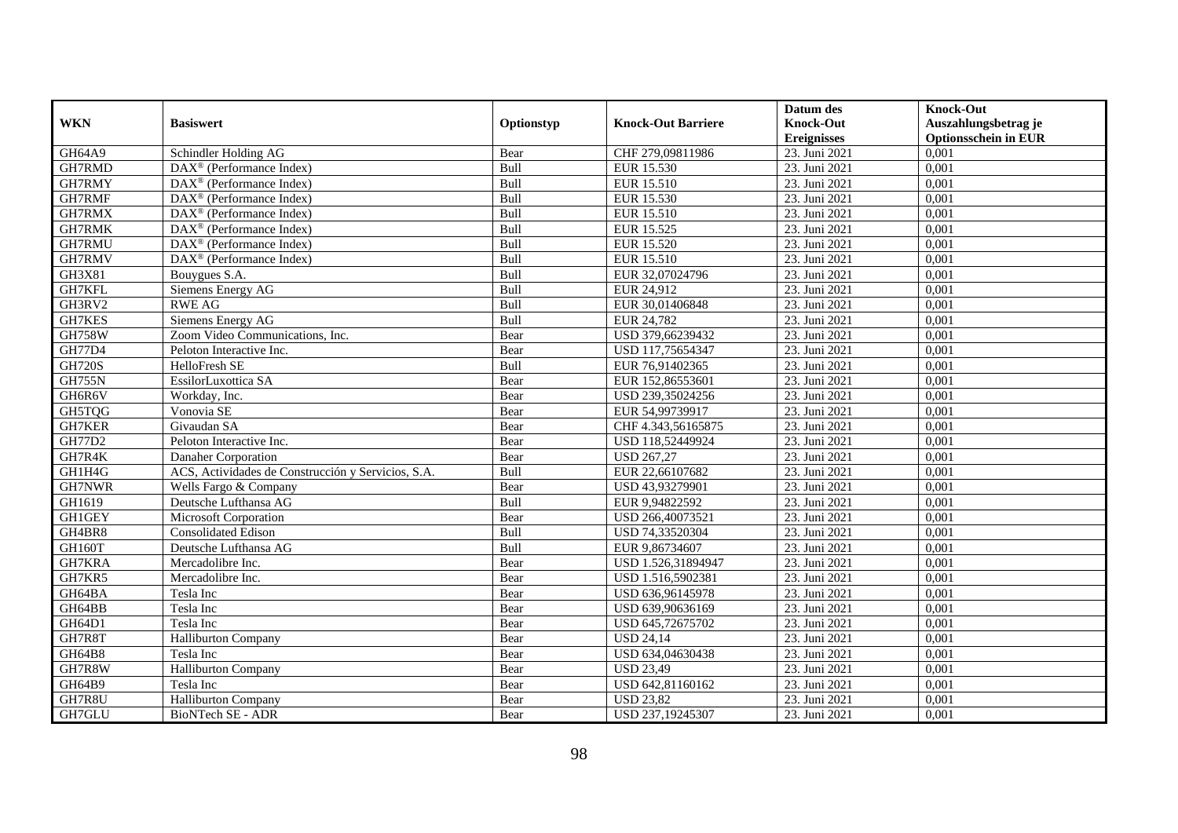|               |                                                              |            |                           | Datum des          | <b>Knock-Out</b>            |
|---------------|--------------------------------------------------------------|------------|---------------------------|--------------------|-----------------------------|
| <b>WKN</b>    | <b>Basiswert</b>                                             | Optionstyp | <b>Knock-Out Barriere</b> | <b>Knock-Out</b>   | Auszahlungsbetrag je        |
|               |                                                              |            |                           | <b>Ereignisses</b> | <b>Optionsschein in EUR</b> |
| GH64A9        | Schindler Holding AG                                         | Bear       | CHF 279,09811986          | 23. Juni 2021      | 0,001                       |
| GH7RMD        | $\text{DAX}^{\textcircled{D}}$ (Performance Index)           | Bull       | EUR 15.530                | 23. Juni 2021      | 0,001                       |
| GH7RMY        | DAX <sup>®</sup> (Performance Index)                         | Bull       | EUR 15.510                | 23. Juni 2021      | 0,001                       |
| GH7RMF        | $\text{DAX}^{\circledast}$ (Performance Index)               | Bull       | EUR 15.530                | 23. Juni 2021      | 0,001                       |
| GH7RMX        | DAX <sup>®</sup> (Performance Index)                         | Bull       | <b>EUR 15.510</b>         | 23. Juni 2021      | 0,001                       |
| GH7RMK        | $\overline{\text{DAX}}^{\textcircled{}}$ (Performance Index) | Bull       | EUR 15.525                | 23. Juni 2021      | 0,001                       |
| GH7RMU        | $\overline{\text{DAX}}^{\textcirc}$ (Performance Index)      | Bull       | EUR 15.520                | 23. Juni 2021      | 0,001                       |
| GH7RMV        | $\overline{\text{DAX}}^{\textcirc}$ (Performance Index)      | Bull       | EUR 15.510                | 23. Juni 2021      | 0,001                       |
| GH3X81        | Bouygues S.A.                                                | Bull       | EUR 32,07024796           | 23. Juni 2021      | 0,001                       |
| GH7KFL        | Siemens Energy AG                                            | Bull       | EUR 24,912                | 23. Juni 2021      | 0,001                       |
| GH3RV2        | <b>RWE AG</b>                                                | Bull       | EUR 30,01406848           | 23. Juni 2021      | 0,001                       |
| GH7KES        | <b>Siemens Energy AG</b>                                     | Bull       | EUR 24,782                | 23. Juni 2021      | 0,001                       |
| <b>GH758W</b> | Zoom Video Communications, Inc.                              | Bear       | USD 379,66239432          | 23. Juni 2021      | 0,001                       |
| GH77D4        | Peloton Interactive Inc.                                     | Bear       | USD 117,75654347          | 23. Juni 2021      | 0,001                       |
| <b>GH720S</b> | HelloFresh SE                                                | Bull       | EUR 76,91402365           | 23. Juni 2021      | 0,001                       |
| <b>GH755N</b> | EssilorLuxottica SA                                          | Bear       | EUR 152,86553601          | 23. Juni 2021      | 0,001                       |
| GH6R6V        | Workday, Inc.                                                | Bear       | USD 239,35024256          | 23. Juni 2021      | 0,001                       |
| GH5TQG        | Vonovia SE                                                   | Bear       | EUR 54,99739917           | 23. Juni 2021      | 0,001                       |
| <b>GH7KER</b> | Givaudan SA                                                  | Bear       | CHF 4.343,56165875        | 23. Juni 2021      | 0,001                       |
| GH77D2        | Peloton Interactive Inc.                                     | Bear       | USD 118,52449924          | 23. Juni 2021      | 0,001                       |
| GH7R4K        | Danaher Corporation                                          | Bear       | <b>USD 267,27</b>         | 23. Juni 2021      | 0,001                       |
| GH1H4G        | ACS, Actividades de Construcción y Servicios, S.A.           | Bull       | EUR 22,66107682           | 23. Juni 2021      | 0,001                       |
| GH7NWR        | Wells Fargo & Company                                        | Bear       | USD 43,93279901           | 23. Juni 2021      | 0,001                       |
| GH1619        | Deutsche Lufthansa AG                                        | Bull       | EUR 9,94822592            | 23. Juni 2021      | 0,001                       |
| <b>GH1GEY</b> | Microsoft Corporation                                        | Bear       | USD 266,40073521          | 23. Juni 2021      | 0,001                       |
| GH4BR8        | Consolidated Edison                                          | Bull       | USD 74,33520304           | 23. Juni 2021      | 0,001                       |
| GH160T        | Deutsche Lufthansa AG                                        | Bull       | EUR 9,86734607            | 23. Juni 2021      | 0,001                       |
| GH7KRA        | Mercadolibre Inc.                                            | Bear       | USD 1.526,31894947        | 23. Juni 2021      | 0,001                       |
| GH7KR5        | Mercadolibre Inc.                                            | Bear       | USD 1.516,5902381         | 23. Juni 2021      | 0,001                       |
| GH64BA        | Tesla Inc                                                    | Bear       | USD 636,96145978          | 23. Juni 2021      | 0,001                       |
| GH64BB        | Tesla Inc                                                    | Bear       | USD 639,90636169          | 23. Juni 2021      | 0,001                       |
| GH64D1        | Tesla Inc                                                    | Bear       | USD 645,72675702          | 23. Juni 2021      | 0,001                       |
| GH7R8T        | <b>Halliburton Company</b>                                   | Bear       | <b>USD 24,14</b>          | 23. Juni 2021      | 0,001                       |
| GH64B8        | Tesla Inc                                                    | Bear       | USD 634,04630438          | 23. Juni 2021      | 0,001                       |
| GH7R8W        | <b>Halliburton Company</b>                                   | Bear       | <b>USD 23,49</b>          | 23. Juni 2021      | 0,001                       |
| GH64B9        | Tesla Inc                                                    | Bear       | USD 642,81160162          | 23. Juni 2021      | 0,001                       |
| GH7R8U        | Halliburton Company                                          | Bear       | <b>USD 23,82</b>          | 23. Juni 2021      | 0,001                       |
| GH7GLU        | BioNTech SE - ADR                                            | Bear       | USD 237,19245307          | 23. Juni 2021      | 0,001                       |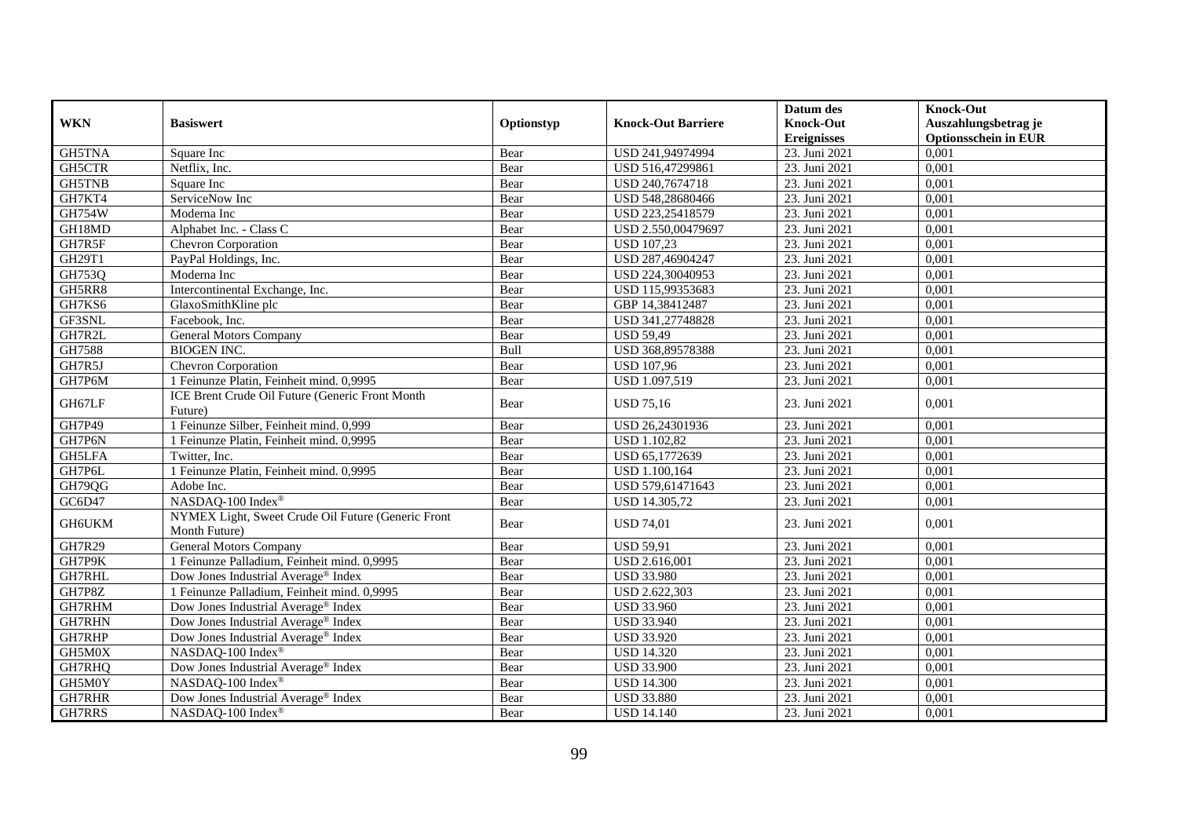|               |                                                                     |            |                           | Datum des                              | <b>Knock-Out</b>                                    |
|---------------|---------------------------------------------------------------------|------------|---------------------------|----------------------------------------|-----------------------------------------------------|
| <b>WKN</b>    | <b>Basiswert</b>                                                    | Optionstyp | <b>Knock-Out Barriere</b> | <b>Knock-Out</b><br><b>Ereignisses</b> | Auszahlungsbetrag je<br><b>Optionsschein in EUR</b> |
| <b>GH5TNA</b> | Square Inc                                                          | Bear       | USD 241,94974994          | 23. Juni 2021                          | 0,001                                               |
| GH5CTR        | Netflix, Inc.                                                       | Bear       | USD 516,47299861          | 23. Juni 2021                          | 0,001                                               |
| <b>GH5TNB</b> | Square Inc                                                          | Bear       | USD 240,7674718           | 23. Juni 2021                          | 0,001                                               |
| GH7KT4        | ServiceNow Inc                                                      | Bear       | USD 548,28680466          | 23. Juni 2021                          | 0,001                                               |
| <b>GH754W</b> | Moderna Inc                                                         | Bear       | USD 223,25418579          | 23. Juni 2021                          | 0,001                                               |
| GH18MD        | Alphabet Inc. - Class C                                             | Bear       | USD 2.550,00479697        | 23. Juni 2021                          | 0,001                                               |
| GH7R5F        | Chevron Corporation                                                 | Bear       | <b>USD 107,23</b>         | 23. Juni 2021                          | 0,001                                               |
| GH29T1        | PayPal Holdings, Inc.                                               | Bear       | USD 287,46904247          | 23. Juni 2021                          | 0,001                                               |
| GH753Q        | Moderna Inc                                                         | Bear       | USD 224,30040953          | 23. Juni 2021                          | 0,001                                               |
| GH5RR8        | Intercontinental Exchange, Inc.                                     | Bear       | USD 115,99353683          | 23. Juni 2021                          | 0,001                                               |
| GH7KS6        | GlaxoSmithKline plc                                                 | Bear       | GBP 14,38412487           | 23. Juni 2021                          | 0,001                                               |
| GF3SNL        | Facebook, Inc.                                                      | Bear       | USD 341,27748828          | 23. Juni 2021                          | 0,001                                               |
| GH7R2L        | General Motors Company                                              | Bear       | <b>USD 59,49</b>          | 23. Juni 2021                          | 0.001                                               |
| GH7588        | <b>BIOGEN INC.</b>                                                  | Bull       | USD 368,89578388          | 23. Juni 2021                          | 0,001                                               |
| GH7R5J        | Chevron Corporation                                                 | Bear       | <b>USD 107,96</b>         | 23. Juni 2021                          | 0,001                                               |
| GH7P6M        | 1 Feinunze Platin, Feinheit mind. 0,9995                            | Bear       | USD 1.097,519             | 23. Juni 2021                          | 0,001                                               |
| GH67LF        | ICE Brent Crude Oil Future (Generic Front Month<br>Future)          | Bear       | <b>USD 75,16</b>          | 23. Juni 2021                          | 0,001                                               |
| GH7P49        | 1 Feinunze Silber, Feinheit mind. 0,999                             | Bear       | USD 26,24301936           | 23. Juni 2021                          | 0,001                                               |
| GH7P6N        | 1 Feinunze Platin, Feinheit mind. 0,9995                            | Bear       | <b>USD 1.102,82</b>       | 23. Juni 2021                          | 0,001                                               |
| GH5LFA        | Twitter, Inc.                                                       | Bear       | USD 65,1772639            | 23. Juni 2021                          | 0,001                                               |
| GH7P6L        | 1 Feinunze Platin, Feinheit mind. 0,9995                            | Bear       | <b>USD 1.100,164</b>      | 23. Juni 2021                          | 0,001                                               |
| GH79QG        | Adobe Inc.                                                          | Bear       | USD 579,61471643          | 23. Juni 2021                          | 0,001                                               |
| GC6D47        | NASDAQ-100 Index®                                                   | Bear       | USD 14.305,72             | 23. Juni 2021                          | 0,001                                               |
| GH6UKM        | NYMEX Light, Sweet Crude Oil Future (Generic Front<br>Month Future) | Bear       | <b>USD 74,01</b>          | 23. Juni 2021                          | 0,001                                               |
| <b>GH7R29</b> | General Motors Company                                              | Bear       | <b>USD 59,91</b>          | 23. Juni 2021                          | 0,001                                               |
| GH7P9K        | 1 Feinunze Palladium, Feinheit mind. 0,9995                         | Bear       | <b>USD 2.616,001</b>      | 23. Juni 2021                          | 0,001                                               |
| <b>GH7RHL</b> | Dow Jones Industrial Average® Index                                 | Bear       | <b>USD 33.980</b>         | 23. Juni 2021                          | 0,001                                               |
| GH7P8Z        | 1 Feinunze Palladium, Feinheit mind. 0,9995                         | Bear       | USD 2.622,303             | 23. Juni 2021                          | 0,001                                               |
| GH7RHM        | Dow Jones Industrial Average® Index                                 | Bear       | <b>USD 33.960</b>         | 23. Juni 2021                          | 0,001                                               |
| <b>GH7RHN</b> | Dow Jones Industrial Average <sup>®</sup> Index                     | Bear       | <b>USD 33.940</b>         | 23. Juni 2021                          | 0,001                                               |
| GH7RHP        | Dow Jones Industrial Average® Index                                 | Bear       | <b>USD 33.920</b>         | 23. Juni 2021                          | 0,001                                               |
| GH5M0X        | NASDAQ-100 Index®                                                   | Bear       | <b>USD 14.320</b>         | 23. Juni 2021                          | 0,001                                               |
| GH7RHQ        | Dow Jones Industrial Average <sup>®</sup> Index                     | Bear       | <b>USD 33.900</b>         | 23. Juni 2021                          | 0,001                                               |
| GH5M0Y        | NASDAQ-100 Index®                                                   | Bear       | <b>USD 14.300</b>         | 23. Juni 2021                          | 0,001                                               |
| GH7RHR        | Dow Jones Industrial Average® Index                                 | Bear       | <b>USD 33.880</b>         | 23. Juni 2021                          | 0,001                                               |
| GH7RRS        | NASDAQ-100 Index®                                                   | Bear       | <b>USD 14.140</b>         | 23. Juni 2021                          | 0,001                                               |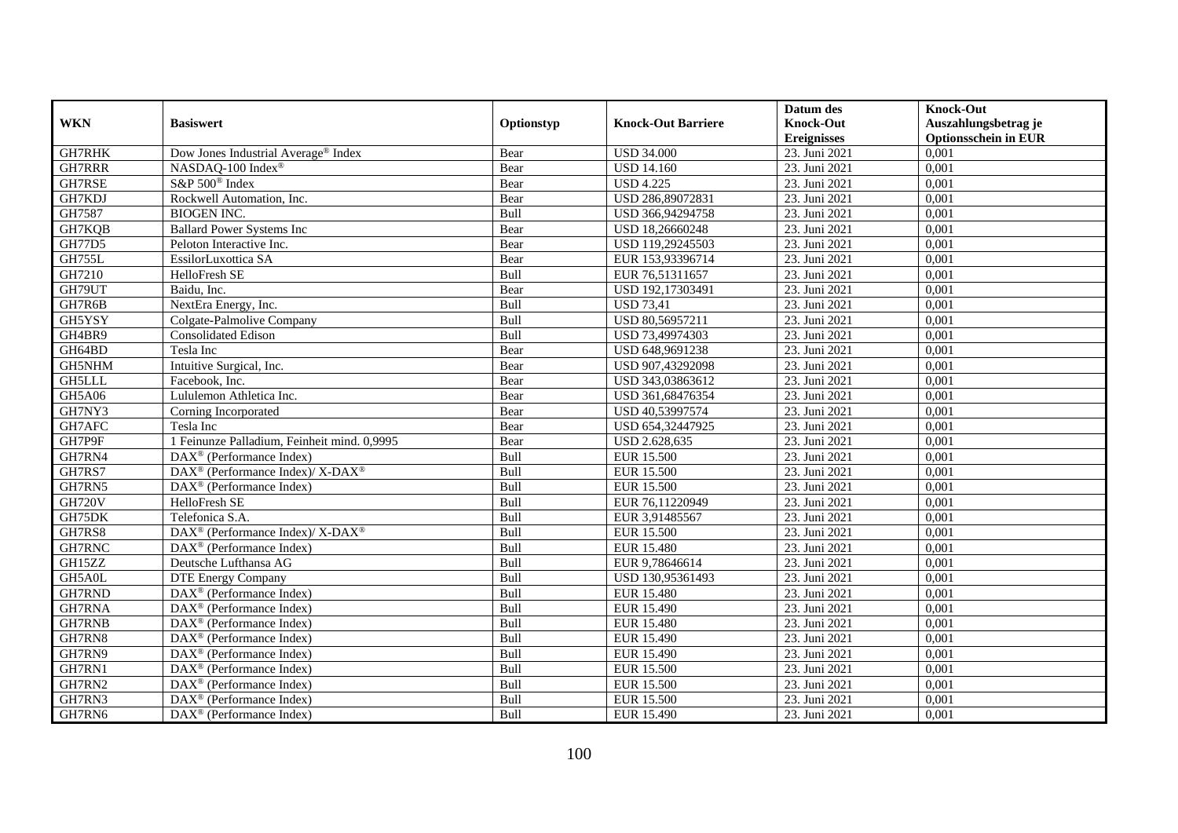|               |                                                                                         |             |                           | Datum des          | <b>Knock-Out</b>            |
|---------------|-----------------------------------------------------------------------------------------|-------------|---------------------------|--------------------|-----------------------------|
| <b>WKN</b>    | <b>Basiswert</b>                                                                        | Optionstyp  | <b>Knock-Out Barriere</b> | <b>Knock-Out</b>   | Auszahlungsbetrag je        |
|               |                                                                                         |             |                           | <b>Ereignisses</b> | <b>Optionsschein in EUR</b> |
| GH7RHK        | Dow Jones Industrial Average® Index                                                     | Bear        | <b>USD 34.000</b>         | 23. Juni 2021      | 0,001                       |
| <b>GH7RRR</b> | NASDAQ-100 Index®                                                                       | Bear        | <b>USD 14.160</b>         | 23. Juni 2021      | 0,001                       |
| GH7RSE        | S&P 500 <sup>®</sup> Index                                                              | Bear        | <b>USD 4.225</b>          | 23. Juni 2021      | 0,001                       |
| GH7KDJ        | Rockwell Automation, Inc.                                                               | Bear        | USD 286,89072831          | 23. Juni 2021      | 0,001                       |
| GH7587        | <b>BIOGEN INC.</b>                                                                      | Bull        | USD 366,94294758          | 23. Juni 2021      | 0,001                       |
| GH7KQB        | <b>Ballard Power Systems Inc</b>                                                        | Bear        | USD 18,26660248           | 23. Juni 2021      | 0,001                       |
| GH77D5        | Peloton Interactive Inc.                                                                | Bear        | USD 119,29245503          | 23. Juni 2021      | 0,001                       |
| <b>GH755L</b> | EssilorLuxottica SA                                                                     | Bear        | EUR 153,93396714          | 23. Juni 2021      | 0,001                       |
| GH7210        | HelloFresh SE                                                                           | Bull        | EUR 76,51311657           | 23. Juni 2021      | 0,001                       |
| GH79UT        | Baidu, Inc.                                                                             | Bear        | USD 192,17303491          | 23. Juni 2021      | 0,001                       |
| GH7R6B        | NextEra Energy, Inc.                                                                    | Bull        | <b>USD 73,41</b>          | 23. Juni 2021      | 0,001                       |
| GH5YSY        | Colgate-Palmolive Company                                                               | Bull        | USD 80,56957211           | 23. Juni 2021      | 0,001                       |
| GH4BR9        | Consolidated Edison                                                                     | Bull        | USD 73,49974303           | 23. Juni 2021      | 0,001                       |
| GH64BD        | Tesla Inc                                                                               | Bear        | USD 648,9691238           | 23. Juni 2021      | 0.001                       |
| GH5NHM        | Intuitive Surgical, Inc.                                                                | Bear        | USD 907,43292098          | 23. Juni 2021      | 0,001                       |
| <b>GH5LLL</b> | Facebook, Inc.                                                                          | Bear        | USD 343,03863612          | 23. Juni 2021      | 0,001                       |
| <b>GH5A06</b> | Lululemon Athletica Inc.                                                                | Bear        | USD 361,68476354          | 23. Juni 2021      | 0,001                       |
| GH7NY3        | Corning Incorporated                                                                    | Bear        | USD 40,53997574           | 23. Juni 2021      | 0,001                       |
| GH7AFC        | Tesla Inc                                                                               | Bear        | USD 654,32447925          | 23. Juni 2021      | 0,001                       |
| GH7P9F        | 1 Feinunze Palladium, Feinheit mind. 0,9995                                             | Bear        | USD 2.628,635             | 23. Juni 2021      | 0,001                       |
| GH7RN4        | DAX <sup>®</sup> (Performance Index)                                                    | Bull        | <b>EUR 15.500</b>         | 23. Juni 2021      | 0,001                       |
| GH7RS7        | $\text{DAX}^{\circledast}$ (Performance Index)/ $\overline{\text{X-DAX}^{\circledast}}$ | <b>Bull</b> | EUR 15.500                | 23. Juni 2021      | 0,001                       |
| GH7RN5        | $\overline{\text{DAX}}^{\textcirc}$ (Performance Index)                                 | Bull        | <b>EUR 15.500</b>         | 23. Juni 2021      | 0,001                       |
| <b>GH720V</b> | HelloFresh SE                                                                           | Bull        | EUR 76,11220949           | 23. Juni 2021      | 0,001                       |
| GH75DK        | Telefonica S.A.                                                                         | Bull        | EUR 3,91485567            | 23. Juni 2021      | 0,001                       |
| GH7RS8        | DAX <sup>®</sup> (Performance Index)/ X-DAX <sup>®</sup>                                | Bull        | <b>EUR 15.500</b>         | 23. Juni 2021      | 0,001                       |
| GH7RNC        | DAX <sup>®</sup> (Performance Index)                                                    | Bull        | <b>EUR 15.480</b>         | 23. Juni 2021      | 0,001                       |
| GH15ZZ        | Deutsche Lufthansa AG                                                                   | Bull        | EUR 9,78646614            | 23. Juni 2021      | 0,001                       |
| GH5A0L        | <b>DTE Energy Company</b>                                                               | Bull        | USD 130,95361493          | 23. Juni 2021      | 0,001                       |
| GH7RND        | $\overline{\text{DAX}}^{\textcirc}$ (Performance Index)                                 | Bull        | <b>EUR 15.480</b>         | 23. Juni 2021      | 0,001                       |
| <b>GH7RNA</b> | $DAX^{\circledR}$ (Performance Index)                                                   | Bull        | <b>EUR 15.490</b>         | 23. Juni 2021      | 0,001                       |
| <b>GH7RNB</b> | DAX <sup>®</sup> (Performance Index)                                                    | Bull        | <b>EUR 15.480</b>         | 23. Juni 2021      | 0,001                       |
| GH7RN8        | $DAX^{\circledR}$ (Performance Index)                                                   | Bull        | <b>EUR 15.490</b>         | 23. Juni 2021      | 0,001                       |
| GH7RN9        | $\overline{\text{DAX}}^{\textcirc}$ (Performance Index)                                 | Bull        | <b>EUR 15.490</b>         | 23. Juni 2021      | 0,001                       |
| GH7RN1        | $\text{DAX}^{\circledast}$ (Performance Index)                                          | Bull        | <b>EUR 15.500</b>         | 23. Juni 2021      | 0,001                       |
| GH7RN2        | DAX <sup>®</sup> (Performance Index)                                                    | Bull        | <b>EUR 15.500</b>         | 23. Juni 2021      | 0,001                       |
| GH7RN3        | $DAX^{\circledast}$ (Performance Index)                                                 | Bull        | <b>EUR 15.500</b>         | 23. Juni 2021      | 0,001                       |
| GH7RN6        | $\text{DAX}^{\circledast}$ (Performance Index)                                          | Bull        | EUR 15.490                | 23. Juni 2021      | 0,001                       |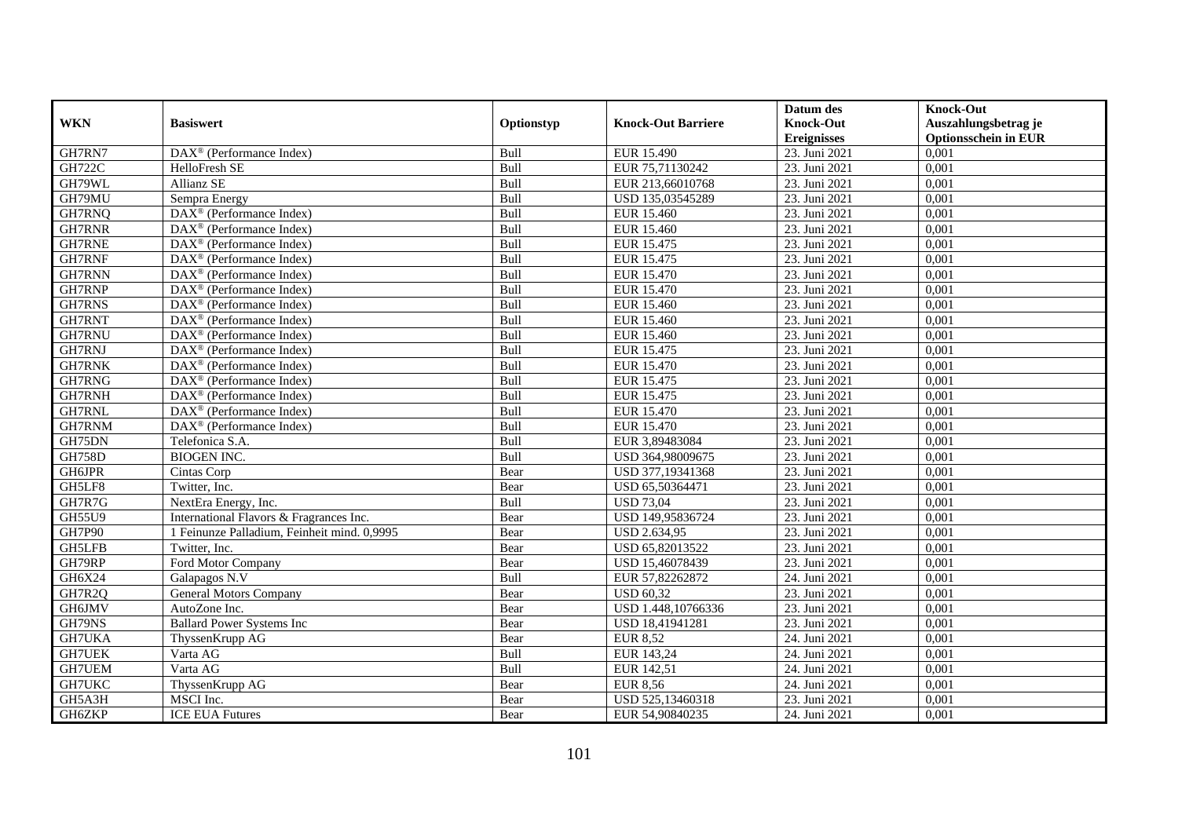|               |                                                           |             |                           | Datum des          | <b>Knock-Out</b>            |
|---------------|-----------------------------------------------------------|-------------|---------------------------|--------------------|-----------------------------|
| <b>WKN</b>    | <b>Basiswert</b>                                          | Optionstyp  | <b>Knock-Out Barriere</b> | <b>Knock-Out</b>   | Auszahlungsbetrag je        |
|               |                                                           |             |                           | <b>Ereignisses</b> | <b>Optionsschein in EUR</b> |
| GH7RN7        | DAX <sup>®</sup> (Performance Index)                      | Bull        | EUR 15.490                | 23. Juni 2021      | 0,001                       |
| <b>GH722C</b> | HelloFresh SE                                             | Bull        | EUR 75,71130242           | 23. Juni 2021      | 0,001                       |
| GH79WL        | Allianz SE                                                | Bull        | EUR 213,66010768          | 23. Juni 2021      | 0,001                       |
| GH79MU        | Sempra Energy                                             | Bull        | USD 135,03545289          | 23. Juni 2021      | 0,001                       |
| GH7RNQ        | $\overline{\text{DAX}^{\circledast}}$ (Performance Index) | Bull        | EUR 15.460                | 23. Juni 2021      | 0,001                       |
| <b>GH7RNR</b> | DAX <sup>®</sup> (Performance Index)                      | Bull        | <b>EUR 15.460</b>         | 23. Juni 2021      | 0,001                       |
| <b>GH7RNE</b> | $DAX^{\otimes}$ (Performance Index)                       | Bull        | EUR 15.475                | 23. Juni 2021      | 0,001                       |
| GH7RNF        | $\overline{\text{DAX}}^{\textcirc}$ (Performance Index)   | Bull        | EUR 15.475                | 23. Juni 2021      | 0,001                       |
| GH7RNN        | DAX <sup>®</sup> (Performance Index)                      | Bull        | EUR 15.470                | 23. Juni 2021      | 0,001                       |
| GH7RNP        | $\text{DAX}^{\textcircled{}}$ (Performance Index)         | Bull        | EUR 15.470                | 23. Juni 2021      | 0,001                       |
| GH7RNS        | $\overline{\text{DAX}^{\otimes}}$ (Performance Index)     | Bull        | EUR 15.460                | 23. Juni 2021      | 0,001                       |
| GH7RNT        | DAX <sup>®</sup> (Performance Index)                      | Bull        | EUR 15.460                | 23. Juni 2021      | 0,001                       |
| GH7RNU        | $\text{DAX}^{\textcircled{n}}$ (Performance Index)        | Bull        | EUR 15.460                | 23. Juni 2021      | 0,001                       |
| <b>GH7RNJ</b> | DAX <sup>®</sup> (Performance Index)                      | <b>Bull</b> | EUR 15.475                | 23. Juni 2021      | 0.001                       |
| <b>GH7RNK</b> | $DAX^{\otimes}$ (Performance Index)                       | Bull        | EUR 15.470                | 23. Juni 2021      | 0,001                       |
| GH7RNG        | DAX <sup>®</sup> (Performance Index)                      | Bull        | EUR 15.475                | 23. Juni 2021      | 0,001                       |
| GH7RNH        | $\overline{\text{DAX}}^{\textcirc}$ (Performance Index)   | Bull        | EUR 15.475                | 23. Juni 2021      | 0,001                       |
| <b>GH7RNL</b> | DAX <sup>®</sup> (Performance Index)                      | Bull        | EUR 15.470                | 23. Juni 2021      | 0,001                       |
| GH7RNM        | DAX <sup>®</sup> (Performance Index)                      | Bull        | EUR 15.470                | 23. Juni 2021      | 0,001                       |
| GH75DN        | Telefonica S.A.                                           | Bull        | EUR 3,89483084            | 23. Juni 2021      | 0,001                       |
| <b>GH758D</b> | <b>BIOGEN INC.</b>                                        | Bull        | USD 364,98009675          | 23. Juni 2021      | 0,001                       |
| GH6JPR        | Cintas Corp                                               | Bear        | USD 377,19341368          | 23. Juni 2021      | 0,001                       |
| GH5LF8        | Twitter, Inc.                                             | Bear        | USD 65,50364471           | 23. Juni 2021      | 0,001                       |
| GH7R7G        | NextEra Energy, Inc.                                      | Bull        | $USD$ 73,04               | 23. Juni 2021      | 0,001                       |
| <b>GH55U9</b> | International Flavors & Fragrances Inc.                   | Bear        | USD 149,95836724          | 23. Juni 2021      | 0,001                       |
| <b>GH7P90</b> | 1 Feinunze Palladium, Feinheit mind. 0,9995               | Bear        | USD 2.634,95              | 23. Juni 2021      | 0,001                       |
| <b>GH5LFB</b> | Twitter, Inc.                                             | Bear        | USD 65,82013522           | 23. Juni 2021      | 0,001                       |
| GH79RP        | Ford Motor Company                                        | Bear        | USD 15,46078439           | 23. Juni 2021      | 0,001                       |
| GH6X24        | Galapagos N.V                                             | Bull        | EUR 57,82262872           | 24. Juni 2021      | 0,001                       |
| GH7R2Q        | General Motors Company                                    | Bear        | <b>USD 60,32</b>          | 23. Juni 2021      | 0,001                       |
| GH6JMV        | AutoZone Inc.                                             | Bear        | USD 1.448,10766336        | 23. Juni 2021      | 0,001                       |
| GH79NS        | <b>Ballard Power Systems Inc</b>                          | Bear        | USD 18,41941281           | 23. Juni 2021      | 0,001                       |
| <b>GH7UKA</b> | ThyssenKrupp AG                                           | Bear        | <b>EUR 8,52</b>           | 24. Juni 2021      | 0,001                       |
| <b>GH7UEK</b> | Varta AG                                                  | Bull        | EUR 143,24                | 24. Juni 2021      | 0,001                       |
| GH7UEM        | Varta AG                                                  | Bull        | EUR 142,51                | 24. Juni 2021      | 0,001                       |
| GH7UKC        | ThyssenKrupp AG                                           | Bear        | <b>EUR 8,56</b>           | 24. Juni 2021      | 0,001                       |
| GH5A3H        | MSCI Inc.                                                 | Bear        | USD 525,13460318          | 23. Juni 2021      | 0,001                       |
| GH6ZKP        | <b>ICE EUA Futures</b>                                    | Bear        | EUR 54,90840235           | 24. Juni 2021      | 0,001                       |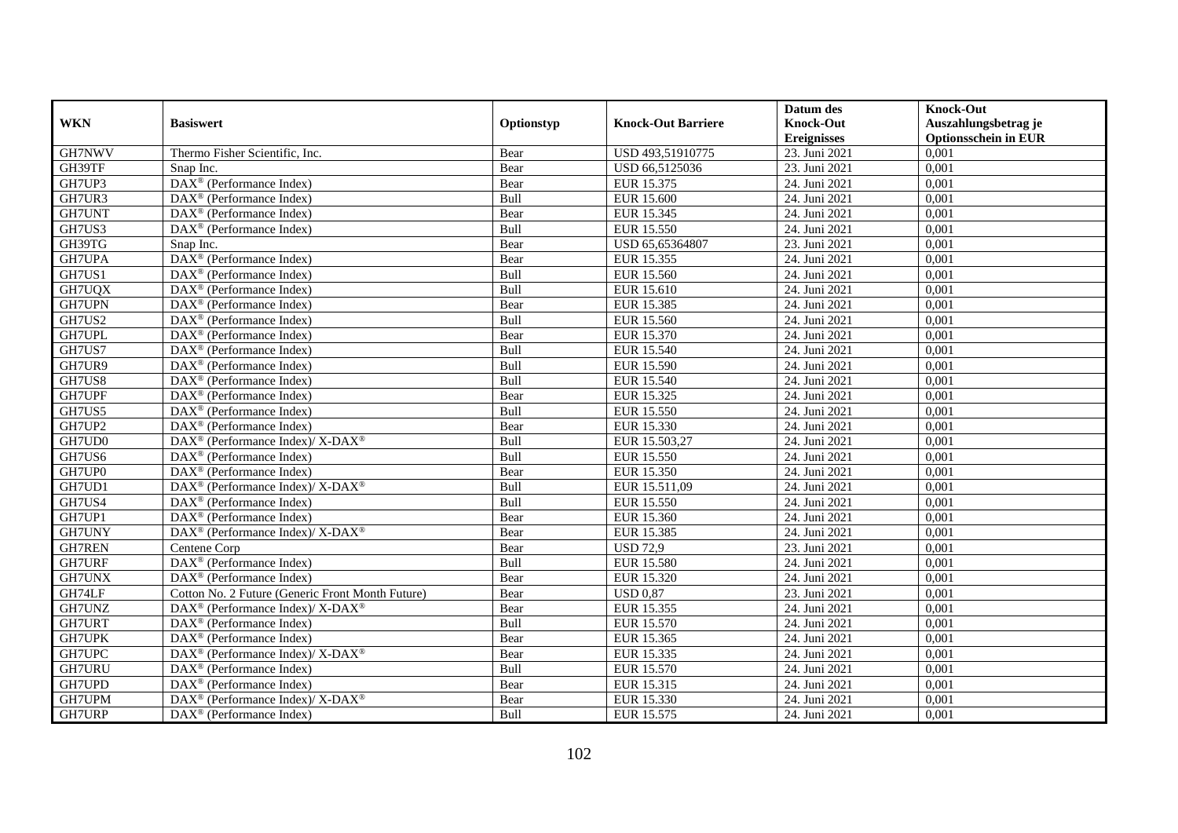|               |                                                                          |            |                           | Datum des          | <b>Knock-Out</b>            |
|---------------|--------------------------------------------------------------------------|------------|---------------------------|--------------------|-----------------------------|
| <b>WKN</b>    | <b>Basiswert</b>                                                         | Optionstyp | <b>Knock-Out Barriere</b> | <b>Knock-Out</b>   | Auszahlungsbetrag je        |
|               |                                                                          |            |                           | <b>Ereignisses</b> | <b>Optionsschein in EUR</b> |
| GH7NWV        | Thermo Fisher Scientific, Inc.                                           | Bear       | USD 493,51910775          | 23. Juni 2021      | 0,001                       |
| GH39TF        | Snap Inc.                                                                | Bear       | USD 66,5125036            | 23. Juni 2021      | 0,001                       |
| GH7UP3        | DAX <sup>®</sup> (Performance Index)                                     | Bear       | EUR 15.375                | 24. Juni 2021      | 0,001                       |
| GH7UR3        | $\text{DAX}^{\otimes}$ (Performance Index)                               | Bull       | <b>EUR 15.600</b>         | 24. Juni 2021      | 0,001                       |
| GH7UNT        | DAX <sup>®</sup> (Performance Index)                                     | Bear       | EUR 15.345                | 24. Juni 2021      | 0,001                       |
| GH7US3        | $\text{DAX}^{\circledR}$ (Performance Index)                             | Bull       | <b>EUR 15.550</b>         | 24. Juni 2021      | 0,001                       |
| GH39TG        | Snap Inc.                                                                | Bear       | USD 65,65364807           | 23. Juni 2021      | 0,001                       |
| GH7UPA        | DAX <sup>®</sup> (Performance Index)                                     | Bear       | EUR 15.355                | 24. Juni 2021      | 0,001                       |
| GH7US1        | $\text{DAX}^{\textcircled{p}}$ (Performance Index)                       | Bull       | <b>EUR 15.560</b>         | 24. Juni 2021      | 0,001                       |
| GH7UQX        | $DAX^{\otimes}$ (Performance Index)                                      | Bull       | EUR 15.610                | 24. Juni 2021      | 0,001                       |
| <b>GH7UPN</b> | DAX <sup>®</sup> (Performance Index)                                     | Bear       | EUR 15.385                | 24. Juni 2021      | 0,001                       |
| GH7US2        | DAX <sup>®</sup> (Performance Index)                                     | Bull       | EUR 15.560                | 24. Juni 2021      | 0,001                       |
| GH7UPL        | $\overline{\text{DAX}}^{\textcirc}$ (Performance Index)                  | Bear       | EUR 15.370                | 24. Juni 2021      | 0.001                       |
| GH7US7        | $\text{DAX}^{\textcircled{n}}$ (Performance Index)                       | Bull       | <b>EUR 15.540</b>         | 24. Juni 2021      | 0,001                       |
| GH7UR9        | DAX <sup>®</sup> (Performance Index)                                     | Bull       | EUR 15.590                | 24. Juni 2021      | 0,001                       |
| GH7US8        | DAX <sup>®</sup> (Performance Index)                                     | Bull       | EUR 15.540                | 24. Juni 2021      | 0,001                       |
| GH7UPF        | DAX <sup>®</sup> (Performance Index)                                     | Bear       | EUR 15.325                | 24. Juni 2021      | 0,001                       |
| GH7US5        | $\text{DAX}^{\circledR}$ (Performance Index)                             | Bull       | EUR 15.550                | 24. Juni 2021      | 0.001                       |
| GH7UP2        | $DAX^{\otimes}$ (Performance Index)                                      | Bear       | EUR 15.330                | 24. Juni 2021      | 0,001                       |
| GH7UD0        | $\text{DAX}^{\circledR}$ (Performance Index)/ X-DAX <sup>®</sup>         | Bull       | EUR 15.503,27             | 24. Juni 2021      | 0,001                       |
| GH7US6        | DAX <sup>®</sup> (Performance Index)                                     | Bull       | <b>EUR 15.550</b>         | 24. Juni 2021      | 0,001                       |
| GH7UP0        | $\text{DAX}^{\otimes}$ (Performance Index)                               | Bear       | <b>EUR 15.350</b>         | 24. Juni 2021      | 0,001                       |
| GH7UD1        | $\text{DAX}^{\circledR}$ (Performance Index)/ X-DAX <sup>®</sup>         | Bull       | EUR 15.511,09             | 24. Juni 2021      | 0,001                       |
| GH7US4        | DAX <sup>®</sup> (Performance Index)                                     | Bull       | <b>EUR 15.550</b>         | 24. Juni 2021      | 0,001                       |
| GH7UP1        | $\text{DAX}^{\textcircled{n}}$ (Performance Index)                       | Bear       | EUR 15.360                | 24. Juni 2021      | 0,001                       |
| GH7UNY        | $\overline{\text{DAX}^{\otimes}}$ (Performance Index)/X-DAX <sup>®</sup> | Bear       | EUR 15.385                | 24. Juni 2021      | 0,001                       |
| <b>GH7REN</b> | Centene Corp                                                             | Bear       | <b>USD 72,9</b>           | 23. Juni 2021      | 0,001                       |
| <b>GH7URF</b> | DAX <sup>®</sup> (Performance Index)                                     | Bull       | <b>EUR 15.580</b>         | 24. Juni 2021      | 0,001                       |
| <b>GH7UNX</b> | $DAX^{\otimes}$ (Performance Index)                                      | Bear       | EUR 15.320                | 24. Juni 2021      | 0,001                       |
| GH74LF        | Cotton No. 2 Future (Generic Front Month Future)                         | Bear       | <b>USD 0.87</b>           | 23. Juni 2021      | 0,001                       |
| GH7UNZ        | DAX <sup>®</sup> (Performance Index)/ X-DAX <sup>®</sup>                 | Bear       | EUR 15.355                | 24. Juni 2021      | 0,001                       |
| GH7URT        | DAX <sup>®</sup> (Performance Index)                                     | Bull       | <b>EUR 15.570</b>         | 24. Juni 2021      | 0.001                       |
| <b>GH7UPK</b> | $\overline{\text{DAX}^{\otimes}}$ (Performance Index)                    | Bear       | EUR 15.365                | 24. Juni 2021      | 0,001                       |
| GH7UPC        | DAX <sup>®</sup> (Performance Index)/ X-DAX <sup>®</sup>                 | Bear       | EUR 15.335                | 24. Juni 2021      | 0,001                       |
| GH7URU        | $\text{DAX}^{\circledast}$ (Performance Index)                           | Bull       | EUR 15.570                | 24. Juni 2021      | 0,001                       |
| GH7UPD        | DAX <sup>®</sup> (Performance Index)                                     | Bear       | EUR 15.315                | 24. Juni 2021      | 0,001                       |
| GH7UPM        | $DAX^{\circledast}$ (Performance Index)/X-DAX <sup>®</sup>               | Bear       | EUR 15.330                | 24. Juni 2021      | 0,001                       |
| GH7URP        | $\text{DAX}^{\textcircled{n}}$ (Performance Index)                       | Bull       | EUR 15.575                | 24. Juni 2021      | 0,001                       |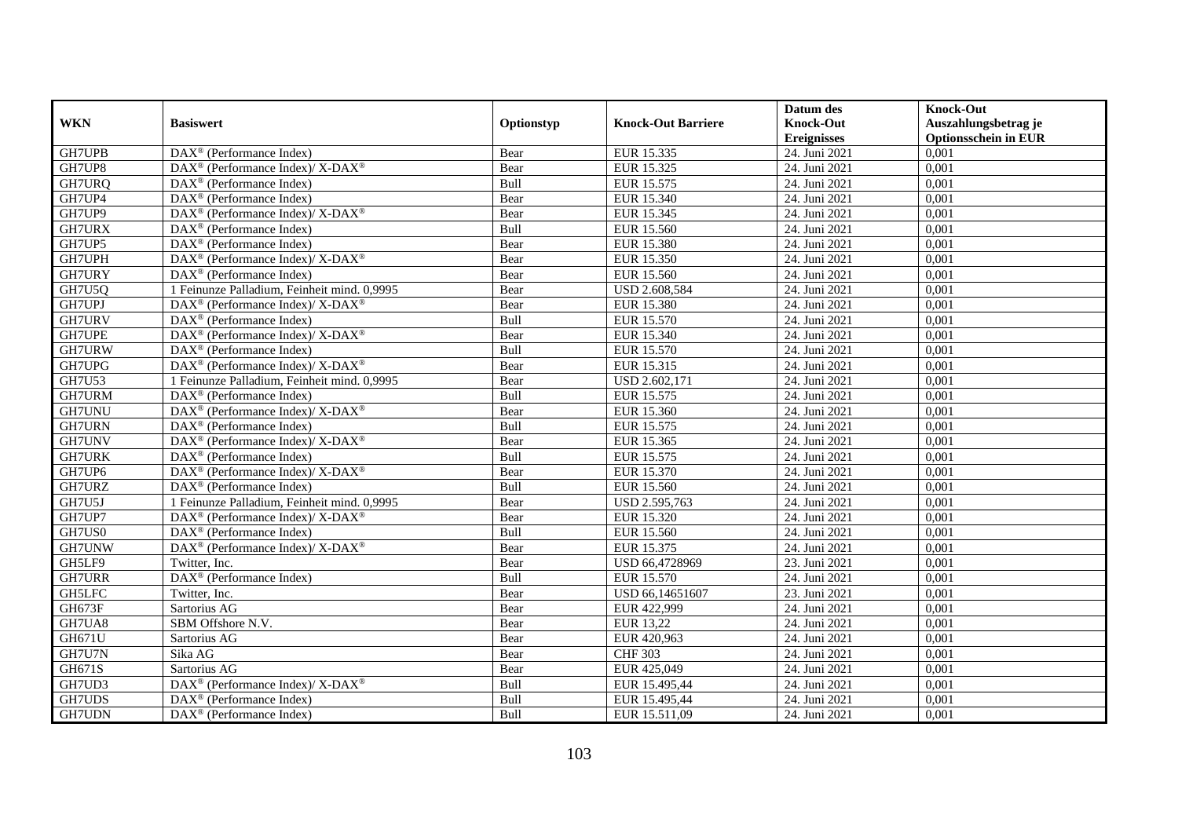|               |                                                                     |             |                           | Datum des          | <b>Knock-Out</b>            |
|---------------|---------------------------------------------------------------------|-------------|---------------------------|--------------------|-----------------------------|
| <b>WKN</b>    | <b>Basiswert</b>                                                    | Optionstyp  | <b>Knock-Out Barriere</b> | <b>Knock-Out</b>   | Auszahlungsbetrag je        |
|               |                                                                     |             |                           | <b>Ereignisses</b> | <b>Optionsschein in EUR</b> |
| GH7UPB        | $\overline{\text{DAX}^{\otimes}}$ (Performance Index)               | Bear        | EUR 15.335                | 24. Juni 2021      | 0,001                       |
| GH7UP8        | DAX <sup>®</sup> (Performance Index)/ X-DAX <sup>®</sup>            | Bear        | EUR 15.325                | 24. Juni 2021      | 0,001                       |
| GH7URQ        | $DAX^{\circledcirc}$ (Performance Index)                            | Bull        | EUR 15.575                | 24. Juni 2021      | 0,001                       |
| GH7UP4        | $DAX^{\circledast}$ (Performance Index)                             | Bear        | EUR 15.340                | 24. Juni 2021      | 0,001                       |
| GH7UP9        | DAX <sup>®</sup> (Performance Index)/X-DAX <sup>®</sup>             | Bear        | EUR 15.345                | 24. Juni 2021      | 0,001                       |
| GH7URX        | DAX <sup>®</sup> (Performance Index)                                | Bull        | EUR 15.560                | 24. Juni 2021      | 0,001                       |
| GH7UP5        | $\overline{\text{DAX}^{\textcircled{\tiny 0}}}$ (Performance Index) | Bear        | <b>EUR 15.380</b>         | 24. Juni 2021      | 0,001                       |
| GH7UPH        | DAX <sup>®</sup> (Performance Index)/X-DAX <sup>®</sup>             | Bear        | EUR 15.350                | 24. Juni 2021      | 0,001                       |
| GH7URY        | $DAX^{\circledR}$ (Performance Index)                               | Bear        | EUR 15.560                | 24. Juni 2021      | 0,001                       |
| GH7U5Q        | 1 Feinunze Palladium, Feinheit mind. 0,9995                         | Bear        | <b>USD 2.608,584</b>      | 24. Juni 2021      | 0,001                       |
| GH7UPJ        | DAX <sup>®</sup> (Performance Index)/X-DAX <sup>®</sup>             | Bear        | <b>EUR 15.380</b>         | 24. Juni 2021      | 0,001                       |
| GH7URV        | DAX <sup>®</sup> (Performance Index)                                | Bull        | <b>EUR 15.570</b>         | 24. Juni 2021      | 0,001                       |
| <b>GH7UPE</b> | DAX <sup>®</sup> (Performance Index)/ X-DAX <sup>®</sup>            | Bear        | EUR 15.340                | 24. Juni 2021      | 0,001                       |
| GH7URW        | $DAX^{\circledcirc}$ (Performance Index)                            | Bull        | EUR 15.570                | 24. Juni 2021      | 0,001                       |
| GH7UPG        | DAX <sup>®</sup> (Performance Index)/ X-DAX <sup>®</sup>            | Bear        | EUR 15.315                | 24. Juni 2021      | 0,001                       |
| <b>GH7U53</b> | 1 Feinunze Palladium, Feinheit mind. 0,9995                         | Bear        | USD 2.602,171             | 24. Juni 2021      | 0,001                       |
| GH7URM        | DAX <sup>®</sup> (Performance Index)                                | Bull        | EUR 15.575                | 24. Juni 2021      | 0,001                       |
| <b>GH7UNU</b> | DAX <sup>®</sup> (Performance Index)/ X-DAX <sup>®</sup>            | Bear        | EUR 15.360                | 24. Juni 2021      | 0,001                       |
| <b>GH7URN</b> | $\overline{\text{DAX}}^{\textcirc}$ (Performance Index)             | Bull        | EUR 15.575                | 24. Juni 2021      | 0,001                       |
| GH7UNV        | DAX <sup>®</sup> (Performance Index)/ X-DAX <sup>®</sup>            | Bear        | EUR 15.365                | 24. Juni 2021      | 0,001                       |
| <b>GH7URK</b> | $DAX^{\circledR}$ (Performance Index)                               | Bull        | EUR 15.575                | 24. Juni 2021      | 0,001                       |
| GH7UP6        | DAX <sup>®</sup> (Performance Index)/X-DAX <sup>®</sup>             | Bear        | EUR 15.370                | 24. Juni 2021      | 0,001                       |
| GH7URZ        | $\overline{\text{DAX}^{\otimes}}$ (Performance Index)               | Bull        | EUR 15.560                | 24. Juni 2021      | 0,001                       |
| GH7U5J        | 1 Feinunze Palladium, Feinheit mind. 0,9995                         | Bear        | USD 2.595,763             | 24. Juni 2021      | 0,001                       |
| GH7UP7        | DAX <sup>®</sup> (Performance Index)/ X-DAX <sup>®</sup>            | Bear        | EUR 15.320                | 24. Juni 2021      | 0,001                       |
| GH7US0        | $DAX^{\circledast}$ (Performance Index)                             | Bull        | EUR 15.560                | 24. Juni 2021      | 0,001                       |
| GH7UNW        | $DAX^{\circledast}$ (Performance Index)/ X-DAX <sup>®</sup>         | Bear        | EUR 15.375                | 24. Juni 2021      | 0,001                       |
| GH5LF9        | Twitter, Inc.                                                       | Bear        | USD 66,4728969            | 23. Juni 2021      | 0,001                       |
| <b>GH7URR</b> | $\overline{\text{DAX}}^{\textcirc}$ (Performance Index)             | <b>Bull</b> | EUR 15.570                | 24. Juni 2021      | 0,001                       |
| <b>GH5LFC</b> | Twitter, Inc.                                                       | Bear        | USD 66,14651607           | 23. Juni 2021      | 0,001                       |
| GH673F        | Sartorius AG                                                        | Bear        | EUR 422,999               | 24. Juni 2021      | 0,001                       |
| GH7UA8        | SBM Offshore N.V.                                                   | Bear        | EUR 13,22                 | 24. Juni 2021      | 0,001                       |
| GH671U        | Sartorius AG                                                        | Bear        | EUR 420,963               | 24. Juni 2021      | 0,001                       |
| GH7U7N        | Sika AG                                                             | Bear        | <b>CHF 303</b>            | 24. Juni 2021      | 0,001                       |
| GH671S        | Sartorius AG                                                        | Bear        | EUR 425,049               | 24. Juni 2021      | 0,001                       |
| GH7UD3        | $\text{DAX}^{\circledR}$ (Performance Index)/ X-DAX <sup>®</sup>    | Bull        | EUR 15.495,44             | 24. Juni 2021      | 0,001                       |
| GH7UDS        | DAX <sup>®</sup> (Performance Index)                                | Bull        | EUR 15.495,44             | 24. Juni 2021      | 0,001                       |
| GH7UDN        | $\text{DAX}^{\textcircled{}}$ (Performance Index)                   | Bull        | EUR 15.511,09             | 24. Juni 2021      | 0,001                       |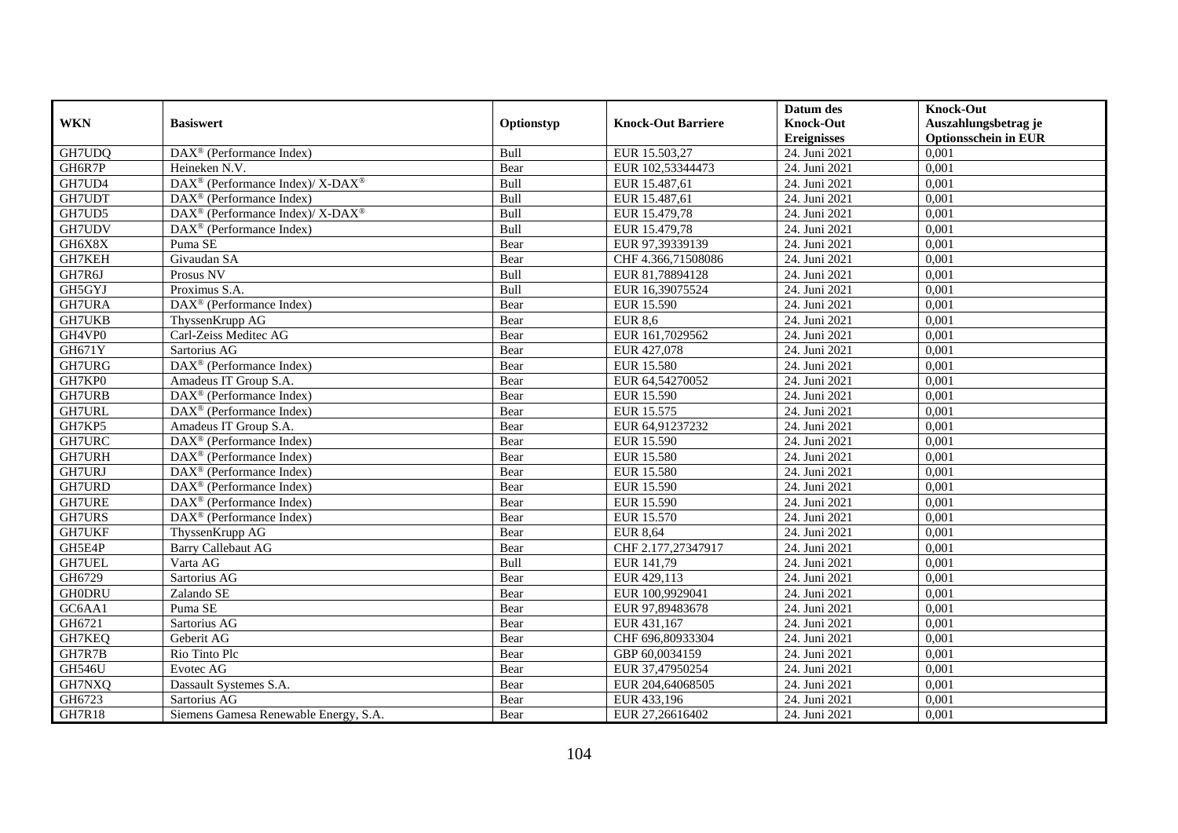|               |                                                          |            |                           | Datum des          | <b>Knock-Out</b>            |
|---------------|----------------------------------------------------------|------------|---------------------------|--------------------|-----------------------------|
| <b>WKN</b>    | <b>Basiswert</b>                                         | Optionstyp | <b>Knock-Out Barriere</b> | <b>Knock-Out</b>   | Auszahlungsbetrag je        |
|               |                                                          |            |                           | <b>Ereignisses</b> | <b>Optionsschein in EUR</b> |
| GH7UDQ        | DAX <sup>®</sup> (Performance Index)                     | Bull       | EUR 15.503,27             | 24. Juni 2021      | 0,001                       |
| GH6R7P        | Heineken N.V.                                            | Bear       | EUR 102,53344473          | 24. Juni 2021      | 0,001                       |
| GH7UD4        | DAX <sup>®</sup> (Performance Index)/ X-DAX <sup>®</sup> | Bull       | EUR 15.487,61             | 24. Juni 2021      | 0,001                       |
| GH7UDT        | $DAX^{\otimes}$ (Performance Index)                      | Bull       | EUR 15.487,61             | 24. Juni 2021      | 0,001                       |
| GH7UD5        | DAX <sup>®</sup> (Performance Index)/ X-DAX <sup>®</sup> | Bull       | EUR 15.479,78             | 24. Juni 2021      | 0,001                       |
| GH7UDV        | $\text{DAX}^{\textcircled{p}}$ (Performance Index)       | Bull       | EUR 15.479,78             | 24. Juni 2021      | 0,001                       |
| GH6X8X        | Puma SE                                                  | Bear       | EUR 97,39339139           | 24. Juni 2021      | 0,001                       |
| GH7KEH        | Givaudan SA                                              | Bear       | CHF 4.366,71508086        | 24. Juni 2021      | 0,001                       |
| GH7R6J        | Prosus NV                                                | Bull       | EUR 81,78894128           | 24. Juni 2021      | 0,001                       |
| GH5GYJ        | Proximus S.A.                                            | Bull       | EUR 16,39075524           | 24. Juni 2021      | 0,001                       |
| <b>GH7URA</b> | $\overline{\text{DAX}^{\otimes}}$ (Performance Index)    | Bear       | EUR 15.590                | 24. Juni 2021      | 0,001                       |
| <b>GH7UKB</b> | ThyssenKrupp AG                                          | Bear       | <b>EUR 8,6</b>            | 24. Juni 2021      | 0,001                       |
| GH4VP0        | Carl-Zeiss Meditec AG                                    | Bear       | EUR 161,7029562           | 24. Juni 2021      | 0,001                       |
| GH671Y        | Sartorius AG                                             | Bear       | EUR 427,078               | 24. Juni 2021      | 0,001                       |
| GH7URG        | DAX <sup>®</sup> (Performance Index)                     | Bear       | <b>EUR 15.580</b>         | 24. Juni 2021      | 0,001                       |
| GH7KP0        | Amadeus IT Group S.A.                                    | Bear       | EUR 64,54270052           | 24. Juni 2021      | 0,001                       |
| GH7URB        | DAX <sup>®</sup> (Performance Index)                     | Bear       | EUR 15.590                | 24. Juni 2021      | 0,001                       |
| <b>GH7URL</b> | $\text{DAX}^{\textcircled{p}}$ (Performance Index)       | Bear       | EUR 15.575                | 24. Juni 2021      | 0,001                       |
| GH7KP5        | Amadeus IT Group S.A.                                    | Bear       | EUR 64,91237232           | 24. Juni 2021      | 0,001                       |
| GH7URC        | DAX <sup>®</sup> (Performance Index)                     | Bear       | EUR 15.590                | 24. Juni 2021      | 0,001                       |
| <b>GH7URH</b> | $\text{DAX}^{\textcircled{p}}$ (Performance Index)       | Bear       | <b>EUR 15.580</b>         | 24. Juni 2021      | 0,001                       |
| GH7URJ        | $\overline{\text{DAX}^{\otimes}}$ (Performance Index)    | Bear       | <b>EUR 15.580</b>         | 24. Juni 2021      | 0,001                       |
| GH7URD        | DAX <sup>®</sup> (Performance Index)                     | Bear       | EUR 15.590                | 24. Juni 2021      | 0,001                       |
| <b>GH7URE</b> | DAX <sup>®</sup> (Performance Index)                     | Bear       | EUR 15.590                | 24. Juni 2021      | 0,001                       |
| <b>GH7URS</b> | $DAX^{\circledR}$ (Performance Index)                    | Bear       | EUR 15.570                | 24. Juni 2021      | 0.001                       |
| GH7UKF        | ThyssenKrupp AG                                          | Bear       | <b>EUR 8,64</b>           | 24. Juni 2021      | 0,001                       |
| GH5E4P        | <b>Barry Callebaut AG</b>                                | Bear       | CHF 2.177,27347917        | 24. Juni 2021      | 0,001                       |
| <b>GH7UEL</b> | Varta AG                                                 | Bull       | EUR 141,79                | 24. Juni 2021      | 0,001                       |
| GH6729        | Sartorius AG                                             | Bear       | EUR 429,113               | 24. Juni 2021      | 0,001                       |
| <b>GH0DRU</b> | Zalando SE                                               | Bear       | EUR 100,9929041           | 24. Juni 2021      | 0,001                       |
| GC6AA1        | Puma SE                                                  | Bear       | EUR 97,89483678           | 24. Juni 2021      | 0,001                       |
| GH6721        | Sartorius AG                                             | Bear       | EUR 431,167               | 24. Juni 2021      | 0,001                       |
| GH7KEQ        | Geberit AG                                               | Bear       | CHF 696,80933304          | 24. Juni 2021      | 0,001                       |
| GH7R7B        | Rio Tinto Plc                                            | Bear       | GBP 60,0034159            | 24. Juni 2021      | 0,001                       |
| GH546U        | Evotec AG                                                | Bear       | EUR 37,47950254           | 24. Juni 2021      | 0,001                       |
| GH7NXQ        | Dassault Systemes S.A.                                   | Bear       | EUR 204,64068505          | 24. Juni 2021      | 0,001                       |
| GH6723        | Sartorius AG                                             | Bear       | EUR 433,196               | 24. Juni 2021      | 0,001                       |
| <b>GH7R18</b> | Siemens Gamesa Renewable Energy, S.A.                    | Bear       | EUR 27,26616402           | 24. Juni 2021      | 0,001                       |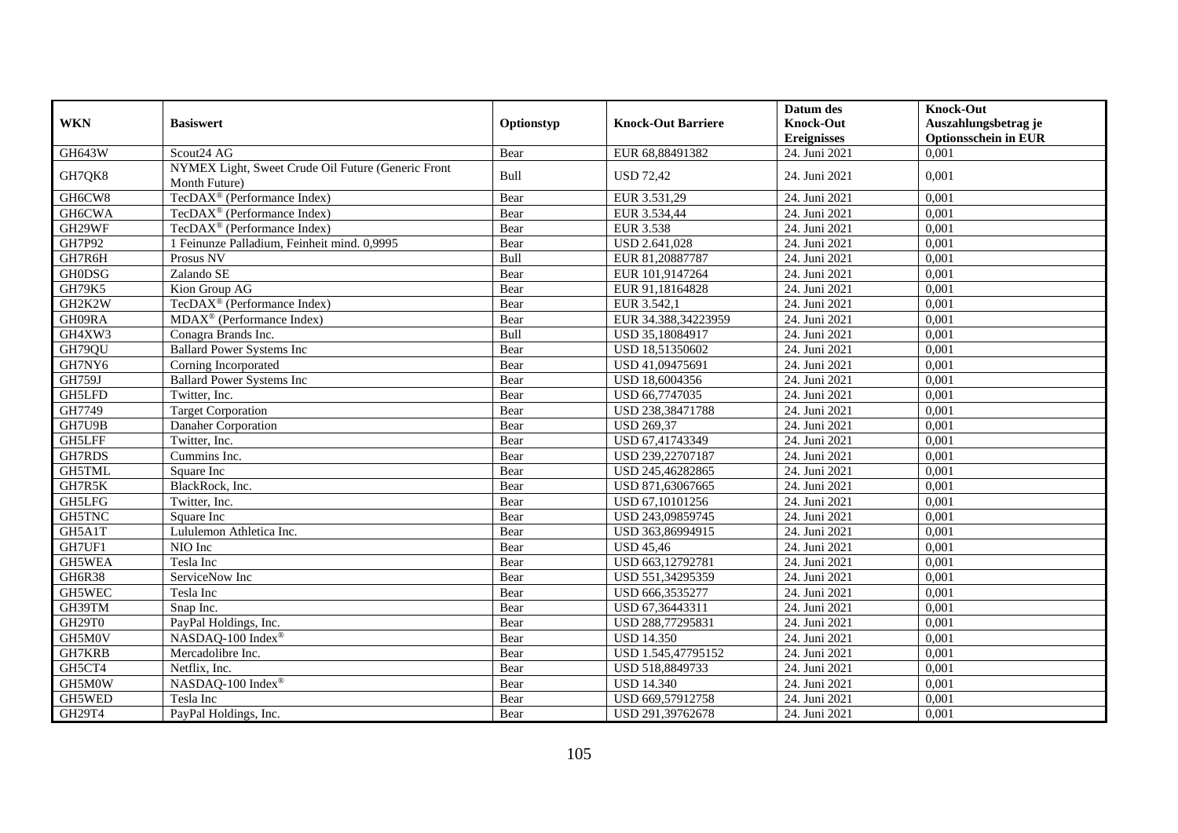|               |                                                                     |            |                           | Datum des          | <b>Knock-Out</b>            |
|---------------|---------------------------------------------------------------------|------------|---------------------------|--------------------|-----------------------------|
| <b>WKN</b>    | <b>Basiswert</b>                                                    | Optionstyp | <b>Knock-Out Barriere</b> | <b>Knock-Out</b>   | Auszahlungsbetrag je        |
|               |                                                                     |            |                           | <b>Ereignisses</b> | <b>Optionsschein in EUR</b> |
| GH643W        | Scout24 AG                                                          | Bear       | EUR 68,88491382           | 24. Juni 2021      | 0,001                       |
| GH7QK8        | NYMEX Light, Sweet Crude Oil Future (Generic Front<br>Month Future) | Bull       | <b>USD 72,42</b>          | 24. Juni 2021      | 0,001                       |
| GH6CW8        | TecDAX <sup>®</sup> (Performance Index)                             | Bear       | EUR 3.531,29              | 24. Juni 2021      | 0.001                       |
| GH6CWA        | TecDAX <sup>®</sup> (Performance Index)                             | Bear       | EUR 3.534,44              | 24. Juni 2021      | 0,001                       |
| GH29WF        | TecDAX <sup>®</sup> (Performance Index)                             | Bear       | <b>EUR 3.538</b>          | 24. Juni 2021      | 0,001                       |
| GH7P92        | 1 Feinunze Palladium, Feinheit mind. 0,9995                         | Bear       | <b>USD 2.641,028</b>      | 24. Juni 2021      | 0,001                       |
| GH7R6H        | Prosus NV                                                           | Bull       | EUR 81,20887787           | 24. Juni 2021      | 0,001                       |
| <b>GH0DSG</b> | Zalando SE                                                          | Bear       | EUR 101,9147264           | 24. Juni 2021      | 0,001                       |
| <b>GH79K5</b> | Kion Group AG                                                       | Bear       | EUR 91,18164828           | 24. Juni 2021      | 0,001                       |
| GH2K2W        | TecDAX <sup>®</sup> (Performance Index)                             | Bear       | EUR 3.542,1               | 24. Juni 2021      | 0,001                       |
| GH09RA        | $\overline{\text{MDAX}}$ <sup>®</sup> (Performance Index)           | Bear       | EUR 34.388,34223959       | 24. Juni 2021      | 0,001                       |
| GH4XW3        | Conagra Brands Inc.                                                 | Bull       | USD 35,18084917           | 24. Juni 2021      | 0,001                       |
| GH79QU        | <b>Ballard Power Systems Inc</b>                                    | Bear       | USD 18,51350602           | 24. Juni 2021      | 0,001                       |
| GH7NY6        | Corning Incorporated                                                | Bear       | USD 41,09475691           | 24. Juni 2021      | 0,001                       |
| GH759J        | <b>Ballard Power Systems Inc</b>                                    | Bear       | USD 18,6004356            | 24. Juni 2021      | 0,001                       |
| GH5LFD        | Twitter, Inc.                                                       | Bear       | USD 66,7747035            | 24. Juni 2021      | 0,001                       |
| GH7749        | <b>Target Corporation</b>                                           | Bear       | USD 238,38471788          | 24. Juni 2021      | 0,001                       |
| GH7U9B        | Danaher Corporation                                                 | Bear       | <b>USD 269,37</b>         | 24. Juni 2021      | 0,001                       |
| GH5LFF        | Twitter, Inc.                                                       | Bear       | USD 67,41743349           | 24. Juni 2021      | 0,001                       |
| GH7RDS        | Cummins Inc.                                                        | Bear       | USD 239,22707187          | 24. Juni 2021      | 0,001                       |
| <b>GH5TML</b> | Square Inc                                                          | Bear       | USD 245,46282865          | 24. Juni 2021      | 0,001                       |
| GH7R5K        | BlackRock, Inc.                                                     | Bear       | USD 871,63067665          | 24. Juni 2021      | 0,001                       |
| GH5LFG        | Twitter, Inc.                                                       | Bear       | USD 67,10101256           | 24. Juni 2021      | 0,001                       |
| <b>GH5TNC</b> | Square Inc                                                          | Bear       | USD 243,09859745          | 24. Juni 2021      | 0,001                       |
| GH5A1T        | Lululemon Athletica Inc.                                            | Bear       | USD 363,86994915          | 24. Juni 2021      | 0,001                       |
| GH7UF1        | NIO Inc                                                             | Bear       | <b>USD 45,46</b>          | 24. Juni 2021      | 0,001                       |
| GH5WEA        | Tesla Inc                                                           | Bear       | USD 663,12792781          | 24. Juni 2021      | 0,001                       |
| GH6R38        | ServiceNow Inc                                                      | Bear       | USD 551,34295359          | 24. Juni 2021      | 0,001                       |
| GH5WEC        | Tesla Inc                                                           | Bear       | USD 666,3535277           | 24. Juni 2021      | 0,001                       |
| GH39TM        | Snap Inc.                                                           | Bear       | USD 67,36443311           | 24. Juni 2021      | 0,001                       |
| GH29T0        | PayPal Holdings, Inc.                                               | Bear       | USD 288,77295831          | 24. Juni 2021      | 0,001                       |
| GH5M0V        | NASDAQ-100 Index®                                                   | Bear       | <b>USD 14.350</b>         | 24. Juni 2021      | 0,001                       |
| GH7KRB        | Mercadolibre Inc.                                                   | Bear       | USD 1.545,47795152        | 24. Juni 2021      | 0,001                       |
| GH5CT4        | Netflix, Inc.                                                       | Bear       | USD 518,8849733           | 24. Juni 2021      | 0,001                       |
| GH5M0W        | NASDAQ-100 Index®                                                   | Bear       | <b>USD 14.340</b>         | 24. Juni 2021      | 0,001                       |
| GH5WED        | Tesla Inc                                                           | Bear       | USD 669,57912758          | 24. Juni 2021      | 0,001                       |
| GH29T4        | PayPal Holdings, Inc.                                               | Bear       | USD 291,39762678          | 24. Juni 2021      | 0,001                       |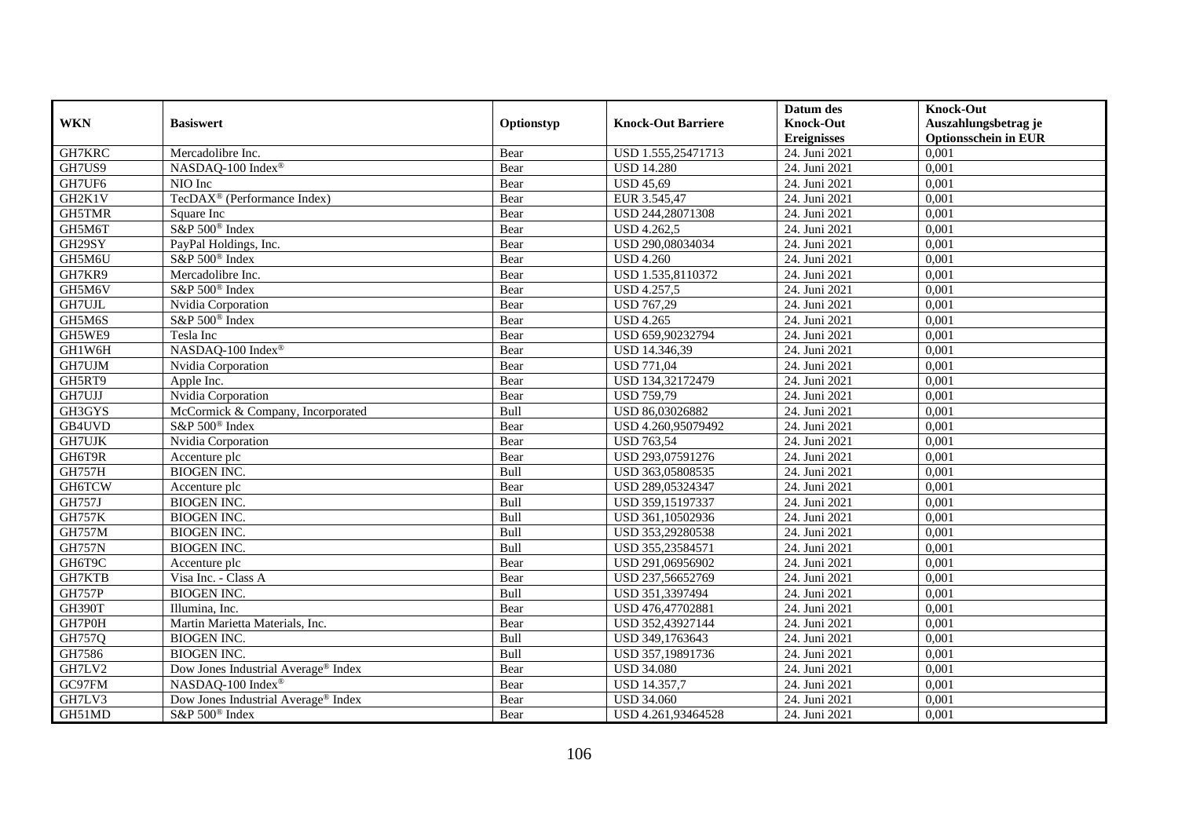|               |                                                 |             |                           | Datum des          | <b>Knock-Out</b>            |
|---------------|-------------------------------------------------|-------------|---------------------------|--------------------|-----------------------------|
| <b>WKN</b>    | <b>Basiswert</b>                                | Optionstyp  | <b>Knock-Out Barriere</b> | <b>Knock-Out</b>   | Auszahlungsbetrag je        |
|               |                                                 |             |                           | <b>Ereignisses</b> | <b>Optionsschein in EUR</b> |
| GH7KRC        | Mercadolibre Inc.                               | Bear        | USD 1.555,25471713        | 24. Juni 2021      | 0,001                       |
| GH7US9        | NASDAQ-100 Index®                               | Bear        | <b>USD 14.280</b>         | 24. Juni 2021      | 0,001                       |
| GH7UF6        | NIO Inc                                         | Bear        | <b>USD 45,69</b>          | 24. Juni 2021      | 0,001                       |
| GH2K1V        | TecDAX <sup>®</sup> (Performance Index)         | Bear        | EUR 3.545,47              | 24. Juni 2021      | 0,001                       |
| GH5TMR        | Square Inc                                      | Bear        | USD 244,28071308          | 24. Juni 2021      | 0,001                       |
| GH5M6T        | S&P 500 <sup>®</sup> Index                      | Bear        | <b>USD 4.262,5</b>        | 24. Juni 2021      | 0,001                       |
| GH29SY        | PayPal Holdings, Inc.                           | Bear        | USD 290,08034034          | 24. Juni 2021      | 0,001                       |
| GH5M6U        | S&P 500 <sup>®</sup> Index                      | Bear        | <b>USD 4.260</b>          | 24. Juni 2021      | 0,001                       |
| GH7KR9        | Mercadolibre Inc.                               | Bear        | USD 1.535,8110372         | 24. Juni 2021      | 0,001                       |
| GH5M6V        | S&P 500 <sup>®</sup> Index                      | Bear        | <b>USD 4.257,5</b>        | 24. Juni 2021      | 0,001                       |
| GH7UJL        | Nvidia Corporation                              | Bear        | <b>USD 767,29</b>         | 24. Juni 2021      | 0,001                       |
| GH5M6S        | S&P 500 <sup>®</sup> Index                      | Bear        | <b>USD 4.265</b>          | 24. Juni 2021      | 0,001                       |
| GH5WE9        | Tesla Inc                                       | Bear        | USD 659,90232794          | 24. Juni 2021      | 0,001                       |
| GH1W6H        | NASDAQ-100 Index®                               | Bear        | USD 14.346,39             | 24. Juni 2021      | 0,001                       |
| GH7UJM        | Nvidia Corporation                              | Bear        | <b>USD 771,04</b>         | 24. Juni 2021      | 0,001                       |
| GH5RT9        | Apple Inc.                                      | Bear        | USD 134,32172479          | 24. Juni 2021      | 0,001                       |
| GH7UJJ        | Nvidia Corporation                              | Bear        | <b>USD 759,79</b>         | 24. Juni 2021      | 0,001                       |
| GH3GYS        | McCormick & Company, Incorporated               | <b>Bull</b> | USD 86.03026882           | 24. Juni 2021      | 0,001                       |
| GB4UVD        | $S\&P 500^{\circ}$ Index                        | Bear        | USD 4.260,95079492        | 24. Juni 2021      | 0,001                       |
| <b>GH7UJK</b> | Nvidia Corporation                              | Bear        | <b>USD 763,54</b>         | 24. Juni 2021      | 0,001                       |
| GH6T9R        | Accenture plc                                   | Bear        | USD 293,07591276          | 24. Juni 2021      | 0,001                       |
| <b>GH757H</b> | <b>BIOGEN INC.</b>                              | Bull        | USD 363,05808535          | 24. Juni 2021      | 0,001                       |
| <b>GH6TCW</b> | Accenture plc                                   | Bear        | USD 289,05324347          | 24. Juni 2021      | 0,001                       |
| <b>GH757J</b> | <b>BIOGEN INC.</b>                              | Bull        | USD 359,15197337          | 24. Juni 2021      | 0,001                       |
| <b>GH757K</b> | <b>BIOGEN INC.</b>                              | Bull        | USD 361,10502936          | 24. Juni 2021      | 0,001                       |
| <b>GH757M</b> | <b>BIOGEN INC.</b>                              | Bull        | USD 353,29280538          | 24. Juni 2021      | 0,001                       |
| <b>GH757N</b> | <b>BIOGEN INC.</b>                              | Bull        | USD 355,23584571          | 24. Juni 2021      | 0,001                       |
| GH6T9C        | Accenture plc                                   | Bear        | USD 291,06956902          | 24. Juni 2021      | 0,001                       |
| GH7KTB        | Visa Inc. - Class A                             | Bear        | USD 237,56652769          | 24. Juni 2021      | 0,001                       |
| <b>GH757P</b> | <b>BIOGEN INC.</b>                              | Bull        | USD 351,3397494           | 24. Juni 2021      | 0,001                       |
| GH390T        | Illumina, Inc.                                  | Bear        | USD 476,47702881          | 24. Juni 2021      | 0,001                       |
| GH7P0H        | Martin Marietta Materials, Inc.                 | Bear        | USD 352,43927144          | 24. Juni 2021      | 0,001                       |
| GH757Q        | <b>BIOGEN INC.</b>                              | Bull        | USD 349,1763643           | 24. Juni 2021      | 0,001                       |
| GH7586        | <b>BIOGEN INC.</b>                              | Bull        | USD 357,19891736          | 24. Juni 2021      | 0,001                       |
| GH7LV2        | Dow Jones Industrial Average® Index             | Bear        | <b>USD 34.080</b>         | 24. Juni 2021      | 0,001                       |
| GC97FM        | NASDAQ-100 Index®                               | Bear        | USD 14.357,7              | 24. Juni 2021      | 0,001                       |
| GH7LV3        | Dow Jones Industrial Average <sup>®</sup> Index | Bear        | <b>USD 34.060</b>         | 24. Juni 2021      | 0,001                       |
| GH51MD        | S&P 500 <sup>®</sup> Index                      | Bear        | USD 4.261,93464528        | 24. Juni 2021      | 0,001                       |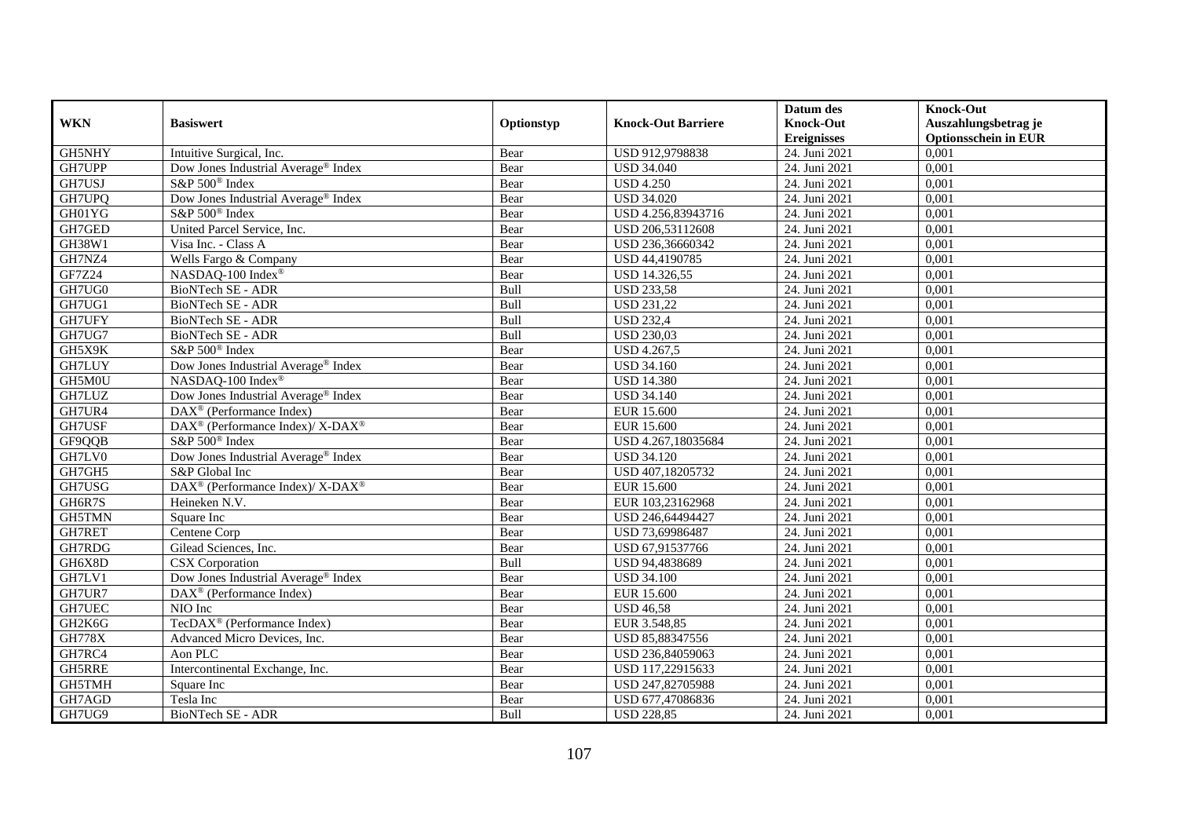|               |                                                                                         |            |                           | Datum des          | <b>Knock-Out</b>            |
|---------------|-----------------------------------------------------------------------------------------|------------|---------------------------|--------------------|-----------------------------|
| <b>WKN</b>    | <b>Basiswert</b>                                                                        | Optionstyp | <b>Knock-Out Barriere</b> | <b>Knock-Out</b>   | Auszahlungsbetrag je        |
|               |                                                                                         |            |                           | <b>Ereignisses</b> | <b>Optionsschein in EUR</b> |
| GH5NHY        | Intuitive Surgical, Inc.                                                                | Bear       | USD 912,9798838           | 24. Juni 2021      | 0,001                       |
| GH7UPP        | Dow Jones Industrial Average® Index                                                     | Bear       | <b>USD 34.040</b>         | 24. Juni 2021      | 0,001                       |
| GH7USJ        | S&P 500 <sup>®</sup> Index                                                              | Bear       | <b>USD 4.250</b>          | 24. Juni 2021      | 0,001                       |
| GH7UPQ        | Dow Jones Industrial Average® Index                                                     | Bear       | <b>USD 34.020</b>         | 24. Juni 2021      | 0,001                       |
| GH01YG        | S&P 500 <sup>®</sup> Index                                                              | Bear       | USD 4.256,83943716        | 24. Juni 2021      | 0,001                       |
| GH7GED        | United Parcel Service, Inc.                                                             | Bear       | USD 206,53112608          | 24. Juni 2021      | 0,001                       |
| <b>GH38W1</b> | Visa Inc. - Class A                                                                     | Bear       | USD 236,36660342          | 24. Juni 2021      | 0,001                       |
| GH7NZ4        | Wells Fargo & Company                                                                   | Bear       | USD 44,4190785            | 24. Juni 2021      | 0,001                       |
| <b>GF7Z24</b> | NASDAQ-100 Index®                                                                       | Bear       | USD 14.326,55             | 24. Juni 2021      | 0,001                       |
| GH7UG0        | BioNTech SE - ADR                                                                       | Bull       | <b>USD 233,58</b>         | 24. Juni 2021      | 0,001                       |
| GH7UG1        | BioNTech SE - ADR                                                                       | Bull       | <b>USD 231,22</b>         | 24. Juni 2021      | 0,001                       |
| GH7UFY        | <b>BioNTech SE - ADR</b>                                                                | Bull       | <b>USD 232,4</b>          | 24. Juni 2021      | 0,001                       |
| GH7UG7        | BioNTech SE - ADR                                                                       | Bull       | <b>USD 230,03</b>         | 24. Juni 2021      | 0,001                       |
| GH5X9K        | S&P 500 <sup>®</sup> Index                                                              | Bear       | USD 4.267,5               | 24. Juni 2021      | 0,001                       |
| <b>GH7LUY</b> | Dow Jones Industrial Average <sup>®</sup> Index                                         | Bear       | <b>USD 34.160</b>         | 24. Juni 2021      | 0,001                       |
| GH5M0U        | NASDAQ-100 Index®                                                                       | Bear       | <b>USD 14.380</b>         | 24. Juni 2021      | 0,001                       |
| GH7LUZ        | Dow Jones Industrial Average <sup>®</sup> Index                                         | Bear       | <b>USD 34.140</b>         | 24. Juni 2021      | 0,001                       |
| GH7UR4        | $DAX^{\circledR}$ (Performance Index)                                                   | Bear       | EUR 15.600                | 24. Juni 2021      | 0,001                       |
| GH7USF        | $\text{DAX}^{\circledast}$ (Performance Index)/ $\overline{\text{X-DAX}^{\circledast}}$ | Bear       | <b>EUR 15.600</b>         | 24. Juni 2021      | 0,001                       |
| GF9QQB        | S&P 500 <sup>®</sup> Index                                                              | Bear       | USD 4.267,18035684        | 24. Juni 2021      | 0,001                       |
| GH7LV0        | Dow Jones Industrial Average <sup>®</sup> Index                                         | Bear       | <b>USD 34.120</b>         | 24. Juni 2021      | 0,001                       |
| GH7GH5        | S&P Global Inc                                                                          | Bear       | USD 407,18205732          | 24. Juni 2021      | 0,001                       |
| GH7USG        | DAX <sup>®</sup> (Performance Index)/ X-DAX <sup>®</sup>                                | Bear       | <b>EUR 15.600</b>         | 24. Juni 2021      | 0,001                       |
| GH6R7S        | Heineken N.V.                                                                           | Bear       | EUR 103,23162968          | 24. Juni 2021      | 0,001                       |
| GH5TMN        | Square Inc                                                                              | Bear       | USD 246,64494427          | 24. Juni 2021      | 0.001                       |
| GH7RET        | Centene Corp                                                                            | Bear       | USD 73,69986487           | 24. Juni 2021      | 0,001                       |
| GH7RDG        | Gilead Sciences, Inc.                                                                   | Bear       | USD 67,91537766           | 24. Juni 2021      | 0,001                       |
| GH6X8D        | <b>CSX</b> Corporation                                                                  | Bull       | USD 94,4838689            | 24. Juni 2021      | 0,001                       |
| GH7LV1        | Dow Jones Industrial Average® Index                                                     | Bear       | <b>USD 34.100</b>         | 24. Juni 2021      | 0,001                       |
| GH7UR7        | $\text{DAX}^{\circledast}$ (Performance Index)                                          | Bear       | EUR 15.600                | 24. Juni 2021      | 0,001                       |
| GH7UEC        | NIO Inc                                                                                 | Bear       | <b>USD 46,58</b>          | 24. Juni 2021      | 0,001                       |
| GH2K6G        | TecDAX <sup>®</sup> (Performance Index)                                                 | Bear       | EUR 3.548,85              | 24. Juni 2021      | 0,001                       |
| <b>GH778X</b> | Advanced Micro Devices, Inc.                                                            | Bear       | USD 85,88347556           | 24. Juni 2021      | 0,001                       |
| GH7RC4        | Aon PLC                                                                                 | Bear       | USD 236,84059063          | 24. Juni 2021      | 0,001                       |
| GH5RRE        | Intercontinental Exchange, Inc.                                                         | Bear       | USD 117,22915633          | 24. Juni 2021      | 0,001                       |
| GH5TMH        | Square Inc                                                                              | Bear       | USD 247,82705988          | 24. Juni 2021      | 0,001                       |
| GH7AGD        | Tesla Inc                                                                               | Bear       | USD 677,47086836          | 24. Juni 2021      | 0,001                       |
| GH7UG9        | BioNTech SE - ADR                                                                       | Bull       | <b>USD 228,85</b>         | 24. Juni 2021      | 0,001                       |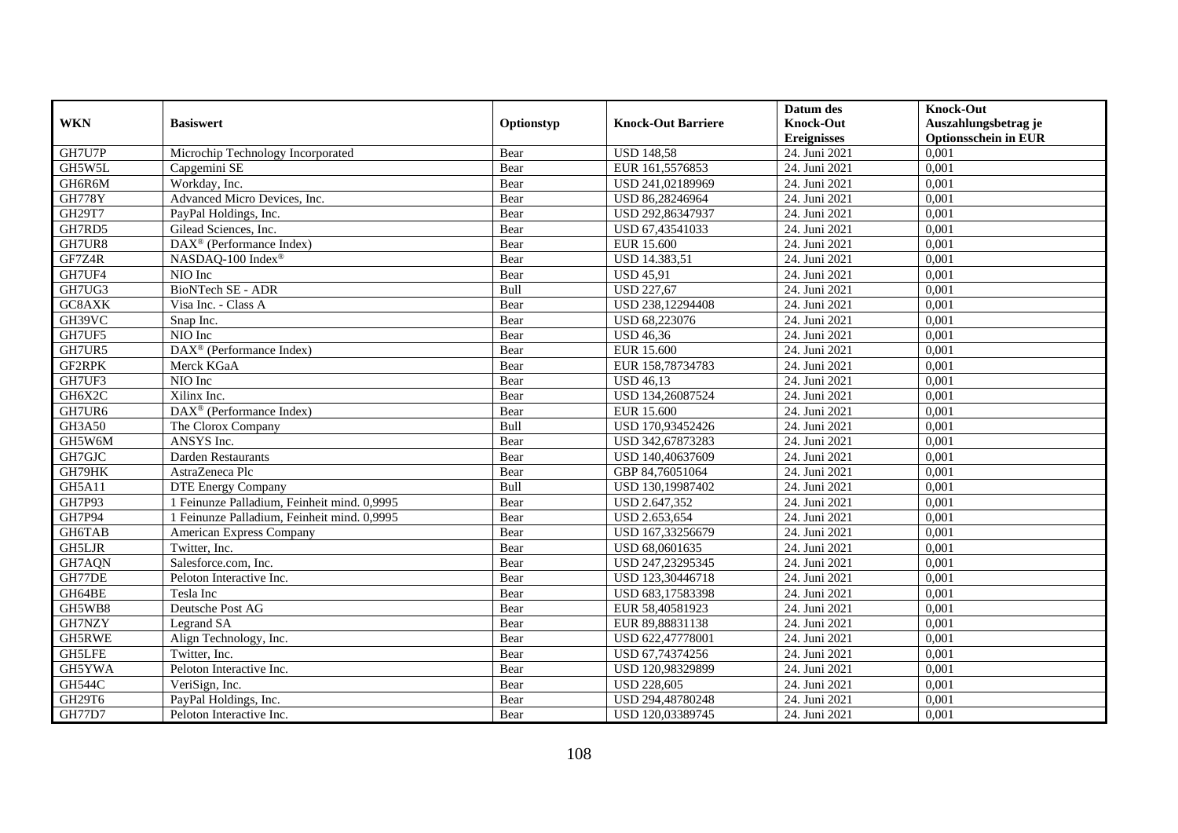|               |                                                    |            |                           | Datum des          | <b>Knock-Out</b>            |
|---------------|----------------------------------------------------|------------|---------------------------|--------------------|-----------------------------|
| <b>WKN</b>    | <b>Basiswert</b>                                   | Optionstyp | <b>Knock-Out Barriere</b> | <b>Knock-Out</b>   | Auszahlungsbetrag je        |
|               |                                                    |            |                           | <b>Ereignisses</b> | <b>Optionsschein in EUR</b> |
| GH7U7P        | Microchip Technology Incorporated                  | Bear       | <b>USD 148,58</b>         | 24. Juni 2021      | 0,001                       |
| GH5W5L        | Capgemini SE                                       | Bear       | EUR 161,5576853           | 24. Juni 2021      | 0,001                       |
| GH6R6M        | Workday, Inc.                                      | Bear       | USD 241,02189969          | 24. Juni 2021      | 0,001                       |
| <b>GH778Y</b> | Advanced Micro Devices, Inc.                       | Bear       | USD 86,28246964           | 24. Juni 2021      | 0,001                       |
| GH29T7        | PayPal Holdings, Inc.                              | Bear       | USD 292,86347937          | 24. Juni 2021      | 0,001                       |
| GH7RD5        | Gilead Sciences, Inc.                              | Bear       | USD 67,43541033           | 24. Juni 2021      | 0,001                       |
| GH7UR8        | DAX <sup>®</sup> (Performance Index)               | Bear       | EUR 15.600                | 24. Juni 2021      | 0,001                       |
| GF7Z4R        | NASDAQ-100 Index®                                  | Bear       | USD 14.383,51             | 24. Juni 2021      | 0,001                       |
| GH7UF4        | NIO Inc                                            | Bear       | <b>USD 45,91</b>          | 24. Juni 2021      | 0,001                       |
| GH7UG3        | <b>BioNTech SE - ADR</b>                           | Bull       | <b>USD 227,67</b>         | 24. Juni 2021      | 0,001                       |
| GC8AXK        | Visa Inc. - Class A                                | Bear       | USD 238,12294408          | 24. Juni 2021      | 0,001                       |
| GH39VC        | Snap Inc.                                          | Bear       | USD 68,223076             | 24. Juni 2021      | 0,001                       |
| GH7UF5        | NIO Inc                                            | Bear       | <b>USD 46,36</b>          | 24. Juni 2021      | 0,001                       |
| GH7UR5        | $\text{DAX}^{\textcircled{p}}$ (Performance Index) | Bear       | EUR 15.600                | 24. Juni 2021      | 0,001                       |
| GF2RPK        | Merck KGaA                                         | Bear       | EUR 158,78734783          | 24. Juni 2021      | 0,001                       |
| GH7UF3        | NIO Inc                                            | Bear       | <b>USD 46,13</b>          | 24. Juni 2021      | 0,001                       |
| GH6X2C        | Xilinx Inc.                                        | Bear       | USD 134,26087524          | 24. Juni 2021      | 0,001                       |
| GH7UR6        | $\text{DAX}^{\textcircled{p}}$ (Performance Index) | Bear       | EUR 15.600                | 24. Juni 2021      | 0,001                       |
| <b>GH3A50</b> | The Clorox Company                                 | Bull       | USD 170,93452426          | 24. Juni 2021      | 0,001                       |
| GH5W6M        | ANSYS Inc.                                         | Bear       | USD 342,67873283          | 24. Juni 2021      | 0,001                       |
| GH7GJC        | Darden Restaurants                                 | Bear       | USD 140,40637609          | 24. Juni 2021      | 0,001                       |
| GH79HK        | AstraZeneca Plc                                    | Bear       | GBP 84,76051064           | 24. Juni 2021      | 0,001                       |
| GH5A11        | <b>DTE Energy Company</b>                          | Bull       | USD 130,19987402          | 24. Juni 2021      | 0,001                       |
| GH7P93        | 1 Feinunze Palladium, Feinheit mind. 0,9995        | Bear       | USD 2.647,352             | 24. Juni 2021      | 0,001                       |
| GH7P94        | 1 Feinunze Palladium, Feinheit mind. 0,9995        | Bear       | USD 2.653,654             | 24. Juni 2021      | 0,001                       |
| GH6TAB        | American Express Company                           | Bear       | USD 167,33256679          | 24. Juni 2021      | 0,001                       |
| <b>GH5LJR</b> | Twitter, Inc.                                      | Bear       | USD 68,0601635            | 24. Juni 2021      | 0,001                       |
| GH7AQN        | Salesforce.com. Inc.                               | Bear       | USD 247,23295345          | 24. Juni 2021      | 0,001                       |
| GH77DE        | Peloton Interactive Inc.                           | Bear       | USD 123,30446718          | 24. Juni 2021      | 0,001                       |
| GH64BE        | Tesla Inc                                          | Bear       | USD 683,17583398          | 24. Juni 2021      | 0,001                       |
| GH5WB8        | Deutsche Post AG                                   | Bear       | EUR 58,40581923           | 24. Juni 2021      | 0,001                       |
| GH7NZY        | Legrand SA                                         | Bear       | EUR 89,88831138           | 24. Juni 2021      | 0,001                       |
| GH5RWE        | Align Technology, Inc.                             | Bear       | USD 622,47778001          | 24. Juni 2021      | 0,001                       |
| GH5LFE        | Twitter, Inc.                                      | Bear       | USD 67,74374256           | 24. Juni 2021      | 0,001                       |
| GH5YWA        | Peloton Interactive Inc.                           | Bear       | USD 120,98329899          | 24. Juni 2021      | 0,001                       |
| <b>GH544C</b> | VeriSign, Inc.                                     | Bear       | <b>USD 228,605</b>        | 24. Juni 2021      | 0,001                       |
| GH29T6        | PayPal Holdings, Inc.                              | Bear       | USD 294,48780248          | 24. Juni 2021      | 0,001                       |
| <b>GH77D7</b> | Peloton Interactive Inc.                           | Bear       | USD 120,03389745          | 24. Juni 2021      | 0,001                       |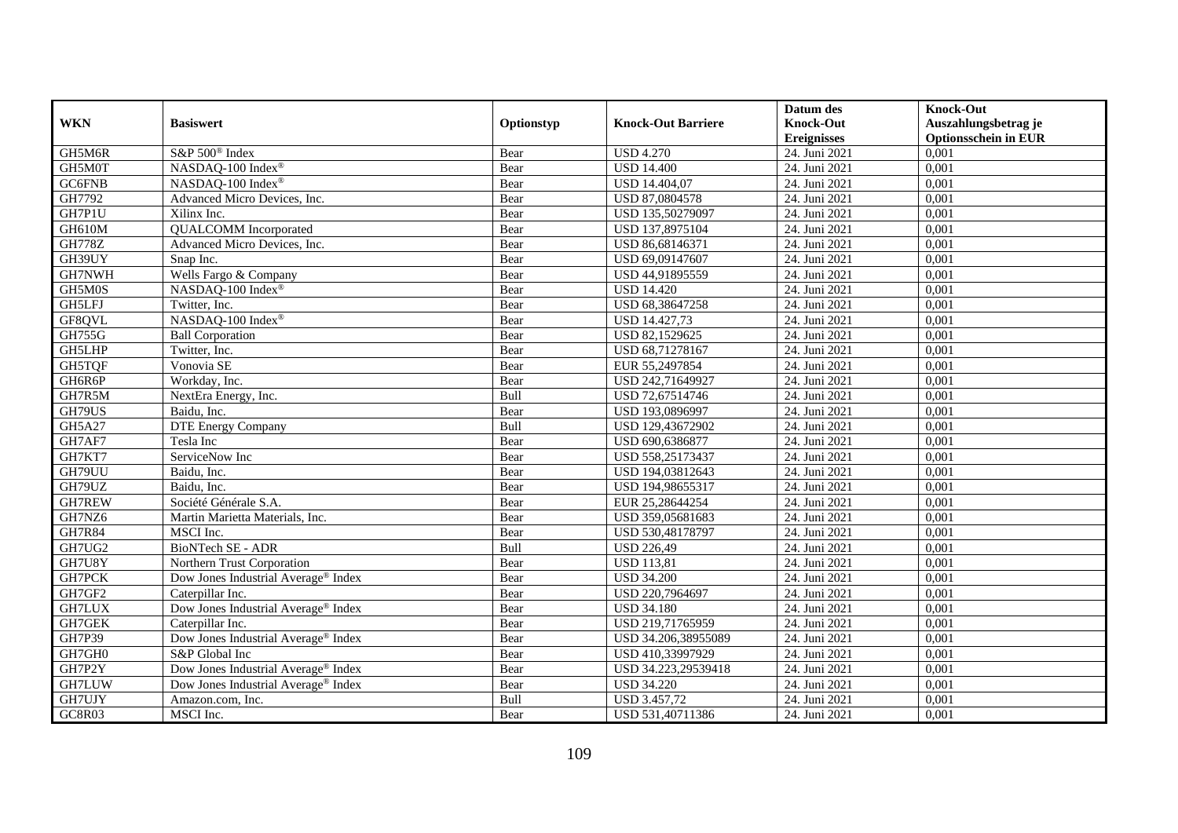|               |                                                 |            |                           | Datum des          | <b>Knock-Out</b>            |
|---------------|-------------------------------------------------|------------|---------------------------|--------------------|-----------------------------|
| <b>WKN</b>    | <b>Basiswert</b>                                | Optionstyp | <b>Knock-Out Barriere</b> | <b>Knock-Out</b>   | Auszahlungsbetrag je        |
|               |                                                 |            |                           | <b>Ereignisses</b> | <b>Optionsschein in EUR</b> |
| GH5M6R        | S&P 500 <sup>®</sup> Index                      | Bear       | <b>USD 4.270</b>          | 24. Juni 2021      | 0,001                       |
| GH5M0T        | NASDAQ-100 Index®                               | Bear       | <b>USD 14.400</b>         | 24. Juni 2021      | 0,001                       |
| GC6FNB        | NASDAQ-100 Index®                               | Bear       | USD 14.404,07             | 24. Juni 2021      | 0,001                       |
| GH7792        | Advanced Micro Devices, Inc.                    | Bear       | USD 87,0804578            | 24. Juni 2021      | 0,001                       |
| GH7P1U        | Xilinx Inc.                                     | Bear       | USD 135,50279097          | 24. Juni 2021      | 0,001                       |
| GH610M        | <b>QUALCOMM</b> Incorporated                    | Bear       | USD 137,8975104           | 24. Juni 2021      | 0,001                       |
| <b>GH778Z</b> | Advanced Micro Devices, Inc.                    | Bear       | USD 86,68146371           | 24. Juni 2021      | 0,001                       |
| GH39UY        | Snap Inc.                                       | Bear       | USD 69,09147607           | 24. Juni 2021      | 0,001                       |
| GH7NWH        | Wells Fargo & Company                           | Bear       | USD 44,91895559           | 24. Juni 2021      | 0,001                       |
| GH5M0S        | NASDAQ-100 Index®                               | Bear       | <b>USD 14.420</b>         | 24. Juni 2021      | 0,001                       |
| GH5LFJ        | Twitter, Inc.                                   | Bear       | USD 68,38647258           | 24. Juni 2021      | 0,001                       |
| GF8QVL        | NASDAQ-100 Index®                               | Bear       | <b>USD 14.427,73</b>      | 24. Juni 2021      | 0,001                       |
| <b>GH755G</b> | <b>Ball Corporation</b>                         | Bear       | USD 82,1529625            | 24. Juni 2021      | 0,001                       |
| GH5LHP        | Twitter, Inc.                                   | Bear       | USD 68,71278167           | 24. Juni 2021      | 0,001                       |
| GH5TQF        | Vonovia SE                                      | Bear       | EUR 55,2497854            | 24. Juni 2021      | 0,001                       |
| GH6R6P        | Workday, Inc.                                   | Bear       | USD 242,71649927          | 24. Juni 2021      | 0,001                       |
| GH7R5M        | NextEra Energy, Inc.                            | Bull       | USD 72,67514746           | 24. Juni 2021      | 0,001                       |
| GH79US        | Baidu. Inc.                                     | Bear       | USD 193,0896997           | 24. Juni 2021      | 0,001                       |
| GH5A27        | <b>DTE Energy Company</b>                       | Bull       | USD 129,43672902          | 24. Juni 2021      | 0,001                       |
| GH7AF7        | Tesla Inc                                       | Bear       | USD 690,6386877           | 24. Juni 2021      | 0,001                       |
| GH7KT7        | ServiceNow Inc                                  | Bear       | USD 558,25173437          | 24. Juni 2021      | 0,001                       |
| GH79UU        | Baidu, Inc.                                     | Bear       | USD 194,03812643          | 24. Juni 2021      | 0,001                       |
| GH79UZ        | Baidu, Inc.                                     | Bear       | USD 194,98655317          | 24. Juni 2021      | 0,001                       |
| GH7REW        | Société Générale S.A.                           | Bear       | EUR 25,28644254           | 24. Juni 2021      | 0,001                       |
| GH7NZ6        | Martin Marietta Materials, Inc.                 | Bear       | USD 359,05681683          | 24. Juni 2021      | 0.001                       |
| <b>GH7R84</b> | MSCI Inc.                                       | Bear       | USD 530,48178797          | 24. Juni 2021      | 0,001                       |
| GH7UG2        | BioNTech SE - ADR                               | Bull       | <b>USD 226,49</b>         | 24. Juni 2021      | 0,001                       |
| GH7U8Y        | Northern Trust Corporation                      | Bear       | <b>USD 113,81</b>         | 24. Juni 2021      | 0,001                       |
| <b>GH7PCK</b> | Dow Jones Industrial Average <sup>®</sup> Index | Bear       | <b>USD 34.200</b>         | 24. Juni 2021      | 0,001                       |
| GH7GF2        | Caterpillar Inc.                                | Bear       | USD 220,7964697           | 24. Juni 2021      | 0,001                       |
| GH7LUX        | Dow Jones Industrial Average® Index             | Bear       | <b>USD 34.180</b>         | 24. Juni 2021      | 0,001                       |
| GH7GEK        | Caterpillar Inc.                                | Bear       | USD 219,71765959          | 24. Juni 2021      | 0,001                       |
| <b>GH7P39</b> | Dow Jones Industrial Average <sup>®</sup> Index | Bear       | USD 34.206,38955089       | 24. Juni 2021      | 0,001                       |
| GH7GH0        | S&P Global Inc                                  | Bear       | USD 410,33997929          | 24. Juni 2021      | 0,001                       |
| GH7P2Y        | Dow Jones Industrial Average® Index             | Bear       | USD 34.223,29539418       | 24. Juni 2021      | 0,001                       |
| GH7LUW        | Dow Jones Industrial Average <sup>®</sup> Index | Bear       | <b>USD 34.220</b>         | 24. Juni 2021      | 0,001                       |
| GH7UJY        | Amazon.com, Inc.                                | Bull       | USD 3.457,72              | 24. Juni 2021      | 0,001                       |
| GCSR03        | MSCI Inc.                                       | Bear       | USD 531,40711386          | 24. Juni 2021      | 0,001                       |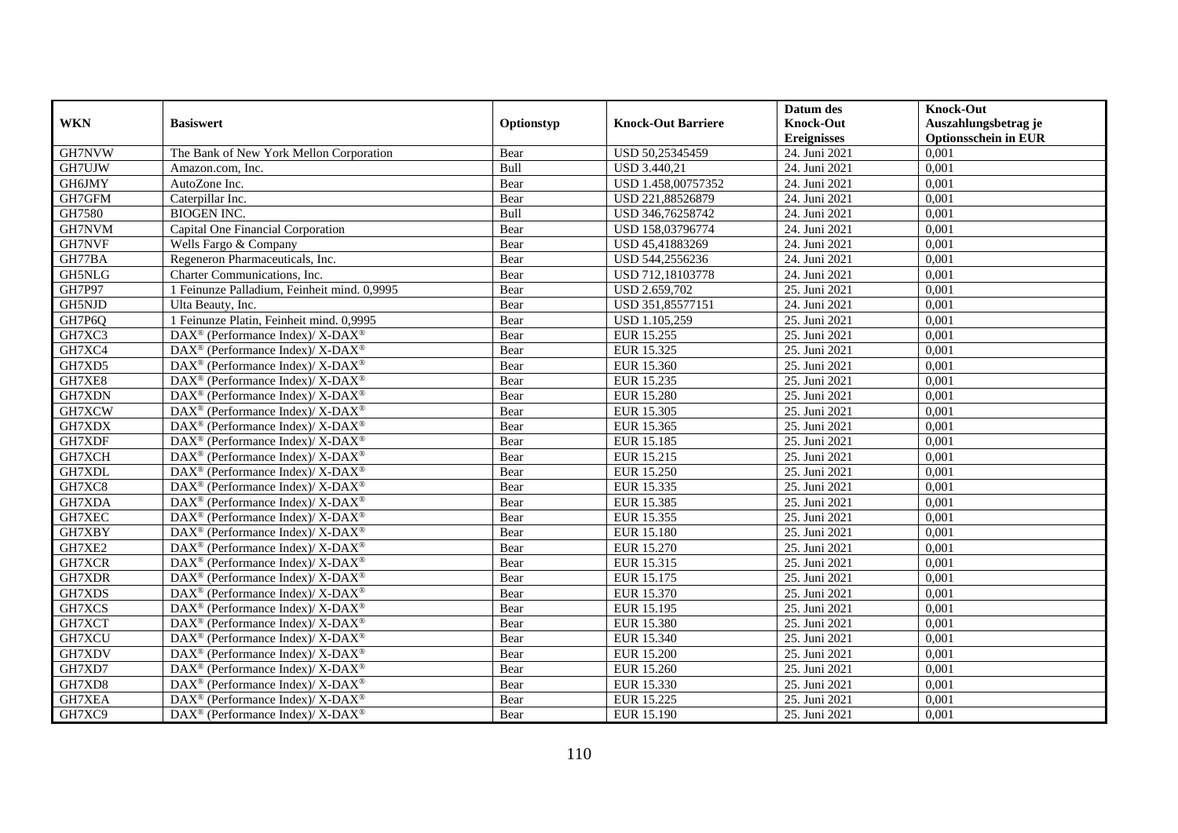|               |                                                                          |            |                           | Datum des          | <b>Knock-Out</b>            |
|---------------|--------------------------------------------------------------------------|------------|---------------------------|--------------------|-----------------------------|
| <b>WKN</b>    | <b>Basiswert</b>                                                         | Optionstyp | <b>Knock-Out Barriere</b> | <b>Knock-Out</b>   | Auszahlungsbetrag je        |
|               |                                                                          |            |                           | <b>Ereignisses</b> | <b>Optionsschein in EUR</b> |
| GH7NVW        | The Bank of New York Mellon Corporation                                  | Bear       | USD 50,25345459           | 24. Juni 2021      | 0,001                       |
| GH7UJW        | Amazon.com. Inc.                                                         | Bull       | <b>USD 3.440,21</b>       | 24. Juni 2021      | 0,001                       |
| GH6JMY        | AutoZone Inc.                                                            | Bear       | USD 1.458,00757352        | 24. Juni 2021      | 0,001                       |
| GH7GFM        | Caterpillar Inc.                                                         | Bear       | USD 221,88526879          | 24. Juni 2021      | 0,001                       |
| GH7580        | <b>BIOGEN INC.</b>                                                       | Bull       | USD 346,76258742          | 24. Juni 2021      | 0,001                       |
| GH7NVM        | Capital One Financial Corporation                                        | Bear       | USD 158,03796774          | 24. Juni 2021      | 0,001                       |
| <b>GH7NVF</b> | Wells Fargo & Company                                                    | Bear       | USD 45,41883269           | 24. Juni 2021      | 0,001                       |
| GH77BA        | Regeneron Pharmaceuticals, Inc.                                          | Bear       | USD 544,2556236           | 24. Juni 2021      | 0,001                       |
| GH5NLG        | Charter Communications, Inc.                                             | Bear       | USD 712,18103778          | 24. Juni 2021      | 0,001                       |
| GH7P97        | 1 Feinunze Palladium, Feinheit mind. 0,9995                              | Bear       | USD 2.659,702             | 25. Juni 2021      | 0,001                       |
| GH5NJD        | Ulta Beauty, Inc.                                                        | Bear       | USD 351,85577151          | 24. Juni 2021      | 0,001                       |
| GH7P6Q        | 1 Feinunze Platin, Feinheit mind. 0,9995                                 | Bear       | USD 1.105,259             | 25. Juni 2021      | 0,001                       |
| GH7XC3        | $\overline{\text{DAX}^{\otimes}}$ (Performance Index)/X-DAX <sup>®</sup> | Bear       | EUR 15.255                | 25. Juni 2021      | 0,001                       |
| GH7XC4        | $\text{DAX}^{\otimes}$ (Performance Index)/X-DAX <sup>®</sup>            | Bear       | EUR 15.325                | 25. Juni 2021      | 0,001                       |
| GH7XD5        | DAX <sup>®</sup> (Performance Index)/ X-DAX <sup>®</sup>                 | Bear       | EUR 15.360                | 25. Juni 2021      | 0,001                       |
| GH7XE8        | DAX <sup>®</sup> (Performance Index)/ X-DAX <sup>®</sup>                 | Bear       | EUR 15.235                | 25. Juni 2021      | 0,001                       |
| GH7XDN        | DAX <sup>®</sup> (Performance Index)/ X-DAX <sup>®</sup>                 | Bear       | <b>EUR 15.280</b>         | 25. Juni 2021      | 0,001                       |
| GH7XCW        | DAX <sup>®</sup> (Performance Index)/ X-DAX <sup>®</sup>                 | Bear       | <b>EUR 15.305</b>         | 25. Juni 2021      | 0,001                       |
| GH7XDX        | $\text{DAX}^{\otimes}$ (Performance Index)/X-DAX <sup>®</sup>            | Bear       | EUR 15.365                | 25. Juni 2021      | 0,001                       |
| GH7XDF        | $\text{DAX}^{\otimes}$ (Performance Index)/X-DAX <sup>®</sup>            | Bear       | EUR 15.185                | 25. Juni 2021      | 0,001                       |
| GH7XCH        | $DAX^{\circledast}$ (Performance Index)/X-DAX <sup>®</sup>               | Bear       | EUR 15.215                | 25. Juni 2021      | 0,001                       |
| GH7XDL        | $\text{DAX}^{\otimes}$ (Performance Index)/X-DAX <sup>®</sup>            | Bear       | <b>EUR 15.250</b>         | 25. Juni 2021      | 0,001                       |
| GH7XC8        | $\text{DAX}^{\circledR}$ (Performance Index)/ X-DAX <sup>®</sup>         | Bear       | EUR 15.335                | 25. Juni 2021      | 0,001                       |
| GH7XDA        | $DAX^{\circledcirc}$ (Performance Index)/X-DAX <sup>®</sup>              | Bear       | EUR 15.385                | 25. Juni 2021      | 0,001                       |
| GH7XEC        | $\overline{\text{DAX}^{\otimes}}$ (Performance Index)/X-DAX <sup>®</sup> | Bear       | EUR 15.355                | 25. Juni 2021      | 0,001                       |
| GH7XBY        | $DAX^{\circledast}$ (Performance Index)/X-DAX <sup>®</sup>               | Bear       | <b>EUR 15.180</b>         | 25. Juni 2021      | 0,001                       |
| GH7XE2        | DAX <sup>®</sup> (Performance Index)/ X-DAX <sup>®</sup>                 | Bear       | <b>EUR 15.270</b>         | 25. Juni 2021      | 0,001                       |
| GH7XCR        | $\text{DAX}^{\circledast}$ (Performance Index)/X-DAX <sup>®</sup>        | Bear       | EUR 15.315                | 25. Juni 2021      | 0,001                       |
| GH7XDR        | $\text{DAX}^{\circledR}$ (Performance Index)/ X-DAX <sup>®</sup>         | Bear       | EUR 15.175                | 25. Juni 2021      | 0,001                       |
| GH7XDS        | $DAX^{\circledcirc}$ (Performance Index)/ X-DAX <sup>®</sup>             | Bear       | EUR 15.370                | 25. Juni 2021      | 0.001                       |
| GH7XCS        | $DAX^{\circledast}$ (Performance Index)/X-DAX <sup>®</sup>               | Bear       | <b>EUR 15.195</b>         | 25. Juni 2021      | 0,001                       |
| GH7XCT        | $\overline{\text{DAX}^{\otimes}}$ (Performance Index)/X-DAX <sup>®</sup> | Bear       | <b>EUR 15.380</b>         | 25. Juni 2021      | 0,001                       |
| GH7XCU        | $\text{DAX}^{\circledast}$ (Performance Index)/X-DAX <sup>®</sup>        | Bear       | EUR 15.340                | 25. Juni 2021      | 0,001                       |
| GH7XDV        | DAX <sup>®</sup> (Performance Index)/ X-DAX <sup>®</sup>                 | Bear       | <b>EUR 15.200</b>         | 25. Juni 2021      | 0,001                       |
| GH7XD7        | $\text{DAX}^{\circledR}$ (Performance Index)/ X-DAX <sup>®</sup>         | Bear       | EUR 15.260                | 25. Juni 2021      | 0,001                       |
| GH7XD8        | $\text{DAX}^{\otimes}$ (Performance Index)/X-DAX <sup>®</sup>            | Bear       | EUR 15.330                | 25. Juni 2021      | 0,001                       |
| GH7XEA        | DAX <sup>®</sup> (Performance Index)/ X-DAX <sup>®</sup>                 | Bear       | EUR 15.225                | 25. Juni 2021      | 0,001                       |
| GH7XC9        | DAX <sup>®</sup> (Performance Index)/X-DAX <sup>®</sup>                  | Bear       | <b>EUR 15.190</b>         | 25. Juni 2021      | 0,001                       |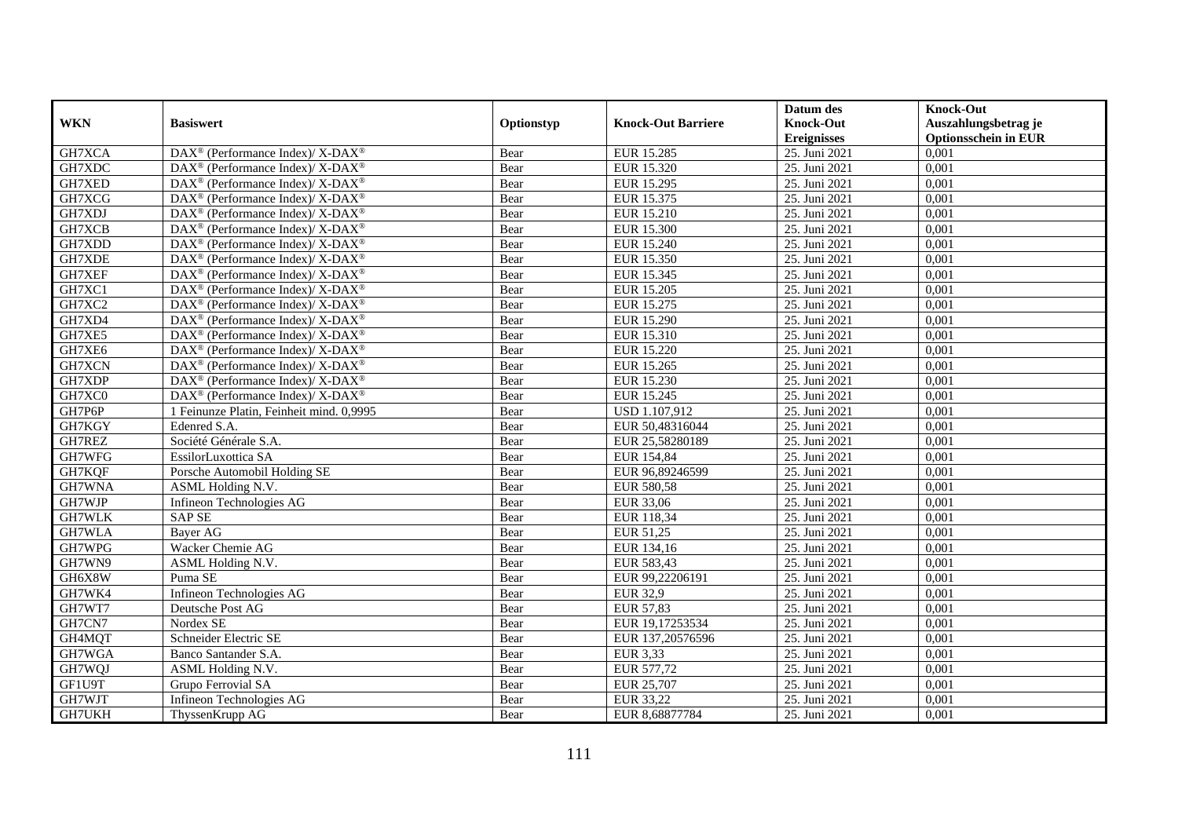|            |                                                                          |            |                           | Datum des          | <b>Knock-Out</b>            |
|------------|--------------------------------------------------------------------------|------------|---------------------------|--------------------|-----------------------------|
| <b>WKN</b> | <b>Basiswert</b>                                                         | Optionstyp | <b>Knock-Out Barriere</b> | <b>Knock-Out</b>   | Auszahlungsbetrag je        |
|            |                                                                          |            |                           | <b>Ereignisses</b> | <b>Optionsschein in EUR</b> |
| GH7XCA     | $\text{DAX}^{\circledR}$ (Performance Index)/ X-DAX <sup>®</sup>         | Bear       | <b>EUR 15.285</b>         | 25. Juni 2021      | 0,001                       |
| GH7XDC     | DAX <sup>®</sup> (Performance Index)/ X-DAX <sup>®</sup>                 | Bear       | EUR 15.320                | 25. Juni 2021      | 0,001                       |
| GH7XED     | DAX <sup>®</sup> (Performance Index)/X-DAX <sup>®</sup>                  | Bear       | EUR 15.295                | 25. Juni 2021      | 0,001                       |
| GH7XCG     | DAX <sup>®</sup> (Performance Index)/ X-DAX <sup>®</sup>                 | Bear       | EUR 15.375                | 25. Juni 2021      | 0,001                       |
| GH7XDJ     | DAX <sup>®</sup> (Performance Index)/ X-DAX <sup>®</sup>                 | Bear       | <b>EUR 15.210</b>         | 25. Juni 2021      | 0,001                       |
| GH7XCB     | DAX <sup>®</sup> (Performance Index)/X-DAX <sup>®</sup>                  | Bear       | <b>EUR 15.300</b>         | 25. Juni 2021      | 0,001                       |
| GH7XDD     | DAX <sup>®</sup> (Performance Index)/X-DAX <sup>®</sup>                  | Bear       | EUR 15.240                | 25. Juni 2021      | 0,001                       |
| GH7XDE     | DAX <sup>®</sup> (Performance Index)/X-DAX <sup>®</sup>                  | Bear       | EUR 15.350                | 25. Juni 2021      | 0,001                       |
| GH7XEF     | DAX <sup>®</sup> (Performance Index)/X-DAX <sup>®</sup>                  | Bear       | EUR 15.345                | 25. Juni 2021      | 0,001                       |
| GH7XC1     | $\overline{\text{DAX}^{\otimes}}$ (Performance Index)/X-DAX <sup>®</sup> | Bear       | EUR 15.205                | 25. Juni 2021      | 0,001                       |
| GH7XC2     | $\text{DAX}^{\circledast}$ (Performance Index)/ X-DAX <sup>®</sup>       | Bear       | EUR 15.275                | 25. Juni 2021      | 0,001                       |
| GH7XD4     | DAX <sup>®</sup> (Performance Index)/ X-DAX <sup>®</sup>                 | Bear       | <b>EUR 15.290</b>         | 25. Juni 2021      | 0,001                       |
| GH7XE5     | DAX <sup>®</sup> (Performance Index)/ X-DAX <sup>®</sup>                 | Bear       | EUR 15.310                | 25. Juni 2021      | 0,001                       |
| GH7XE6     | DAX <sup>®</sup> (Performance Index)/X-DAX <sup>®</sup>                  | Bear       | EUR 15.220                | 25. Juni 2021      | 0,001                       |
| GH7XCN     | DAX <sup>®</sup> (Performance Index)/ X-DAX <sup>®</sup>                 | Bear       | EUR 15.265                | 25. Juni 2021      | 0,001                       |
| GH7XDP     | DAX <sup>®</sup> (Performance Index)/ X-DAX <sup>®</sup>                 | Bear       | EUR 15.230                | 25. Juni 2021      | 0,001                       |
| GH7XC0     | DAX <sup>®</sup> (Performance Index)/X-DAX <sup>®</sup>                  | Bear       | EUR 15.245                | 25. Juni 2021      | 0,001                       |
| GH7P6P     | 1 Feinunze Platin, Feinheit mind. 0.9995                                 | Bear       | USD 1.107,912             | 25. Juni 2021      | 0,001                       |
| GH7KGY     | Edenred S.A.                                                             | Bear       | EUR 50,48316044           | 25. Juni 2021      | 0,001                       |
| GH7REZ     | Société Générale S.A.                                                    | Bear       | EUR 25,58280189           | 25. Juni 2021      | 0,001                       |
| GH7WFG     | EssilorLuxottica SA                                                      | Bear       | EUR 154,84                | 25. Juni 2021      | 0,001                       |
| GH7KQF     | Porsche Automobil Holding SE                                             | Bear       | EUR 96,89246599           | 25. Juni 2021      | 0,001                       |
| GH7WNA     | ASML Holding N.V.                                                        | Bear       | EUR 580,58                | 25. Juni 2021      | 0,001                       |
| GH7WJP     | Infineon Technologies AG                                                 | Bear       | EUR 33,06                 | 25. Juni 2021      | 0,001                       |
| GH7WLK     | <b>SAP SE</b>                                                            | Bear       | EUR 118,34                | 25. Juni 2021      | 0,001                       |
| GH7WLA     | Bayer AG                                                                 | Bear       | EUR 51,25                 | 25. Juni 2021      | 0,001                       |
| GH7WPG     | Wacker Chemie AG                                                         | Bear       | EUR 134,16                | 25. Juni 2021      | 0,001                       |
| GH7WN9     | ASML Holding N.V.                                                        | Bear       | EUR 583,43                | 25. Juni 2021      | 0,001                       |
| GH6X8W     | Puma SE                                                                  | Bear       | EUR 99,22206191           | 25. Juni 2021      | 0,001                       |
| GH7WK4     | <b>Infineon Technologies AG</b>                                          | Bear       | <b>EUR 32,9</b>           | 25. Juni 2021      | 0,001                       |
| GH7WT7     | Deutsche Post AG                                                         | Bear       | <b>EUR 57,83</b>          | 25. Juni 2021      | 0,001                       |
| GH7CN7     | Nordex SE                                                                | Bear       | EUR 19,17253534           | 25. Juni 2021      | 0,001                       |
| GH4MQT     | Schneider Electric SE                                                    | Bear       | EUR 137,20576596          | 25. Juni 2021      | 0,001                       |
| GH7WGA     | Banco Santander S.A.                                                     | Bear       | <b>EUR 3,33</b>           | 25. Juni 2021      | 0,001                       |
| GH7WQJ     | ASML Holding N.V.                                                        | Bear       | EUR 577,72                | 25. Juni 2021      | 0,001                       |
| GF1U9T     | Grupo Ferrovial SA                                                       | Bear       | EUR 25,707                | 25. Juni 2021      | 0,001                       |
| GH7WJT     | Infineon Technologies AG                                                 | Bear       | EUR 33,22                 | 25. Juni 2021      | 0,001                       |
| GH7UKH     | ThyssenKrupp AG                                                          | Bear       | EUR 8,68877784            | 25. Juni 2021      | 0,001                       |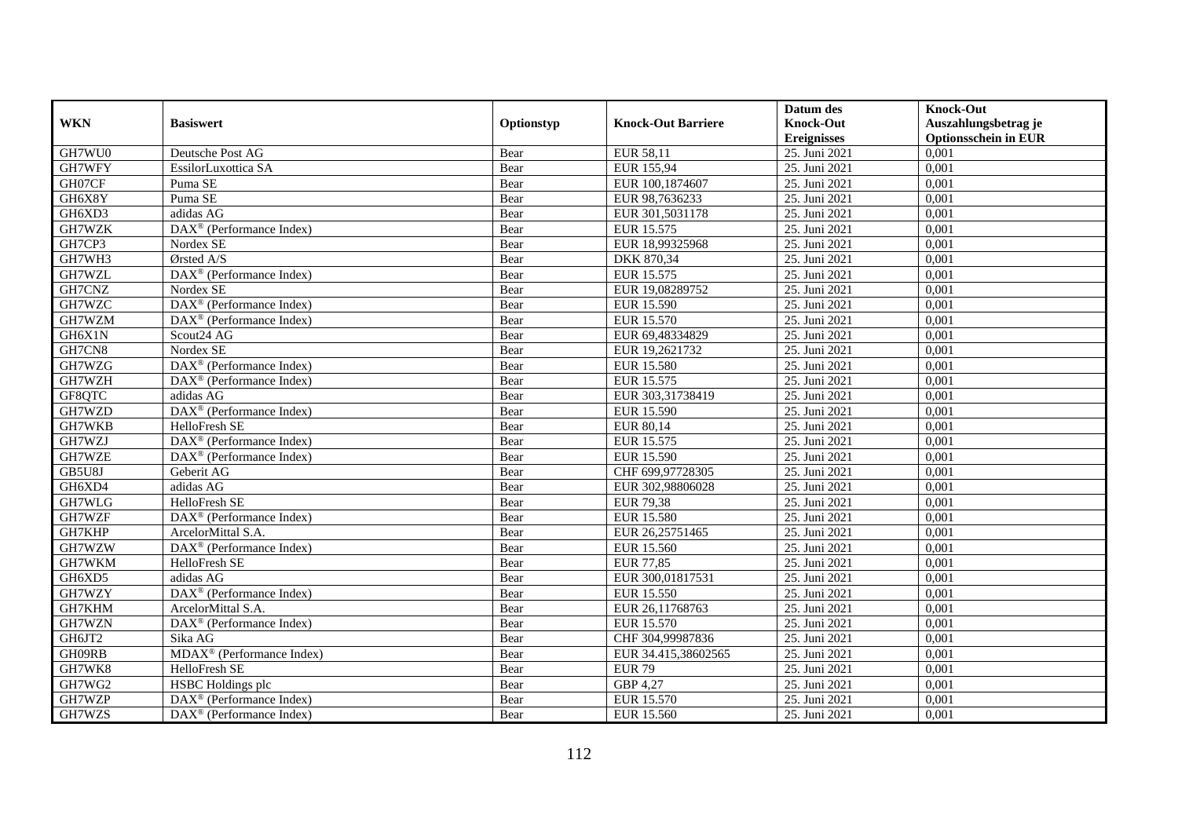|            |                                                         |            |                           | Datum des          | <b>Knock-Out</b>            |
|------------|---------------------------------------------------------|------------|---------------------------|--------------------|-----------------------------|
| <b>WKN</b> | <b>Basiswert</b>                                        | Optionstyp | <b>Knock-Out Barriere</b> | <b>Knock-Out</b>   | Auszahlungsbetrag je        |
|            |                                                         |            |                           | <b>Ereignisses</b> | <b>Optionsschein in EUR</b> |
| GH7WU0     | Deutsche Post AG                                        | Bear       | <b>EUR 58,11</b>          | 25. Juni 2021      | 0,001                       |
| GH7WFY     | EssilorLuxottica SA                                     | Bear       | EUR 155,94                | 25. Juni 2021      | 0,001                       |
| GH07CF     | Puma SE                                                 | Bear       | EUR 100,1874607           | 25. Juni 2021      | 0,001                       |
| GH6X8Y     | Puma SE                                                 | Bear       | EUR 98,7636233            | 25. Juni 2021      | 0,001                       |
| GH6XD3     | adidas AG                                               | Bear       | EUR 301,5031178           | 25. Juni 2021      | 0,001                       |
| GH7WZK     | DAX <sup>®</sup> (Performance Index)                    | Bear       | EUR 15.575                | 25. Juni 2021      | 0,001                       |
| GH7CP3     | Nordex SE                                               | Bear       | EUR 18,99325968           | 25. Juni 2021      | 0,001                       |
| GH7WH3     | Ørsted A/S                                              | Bear       | DKK 870,34                | 25. Juni 2021      | 0,001                       |
| GH7WZL     | DAX <sup>®</sup> (Performance Index)                    | Bear       | EUR 15.575                | 25. Juni 2021      | 0,001                       |
| GH7CNZ     | Nordex SE                                               | Bear       | EUR 19,08289752           | 25. Juni 2021      | 0,001                       |
| GH7WZC     | $\overline{\text{DAX}^{\otimes}}$ (Performance Index)   | Bear       | EUR 15.590                | 25. Juni 2021      | 0,001                       |
| GH7WZM     | DAX <sup>®</sup> (Performance Index)                    | Bear       | <b>EUR 15.570</b>         | 25. Juni 2021      | 0,001                       |
| GH6X1N     | Scout24 AG                                              | Bear       | EUR 69,48334829           | 25. Juni 2021      | 0,001                       |
| GH7CN8     | Nordex SE                                               | Bear       | EUR 19,2621732            | 25. Juni 2021      | 0,001                       |
| GH7WZG     | DAX <sup>®</sup> (Performance Index)                    | Bear       | <b>EUR 15.580</b>         | 25. Juni 2021      | 0,001                       |
| GH7WZH     | $\overline{\text{DAX}}^{\textcirc}$ (Performance Index) | Bear       | EUR 15.575                | 25. Juni 2021      | 0,001                       |
| GF8QTC     | adidas AG                                               | Bear       | EUR 303,31738419          | 25. Juni 2021      | 0,001                       |
| GH7WZD     | DAX <sup>®</sup> (Performance Index)                    | Bear       | <b>EUR 15.590</b>         | 25. Juni 2021      | 0,001                       |
| GH7WKB     | <b>HelloFresh SE</b>                                    | Bear       | EUR 80,14                 | 25. Juni 2021      | 0,001                       |
| GH7WZJ     | $\overline{\text{DAX}^{\otimes}}$ (Performance Index)   | Bear       | EUR 15.575                | 25. Juni 2021      | 0,001                       |
| GH7WZE     | DAX <sup>®</sup> (Performance Index)                    | Bear       | <b>EUR 15.590</b>         | 25. Juni 2021      | 0,001                       |
| GB5U8J     | Geberit AG                                              | Bear       | CHF 699,97728305          | 25. Juni 2021      | 0,001                       |
| GH6XD4     | adidas AG                                               | Bear       | EUR 302,98806028          | 25. Juni 2021      | 0,001                       |
| GH7WLG     | <b>HelloFresh SE</b>                                    | Bear       | <b>EUR 79,38</b>          | 25. Juni 2021      | 0,001                       |
| GH7WZF     | $DAX^{\circledcirc}$ (Performance Index)                | Bear       | <b>EUR 15.580</b>         | 25. Juni 2021      | 0,001                       |
| GH7KHP     | ArcelorMittal S.A.                                      | Bear       | EUR 26,25751465           | 25. Juni 2021      | 0,001                       |
| GH7WZW     | DAX <sup>®</sup> (Performance Index)                    | Bear       | EUR 15.560                | 25. Juni 2021      | 0,001                       |
| GH7WKM     | HelloFresh SE                                           | Bear       | <b>EUR 77,85</b>          | 25. Juni 2021      | 0,001                       |
| GH6XD5     | adidas AG                                               | Bear       | EUR 300,01817531          | 25. Juni 2021      | 0,001                       |
| GH7WZY     | DAX <sup>®</sup> (Performance Index)                    | Bear       | EUR 15.550                | 25. Juni 2021      | 0,001                       |
| GH7KHM     | ArcelorMittal S.A.                                      | Bear       | EUR 26,11768763           | 25. Juni 2021      | 0,001                       |
| GH7WZN     | DAX <sup>®</sup> (Performance Index)                    | Bear       | EUR 15.570                | 25. Juni 2021      | 0,001                       |
| GH6JT2     | Sika AG                                                 | Bear       | CHF 304,99987836          | 25. Juni 2021      | 0,001                       |
| GH09RB     | MDAX <sup>®</sup> (Performance Index)                   | Bear       | EUR 34.415,38602565       | 25. Juni 2021      | 0,001                       |
| GH7WK8     | HelloFresh SE                                           | Bear       | <b>EUR 79</b>             | 25. Juni 2021      | 0,001                       |
| GH7WG2     | HSBC Holdings plc                                       | Bear       | GBP 4,27                  | 25. Juni 2021      | 0,001                       |
| GH7WZP     | DAX <sup>®</sup> (Performance Index)                    | Bear       | EUR 15.570                | 25. Juni 2021      | 0,001                       |
| GH7WZS     | $\text{DAX}^{\textcircled{}}$ (Performance Index)       | Bear       | EUR 15.560                | 25. Juni 2021      | 0,001                       |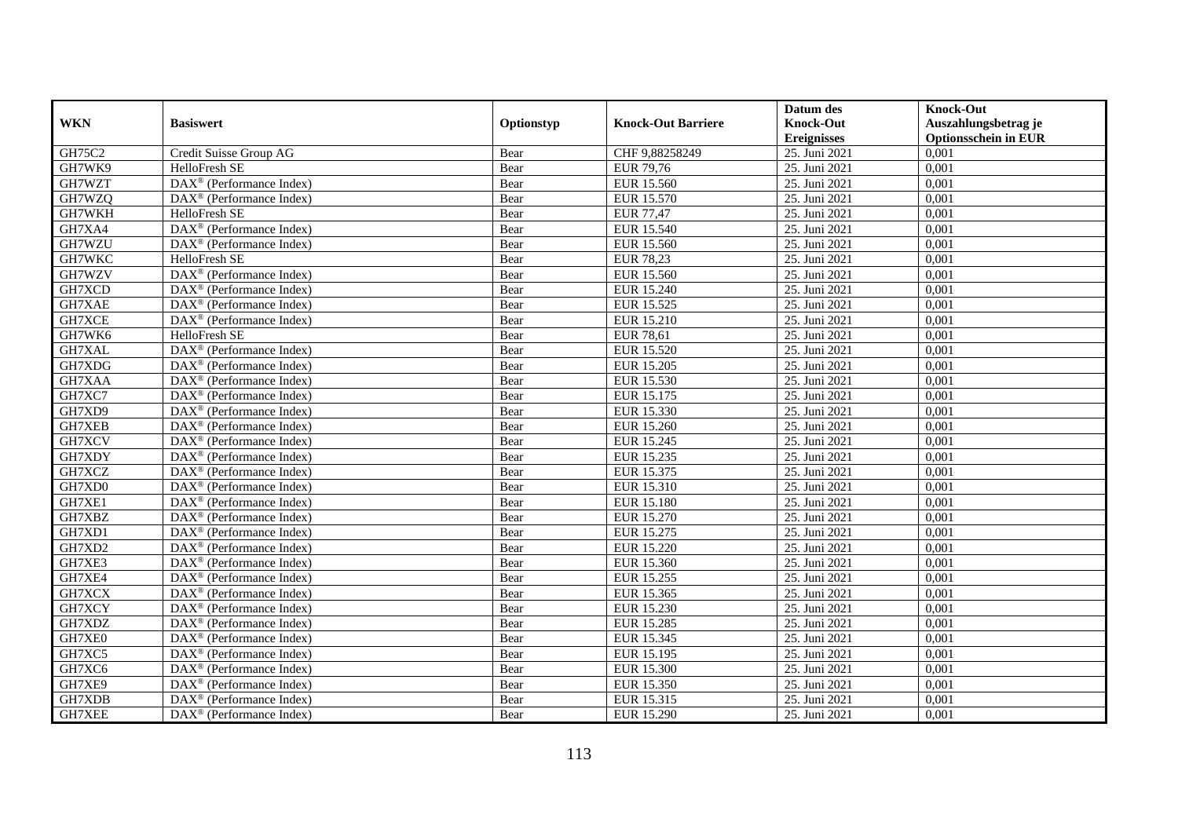|               |                                                         |            |                           | Datum des          | <b>Knock-Out</b>            |
|---------------|---------------------------------------------------------|------------|---------------------------|--------------------|-----------------------------|
| <b>WKN</b>    | <b>Basiswert</b>                                        | Optionstyp | <b>Knock-Out Barriere</b> | <b>Knock-Out</b>   | Auszahlungsbetrag je        |
|               |                                                         |            |                           | <b>Ereignisses</b> | <b>Optionsschein in EUR</b> |
| GH75C2        | Credit Suisse Group AG                                  | Bear       | CHF 9,88258249            | 25. Juni 2021      | 0,001                       |
| GH7WK9        | HelloFresh SE                                           | Bear       | <b>EUR 79,76</b>          | 25. Juni 2021      | 0,001                       |
| GH7WZT        | $\text{DAX}^{\textcircled{n}}$ (Performance Index)      | Bear       | EUR 15.560                | 25. Juni 2021      | 0,001                       |
| GH7WZQ        | $\overline{\text{DAX}^{\otimes}}$ (Performance Index)   | Bear       | EUR 15.570                | 25. Juni 2021      | 0,001                       |
| GH7WKH        | HelloFresh SE                                           | Bear       | <b>EUR 77,47</b>          | 25. Juni 2021      | 0,001                       |
| GH7XA4        | $\overline{\text{DAX}^{\otimes}}$ (Performance Index)   | Bear       | EUR 15.540                | 25. Juni 2021      | 0,001                       |
| GH7WZU        | $\overline{\text{DAX}}^{\textcirc}$ (Performance Index) | Bear       | EUR 15.560                | 25. Juni 2021      | 0,001                       |
| GH7WKC        | HelloFresh SE                                           | Bear       | <b>EUR 78,23</b>          | 25. Juni 2021      | 0,001                       |
| GH7WZV        | DAX <sup>®</sup> (Performance Index)                    | Bear       | EUR 15.560                | 25. Juni 2021      | 0,001                       |
| GH7XCD        | DAX <sup>®</sup> (Performance Index)                    | Bear       | EUR 15.240                | 25. Juni 2021      | 0,001                       |
| GH7XAE        | $DAX^{\otimes}$ (Performance Index)                     | Bear       | EUR 15.525                | 25. Juni 2021      | 0,001                       |
| GH7XCE        | DAX <sup>®</sup> (Performance Index)                    | Bear       | <b>EUR 15.210</b>         | 25. Juni 2021      | 0,001                       |
| GH7WK6        | HelloFresh SE                                           | Bear       | <b>EUR 78,61</b>          | 25. Juni 2021      | 0,001                       |
| GH7XAL        | DAX <sup>®</sup> (Performance Index)                    | Bear       | EUR 15.520                | 25. Juni 2021      | 0,001                       |
| GH7XDG        | $\text{DAX}^{\otimes}$ (Performance Index)              | Bear       | <b>EUR 15.205</b>         | 25. Juni 2021      | 0,001                       |
| GH7XAA        | DAX <sup>®</sup> (Performance Index)                    | Bear       | EUR 15.530                | 25. Juni 2021      | 0,001                       |
| GH7XC7        | DAX <sup>®</sup> (Performance Index)                    | Bear       | EUR 15.175                | 25. Juni 2021      | 0,001                       |
| GH7XD9        | $DAX^{\circledR}$ (Performance Index)                   | Bear       | EUR 15.330                | 25. Juni 2021      | 0,001                       |
| <b>GH7XEB</b> | $\overline{\text{DAX}}^{\textcirc}$ (Performance Index) | Bear       | EUR 15.260                | 25. Juni 2021      | 0,001                       |
| GH7XCV        | DAX <sup>®</sup> (Performance Index)                    | Bear       | EUR 15.245                | 25. Juni 2021      | 0,001                       |
| GH7XDY        | DAX <sup>®</sup> (Performance Index)                    | Bear       | EUR 15.235                | 25. Juni 2021      | 0,001                       |
| GH7XCZ        | $\overline{\text{DAX}^{\otimes}}$ (Performance Index)   | Bear       | EUR 15.375                | 25. Juni 2021      | 0,001                       |
| GH7XD0        | DAX <sup>®</sup> (Performance Index)                    | Bear       | EUR 15.310                | 25. Juni 2021      | 0,001                       |
| GH7XE1        | DAX <sup>®</sup> (Performance Index)                    | Bear       | <b>EUR 15.180</b>         | 25. Juni 2021      | 0,001                       |
| GH7XBZ        | $DAX^{\circledR}$ (Performance Index)                   | Bear       | EUR 15.270                | 25. Juni 2021      | 0.001                       |
| GH7XD1        | DAX <sup>®</sup> (Performance Index)                    | Bear       | EUR 15.275                | 25. Juni 2021      | 0,001                       |
| GH7XD2        | DAX <sup>®</sup> (Performance Index)                    | Bear       | <b>EUR 15.220</b>         | 25. Juni 2021      | 0,001                       |
| GH7XE3        | $\text{DAX}^{\textcircled{p}}$ (Performance Index)      | Bear       | EUR 15.360                | 25. Juni 2021      | 0,001                       |
| GH7XE4        | $\overline{\text{DAX}^{\otimes}}$ (Performance Index)   | Bear       | EUR 15.255                | 25. Juni 2021      | 0,001                       |
| GH7XCX        | $\text{DAX}^{\circledast}$ (Performance Index)          | Bear       | EUR 15.365                | 25. Juni 2021      | 0,001                       |
| GH7XCY        | $\text{DAX}^{\textcircled{n}}$ (Performance Index)      | Bear       | EUR 15.230                | 25. Juni 2021      | 0,001                       |
| GH7XDZ        | $DAX^{\circledR}$ (Performance Index)                   | Bear       | EUR 15.285                | 25. Juni 2021      | 0,001                       |
| GH7XE0        | $\overline{\text{DAX}^{\otimes}}$ (Performance Index)   | Bear       | EUR 15.345                | 25. Juni 2021      | 0,001                       |
| GH7XC5        | DAX <sup>®</sup> (Performance Index)                    | Bear       | EUR 15.195                | 25. Juni 2021      | 0,001                       |
| GH7XC6        | DAX <sup>®</sup> (Performance Index)                    | Bear       | <b>EUR 15.300</b>         | 25. Juni 2021      | 0,001                       |
| GH7XE9        | DAX <sup>®</sup> (Performance Index)                    | Bear       | EUR 15.350                | 25. Juni 2021      | 0,001                       |
| GH7XDB        | $\text{DAX}^{\circledast}$ (Performance Index)          | Bear       | EUR 15.315                | 25. Juni 2021      | 0,001                       |
| GH7XEE        | DAX <sup>®</sup> (Performance Index)                    | Bear       | EUR 15.290                | 25. Juni 2021      | 0,001                       |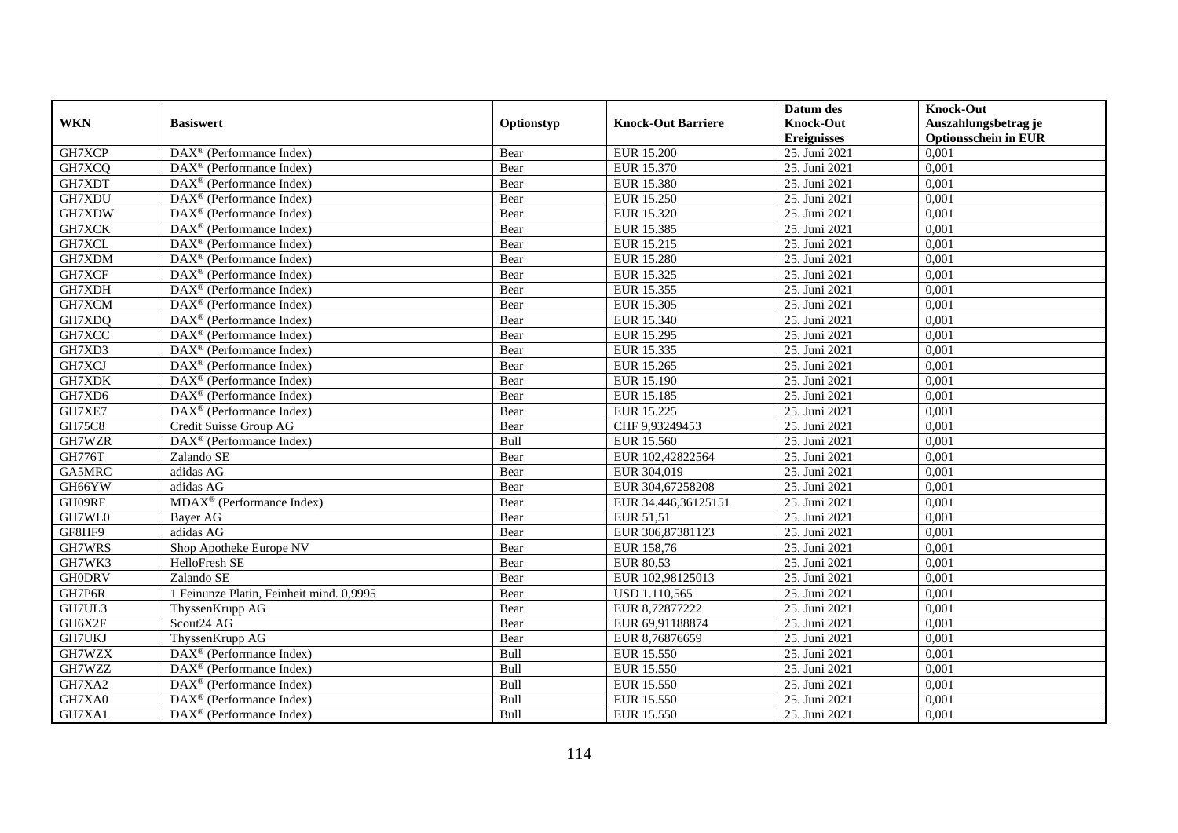|               |                                                              |            |                           | Datum des          | <b>Knock-Out</b>            |
|---------------|--------------------------------------------------------------|------------|---------------------------|--------------------|-----------------------------|
| <b>WKN</b>    | <b>Basiswert</b>                                             | Optionstyp | <b>Knock-Out Barriere</b> | <b>Knock-Out</b>   | Auszahlungsbetrag je        |
|               |                                                              |            |                           | <b>Ereignisses</b> | <b>Optionsschein in EUR</b> |
| GH7XCP        | $\overline{\text{DAX}^{\otimes}}$ (Performance Index)        | Bear       | <b>EUR 15.200</b>         | 25. Juni 2021      | 0,001                       |
| GH7XCQ        | $\text{DAX}^{\textcircled{D}}$ (Performance Index)           | Bear       | EUR 15.370                | 25. Juni 2021      | 0,001                       |
| GH7XDT        | DAX <sup>®</sup> (Performance Index)                         | Bear       | <b>EUR 15.380</b>         | 25. Juni 2021      | 0,001                       |
| GH7XDU        | $\text{DAX}^{\otimes}$ (Performance Index)                   | Bear       | EUR 15.250                | 25. Juni 2021      | 0,001                       |
| GH7XDW        | DAX <sup>®</sup> (Performance Index)                         | Bear       | EUR 15.320                | 25. Juni 2021      | 0,001                       |
| GH7XCK        | $\overline{\text{DAX}}^{\textcircled{}}$ (Performance Index) | Bear       | EUR 15.385                | 25. Juni 2021      | 0,001                       |
| GH7XCL        | $\text{DAX}^{\textcircled{n}}$ (Performance Index)           | Bear       | EUR 15.215                | 25. Juni 2021      | 0,001                       |
| GH7XDM        | $\text{DAX}^{\textcircled{}}$ (Performance Index)            | Bear       | <b>EUR 15.280</b>         | 25. Juni 2021      | 0,001                       |
| GH7XCF        | $\text{DAX}^{\textcircled{D}}$ (Performance Index)           | Bear       | EUR 15.325                | 25. Juni 2021      | 0,001                       |
| GH7XDH        | $DAX^{\otimes}$ (Performance Index)                          | Bear       | EUR 15.355                | 25. Juni 2021      | 0,001                       |
| GH7XCM        | DAX <sup>®</sup> (Performance Index)                         | Bear       | EUR 15.305                | 25. Juni 2021      | 0,001                       |
| GH7XDQ        | DAX <sup>®</sup> (Performance Index)                         | Bear       | EUR 15.340                | 25. Juni 2021      | 0,001                       |
| GH7XCC        | $\text{DAX}^{\textcircled{n}}$ (Performance Index)           | Bear       | EUR 15.295                | 25. Juni 2021      | 0,001                       |
| GH7XD3        | DAX <sup>®</sup> (Performance Index)                         | Bear       | EUR 15.335                | 25. Juni 2021      | 0,001                       |
| GH7XCJ        | DAX <sup>®</sup> (Performance Index)                         | Bear       | EUR 15.265                | 25. Juni 2021      | 0,001                       |
| GH7XDK        | $\overline{\text{DAX}}^{\textcircled{}}$ (Performance Index) | Bear       | EUR 15.190                | 25. Juni 2021      | 0,001                       |
| GH7XD6        | DAX <sup>®</sup> (Performance Index)                         | Bear       | <b>EUR 15.185</b>         | 25. Juni 2021      | 0,001                       |
| GH7XE7        | DAX <sup>®</sup> (Performance Index)                         | Bear       | EUR 15.225                | 25. Juni 2021      | 0,001                       |
| <b>GH75C8</b> | Credit Suisse Group AG                                       | Bear       | CHF 9,93249453            | 25. Juni 2021      | 0,001                       |
| GH7WZR        | DAX <sup>®</sup> (Performance Index)                         | Bull       | EUR 15.560                | 25. Juni 2021      | 0,001                       |
| GH776T        | Zalando SE                                                   | Bear       | EUR 102,42822564          | 25. Juni 2021      | 0,001                       |
| GA5MRC        | adidas AG                                                    | Bear       | EUR 304,019               | 25. Juni 2021      | 0,001                       |
| GH66YW        | adidas AG                                                    | Bear       | EUR 304,67258208          | 25. Juni 2021      | 0,001                       |
| GH09RF        | MDAX <sup>®</sup> (Performance Index)                        | Bear       | EUR 34.446,36125151       | 25. Juni 2021      | 0,001                       |
| GH7WL0        | Bayer AG                                                     | Bear       | EUR 51,51                 | 25. Juni 2021      | 0,001                       |
| GF8HF9        | adidas AG                                                    | Bear       | EUR 306,87381123          | 25. Juni 2021      | 0,001                       |
| GH7WRS        | Shop Apotheke Europe NV                                      | Bear       | EUR 158,76                | 25. Juni 2021      | 0,001                       |
| GH7WK3        | HelloFresh SE                                                | Bear       | <b>EUR 80,53</b>          | 25. Juni 2021      | 0,001                       |
| <b>GH0DRV</b> | Zalando SE                                                   | Bear       | EUR 102,98125013          | 25. Juni 2021      | 0,001                       |
| GH7P6R        | 1 Feinunze Platin, Feinheit mind. 0,9995                     | Bear       | <b>USD 1.110,565</b>      | 25. Juni 2021      | 0,001                       |
| GH7UL3        | ThyssenKrupp AG                                              | Bear       | EUR 8,72877222            | 25. Juni 2021      | 0,001                       |
| GH6X2F        | Scout24 AG                                                   | Bear       | EUR 69,91188874           | 25. Juni 2021      | 0,001                       |
| GH7UKJ        | ThyssenKrupp AG                                              | Bear       | EUR 8,76876659            | 25. Juni 2021      | 0,001                       |
| GH7WZX        | DAX <sup>®</sup> (Performance Index)                         | Bull       | EUR 15.550                | 25. Juni 2021      | 0,001                       |
| GH7WZZ        | $\text{DAX}^{\textcircled{n}}$ (Performance Index)           | Bull       | EUR 15.550                | 25. Juni 2021      | 0,001                       |
| GH7XA2        | DAX <sup>®</sup> (Performance Index)                         | Bull       | EUR 15.550                | 25. Juni 2021      | 0,001                       |
| GH7XA0        | $\text{DAX}^{\otimes}$ (Performance Index)                   | Bull       | EUR 15.550                | 25. Juni 2021      | 0,001                       |
| GH7XA1        | $\overline{\text{DAX}}^{\textcircled{}}$ (Performance Index) | Bull       | EUR 15.550                | 25. Juni 2021      | 0,001                       |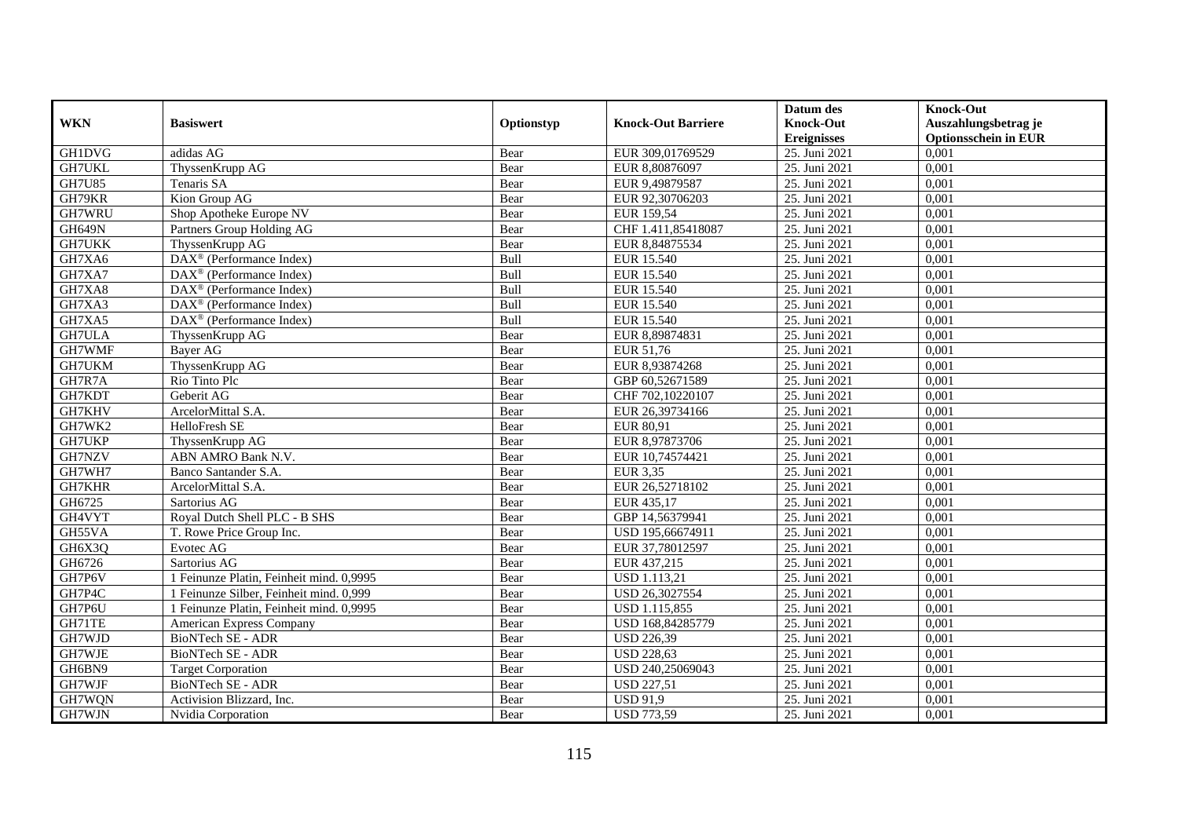|               |                                                             |            |                           | Datum des          | <b>Knock-Out</b>            |
|---------------|-------------------------------------------------------------|------------|---------------------------|--------------------|-----------------------------|
| <b>WKN</b>    | <b>Basiswert</b>                                            | Optionstyp | <b>Knock-Out Barriere</b> | <b>Knock-Out</b>   | Auszahlungsbetrag je        |
|               |                                                             |            |                           | <b>Ereignisses</b> | <b>Optionsschein in EUR</b> |
| <b>GH1DVG</b> | adidas AG                                                   | Bear       | EUR 309,01769529          | 25. Juni 2021      | 0,001                       |
| <b>GH7UKL</b> | ThyssenKrupp AG                                             | Bear       | EUR 8,80876097            | 25. Juni 2021      | 0,001                       |
| <b>GH7U85</b> | Tenaris SA                                                  | Bear       | EUR 9,49879587            | 25. Juni 2021      | 0,001                       |
| GH79KR        | Kion Group AG                                               | Bear       | EUR 92,30706203           | 25. Juni 2021      | 0,001                       |
| GH7WRU        | Shop Apotheke Europe NV                                     | Bear       | EUR 159,54                | 25. Juni 2021      | 0,001                       |
| <b>GH649N</b> | Partners Group Holding AG                                   | Bear       | CHF 1.411,85418087        | 25. Juni 2021      | 0,001                       |
| <b>GH7UKK</b> | ThyssenKrupp AG                                             | Bear       | EUR 8,84875534            | 25. Juni 2021      | 0,001                       |
| GH7XA6        | DAX <sup>®</sup> (Performance Index)                        | Bull       | EUR 15.540                | 25. Juni 2021      | 0,001                       |
| GH7XA7        | DAX <sup>®</sup> (Performance Index)                        | Bull       | EUR 15.540                | 25. Juni 2021      | 0,001                       |
| GH7XA8        | $\text{DAX}^{\textcircled{}}$ (Performance Index)           | Bull       | EUR 15.540                | 25. Juni 2021      | 0,001                       |
| GH7XA3        | $\text{DAX}^{\textcircled{p}}$ (Performance Index)          | Bull       | EUR 15.540                | 25. Juni 2021      | 0,001                       |
| GH7XA5        | $\overline{\text{DAX}^{\otimes}(\text{Performance Index})}$ | Bull       | EUR 15.540                | 25. Juni 2021      | 0,001                       |
| <b>GH7ULA</b> | ThyssenKrupp AG                                             | Bear       | EUR 8,89874831            | 25. Juni 2021      | 0,001                       |
| GH7WMF        | <b>Baver AG</b>                                             | Bear       | EUR 51.76                 | 25. Juni 2021      | 0.001                       |
| GH7UKM        | ThyssenKrupp AG                                             | Bear       | EUR 8,93874268            | 25. Juni 2021      | 0,001                       |
| GH7R7A        | Rio Tinto Plc                                               | Bear       | GBP 60,52671589           | 25. Juni 2021      | 0,001                       |
| GH7KDT        | Geberit AG                                                  | Bear       | CHF 702,10220107          | 25. Juni 2021      | 0,001                       |
| GH7KHV        | ArcelorMittal S.A.                                          | Bear       | EUR 26,39734166           | 25. Juni 2021      | 0,001                       |
| GH7WK2        | HelloFresh SE                                               | Bear       | EUR 80,91                 | 25. Juni 2021      | 0,001                       |
| GH7UKP        | ThyssenKrupp AG                                             | Bear       | EUR 8,97873706            | 25. Juni 2021      | 0,001                       |
| GH7NZV        | ABN AMRO Bank N.V.                                          | Bear       | EUR 10,74574421           | 25. Juni 2021      | 0,001                       |
| GH7WH7        | Banco Santander S.A.                                        | Bear       | <b>EUR 3,35</b>           | 25. Juni 2021      | 0,001                       |
| <b>GH7KHR</b> | ArcelorMittal S.A.                                          | Bear       | EUR 26,52718102           | 25. Juni 2021      | 0,001                       |
| GH6725        | Sartorius AG                                                | Bear       | EUR 435,17                | 25. Juni 2021      | 0,001                       |
| GH4VYT        | Royal Dutch Shell PLC - B SHS                               | Bear       | GBP 14,56379941           | 25. Juni 2021      | 0,001                       |
| GH55VA        | T. Rowe Price Group Inc.                                    | Bear       | USD 195,66674911          | 25. Juni 2021      | 0,001                       |
| GH6X3Q        | Evotec AG                                                   | Bear       | EUR 37,78012597           | 25. Juni 2021      | 0,001                       |
| GH6726        | Sartorius AG                                                | Bear       | EUR 437,215               | 25. Juni 2021      | 0,001                       |
| GH7P6V        | 1 Feinunze Platin, Feinheit mind. 0,9995                    | Bear       | <b>USD 1.113,21</b>       | 25. Juni 2021      | 0,001                       |
| GH7P4C        | 1 Feinunze Silber, Feinheit mind. 0,999                     | Bear       | USD 26,3027554            | 25. Juni 2021      | 0,001                       |
| GH7P6U        | 1 Feinunze Platin, Feinheit mind. 0.9995                    | Bear       | USD 1.115,855             | 25. Juni 2021      | 0,001                       |
| GH71TE        | American Express Company                                    | Bear       | USD 168,84285779          | 25. Juni 2021      | 0,001                       |
| GH7WJD        | <b>BioNTech SE - ADR</b>                                    | Bear       | <b>USD 226,39</b>         | 25. Juni 2021      | 0,001                       |
| GH7WJE        | BioNTech SE - ADR                                           | Bear       | <b>USD 228,63</b>         | 25. Juni 2021      | 0,001                       |
| GH6BN9        | <b>Target Corporation</b>                                   | Bear       | USD 240,25069043          | 25. Juni 2021      | 0,001                       |
| GH7WJF        | <b>BioNTech SE - ADR</b>                                    | Bear       | <b>USD 227,51</b>         | 25. Juni 2021      | 0,001                       |
| GH7WQN        | Activision Blizzard, Inc.                                   | Bear       | <b>USD 91,9</b>           | 25. Juni 2021      | 0,001                       |
| GH7WJN        | Nvidia Corporation                                          | Bear       | <b>USD 773,59</b>         | 25. Juni 2021      | 0,001                       |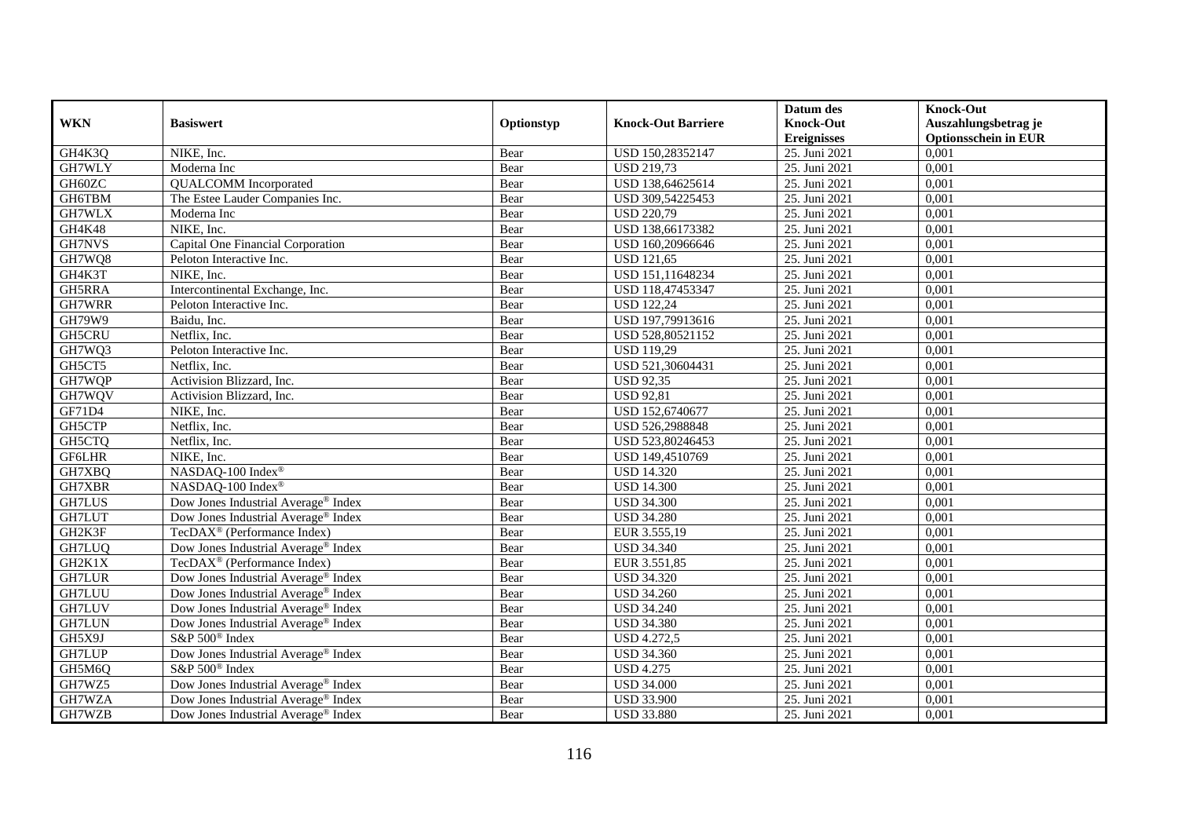| <b>WKN</b>    | <b>Basiswert</b>                                | Optionstyp | <b>Knock-Out Barriere</b> | Datum des<br><b>Knock-Out</b> | <b>Knock-Out</b><br>Auszahlungsbetrag je |
|---------------|-------------------------------------------------|------------|---------------------------|-------------------------------|------------------------------------------|
|               |                                                 |            |                           | <b>Ereignisses</b>            | <b>Optionsschein in EUR</b>              |
| GH4K3Q        | NIKE, Inc.                                      | Bear       | USD 150,28352147          | 25. Juni 2021                 | 0,001                                    |
| <b>GH7WLY</b> | Moderna Inc                                     | Bear       | <b>USD 219,73</b>         | 25. Juni 2021                 | 0,001                                    |
| GH60ZC        | <b>QUALCOMM</b> Incorporated                    | Bear       | USD 138,64625614          | 25. Juni 2021                 | 0,001                                    |
| GH6TBM        | The Estee Lauder Companies Inc.                 | Bear       | USD 309,54225453          | 25. Juni 2021                 | 0,001                                    |
| GH7WLX        | Moderna Inc                                     | Bear       | <b>USD 220,79</b>         | 25. Juni 2021                 | 0,001                                    |
| GH4K48        | NIKE, Inc.                                      | Bear       | USD 138,66173382          | 25. Juni 2021                 | 0,001                                    |
| GH7NVS        | Capital One Financial Corporation               | Bear       | USD 160,20966646          | 25. Juni 2021                 | 0,001                                    |
| GH7WQ8        | Peloton Interactive Inc.                        | Bear       | <b>USD 121,65</b>         | 25. Juni 2021                 | 0,001                                    |
| GH4K3T        | NIKE, Inc.                                      | Bear       | USD 151,11648234          | 25. Juni 2021                 | 0,001                                    |
| GH5RRA        | Intercontinental Exchange, Inc.                 | Bear       | USD 118,47453347          | 25. Juni 2021                 | 0,001                                    |
| GH7WRR        | Peloton Interactive Inc.                        | Bear       | <b>USD 122,24</b>         | 25. Juni 2021                 | 0,001                                    |
| GH79W9        | Baidu, Inc.                                     | Bear       | USD 197,79913616          | 25. Juni 2021                 | 0,001                                    |
| <b>GH5CRU</b> | Netflix, Inc.                                   | Bear       | USD 528,80521152          | 25. Juni 2021                 | 0,001                                    |
| GH7WQ3        | Peloton Interactive Inc.                        | Bear       | <b>USD 119,29</b>         | 25. Juni 2021                 | 0,001                                    |
| GH5CT5        | Netflix, Inc.                                   | Bear       | USD 521,30604431          | 25. Juni 2021                 | 0,001                                    |
| GH7WQP        | Activision Blizzard, Inc.                       | Bear       | <b>USD 92,35</b>          | 25. Juni 2021                 | 0,001                                    |
| GH7WQV        | Activision Blizzard, Inc.                       | Bear       | <b>USD 92,81</b>          | 25. Juni 2021                 | 0,001                                    |
| GF71D4        | NIKE, Inc.                                      | Bear       | USD 152,6740677           | 25. Juni 2021                 | 0,001                                    |
| GH5CTP        | Netflix, Inc.                                   | Bear       | USD 526,2988848           | 25. Juni 2021                 | 0,001                                    |
| GH5CTQ        | Netflix, Inc.                                   | Bear       | USD 523,80246453          | 25. Juni 2021                 | 0,001                                    |
| <b>GF6LHR</b> | NIKE, Inc.                                      | Bear       | USD 149,4510769           | 25. Juni 2021                 | 0,001                                    |
| GH7XBQ        | NASDAQ-100 Index®                               | Bear       | <b>USD 14.320</b>         | 25. Juni 2021                 | 0,001                                    |
| GH7XBR        | NASDAQ-100 Index®                               | Bear       | <b>USD 14.300</b>         | 25. Juni 2021                 | 0,001                                    |
| <b>GH7LUS</b> | Dow Jones Industrial Average® Index             | Bear       | <b>USD 34.300</b>         | 25. Juni 2021                 | 0,001                                    |
| <b>GH7LUT</b> | Dow Jones Industrial Average <sup>®</sup> Index | Bear       | <b>USD 34.280</b>         | 25. Juni 2021                 | 0,001                                    |
| GH2K3F        | TecDAX <sup>®</sup> (Performance Index)         | Bear       | EUR 3.555,19              | 25. Juni 2021                 | 0,001                                    |
| GH7LUQ        | Dow Jones Industrial Average® Index             | Bear       | <b>USD 34.340</b>         | 25. Juni 2021                 | 0,001                                    |
| GH2K1X        | TecDAX <sup>®</sup> (Performance Index)         | Bear       | EUR 3.551,85              | 25. Juni 2021                 | 0,001                                    |
| <b>GH7LUR</b> | Dow Jones Industrial Average® Index             | Bear       | <b>USD 34.320</b>         | 25. Juni 2021                 | 0,001                                    |
| <b>GH7LUU</b> | Dow Jones Industrial Average <sup>®</sup> Index | Bear       | <b>USD 34.260</b>         | 25. Juni 2021                 | 0.001                                    |
| <b>GH7LUV</b> | Dow Jones Industrial Average® Index             | Bear       | <b>USD 34.240</b>         | 25. Juni 2021                 | 0,001                                    |
| <b>GH7LUN</b> | Dow Jones Industrial Average® Index             | Bear       | <b>USD 34.380</b>         | 25. Juni 2021                 | 0,001                                    |
| GH5X9J        | S&P 500 <sup>®</sup> Index                      | Bear       | <b>USD 4.272,5</b>        | 25. Juni 2021                 | 0,001                                    |
| <b>GH7LUP</b> | Dow Jones Industrial Average® Index             | Bear       | <b>USD 34.360</b>         | 25. Juni 2021                 | 0,001                                    |
| GH5M6Q        | S&P 500 <sup>®</sup> Index                      | Bear       | <b>USD 4.275</b>          | 25. Juni 2021                 | 0,001                                    |
| GH7WZ5        | Dow Jones Industrial Average® Index             | Bear       | <b>USD 34.000</b>         | 25. Juni 2021                 | 0,001                                    |
| GH7WZA        | Dow Jones Industrial Average® Index             | Bear       | <b>USD 33.900</b>         | 25. Juni 2021                 | 0,001                                    |
| GH7WZB        | Dow Jones Industrial Average® Index             | Bear       | <b>USD 33.880</b>         | 25. Juni 2021                 | 0,001                                    |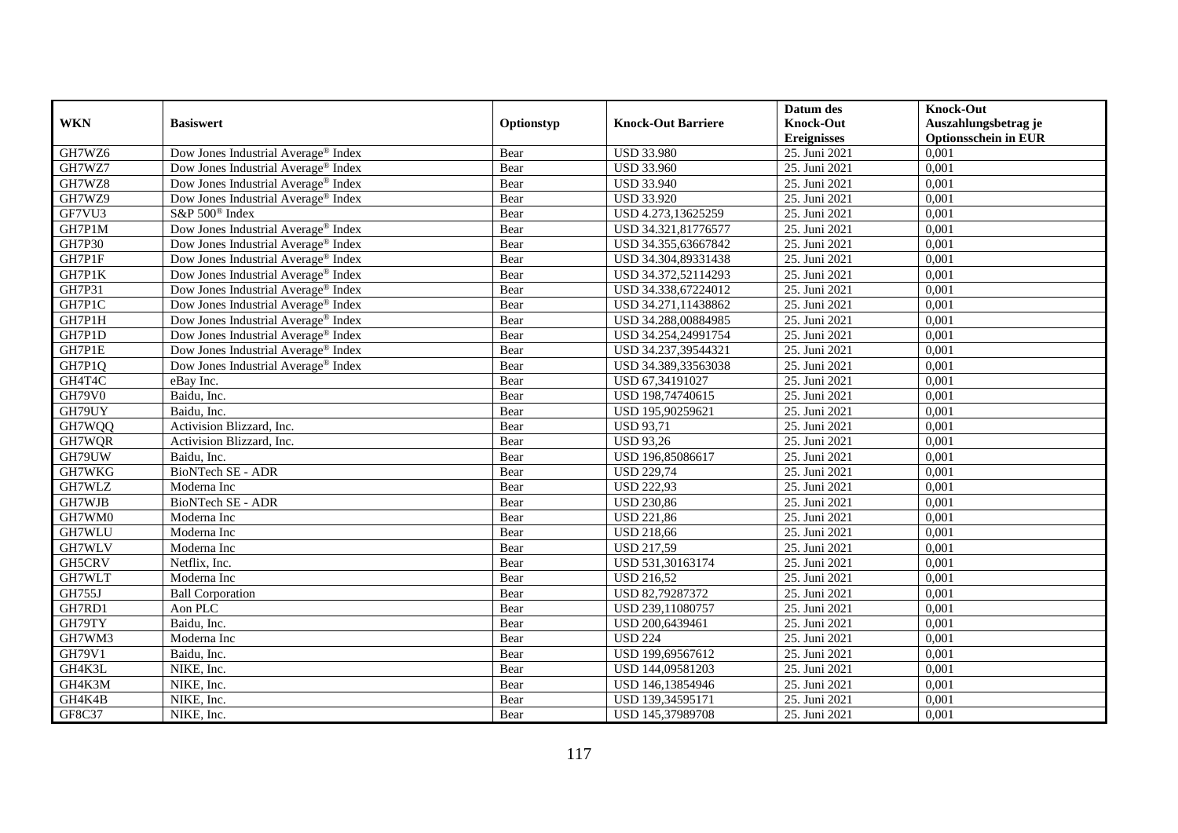|               |                                                 |            |                           | Datum des          | <b>Knock-Out</b>            |
|---------------|-------------------------------------------------|------------|---------------------------|--------------------|-----------------------------|
| <b>WKN</b>    | <b>Basiswert</b>                                | Optionstyp | <b>Knock-Out Barriere</b> | <b>Knock-Out</b>   | Auszahlungsbetrag je        |
|               |                                                 |            |                           | <b>Ereignisses</b> | <b>Optionsschein in EUR</b> |
| GH7WZ6        | Dow Jones Industrial Average® Index             | Bear       | <b>USD 33.980</b>         | 25. Juni 2021      | 0,001                       |
| GH7WZ7        | Dow Jones Industrial Average® Index             | Bear       | <b>USD 33.960</b>         | 25. Juni 2021      | 0,001                       |
| GH7WZ8        | Dow Jones Industrial Average <sup>®</sup> Index | Bear       | <b>USD 33.940</b>         | 25. Juni 2021      | 0,001                       |
| GH7WZ9        | Dow Jones Industrial Average® Index             | Bear       | <b>USD 33.920</b>         | 25. Juni 2021      | 0,001                       |
| GF7VU3        | S&P 500 <sup>®</sup> Index                      | Bear       | USD 4.273,13625259        | 25. Juni 2021      | 0,001                       |
| GH7P1M        | Dow Jones Industrial Average <sup>®</sup> Index | Bear       | USD 34.321,81776577       | 25. Juni 2021      | 0,001                       |
| <b>GH7P30</b> | Dow Jones Industrial Average® Index             | Bear       | USD 34.355,63667842       | 25. Juni 2021      | 0,001                       |
| GH7P1F        | Dow Jones Industrial Average® Index             | Bear       | USD 34.304,89331438       | 25. Juni 2021      | 0,001                       |
| GH7P1K        | Dow Jones Industrial Average® Index             | Bear       | USD 34.372,52114293       | 25. Juni 2021      | 0,001                       |
| GH7P31        | Dow Jones Industrial Average <sup>®</sup> Index | Bear       | USD 34.338,67224012       | 25. Juni 2021      | 0,001                       |
| GH7P1C        | Dow Jones Industrial Average® Index             | Bear       | USD 34.271,11438862       | 25. Juni 2021      | 0,001                       |
| GH7P1H        | Dow Jones Industrial Average® Index             | Bear       | USD 34.288,00884985       | 25. Juni 2021      | 0,001                       |
| GH7P1D        | Dow Jones Industrial Average® Index             | Bear       | USD 34.254,24991754       | 25. Juni 2021      | 0,001                       |
| GH7P1E        | Dow Jones Industrial Average <sup>®</sup> Index | Bear       | USD 34.237,39544321       | 25. Juni 2021      | 0.001                       |
| GH7P1Q        | Dow Jones Industrial Average <sup>®</sup> Index | Bear       | USD 34.389,33563038       | 25. Juni 2021      | 0,001                       |
| GH4T4C        | eBay Inc.                                       | Bear       | USD 67,34191027           | 25. Juni 2021      | 0,001                       |
| <b>GH79V0</b> | Baidu, Inc.                                     | Bear       | USD 198,74740615          | 25. Juni 2021      | 0,001                       |
| GH79UY        | Baidu. Inc.                                     | Bear       | USD 195,90259621          | 25. Juni 2021      | 0,001                       |
| GH7WQQ        | Activision Blizzard, Inc.                       | Bear       | <b>USD 93,71</b>          | 25. Juni 2021      | 0,001                       |
| GH7WQR        | Activision Blizzard, Inc.                       | Bear       | <b>USD 93,26</b>          | 25. Juni 2021      | 0,001                       |
| GH79UW        | Baidu, Inc.                                     | Bear       | USD 196,85086617          | 25. Juni 2021      | 0,001                       |
| GH7WKG        | <b>BioNTech SE - ADR</b>                        | Bear       | <b>USD 229,74</b>         | 25. Juni 2021      | 0,001                       |
| GH7WLZ        | Moderna Inc                                     | Bear       | <b>USD 222,93</b>         | 25. Juni 2021      | 0,001                       |
| GH7WJB        | <b>BioNTech SE - ADR</b>                        | Bear       | <b>USD 230,86</b>         | 25. Juni 2021      | 0,001                       |
| GH7WM0        | Moderna Inc                                     | Bear       | <b>USD 221,86</b>         | 25. Juni 2021      | 0,001                       |
| GH7WLU        | Moderna Inc                                     | Bear       | <b>USD 218,66</b>         | 25. Juni 2021      | 0,001                       |
| GH7WLV        | Moderna Inc                                     | Bear       | <b>USD 217,59</b>         | 25. Juni 2021      | 0,001                       |
| GH5CRV        | Netflix, Inc.                                   | Bear       | USD 531,30163174          | 25. Juni 2021      | 0,001                       |
| GH7WLT        | Moderna Inc                                     | Bear       | <b>USD 216,52</b>         | 25. Juni 2021      | 0,001                       |
| <b>GH755J</b> | <b>Ball Corporation</b>                         | Bear       | USD 82,79287372           | 25. Juni 2021      | 0,001                       |
| GH7RD1        | Aon PLC                                         | Bear       | USD 239,11080757          | 25. Juni 2021      | 0,001                       |
| GH79TY        | Baidu, Inc.                                     | Bear       | USD 200,6439461           | 25. Juni 2021      | 0,001                       |
| GH7WM3        | Moderna Inc                                     | Bear       | <b>USD 224</b>            | 25. Juni 2021      | 0,001                       |
| GH79V1        | Baidu, Inc.                                     | Bear       | USD 199,69567612          | 25. Juni 2021      | 0,001                       |
| GH4K3L        | NIKE, Inc.                                      | Bear       | USD 144,09581203          | 25. Juni 2021      | 0,001                       |
| GH4K3M        | NIKE, Inc.                                      | Bear       | USD 146,13854946          | 25. Juni 2021      | 0,001                       |
| GH4K4B        | NIKE, Inc.                                      | Bear       | USD 139,34595171          | 25. Juni 2021      | 0,001                       |
| GF8C37        | NIKE, Inc.                                      | Bear       | USD 145,37989708          | 25. Juni 2021      | 0,001                       |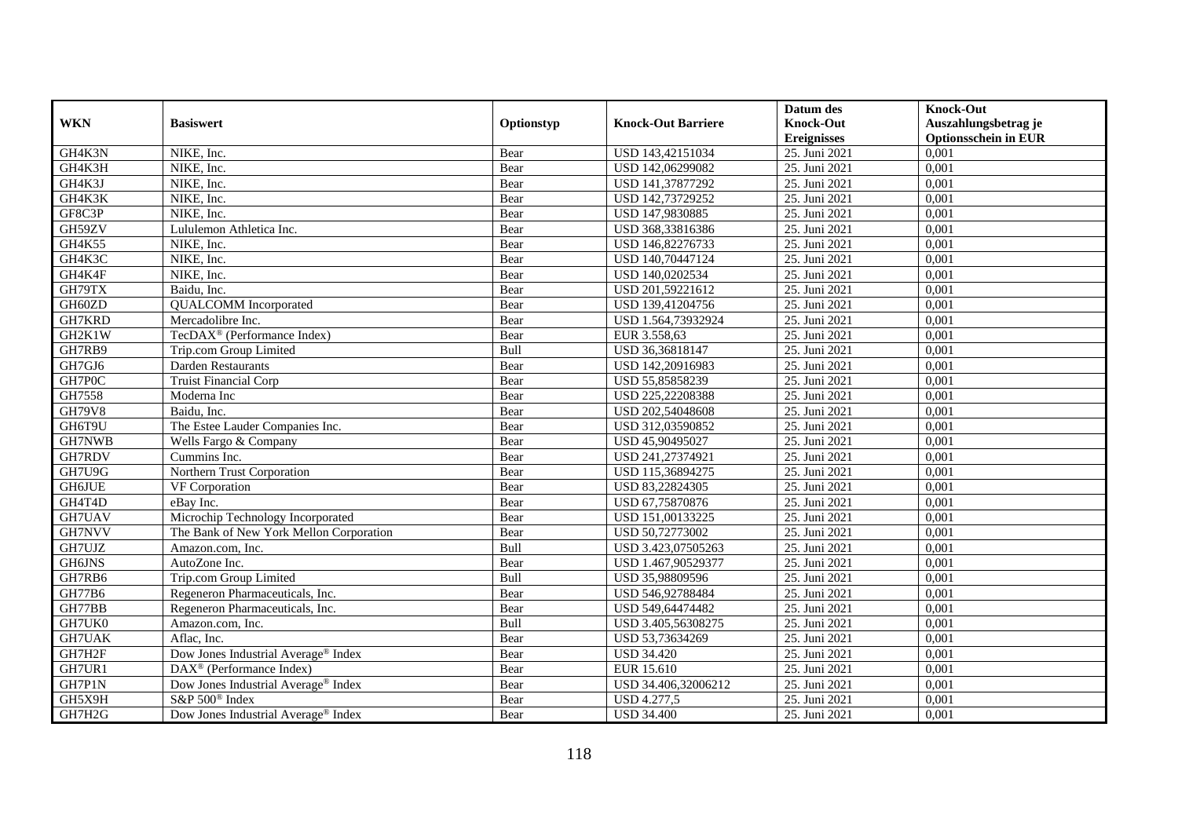|               |                                                 |            |                           | Datum des          | <b>Knock-Out</b>            |
|---------------|-------------------------------------------------|------------|---------------------------|--------------------|-----------------------------|
| <b>WKN</b>    | <b>Basiswert</b>                                | Optionstyp | <b>Knock-Out Barriere</b> | <b>Knock-Out</b>   | Auszahlungsbetrag je        |
|               |                                                 |            |                           | <b>Ereignisses</b> | <b>Optionsschein in EUR</b> |
| GH4K3N        | NIKE, Inc.                                      | Bear       | USD 143,42151034          | 25. Juni 2021      | 0,001                       |
| GH4K3H        | NIKE, Inc.                                      | Bear       | USD 142,06299082          | 25. Juni 2021      | 0,001                       |
| GH4K3J        | NIKE, Inc.                                      | Bear       | USD 141,37877292          | 25. Juni 2021      | 0,001                       |
| GH4K3K        | NIKE, Inc.                                      | Bear       | USD 142,73729252          | 25. Juni 2021      | 0,001                       |
| GF8C3P        | NIKE, Inc.                                      | Bear       | USD 147,9830885           | 25. Juni 2021      | 0,001                       |
| GH59ZV        | Lululemon Athletica Inc.                        | Bear       | USD 368,33816386          | 25. Juni 2021      | 0,001                       |
| GH4K55        | NIKE, Inc.                                      | Bear       | USD 146,82276733          | 25. Juni 2021      | 0,001                       |
| GH4K3C        | NIKE, Inc.                                      | Bear       | USD 140,70447124          | 25. Juni 2021      | 0,001                       |
| GH4K4F        | NIKE, Inc.                                      | Bear       | USD 140,0202534           | 25. Juni 2021      | 0,001                       |
| GH79TX        | Baidu, Inc.                                     | Bear       | USD 201,59221612          | 25. Juni 2021      | 0,001                       |
| GH60ZD        | <b>QUALCOMM</b> Incorporated                    | Bear       | USD 139,41204756          | 25. Juni 2021      | 0,001                       |
| GH7KRD        | Mercadolibre Inc.                               | Bear       | USD 1.564,73932924        | 25. Juni 2021      | 0,001                       |
| GH2K1W        | TecDAX <sup>®</sup> (Performance Index)         | Bear       | EUR 3.558,63              | 25. Juni 2021      | 0,001                       |
| GH7RB9        | Trip.com Group Limited                          | Bull       | USD 36,36818147           | 25. Juni 2021      | 0.001                       |
| GH7GJ6        | Darden Restaurants                              | Bear       | USD 142,20916983          | 25. Juni 2021      | 0,001                       |
| GH7P0C        | <b>Truist Financial Corp</b>                    | Bear       | USD 55,85858239           | 25. Juni 2021      | 0,001                       |
| GH7558        | Moderna Inc                                     | Bear       | USD 225,22208388          | 25. Juni 2021      | 0,001                       |
| <b>GH79V8</b> | Baidu, Inc.                                     | Bear       | USD 202,54048608          | 25. Juni 2021      | 0,001                       |
| GH6T9U        | The Estee Lauder Companies Inc.                 | Bear       | USD 312,03590852          | 25. Juni 2021      | 0,001                       |
| GH7NWB        | Wells Fargo & Company                           | Bear       | USD 45,90495027           | 25. Juni 2021      | 0,001                       |
| GH7RDV        | Cummins Inc.                                    | Bear       | USD 241,27374921          | 25. Juni 2021      | 0.001                       |
| GH7U9G        | Northern Trust Corporation                      | Bear       | USD 115,36894275          | 25. Juni 2021      | 0,001                       |
| <b>GH6JUE</b> | VF Corporation                                  | Bear       | USD 83,22824305           | 25. Juni 2021      | 0,001                       |
| GH4T4D        | eBay Inc.                                       | Bear       | USD 67,75870876           | 25. Juni 2021      | 0,001                       |
| GH7UAV        | Microchip Technology Incorporated               | Bear       | USD 151,00133225          | 25. Juni 2021      | 0,001                       |
| GH7NVV        | The Bank of New York Mellon Corporation         | Bear       | USD 50,72773002           | 25. Juni 2021      | 0,001                       |
| GH7UJZ        | Amazon.com, Inc.                                | Bull       | USD 3.423,07505263        | 25. Juni 2021      | 0,001                       |
| <b>GH6JNS</b> | AutoZone Inc.                                   | Bear       | USD 1.467,90529377        | 25. Juni 2021      | 0,001                       |
| GH7RB6        | Trip.com Group Limited                          | Bull       | USD 35,98809596           | 25. Juni 2021      | $\overline{0,001}$          |
| GH77B6        | Regeneron Pharmaceuticals, Inc.                 | Bear       | USD 546.92788484          | 25. Juni 2021      | 0.001                       |
| GH77BB        | Regeneron Pharmaceuticals, Inc.                 | Bear       | USD 549,64474482          | 25. Juni 2021      | 0,001                       |
| GH7UK0        | Amazon.com, Inc.                                | Bull       | USD 3.405,56308275        | 25. Juni 2021      | 0,001                       |
| <b>GH7UAK</b> | Aflac, Inc.                                     | Bear       | USD 53,73634269           | 25. Juni 2021      | 0,001                       |
| GH7H2F        | Dow Jones Industrial Average® Index             | Bear       | <b>USD 34.420</b>         | 25. Juni 2021      | 0,001                       |
| GH7UR1        | DAX <sup>®</sup> (Performance Index)            | Bear       | EUR 15.610                | 25. Juni 2021      | 0,001                       |
| GH7P1N        | Dow Jones Industrial Average <sup>®</sup> Index | Bear       | USD 34.406,32006212       | 25. Juni 2021      | 0,001                       |
| GH5X9H        | S&P 500 <sup>®</sup> Index                      | Bear       | <b>USD 4.277,5</b>        | 25. Juni 2021      | 0,001                       |
| GH7H2G        | Dow Jones Industrial Average <sup>®</sup> Index | Bear       | <b>USD 34.400</b>         | 25. Juni 2021      | 0,001                       |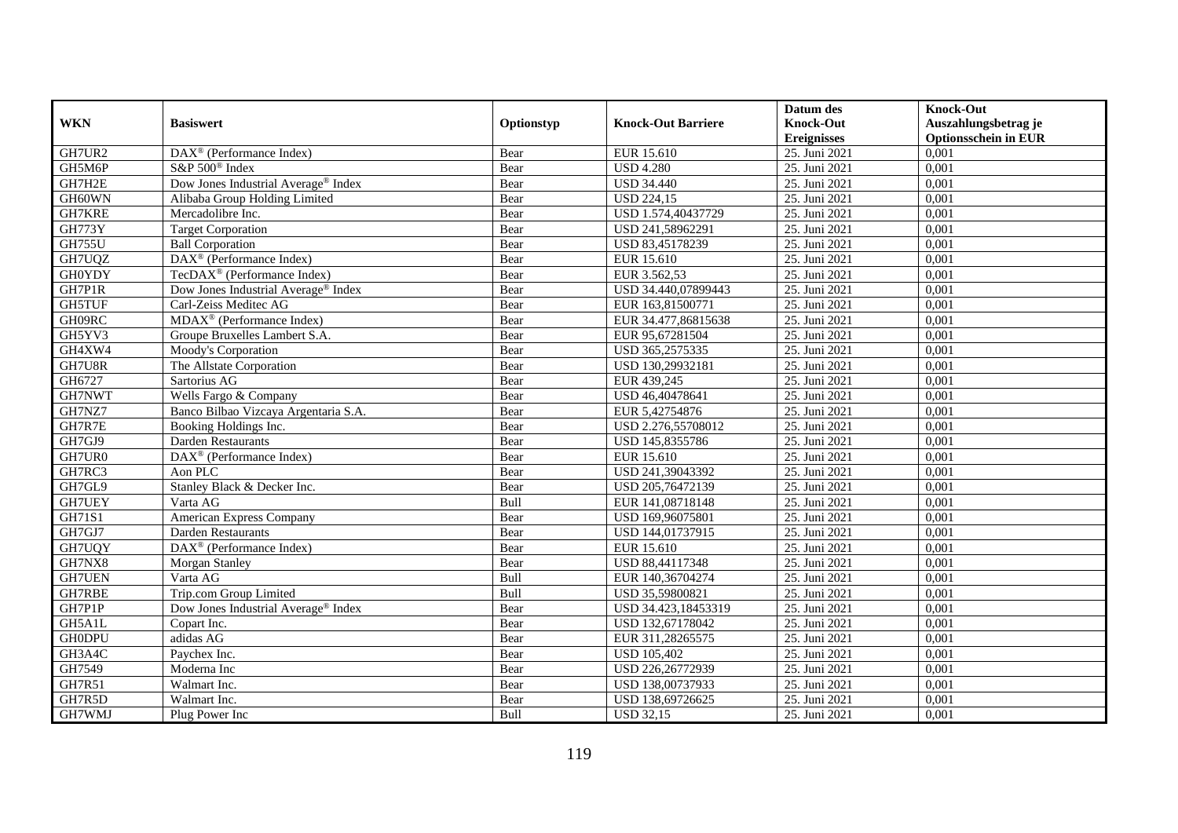|               |                                                       |            |                           | Datum des          | <b>Knock-Out</b>            |
|---------------|-------------------------------------------------------|------------|---------------------------|--------------------|-----------------------------|
| <b>WKN</b>    | <b>Basiswert</b>                                      | Optionstyp | <b>Knock-Out Barriere</b> | <b>Knock-Out</b>   | Auszahlungsbetrag je        |
|               |                                                       |            |                           | <b>Ereignisses</b> | <b>Optionsschein in EUR</b> |
| GH7UR2        | $\overline{\text{DAX}^{\otimes}}$ (Performance Index) | Bear       | EUR 15.610                | 25. Juni 2021      | 0,001                       |
| GH5M6P        | S&P 500 <sup>®</sup> Index                            | Bear       | <b>USD 4.280</b>          | 25. Juni 2021      | 0,001                       |
| GH7H2E        | Dow Jones Industrial Average® Index                   | Bear       | <b>USD 34.440</b>         | 25. Juni 2021      | 0,001                       |
| GH60WN        | Alibaba Group Holding Limited                         | Bear       | <b>USD 224,15</b>         | 25. Juni 2021      | 0,001                       |
| GH7KRE        | Mercadolibre Inc.                                     | Bear       | USD 1.574,40437729        | 25. Juni 2021      | 0,001                       |
| <b>GH773Y</b> | <b>Target Corporation</b>                             | Bear       | USD 241,58962291          | 25. Juni 2021      | 0,001                       |
| <b>GH755U</b> | <b>Ball Corporation</b>                               | Bear       | USD 83,45178239           | 25. Juni 2021      | 0,001                       |
| GH7UQZ        | DAX <sup>®</sup> (Performance Index)                  | Bear       | EUR 15.610                | 25. Juni 2021      | 0,001                       |
| <b>GH0YDY</b> | TecDAX <sup>®</sup> (Performance Index)               | Bear       | EUR 3.562,53              | 25. Juni 2021      | 0,001                       |
| GH7P1R        | Dow Jones Industrial Average® Index                   | Bear       | USD 34.440,07899443       | 25. Juni 2021      | 0,001                       |
| <b>GH5TUF</b> | Carl-Zeiss Meditec AG                                 | Bear       | EUR 163,81500771          | 25. Juni 2021      | 0,001                       |
| GH09RC        | $MDAX^{\circledcirc}$ (Performance Index)             | Bear       | EUR 34.477,86815638       | 25. Juni 2021      | 0,001                       |
| GH5YV3        | Groupe Bruxelles Lambert S.A.                         | Bear       | EUR 95,67281504           | 25. Juni 2021      | 0,001                       |
| GH4XW4        | Moody's Corporation                                   | Bear       | USD 365,2575335           | 25. Juni 2021      | 0.001                       |
| GH7U8R        | The Allstate Corporation                              | Bear       | USD 130,29932181          | 25. Juni 2021      | 0,001                       |
| GH6727        | Sartorius AG                                          | Bear       | EUR 439,245               | 25. Juni 2021      | 0,001                       |
| GH7NWT        | Wells Fargo & Company                                 | Bear       | USD 46,40478641           | 25. Juni 2021      | 0,001                       |
| GH7NZ7        | Banco Bilbao Vizcaya Argentaria S.A.                  | Bear       | EUR 5,42754876            | 25. Juni 2021      | 0,001                       |
| GH7R7E        | Booking Holdings Inc.                                 | Bear       | USD 2.276,55708012        | 25. Juni 2021      | 0,001                       |
| GH7GJ9        | Darden Restaurants                                    | Bear       | USD 145,8355786           | 25. Juni 2021      | 0,001                       |
| GH7UR0        | DAX <sup>®</sup> (Performance Index)                  | Bear       | EUR 15.610                | 25. Juni 2021      | 0,001                       |
| GH7RC3        | Aon PLC                                               | Bear       | USD 241,39043392          | 25. Juni 2021      | 0,001                       |
| GH7GL9        | Stanley Black & Decker Inc.                           | Bear       | USD 205,76472139          | 25. Juni 2021      | 0,001                       |
| GH7UEY        | Varta AG                                              | Bull       | EUR 141,08718148          | 25. Juni 2021      | 0,001                       |
| GH71S1        | <b>American Express Company</b>                       | Bear       | USD 169,96075801          | 25. Juni 2021      | 0,001                       |
| GH7GJ7        | Darden Restaurants                                    | Bear       | USD 144,01737915          | 25. Juni 2021      | 0,001                       |
| GH7UQY        | DAX <sup>®</sup> (Performance Index)                  | Bear       | EUR 15.610                | 25. Juni 2021      | 0,001                       |
| GH7NX8        | Morgan Stanley                                        | Bear       | USD 88,44117348           | 25. Juni 2021      | 0,001                       |
| <b>GH7UEN</b> | Varta AG                                              | Bull       | EUR 140,36704274          | 25. Juni 2021      | 0,001                       |
| GH7RBE        | Trip.com Group Limited                                | Bull       | USD 35,59800821           | 25. Juni 2021      | 0,001                       |
| GH7P1P        | Dow Jones Industrial Average® Index                   | Bear       | USD 34.423,18453319       | 25. Juni 2021      | 0,001                       |
| GH5A1L        | Copart Inc.                                           | Bear       | USD 132,67178042          | 25. Juni 2021      | 0,001                       |
| <b>GH0DPU</b> | adidas AG                                             | Bear       | EUR 311,28265575          | 25. Juni 2021      | 0,001                       |
| GH3A4C        | Paychex Inc.                                          | Bear       | <b>USD 105,402</b>        | 25. Juni 2021      | 0,001                       |
| GH7549        | Moderna Inc                                           | Bear       | USD 226,26772939          | 25. Juni 2021      | 0,001                       |
| GH7R51        | Walmart Inc.                                          | Bear       | USD 138,00737933          | 25. Juni 2021      | 0,001                       |
| GH7R5D        | Walmart Inc.                                          | Bear       | USD 138,69726625          | 25. Juni 2021      | 0,001                       |
| GH7WMJ        | Plug Power Inc                                        | Bull       | <b>USD 32,15</b>          | 25. Juni 2021      | 0,001                       |